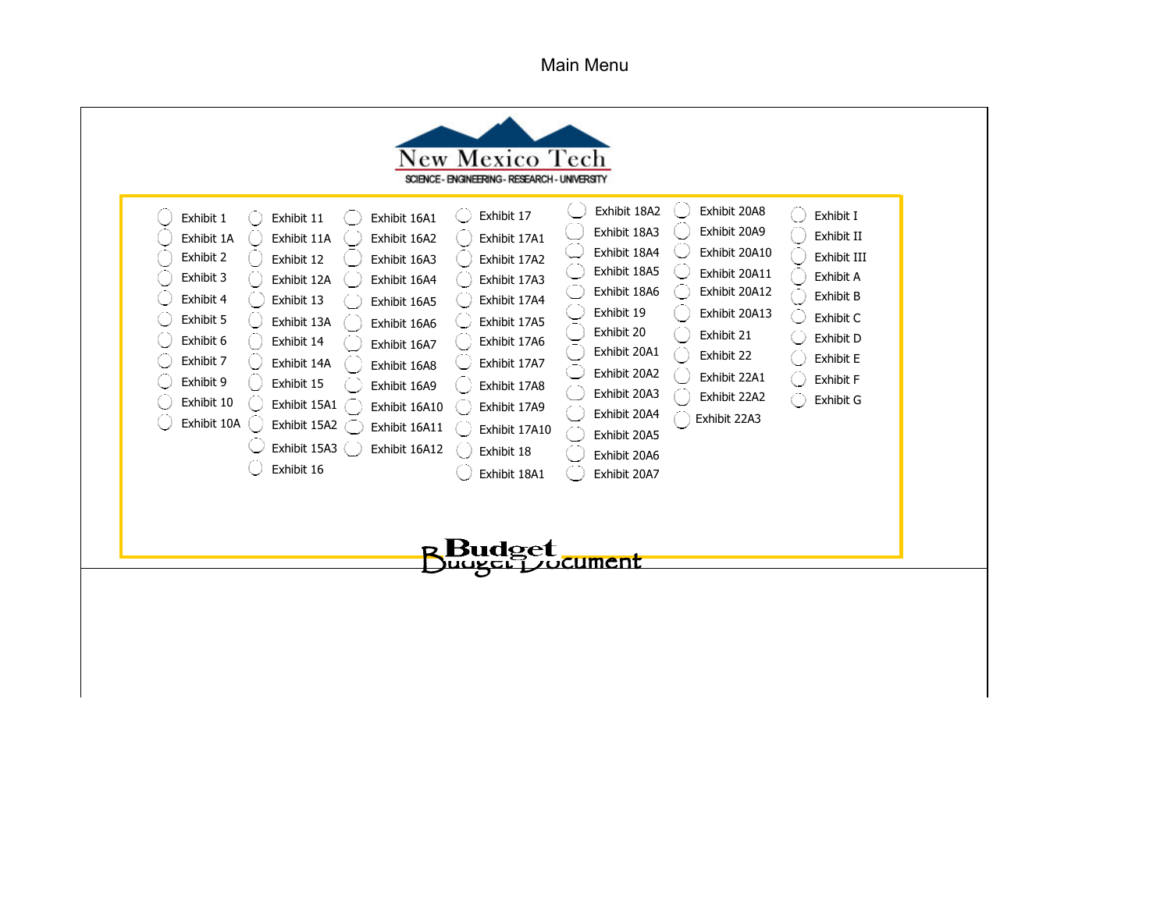Main Menu

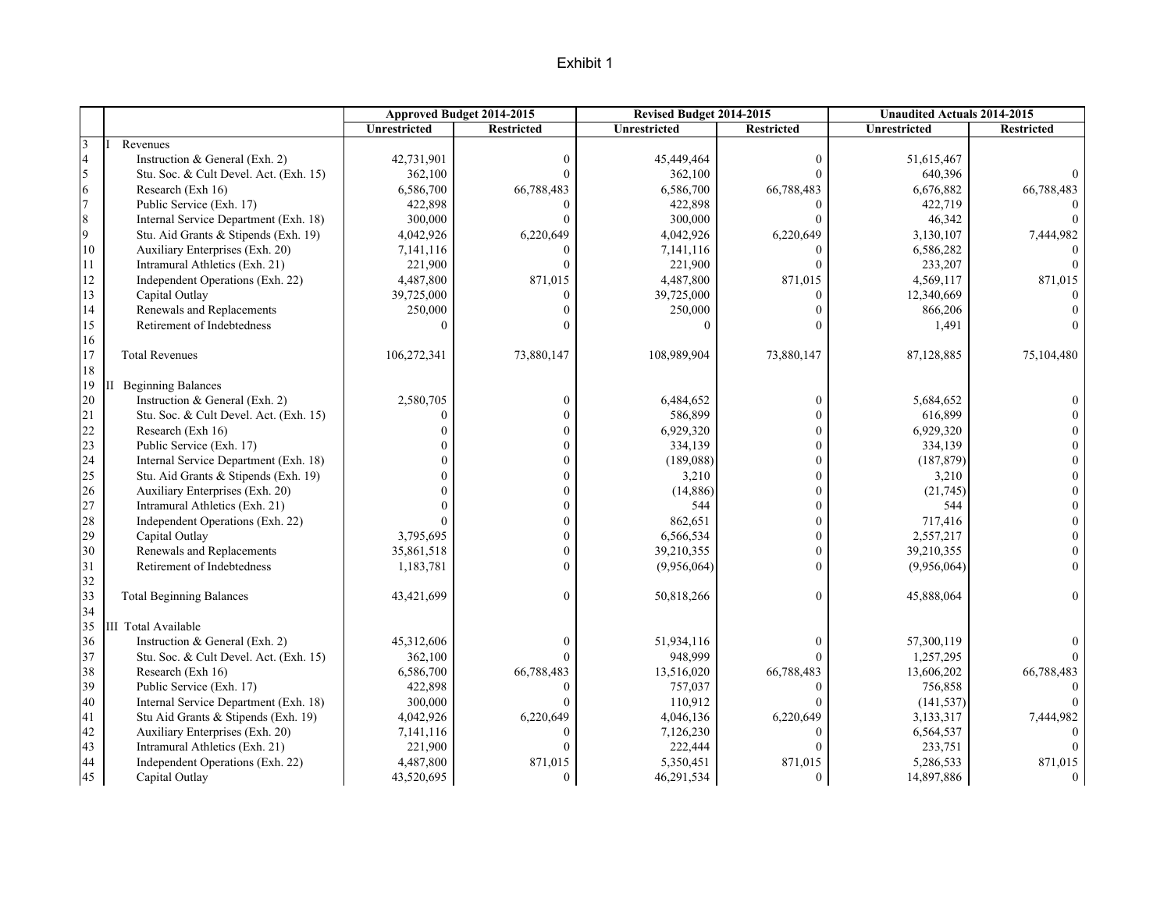|                |                                        |                     | Approved Budget 2014-2015 | Revised Budget 2014-2015 |                  | <b>Unaudited Actuals 2014-2015</b> |                   |
|----------------|----------------------------------------|---------------------|---------------------------|--------------------------|------------------|------------------------------------|-------------------|
|                |                                        | <b>Unrestricted</b> | <b>Restricted</b>         | <b>Unrestricted</b>      | Restricted       | <b>Unrestricted</b>                | <b>Restricted</b> |
| 3              | Revenues                               |                     |                           |                          |                  |                                    |                   |
| $\overline{4}$ | Instruction & General (Exh. 2)         | 42,731,901          | $\mathbf{0}$              | 45,449,464               | $\boldsymbol{0}$ | 51,615,467                         |                   |
| 5              | Stu. Soc. & Cult Devel. Act. (Exh. 15) | 362,100             | $\Omega$                  | 362,100                  | $\theta$         | 640,396                            |                   |
| 6              | Research (Exh 16)                      | 6,586,700           | 66,788,483                | 6,586,700                | 66,788,483       | 6,676,882                          | 66,788,483        |
| $\overline{7}$ | Public Service (Exh. 17)               | 422,898             | $\Omega$                  | 422,898                  | $\theta$         | 422,719                            |                   |
| 8              | Internal Service Department (Exh. 18)  | 300,000             | $\Omega$                  | 300,000                  | $\theta$         | 46,342                             | $\Omega$          |
| 9              | Stu. Aid Grants & Stipends (Exh. 19)   | 4,042,926           | 6,220,649                 | 4,042,926                | 6,220,649        | 3,130,107                          | 7,444,982         |
| 10             | Auxiliary Enterprises (Exh. 20)        | 7,141,116           | $\Omega$                  | 7,141,116                | $\theta$         | 6,586,282                          |                   |
| 11             | Intramural Athletics (Exh. 21)         | 221,900             | $\Omega$                  | 221,900                  | $\Omega$         | 233,207                            |                   |
| 12             | Independent Operations (Exh. 22)       | 4,487,800           | 871,015                   | 4,487,800                | 871,015          | 4,569,117                          | 871,015           |
| 13             | Capital Outlay                         | 39,725,000          | $\Omega$                  | 39,725,000               | $\theta$         | 12,340,669                         |                   |
| $\frac{14}{5}$ | Renewals and Replacements              | 250,000             | $\Omega$                  | 250,000                  | $\theta$         | 866,206                            |                   |
| 15             | Retirement of Indebtedness             | $\Omega$            | $\Omega$                  | $\Omega$                 | $\theta$         | 1,491                              | $\theta$          |
| 16             |                                        |                     |                           |                          |                  |                                    |                   |
| 17             | <b>Total Revenues</b>                  | 106,272,341         | 73,880,147                | 108,989,904              | 73,880,147       | 87,128,885                         | 75,104,480        |
| 18             |                                        |                     |                           |                          |                  |                                    |                   |
| 19             | <b>II</b> Beginning Balances           |                     |                           |                          |                  |                                    |                   |
| 20             | Instruction & General (Exh. 2)         | 2,580,705           | $\overline{0}$            | 6,484,652                | $\boldsymbol{0}$ | 5,684,652                          |                   |
| 21             | Stu. Soc. & Cult Devel. Act. (Exh. 15) | $\theta$            | $\mathbf{0}$              | 586,899                  | $\mathbf{0}$     | 616,899                            |                   |
| 22             | Research (Exh 16)                      | $\Omega$            | $\Omega$                  | 6,929,320                | $\mathbf{0}$     | 6,929,320                          | $\Omega$          |
| 23             | Public Service (Exh. 17)               | $\Omega$            | $\theta$                  | 334,139                  | $\theta$         | 334,139                            | $\Omega$          |
| 24             | Internal Service Department (Exh. 18)  | $\Omega$            | $\theta$                  | (189,088)                | $\mathbf{0}$     | (187, 879)                         | $\theta$          |
| 25             | Stu. Aid Grants & Stipends (Exh. 19)   | $\Omega$            | $\Omega$                  | 3,210                    | $\mathbf{0}$     | 3,210                              | $\boldsymbol{0}$  |
| 26             | Auxiliary Enterprises (Exh. 20)        |                     | $\Omega$                  | (14, 886)                | $\theta$         | (21,745)                           | $\theta$          |
| 27             | Intramural Athletics (Exh. 21)         | $\Omega$            | $\overline{0}$            | 544                      | $\mathbf{0}$     | 544                                | $\overline{0}$    |
| 28             | Independent Operations (Exh. 22)       | $\Omega$            | $\theta$                  | 862,651                  | $\mathbf{0}$     | 717,416                            | $\overline{0}$    |
| 29             | Capital Outlay                         | 3,795,695           | $\theta$                  | 6,566,534                | $\theta$         | 2,557,217                          | $\Omega$          |
| 30             | Renewals and Replacements              | 35,861,518          | $\overline{0}$            | 39,210,355               | $\mathbf{0}$     | 39,210,355                         | $\overline{0}$    |
| 31             | Retirement of Indebtedness             | 1,183,781           | $\overline{0}$            | (9,956,064)              | $\theta$         | (9,956,064)                        | $\overline{0}$    |
| 32             |                                        |                     |                           |                          |                  |                                    |                   |
| 33             | <b>Total Beginning Balances</b>        | 43,421,699          | $\mathbf{0}$              | 50,818,266               | $\theta$         | 45,888,064                         | $\Omega$          |
| 34             |                                        |                     |                           |                          |                  |                                    |                   |
| 35             | III Total Available                    |                     |                           |                          |                  |                                    |                   |
| 36             | Instruction & General (Exh. 2)         | 45,312,606          | $\Omega$                  | 51,934,116               | $\mathbf{0}$     | 57,300,119                         |                   |
| 37             | Stu. Soc. & Cult Devel. Act. (Exh. 15) | 362,100             | $\Omega$                  | 948,999                  | $\theta$         | 1,257,295                          |                   |
| 38             | Research (Exh 16)                      | 6,586,700           | 66,788,483                | 13,516,020               | 66,788,483       | 13,606,202                         | 66,788,483        |
| 39             | Public Service (Exh. 17)               | 422,898             | $\Omega$                  | 757,037                  | $\theta$         | 756,858                            | $\Omega$          |
| 40             | Internal Service Department (Exh. 18)  | 300,000             | $\Omega$                  | 110,912                  | $\Omega$         | (141, 537)                         |                   |
| 41             | Stu Aid Grants & Stipends (Exh. 19)    | 4,042,926           | 6,220,649                 | 4,046,136                | 6,220,649        | 3,133,317                          | 7,444,982         |
| 42             | Auxiliary Enterprises (Exh. 20)        | 7,141,116           | $\Omega$                  | 7,126,230                | $\theta$         | 6,564,537                          |                   |
| 43             | Intramural Athletics (Exh. 21)         | 221,900             | $\Omega$                  | 222,444                  | $\Omega$         | 233,751                            |                   |
| 44             | Independent Operations (Exh. 22)       | 4,487,800           | 871,015                   | 5,350,451                | 871,015          | 5,286,533                          | 871,015           |
| 45             | Capital Outlay                         | 43,520,695          | $\mathbf{0}$              | 46,291,534               | $\mathbf{0}$     | 14,897,886                         | $\overline{0}$    |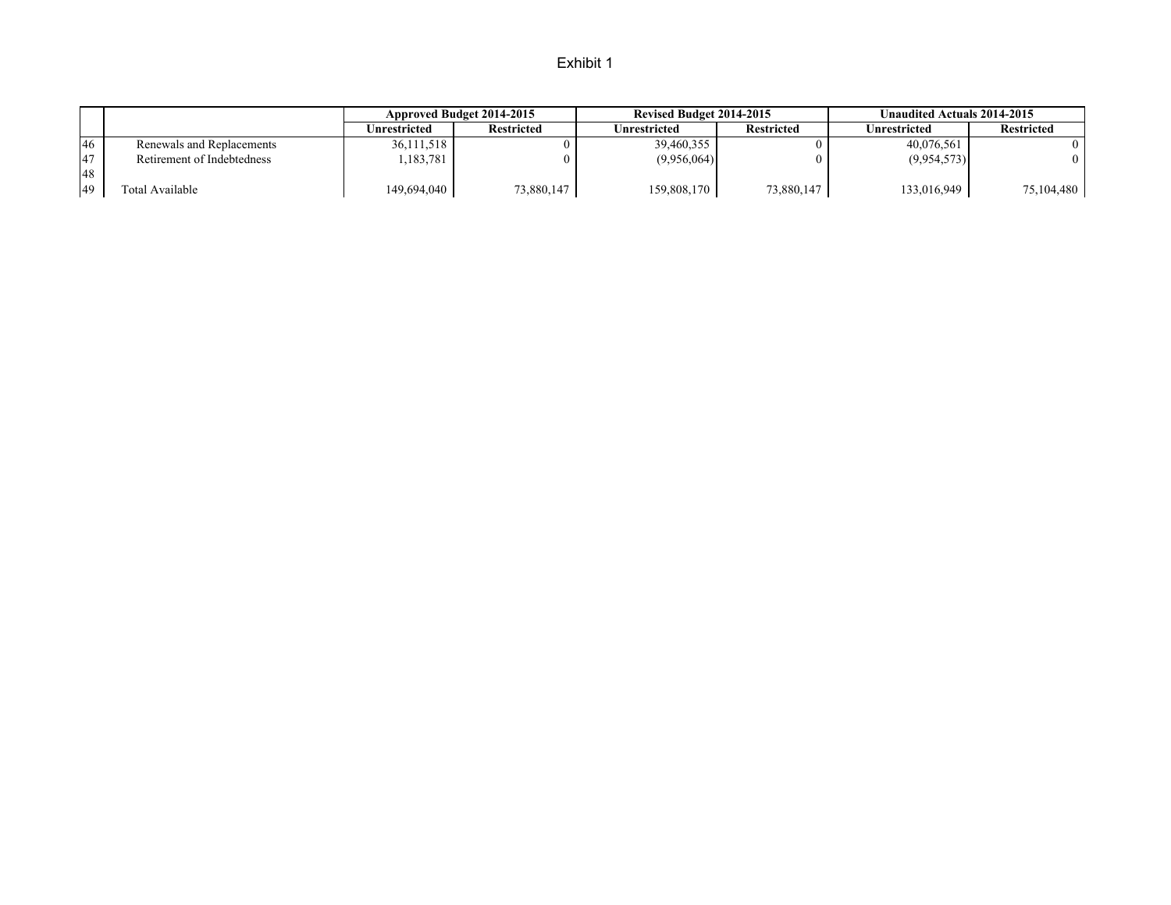|           |                            |              | Approved Budget 2014-2015 | Revised Budget 2014-2015 |                   | Unaudited Actuals 2014-2015 |                   |
|-----------|----------------------------|--------------|---------------------------|--------------------------|-------------------|-----------------------------|-------------------|
|           |                            | Unrestricted | <b>Restricted</b>         | Unrestricted             | <b>Restricted</b> | Unrestricted                | <b>Restricted</b> |
| <b>46</b> | Renewals and Replacements  | 36,111,518   |                           | 39,460,355               |                   | 40,076,561                  |                   |
| 47        | Retirement of Indebtedness | ,183,781     |                           | (9,956,064)              |                   | (9,954,573)                 |                   |
| 48        |                            |              |                           |                          |                   |                             |                   |
| 49        | Total Available            | 149,694,040  | 73,880,147                | 159,808,170              | 73,880,147        | 133,016,949                 | 75,104,480        |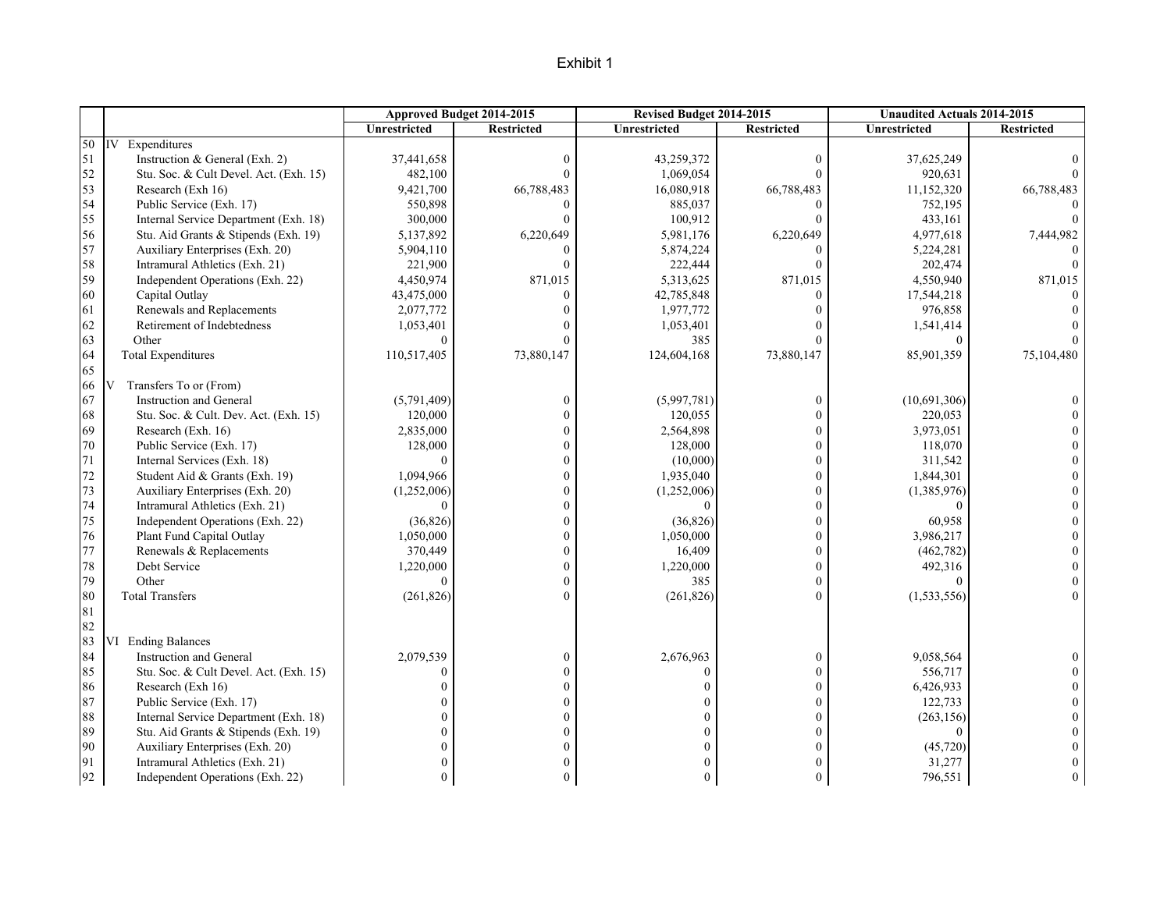|    |                                        |              | Approved Budget 2014-2015 | Revised Budget 2014-2015 |                   | <b>Unaudited Actuals 2014-2015</b> |                   |
|----|----------------------------------------|--------------|---------------------------|--------------------------|-------------------|------------------------------------|-------------------|
|    |                                        | Unrestricted | <b>Restricted</b>         | Unrestricted             | <b>Restricted</b> | Unrestricted                       | <b>Restricted</b> |
| 50 | IV Expenditures                        |              |                           |                          |                   |                                    |                   |
| 51 | Instruction & General (Exh. 2)         | 37,441,658   | $\boldsymbol{0}$          | 43,259,372               | $\mathbf{0}$      | 37,625,249                         |                   |
| 52 | Stu. Soc. & Cult Devel. Act. (Exh. 15) | 482,100      | $\Omega$                  | 1,069,054                | $\Omega$          | 920,631                            |                   |
| 53 | Research (Exh 16)                      | 9,421,700    | 66,788,483                | 16,080,918               | 66,788,483        | 11,152,320                         | 66,788,483        |
| 54 | Public Service (Exh. 17)               | 550,898      | $\Omega$                  | 885,037                  | $\Omega$          | 752,195                            |                   |
| 55 | Internal Service Department (Exh. 18)  | 300,000      | $\Omega$                  | 100,912                  | $\theta$          | 433,161                            | $\theta$          |
| 56 | Stu. Aid Grants & Stipends (Exh. 19)   | 5,137,892    | 6,220,649                 | 5,981,176                | 6,220,649         | 4,977,618                          | 7,444,982         |
| 57 | Auxiliary Enterprises (Exh. 20)        | 5,904,110    | $\Omega$                  | 5,874,224                | $\Omega$          | 5,224,281                          |                   |
| 58 | Intramural Athletics (Exh. 21)         | 221,900      | $\Omega$                  | 222,444                  | $\Omega$          | 202,474                            |                   |
| 59 | Independent Operations (Exh. 22)       | 4,450,974    | 871,015                   | 5,313,625                | 871,015           | 4,550,940                          | 871,015           |
| 60 | Capital Outlay                         | 43,475,000   | $\Omega$                  | 42,785,848               | $\theta$          | 17,544,218                         |                   |
| 61 | Renewals and Replacements              | 2,077,772    |                           | 1,977,772                | $\Omega$          | 976,858                            |                   |
| 62 | Retirement of Indebtedness             | 1,053,401    |                           | 1,053,401                | 0                 | 1,541,414                          |                   |
| 63 | Other                                  | $\theta$     |                           | 385                      |                   | $\theta$                           |                   |
| 64 | <b>Total Expenditures</b>              | 110,517,405  | 73,880,147                | 124,604,168              | 73,880,147        | 85,901,359                         | 75,104,480        |
| 65 |                                        |              |                           |                          |                   |                                    |                   |
| 66 | Transfers To or (From)<br>V            |              |                           |                          |                   |                                    |                   |
| 67 | Instruction and General                | (5,791,409)  | $\boldsymbol{0}$          | (5,997,781)              | $\boldsymbol{0}$  | (10,691,306)                       |                   |
| 68 | Stu. Soc. & Cult. Dev. Act. (Exh. 15)  | 120,000      | $\overline{0}$            | 120,055                  | $\mathbf{0}$      | 220,053                            |                   |
| 69 | Research (Exh. 16)                     | 2,835,000    | $\Omega$                  | 2,564,898                | $\mathbf{0}$      | 3,973,051                          | $\Omega$          |
| 70 | Public Service (Exh. 17)               | 128,000      | $\Omega$                  | 128,000                  | $\theta$          | 118,070                            | $\Omega$          |
| 71 | Internal Services (Exh. 18)            | $\theta$     | $\Omega$                  | (10,000)                 | $\mathbf{0}$      | 311,542                            | $\Omega$          |
| 72 | Student Aid & Grants (Exh. 19)         | 1,094,966    | $\Omega$                  | 1,935,040                | $\mathbf{0}$      | 1,844,301                          | $\theta$          |
| 73 | Auxiliary Enterprises (Exh. 20)        | (1,252,006)  | $\theta$                  | (1,252,006)              | $\theta$          | (1,385,976)                        | $\theta$          |
| 74 | Intramural Athletics (Exh. 21)         | $\Omega$     | $\Omega$                  | $\Omega$                 | $\theta$          |                                    | $\Omega$          |
| 75 | Independent Operations (Exh. 22)       | (36, 826)    | $\Omega$                  | (36, 826)                | $\mathbf{0}$      | 60,958                             | $\Omega$          |
| 76 | Plant Fund Capital Outlay              | 1,050,000    | $\Omega$                  | 1,050,000                | $\theta$          | 3,986,217                          | $\Omega$          |
| 77 | Renewals & Replacements                | 370,449      | $\Omega$                  | 16,409                   | $\mathbf{0}$      | (462, 782)                         | $\theta$          |
| 78 | Debt Service                           | 1,220,000    | $\Omega$                  | 1,220,000                | $\theta$          | 492,316                            | $\overline{0}$    |
| 79 | Other                                  | $\Omega$     | $\theta$                  | 385                      | $\Omega$          |                                    | $\Omega$          |
| 80 | <b>Total Transfers</b>                 | (261, 826)   | $\Omega$                  | (261, 826)               | $\theta$          | (1,533,556)                        | $\theta$          |
| 81 |                                        |              |                           |                          |                   |                                    |                   |
| 82 |                                        |              |                           |                          |                   |                                    |                   |
| 83 | VI Ending Balances                     |              |                           |                          |                   |                                    |                   |
| 84 | Instruction and General                | 2,079,539    | $\boldsymbol{0}$          | 2,676,963                | $\theta$          | 9,058,564                          |                   |
| 85 | Stu. Soc. & Cult Devel. Act. (Exh. 15) | $\theta$     | $\theta$                  | $\Omega$                 | $\theta$          | 556,717                            |                   |
| 86 | Research (Exh 16)                      | $\Omega$     | $\theta$                  | $\Omega$                 | $\boldsymbol{0}$  | 6,426,933                          | $\Omega$          |
| 87 | Public Service (Exh. 17)               | $\Omega$     | $\Omega$                  | $\Omega$                 | $\theta$          | 122,733                            | $\Omega$          |
| 88 | Internal Service Department (Exh. 18)  | $\Omega$     | $\Omega$                  | $\Omega$                 | $\mathbf{0}$      | (263, 156)                         | $\Omega$          |
| 89 | Stu. Aid Grants & Stipends (Exh. 19)   |              | $\Omega$                  | $\Omega$                 | $\theta$          | $\Omega$                           | $\Omega$          |
| 90 | Auxiliary Enterprises (Exh. 20)        |              | $\Omega$                  | $\Omega$                 | $\theta$          | (45,720)                           | $\theta$          |
| 91 | Intramural Athletics (Exh. 21)         | $\Omega$     |                           | $\Omega$                 | $\mathbf{0}$      | 31,277                             | $\mathbf{0}$      |
| 92 | Independent Operations (Exh. 22)       | $\theta$     | $\Omega$                  | $\mathbf{0}$             | $\mathbf{0}$      | 796,551                            | $\overline{0}$    |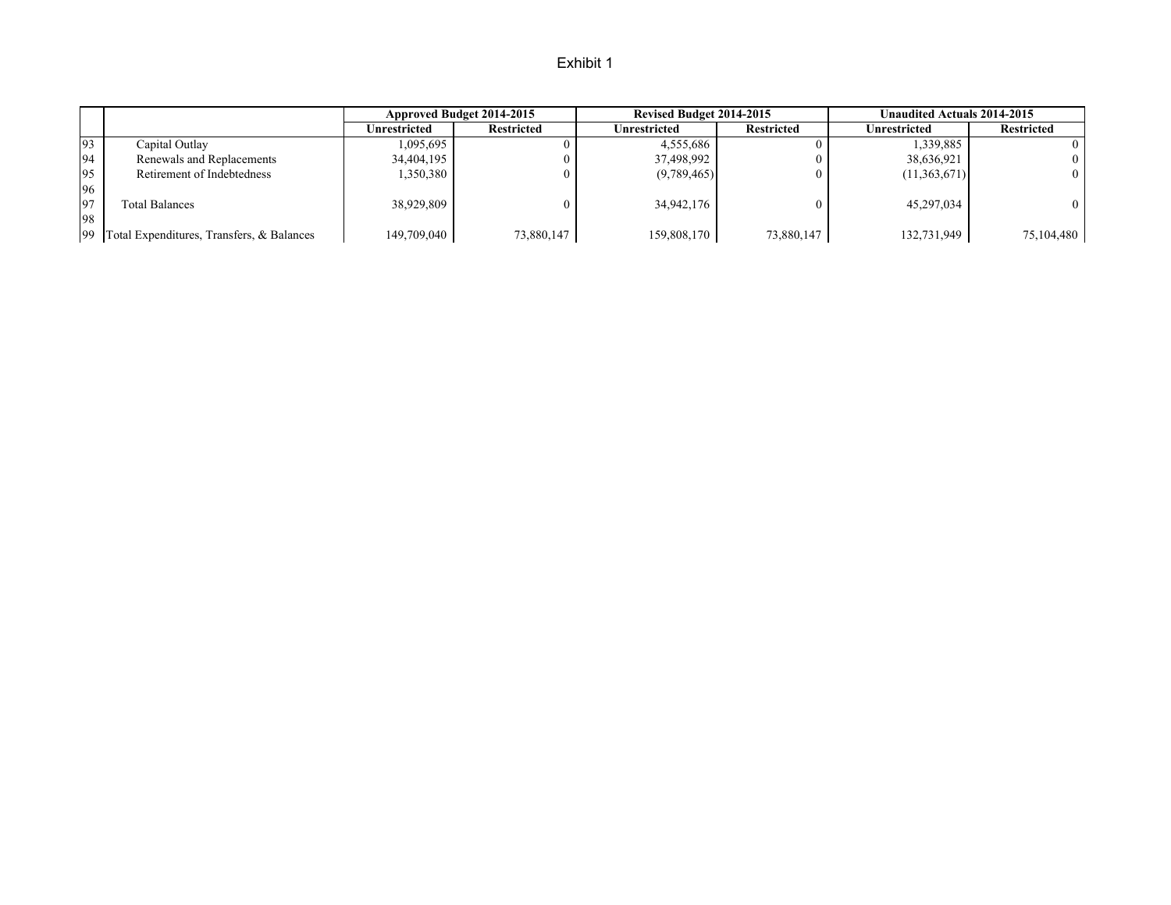|     |                                              | Approved Budget 2014-2015 |                   | Revised Budget 2014-2015 |                   | Unaudited Actuals 2014-2015 |                   |
|-----|----------------------------------------------|---------------------------|-------------------|--------------------------|-------------------|-----------------------------|-------------------|
|     |                                              | Unrestricted              | <b>Restricted</b> | Unrestricted             | <b>Restricted</b> | Unrestricted                | <b>Restricted</b> |
| 93  | Capital Outlay                               | 1,095,695                 |                   | 4,555,686                |                   | 1,339,885                   | 0                 |
| 94  | Renewals and Replacements                    | 34,404,195                |                   | 37,498,992               |                   | 38,636,921                  | $\Omega$          |
| 95  | Retirement of Indebtedness                   | 1,350,380                 |                   | (9,789,465)              |                   | (11,363,671)                | $\Omega$          |
| 96  |                                              |                           |                   |                          |                   |                             |                   |
| 197 | <b>Total Balances</b>                        | 38,929,809                |                   | 34,942,176               |                   | 45,297,034                  | 0.                |
| 98  |                                              |                           |                   |                          |                   |                             |                   |
|     | 99 Total Expenditures, Transfers, & Balances | 149,709,040               | 73,880,147        | 159,808,170              | 73,880,147        | 132,731,949                 | 75,104,480        |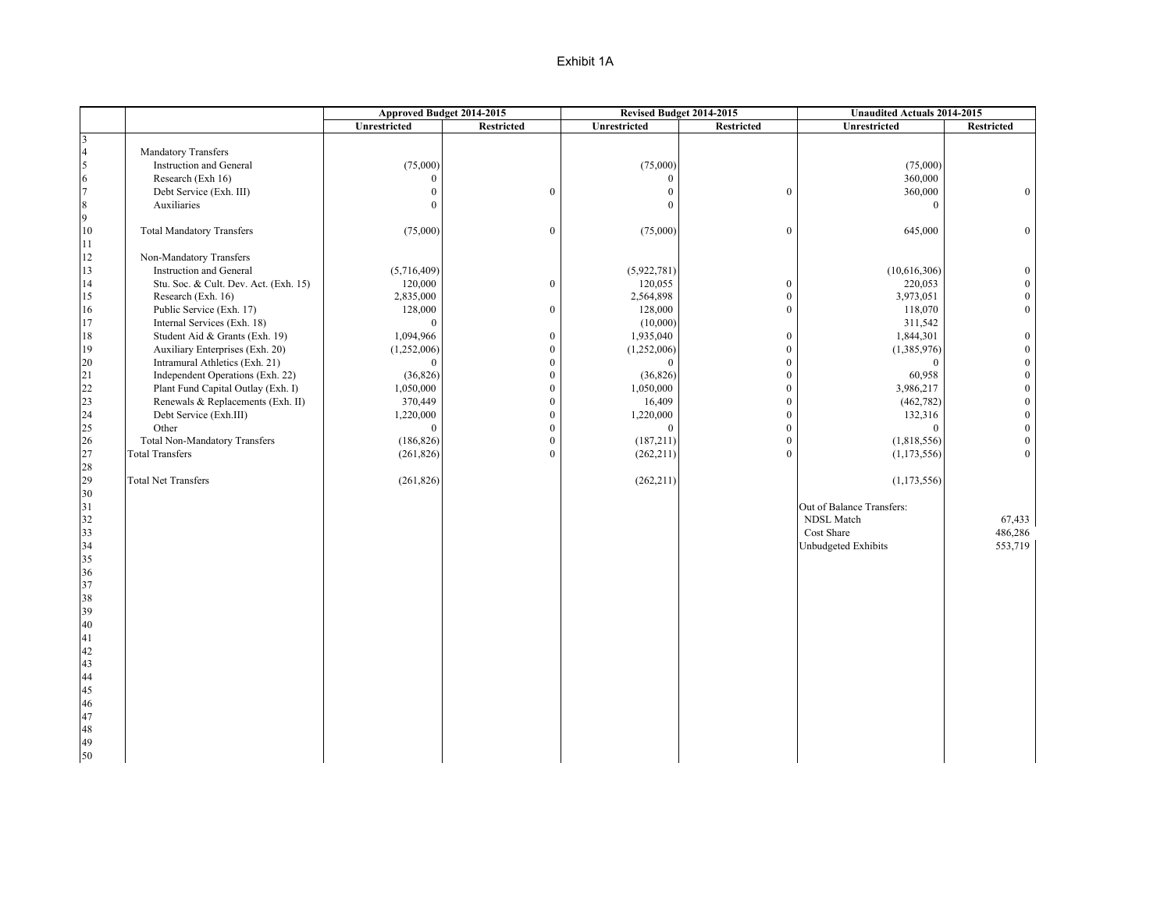|                 |                                       | Approved Budget 2014-2015 |                  |                | Revised Budget 2014-2015 | <b>Unaudited Actuals 2014-2015</b> |                   |
|-----------------|---------------------------------------|---------------------------|------------------|----------------|--------------------------|------------------------------------|-------------------|
|                 |                                       | Unrestricted              | Restricted       | Unrestricted   | <b>Restricted</b>        | Unrestricted                       | <b>Restricted</b> |
| 3               |                                       |                           |                  |                |                          |                                    |                   |
| $\overline{4}$  | <b>Mandatory Transfers</b>            |                           |                  |                |                          |                                    |                   |
| 5               | Instruction and General               | (75,000)                  |                  | (75,000)       |                          | (75,000)                           |                   |
| $\sqrt{6}$      | Research (Exh 16)                     | $\mathbf{0}$              |                  | $\Omega$       |                          | 360,000                            |                   |
| $\overline{7}$  | Debt Service (Exh. III)               | $\boldsymbol{0}$          | $\boldsymbol{0}$ | $\Omega$       | $\boldsymbol{0}$         | 360,000                            | $\mathbf{0}$      |
| $\,8\,$         | Auxiliaries                           | $\mathbf{0}$              |                  | $\theta$       |                          | $\Omega$                           |                   |
| 9               |                                       |                           |                  |                |                          |                                    |                   |
| 10<br>11        | <b>Total Mandatory Transfers</b>      | (75,000)                  | $\boldsymbol{0}$ | (75,000)       | $\bf{0}$                 | 645,000                            | $\mathbf{0}$      |
| 12              | Non-Mandatory Transfers               |                           |                  |                |                          |                                    |                   |
| 13              | Instruction and General               | (5,716,409)               |                  | (5,922,781)    |                          | (10,616,306)                       | $\Omega$          |
| 14              |                                       |                           | $\boldsymbol{0}$ |                | $\mathbf{0}$             |                                    | $\Omega$          |
|                 | Stu. Soc. & Cult. Dev. Act. (Exh. 15) | 120,000                   |                  | 120,055        |                          | 220,053                            | $\Omega$          |
| 15              | Research (Exh. 16)                    | 2,835,000                 |                  | 2,564,898      | $\boldsymbol{0}$         | 3,973,051                          |                   |
| 16              | Public Service (Exh. 17)              | 128,000                   | $\boldsymbol{0}$ | 128,000        | $\mathbf{0}$             | 118,070                            |                   |
| 17              | Internal Services (Exh. 18)           | $\mathbf{0}$              |                  | (10,000)       |                          | 311,542                            |                   |
| 18              | Student Aid & Grants (Exh. 19)        | 1,094,966                 | $\boldsymbol{0}$ | 1,935,040      | $\bf{0}$                 | 1,844,301                          | $\theta$          |
| 19              | Auxiliary Enterprises (Exh. 20)       | (1,252,006)               | $\boldsymbol{0}$ | (1,252,006)    | $\mathbf{0}$             | (1,385,976)                        | $\theta$          |
| $20\,$          | Intramural Athletics (Exh. 21)        | $\mathbf{0}$              | $\boldsymbol{0}$ | $\overline{0}$ | $\boldsymbol{0}$         | $\overline{0}$                     | $\theta$          |
| 21              | Independent Operations (Exh. 22)      | (36, 826)                 | $\boldsymbol{0}$ | (36, 826)      | $\mathbf{0}$             | 60,958                             | $\theta$          |
| 22              | Plant Fund Capital Outlay (Exh. I)    | 1,050,000                 | $\boldsymbol{0}$ | 1,050,000      | $\boldsymbol{0}$         | 3,986,217                          | $\theta$          |
| $\frac{23}{24}$ | Renewals & Replacements (Exh. II)     | 370,449                   | $\boldsymbol{0}$ | 16,409         | $\mathbf{0}$             | (462, 782)                         | $\theta$          |
|                 | Debt Service (Exh.III)                | 1,220,000                 | $\boldsymbol{0}$ | 1,220,000      | $\bf{0}$                 | 132,316                            | $\theta$          |
| 25              | Other                                 | $\mathbf{0}$              | $\boldsymbol{0}$ | $\mathbf{0}$   | $\mathbf{0}$             | $\mathbf{0}$                       | $\Omega$          |
| 26              | <b>Total Non-Mandatory Transfers</b>  | (186, 826)                | $\boldsymbol{0}$ | (187,211)      | $\boldsymbol{0}$         | (1,818,556)                        | $\Omega$          |
| 27              | <b>Total Transfers</b>                | (261, 826)                | $\overline{0}$   | (262, 211)     | $\theta$                 | (1, 173, 556)                      | $\Omega$          |
| 28              |                                       |                           |                  |                |                          |                                    |                   |
| 29              | <b>Total Net Transfers</b>            | (261, 826)                |                  | (262, 211)     |                          | (1,173,556)                        |                   |
| $30\,$          |                                       |                           |                  |                |                          |                                    |                   |
| 31              |                                       |                           |                  |                |                          | Out of Balance Transfers:          |                   |
| 32              |                                       |                           |                  |                |                          | NDSL Match                         | 67,433            |
| 33              |                                       |                           |                  |                |                          | Cost Share                         | 486,286           |
| 34              |                                       |                           |                  |                |                          | <b>Unbudgeted Exhibits</b>         | 553,719           |
| 35              |                                       |                           |                  |                |                          |                                    |                   |
| 36              |                                       |                           |                  |                |                          |                                    |                   |
| 37              |                                       |                           |                  |                |                          |                                    |                   |
| 38              |                                       |                           |                  |                |                          |                                    |                   |
| 39              |                                       |                           |                  |                |                          |                                    |                   |
| $40\text{ }$    |                                       |                           |                  |                |                          |                                    |                   |
| 41              |                                       |                           |                  |                |                          |                                    |                   |
| 42              |                                       |                           |                  |                |                          |                                    |                   |
| 43              |                                       |                           |                  |                |                          |                                    |                   |
| 44              |                                       |                           |                  |                |                          |                                    |                   |
| 45              |                                       |                           |                  |                |                          |                                    |                   |
| 46              |                                       |                           |                  |                |                          |                                    |                   |
| 47              |                                       |                           |                  |                |                          |                                    |                   |
| 48              |                                       |                           |                  |                |                          |                                    |                   |
| 49              |                                       |                           |                  |                |                          |                                    |                   |
| $50\,$          |                                       |                           |                  |                |                          |                                    |                   |
|                 |                                       |                           |                  |                |                          |                                    |                   |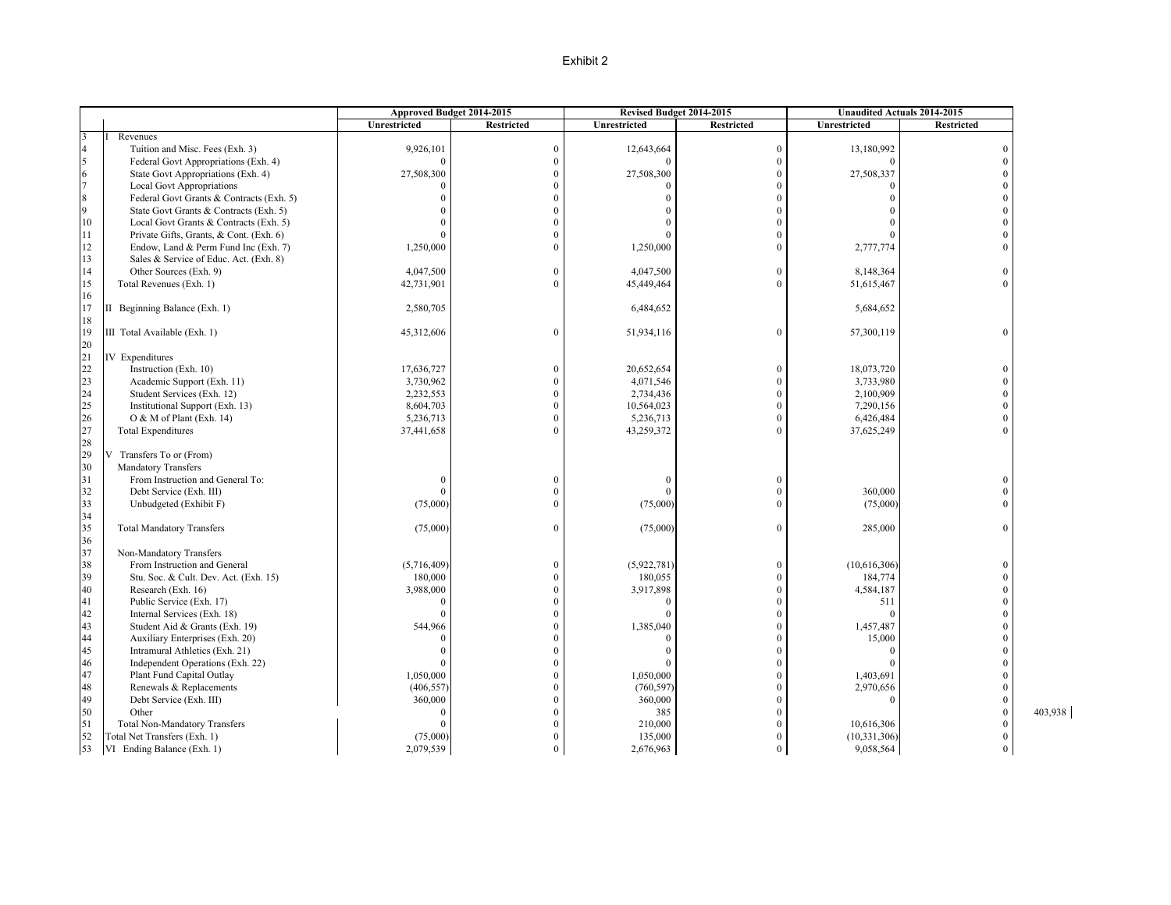|    |                                          | Approved Budget 2014-2015 |                   |              | Revised Budget 2014-2015 | <b>Unaudited Actuals 2014-2015</b> |                         |
|----|------------------------------------------|---------------------------|-------------------|--------------|--------------------------|------------------------------------|-------------------------|
|    |                                          | Unrestricted              | <b>Restricted</b> | Unrestricted | <b>Restricted</b>        | Unrestricted                       | <b>Restricted</b>       |
|    | Revenues                                 |                           |                   |              |                          |                                    |                         |
|    | Tuition and Misc. Fees (Exh. 3)          | 9,926,101                 | $\mathbf{0}$      | 12,643,664   | $\theta$                 | 13,180,992                         | $\theta$                |
|    | Federal Govt Appropriations (Exh. 4)     | $\theta$                  | $\mathbf{0}$      | $\Omega$     | $\overline{0}$           | $\Omega$                           | $\Omega$                |
| 6  | State Govt Appropriations (Exh. 4)       | 27,508,300                | $\boldsymbol{0}$  | 27,508,300   | $\overline{0}$           | 27,508,337                         | $\Omega$                |
|    | Local Govt Appropriations                | $\Omega$                  | $\Omega$          | $\Omega$     | $\theta$                 | $\Omega$                           | $\Omega$                |
|    | Federal Govt Grants & Contracts (Exh. 5) | $\Omega$                  | $\mathbf{0}$      | $\Omega$     | $\theta$                 |                                    | $\Omega$                |
| Q  | State Govt Grants & Contracts (Exh. 5)   |                           | $\mathbf{0}$      |              | $\theta$                 |                                    | $\theta$                |
| 10 | Local Govt Grants & Contracts (Exh. 5)   |                           | $\theta$          |              | $\Omega$                 |                                    | $\Omega$                |
| 11 | Private Gifts, Grants, & Cont. (Exh. 6)  | $\Omega$                  | $\mathbf{0}$      | $\Omega$     | $\theta$                 |                                    | $\theta$                |
| 12 | Endow, Land & Perm Fund Inc (Exh. 7)     | 1,250,000                 | $\theta$          | 1,250,000    | $\Omega$                 | 2,777,774                          | $\Omega$                |
| 13 | Sales & Service of Educ. Act. (Exh. 8)   |                           |                   |              |                          |                                    |                         |
| 14 | Other Sources (Exh. 9)                   | 4,047,500                 | $\mathbf{0}$      | 4,047,500    | $\theta$                 | 8,148,364                          | $\theta$                |
| 15 | Total Revenues (Exh. 1)                  | 42,731,901                | $\theta$          | 45,449,464   | $\theta$                 | 51,615,467                         | $\theta$                |
| 16 |                                          |                           |                   |              |                          |                                    |                         |
| 17 | II Beginning Balance (Exh. 1)            | 2,580,705                 |                   | 6,484,652    |                          | 5,684,652                          |                         |
| 18 |                                          |                           |                   |              |                          |                                    |                         |
| 19 | III Total Available (Exh. 1)             | 45,312,606                | $\Omega$          | 51,934,116   | $\theta$                 | 57,300,119                         | $\Omega$                |
| 20 |                                          |                           |                   |              |                          |                                    |                         |
| 21 | <b>IV</b> Expenditures                   |                           |                   |              |                          |                                    |                         |
| 22 | Instruction (Exh. 10)                    | 17,636,727                | $\Omega$          | 20,652,654   | $\theta$                 | 18,073,720                         | $\Omega$                |
| 23 | Academic Support (Exh. 11)               | 3,730,962                 | $\theta$          | 4,071,546    | $\theta$                 | 3,733,980                          | $\theta$                |
| 24 | Student Services (Exh. 12)               | 2,232,553                 | $\mathbf{0}$      | 2,734,436    | $\theta$                 | 2,100,909                          | $\theta$                |
| 25 | Institutional Support (Exh. 13)          | 8,604,703                 | $\mathbf{0}$      | 10,564,023   | $\mathbf{0}$             | 7,290,156                          | $\theta$                |
| 26 | O & M of Plant (Exh. 14)                 | 5,236,713                 | $\mathbf{0}$      | 5,236,713    | $\theta$                 | 6,426,484                          | $\theta$                |
| 27 | <b>Total Expenditures</b>                | 37,441,658                | $\Omega$          | 43,259,372   | $\Omega$                 | 37,625,249                         | $\Omega$                |
| 28 |                                          |                           |                   |              |                          |                                    |                         |
| 29 | V Transfers To or (From)                 |                           |                   |              |                          |                                    |                         |
| 30 | Mandatory Transfers                      |                           |                   |              |                          |                                    |                         |
| 31 | From Instruction and General To:         | $\Omega$                  | $\theta$          | $\Omega$     | $\mathbf{0}$             |                                    | $\Omega$                |
| 32 | Debt Service (Exh. III)                  | $\theta$                  | $\theta$          | $\Omega$     | $\theta$                 | 360,000                            | $\theta$                |
| 33 | Unbudgeted (Exhibit F)                   | (75,000)                  | $\mathbf{0}$      | (75,000)     | $\theta$                 | (75,000)                           | $\theta$                |
| 34 |                                          |                           |                   |              |                          |                                    |                         |
| 35 |                                          |                           | $\theta$          |              | $\theta$                 |                                    | $\Omega$                |
| 36 | <b>Total Mandatory Transfers</b>         | (75,000)                  |                   | (75,000)     |                          | 285,000                            |                         |
| 37 | Non-Mandatory Transfers                  |                           |                   |              |                          |                                    |                         |
| 38 | From Instruction and General             | (5,716,409)               | $\theta$          | (5,922,781)  | $\theta$                 | (10,616,306)                       | $\Omega$                |
| 39 |                                          | 180,000                   | $\mathbf{0}$      | 180,055      | $\theta$                 | 184,774                            | $\theta$                |
|    | Stu. Soc. & Cult. Dev. Act. (Exh. 15)    |                           | $\mathbf{0}$      |              | $\overline{0}$           |                                    | $\theta$                |
| 40 | Research (Exh. 16)                       | 3,988,000                 |                   | 3,917,898    |                          | 4,584,187                          |                         |
| 41 | Public Service (Exh. 17)                 | $\Omega$                  | $\mathbf{0}$      | $\Omega$     | $\theta$                 | 511                                | $\theta$                |
| 42 | Internal Services (Exh. 18)              | $\Omega$                  | $\theta$          | $\Omega$     | $\theta$                 | $\Omega$                           | $\Omega$                |
| 43 | Student Aid & Grants (Exh. 19)           | 544,966                   | $\mathbf{0}$      | 1,385,040    | $\theta$                 | 1,457,487                          | $\Omega$                |
| 44 | Auxiliary Enterprises (Exh. 20)          | $\theta$                  | $\theta$          |              | $\theta$                 | 15,000                             | $\theta$                |
| 45 | Intramural Athletics (Exh. 21)           | $\Omega$                  | $\theta$          | $\Omega$     | $\Omega$                 | $\Omega$                           |                         |
| 46 | Independent Operations (Exh. 22)         | $\theta$                  | $\mathbf{0}$      | $\Omega$     | $\theta$                 | $\Omega$                           | $\Omega$                |
| 47 | Plant Fund Capital Outlay                | 1,050,000                 | $\theta$          | 1,050,000    | $\theta$                 | 1,403,691                          | $\Omega$                |
| 48 | Renewals & Replacements                  | (406, 557)                | $\theta$          | (760, 597)   | $\theta$                 | 2,970,656                          | $\Omega$                |
| 49 | Debt Service (Exh. III)                  | 360,000                   | $\mathbf{0}$      | 360,000      | $\theta$                 |                                    | $\mathbf{0}$            |
| 50 | Other                                    | $\mathbf{0}$              | $\mathbf{0}$      | 385          | $\Omega$                 |                                    | 403,938<br>$\mathbf{0}$ |
| 51 | <b>Total Non-Mandatory Transfers</b>     | $\Omega$                  | $\mathbf{0}$      | 210,000      | $\theta$                 | 10,616,306                         | $\theta$                |
| 52 | Total Net Transfers (Exh. 1)             | (75,000)                  | $\theta$          | 135,000      | $\theta$                 | (10, 331, 306)                     | $\Omega$                |
| 53 | VI Ending Balance (Exh. 1)               | 2,079,539                 | $\mathbf{0}$      | 2,676,963    | $\boldsymbol{0}$         | 9,058,564                          | $\overline{0}$          |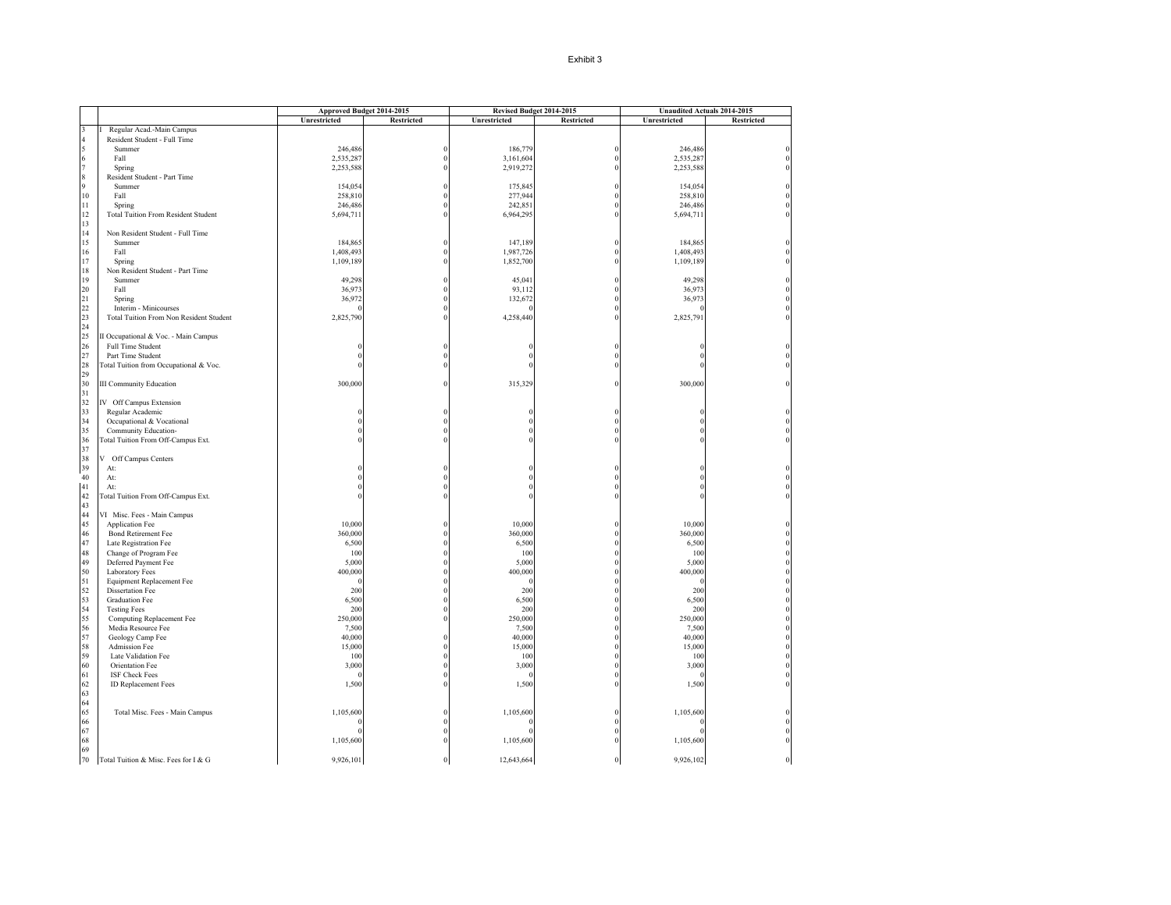| <b>Restricted</b><br>Unrestricted<br><b>Restricted</b><br>Unrestricted<br><b>Restricted</b><br>Unrestricted<br>Regular Acad.-Main Campus<br>Resident Student - Full Time<br>246,486<br>186,779<br>246,486<br>Summer<br>$\Omega$<br>$\theta$<br>2,535,287<br>3,161,604<br>2,535,287<br>Fall<br>$\theta$<br>2,253,588<br>2,919,272<br>2,253,588<br>Spring<br>Resident Student - Part Time<br>154,054<br>175,845<br>154,054<br>Summer<br>10<br>258,810<br>277,944<br>258,810<br>Fall<br>246,486<br>242,851<br>246,486<br>11<br>Spring<br>12<br><b>Total Tuition From Resident Student</b><br>5,694,711<br>6,964,295<br>5,694,711<br>13<br>14<br>Non Resident Student - Full Time<br>15<br>184,865<br>147,189<br>184,865<br>Summer<br>16<br>1,408,493<br>Fall<br>1,987,726<br>1,408,493<br>17<br>1,109,189<br>1,852,700<br>1,109,189<br>Spring<br>18<br>Non Resident Student - Part Time<br>19<br>45,041<br>49,298<br>Summer<br>49,298<br>20<br>36,973<br>93,112<br>Fall<br>36,973<br>21<br>36,972<br>132,672<br>36,973<br>Spring<br>22<br>Interim - Minicourses<br>23<br>2,825,790<br>4,258,440<br>2,825,791<br>Total Tuition From Non Resident Student<br>24<br>25<br>II Occupational & Voc. - Main Campus<br>26<br>Full Time Student<br>27<br>Part Time Student<br>28<br>Total Tuition from Occupational & Voc.<br>29<br>30<br>300,000<br><b>III Community Education</b><br>315,329<br>300,000<br>31<br>32<br>IV Off Campus Extension<br>33<br>Regular Academic<br>34<br>Occupational & Vocational<br>35<br>Community Education-<br>36<br>Total Tuition From Off-Campus Ext.<br>37<br>38<br>V Off Campus Centers<br>39<br>At:<br>40<br>At:<br>41<br>At:<br>42<br><b>Total Tuition From Off-Campus Ext.</b><br>43<br>44<br>VI Misc. Fees - Main Campus<br>45<br>10,000<br>Application Fee<br>10,000<br>10,000<br>360,000<br>360,000<br>360,000<br>46<br>Bond Retirement Fee<br>47<br>Late Registration Fee<br>6,500<br>6,500<br>6,500<br>48<br>Change of Program Fee<br>100<br>100<br>100<br>49<br>Deferred Payment Fee<br>5,000<br>5,000<br>5,000<br>50<br>400,000<br>Laboratory Fees<br>400,000<br>400,000<br>51<br>Equipment Replacement Fee<br>52<br><b>Dissertation Fee</b><br>200<br>200<br>200<br>53<br>6,500<br>6,500<br><b>Graduation Fee</b><br>6,500<br>54<br>200<br><b>Testing Fees</b><br>200<br>200<br>55<br>250,000<br>250,000<br>Computing Replacement Fee<br>250,000<br>56<br>Media Resource Fee<br>7,500<br>7,500<br>7,500<br>57<br>Geology Camp Fee<br>40,000<br>40,000<br>40,000<br>58<br>Admission Fee<br>15,000<br>15,000<br>15,000<br>59<br>Late Validation Fee<br>100<br>100<br>100<br>60<br>3,000<br>Orientation Fee<br>3,000<br>3,000<br>61<br>ISF Check Fees<br>62<br>ID Replacement Fees<br>1,500<br>1,500<br>1,500<br>63<br>64<br>65<br>1,105,600<br>1,105,600<br>1,105,600<br>Total Misc. Fees - Main Campus<br>66<br>67<br>68<br>1,105,600<br>1,105,600<br>1,105,600<br>69<br>70 |                                      | Approved Budget 2014-2015 |          |            | Revised Budget 2014-2015 | Unaudited Actuals 2014-2015 |  |
|---------------------------------------------------------------------------------------------------------------------------------------------------------------------------------------------------------------------------------------------------------------------------------------------------------------------------------------------------------------------------------------------------------------------------------------------------------------------------------------------------------------------------------------------------------------------------------------------------------------------------------------------------------------------------------------------------------------------------------------------------------------------------------------------------------------------------------------------------------------------------------------------------------------------------------------------------------------------------------------------------------------------------------------------------------------------------------------------------------------------------------------------------------------------------------------------------------------------------------------------------------------------------------------------------------------------------------------------------------------------------------------------------------------------------------------------------------------------------------------------------------------------------------------------------------------------------------------------------------------------------------------------------------------------------------------------------------------------------------------------------------------------------------------------------------------------------------------------------------------------------------------------------------------------------------------------------------------------------------------------------------------------------------------------------------------------------------------------------------------------------------------------------------------------------------------------------------------------------------------------------------------------------------------------------------------------------------------------------------------------------------------------------------------------------------------------------------------------------------------------------------------------------------------------------------------------------------------------------------------------------------------------------------------------------------------------------------------------------------------------------------------------------------------------------------------------------------------------------------------------------------------------------------------|--------------------------------------|---------------------------|----------|------------|--------------------------|-----------------------------|--|
|                                                                                                                                                                                                                                                                                                                                                                                                                                                                                                                                                                                                                                                                                                                                                                                                                                                                                                                                                                                                                                                                                                                                                                                                                                                                                                                                                                                                                                                                                                                                                                                                                                                                                                                                                                                                                                                                                                                                                                                                                                                                                                                                                                                                                                                                                                                                                                                                                                                                                                                                                                                                                                                                                                                                                                                                                                                                                                               |                                      |                           |          |            |                          |                             |  |
|                                                                                                                                                                                                                                                                                                                                                                                                                                                                                                                                                                                                                                                                                                                                                                                                                                                                                                                                                                                                                                                                                                                                                                                                                                                                                                                                                                                                                                                                                                                                                                                                                                                                                                                                                                                                                                                                                                                                                                                                                                                                                                                                                                                                                                                                                                                                                                                                                                                                                                                                                                                                                                                                                                                                                                                                                                                                                                               |                                      |                           |          |            |                          |                             |  |
|                                                                                                                                                                                                                                                                                                                                                                                                                                                                                                                                                                                                                                                                                                                                                                                                                                                                                                                                                                                                                                                                                                                                                                                                                                                                                                                                                                                                                                                                                                                                                                                                                                                                                                                                                                                                                                                                                                                                                                                                                                                                                                                                                                                                                                                                                                                                                                                                                                                                                                                                                                                                                                                                                                                                                                                                                                                                                                               |                                      |                           |          |            |                          |                             |  |
|                                                                                                                                                                                                                                                                                                                                                                                                                                                                                                                                                                                                                                                                                                                                                                                                                                                                                                                                                                                                                                                                                                                                                                                                                                                                                                                                                                                                                                                                                                                                                                                                                                                                                                                                                                                                                                                                                                                                                                                                                                                                                                                                                                                                                                                                                                                                                                                                                                                                                                                                                                                                                                                                                                                                                                                                                                                                                                               |                                      |                           |          |            |                          |                             |  |
|                                                                                                                                                                                                                                                                                                                                                                                                                                                                                                                                                                                                                                                                                                                                                                                                                                                                                                                                                                                                                                                                                                                                                                                                                                                                                                                                                                                                                                                                                                                                                                                                                                                                                                                                                                                                                                                                                                                                                                                                                                                                                                                                                                                                                                                                                                                                                                                                                                                                                                                                                                                                                                                                                                                                                                                                                                                                                                               |                                      |                           |          |            |                          |                             |  |
|                                                                                                                                                                                                                                                                                                                                                                                                                                                                                                                                                                                                                                                                                                                                                                                                                                                                                                                                                                                                                                                                                                                                                                                                                                                                                                                                                                                                                                                                                                                                                                                                                                                                                                                                                                                                                                                                                                                                                                                                                                                                                                                                                                                                                                                                                                                                                                                                                                                                                                                                                                                                                                                                                                                                                                                                                                                                                                               |                                      |                           |          |            |                          |                             |  |
|                                                                                                                                                                                                                                                                                                                                                                                                                                                                                                                                                                                                                                                                                                                                                                                                                                                                                                                                                                                                                                                                                                                                                                                                                                                                                                                                                                                                                                                                                                                                                                                                                                                                                                                                                                                                                                                                                                                                                                                                                                                                                                                                                                                                                                                                                                                                                                                                                                                                                                                                                                                                                                                                                                                                                                                                                                                                                                               |                                      |                           |          |            |                          |                             |  |
|                                                                                                                                                                                                                                                                                                                                                                                                                                                                                                                                                                                                                                                                                                                                                                                                                                                                                                                                                                                                                                                                                                                                                                                                                                                                                                                                                                                                                                                                                                                                                                                                                                                                                                                                                                                                                                                                                                                                                                                                                                                                                                                                                                                                                                                                                                                                                                                                                                                                                                                                                                                                                                                                                                                                                                                                                                                                                                               |                                      |                           |          |            |                          |                             |  |
|                                                                                                                                                                                                                                                                                                                                                                                                                                                                                                                                                                                                                                                                                                                                                                                                                                                                                                                                                                                                                                                                                                                                                                                                                                                                                                                                                                                                                                                                                                                                                                                                                                                                                                                                                                                                                                                                                                                                                                                                                                                                                                                                                                                                                                                                                                                                                                                                                                                                                                                                                                                                                                                                                                                                                                                                                                                                                                               |                                      |                           |          |            |                          |                             |  |
|                                                                                                                                                                                                                                                                                                                                                                                                                                                                                                                                                                                                                                                                                                                                                                                                                                                                                                                                                                                                                                                                                                                                                                                                                                                                                                                                                                                                                                                                                                                                                                                                                                                                                                                                                                                                                                                                                                                                                                                                                                                                                                                                                                                                                                                                                                                                                                                                                                                                                                                                                                                                                                                                                                                                                                                                                                                                                                               |                                      |                           |          |            |                          |                             |  |
|                                                                                                                                                                                                                                                                                                                                                                                                                                                                                                                                                                                                                                                                                                                                                                                                                                                                                                                                                                                                                                                                                                                                                                                                                                                                                                                                                                                                                                                                                                                                                                                                                                                                                                                                                                                                                                                                                                                                                                                                                                                                                                                                                                                                                                                                                                                                                                                                                                                                                                                                                                                                                                                                                                                                                                                                                                                                                                               |                                      |                           |          |            |                          |                             |  |
|                                                                                                                                                                                                                                                                                                                                                                                                                                                                                                                                                                                                                                                                                                                                                                                                                                                                                                                                                                                                                                                                                                                                                                                                                                                                                                                                                                                                                                                                                                                                                                                                                                                                                                                                                                                                                                                                                                                                                                                                                                                                                                                                                                                                                                                                                                                                                                                                                                                                                                                                                                                                                                                                                                                                                                                                                                                                                                               |                                      |                           |          |            |                          |                             |  |
|                                                                                                                                                                                                                                                                                                                                                                                                                                                                                                                                                                                                                                                                                                                                                                                                                                                                                                                                                                                                                                                                                                                                                                                                                                                                                                                                                                                                                                                                                                                                                                                                                                                                                                                                                                                                                                                                                                                                                                                                                                                                                                                                                                                                                                                                                                                                                                                                                                                                                                                                                                                                                                                                                                                                                                                                                                                                                                               |                                      |                           |          |            |                          |                             |  |
|                                                                                                                                                                                                                                                                                                                                                                                                                                                                                                                                                                                                                                                                                                                                                                                                                                                                                                                                                                                                                                                                                                                                                                                                                                                                                                                                                                                                                                                                                                                                                                                                                                                                                                                                                                                                                                                                                                                                                                                                                                                                                                                                                                                                                                                                                                                                                                                                                                                                                                                                                                                                                                                                                                                                                                                                                                                                                                               |                                      |                           |          |            |                          |                             |  |
|                                                                                                                                                                                                                                                                                                                                                                                                                                                                                                                                                                                                                                                                                                                                                                                                                                                                                                                                                                                                                                                                                                                                                                                                                                                                                                                                                                                                                                                                                                                                                                                                                                                                                                                                                                                                                                                                                                                                                                                                                                                                                                                                                                                                                                                                                                                                                                                                                                                                                                                                                                                                                                                                                                                                                                                                                                                                                                               |                                      |                           |          |            |                          |                             |  |
|                                                                                                                                                                                                                                                                                                                                                                                                                                                                                                                                                                                                                                                                                                                                                                                                                                                                                                                                                                                                                                                                                                                                                                                                                                                                                                                                                                                                                                                                                                                                                                                                                                                                                                                                                                                                                                                                                                                                                                                                                                                                                                                                                                                                                                                                                                                                                                                                                                                                                                                                                                                                                                                                                                                                                                                                                                                                                                               |                                      |                           |          |            |                          |                             |  |
|                                                                                                                                                                                                                                                                                                                                                                                                                                                                                                                                                                                                                                                                                                                                                                                                                                                                                                                                                                                                                                                                                                                                                                                                                                                                                                                                                                                                                                                                                                                                                                                                                                                                                                                                                                                                                                                                                                                                                                                                                                                                                                                                                                                                                                                                                                                                                                                                                                                                                                                                                                                                                                                                                                                                                                                                                                                                                                               |                                      |                           |          |            |                          |                             |  |
|                                                                                                                                                                                                                                                                                                                                                                                                                                                                                                                                                                                                                                                                                                                                                                                                                                                                                                                                                                                                                                                                                                                                                                                                                                                                                                                                                                                                                                                                                                                                                                                                                                                                                                                                                                                                                                                                                                                                                                                                                                                                                                                                                                                                                                                                                                                                                                                                                                                                                                                                                                                                                                                                                                                                                                                                                                                                                                               |                                      |                           |          |            |                          |                             |  |
|                                                                                                                                                                                                                                                                                                                                                                                                                                                                                                                                                                                                                                                                                                                                                                                                                                                                                                                                                                                                                                                                                                                                                                                                                                                                                                                                                                                                                                                                                                                                                                                                                                                                                                                                                                                                                                                                                                                                                                                                                                                                                                                                                                                                                                                                                                                                                                                                                                                                                                                                                                                                                                                                                                                                                                                                                                                                                                               |                                      |                           |          |            |                          |                             |  |
|                                                                                                                                                                                                                                                                                                                                                                                                                                                                                                                                                                                                                                                                                                                                                                                                                                                                                                                                                                                                                                                                                                                                                                                                                                                                                                                                                                                                                                                                                                                                                                                                                                                                                                                                                                                                                                                                                                                                                                                                                                                                                                                                                                                                                                                                                                                                                                                                                                                                                                                                                                                                                                                                                                                                                                                                                                                                                                               |                                      |                           |          |            |                          |                             |  |
|                                                                                                                                                                                                                                                                                                                                                                                                                                                                                                                                                                                                                                                                                                                                                                                                                                                                                                                                                                                                                                                                                                                                                                                                                                                                                                                                                                                                                                                                                                                                                                                                                                                                                                                                                                                                                                                                                                                                                                                                                                                                                                                                                                                                                                                                                                                                                                                                                                                                                                                                                                                                                                                                                                                                                                                                                                                                                                               |                                      |                           |          |            |                          |                             |  |
|                                                                                                                                                                                                                                                                                                                                                                                                                                                                                                                                                                                                                                                                                                                                                                                                                                                                                                                                                                                                                                                                                                                                                                                                                                                                                                                                                                                                                                                                                                                                                                                                                                                                                                                                                                                                                                                                                                                                                                                                                                                                                                                                                                                                                                                                                                                                                                                                                                                                                                                                                                                                                                                                                                                                                                                                                                                                                                               |                                      |                           |          |            |                          |                             |  |
|                                                                                                                                                                                                                                                                                                                                                                                                                                                                                                                                                                                                                                                                                                                                                                                                                                                                                                                                                                                                                                                                                                                                                                                                                                                                                                                                                                                                                                                                                                                                                                                                                                                                                                                                                                                                                                                                                                                                                                                                                                                                                                                                                                                                                                                                                                                                                                                                                                                                                                                                                                                                                                                                                                                                                                                                                                                                                                               |                                      |                           |          |            |                          |                             |  |
|                                                                                                                                                                                                                                                                                                                                                                                                                                                                                                                                                                                                                                                                                                                                                                                                                                                                                                                                                                                                                                                                                                                                                                                                                                                                                                                                                                                                                                                                                                                                                                                                                                                                                                                                                                                                                                                                                                                                                                                                                                                                                                                                                                                                                                                                                                                                                                                                                                                                                                                                                                                                                                                                                                                                                                                                                                                                                                               |                                      |                           |          |            |                          |                             |  |
|                                                                                                                                                                                                                                                                                                                                                                                                                                                                                                                                                                                                                                                                                                                                                                                                                                                                                                                                                                                                                                                                                                                                                                                                                                                                                                                                                                                                                                                                                                                                                                                                                                                                                                                                                                                                                                                                                                                                                                                                                                                                                                                                                                                                                                                                                                                                                                                                                                                                                                                                                                                                                                                                                                                                                                                                                                                                                                               |                                      |                           |          |            |                          |                             |  |
|                                                                                                                                                                                                                                                                                                                                                                                                                                                                                                                                                                                                                                                                                                                                                                                                                                                                                                                                                                                                                                                                                                                                                                                                                                                                                                                                                                                                                                                                                                                                                                                                                                                                                                                                                                                                                                                                                                                                                                                                                                                                                                                                                                                                                                                                                                                                                                                                                                                                                                                                                                                                                                                                                                                                                                                                                                                                                                               |                                      |                           |          |            |                          |                             |  |
|                                                                                                                                                                                                                                                                                                                                                                                                                                                                                                                                                                                                                                                                                                                                                                                                                                                                                                                                                                                                                                                                                                                                                                                                                                                                                                                                                                                                                                                                                                                                                                                                                                                                                                                                                                                                                                                                                                                                                                                                                                                                                                                                                                                                                                                                                                                                                                                                                                                                                                                                                                                                                                                                                                                                                                                                                                                                                                               |                                      |                           |          |            |                          |                             |  |
|                                                                                                                                                                                                                                                                                                                                                                                                                                                                                                                                                                                                                                                                                                                                                                                                                                                                                                                                                                                                                                                                                                                                                                                                                                                                                                                                                                                                                                                                                                                                                                                                                                                                                                                                                                                                                                                                                                                                                                                                                                                                                                                                                                                                                                                                                                                                                                                                                                                                                                                                                                                                                                                                                                                                                                                                                                                                                                               |                                      |                           |          |            |                          |                             |  |
|                                                                                                                                                                                                                                                                                                                                                                                                                                                                                                                                                                                                                                                                                                                                                                                                                                                                                                                                                                                                                                                                                                                                                                                                                                                                                                                                                                                                                                                                                                                                                                                                                                                                                                                                                                                                                                                                                                                                                                                                                                                                                                                                                                                                                                                                                                                                                                                                                                                                                                                                                                                                                                                                                                                                                                                                                                                                                                               |                                      |                           |          |            |                          |                             |  |
|                                                                                                                                                                                                                                                                                                                                                                                                                                                                                                                                                                                                                                                                                                                                                                                                                                                                                                                                                                                                                                                                                                                                                                                                                                                                                                                                                                                                                                                                                                                                                                                                                                                                                                                                                                                                                                                                                                                                                                                                                                                                                                                                                                                                                                                                                                                                                                                                                                                                                                                                                                                                                                                                                                                                                                                                                                                                                                               |                                      |                           |          |            |                          |                             |  |
|                                                                                                                                                                                                                                                                                                                                                                                                                                                                                                                                                                                                                                                                                                                                                                                                                                                                                                                                                                                                                                                                                                                                                                                                                                                                                                                                                                                                                                                                                                                                                                                                                                                                                                                                                                                                                                                                                                                                                                                                                                                                                                                                                                                                                                                                                                                                                                                                                                                                                                                                                                                                                                                                                                                                                                                                                                                                                                               |                                      |                           |          |            |                          |                             |  |
|                                                                                                                                                                                                                                                                                                                                                                                                                                                                                                                                                                                                                                                                                                                                                                                                                                                                                                                                                                                                                                                                                                                                                                                                                                                                                                                                                                                                                                                                                                                                                                                                                                                                                                                                                                                                                                                                                                                                                                                                                                                                                                                                                                                                                                                                                                                                                                                                                                                                                                                                                                                                                                                                                                                                                                                                                                                                                                               |                                      |                           |          |            |                          |                             |  |
|                                                                                                                                                                                                                                                                                                                                                                                                                                                                                                                                                                                                                                                                                                                                                                                                                                                                                                                                                                                                                                                                                                                                                                                                                                                                                                                                                                                                                                                                                                                                                                                                                                                                                                                                                                                                                                                                                                                                                                                                                                                                                                                                                                                                                                                                                                                                                                                                                                                                                                                                                                                                                                                                                                                                                                                                                                                                                                               |                                      |                           |          |            |                          |                             |  |
|                                                                                                                                                                                                                                                                                                                                                                                                                                                                                                                                                                                                                                                                                                                                                                                                                                                                                                                                                                                                                                                                                                                                                                                                                                                                                                                                                                                                                                                                                                                                                                                                                                                                                                                                                                                                                                                                                                                                                                                                                                                                                                                                                                                                                                                                                                                                                                                                                                                                                                                                                                                                                                                                                                                                                                                                                                                                                                               |                                      |                           |          |            |                          |                             |  |
|                                                                                                                                                                                                                                                                                                                                                                                                                                                                                                                                                                                                                                                                                                                                                                                                                                                                                                                                                                                                                                                                                                                                                                                                                                                                                                                                                                                                                                                                                                                                                                                                                                                                                                                                                                                                                                                                                                                                                                                                                                                                                                                                                                                                                                                                                                                                                                                                                                                                                                                                                                                                                                                                                                                                                                                                                                                                                                               |                                      |                           |          |            |                          |                             |  |
|                                                                                                                                                                                                                                                                                                                                                                                                                                                                                                                                                                                                                                                                                                                                                                                                                                                                                                                                                                                                                                                                                                                                                                                                                                                                                                                                                                                                                                                                                                                                                                                                                                                                                                                                                                                                                                                                                                                                                                                                                                                                                                                                                                                                                                                                                                                                                                                                                                                                                                                                                                                                                                                                                                                                                                                                                                                                                                               |                                      |                           |          |            |                          |                             |  |
|                                                                                                                                                                                                                                                                                                                                                                                                                                                                                                                                                                                                                                                                                                                                                                                                                                                                                                                                                                                                                                                                                                                                                                                                                                                                                                                                                                                                                                                                                                                                                                                                                                                                                                                                                                                                                                                                                                                                                                                                                                                                                                                                                                                                                                                                                                                                                                                                                                                                                                                                                                                                                                                                                                                                                                                                                                                                                                               |                                      |                           |          |            |                          |                             |  |
|                                                                                                                                                                                                                                                                                                                                                                                                                                                                                                                                                                                                                                                                                                                                                                                                                                                                                                                                                                                                                                                                                                                                                                                                                                                                                                                                                                                                                                                                                                                                                                                                                                                                                                                                                                                                                                                                                                                                                                                                                                                                                                                                                                                                                                                                                                                                                                                                                                                                                                                                                                                                                                                                                                                                                                                                                                                                                                               |                                      |                           |          |            |                          |                             |  |
|                                                                                                                                                                                                                                                                                                                                                                                                                                                                                                                                                                                                                                                                                                                                                                                                                                                                                                                                                                                                                                                                                                                                                                                                                                                                                                                                                                                                                                                                                                                                                                                                                                                                                                                                                                                                                                                                                                                                                                                                                                                                                                                                                                                                                                                                                                                                                                                                                                                                                                                                                                                                                                                                                                                                                                                                                                                                                                               |                                      |                           |          |            |                          |                             |  |
|                                                                                                                                                                                                                                                                                                                                                                                                                                                                                                                                                                                                                                                                                                                                                                                                                                                                                                                                                                                                                                                                                                                                                                                                                                                                                                                                                                                                                                                                                                                                                                                                                                                                                                                                                                                                                                                                                                                                                                                                                                                                                                                                                                                                                                                                                                                                                                                                                                                                                                                                                                                                                                                                                                                                                                                                                                                                                                               |                                      |                           |          |            |                          |                             |  |
|                                                                                                                                                                                                                                                                                                                                                                                                                                                                                                                                                                                                                                                                                                                                                                                                                                                                                                                                                                                                                                                                                                                                                                                                                                                                                                                                                                                                                                                                                                                                                                                                                                                                                                                                                                                                                                                                                                                                                                                                                                                                                                                                                                                                                                                                                                                                                                                                                                                                                                                                                                                                                                                                                                                                                                                                                                                                                                               |                                      |                           |          |            |                          |                             |  |
|                                                                                                                                                                                                                                                                                                                                                                                                                                                                                                                                                                                                                                                                                                                                                                                                                                                                                                                                                                                                                                                                                                                                                                                                                                                                                                                                                                                                                                                                                                                                                                                                                                                                                                                                                                                                                                                                                                                                                                                                                                                                                                                                                                                                                                                                                                                                                                                                                                                                                                                                                                                                                                                                                                                                                                                                                                                                                                               |                                      |                           |          |            |                          |                             |  |
|                                                                                                                                                                                                                                                                                                                                                                                                                                                                                                                                                                                                                                                                                                                                                                                                                                                                                                                                                                                                                                                                                                                                                                                                                                                                                                                                                                                                                                                                                                                                                                                                                                                                                                                                                                                                                                                                                                                                                                                                                                                                                                                                                                                                                                                                                                                                                                                                                                                                                                                                                                                                                                                                                                                                                                                                                                                                                                               |                                      |                           |          |            |                          |                             |  |
|                                                                                                                                                                                                                                                                                                                                                                                                                                                                                                                                                                                                                                                                                                                                                                                                                                                                                                                                                                                                                                                                                                                                                                                                                                                                                                                                                                                                                                                                                                                                                                                                                                                                                                                                                                                                                                                                                                                                                                                                                                                                                                                                                                                                                                                                                                                                                                                                                                                                                                                                                                                                                                                                                                                                                                                                                                                                                                               |                                      |                           |          |            |                          |                             |  |
|                                                                                                                                                                                                                                                                                                                                                                                                                                                                                                                                                                                                                                                                                                                                                                                                                                                                                                                                                                                                                                                                                                                                                                                                                                                                                                                                                                                                                                                                                                                                                                                                                                                                                                                                                                                                                                                                                                                                                                                                                                                                                                                                                                                                                                                                                                                                                                                                                                                                                                                                                                                                                                                                                                                                                                                                                                                                                                               |                                      |                           |          |            |                          |                             |  |
|                                                                                                                                                                                                                                                                                                                                                                                                                                                                                                                                                                                                                                                                                                                                                                                                                                                                                                                                                                                                                                                                                                                                                                                                                                                                                                                                                                                                                                                                                                                                                                                                                                                                                                                                                                                                                                                                                                                                                                                                                                                                                                                                                                                                                                                                                                                                                                                                                                                                                                                                                                                                                                                                                                                                                                                                                                                                                                               |                                      |                           |          |            |                          |                             |  |
|                                                                                                                                                                                                                                                                                                                                                                                                                                                                                                                                                                                                                                                                                                                                                                                                                                                                                                                                                                                                                                                                                                                                                                                                                                                                                                                                                                                                                                                                                                                                                                                                                                                                                                                                                                                                                                                                                                                                                                                                                                                                                                                                                                                                                                                                                                                                                                                                                                                                                                                                                                                                                                                                                                                                                                                                                                                                                                               |                                      |                           |          |            |                          |                             |  |
|                                                                                                                                                                                                                                                                                                                                                                                                                                                                                                                                                                                                                                                                                                                                                                                                                                                                                                                                                                                                                                                                                                                                                                                                                                                                                                                                                                                                                                                                                                                                                                                                                                                                                                                                                                                                                                                                                                                                                                                                                                                                                                                                                                                                                                                                                                                                                                                                                                                                                                                                                                                                                                                                                                                                                                                                                                                                                                               |                                      |                           |          |            |                          |                             |  |
|                                                                                                                                                                                                                                                                                                                                                                                                                                                                                                                                                                                                                                                                                                                                                                                                                                                                                                                                                                                                                                                                                                                                                                                                                                                                                                                                                                                                                                                                                                                                                                                                                                                                                                                                                                                                                                                                                                                                                                                                                                                                                                                                                                                                                                                                                                                                                                                                                                                                                                                                                                                                                                                                                                                                                                                                                                                                                                               |                                      |                           |          |            |                          |                             |  |
|                                                                                                                                                                                                                                                                                                                                                                                                                                                                                                                                                                                                                                                                                                                                                                                                                                                                                                                                                                                                                                                                                                                                                                                                                                                                                                                                                                                                                                                                                                                                                                                                                                                                                                                                                                                                                                                                                                                                                                                                                                                                                                                                                                                                                                                                                                                                                                                                                                                                                                                                                                                                                                                                                                                                                                                                                                                                                                               |                                      |                           |          |            |                          |                             |  |
|                                                                                                                                                                                                                                                                                                                                                                                                                                                                                                                                                                                                                                                                                                                                                                                                                                                                                                                                                                                                                                                                                                                                                                                                                                                                                                                                                                                                                                                                                                                                                                                                                                                                                                                                                                                                                                                                                                                                                                                                                                                                                                                                                                                                                                                                                                                                                                                                                                                                                                                                                                                                                                                                                                                                                                                                                                                                                                               |                                      |                           |          |            |                          |                             |  |
|                                                                                                                                                                                                                                                                                                                                                                                                                                                                                                                                                                                                                                                                                                                                                                                                                                                                                                                                                                                                                                                                                                                                                                                                                                                                                                                                                                                                                                                                                                                                                                                                                                                                                                                                                                                                                                                                                                                                                                                                                                                                                                                                                                                                                                                                                                                                                                                                                                                                                                                                                                                                                                                                                                                                                                                                                                                                                                               |                                      |                           |          |            |                          |                             |  |
|                                                                                                                                                                                                                                                                                                                                                                                                                                                                                                                                                                                                                                                                                                                                                                                                                                                                                                                                                                                                                                                                                                                                                                                                                                                                                                                                                                                                                                                                                                                                                                                                                                                                                                                                                                                                                                                                                                                                                                                                                                                                                                                                                                                                                                                                                                                                                                                                                                                                                                                                                                                                                                                                                                                                                                                                                                                                                                               |                                      |                           |          |            |                          |                             |  |
|                                                                                                                                                                                                                                                                                                                                                                                                                                                                                                                                                                                                                                                                                                                                                                                                                                                                                                                                                                                                                                                                                                                                                                                                                                                                                                                                                                                                                                                                                                                                                                                                                                                                                                                                                                                                                                                                                                                                                                                                                                                                                                                                                                                                                                                                                                                                                                                                                                                                                                                                                                                                                                                                                                                                                                                                                                                                                                               |                                      |                           |          |            |                          |                             |  |
|                                                                                                                                                                                                                                                                                                                                                                                                                                                                                                                                                                                                                                                                                                                                                                                                                                                                                                                                                                                                                                                                                                                                                                                                                                                                                                                                                                                                                                                                                                                                                                                                                                                                                                                                                                                                                                                                                                                                                                                                                                                                                                                                                                                                                                                                                                                                                                                                                                                                                                                                                                                                                                                                                                                                                                                                                                                                                                               |                                      |                           |          |            |                          |                             |  |
|                                                                                                                                                                                                                                                                                                                                                                                                                                                                                                                                                                                                                                                                                                                                                                                                                                                                                                                                                                                                                                                                                                                                                                                                                                                                                                                                                                                                                                                                                                                                                                                                                                                                                                                                                                                                                                                                                                                                                                                                                                                                                                                                                                                                                                                                                                                                                                                                                                                                                                                                                                                                                                                                                                                                                                                                                                                                                                               |                                      |                           |          |            |                          |                             |  |
|                                                                                                                                                                                                                                                                                                                                                                                                                                                                                                                                                                                                                                                                                                                                                                                                                                                                                                                                                                                                                                                                                                                                                                                                                                                                                                                                                                                                                                                                                                                                                                                                                                                                                                                                                                                                                                                                                                                                                                                                                                                                                                                                                                                                                                                                                                                                                                                                                                                                                                                                                                                                                                                                                                                                                                                                                                                                                                               |                                      |                           |          |            |                          |                             |  |
|                                                                                                                                                                                                                                                                                                                                                                                                                                                                                                                                                                                                                                                                                                                                                                                                                                                                                                                                                                                                                                                                                                                                                                                                                                                                                                                                                                                                                                                                                                                                                                                                                                                                                                                                                                                                                                                                                                                                                                                                                                                                                                                                                                                                                                                                                                                                                                                                                                                                                                                                                                                                                                                                                                                                                                                                                                                                                                               |                                      |                           |          |            |                          |                             |  |
|                                                                                                                                                                                                                                                                                                                                                                                                                                                                                                                                                                                                                                                                                                                                                                                                                                                                                                                                                                                                                                                                                                                                                                                                                                                                                                                                                                                                                                                                                                                                                                                                                                                                                                                                                                                                                                                                                                                                                                                                                                                                                                                                                                                                                                                                                                                                                                                                                                                                                                                                                                                                                                                                                                                                                                                                                                                                                                               |                                      |                           |          |            |                          |                             |  |
|                                                                                                                                                                                                                                                                                                                                                                                                                                                                                                                                                                                                                                                                                                                                                                                                                                                                                                                                                                                                                                                                                                                                                                                                                                                                                                                                                                                                                                                                                                                                                                                                                                                                                                                                                                                                                                                                                                                                                                                                                                                                                                                                                                                                                                                                                                                                                                                                                                                                                                                                                                                                                                                                                                                                                                                                                                                                                                               |                                      |                           |          |            |                          |                             |  |
|                                                                                                                                                                                                                                                                                                                                                                                                                                                                                                                                                                                                                                                                                                                                                                                                                                                                                                                                                                                                                                                                                                                                                                                                                                                                                                                                                                                                                                                                                                                                                                                                                                                                                                                                                                                                                                                                                                                                                                                                                                                                                                                                                                                                                                                                                                                                                                                                                                                                                                                                                                                                                                                                                                                                                                                                                                                                                                               |                                      |                           |          |            |                          |                             |  |
|                                                                                                                                                                                                                                                                                                                                                                                                                                                                                                                                                                                                                                                                                                                                                                                                                                                                                                                                                                                                                                                                                                                                                                                                                                                                                                                                                                                                                                                                                                                                                                                                                                                                                                                                                                                                                                                                                                                                                                                                                                                                                                                                                                                                                                                                                                                                                                                                                                                                                                                                                                                                                                                                                                                                                                                                                                                                                                               |                                      |                           |          |            |                          |                             |  |
|                                                                                                                                                                                                                                                                                                                                                                                                                                                                                                                                                                                                                                                                                                                                                                                                                                                                                                                                                                                                                                                                                                                                                                                                                                                                                                                                                                                                                                                                                                                                                                                                                                                                                                                                                                                                                                                                                                                                                                                                                                                                                                                                                                                                                                                                                                                                                                                                                                                                                                                                                                                                                                                                                                                                                                                                                                                                                                               |                                      |                           |          |            |                          |                             |  |
|                                                                                                                                                                                                                                                                                                                                                                                                                                                                                                                                                                                                                                                                                                                                                                                                                                                                                                                                                                                                                                                                                                                                                                                                                                                                                                                                                                                                                                                                                                                                                                                                                                                                                                                                                                                                                                                                                                                                                                                                                                                                                                                                                                                                                                                                                                                                                                                                                                                                                                                                                                                                                                                                                                                                                                                                                                                                                                               |                                      |                           |          |            |                          |                             |  |
|                                                                                                                                                                                                                                                                                                                                                                                                                                                                                                                                                                                                                                                                                                                                                                                                                                                                                                                                                                                                                                                                                                                                                                                                                                                                                                                                                                                                                                                                                                                                                                                                                                                                                                                                                                                                                                                                                                                                                                                                                                                                                                                                                                                                                                                                                                                                                                                                                                                                                                                                                                                                                                                                                                                                                                                                                                                                                                               |                                      |                           |          |            |                          |                             |  |
|                                                                                                                                                                                                                                                                                                                                                                                                                                                                                                                                                                                                                                                                                                                                                                                                                                                                                                                                                                                                                                                                                                                                                                                                                                                                                                                                                                                                                                                                                                                                                                                                                                                                                                                                                                                                                                                                                                                                                                                                                                                                                                                                                                                                                                                                                                                                                                                                                                                                                                                                                                                                                                                                                                                                                                                                                                                                                                               |                                      |                           |          |            |                          |                             |  |
|                                                                                                                                                                                                                                                                                                                                                                                                                                                                                                                                                                                                                                                                                                                                                                                                                                                                                                                                                                                                                                                                                                                                                                                                                                                                                                                                                                                                                                                                                                                                                                                                                                                                                                                                                                                                                                                                                                                                                                                                                                                                                                                                                                                                                                                                                                                                                                                                                                                                                                                                                                                                                                                                                                                                                                                                                                                                                                               |                                      |                           |          |            |                          |                             |  |
|                                                                                                                                                                                                                                                                                                                                                                                                                                                                                                                                                                                                                                                                                                                                                                                                                                                                                                                                                                                                                                                                                                                                                                                                                                                                                                                                                                                                                                                                                                                                                                                                                                                                                                                                                                                                                                                                                                                                                                                                                                                                                                                                                                                                                                                                                                                                                                                                                                                                                                                                                                                                                                                                                                                                                                                                                                                                                                               |                                      |                           |          |            |                          |                             |  |
|                                                                                                                                                                                                                                                                                                                                                                                                                                                                                                                                                                                                                                                                                                                                                                                                                                                                                                                                                                                                                                                                                                                                                                                                                                                                                                                                                                                                                                                                                                                                                                                                                                                                                                                                                                                                                                                                                                                                                                                                                                                                                                                                                                                                                                                                                                                                                                                                                                                                                                                                                                                                                                                                                                                                                                                                                                                                                                               |                                      |                           |          |            |                          |                             |  |
|                                                                                                                                                                                                                                                                                                                                                                                                                                                                                                                                                                                                                                                                                                                                                                                                                                                                                                                                                                                                                                                                                                                                                                                                                                                                                                                                                                                                                                                                                                                                                                                                                                                                                                                                                                                                                                                                                                                                                                                                                                                                                                                                                                                                                                                                                                                                                                                                                                                                                                                                                                                                                                                                                                                                                                                                                                                                                                               |                                      |                           |          |            |                          |                             |  |
|                                                                                                                                                                                                                                                                                                                                                                                                                                                                                                                                                                                                                                                                                                                                                                                                                                                                                                                                                                                                                                                                                                                                                                                                                                                                                                                                                                                                                                                                                                                                                                                                                                                                                                                                                                                                                                                                                                                                                                                                                                                                                                                                                                                                                                                                                                                                                                                                                                                                                                                                                                                                                                                                                                                                                                                                                                                                                                               |                                      |                           |          |            |                          |                             |  |
|                                                                                                                                                                                                                                                                                                                                                                                                                                                                                                                                                                                                                                                                                                                                                                                                                                                                                                                                                                                                                                                                                                                                                                                                                                                                                                                                                                                                                                                                                                                                                                                                                                                                                                                                                                                                                                                                                                                                                                                                                                                                                                                                                                                                                                                                                                                                                                                                                                                                                                                                                                                                                                                                                                                                                                                                                                                                                                               |                                      |                           |          |            |                          |                             |  |
|                                                                                                                                                                                                                                                                                                                                                                                                                                                                                                                                                                                                                                                                                                                                                                                                                                                                                                                                                                                                                                                                                                                                                                                                                                                                                                                                                                                                                                                                                                                                                                                                                                                                                                                                                                                                                                                                                                                                                                                                                                                                                                                                                                                                                                                                                                                                                                                                                                                                                                                                                                                                                                                                                                                                                                                                                                                                                                               |                                      |                           |          |            |                          |                             |  |
|                                                                                                                                                                                                                                                                                                                                                                                                                                                                                                                                                                                                                                                                                                                                                                                                                                                                                                                                                                                                                                                                                                                                                                                                                                                                                                                                                                                                                                                                                                                                                                                                                                                                                                                                                                                                                                                                                                                                                                                                                                                                                                                                                                                                                                                                                                                                                                                                                                                                                                                                                                                                                                                                                                                                                                                                                                                                                                               |                                      |                           |          |            |                          |                             |  |
|                                                                                                                                                                                                                                                                                                                                                                                                                                                                                                                                                                                                                                                                                                                                                                                                                                                                                                                                                                                                                                                                                                                                                                                                                                                                                                                                                                                                                                                                                                                                                                                                                                                                                                                                                                                                                                                                                                                                                                                                                                                                                                                                                                                                                                                                                                                                                                                                                                                                                                                                                                                                                                                                                                                                                                                                                                                                                                               |                                      |                           |          |            |                          |                             |  |
|                                                                                                                                                                                                                                                                                                                                                                                                                                                                                                                                                                                                                                                                                                                                                                                                                                                                                                                                                                                                                                                                                                                                                                                                                                                                                                                                                                                                                                                                                                                                                                                                                                                                                                                                                                                                                                                                                                                                                                                                                                                                                                                                                                                                                                                                                                                                                                                                                                                                                                                                                                                                                                                                                                                                                                                                                                                                                                               |                                      |                           |          |            |                          |                             |  |
|                                                                                                                                                                                                                                                                                                                                                                                                                                                                                                                                                                                                                                                                                                                                                                                                                                                                                                                                                                                                                                                                                                                                                                                                                                                                                                                                                                                                                                                                                                                                                                                                                                                                                                                                                                                                                                                                                                                                                                                                                                                                                                                                                                                                                                                                                                                                                                                                                                                                                                                                                                                                                                                                                                                                                                                                                                                                                                               |                                      |                           |          |            |                          |                             |  |
|                                                                                                                                                                                                                                                                                                                                                                                                                                                                                                                                                                                                                                                                                                                                                                                                                                                                                                                                                                                                                                                                                                                                                                                                                                                                                                                                                                                                                                                                                                                                                                                                                                                                                                                                                                                                                                                                                                                                                                                                                                                                                                                                                                                                                                                                                                                                                                                                                                                                                                                                                                                                                                                                                                                                                                                                                                                                                                               | Total Tuition & Misc. Fees for I & G | 9,926,101                 | $\Omega$ | 12,643,664 | $\Omega$                 | 9,926,102                   |  |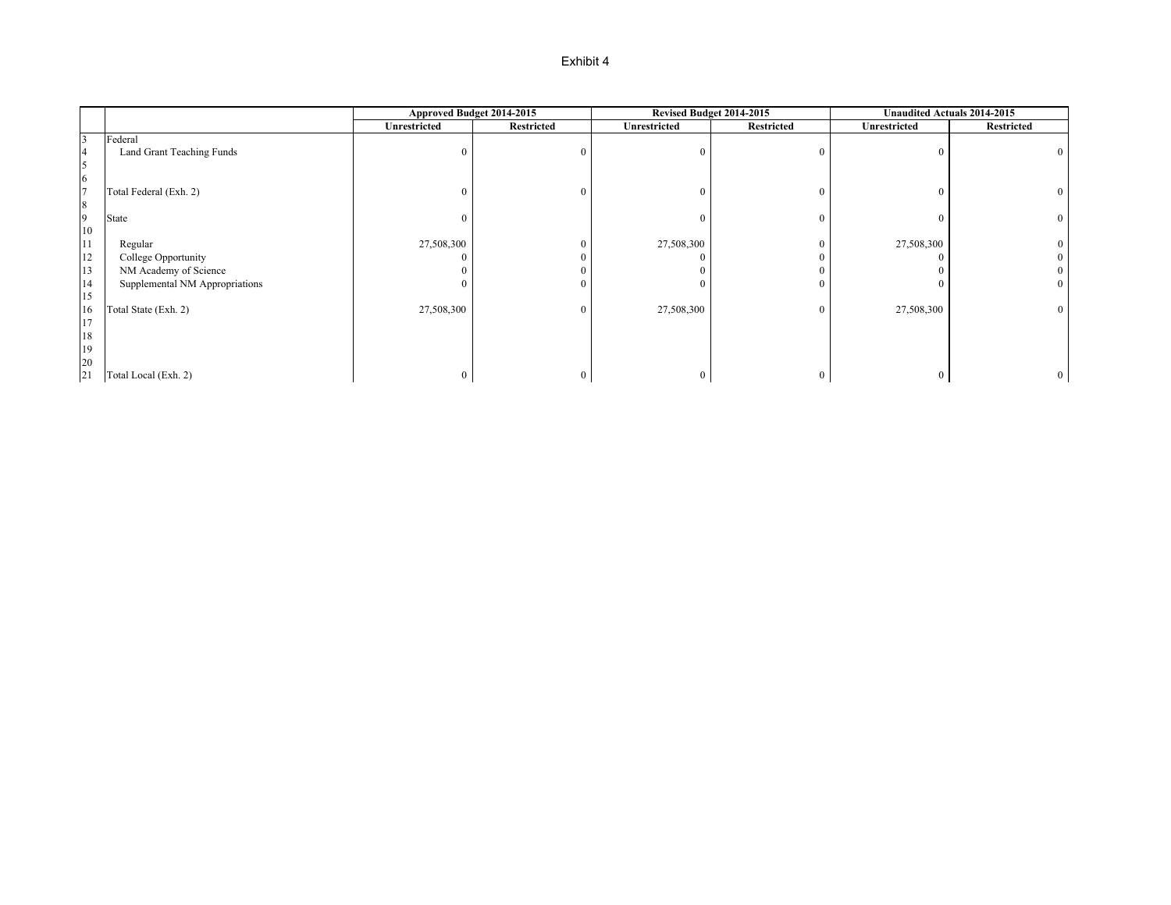|                |                                | Approved Budget 2014-2015 |                   | Revised Budget 2014-2015 |                  | Unaudited Actuals 2014-2015 |                   |
|----------------|--------------------------------|---------------------------|-------------------|--------------------------|------------------|-----------------------------|-------------------|
|                |                                | <b>Unrestricted</b>       | <b>Restricted</b> | <b>Unrestricted</b>      | Restricted       | Unrestricted                | <b>Restricted</b> |
| $\overline{3}$ | Federal                        |                           |                   |                          |                  |                             |                   |
| $\overline{4}$ | Land Grant Teaching Funds      |                           |                   |                          | $\theta$         |                             |                   |
| 5              |                                |                           |                   |                          |                  |                             |                   |
| 6              |                                |                           |                   |                          |                  |                             |                   |
| $\overline{7}$ | Total Federal (Exh. 2)         |                           |                   |                          | $\mathbf{0}$     | $\theta$                    |                   |
| 8              |                                |                           |                   |                          |                  |                             |                   |
| 9              | State                          |                           |                   | 0                        | $\overline{0}$   | 0                           | $\mathbf{0}$      |
| $10\,$         |                                |                           |                   |                          |                  |                             |                   |
| 11             | Regular                        | 27,508,300                |                   | 27,508,300               | $\boldsymbol{0}$ | 27,508,300                  |                   |
| 12             | College Opportunity            |                           |                   |                          | $\boldsymbol{0}$ |                             |                   |
| 13             | NM Academy of Science          |                           |                   |                          | $\boldsymbol{0}$ |                             |                   |
| 14             | Supplemental NM Appropriations |                           |                   | 0                        | $\overline{0}$   |                             | $\Omega$          |
| 15             |                                |                           |                   |                          |                  |                             |                   |
| 16             | Total State (Exh. 2)           | 27,508,300                |                   | 27,508,300               | $\overline{0}$   | 27,508,300                  | $\Omega$          |
| 17             |                                |                           |                   |                          |                  |                             |                   |
| 18             |                                |                           |                   |                          |                  |                             |                   |
| 19             |                                |                           |                   |                          |                  |                             |                   |
| 20             |                                |                           |                   |                          |                  |                             |                   |
| 21             | Total Local (Exh. 2)           |                           |                   | 0                        | $\bf{0}$         | 0                           |                   |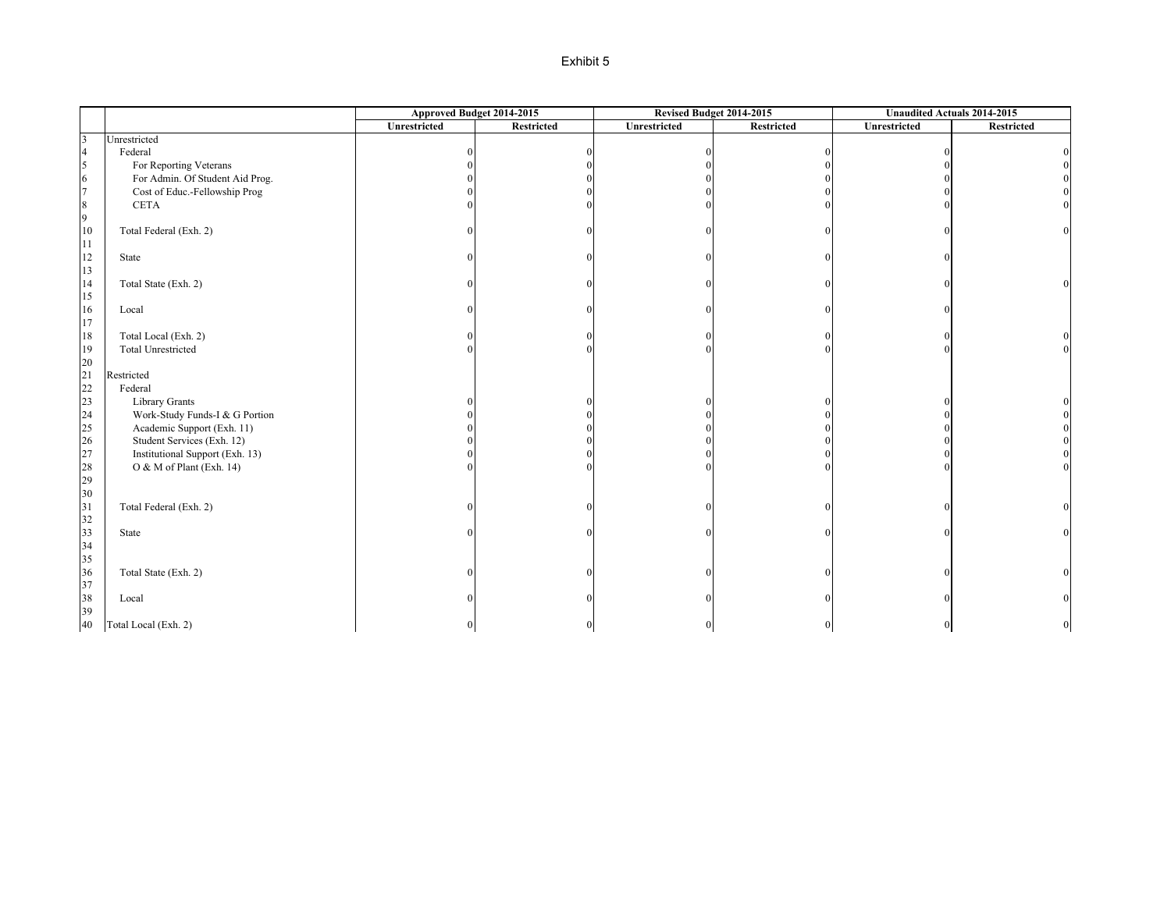|                         |                                 | Approved Budget 2014-2015 |            | Revised Budget 2014-2015 |                   | Unaudited Actuals 2014-2015 |                   |
|-------------------------|---------------------------------|---------------------------|------------|--------------------------|-------------------|-----------------------------|-------------------|
|                         |                                 | Unrestricted              | Restricted | Unrestricted             | <b>Restricted</b> | Unrestricted                | <b>Restricted</b> |
| $\overline{\mathbf{3}}$ | Unrestricted                    |                           |            |                          |                   |                             |                   |
| $\overline{4}$          | Federal                         |                           |            |                          |                   |                             |                   |
| 5                       | For Reporting Veterans          |                           |            |                          |                   |                             |                   |
| 6                       | For Admin. Of Student Aid Prog. |                           |            |                          |                   |                             |                   |
| $7\overline{ }$         | Cost of Educ.-Fellowship Prog   |                           |            |                          |                   |                             |                   |
| $\,$ 8 $\,$             | <b>CETA</b>                     |                           |            |                          |                   |                             |                   |
| 9                       |                                 |                           |            |                          |                   |                             |                   |
| 10                      | Total Federal (Exh. 2)          |                           |            |                          |                   |                             | $\theta$          |
| 11                      |                                 |                           |            |                          |                   |                             |                   |
| $12\,$                  | State                           |                           |            |                          |                   |                             |                   |
| $13\,$                  |                                 |                           |            |                          |                   |                             |                   |
| 14                      | Total State (Exh. 2)            |                           |            |                          |                   |                             | $\Omega$          |
| 15                      |                                 |                           |            |                          |                   |                             |                   |
| $16\,$                  | Local                           |                           |            |                          |                   |                             |                   |
| $17\,$                  |                                 |                           |            |                          |                   |                             |                   |
| $18\,$                  | Total Local (Exh. 2)            |                           |            |                          |                   |                             |                   |
| 19                      | <b>Total Unrestricted</b>       |                           |            |                          |                   |                             |                   |
| 20                      |                                 |                           |            |                          |                   |                             |                   |
| 21                      | Restricted                      |                           |            |                          |                   |                             |                   |
| 22                      | Federal                         |                           |            |                          |                   |                             |                   |
| 23                      | <b>Library Grants</b>           |                           |            |                          |                   |                             |                   |
| 24                      | Work-Study Funds-I & G Portion  |                           |            |                          |                   |                             |                   |
| 25                      | Academic Support (Exh. 11)      |                           |            |                          |                   |                             |                   |
| 26                      | Student Services (Exh. 12)      |                           |            |                          |                   |                             |                   |
| 27                      | Institutional Support (Exh. 13) |                           |            |                          |                   |                             |                   |
| 28                      | O & M of Plant (Exh. 14)        |                           |            |                          |                   |                             |                   |
| 29                      |                                 |                           |            |                          |                   |                             |                   |
| 30                      |                                 |                           |            |                          |                   |                             |                   |
| 31                      | Total Federal (Exh. 2)          |                           |            |                          |                   |                             |                   |
| 32                      |                                 |                           |            |                          |                   |                             |                   |
| 33                      | State                           |                           |            |                          |                   |                             | $\Omega$          |
| 34                      |                                 |                           |            |                          |                   |                             |                   |
|                         |                                 |                           |            |                          |                   |                             |                   |
| 35<br>36                | Total State (Exh. 2)            |                           |            |                          |                   |                             |                   |
|                         |                                 |                           |            |                          |                   |                             |                   |
| 37                      |                                 |                           |            |                          |                   |                             |                   |
| 38                      | Local                           |                           |            |                          |                   |                             |                   |
| 39                      |                                 |                           |            |                          |                   |                             |                   |
| 40                      | Total Local (Exh. 2)            | $\overline{0}$            |            |                          | $\boldsymbol{0}$  | $\mathbf{0}$                | 0                 |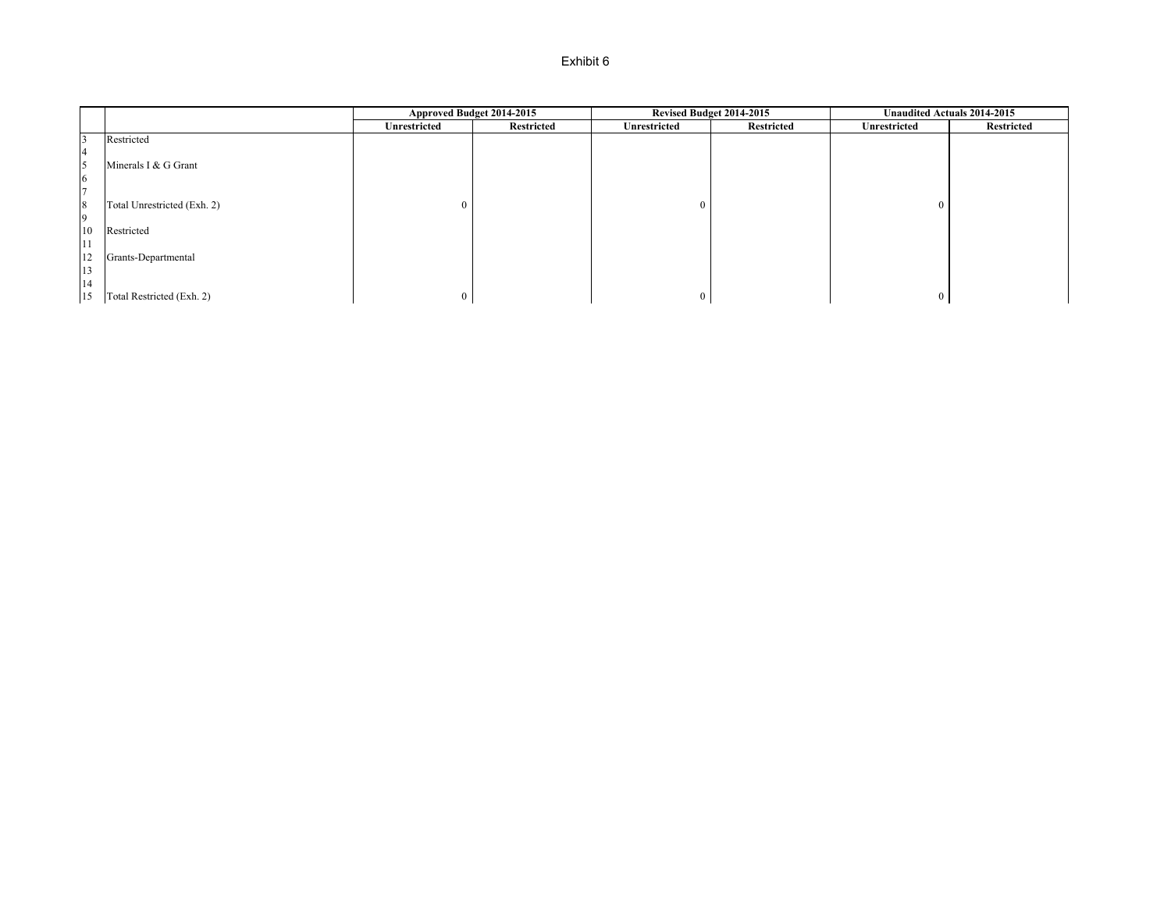|                |                             | Approved Budget 2014-2015 |            | Revised Budget 2014-2015 |                   | Unaudited Actuals 2014-2015 |            |
|----------------|-----------------------------|---------------------------|------------|--------------------------|-------------------|-----------------------------|------------|
|                |                             | <b>Unrestricted</b>       | Restricted | Unrestricted             | <b>Restricted</b> | Unrestricted                | Restricted |
|                | Restricted                  |                           |            |                          |                   |                             |            |
|                |                             |                           |            |                          |                   |                             |            |
| 5              | Minerals I & G Grant        |                           |            |                          |                   |                             |            |
| 6              |                             |                           |            |                          |                   |                             |            |
| $\overline{ }$ |                             |                           |            |                          |                   |                             |            |
| 8              | Total Unrestricted (Exh. 2) |                           |            | 0                        |                   |                             |            |
| $\overline{9}$ |                             |                           |            |                          |                   |                             |            |
| 10             | Restricted                  |                           |            |                          |                   |                             |            |
| 11             |                             |                           |            |                          |                   |                             |            |
| 12             | Grants-Departmental         |                           |            |                          |                   |                             |            |
| 13             |                             |                           |            |                          |                   |                             |            |
| 14             |                             |                           |            |                          |                   |                             |            |
| 15             | Total Restricted (Exh. 2)   | 0                         |            | $\overline{0}$           |                   |                             |            |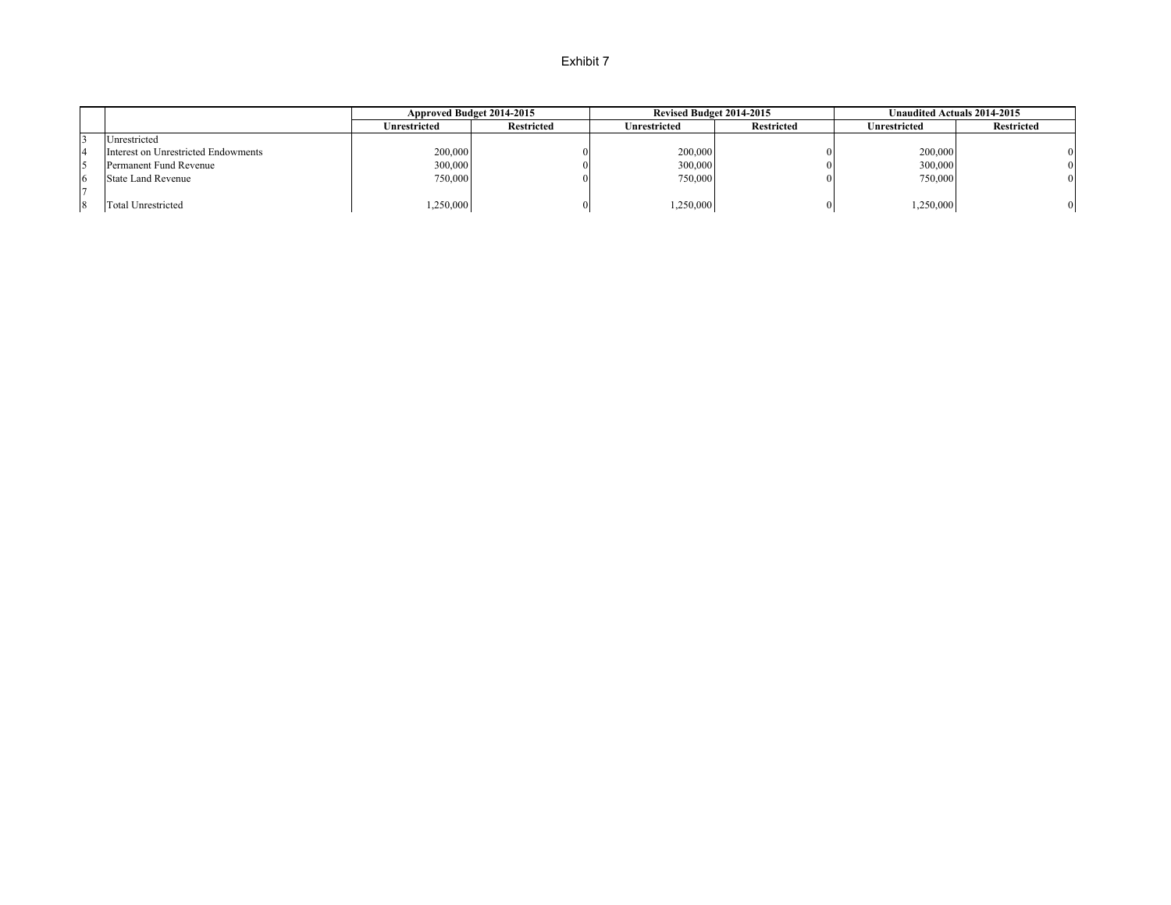|    |                                     | Approved Budget 2014-2015 |                   | <b>Revised Budget 2014-2015</b> |                   | <b>Unaudited Actuals 2014-2015</b> |                |
|----|-------------------------------------|---------------------------|-------------------|---------------------------------|-------------------|------------------------------------|----------------|
|    |                                     | Unrestricted              | <b>Restricted</b> | Unrestricted                    | <b>Restricted</b> | Jnrestricted                       | Restricted     |
|    | Unrestricted                        |                           |                   |                                 |                   |                                    |                |
|    | Interest on Unrestricted Endowments | 200,000                   |                   | 200,000                         |                   | 200,000                            | $\Omega$       |
|    | Permanent Fund Revenue              | 300,000                   |                   | 300,000                         | 0                 | 300,000                            | $\overline{0}$ |
| 16 | <b>State Land Revenue</b>           | 750,000                   |                   | 750,000                         | 0                 | 750,000                            | $\Omega$       |
|    |                                     |                           |                   |                                 |                   |                                    |                |
| 8  | <b>Total Unrestricted</b>           | ,250,000                  |                   | ,250,000                        |                   | 1,250,000                          | $\overline{0}$ |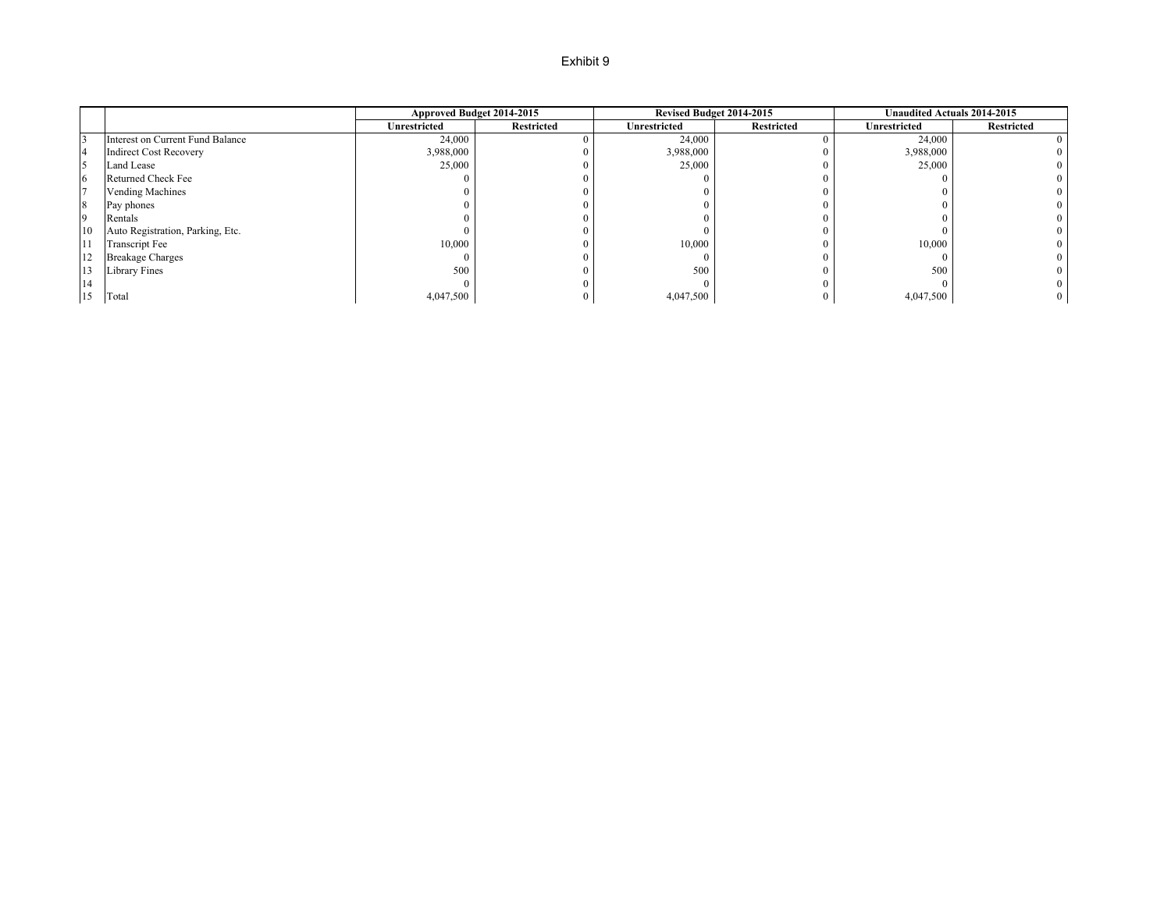|                |                                  |              | Approved Budget 2014-2015 | Revised Budget 2014-2015 |                   | <b>Unaudited Actuals 2014-2015</b> |                   |
|----------------|----------------------------------|--------------|---------------------------|--------------------------|-------------------|------------------------------------|-------------------|
|                |                                  | Unrestricted | <b>Restricted</b>         | <b>Unrestricted</b>      | <b>Restricted</b> | Unrestricted                       | <b>Restricted</b> |
|                | Interest on Current Fund Balance | 24,000       |                           | 24,000                   |                   | 24,000                             | $\theta$          |
| $\overline{4}$ | <b>Indirect Cost Recovery</b>    | 3,988,000    |                           | 3,988,000                |                   | 3,988,000                          |                   |
| 15             | Land Lease                       | 25,000       |                           | 25,000                   |                   | 25,000                             |                   |
| 6              | Returned Check Fee               |              |                           |                          |                   |                                    |                   |
|                | <b>Vending Machines</b>          |              |                           |                          |                   |                                    |                   |
| 8              | Pay phones                       |              |                           |                          |                   |                                    |                   |
| $\overline{9}$ | Rentals                          |              |                           |                          |                   |                                    |                   |
| 10             | Auto Registration, Parking, Etc. |              |                           |                          |                   |                                    |                   |
|                | <b>Transcript Fee</b>            | 10,000       |                           | 10,000                   |                   | 10,000                             |                   |
| 12             | <b>Breakage Charges</b>          |              |                           |                          |                   |                                    | $\Omega$          |
| 13             | <b>Library Fines</b>             | 500          |                           | 500                      |                   | 500                                |                   |
| 14             |                                  |              |                           |                          |                   |                                    |                   |
| 15             | Total                            | 4,047,500    |                           | 4,047,500                |                   | 4,047,500                          | $\mathbf{0}$      |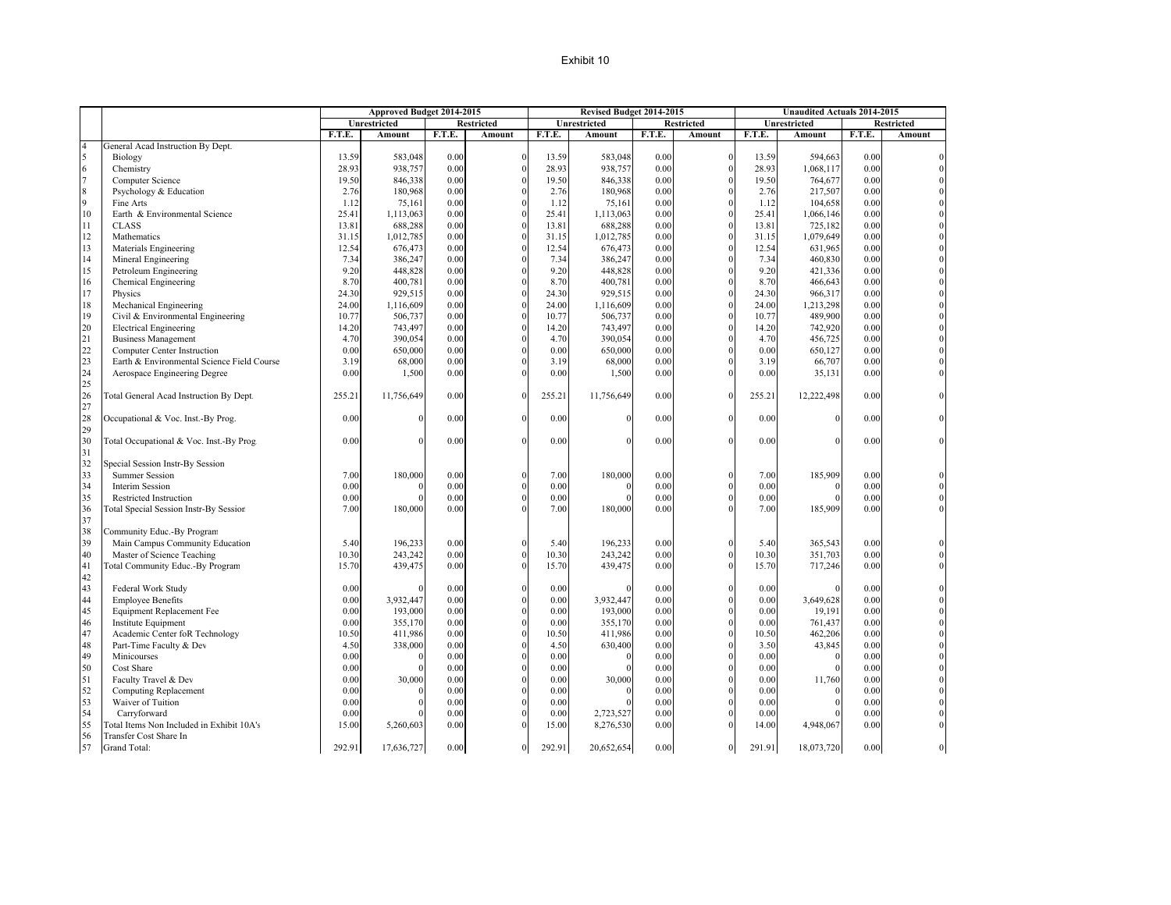|                                       |                                                |        | Approved Budget 2014-2015 |        |            |        | Revised Budget 2014-2015 |        |                   |        | <b>Unaudited Actuals 2014-2015</b> |        |                   |
|---------------------------------------|------------------------------------------------|--------|---------------------------|--------|------------|--------|--------------------------|--------|-------------------|--------|------------------------------------|--------|-------------------|
|                                       |                                                |        | Unrestricted              |        | Restricted |        | Unrestricted             |        | <b>Restricted</b> |        | Unrestricted                       |        | <b>Restricted</b> |
|                                       |                                                | F.T.E. | Amount                    | F.T.E. | Amount     | F.T.E. | Amount                   | F.T.E. | Amount            | F.T.E. | Amount                             | F.T.E. | Amount            |
| $\overline{4}$                        | General Acad Instruction By Dept.              |        |                           |        |            |        |                          |        |                   |        |                                    |        |                   |
|                                       | Biology                                        | 13.59  | 583.048                   | 0.00   | $\Omega$   | 13.59  | 583,048                  | 0.00   | $\theta$          | 13.59  | 594,663                            | 0.00   |                   |
| $\begin{array}{c} 5 \\ 6 \end{array}$ | Chemistry                                      | 28.93  | 938,757                   | 0.00   |            | 28.93  | 938,757                  | 0.00   | $\theta$          | 28.93  | 1,068,117                          | 0.00   |                   |
| $\overline{7}$                        | Computer Science                               | 19.50  | 846,338                   | 0.00   |            | 19.50  | 846,338                  | 0.00   | $\boldsymbol{0}$  | 19.50  | 764,677                            | 0.00   |                   |
| $\,$ 8 $\,$                           | Psychology & Education                         | 2.76   | 180,968                   | 0.00   |            | 2.76   | 180,968                  | 0.00   | $\theta$          | 2.76   | 217,507                            | 0.00   |                   |
| $\overline{9}$                        | Fine Arts                                      | 1.12   | 75,161                    | 0.00   |            | 1.12   | 75,161                   | 0.00   | $\theta$          | 1.12   | 104,658                            | 0.00   |                   |
| 10                                    | Earth & Environmental Science                  | 25.41  | 1,113,063                 | 0.00   |            | 25.41  | 1,113,063                | 0.00   | $\theta$          | 25.41  | 1,066,146                          | 0.00   |                   |
| 11                                    | <b>CLASS</b>                                   | 13.81  | 688,288                   | 0.00   |            | 13.81  | 688,288                  | 0.00   | $\boldsymbol{0}$  | 13.81  | 725,182                            | 0.00   |                   |
| 12                                    | Mathematics                                    | 31.15  | 1,012,785                 | 0.00   |            | 31.15  | 1,012,785                | 0.00   | $\theta$          | 31.15  | 1,079,649                          | 0.00   |                   |
| 13                                    | Materials Engineering                          | 12.54  | 676,473                   | 0.00   |            | 12.54  | 676,473                  | 0.00   | $\theta$          | 12.54  | 631,965                            | 0.00   |                   |
| 14                                    | Mineral Engineering                            | 7.34   | 386,247                   | 0.00   |            | 7.34   | 386,247                  | 0.00   | $\theta$          | 7.34   | 460,830                            | 0.00   |                   |
| 15                                    | Petroleum Engineering                          | 9.20   | 448,828                   | 0.00   |            | 9.20   | 448,828                  | 0.00   | $\Omega$          | 9.20   | 421,336                            | 0.00   |                   |
| 16                                    | Chemical Engineering                           | 8.70   | 400,781                   | 0.00   |            | 8.70   | 400,781                  | 0.00   | $\theta$          | 8.70   | 466,643                            | 0.00   |                   |
| 17                                    | Physics                                        | 24.30  | 929,515                   | 0.00   |            | 24.30  | 929,515                  | 0.00   | $\boldsymbol{0}$  | 24.30  | 966,317                            | 0.00   |                   |
| 18                                    | Mechanical Engineering                         | 24.00  | 1,116,609                 | 0.00   |            | 24.00  | 1,116,609                | 0.00   | $\theta$          | 24.00  | 1,213,298                          | 0.00   |                   |
| 19                                    | Civil & Environmental Engineering              | 10.77  | 506,737                   | 0.00   |            | 10.77  | 506,737                  | 0.00   | $\theta$          | 10.77  | 489,900                            | 0.00   |                   |
| 20                                    | <b>Electrical Engineering</b>                  | 14.20  | 743,497                   | 0.00   |            | 14.20  | 743,497                  | 0.00   | $\mathbf{0}$      | 14.20  | 742,920                            | 0.00   |                   |
| 21                                    | <b>Business Management</b>                     | 4.70   | 390,054                   | 0.00   |            | 4.70   | 390,054                  | 0.00   | $\theta$          | 4.70   | 456,725                            | 0.00   |                   |
| 22                                    | Computer Center Instruction                    | 0.00   | 650,000                   | 0.00   |            | 0.00   | 650,000                  | 0.00   | $\theta$          | 0.00   | 650,127                            | 0.00   |                   |
|                                       | Earth & Environmental Science Field Course     | 3.19   | 68,000                    | 0.00   |            | 3.19   | 68,000                   | 0.00   | $\theta$          | 3.19   | 66,707                             | 0.00   |                   |
|                                       | Aerospace Engineering Degree                   | 0.00   | 1,500                     | 0.00   |            | 0.00   | 1,500                    | 0.00   | $\Omega$          | 0.00   | 35,131                             | 0.00   |                   |
|                                       |                                                |        |                           |        |            |        |                          |        |                   |        |                                    |        |                   |
| 23<br>24<br>25<br>26                  | <b>Total General Acad Instruction By Dept.</b> | 255.21 | 11,756,649                | 0.00   | $\Omega$   | 255.21 | 11,756,649               | 0.00   | $\theta$          | 255.21 | 12,222,498                         | 0.00   |                   |
| 27                                    |                                                |        |                           |        |            |        |                          |        |                   |        |                                    |        |                   |
| 28                                    | Occupational & Voc. Inst.-By Prog.             | 0.00   | $\Omega$                  | 0.00   | $\Omega$   | 0.00   | $\Omega$                 | 0.00   | $\theta$          | 0.00   | $\Omega$                           | 0.00   |                   |
| 29<br>30                              |                                                |        |                           |        |            |        |                          |        |                   |        |                                    |        |                   |
|                                       | Total Occupational & Voc. Inst.-By Prog.       | 0.00   |                           | 0.00   | $\Omega$   | 0.00   | $\Omega$                 | 0.00   | $\theta$          | 0.00   |                                    | 0.00   |                   |
| 31                                    |                                                |        |                           |        |            |        |                          |        |                   |        |                                    |        |                   |
| 32                                    | Special Session Instr-By Session               |        |                           |        |            |        |                          |        |                   |        |                                    |        |                   |
| 33                                    | <b>Summer Session</b>                          | 7.00   | 180,000                   | 0.00   | $\Omega$   | 7.00   | 180,000                  | 0.00   | $\theta$          | 7.00   | 185,909                            | 0.00   |                   |
| 34                                    | <b>Interim Session</b>                         | 0.00   |                           | 0.00   |            | 0.00   | $\Omega$                 | 0.00   | $\boldsymbol{0}$  | 0.00   | $\epsilon$                         | 0.00   |                   |
| 35                                    | Restricted Instruction                         | 0.00   |                           | 0.00   |            | 0.00   |                          | 0.00   | $\Omega$          | 0.00   |                                    | 0.00   |                   |
| 36                                    | <b>Total Special Session Instr-By Session</b>  | 7.00   | 180,000                   | 0.00   |            | 7.00   | 180,000                  | 0.00   | $\theta$          | 7.00   | 185,909                            | 0.00   |                   |
| 37                                    |                                                |        |                           |        |            |        |                          |        |                   |        |                                    |        |                   |
| 38                                    | Community Educ.-By Program                     |        |                           |        |            |        |                          |        |                   |        |                                    |        |                   |
| 39                                    | Main Campus Community Education                | 5.40   | 196,233                   | 0.00   |            | 5.40   | 196,233                  | 0.00   | $\theta$          | 5.40   | 365,543                            | 0.00   |                   |
| 40                                    | Master of Science Teaching                     | 10.30  | 243,242                   | 0.00   | $\Omega$   | 10.30  | 243,242                  | 0.00   | $\mathbf{0}$      | 10.30  | 351,703                            | 0.00   |                   |
| 41                                    | Total Community Educ.-By Program               | 15.70  | 439,475                   | 0.00   |            | 15.70  | 439,475                  | 0.00   | $\theta$          | 15.70  | 717,246                            | 0.00   |                   |
| 42                                    |                                                |        |                           |        |            |        |                          |        |                   |        |                                    |        |                   |
| 43                                    | Federal Work Study                             | 0.00   |                           | 0.00   |            | 0.00   | $\Omega$                 | 0.00   | $\theta$          | 0.00   |                                    | 0.00   |                   |
| 44                                    | <b>Employee Benefits</b>                       | 0.00   | 3,932,447                 | 0.00   |            | 0.00   | 3,932,447                | 0.00   | $\theta$          | 0.00   | 3,649,628                          | 0.00   |                   |
| 45                                    | <b>Equipment Replacement Fee</b>               | 0.00   | 193,000                   | 0.00   |            | 0.00   | 193,000                  | 0.00   | $\Omega$          | 0.00   | 19,191                             | 0.00   |                   |
| 46                                    | <b>Institute Equipment</b>                     | 0.00   | 355,170                   | 0.00   |            | 0.00   | 355,170                  | 0.00   | $\overline{0}$    | 0.00   | 761,437                            | 0.00   |                   |
| 47                                    | Academic Center foR Technology                 | 10.50  | 411,986                   | 0.00   |            | 10.50  | 411,986                  | 0.00   | $\boldsymbol{0}$  | 10.50  | 462,206                            | 0.00   |                   |
| 48                                    | Part-Time Faculty & Dev                        | 4.50   | 338,000                   | 0.00   |            | 4.50   | 630,400                  | 0.00   | $\theta$          | 3.50   | 43,845                             | 0.00   |                   |
| 49                                    | Minicourses                                    | 0.00   |                           | 0.00   |            | 0.00   | $\theta$                 | 0.00   | $\theta$          | 0.00   | $\Omega$                           | 0.00   |                   |
| 50                                    | Cost Share                                     | 0.00   |                           | 0.00   |            | 0.00   | $\Omega$                 | 0.00   | $\mathbf{0}$      | 0.00   |                                    | 0.00   |                   |
| 51                                    | Faculty Travel & Dev                           | 0.00   | 30,000                    | 0.00   |            | 0.00   | 30,000                   | 0.00   | $\theta$          | 0.00   | 11,760                             | 0.00   |                   |
| 52                                    | Computing Replacement                          | 0.00   |                           | 0.00   |            | 0.00   | $\Omega$                 | 0.00   | $\theta$          | 0.00   |                                    | 0.00   |                   |
| 53                                    | Waiver of Tuition                              | 0.00   |                           | 0.00   |            | 0.00   |                          | 0.00   | $\mathbf{0}$      | 0.00   |                                    | 0.00   |                   |
| 54                                    | Carryforward                                   | 0.00   |                           | 0.00   |            | 0.00   | 2,723,527                | 0.00   | $\theta$          | 0.00   |                                    | 0.00   |                   |
| 55                                    | Fotal Items Non Included in Exhibit 10A's      | 15.00  | 5,260,603                 | 0.00   |            | 15.00  | 8,276,530                | 0.00   | $\Omega$          | 14.00  | 4,948,067                          | 0.00   |                   |
| 56                                    | Transfer Cost Share In                         |        |                           |        |            |        |                          |        |                   |        |                                    |        |                   |
| 57                                    | <b>Grand Total:</b>                            | 292.91 | 17,636,727                | 0.00   | $\Omega$   | 292.91 | 20,652,654               | 0.00   | $\mathbf{0}$      | 291.91 | 18,073,720                         | 0.00   |                   |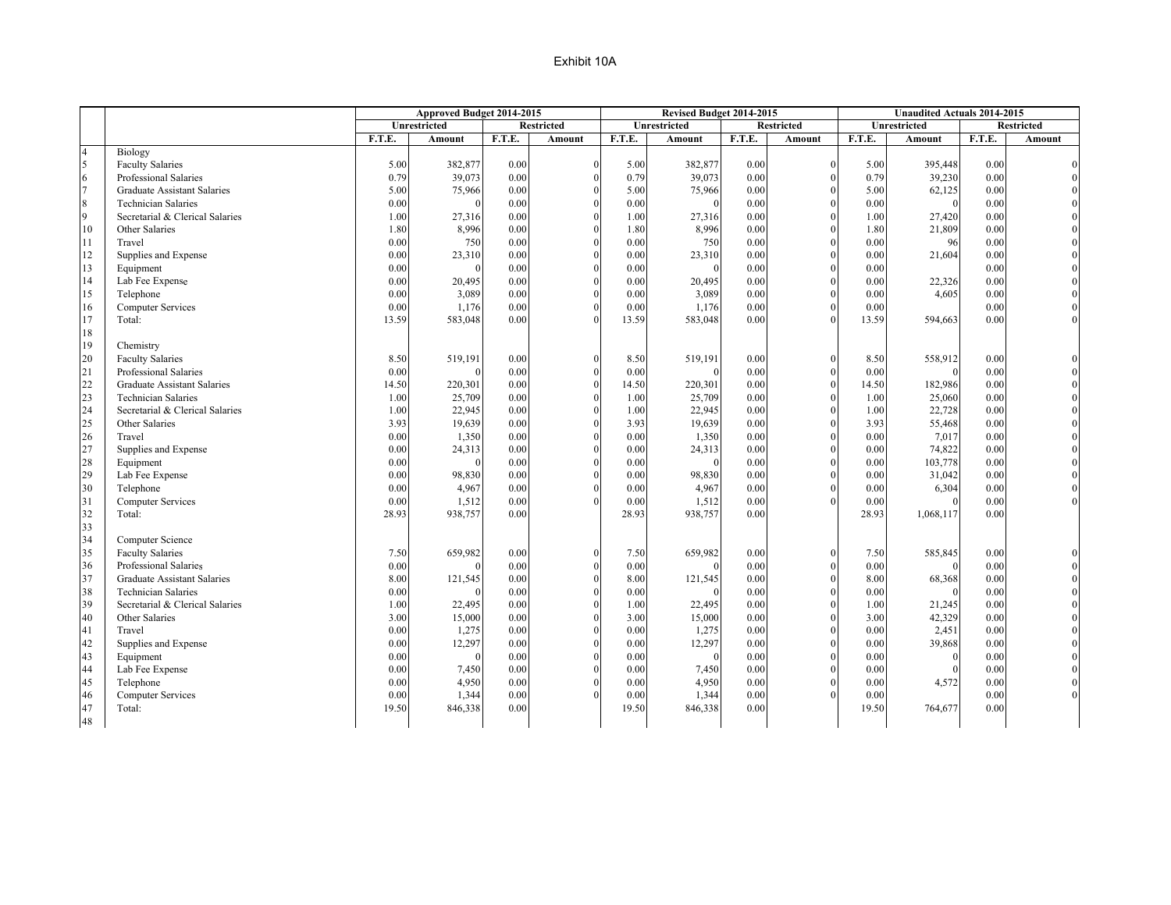|                |                                    |        | Approved Budget 2014-2015 |        |                   |        | Revised Budget 2014-2015 |               |                   |               | <b>Unaudited Actuals 2014-2015</b> |              |                   |
|----------------|------------------------------------|--------|---------------------------|--------|-------------------|--------|--------------------------|---------------|-------------------|---------------|------------------------------------|--------------|-------------------|
|                |                                    |        | Unrestricted              |        | <b>Restricted</b> |        | Unrestricted             |               | <b>Restricted</b> |               | <b>Unrestricted</b>                |              | <b>Restricted</b> |
|                |                                    | F.T.E. | Amount                    | F.T.E. | Amount            | F.T.E. | Amount                   | <b>F.T.E.</b> | Amount            | <b>F.T.E.</b> | Amount                             | F.T.E.       | Amount            |
| $\overline{4}$ | Biology                            |        |                           |        |                   |        |                          |               |                   |               |                                    |              |                   |
| 5              | <b>Faculty Salaries</b>            | 5.00   | 382,877                   | 0.00   | $\mathbf{0}$      | 5.00   | 382,877                  | 0.00          | $\Omega$          | 5.00          | 395,448                            | 0.00         |                   |
| 6              | Professional Salaries              | 0.79   | 39,073                    | 0.00   | $\theta$          | 0.79   | 39,073                   | 0.00          |                   | 0.79          | 39,230                             | 0.00         |                   |
| $\overline{7}$ | <b>Graduate Assistant Salaries</b> | 5.00   | 75,966                    | 0.00   | $\theta$          | 5.00   | 75,966                   | 0.00          |                   | 5.00          | 62,125                             | 0.00         |                   |
| 8              | <b>Technician Salaries</b>         | 0.00   |                           | 0.00   | $\theta$          | 0.00   |                          | 0.00          |                   | 0.00          | $\theta$                           | 0.00         |                   |
| 9              | Secretarial & Clerical Salaries    | 1.00   | 27,316                    | 0.00   | $\theta$          | 1.00   | 27,316                   | 0.00          |                   | 1.00          | 27,420                             | 0.00         |                   |
| 10             | Other Salaries                     | 1.80   | 8,996                     | 0.00   | $\Omega$          | 1.80   | 8,996                    | 0.00          |                   | 1.80          | 21,809                             | 0.00         |                   |
| 11             | Travel                             | 0.00   | 750                       | 0.00   | $\theta$          | 0.00   | 750                      | 0.00          |                   | 0.00          | 96                                 | 0.00         |                   |
| 12             | Supplies and Expense               | 0.00   | 23,310                    | 0.00   | $\theta$          | 0.00   | 23,310                   | 0.00          | $\Omega$          | 0.00          | 21,604                             | 0.00         |                   |
| 13             | Equipment                          | 0.00   |                           | 0.00   | $\theta$          | 0.00   |                          | 0.00          |                   | 0.00          |                                    | 0.00         |                   |
| 14             | Lab Fee Expense                    | 0.00   | 20,495                    | 0.00   | $\Omega$          | 0.00   | 20,495                   | 0.00          |                   | 0.00          | 22,326                             | 0.00         |                   |
| 15             | Telephone                          | 0.00   | 3,089                     | 0.00   | $\theta$          | 0.00   | 3,089                    | 0.00          |                   | 0.00          | 4,605                              | 0.00         |                   |
| 16             | <b>Computer Services</b>           | 0.00   | 1,176                     | 0.00   | $\Omega$          | 0.00   | 1,176                    | 0.00          |                   | 0.00          |                                    | 0.00         |                   |
| 17             | Total:                             | 13.59  | 583,048                   | 0.00   | $\Omega$          | 13.59  | 583,048                  | 0.00          |                   | 13.59         | 594,663                            | 0.00         |                   |
| 18             |                                    |        |                           |        |                   |        |                          |               |                   |               |                                    |              |                   |
| 19             | Chemistry                          |        |                           |        |                   |        |                          |               |                   |               |                                    |              |                   |
| 20             | <b>Faculty Salaries</b>            | 8.50   | 519,191                   | 0.00   | $\theta$          | 8.50   | 519,191                  | 0.00          |                   | 8.50          | 558,912                            | 0.00         |                   |
| 21             | Professional Salaries              | 0.00   |                           | 0.00   | $\theta$          | 0.00   |                          | 0.00          | $\Omega$          | 0.00          | $\Omega$                           | 0.00         |                   |
| 22             | <b>Graduate Assistant Salaries</b> | 14.50  | 220,301                   | 0.00   | $\theta$          | 14.50  | 220,301                  | 0.00          |                   | 14.50         | 182,986                            | 0.00         |                   |
| 23             | <b>Technician Salaries</b>         | 1.00   | 25,709                    | 0.00   | $\theta$          | 1.00   | 25,709                   | 0.00          |                   | 1.00          | 25,060                             | 0.00         |                   |
| 24             | Secretarial & Clerical Salaries    | 1.00   | 22,945                    | 0.00   | $\theta$          | 1.00   | 22,945                   | 0.00          |                   | 1.00          | 22,728                             | 0.00         |                   |
| 25             | Other Salaries                     | 3.93   | 19,639                    | 0.00   | $\theta$          | 3.93   | 19,639                   | 0.00          |                   | 3.93          | 55,468                             | 0.00         |                   |
| 26             | Travel                             | 0.00   | 1,350                     | 0.00   | $\theta$          | 0.00   | 1,350                    | 0.00          |                   | 0.00          | 7,017                              | 0.00         |                   |
| 27             | Supplies and Expense               | 0.00   | 24,313                    | 0.00   | $\Omega$          | 0.00   | 24,313                   | 0.00          |                   | 0.00          | 74,822                             | 0.00         |                   |
| 28             |                                    | 0.00   |                           | 0.00   | $\theta$          | 0.00   |                          | 0.00          |                   | 0.00          | 103,778                            | 0.00         |                   |
| 29             | Equipment<br>Lab Fee Expense       | 0.00   | 98,830                    | 0.00   | $\Omega$          | 0.00   | 98,830                   | 0.00          |                   | 0.00          | 31,042                             | 0.00         |                   |
|                |                                    |        |                           |        | $\Omega$          |        |                          |               | $\Omega$          |               |                                    |              |                   |
| 30<br>31       | Telephone                          | 0.00   | 4,967                     | 0.00   | $\theta$          | 0.00   | 4,967                    | 0.00          |                   | 0.00          | 6,304                              | 0.00         |                   |
| 32             | <b>Computer Services</b><br>Total: | 0.00   | 1,512<br>938,757          | 0.00   |                   | 0.00   | 1,512                    | 0.00          |                   | 0.00          |                                    | 0.00<br>0.00 |                   |
|                |                                    | 28.93  |                           | 0.00   |                   | 28.93  | 938,757                  | 0.00          |                   | 28.93         | 1,068,117                          |              |                   |
| 33             |                                    |        |                           |        |                   |        |                          |               |                   |               |                                    |              |                   |
| 34<br>35       | Computer Science                   |        |                           |        |                   |        |                          |               |                   |               |                                    |              |                   |
|                | <b>Faculty Salaries</b>            | 7.50   | 659,982                   | 0.00   | $\mathbf{0}$      | 7.50   | 659,982                  | 0.00          |                   | 7.50          | 585,845                            | 0.00         |                   |
| 36             | Professional Salaries              | 0.00   |                           | 0.00   | $\theta$          | 0.00   |                          | 0.00          |                   | 0.00          |                                    | 0.00         |                   |
| 37             | Graduate Assistant Salaries        | 8.00   | 121,545                   | 0.00   | $\theta$          | 8.00   | 121,545                  | 0.00          | $\Omega$          | 8.00          | 68,368                             | 0.00         |                   |
| 38             | <b>Technician Salaries</b>         | 0.00   |                           | 0.00   | $\theta$          | 0.00   |                          | 0.00          |                   | 0.00          |                                    | 0.00         |                   |
| 39             | Secretarial & Clerical Salaries    | 1.00   | 22,495                    | 0.00   | $\theta$          | 1.00   | 22,495                   | 0.00          | $\Omega$          | 1.00          | 21,245                             | 0.00         |                   |
| 40             | Other Salaries                     | 3.00   | 15,000                    | 0.00   | $\theta$          | 3.00   | 15,000                   | 0.00          |                   | 3.00          | 42,329                             | 0.00         |                   |
| 41             | Travel                             | 0.00   | 1,275                     | 0.00   | $\Omega$          | 0.00   | 1,275                    | 0.00          | $\Omega$          | 0.00          | 2,451                              | 0.00         |                   |
| 42             | Supplies and Expense               | 0.00   | 12,297                    | 0.00   | $\theta$          | 0.00   | 12,297                   | 0.00          |                   | 0.00          | 39,868                             | 0.00         |                   |
| 43             | Equipment                          | 0.00   |                           | 0.00   | $\Omega$          | 0.00   |                          | 0.00          |                   | 0.00          | $\Omega$                           | 0.00         |                   |
| 44             | Lab Fee Expense                    | 0.00   | 7,450                     | 0.00   | $\theta$          | 0.00   | 7,450                    | 0.00          |                   | 0.00          |                                    | 0.00         |                   |
| 45             | Telephone                          | 0.00   | 4,950                     | 0.00   | $\theta$          | 0.00   | 4,950                    | 0.00          |                   | 0.00          | 4,572                              | 0.00         |                   |
| 46             | Computer Services                  | 0.00   | 1,344                     | 0.00   | $\theta$          | 0.00   | 1,344                    | 0.00          |                   | 0.00          |                                    | 0.00         |                   |
| 47             | Total:                             | 19.50  | 846,338                   | 0.00   |                   | 19.50  | 846,338                  | 0.00          |                   | 19.50         | 764,677                            | 0.00         |                   |
| 48             |                                    |        |                           |        |                   |        |                          |               |                   |               |                                    |              |                   |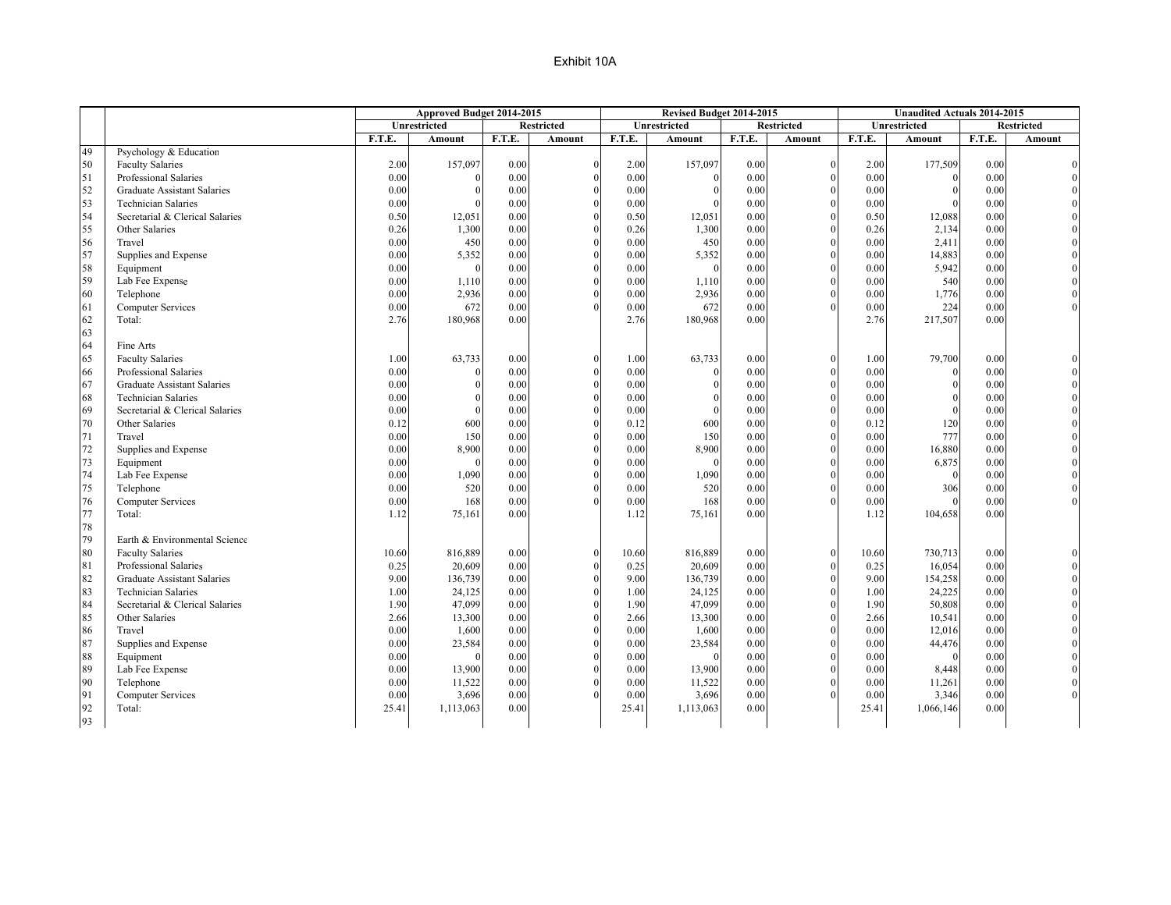|    |                                    |        | Approved Budget 2014-2015 |        |                   |        | Revised Budget 2014-2015 |               |                   |        | <b>Unaudited Actuals 2014-2015</b> |               |                   |
|----|------------------------------------|--------|---------------------------|--------|-------------------|--------|--------------------------|---------------|-------------------|--------|------------------------------------|---------------|-------------------|
|    |                                    |        | <b>Unrestricted</b>       |        | <b>Restricted</b> |        | Unrestricted             |               | <b>Restricted</b> |        | <b>Unrestricted</b>                |               | <b>Restricted</b> |
|    |                                    | F.T.E. | Amount                    | F.T.E. | Amount            | F.T.E. | Amount                   | <b>F.T.E.</b> | Amount            | F.T.E. | Amount                             | <b>F.T.E.</b> | Amount            |
| 49 | Psychology & Education             |        |                           |        |                   |        |                          |               |                   |        |                                    |               |                   |
| 50 | <b>Faculty Salaries</b>            | 2.00   | 157,097                   | 0.00   | $\theta$          | 2.00   | 157,097                  | 0.00          | $\Omega$          | 2.00   | 177,509                            | 0.00          |                   |
| 51 | Professional Salaries              | 0.00   |                           | 0.00   | $\theta$          | 0.00   |                          | 0.00          | $\Omega$          | 0.00   |                                    | 0.00          |                   |
| 52 | <b>Graduate Assistant Salaries</b> | 0.00   |                           | 0.00   | $\theta$          | 0.00   |                          | 0.00          | $\Omega$          | 0.00   |                                    | 0.00          |                   |
| 53 | <b>Technician Salaries</b>         | 0.00   |                           | 0.00   | $\mathbf{0}$      | 0.00   |                          | 0.00          | $\theta$          | 0.00   |                                    | 0.00          |                   |
| 54 | Secretarial & Clerical Salaries    | 0.50   | 12,051                    | 0.00   | $\theta$          | 0.50   | 12,051                   | 0.00          |                   | 0.50   | 12,088                             | 0.00          |                   |
| 55 | Other Salaries                     | 0.26   | 1,300                     | 0.00   | $\theta$          | 0.26   | 1,300                    | 0.00          | $\mathbf{0}$      | 0.26   | 2,134                              | 0.00          |                   |
| 56 | Travel                             | 0.00   | 450                       | 0.00   | $\theta$          | 0.00   | 450                      | 0.00          | $\Omega$          | 0.00   | 2,411                              | 0.00          |                   |
| 57 | Supplies and Expense               | 0.00   | 5,352                     | 0.00   | $\overline{0}$    | 0.00   | 5,352                    | 0.00          | $\Omega$          | 0.00   | 14,883                             | 0.00          |                   |
| 58 | Equipment                          | 0.00   |                           | 0.00   | $\theta$          | 0.00   | $\Omega$                 | 0.00          | $\Omega$          | 0.00   | 5,942                              | 0.00          |                   |
| 59 | Lab Fee Expense                    | 0.00   | 1,110                     | 0.00   | $\theta$          | 0.00   | 1,110                    | 0.00          | $\Omega$          | 0.00   | 540                                | 0.00          |                   |
| 60 | Telephone                          | 0.00   | 2,936                     | 0.00   | $\theta$          | 0.00   | 2,936                    | 0.00          | $\Omega$          | 0.00   | 1,776                              | 0.00          |                   |
| 61 | <b>Computer Services</b>           | 0.00   | 672                       | 0.00   | $\theta$          | 0.00   | 672                      | 0.00          | $\Omega$          | 0.00   | 224                                | 0.00          |                   |
| 62 | Total:                             | 2.76   | 180,968                   | 0.00   |                   | 2.76   | 180,968                  | 0.00          |                   | 2.76   | 217,507                            | 0.00          |                   |
| 63 |                                    |        |                           |        |                   |        |                          |               |                   |        |                                    |               |                   |
| 64 | Fine Arts                          |        |                           |        |                   |        |                          |               |                   |        |                                    |               |                   |
| 65 | <b>Faculty Salaries</b>            | 1.00   | 63,733                    | 0.00   | $\theta$          | 1.00   | 63,733                   | 0.00          | $\Omega$          | 1.00   | 79,700                             | 0.00          |                   |
| 66 | Professional Salaries              | 0.00   |                           | 0.00   | $\theta$          | 0.00   |                          | 0.00          | $\Omega$          | 0.00   | $\theta$                           | 0.00          |                   |
| 67 | Graduate Assistant Salaries        | 0.00   |                           | 0.00   | $\theta$          | 0.00   |                          | 0.00          | $\Omega$          | 0.00   |                                    | 0.00          |                   |
| 68 | <b>Technician Salaries</b>         | 0.00   |                           | 0.00   | $\theta$          | 0.00   |                          | 0.00          | $\Omega$          | 0.00   |                                    | 0.00          |                   |
| 69 | Secretarial & Clerical Salaries    | 0.00   |                           | 0.00   | $\theta$          | 0.00   |                          | 0.00          | $\Omega$          | 0.00   |                                    | 0.00          |                   |
| 70 | Other Salaries                     | 0.12   | 600                       | 0.00   | $\theta$          | 0.12   | 600                      | 0.00          | $\Omega$          | 0.12   | 120                                | 0.00          |                   |
| 71 | Travel                             | 0.00   | 150                       | 0.00   | $\mathbf{0}$      | 0.00   | 150                      | 0.00          | $\theta$          | 0.00   | 777                                | 0.00          |                   |
| 72 | Supplies and Expense               | 0.00   | 8,900                     | 0.00   | $\theta$          | 0.00   | 8,900                    | 0.00          | $\Omega$          | 0.00   | 16,880                             | 0.00          |                   |
| 73 | Equipment                          | 0.00   | $\Omega$                  | 0.00   | $\theta$          | 0.00   |                          | 0.00          | $\mathbf{0}$      | 0.00   | 6,875                              | 0.00          |                   |
| 74 | Lab Fee Expense                    | 0.00   | 1,090                     | 0.00   | $\Omega$          | 0.00   | 1,090                    | 0.00          | $\Omega$          | 0.00   | $\theta$                           | 0.00          |                   |
| 75 |                                    | 0.00   | 520                       | 0.00   | $\theta$          | 0.00   | 520                      | 0.00          | $\mathbf{0}$      | 0.00   | 306                                | 0.00          |                   |
| 76 | Telephone                          | 0.00   | 168                       | 0.00   | $\theta$          | 0.00   | 168                      | 0.00          | $\Omega$          | 0.00   |                                    | 0.00          |                   |
| 77 | <b>Computer Services</b><br>Total: | 1.12   | 75,161                    | 0.00   |                   | 1.12   |                          | 0.00          |                   | 1.12   | 104,658                            | 0.00          |                   |
| 78 |                                    |        |                           |        |                   |        | 75,161                   |               |                   |        |                                    |               |                   |
| 79 | Earth & Environmental Science      |        |                           |        |                   |        |                          |               |                   |        |                                    |               |                   |
|    |                                    |        |                           | 0.00   | $\theta$          |        |                          | 0.00          | $\Omega$          |        |                                    |               |                   |
| 80 | <b>Faculty Salaries</b>            | 10.60  | 816,889                   |        |                   | 10.60  | 816,889                  |               | $\Omega$          | 10.60  | 730,713                            | 0.00          |                   |
| 81 | Professional Salaries              | 0.25   | 20,609                    | 0.00   | $\theta$          | 0.25   | 20,609                   | 0.00          |                   | 0.25   | 16,054                             | 0.00          |                   |
| 82 | <b>Graduate Assistant Salaries</b> | 9.00   | 136,739                   | 0.00   | $\theta$          | 9.00   | 136,739                  | 0.00          | $\Omega$          | 9.00   | 154,258                            | 0.00          |                   |
| 83 | <b>Technician Salaries</b>         | 1.00   | 24,125                    | 0.00   | $\theta$          | 1.00   | 24,125                   | 0.00          | $\Omega$          | 1.00   | 24,225                             | 0.00          |                   |
| 84 | Secretarial & Clerical Salaries    | 1.90   | 47,099                    | 0.00   | $\theta$          | 1.90   | 47,099                   | 0.00          | $\Omega$          | 1.90   | 50,808                             | 0.00          |                   |
| 85 | Other Salaries                     | 2.66   | 13,300                    | 0.00   | $\Omega$          | 2.66   | 13,300                   | 0.00          | $\Omega$          | 2.66   | 10,541                             | 0.00          |                   |
| 86 | Travel                             | 0.00   | 1,600                     | 0.00   | $\theta$          | 0.00   | 1,600                    | 0.00          | $\Omega$          | 0.00   | 12,016                             | 0.00          |                   |
| 87 | Supplies and Expense               | 0.00   | 23,584                    | 0.00   | $\theta$          | 0.00   | 23,584                   | 0.00          | $\Omega$          | 0.00   | 44,476                             | 0.00          |                   |
| 88 | Equipment                          | 0.00   |                           | 0.00   | $\theta$          | 0.00   |                          | 0.00          | $\Omega$          | 0.00   | $\Omega$                           | 0.00          |                   |
| 89 | Lab Fee Expense                    | 0.00   | 13,900                    | 0.00   | $\theta$          | 0.00   | 13,900                   | 0.00          | $\Omega$          | 0.00   | 8,448                              | 0.00          |                   |
| 90 | Telephone                          | 0.00   | 11,522                    | 0.00   | $\theta$          | 0.00   | 11,522                   | 0.00          |                   | 0.00   | 11,261                             | 0.00          |                   |
| 91 | <b>Computer Services</b>           | 0.00   | 3,696                     | 0.00   | $\theta$          | 0.00   | 3,696                    | 0.00          |                   | 0.00   | 3,346                              | 0.00          |                   |
| 92 | Total:                             | 25.41  | 1,113,063                 | 0.00   |                   | 25.41  | 1,113,063                | 0.00          |                   | 25.41  | 1,066,146                          | 0.00          |                   |
| 93 |                                    |        |                           |        |                   |        |                          |               |                   |        |                                    |               |                   |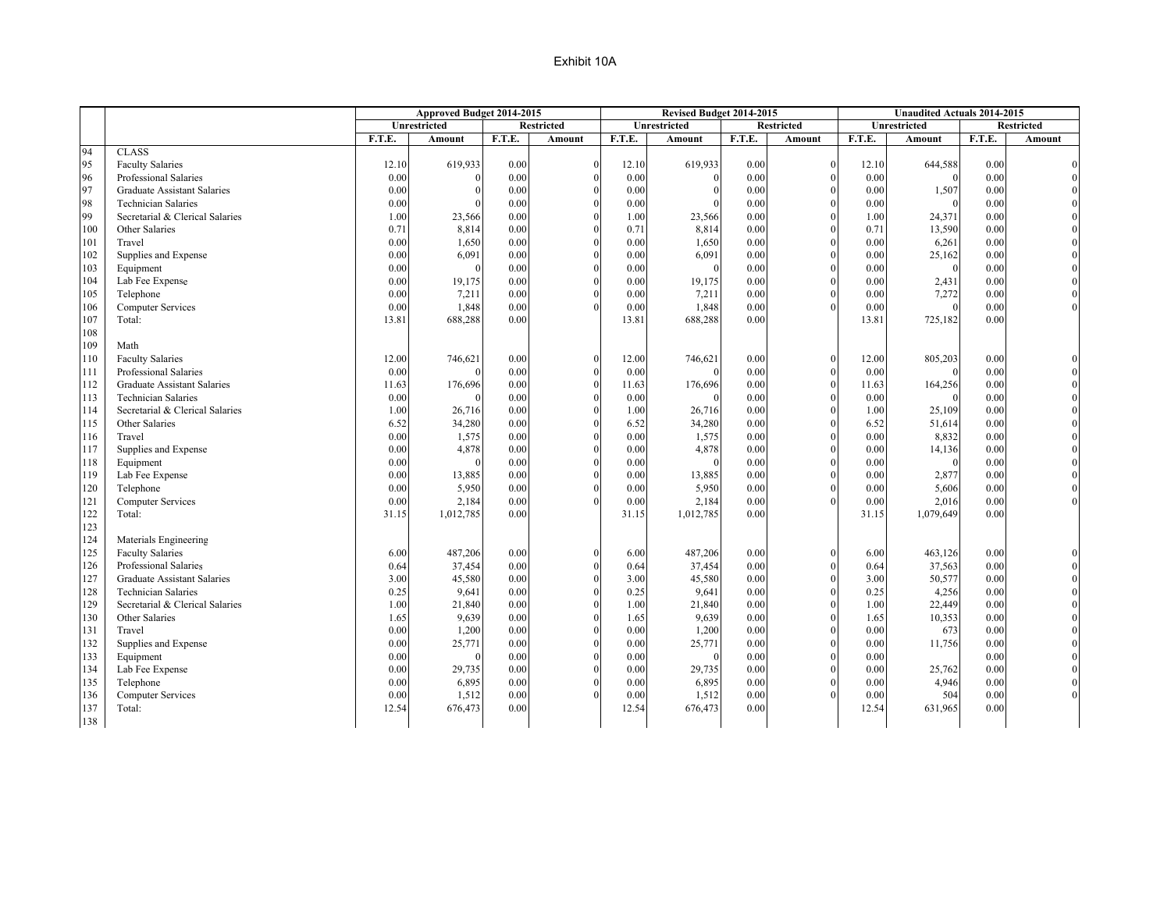|            |                                    |        | Approved Budget 2014-2015 |        |                   |               | Revised Budget 2014-2015 |               |                   |               | <b>Unaudited Actuals 2014-2015</b> |              |                   |
|------------|------------------------------------|--------|---------------------------|--------|-------------------|---------------|--------------------------|---------------|-------------------|---------------|------------------------------------|--------------|-------------------|
|            |                                    |        | <b>Unrestricted</b>       |        | <b>Restricted</b> |               | <b>Unrestricted</b>      |               | <b>Restricted</b> |               | <b>Unrestricted</b>                |              | <b>Restricted</b> |
|            |                                    | F.T.E. | Amount                    | F.T.E. | Amount            | <b>F.T.E.</b> | Amount                   | <b>F.T.E.</b> | Amount            | F.T.E.        | Amount                             | F.T.E.       | Amount            |
| 94         | <b>CLASS</b>                       |        |                           |        |                   |               |                          |               |                   |               |                                    |              |                   |
| 95         | <b>Faculty Salaries</b>            | 12.10  | 619,933                   | 0.00   | $\boldsymbol{0}$  | 12.10         | 619,933                  | 0.00          | $\mathbf{0}$      | 12.10         | 644,588                            | 0.00         |                   |
| 96         | Professional Salaries              | 0.00   |                           | 0.00   | $\theta$          | 0.00          |                          | 0.00          | $\sqrt{ }$        | 0.00          |                                    | 0.00         |                   |
| 97         | Graduate Assistant Salaries        | 0.00   |                           | 0.00   | $\mathbf{0}$      | 0.00          |                          | 0.00          | $\Omega$          | 0.00          | 1,507                              | 0.00         |                   |
| 98         | <b>Technician Salaries</b>         | 0.00   |                           | 0.00   | $\boldsymbol{0}$  | 0.00          |                          | 0.00          | $\Omega$          | 0.00          |                                    | 0.00         |                   |
| 99         | Secretarial & Clerical Salaries    | 1.00   | 23,566                    | 0.00   | $\mathbf{0}$      | 1.00          | 23,566                   | 0.00          |                   | 1.00          | 24,371                             | 0.00         |                   |
| 100        | Other Salaries                     | 0.71   | 8,814                     | 0.00   | $\mathbf{0}$      | 0.71          | 8,814                    | 0.00          | $\Omega$          | 0.71          | 13,590                             | 0.00         |                   |
| 101        | Travel                             | 0.00   | 1,650                     | 0.00   | $\mathbf{0}$      | 0.00          | 1,650                    | 0.00          | $\Omega$          | 0.00          | 6,261                              | 0.00         |                   |
| 102        | Supplies and Expense               | 0.00   | 6,091                     | 0.00   | $\mathbf{0}$      | 0.00          | 6,091                    | 0.00          | $\Omega$          | 0.00          | 25,162                             | 0.00         |                   |
| 103        | Equipment                          | 0.00   |                           | 0.00   | $\mathbf{0}$      | 0.00          | $\theta$                 | 0.00          | $\Omega$          | 0.00          |                                    | 0.00         |                   |
| 104        | Lab Fee Expense                    | 0.00   | 19,175                    | 0.00   | $\mathbf{0}$      | 0.00          | 19,175                   | 0.00          | $\Omega$          | 0.00          | 2,431                              | 0.00         |                   |
| 105        | Telephone                          | 0.00   | 7,211                     | 0.00   | $\theta$          | 0.00          | 7,211                    | 0.00          |                   | 0.00          | 7,272                              | 0.00         |                   |
| 106        | <b>Computer Services</b>           | 0.00   | 1,848                     | 0.00   | $\theta$          | 0.00          | 1,848                    | 0.00          |                   | 0.00          |                                    | 0.00         |                   |
| 107        | Total:                             | 13.81  | 688,288                   | 0.00   |                   | 13.81         | 688,288                  | 0.00          |                   | 13.81         | 725,182                            | 0.00         |                   |
| 108        |                                    |        |                           |        |                   |               |                          |               |                   |               |                                    |              |                   |
| 109        | Math                               |        |                           |        |                   |               |                          |               |                   |               |                                    |              |                   |
| 110        | <b>Faculty Salaries</b>            | 12.00  | 746,621                   | 0.00   | $\mathbf{0}$      | 12.00         | 746,621                  | 0.00          | $\theta$          | 12.00         | 805,203                            | 0.00         |                   |
| 111        | Professional Salaries              | 0.00   |                           | 0.00   | $\mathbf{0}$      | 0.00          |                          | 0.00          | $\Omega$          | 0.00          |                                    | 0.00         |                   |
|            | Graduate Assistant Salaries        | 11.63  |                           | 0.00   | $\boldsymbol{0}$  |               |                          |               | $\theta$          |               |                                    |              |                   |
| 112<br>113 |                                    | 0.00   | 176,696                   | 0.00   | $\mathbf{0}$      | 11.63<br>0.00 | 176,696                  | 0.00<br>0.00  | $\Omega$          | 11.63<br>0.00 | 164,256                            | 0.00<br>0.00 |                   |
|            | <b>Technician Salaries</b>         |        |                           |        |                   |               |                          |               |                   |               |                                    |              |                   |
| 114        | Secretarial & Clerical Salaries    | 1.00   | 26,716                    | 0.00   | $\mathbf{0}$      | 1.00          | 26,716                   | 0.00          | $\Omega$          | 1.00          | 25,109                             | 0.00         |                   |
| 115        | Other Salaries                     | 6.52   | 34,280                    | 0.00   | $\theta$          | 6.52          | 34,280                   | 0.00          |                   | 6.52          | 51,614                             | 0.00         |                   |
| 116        | Travel                             | 0.00   | 1,575                     | 0.00   | $\boldsymbol{0}$  | 0.00          | 1,575                    | 0.00          | $\Omega$          | 0.00          | 8,832                              | 0.00         |                   |
| 117        | Supplies and Expense               | 0.00   | 4,878                     | 0.00   | $\mathbf{0}$      | 0.00          | 4,878                    | 0.00          |                   | 0.00          | 14,136                             | 0.00         |                   |
| 118        | Equipment                          | 0.00   | $\Omega$                  | 0.00   | $\mathbf{0}$      | 0.00          | $\theta$                 | 0.00          | $\theta$          | 0.00          |                                    | 0.00         |                   |
| 119        | Lab Fee Expense                    | 0.00   | 13,885                    | 0.00   | $\mathbf{0}$      | 0.00          | 13,885                   | 0.00          |                   | 0.00          | 2,877                              | 0.00         |                   |
| 120        | Telephone                          | 0.00   | 5,950                     | 0.00   | $\mathbf{0}$      | 0.00          | 5,950                    | 0.00          | $\Omega$          | 0.00          | 5,606                              | 0.00         |                   |
| 121        | <b>Computer Services</b>           | 0.00   | 2,184                     | 0.00   | $\theta$          | 0.00          | 2,184                    | 0.00          |                   | 0.00          | 2,016                              | 0.00         |                   |
| 122        | Total:                             | 31.15  | 1,012,785                 | 0.00   |                   | 31.15         | 1,012,785                | 0.00          |                   | 31.15         | 1,079,649                          | 0.00         |                   |
| 123        |                                    |        |                           |        |                   |               |                          |               |                   |               |                                    |              |                   |
| 124        | Materials Engineering              |        |                           |        |                   |               |                          |               |                   |               |                                    |              |                   |
| 125        | <b>Faculty Salaries</b>            | 6.00   | 487,206                   | 0.00   | $\mathbf{0}$      | 6.00          | 487,206                  | 0.00          |                   | 6.00          | 463,126                            | 0.00         |                   |
| 126        | Professional Salaries              | 0.64   | 37,454                    | 0.00   | $\mathbf{0}$      | 0.64          | 37,454                   | 0.00          | $\Omega$          | 0.64          | 37,563                             | 0.00         |                   |
| 127        | <b>Graduate Assistant Salaries</b> | 3.00   | 45,580                    | 0.00   | $\mathbf{0}$      | 3.00          | 45,580                   | 0.00          | $\theta$          | 3.00          | 50,577                             | 0.00         |                   |
| 128        | <b>Technician Salaries</b>         | 0.25   | 9,641                     | 0.00   | $\mathbf{0}$      | 0.25          | 9,641                    | 0.00          |                   | 0.25          | 4,256                              | 0.00         |                   |
| 129        | Secretarial & Clerical Salaries    | 1.00   | 21,840                    | 0.00   | $\boldsymbol{0}$  | 1.00          | 21,840                   | 0.00          | $\Omega$          | 1.00          | 22,449                             | 0.00         |                   |
| 130        | Other Salaries                     | 1.65   | 9,639                     | 0.00   | $\mathbf{0}$      | 1.65          | 9,639                    | 0.00          |                   | 1.65          | 10,353                             | 0.00         |                   |
| 131        | Travel                             | 0.00   | 1,200                     | 0.00   | $\overline{0}$    | 0.00          | 1.200                    | 0.00          | $\Omega$          | 0.00          | 673                                | 0.00         |                   |
| 132        | Supplies and Expense               | 0.00   | 25,771                    | 0.00   | $\theta$          | 0.00          | 25,771                   | 0.00          | $\Omega$          | 0.00          | 11,756                             | 0.00         |                   |
| 133        | Equipment                          | 0.00   |                           | 0.00   | $\overline{0}$    | 0.00          |                          | 0.00          |                   | 0.00          |                                    | 0.00         |                   |
| 134        | Lab Fee Expense                    | 0.00   | 29,735                    | 0.00   | $\boldsymbol{0}$  | 0.00          | 29,735                   | 0.00          | $\Omega$          | 0.00          | 25,762                             | 0.00         |                   |
| 135        | Telephone                          | 0.00   | 6,895                     | 0.00   | $\mathbf{0}$      | 0.00          | 6,895                    | 0.00          |                   | 0.00          | 4,946                              | 0.00         |                   |
| 136        | Computer Services                  | 0.00   | 1,512                     | 0.00   | $\theta$          | 0.00          | 1,512                    | 0.00          |                   | 0.00          | 504                                | 0.00         |                   |
|            |                                    |        |                           |        |                   |               |                          |               |                   |               |                                    |              |                   |
| 137        | Total:                             | 12.54  | 676,473                   | 0.00   |                   | 12.54         | 676,473                  | 0.00          |                   | 12.54         | 631,965                            | 0.00         |                   |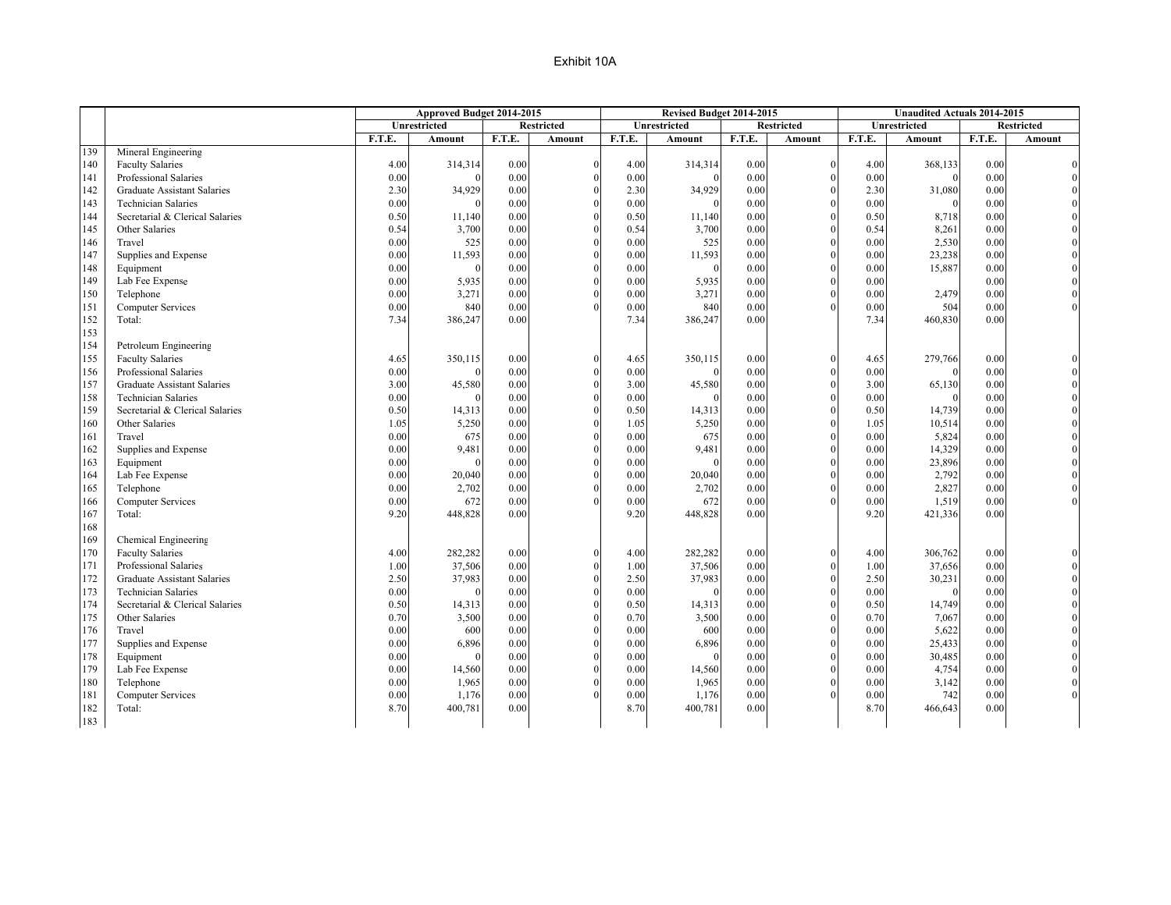| Unrestricted<br><b>Restricted</b><br>Unrestricted<br><b>Restricted</b><br><b>Unrestricted</b>                                   |          | <b>Restricted</b> |
|---------------------------------------------------------------------------------------------------------------------------------|----------|-------------------|
|                                                                                                                                 |          |                   |
| F.T.E.<br>F.T.E.<br>F.T.E.<br>F.T.E.<br>F.T.E.<br>Amount<br>Amount<br>Amount<br>Amount                                          | Amount   | F.T.E.<br>Amount  |
| 139<br>Mineral Engineering                                                                                                      |          |                   |
| 140<br><b>Faculty Salaries</b><br>4.00<br>314,314<br>0.00<br>4.00<br>314,314<br>0.00<br>$\theta$<br>$\theta$<br>4.00            | 368,133  | 0.00              |
| 141<br>Professional Salaries<br>0.00<br>0.00<br>$\theta$<br>0.00<br>0.00<br>0.00                                                | $\theta$ | 0.00              |
| 142<br>$\theta$<br><b>Graduate Assistant Salaries</b><br>2.30<br>34,929<br>0.00<br>2.30<br>34,929<br>0.00<br>$\Omega$<br>2.30   | 31,080   | 0.00              |
| 143<br><b>Technician Salaries</b><br>0.00<br>$\mathbf{0}$<br>0.00<br>0.00<br>0.00<br>0.00<br>$\Omega$<br>$\sqrt{ }$<br>$\Omega$ | $\Omega$ | 0.00              |
| 144<br>$\theta$<br>Secretarial & Clerical Salaries<br>0.50<br>0.50<br>0.00<br>0.50<br>11,140<br>0.00<br>11,140                  | 8,718    | 0.00              |
| 145<br>Other Salaries<br>0.54<br>3,700<br>$\mathbf{0}$<br>0.54<br>0.54<br>0.00<br>3,700<br>0.00<br>$\Omega$                     | 8,261    | 0.00              |
| 525<br>$\theta$<br>0.00<br>146<br>Travel<br>0.00<br>0.00<br>0.00<br>525<br>0.00                                                 | 2,530    | 0.00              |
| $\boldsymbol{0}$<br>147<br>Supplies and Expense<br>0.00<br>11,593<br>0.00<br>0.00<br>11,593<br>0.00<br>$\theta$<br>0.00         | 23,238   | 0.00              |
| $\theta$<br>148<br>Equipment<br>0.00<br>0.00<br>0.00<br>0.00<br>0.00<br>$\Omega$                                                | 15,887   | 0.00              |
| $\mathbf{0}$<br>149<br>0.00<br>Lab Fee Expense<br>0.00<br>5,935<br>0.00<br>5,935<br>0.00<br>$\Omega$<br>0.00                    |          | 0.00              |
| 150<br>3,271<br>$\theta$<br>3,271<br>Telephone<br>0.00<br>0.00<br>0.00<br>0.00<br>0.00<br>$\Omega$                              | 2,479    | 0.00              |
| $\Omega$<br>151<br><b>Computer Services</b><br>0.00<br>840<br>0.00<br>0.00<br>840<br>0.00<br>0.00                               | 504      | 0.00              |
| 152<br>Total:<br>386,247<br>7.34<br>0.00<br>7.34<br>7.34<br>0.00<br>386,247                                                     | 460,830  | 0.00              |
| 153                                                                                                                             |          |                   |
| 154<br>Petroleum Engineering                                                                                                    |          |                   |
| 155<br><b>Faculty Salaries</b><br>350,115<br>0.00<br>350,115<br>0.00<br>4.65<br>$\theta$<br>4.65<br>$\Omega$<br>4.65            | 279,766  | 0.00              |
| 156<br>0.00<br>Professional Salaries<br>0.00<br>0.00<br>$\theta$<br>0.00<br>$\Omega$<br>0.00<br>$\Omega$                        | $\Omega$ | 0.00              |
| $\theta$<br>157<br><b>Graduate Assistant Salaries</b><br>3.00<br>45,580<br>3.00<br>45,580<br>0.00<br>3.00<br>0.00<br>$\Omega$   | 65,130   | 0.00              |
| 158<br>$\mathbf{0}$<br><b>Technician Salaries</b><br>0.00<br>0.00<br>0.00<br>0.00<br>$\Omega$<br>0.00<br>$\Omega$               |          | 0.00              |
| 159<br>Secretarial & Clerical Salaries<br>0.50<br>14,313<br>0.00<br>$\theta$<br>0.50<br>0.00<br>0.50<br>14,313<br>$\Omega$      | 14,739   | 0.00              |
| $\theta$<br>Other Salaries<br>5,250<br>160<br>1.05<br>0.00<br>1.05<br>5,250<br>0.00<br>$\Omega$<br>1.05                         | 10,514   | 0.00              |
| 675<br>$\theta$<br>675<br>161<br>Travel<br>0.00<br>0.00<br>0.00<br>0.00<br>$\Omega$<br>0.00                                     | 5,824    | 0.00              |
| $\theta$<br>162<br>Supplies and Expense<br>0.00<br>9,481<br>0.00<br>9,481<br>0.00<br>$\Omega$<br>0.00<br>0.00                   | 14,329   | 0.00              |
| 163<br>$\theta$<br>0.00<br>0.00<br>0.00<br>0.00<br>$\Omega$<br>0.00<br>Equipment<br>$\sqrt{ }$<br>$\Omega$                      | 23,896   | 0.00              |
| $\theta$<br>164<br>Lab Fee Expense<br>0.00<br>0.00<br>0.00<br>0.00<br>20,040<br>0.00<br>20,040                                  | 2,792    | 0.00              |
| 165<br>2,702<br>$\theta$<br>0.00<br>Telephone<br>0.00<br>0.00<br>0.00<br>2,702<br>0.00<br>$\theta$                              | 2,827    | 0.00              |
| 672<br>0.00<br>$\Omega$<br>0.00<br>672<br>0.00<br>0.00<br>166<br><b>Computer Services</b><br>0.00                               | 1,519    | 0.00              |
| 167<br>448,828<br>Total:<br>9.20<br>0.00<br>9.20<br>448,828<br>0.00<br>9.20                                                     | 421,336  | 0.00              |
| 168                                                                                                                             |          |                   |
| 169<br>Chemical Engineering                                                                                                     |          |                   |
| 170<br><b>Faculty Salaries</b><br>282,282<br>0.00<br>282,282<br>4.00<br>$\theta$<br>4.00<br>0.00<br>$\Omega$<br>4.00            | 306,762  | 0.00              |
| 171<br>37,506<br>$\theta$<br>0.00<br>Professional Salaries<br>1.00<br>0.00<br>1.00<br>37,506<br>$\Omega$<br>1.00                | 37,656   | 0.00              |
| 172<br>$\theta$<br><b>Graduate Assistant Salaries</b><br>2.50<br>37,983<br>0.00<br>2.50<br>37,983<br>0.00<br>$\Omega$<br>2.50   | 30,231   | 0.00              |
| 173<br><b>Technician Salaries</b><br>$\mathbf{0}$<br>0.00<br>0.00<br>0.00<br>0.00<br>0.00<br>$\Omega$                           | $\Omega$ | 0.00              |
| 174<br>$\theta$<br>Secretarial & Clerical Salaries<br>0.50<br>0.00<br>0.50<br>0.00<br>0.50<br>14,313<br>14,313<br>$\theta$      | 14,749   | 0.00              |
| $\theta$<br>175<br>3,500<br>0.00<br>0.70<br>Other Salaries<br>0.70<br>0.00<br>0.70<br>3,500                                     | 7,067    | 0.00              |
| 176<br>$\theta$<br>Travel<br>0.00<br>600<br>0.00<br>0.00<br>600<br>0.00<br>$\Omega$<br>0.00                                     | 5,622    | 0.00              |
| $\theta$<br>177<br>Supplies and Expense<br>0.00<br>0.00<br>0.00<br>0.00<br>6,896<br>0.00<br>6,896                               | 25,433   | 0.00              |
| $\theta$<br>178<br>Equipment<br>0.00<br>0.00<br>0.00<br>0.00<br>$\Omega$<br>0.00<br>$\Omega$                                    | 30,485   | 0.00              |
| 179<br>Lab Fee Expense<br>0.00<br>$\theta$<br>0.00<br>0.00<br>0.00<br>14,560<br>0.00<br>14,560<br>$\Omega$                      | 4,754    | 0.00              |
| $\theta$<br>180<br>Telephone<br>0.00<br>1,965<br>0.00<br>0.00<br>1,965<br>0.00<br>0.00                                          | 3,142    | 0.00              |
| 181<br>0.00<br>1,176<br>$\Omega$<br>0.00<br>1,176<br>0.00<br>0.00<br>Computer Services<br>0.00                                  | 742      | 0.00              |
| 182<br>Total:<br>8.70<br>400,781<br>8.70<br>400,781<br>0.00<br>8.70<br>0.00                                                     | 466,643  | 0.00              |
| 183                                                                                                                             |          |                   |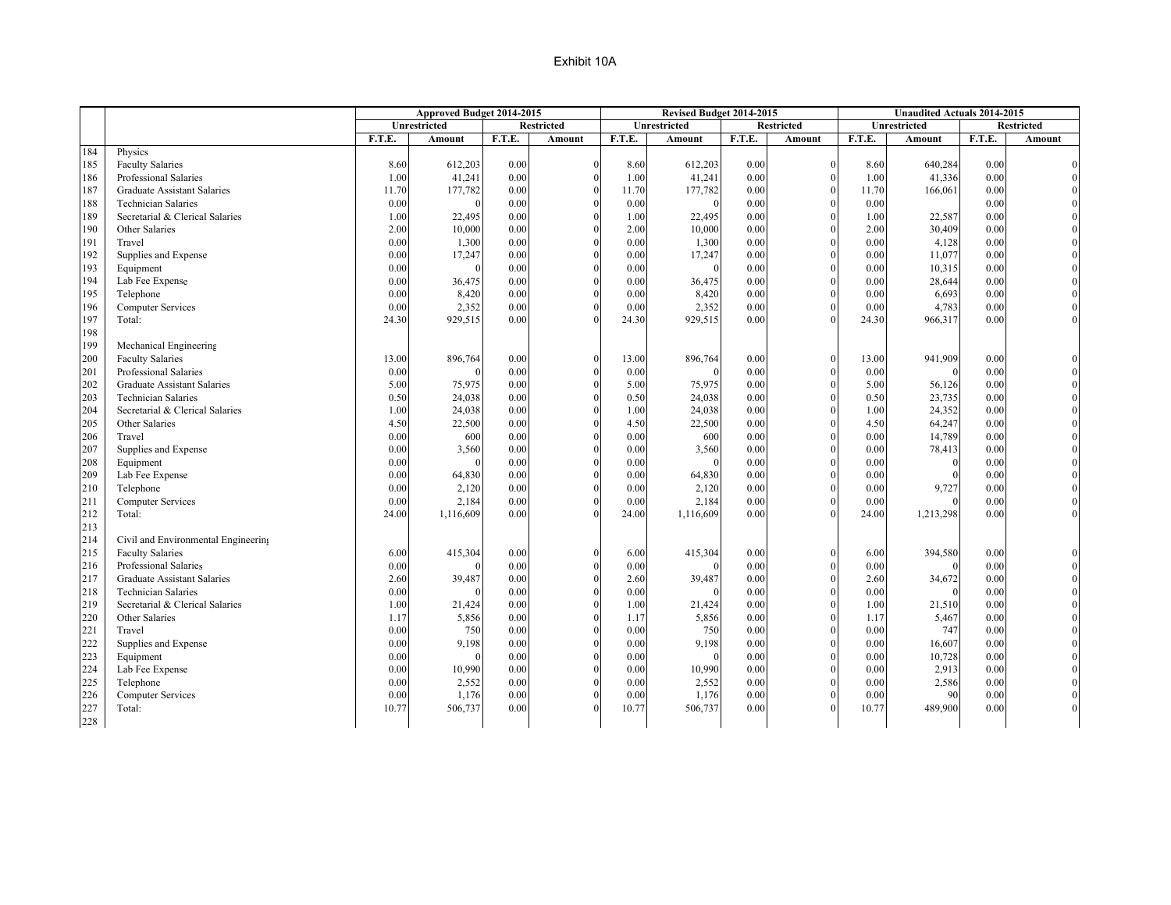|     |                                     |        | Approved Budget 2014-2015 |        |                   |        | Revised Budget 2014-2015 |               |                   |        | <b>Unaudited Actuals 2014-2015</b> |        |                   |
|-----|-------------------------------------|--------|---------------------------|--------|-------------------|--------|--------------------------|---------------|-------------------|--------|------------------------------------|--------|-------------------|
|     |                                     |        | Unrestricted              |        | <b>Restricted</b> |        | Unrestricted             |               | <b>Restricted</b> |        | <b>Unrestricted</b>                |        | <b>Restricted</b> |
|     |                                     | F.T.E. | Amount                    | F.T.E. | Amount            | F.T.E. | Amount                   | <b>F.T.E.</b> | Amount            | F.T.E. | Amount                             | F.T.E. | Amount            |
| 184 | Physics                             |        |                           |        |                   |        |                          |               |                   |        |                                    |        |                   |
| 185 | <b>Faculty Salaries</b>             | 8.60   | 612,203                   | 0.00   | $\boldsymbol{0}$  | 8.60   | 612,203                  | 0.00          | $\Omega$          | 8.60   | 640,284                            | 0.00   |                   |
| 186 | Professional Salaries               | 1.00   | 41,241                    | 0.00   | $\theta$          | 1.00   | 41,241                   | 0.00          | $\theta$          | 1.00   | 41,336                             | 0.00   |                   |
| 187 | Graduate Assistant Salaries         | 11.70  | 177,782                   | 0.00   | $\theta$          | 11.70  | 177,782                  | 0.00          | $\Omega$          | 11.70  | 166,061                            | 0.00   |                   |
| 188 | <b>Technician Salaries</b>          | 0.00   | $\Omega$                  | 0.00   | $\boldsymbol{0}$  | 0.00   |                          | 0.00          | $\theta$          | 0.00   |                                    | 0.00   |                   |
| 189 | Secretarial & Clerical Salaries     | 1.00   | 22,495                    | 0.00   | $\mathbf{0}$      | 1.00   | 22,495                   | 0.00          |                   | 1.00   | 22,587                             | 0.00   |                   |
| 190 | Other Salaries                      | 2.00   | 10,000                    | 0.00   | $\mathbf{0}$      | 2.00   | 10,000                   | 0.00          | $\Omega$          | 2.00   | 30,409                             | 0.00   |                   |
| 191 | Travel                              | 0.00   | 1,300                     | 0.00   | $\mathbf{0}$      | 0.00   | 1,300                    | 0.00          |                   | 0.00   | 4,128                              | 0.00   |                   |
| 192 | Supplies and Expense                | 0.00   | 17,247                    | 0.00   | $\boldsymbol{0}$  | 0.00   | 17,247                   | 0.00          | $\theta$          | 0.00   | 11,077                             | 0.00   |                   |
| 193 | Equipment                           | 0.00   |                           | 0.00   | $\mathbf{0}$      | 0.00   | $\Omega$                 | 0.00          | $\Omega$          | 0.00   | 10,315                             | 0.00   |                   |
| 194 | Lab Fee Expense                     | 0.00   | 36,475                    | 0.00   | $\mathbf{0}$      | 0.00   | 36,475                   | 0.00          | $\Omega$          | 0.00   | 28,644                             | 0.00   |                   |
| 195 | Telephone                           | 0.00   | 8,420                     | 0.00   | $\theta$          | 0.00   | 8,420                    | 0.00          |                   | 0.00   | 6,693                              | 0.00   |                   |
| 196 | <b>Computer Services</b>            | 0.00   | 2,352                     | 0.00   | $\theta$          | 0.00   | 2,352                    | 0.00          |                   | 0.00   | 4,783                              | 0.00   |                   |
| 197 | Total:                              | 24.30  | 929,515                   | 0.00   | $\theta$          | 24.30  | 929,515                  | 0.00          |                   | 24.30  | 966,317                            | 0.00   |                   |
| 198 |                                     |        |                           |        |                   |        |                          |               |                   |        |                                    |        |                   |
| 199 | Mechanical Engineering              |        |                           |        |                   |        |                          |               |                   |        |                                    |        |                   |
| 200 | <b>Faculty Salaries</b>             | 13.00  | 896,764                   | 0.00   | $\boldsymbol{0}$  | 13.00  | 896,764                  | 0.00          | $\theta$          | 13.00  | 941,909                            | 0.00   |                   |
| 201 | Professional Salaries               | 0.00   |                           | 0.00   | $\boldsymbol{0}$  | 0.00   |                          | 0.00          | $\Omega$          | 0.00   |                                    | 0.00   |                   |
| 202 | Graduate Assistant Salaries         | 5.00   | 75,975                    | 0.00   | $\boldsymbol{0}$  | 5.00   | 75,975                   | 0.00          | $\Omega$          | 5.00   | 56,126                             | 0.00   |                   |
| 203 | <b>Technician Salaries</b>          | 0.50   | 24,038                    | 0.00   | $\mathbf{0}$      | 0.50   | 24,038                   | 0.00          | $\Omega$          | 0.50   | 23,735                             | 0.00   |                   |
| 204 | Secretarial & Clerical Salaries     | 1.00   | 24,038                    | 0.00   | $\theta$          | 1.00   | 24,038                   | 0.00          | $\Omega$          | 1.00   | 24,352                             | 0.00   |                   |
| 205 | Other Salaries                      | 4.50   | 22,500                    | 0.00   | $\theta$          | 4.50   | 22,500                   | 0.00          |                   | 4.50   | 64,247                             | 0.00   |                   |
| 206 | Travel                              | 0.00   | 600                       | 0.00   | $\boldsymbol{0}$  | 0.00   | 600                      | 0.00          | $\Omega$          | 0.00   | 14,789                             | 0.00   |                   |
| 207 | Supplies and Expense                | 0.00   | 3,560                     | 0.00   | $\mathbf{0}$      | 0.00   | 3,560                    | 0.00          |                   | 0.00   | 78,413                             | 0.00   |                   |
| 208 | Equipment                           | 0.00   | $\Omega$                  | 0.00   | $\mathbf{0}$      | 0.00   | $\Omega$                 | 0.00          | $\Omega$          | 0.00   |                                    | 0.00   |                   |
| 209 | Lab Fee Expense                     | 0.00   | 64,830                    | 0.00   | $\mathbf{0}$      | 0.00   | 64,830                   | 0.00          | $\Omega$          | 0.00   |                                    | 0.00   |                   |
| 210 | Telephone                           | 0.00   | 2,120                     | 0.00   | $\boldsymbol{0}$  | 0.00   | 2,120                    | 0.00          | $\theta$          | 0.00   | 9,727                              | 0.00   |                   |
| 211 | <b>Computer Services</b>            | 0.00   | 2,184                     | 0.00   | $\theta$          | 0.00   | 2,184                    | 0.00          | $\Omega$          | 0.00   |                                    | 0.00   |                   |
| 212 | Total:                              | 24.00  | 1,116,609                 | 0.00   | $\theta$          | 24.00  | 1,116,609                | 0.00          |                   | 24.00  | 1,213,298                          | 0.00   |                   |
| 213 |                                     |        |                           |        |                   |        |                          |               |                   |        |                                    |        |                   |
| 214 | Civil and Environmental Engineering |        |                           |        |                   |        |                          |               |                   |        |                                    |        |                   |
| 215 | <b>Faculty Salaries</b>             | 6.00   | 415,304                   | 0.00   | $\mathbf{0}$      | 6.00   | 415,304                  | 0.00          |                   | 6.00   | 394,580                            | 0.00   |                   |
| 216 | Professional Salaries               | 0.00   |                           | 0.00   | $\boldsymbol{0}$  | 0.00   |                          | 0.00          | $\Omega$          | 0.00   |                                    | 0.00   |                   |
| 217 | <b>Graduate Assistant Salaries</b>  | 2.60   | 39,487                    | 0.00   | $\mathbf{0}$      | 2.60   | 39,487                   | 0.00          | $\Omega$          | 2.60   | 34,672                             | 0.00   |                   |
| 218 | <b>Technician Salaries</b>          | 0.00   |                           | 0.00   | $\mathbf{0}$      | 0.00   |                          | 0.00          | $\Omega$          | 0.00   |                                    | 0.00   |                   |
| 219 | Secretarial & Clerical Salaries     | 1.00   | 21,424                    | 0.00   | $\mathbf{0}$      | 1.00   | 21,424                   | 0.00          | $\Omega$          | 1.00   | 21,510                             | 0.00   |                   |
| 220 | Other Salaries                      | 1.17   | 5,856                     | 0.00   | $\boldsymbol{0}$  | 1.17   | 5,856                    | 0.00          |                   | 1.17   | 5,467                              | 0.00   |                   |
| 221 | Travel                              | 0.00   | 750                       | 0.00   | $\mathbf{0}$      | 0.00   | 750                      | 0.00          | $\Omega$          | 0.00   | 747                                | 0.00   |                   |
| 222 | Supplies and Expense                | 0.00   | 9,198                     | 0.00   | $\overline{0}$    | 0.00   | 9,198                    | 0.00          |                   | 0.00   | 16,607                             | 0.00   |                   |
| 223 | Equipment                           | 0.00   |                           | 0.00   | $\theta$          | 0.00   |                          | 0.00          | $\Omega$          | 0.00   | 10,728                             | 0.00   |                   |
| 224 | Lab Fee Expense                     | 0.00   | 10,990                    | 0.00   | $\mathbf{0}$      | 0.00   | 10,990                   | 0.00          |                   | 0.00   | 2,913                              | 0.00   |                   |
| 225 | Telephone                           | 0.00   | 2,552                     | 0.00   | $\theta$          | 0.00   | 2,552                    | 0.00          |                   | 0.00   | 2,586                              | 0.00   |                   |
| 226 | Computer Services                   | 0.00   | 1,176                     | 0.00   | $\mathbf{0}$      | 0.00   | 1,176                    | 0.00          |                   | 0.00   | 90                                 | 0.00   |                   |
| 227 | Total:                              | 10.77  | 506,737                   | 0.00   | $\theta$          | 10.77  | 506,737                  | 0.00          |                   | 10.77  | 489,900                            | 0.00   |                   |
| 228 |                                     |        |                           |        |                   |        |                          |               |                   |        |                                    |        |                   |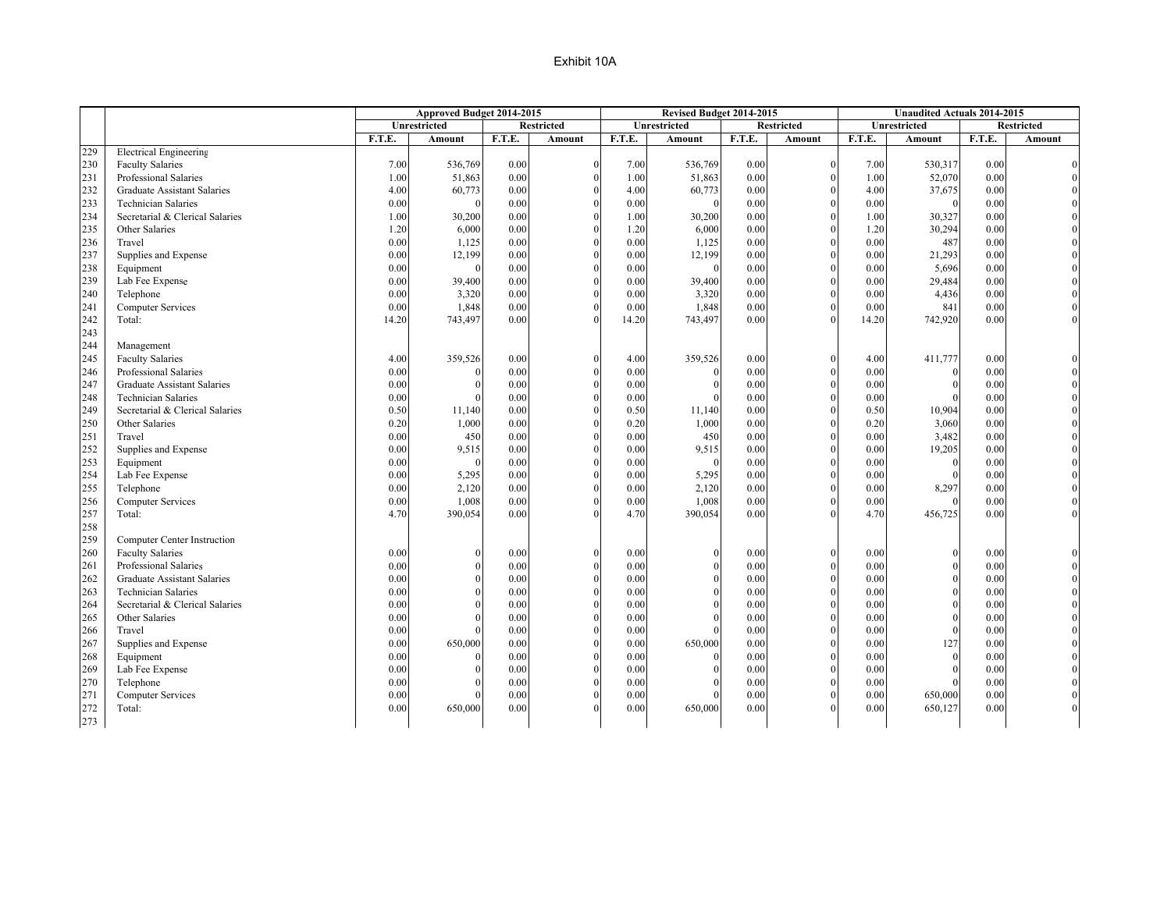|     |                                    |        | Approved Budget 2014-2015 |        |                   |        | Revised Budget 2014-2015 |        |                   |        | <b>Unaudited Actuals 2014-2015</b> |               |                   |
|-----|------------------------------------|--------|---------------------------|--------|-------------------|--------|--------------------------|--------|-------------------|--------|------------------------------------|---------------|-------------------|
|     |                                    |        | Unrestricted              |        | <b>Restricted</b> |        | <b>Unrestricted</b>      |        | <b>Restricted</b> |        | <b>Unrestricted</b>                |               | <b>Restricted</b> |
|     |                                    | F.T.E. | Amount                    | F.T.E. | Amount            | F.T.E. | Amount                   | F.T.E. | Amount            | F.T.E. | Amount                             | <b>F.T.E.</b> | Amount            |
| 229 | <b>Electrical Engineering</b>      |        |                           |        |                   |        |                          |        |                   |        |                                    |               |                   |
| 230 | <b>Faculty Salaries</b>            | 7.00   | 536,769                   | 0.00   | $\mathbf{0}$      | 7.00   | 536,769                  | 0.00   | $\Omega$          | 7.00   | 530,317                            | 0.00          |                   |
| 231 | Professional Salaries              | 1.00   | 51,863                    | 0.00   | $\theta$          | 1.00   | 51,863                   | 0.00   |                   | 1.00   | 52,070                             | 0.00          |                   |
| 232 | <b>Graduate Assistant Salaries</b> | 4.00   | 60,773                    | 0.00   | $\theta$          | 4.00   | 60,773                   | 0.00   |                   | 4.00   | 37,675                             | 0.00          |                   |
| 233 | <b>Technician Salaries</b>         | 0.00   | $\Omega$                  | 0.00   | $\theta$          | 0.00   |                          | 0.00   |                   | 0.00   | $\Omega$                           | 0.00          |                   |
| 234 | Secretarial & Clerical Salaries    | 1.00   | 30,200                    | 0.00   | $\Omega$          | 1.00   | 30,200                   | 0.00   |                   | 1.00   | 30,327                             | 0.00          |                   |
| 235 | Other Salaries                     | 1.20   | 6,000                     | 0.00   | $\theta$          | 1.20   | 6,000                    | 0.00   |                   | 1.20   | 30,294                             | 0.00          |                   |
| 236 | Travel                             | 0.00   | 1,125                     | 0.00   | $\Omega$          | 0.00   | 1,125                    | 0.00   |                   | 0.00   | 487                                | 0.00          |                   |
| 237 | Supplies and Expense               | 0.00   | 12,199                    | 0.00   | $\theta$          | 0.00   | 12,199                   | 0.00   |                   | 0.00   | 21,293                             | 0.00          |                   |
| 238 | Equipment                          | 0.00   |                           | 0.00   | $\theta$          | 0.00   | $\Omega$                 | 0.00   |                   | 0.00   | 5,696                              | 0.00          |                   |
| 239 | Lab Fee Expense                    | 0.00   | 39,400                    | 0.00   | $\theta$          | 0.00   | 39,400                   | 0.00   |                   | 0.00   | 29,484                             | 0.00          |                   |
| 240 | Telephone                          | 0.00   | 3,320                     | 0.00   | $\Omega$          | 0.00   | 3,320                    | 0.00   |                   | 0.00   | 4,436                              | 0.00          |                   |
| 241 | <b>Computer Services</b>           | 0.00   | 1,848                     | 0.00   | $\theta$          | 0.00   | 1,848                    | 0.00   |                   | 0.00   | 841                                | 0.00          |                   |
| 242 | Total:                             | 14.20  | 743,497                   | 0.00   | $\Omega$          | 14.20  | 743,497                  | 0.00   |                   | 14.20  | 742,920                            | 0.00          |                   |
| 243 |                                    |        |                           |        |                   |        |                          |        |                   |        |                                    |               |                   |
| 244 | Management                         |        |                           |        |                   |        |                          |        |                   |        |                                    |               |                   |
| 245 | <b>Faculty Salaries</b>            | 4.00   | 359,526                   | 0.00   | $\Omega$          | 4.00   | 359,526                  | 0.00   |                   | 4.00   | 411,777                            | 0.00          |                   |
| 246 | Professional Salaries              | 0.00   |                           | 0.00   | $\Omega$          | 0.00   |                          | 0.00   |                   | 0.00   |                                    | 0.00          |                   |
| 247 | <b>Graduate Assistant Salaries</b> | 0.00   |                           | 0.00   | $\mathbf{0}$      | 0.00   |                          | 0.00   |                   | 0.00   |                                    | 0.00          |                   |
| 248 | <b>Technician Salaries</b>         | 0.00   |                           | 0.00   | $\theta$          | 0.00   |                          | 0.00   |                   | 0.00   |                                    | 0.00          |                   |
| 249 | Secretarial & Clerical Salaries    | 0.50   | 11,140                    | 0.00   | $\Omega$          | 0.50   | 11,140                   | 0.00   |                   | 0.50   | 10,904                             | 0.00          |                   |
| 250 | Other Salaries                     | 0.20   | 1,000                     | 0.00   | $\theta$          | 0.20   | 1,000                    | 0.00   |                   | 0.20   | 3,060                              | 0.00          |                   |
| 251 | Travel                             | 0.00   | 450                       | 0.00   | $\theta$          | 0.00   | 450                      | 0.00   |                   | 0.00   | 3,482                              | 0.00          |                   |
| 252 | Supplies and Expense               | 0.00   | 9,515                     | 0.00   | $\Omega$          | 0.00   | 9,515                    | 0.00   |                   | 0.00   | 19,205                             | 0.00          |                   |
| 253 | Equipment                          | 0.00   | $\Omega$                  | 0.00   | $\theta$          | 0.00   | $\Omega$                 | 0.00   |                   | 0.00   | $\Omega$                           | 0.00          |                   |
| 254 | Lab Fee Expense                    | 0.00   | 5,295                     | 0.00   | $\Omega$          | 0.00   | 5,295                    | 0.00   |                   | 0.00   |                                    | 0.00          |                   |
| 255 | Telephone                          | 0.00   | 2,120                     | 0.00   | $\mathbf{0}$      | 0.00   | 2,120                    | 0.00   |                   | 0.00   | 8,297                              | 0.00          |                   |
| 256 | Computer Services                  | 0.00   | 1,008                     | 0.00   | $\theta$          | 0.00   | 1,008                    | 0.00   |                   | 0.00   |                                    | 0.00          |                   |
| 257 | Total:                             | 4.70   | 390,054                   | 0.00   | $\Omega$          | 4.70   | 390,054                  | 0.00   |                   | 4.70   | 456,725                            | 0.00          |                   |
| 258 |                                    |        |                           |        |                   |        |                          |        |                   |        |                                    |               |                   |
| 259 | Computer Center Instruction        |        |                           |        |                   |        |                          |        |                   |        |                                    |               |                   |
| 260 | <b>Faculty Salaries</b>            | 0.00   |                           | 0.00   | $\Omega$          | 0.00   |                          | 0.00   |                   | 0.00   |                                    | 0.00          |                   |
| 261 | Professional Salaries              | 0.00   |                           | 0.00   | $\theta$          | 0.00   |                          | 0.00   |                   | 0.00   |                                    | 0.00          |                   |
| 262 | Graduate Assistant Salaries        | 0.00   |                           | 0.00   | $\theta$          | 0.00   |                          | 0.00   |                   | 0.00   |                                    | 0.00          |                   |
| 263 | <b>Technician Salaries</b>         | 0.00   |                           | 0.00   | $\Omega$          | 0.00   |                          | 0.00   |                   | 0.00   |                                    | 0.00          |                   |
| 264 | Secretarial & Clerical Salaries    | 0.00   |                           | 0.00   | $\theta$          | 0.00   |                          | 0.00   |                   | 0.00   |                                    | 0.00          |                   |
| 265 | Other Salaries                     | 0.00   |                           | 0.00   | $\Omega$          | 0.00   |                          | 0.00   |                   | 0.00   |                                    | 0.00          |                   |
| 266 | Travel                             | 0.00   |                           | 0.00   | $\Omega$          | 0.00   |                          | 0.00   |                   | 0.00   |                                    | 0.00          |                   |
| 267 | Supplies and Expense               | 0.00   | 650,000                   | 0.00   | $\theta$          | 0.00   | 650,000                  | 0.00   |                   | 0.00   | 127                                | 0.00          |                   |
| 268 | Equipment                          | 0.00   |                           | 0.00   | $\theta$          | 0.00   |                          | 0.00   |                   | 0.00   |                                    | 0.00          |                   |
| 269 | Lab Fee Expense                    | 0.00   |                           | 0.00   | $\theta$          | 0.00   |                          | 0.00   |                   | 0.00   |                                    | 0.00          |                   |
| 270 | Telephone                          | 0.00   |                           | 0.00   | $\Omega$          | 0.00   |                          | 0.00   |                   | 0.00   |                                    | 0.00          |                   |
| 271 | <b>Computer Services</b>           | 0.00   |                           | 0.00   | $\Omega$          | 0.00   |                          | 0.00   |                   | 0.00   | 650,000                            | 0.00          |                   |
| 272 | Total:                             | 0.00   | 650,000                   | 0.00   | $\Omega$          | 0.00   | 650,000                  | 0.00   |                   | 0.00   | 650,127                            | 0.00          |                   |
| 273 |                                    |        |                           |        |                   |        |                          |        |                   |        |                                    |               |                   |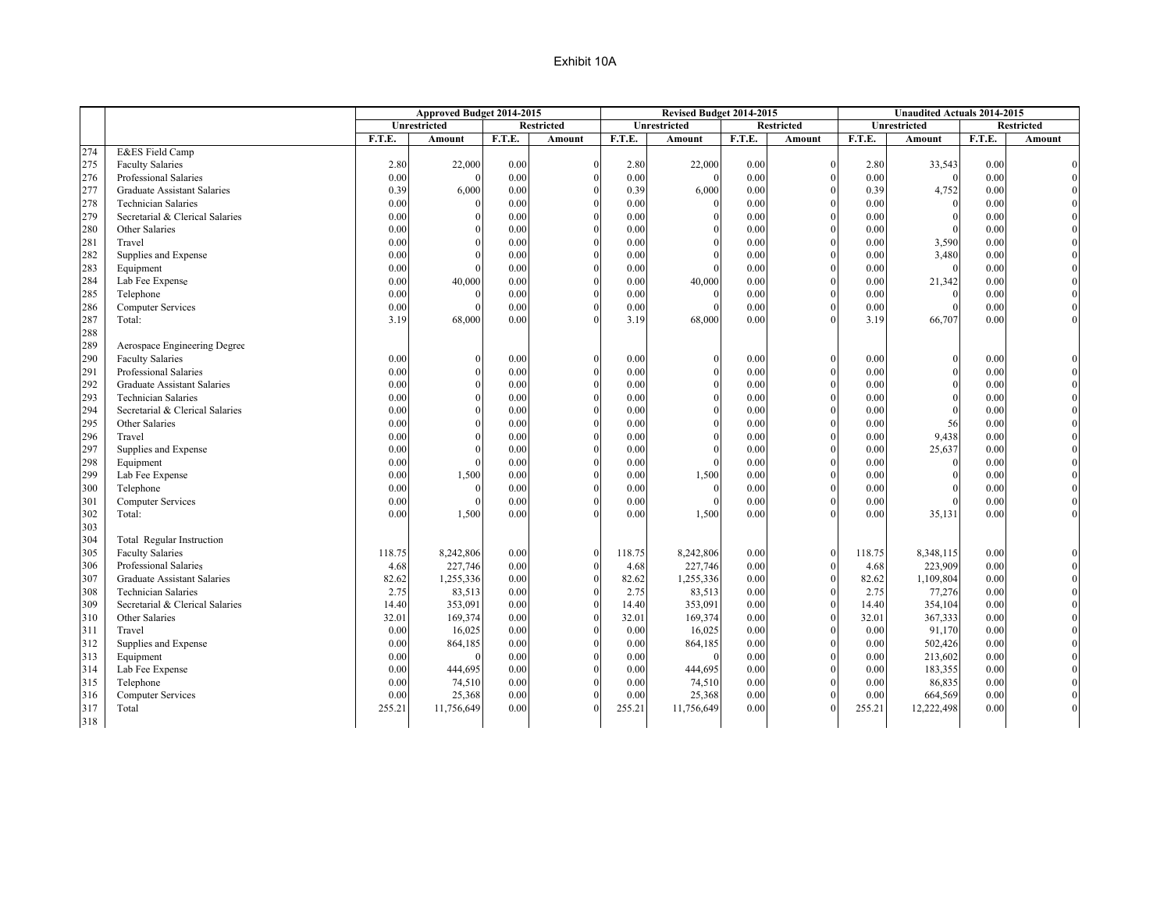|     |                                    |              | Approved Budget 2014-2015 |              |                   |              | Revised Budget 2014-2015 |              |                   |        | <b>Unaudited Actuals 2014-2015</b> |        |                   |
|-----|------------------------------------|--------------|---------------------------|--------------|-------------------|--------------|--------------------------|--------------|-------------------|--------|------------------------------------|--------|-------------------|
|     |                                    |              | <b>Unrestricted</b>       |              | <b>Restricted</b> |              | <b>Unrestricted</b>      |              | <b>Restricted</b> |        | <b>Unrestricted</b>                |        | <b>Restricted</b> |
|     |                                    | F.T.E.       | Amount                    | F.T.E.       | Amount            | F.T.E.       | Amount                   | F.T.E.       | Amount            | F.T.E. | <b>Amount</b>                      | F.T.E. | Amount            |
| 274 | E&ES Field Camp                    |              |                           |              |                   |              |                          |              |                   |        |                                    |        |                   |
| 275 | <b>Faculty Salaries</b>            | 2.80         | 22,000                    | 0.00         | $\mathbf{0}$      | 2.80         | 22,000                   | 0.00         | $\theta$          | 2.80   | 33,543                             | 0.00   |                   |
| 276 | Professional Salaries              | 0.00         |                           | 0.00         | $\theta$          | 0.00         | $\Omega$                 | 0.00         |                   | 0.00   | $\theta$                           | 0.00   |                   |
| 277 | <b>Graduate Assistant Salaries</b> | 0.39         | 6,000                     | 0.00         | $\theta$          | 0.39         | 6,000                    | 0.00         |                   | 0.39   | 4,752                              | 0.00   |                   |
| 278 | <b>Technician Salaries</b>         | 0.00         |                           | 0.00         | $\theta$          | 0.00         |                          | 0.00         |                   | 0.00   | $\Omega$                           | 0.00   |                   |
| 279 | Secretarial & Clerical Salaries    | 0.00         |                           | 0.00         | $\theta$          | 0.00         | 0                        | 0.00         |                   | 0.00   |                                    | 0.00   |                   |
| 280 | Other Salaries                     | 0.00         |                           | 0.00         | $\theta$          | 0.00         |                          | 0.00         | $\Omega$          | 0.00   |                                    | 0.00   |                   |
| 281 | Travel                             | 0.00         |                           | 0.00         | $\theta$          | 0.00         |                          | 0.00         |                   | 0.00   | 3,590                              | 0.00   |                   |
| 282 | Supplies and Expense               | 0.00         |                           | 0.00         | $\theta$          | 0.00         | $\Omega$                 | 0.00         | $\Omega$          | 0.00   | 3,480                              | 0.00   |                   |
| 283 | Equipment                          | 0.00         |                           | 0.00         | $\theta$          | 0.00         |                          | 0.00         |                   | 0.00   | $\Omega$                           | 0.00   |                   |
| 284 | Lab Fee Expense                    | 0.00         | 40,000                    | 0.00         | $\theta$          | 0.00         | 40,000                   | 0.00         |                   | 0.00   | 21,342                             | 0.00   |                   |
| 285 | Telephone                          | 0.00         |                           | 0.00         | $\theta$          | 0.00         | $\Omega$                 | 0.00         |                   | 0.00   | $\Omega$                           | 0.00   |                   |
| 286 | <b>Computer Services</b>           | 0.00         |                           | 0.00         | $\theta$          | 0.00         |                          | 0.00         |                   | 0.00   |                                    | 0.00   |                   |
| 287 | Total:                             | 3.19         | 68,000                    | 0.00         | $\Omega$          | 3.19         | 68,000                   | 0.00         |                   | 3.19   | 66,707                             | 0.00   |                   |
| 288 |                                    |              |                           |              |                   |              |                          |              |                   |        |                                    |        |                   |
| 289 | Aerospace Engineering Degree       |              |                           |              |                   |              |                          |              |                   |        |                                    |        |                   |
| 290 | <b>Faculty Salaries</b>            | 0.00         |                           | 0.00         | $\theta$          | 0.00         | $\Omega$                 | 0.00         | $\Omega$          | 0.00   |                                    | 0.00   |                   |
| 291 | Professional Salaries              | 0.00         |                           | 0.00         | $\theta$          | 0.00         |                          | 0.00         | $\Omega$          | 0.00   | $\Omega$                           | 0.00   |                   |
| 292 | <b>Graduate Assistant Salaries</b> | 0.00         |                           | 0.00         | $\theta$          | 0.00         |                          | 0.00         |                   | 0.00   |                                    | 0.00   |                   |
| 293 | <b>Technician Salaries</b>         | 0.00         |                           | 0.00         | $\theta$          | 0.00         |                          | 0.00         | $\Omega$          | 0.00   |                                    | 0.00   |                   |
| 294 | Secretarial & Clerical Salaries    | 0.00         |                           | 0.00         | $\theta$          | 0.00         |                          | 0.00         |                   | 0.00   | $\Omega$                           | 0.00   |                   |
| 295 | Other Salaries                     |              |                           |              | $\theta$          |              |                          |              |                   | 0.00   | 56                                 | 0.00   |                   |
| 296 | Travel                             | 0.00<br>0.00 |                           | 0.00<br>0.00 | $\Omega$          | 0.00<br>0.00 |                          | 0.00<br>0.00 |                   | 0.00   | 9,438                              | 0.00   |                   |
|     |                                    |              |                           |              | $\theta$          |              |                          |              |                   |        |                                    |        |                   |
| 297 | Supplies and Expense               | 0.00         |                           | 0.00         | $\theta$          | 0.00         | $\Omega$                 | 0.00         | $\Omega$          | 0.00   | 25,637                             | 0.00   |                   |
| 298 | Equipment                          | 0.00         |                           | 0.00         |                   | 0.00         | $\Omega$                 | 0.00         |                   | 0.00   | $\Omega$                           | 0.00   |                   |
| 299 | Lab Fee Expense                    | 0.00         | 1,500                     | 0.00         | $\mathbf{0}$      | 0.00         | 1,500                    | 0.00         |                   | 0.00   |                                    | 0.00   |                   |
| 300 | Telephone                          | 0.00         | $\sqrt{ }$                | 0.00         | $\theta$          | 0.00         | $\Omega$                 | 0.00         | $\Omega$          | 0.00   |                                    | 0.00   |                   |
| 301 | <b>Computer Services</b>           | 0.00         |                           | 0.00         | $\theta$          | 0.00         |                          | 0.00         |                   | 0.00   |                                    | 0.00   |                   |
| 302 | Total:                             | 0.00         | 1,500                     | 0.00         | $\Omega$          | 0.00         | 1,500                    | 0.00         |                   | 0.00   | 35,131                             | 0.00   |                   |
| 303 |                                    |              |                           |              |                   |              |                          |              |                   |        |                                    |        |                   |
| 304 | Total Regular Instruction          |              |                           |              |                   |              |                          |              |                   |        |                                    |        |                   |
| 305 | <b>Faculty Salaries</b>            | 118.75       | 8,242,806                 | 0.00         | $\theta$          | 118.75       | 8,242,806                | 0.00         | $\Omega$          | 118.75 | 8,348,115                          | 0.00   |                   |
| 306 | Professional Salaries              | 4.68         | 227,746                   | 0.00         | $\Omega$          | 4.68         | 227,746                  | 0.00         |                   | 4.68   | 223,909                            | 0.00   |                   |
| 307 | <b>Graduate Assistant Salaries</b> | 82.62        | 1,255,336                 | 0.00         | $\theta$          | 82.62        | 1,255,336                | 0.00         |                   | 82.62  | 1,109,804                          | 0.00   |                   |
| 308 | <b>Technician Salaries</b>         | 2.75         | 83,513                    | 0.00         | $\theta$          | 2.75         | 83,513                   | 0.00         |                   | 2.75   | 77,276                             | 0.00   |                   |
| 309 | Secretarial & Clerical Salaries    | 14.40        | 353,091                   | 0.00         | $\theta$          | 14.40        | 353,091                  | 0.00         | $\theta$          | 14.40  | 354,104                            | 0.00   |                   |
| 310 | Other Salaries                     | 32.01        | 169,374                   | 0.00         | $\Omega$          | 32.01        | 169,374                  | 0.00         |                   | 32.01  | 367,333                            | 0.00   |                   |
| 311 | Travel                             | 0.00         | 16,025                    | 0.00         | $\theta$          | 0.00         | 16,025                   | 0.00         |                   | 0.00   | 91,170                             | 0.00   |                   |
| 312 | Supplies and Expense               | 0.00         | 864,185                   | 0.00         | $\theta$          | 0.00         | 864,185                  | 0.00         |                   | 0.00   | 502,426                            | 0.00   |                   |
| 313 | Equipment                          | 0.00         |                           | 0.00         | $\theta$          | 0.00         | $\Omega$                 | 0.00         |                   | 0.00   | 213,602                            | 0.00   |                   |
| 314 | Lab Fee Expense                    | 0.00         | 444,695                   | 0.00         | $\theta$          | 0.00         | 444,695                  | 0.00         |                   | 0.00   | 183,355                            | 0.00   |                   |
| 315 | Telephone                          | 0.00         | 74,510                    | 0.00         | $\theta$          | 0.00         | 74,510                   | 0.00         |                   | 0.00   | 86,835                             | 0.00   |                   |
| 316 | Computer Services                  | 0.00         | 25,368                    | 0.00         | $\Omega$          | 0.00         | 25,368                   | 0.00         |                   | 0.00   | 664,569                            | 0.00   |                   |
| 317 | Total                              | 255.21       | 11,756,649                | 0.00         | $\theta$          | 255.21       | 11,756,649               | 0.00         |                   | 255.21 | 12,222,498                         | 0.00   |                   |
| 318 |                                    |              |                           |              |                   |              |                          |              |                   |        |                                    |        |                   |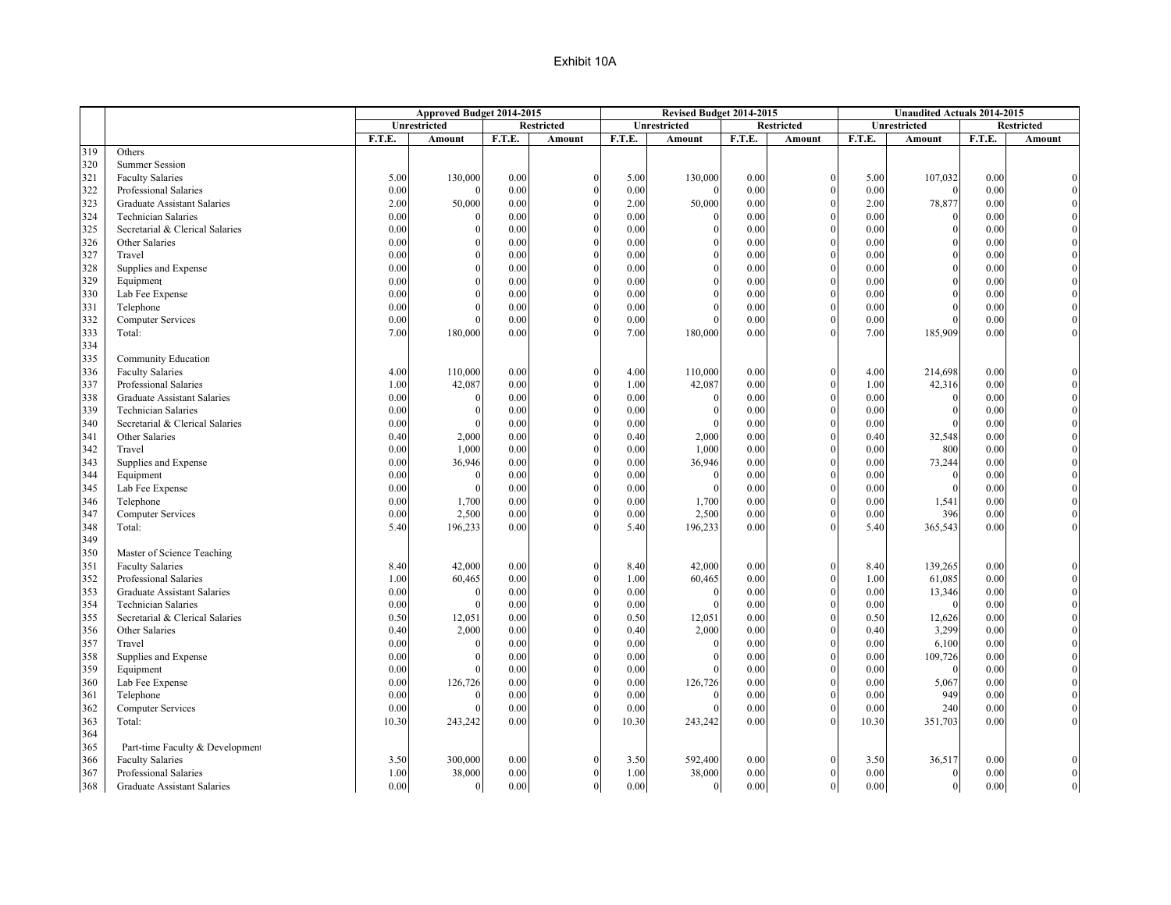|     |                                    |        | Approved Budget 2014-2015 |        |                   |        | Revised Budget 2014-2015 |        |                   |        | <b>Unaudited Actuals 2014-2015</b> |        |                   |
|-----|------------------------------------|--------|---------------------------|--------|-------------------|--------|--------------------------|--------|-------------------|--------|------------------------------------|--------|-------------------|
|     |                                    |        | Unrestricted              |        | <b>Restricted</b> |        | Unrestricted             |        | <b>Restricted</b> |        | Unrestricted                       |        | <b>Restricted</b> |
|     |                                    | F.T.E. | Amount                    | F.T.E. | <b>Amount</b>     | F.T.E. | <b>Amount</b>            | F.T.E. | <b>Amount</b>     | F.T.E. | Amount                             | F.T.E. | Amount            |
| 319 | Others                             |        |                           |        |                   |        |                          |        |                   |        |                                    |        |                   |
| 320 | <b>Summer Session</b>              |        |                           |        |                   |        |                          |        |                   |        |                                    |        |                   |
| 321 | <b>Faculty Salaries</b>            | 5.00   | 130,000                   | 0.00   | $\theta$          | 5.00   | 130,000                  | 0.00   | $\Omega$          | 5.00   | 107,032                            | 0.00   |                   |
| 322 | Professional Salaries              | 0.00   |                           | 0.00   | $\Omega$          | 0.00   |                          | 0.00   |                   | 0.00   |                                    | 0.00   |                   |
| 323 | <b>Graduate Assistant Salaries</b> | 2.00   | 50,000                    | 0.00   | $\theta$          | 2.00   | 50,000                   | 0.00   |                   | 2.00   | 78,877                             | 0.00   |                   |
| 324 | <b>Technician Salaries</b>         | 0.00   |                           | 0.00   | $\theta$          | 0.00   |                          | 0.00   |                   | 0.00   |                                    | 0.00   |                   |
| 325 | Secretarial & Clerical Salaries    | 0.00   |                           | 0.00   | $\theta$          | 0.00   |                          | 0.00   |                   | 0.00   |                                    | 0.00   |                   |
| 326 | Other Salaries                     | 0.00   |                           | 0.00   | $\theta$          | 0.00   |                          | 0.00   |                   | 0.00   |                                    | 0.00   |                   |
| 327 | Travel                             | 0.00   |                           | 0.00   | $\theta$          | 0.00   |                          | 0.00   |                   | 0.00   |                                    | 0.00   |                   |
| 328 | Supplies and Expense               | 0.00   |                           | 0.00   | $\theta$          | 0.00   |                          | 0.00   |                   | 0.00   |                                    | 0.00   |                   |
| 329 | Equipment                          | 0.00   |                           | 0.00   | $\mathbf{0}$      | 0.00   |                          | 0.00   |                   | 0.00   |                                    | 0.00   |                   |
| 330 | Lab Fee Expense                    | 0.00   |                           | 0.00   | $\theta$          | 0.00   |                          | 0.00   |                   | 0.00   |                                    | 0.00   |                   |
| 331 | Telephone                          | 0.00   |                           | 0.00   | $\mathbf{0}$      | 0.00   |                          | 0.00   | $\Omega$          | 0.00   |                                    | 0.00   |                   |
| 332 | <b>Computer Services</b>           | 0.00   |                           | 0.00   | $\Omega$          | 0.00   |                          | 0.00   |                   | 0.00   |                                    | 0.00   |                   |
| 333 | Total:                             | 7.00   | 180,000                   | 0.00   | $\Omega$          | 7.00   | 180,000                  | 0.00   |                   | 7.00   | 185,909                            | 0.00   |                   |
| 334 |                                    |        |                           |        |                   |        |                          |        |                   |        |                                    |        |                   |
| 335 | Community Education                |        |                           |        |                   |        |                          |        |                   |        |                                    |        |                   |
| 336 | <b>Faculty Salaries</b>            | 4.00   | 110,000                   | 0.00   | $\theta$          | 4.00   | 110,000                  | 0.00   | $\Omega$          | 4.00   | 214,698                            | 0.00   |                   |
| 337 | Professional Salaries              | 1.00   | 42,087                    | 0.00   | $\Omega$          | 1.00   | 42,087                   | 0.00   |                   | 1.00   | 42,316                             | 0.00   |                   |
| 338 | Graduate Assistant Salaries        | 0.00   |                           | 0.00   | $\theta$          | 0.00   |                          | 0.00   |                   | 0.00   | $\sqrt{ }$                         | 0.00   |                   |
| 339 | <b>Technician Salaries</b>         | 0.00   |                           | 0.00   | $\theta$          | 0.00   | 0                        | 0.00   | $\Omega$          | 0.00   |                                    | 0.00   |                   |
| 340 | Secretarial & Clerical Salaries    | 0.00   |                           | 0.00   | $\theta$          | 0.00   |                          | 0.00   |                   | 0.00   |                                    | 0.00   |                   |
| 341 | Other Salaries                     | 0.40   | 2,000                     | 0.00   | $\theta$          | 0.40   | 2,000                    | 0.00   | $\Omega$          | 0.40   | 32,548                             | 0.00   |                   |
| 342 | Travel                             | 0.00   | 1,000                     | 0.00   | $\theta$          | 0.00   | 1,000                    | 0.00   |                   | 0.00   | 800                                | 0.00   |                   |
| 343 | Supplies and Expense               | 0.00   | 36,946                    | 0.00   | $\theta$          | 0.00   | 36,946                   | 0.00   |                   | 0.00   | 73,244                             | 0.00   |                   |
| 344 | Equipment                          | 0.00   |                           | 0.00   | $\mathbf{0}$      | 0.00   |                          | 0.00   |                   | 0.00   | $\Omega$                           | 0.00   |                   |
| 345 | Lab Fee Expense                    | 0.00   | $\Omega$                  | 0.00   | $\theta$          | 0.00   |                          | 0.00   |                   | 0.00   |                                    | 0.00   |                   |
| 346 | Telephone                          | 0.00   | 1,700                     | 0.00   | $\theta$          | 0.00   | 1,700                    | 0.00   | $\Omega$          | 0.00   | 1,541                              | 0.00   |                   |
| 347 | <b>Computer Services</b>           | 0.00   | 2,500                     | 0.00   | $\Omega$          | 0.00   | 2,500                    | 0.00   |                   | 0.00   | 396                                | 0.00   |                   |
| 348 | Total:                             | 5.40   | 196,233                   | 0.00   | $\Omega$          | 5.40   | 196,233                  | 0.00   |                   | 5.40   | 365,543                            | 0.00   |                   |
| 349 |                                    |        |                           |        |                   |        |                          |        |                   |        |                                    |        |                   |
| 350 | Master of Science Teaching         |        |                           |        |                   |        |                          |        |                   |        |                                    |        |                   |
| 351 | <b>Faculty Salaries</b>            | 8.40   | 42,000                    | 0.00   | $\theta$          | 8.40   | 42,000                   | 0.00   | $\Omega$          | 8.40   | 139,265                            | 0.00   |                   |
| 352 | Professional Salaries              | 1.00   | 60,465                    | 0.00   | $\Omega$          | 1.00   | 60,465                   | 0.00   |                   | 1.00   | 61,085                             | 0.00   |                   |
| 353 | <b>Graduate Assistant Salaries</b> | 0.00   | $\Omega$                  | 0.00   | $\Omega$          | 0.00   | $\Omega$                 | 0.00   |                   | 0.00   | 13,346                             | 0.00   |                   |
| 354 | <b>Technician Salaries</b>         | 0.00   |                           | 0.00   | $\theta$          | 0.00   | $\Omega$                 | 0.00   | $\Omega$          | 0.00   | $\Omega$                           | 0.00   |                   |
| 355 | Secretarial & Clerical Salaries    | 0.50   | 12,051                    | 0.00   | $\theta$          | 0.50   | 12,051                   | 0.00   |                   | 0.50   | 12,626                             | 0.00   |                   |
| 356 | Other Salaries                     | 0.40   | 2,000                     | 0.00   | $\theta$          | 0.40   | 2,000                    | 0.00   | $\Omega$          | 0.40   | 3,299                              | 0.00   |                   |
| 357 | Travel                             | 0.00   |                           | 0.00   | $\theta$          | 0.00   |                          | 0.00   |                   | 0.00   | 6,100                              | 0.00   |                   |
| 358 | Supplies and Expense               | 0.00   |                           | 0.00   | $\theta$          | 0.00   |                          | 0.00   |                   | 0.00   | 109,726                            | 0.00   |                   |
| 359 | Equipment                          | 0.00   |                           | 0.00   | $\theta$          | 0.00   |                          | 0.00   |                   | 0.00   | $\Omega$                           | 0.00   |                   |
| 360 | Lab Fee Expense                    | 0.00   | 126,726                   | 0.00   | $\theta$          | 0.00   | 126,726                  | 0.00   |                   | 0.00   | 5,067                              | 0.00   |                   |
| 361 | Telephone                          | 0.00   |                           | 0.00   | $\theta$          | 0.00   | $\Omega$                 | 0.00   | $\Omega$          | 0.00   | 949                                | 0.00   |                   |
| 362 | <b>Computer Services</b>           | 0.00   |                           | 0.00   | $\Omega$          | 0.00   |                          | 0.00   |                   | 0.00   | 240                                | 0.00   |                   |
| 363 | Total:                             | 10.30  | 243,242                   | 0.00   | $\Omega$          | 10.30  | 243,242                  | 0.00   |                   | 10.30  | 351,703                            | 0.00   |                   |
| 364 |                                    |        |                           |        |                   |        |                          |        |                   |        |                                    |        |                   |
| 365 | Part-time Faculty & Development    |        |                           |        |                   |        |                          |        |                   |        |                                    |        |                   |
| 366 | <b>Faculty Salaries</b>            | 3.50   | 300,000                   | 0.00   | $\Omega$          | 3.50   | 592,400                  | 0.00   | $\Omega$          | 3.50   | 36,517                             | 0.00   |                   |
| 367 | Professional Salaries              | 1.00   | 38,000                    | 0.00   | $\theta$          | 1.00   | 38,000                   | 0.00   |                   | 0.00   | $\Omega$                           | 0.00   |                   |
| 368 | Graduate Assistant Salaries        | 0.00   | $\overline{0}$            | 0.00   | $\overline{0}$    | 0.00   | $\overline{0}$           | 0.00   | $\mathbf{0}$      | 0.00   | $\theta$                           | 0.00   |                   |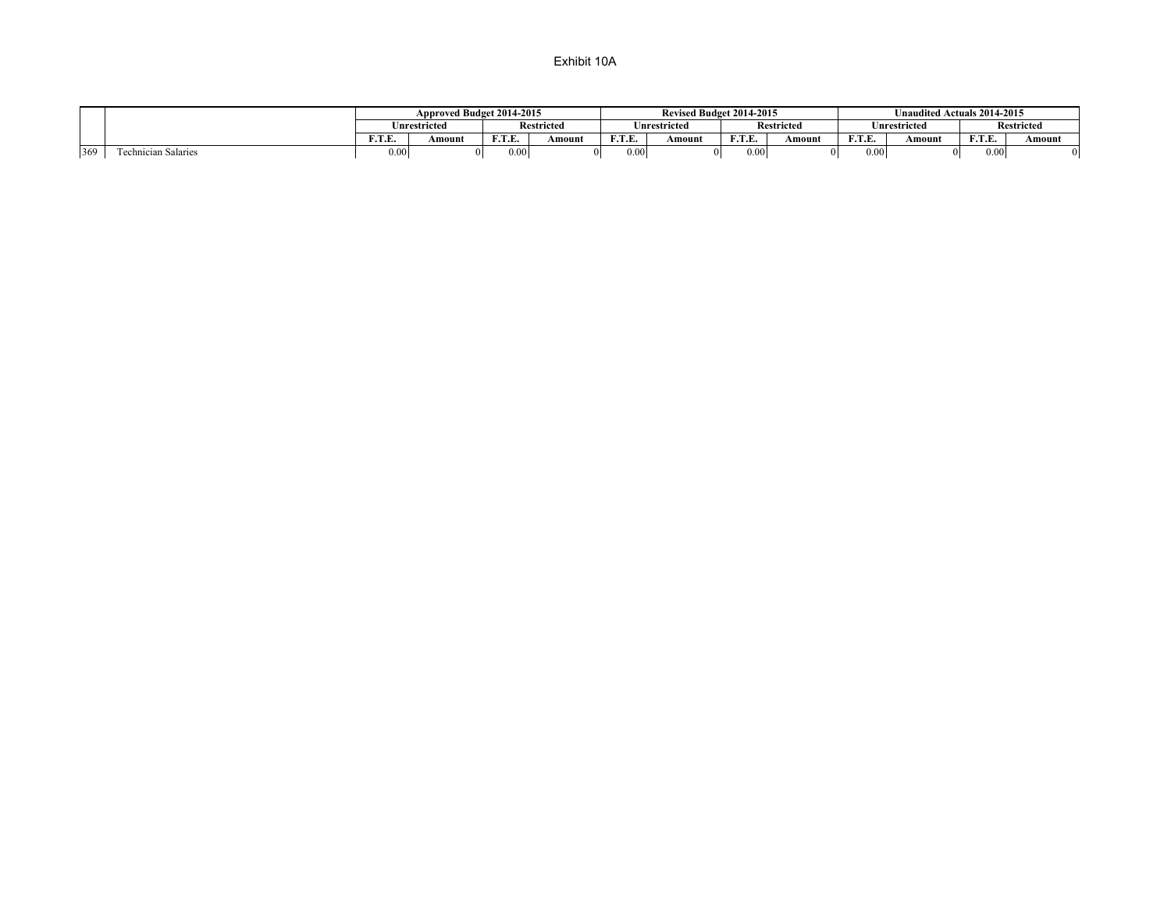|     |                                       |                        | Approved Budget 2014-2015 |                  |                   |                    | Revised Budget 2014-2015 |                  |                   |                 | Unaudited Actuals 2014-2015 |            |                   |
|-----|---------------------------------------|------------------------|---------------------------|------------------|-------------------|--------------------|--------------------------|------------------|-------------------|-----------------|-----------------------------|------------|-------------------|
|     |                                       |                        | <b>Inrestricted</b>       |                  | <b>Restricted</b> |                    | Inrestricted             |                  | <b>Restricted</b> |                 | nrestricted                 |            | <b>Restricted</b> |
|     |                                       | <b>17.50 F</b><br>r. r | Amount                    | E T E<br>1. I.L. | Amount            | <b>TO COL</b><br>. | Amount                   | <b>DO</b> D<br>. | Amount            | <b>DDD</b><br>. | Amount                      | E T E<br>. | Amount            |
| 369 | <b>CONTRACTOR</b><br>hnician Salaries | 0.06                   |                           | J.001            |                   | 0.00               |                          | 0.00             | 01                | 0.00            |                             | 0.00       |                   |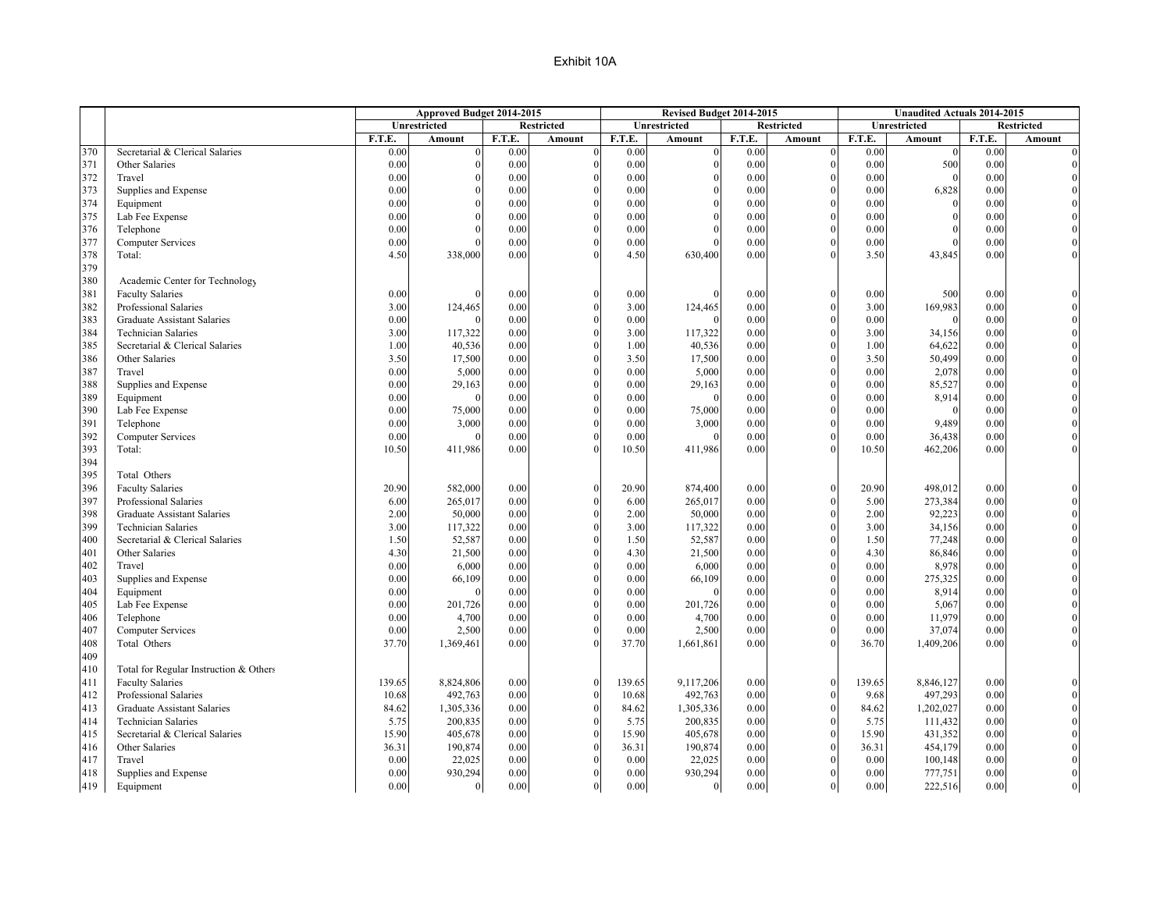|     |                                        |        | Approved Budget 2014-2015 |        |                   |        | Revised Budget 2014-2015 |        |                   |        | <b>Unaudited Actuals 2014-2015</b> |        |                   |
|-----|----------------------------------------|--------|---------------------------|--------|-------------------|--------|--------------------------|--------|-------------------|--------|------------------------------------|--------|-------------------|
|     |                                        |        | Unrestricted              |        | <b>Restricted</b> |        | Unrestricted             |        | <b>Restricted</b> |        | Unrestricted                       |        | <b>Restricted</b> |
|     |                                        | F.T.E. | Amount                    | F.T.E. | Amount            | F.T.E. | Amount                   | F.T.E. | Amount            | F.T.E. | <b>Amount</b>                      | F.T.E. | Amount            |
| 370 | Secretarial & Clerical Salaries        | 0.00   |                           | 0.00   | $\Omega$          | 0.00   | $\Omega$                 | 0.00   | $\Omega$          | 0.00   | $\Omega$                           | 0.00   |                   |
| 371 | Other Salaries                         | 0.00   |                           | 0.00   | $\Omega$          | 0.00   | $\Omega$                 | 0.00   |                   | 0.00   | 500                                | 0.00   |                   |
| 372 | Travel                                 | 0.00   |                           | 0.00   | $\theta$          | 0.00   |                          | 0.00   | $\Omega$          | 0.00   | $\Omega$                           | 0.00   |                   |
| 373 | Supplies and Expense                   | 0.00   |                           | 0.00   | $\Omega$          | 0.00   | 0                        | 0.00   |                   | 0.00   | 6,828                              | 0.00   |                   |
| 374 | Equipment                              | 0.00   |                           | 0.00   | $\theta$          | 0.00   |                          | 0.00   |                   | 0.00   | $\theta$                           | 0.00   |                   |
| 375 | Lab Fee Expense                        | 0.00   |                           | 0.00   | $\theta$          | 0.00   |                          | 0.00   | $\Omega$          | 0.00   | $\Omega$                           | 0.00   |                   |
| 376 | Telephone                              | 0.00   |                           | 0.00   | $\theta$          | 0.00   |                          | 0.00   |                   | 0.00   |                                    | 0.00   |                   |
| 377 | <b>Computer Services</b>               | 0.00   |                           | 0.00   | $\theta$          | 0.00   | $\Omega$                 | 0.00   | $\Omega$          | 0.00   |                                    | 0.00   |                   |
| 378 | Total:                                 | 4.50   | 338,000                   | 0.00   | $\Omega$          | 4.50   | 630,400                  | 0.00   |                   | 3.50   | 43,845                             | 0.00   |                   |
| 379 |                                        |        |                           |        |                   |        |                          |        |                   |        |                                    |        |                   |
| 380 | Academic Center for Technology         |        |                           |        |                   |        |                          |        |                   |        |                                    |        |                   |
| 381 | <b>Faculty Salaries</b>                | 0.00   |                           | 0.00   | $\theta$          | 0.00   |                          | 0.00   | $\Omega$          | 0.00   | 500                                | 0.00   |                   |
| 382 | Professional Salaries                  | 3.00   | 124,465                   | 0.00   | $\mathbf{0}$      | 3.00   | 124,465                  | 0.00   | $\Omega$          | 3.00   | 169,983                            | 0.00   |                   |
| 383 | <b>Graduate Assistant Salaries</b>     | 0.00   |                           | 0.00   | $\theta$          | 0.00   | ∩                        | 0.00   |                   | 0.00   |                                    | 0.00   |                   |
| 384 | <b>Technician Salaries</b>             | 3.00   | 117,322                   | 0.00   | $\theta$          | 3.00   | 117,322                  | 0.00   | $\Omega$          | 3.00   | 34,156                             | 0.00   |                   |
| 385 | Secretarial & Clerical Salaries        | 1.00   | 40,536                    | 0.00   | $\theta$          | 1.00   | 40,536                   | 0.00   | $\Omega$          | 1.00   | 64,622                             | 0.00   |                   |
| 386 | Other Salaries                         | 3.50   | 17,500                    | 0.00   | $\Omega$          | 3.50   | 17,500                   | 0.00   |                   | 3.50   | 50,499                             | 0.00   |                   |
| 387 | Travel                                 | 0.00   | 5,000                     | 0.00   | $\theta$          | 0.00   | 5,000                    | 0.00   | $\Omega$          | 0.00   | 2,078                              | 0.00   |                   |
| 388 | Supplies and Expense                   | 0.00   | 29,163                    | 0.00   | $\theta$          | 0.00   | 29,163                   | 0.00   |                   | 0.00   | 85,527                             | 0.00   |                   |
| 389 | Equipment                              | 0.00   |                           | 0.00   | $\theta$          | 0.00   | $\Omega$                 | 0.00   |                   | 0.00   | 8,914                              | 0.00   |                   |
| 390 | Lab Fee Expense                        | 0.00   | 75,000                    | 0.00   | $\mathbf{0}$      | 0.00   | 75,000                   | 0.00   | $\Omega$          | 0.00   | $\Omega$                           | 0.00   |                   |
| 391 | Telephone                              | 0.00   | 3,000                     | 0.00   | $\theta$          | 0.00   | 3,000                    | 0.00   |                   | 0.00   | 9,489                              | 0.00   |                   |
| 392 | Computer Services                      | 0.00   |                           | 0.00   | $\theta$          | 0.00   | $\Omega$                 | 0.00   | $\Omega$          | 0.00   | 36,438                             | 0.00   |                   |
| 393 | Total:                                 | 10.50  | 411,986                   | 0.00   | $\Omega$          | 10.50  | 411,986                  | 0.00   |                   | 10.50  | 462,206                            | 0.00   |                   |
| 394 |                                        |        |                           |        |                   |        |                          |        |                   |        |                                    |        |                   |
| 395 | Total Others                           |        |                           |        |                   |        |                          |        |                   |        |                                    |        |                   |
| 396 | <b>Faculty Salaries</b>                | 20.90  | 582,000                   | 0.00   | $\theta$          | 20.90  | 874,400                  | 0.00   | $\Omega$          | 20.90  | 498,012                            | 0.00   |                   |
| 397 | Professional Salaries                  | 6.00   | 265,017                   | 0.00   | $\mathbf{0}$      | 6.00   | 265,017                  | 0.00   | $\Omega$          | 5.00   | 273,384                            | 0.00   |                   |
| 398 | Graduate Assistant Salaries            | 2.00   | 50,000                    | 0.00   | $\theta$          | 2.00   | 50,000                   | 0.00   |                   | 2.00   | 92,223                             | 0.00   |                   |
| 399 | <b>Technician Salaries</b>             | 3.00   | 117,322                   | 0.00   | $\theta$          | 3.00   | 117,322                  | 0.00   |                   | 3.00   | 34,156                             | 0.00   |                   |
| 400 | Secretarial & Clerical Salaries        | 1.50   | 52,587                    | 0.00   | $\theta$          | 1.50   | 52,587                   | 0.00   | $\Omega$          | 1.50   | 77,248                             | 0.00   |                   |
| 401 | Other Salaries                         | 4.30   | 21,500                    | 0.00   | $\Omega$          | 4.30   | 21,500                   | 0.00   |                   | 4.30   | 86,846                             | 0.00   |                   |
| 402 | Travel                                 | 0.00   | 6,000                     | 0.00   | $\theta$          | 0.00   | 6,000                    | 0.00   | $\Omega$          | 0.00   | 8,978                              | 0.00   |                   |
| 403 | Supplies and Expense                   | 0.00   | 66,109                    | 0.00   | $\theta$          | 0.00   | 66,109                   | 0.00   |                   | 0.00   | 275,325                            | 0.00   |                   |
| 404 | Equipment                              | 0.00   |                           | 0.00   | $\theta$          | 0.00   | $\Omega$                 | 0.00   |                   | 0.00   | 8,914                              | 0.00   |                   |
| 405 | Lab Fee Expense                        | 0.00   | 201,726                   | 0.00   | $\theta$          | 0.00   | 201,726                  | 0.00   | $\Omega$          | 0.00   | 5,067                              | 0.00   |                   |
| 406 | Telephone                              | 0.00   | 4,700                     | 0.00   | $\theta$          | 0.00   | 4,700                    | 0.00   |                   | 0.00   | 11,979                             | 0.00   |                   |
| 407 | <b>Computer Services</b>               | 0.00   | 2,500                     | 0.00   | $\theta$          | 0.00   | 2,500                    | 0.00   | $\Omega$          | 0.00   | 37,074                             | 0.00   |                   |
| 408 | Total Others                           | 37.70  | 1,369,461                 | 0.00   | $\Omega$          | 37.70  | 1,661,861                | 0.00   |                   | 36.70  | 1,409,206                          | 0.00   |                   |
| 409 |                                        |        |                           |        |                   |        |                          |        |                   |        |                                    |        |                   |
| 410 | Total for Regular Instruction & Others |        |                           |        |                   |        |                          |        |                   |        |                                    |        |                   |
| 411 | <b>Faculty Salaries</b>                | 139.65 | 8,824,806                 | 0.00   | $\theta$          | 139.65 | 9,117,206                | 0.00   |                   | 139.65 | 8,846,127                          | 0.00   |                   |
| 412 | Professional Salaries                  | 10.68  | 492,763                   | 0.00   | $\theta$          | 10.68  | 492,763                  | 0.00   |                   | 9.68   | 497,293                            | 0.00   |                   |
| 413 | <b>Graduate Assistant Salaries</b>     | 84.62  | 1,305,336                 | 0.00   | $\Omega$          | 84.62  | 1,305,336                | 0.00   |                   | 84.62  | 1,202,027                          | 0.00   |                   |
| 414 | <b>Technician Salaries</b>             | 5.75   | 200,835                   | 0.00   | $\Omega$          | 5.75   | 200,835                  | 0.00   |                   | 5.75   | 111,432                            | 0.00   |                   |
| 415 | Secretarial & Clerical Salaries        | 15.90  | 405,678                   | 0.00   | $\theta$          | 15.90  | 405,678                  | 0.00   | $\Omega$          | 15.90  | 431,352                            | 0.00   |                   |
| 416 | Other Salaries                         | 36.31  | 190,874                   | 0.00   | $\Omega$          | 36.31  | 190,874                  | 0.00   |                   | 36.31  | 454,179                            | 0.00   |                   |
| 417 | Travel                                 | 0.00   | 22,025                    | 0.00   | $\theta$          | 0.00   | 22,025                   | 0.00   | $\Omega$          | 0.00   | 100,148                            | 0.00   |                   |
| 418 |                                        | 0.00   | 930,294                   | 0.00   | $\theta$          | 0.00   | 930,294                  | 0.00   |                   | 0.00   |                                    | 0.00   |                   |
| 419 | Supplies and Expense                   | 0.00   | $\mathbf{0}$              |        | $\overline{0}$    | 0.00   |                          |        | $\theta$          | 0.00   | 777,751                            |        |                   |
|     | Equipment                              |        |                           | 0.00   |                   |        | $\boldsymbol{0}$         | 0.00   |                   |        | 222,516                            | 0.00   |                   |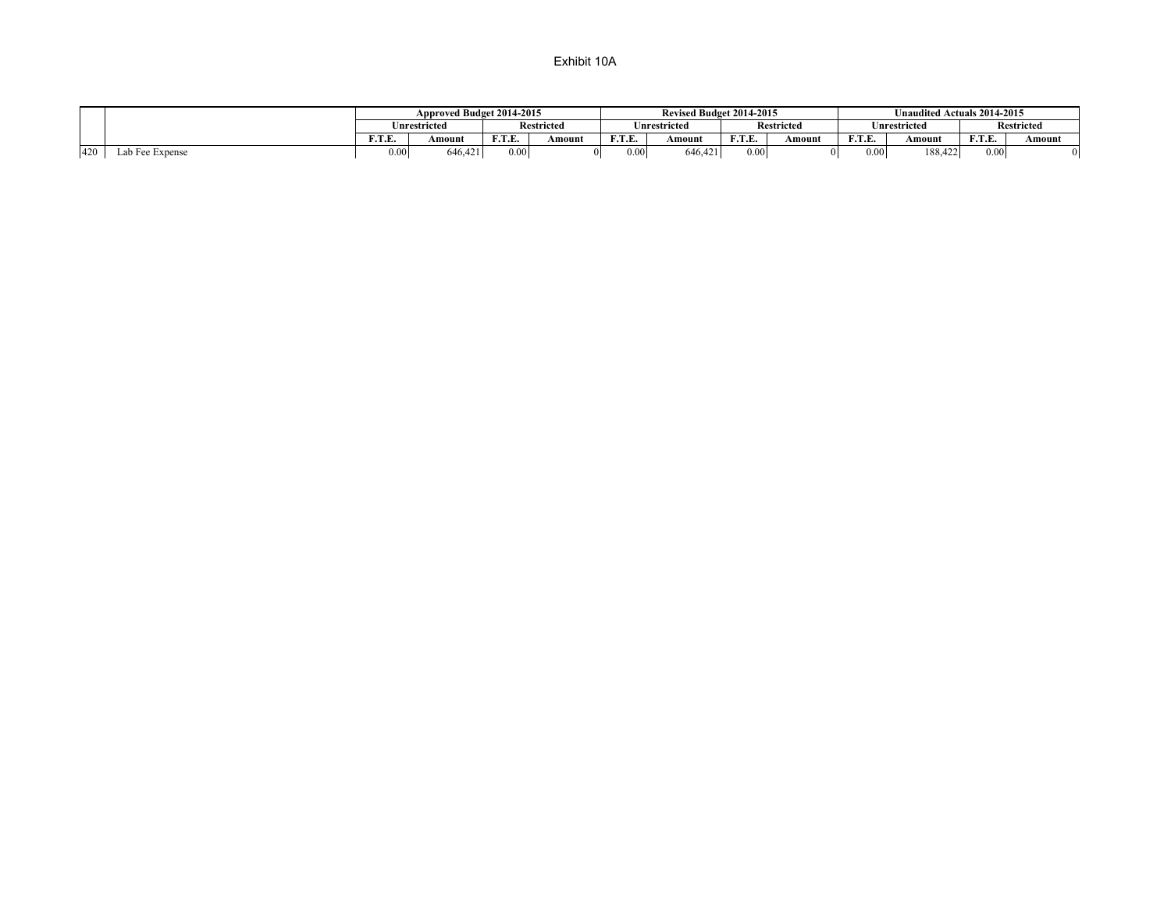|     |                                   |      | Approved Budget 2014-2015 |        |                         |        | Revised Budget 2014-2015 |        |                           |        | Unaudited Actuals 2014-2015 |        |                   |
|-----|-----------------------------------|------|---------------------------|--------|-------------------------|--------|--------------------------|--------|---------------------------|--------|-----------------------------|--------|-------------------|
|     |                                   |      | <b>Inrestricted</b>       |        | <b>Restricted</b>       |        | Inrestricted             |        | <b>Restricted</b>         |        | nrestricted                 |        | <b>Restricted</b> |
|     | <b>TO COLOR</b><br>Amount<br>r. e |      | E T E<br>. <u>.</u> .     | Amount | <b>100 000 100</b><br>. | Amount | <b>DO</b> D<br>.         | Amount | <b>DID</b><br>.           | Amount | E T E<br>.                  | Amount |                   |
| 420 | Lab Fee Expense                   | 0.00 | 646.421                   | 0.001  |                         | 0.00   | 646,421                  | 0.00   | $^{\prime \prime \prime}$ | 0.00   | 188,422                     | 0.00   |                   |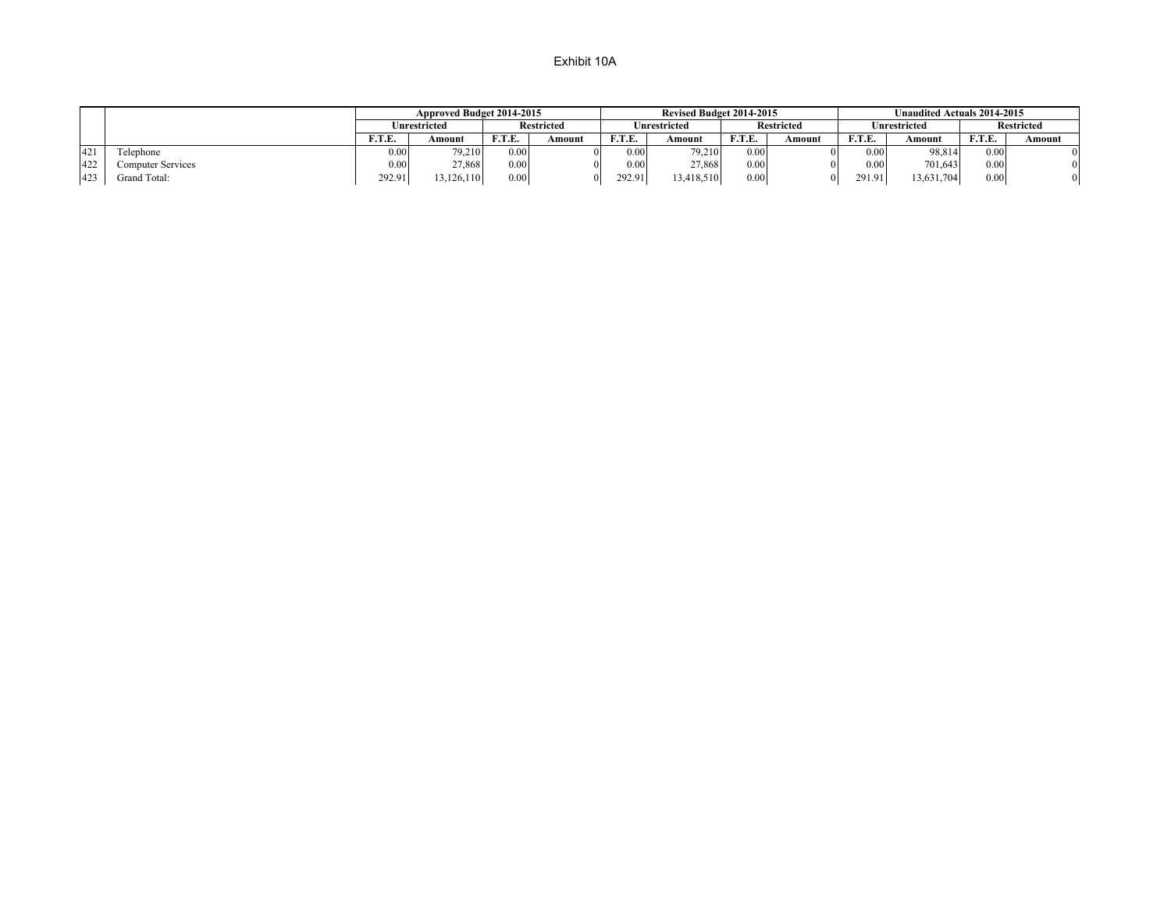|     |                   |        | Approved Budget 2014-2015 |        |                   |                 | Revised Budget 2014-2015 |                   |                   | Unaudited Actuals 2014-2015 |              |               |                   |  |
|-----|-------------------|--------|---------------------------|--------|-------------------|-----------------|--------------------------|-------------------|-------------------|-----------------------------|--------------|---------------|-------------------|--|
|     |                   |        | Unrestricted              |        | <b>Restricted</b> |                 | Unrestricted             |                   | <b>Restricted</b> |                             | Unrestricted |               | <b>Restricted</b> |  |
|     |                   | F.T.E. | Amount                    | F.T.E. | Amount            | <b>ETE</b><br>. | Amount                   | F.T.E.            | Amount            | F.T.E.                      | Amount       | <b>F.T.E.</b> | Amount            |  |
| 421 | Telephone         | 0.00   | 79.210                    | 0.00   |                   | 0.00            | 79.210                   | 0.00 <sub>1</sub> |                   | 0.00                        | 98,814       | 0.00          |                   |  |
| 422 | Computer Services | 0.00   | 27.868                    | 0.00   |                   | 0.00            | 27.868                   | 0.00              |                   | 0.00                        | 701,643      | 0.00          | $\Omega$          |  |
| 423 | Grand Total:      | 292.91 | 13.126.110                | 0.00   |                   | 292.91          | 13.418.510               | 0.00              | $\Omega$          | 291.91                      | 13,631,704   | 0.00          | $\Omega$          |  |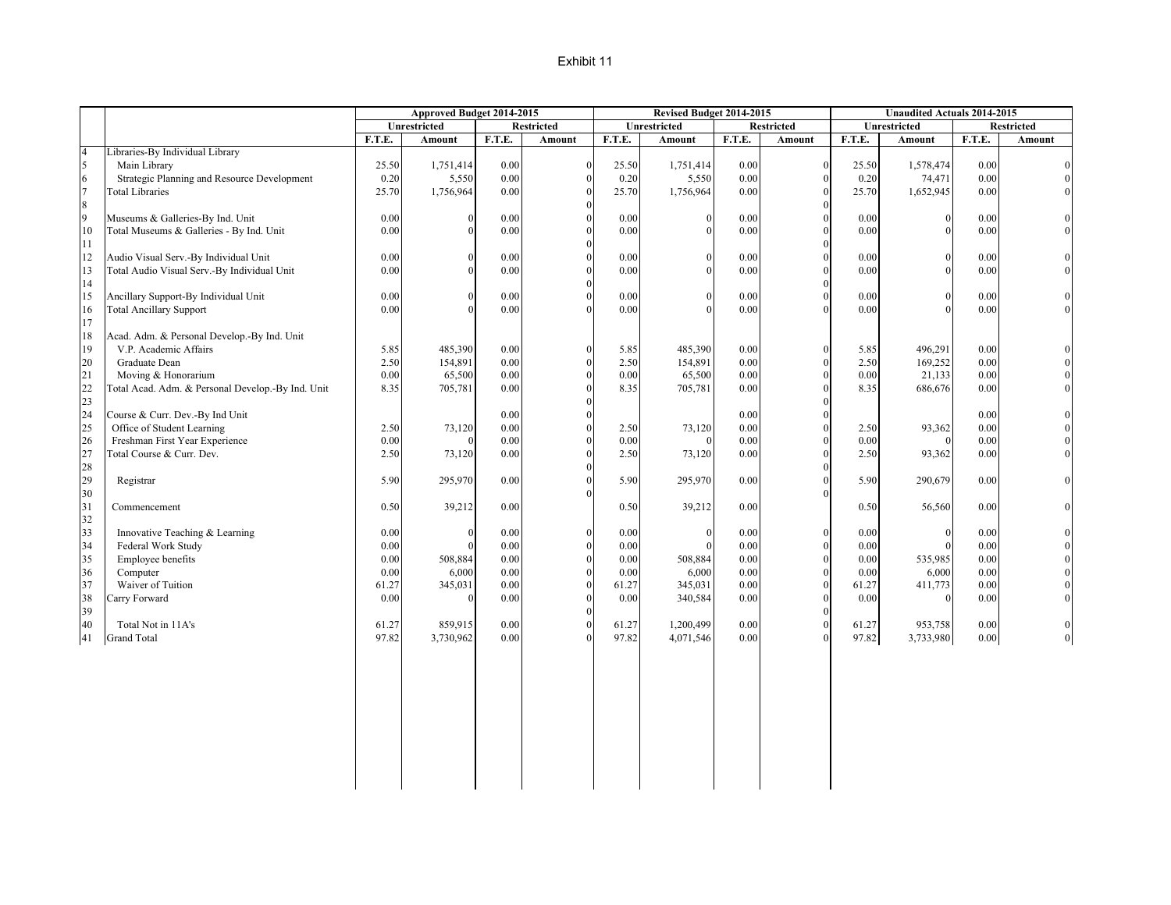|                |                                                   |              | Approved Budget 2014-2015 |              |                   |              | Revised Budget 2014-2015 |              |                                  |              |                          | <b>Unaudited Actuals 2014-2015</b> |                   |
|----------------|---------------------------------------------------|--------------|---------------------------|--------------|-------------------|--------------|--------------------------|--------------|----------------------------------|--------------|--------------------------|------------------------------------|-------------------|
|                |                                                   |              | Unrestricted              |              | <b>Restricted</b> |              | Unrestricted             |              | <b>Restricted</b>                |              | Unrestricted             |                                    | <b>Restricted</b> |
|                |                                                   | F.T.E.       | Amount                    | F.T.E.       | Amount            | F.T.E.       | Amount                   | F.T.E.       | Amount                           | F.T.E.       | Amount                   | F.T.E.                             | Amount            |
| $\overline{4}$ | Libraries-By Individual Library                   |              |                           |              |                   |              |                          |              |                                  |              |                          |                                    |                   |
| 5              | Main Library                                      | 25.50        | 1,751,414                 | 0.00         | $\Omega$          | 25.50        | 1,751,414                | 0.00         | $\boldsymbol{0}$                 | 25.50        | 1,578,474                | 0.00                               | $\overline{0}$    |
| $\sqrt{6}$     | Strategic Planning and Resource Development       | 0.20         | 5,550                     | $0.00\,$     | $\theta$          | 0.20         | 5,550                    | 0.00         | $\boldsymbol{0}$                 | 0.20         | 74,471                   | 0.00                               |                   |
| $\overline{7}$ | <b>Total Libraries</b>                            | 25.70        | 1,756,964                 | 0.00         | $\Omega$          | 25.70        | 1,756,964                | 0.00         | $\theta$                         | 25.70        | 1,652,945                | 0.00                               |                   |
| $\,8\,$        |                                                   |              |                           |              |                   |              |                          |              | $\theta$                         |              |                          |                                    |                   |
| $\overline{9}$ | Museums & Galleries-By Ind. Unit                  | 0.00         | $\overline{0}$            | 0.00         | $\Omega$          | 0.00         | $\theta$                 | 0.00         | $\boldsymbol{0}$                 | 0.00         | $\mathbf{0}$             | 0.00                               |                   |
| 10             | Total Museums & Galleries - By Ind. Unit          | 0.00         | $\Omega$                  | 0.00         | $\Omega$          | 0.00         | $\Omega$                 | 0.00         | $\theta$                         | 0.00         | $\Omega$                 | 0.00                               | $\Omega$          |
| $1\,1$         |                                                   |              |                           |              | $\Omega$          |              |                          |              | $\boldsymbol{0}$                 |              |                          |                                    |                   |
| 12             | Audio Visual Serv.-By Individual Unit             | 0.00         | $\mathbf{0}$              | 0.00         |                   | 0.00         | $\Omega$                 | 0.00         | $\overline{0}$                   | 0.00         | $\theta$                 | 0.00                               |                   |
| 13             | Total Audio Visual Serv.-By Individual Unit       | 0.00         | $\theta$                  | 0.00         | $\Omega$          | 0.00         | $\Omega$                 | 0.00         | $\mathbf 0$                      | 0.00         | $\Omega$                 | 0.00                               |                   |
| 14             |                                                   |              |                           |              | $\Omega$          |              |                          |              | $\mathbf 0$                      |              |                          |                                    |                   |
| 15             | Ancillary Support-By Individual Unit              | 0.00         | $\Omega$                  | 0.00         | $\Omega$          | 0.00         | $\Omega$                 | 0.00         | $\mathbf 0$                      | 0.00         | $\Omega$                 | 0.00                               |                   |
| 16             | <b>Total Ancillary Support</b>                    | 0.00         |                           | 0.00         | $\Omega$          | 0.00         |                          | 0.00         | $\mathbf{0}$                     | 0.00         | $\sqrt{2}$               | 0.00                               | $\Omega$          |
| 17             |                                                   |              |                           |              |                   |              |                          |              |                                  |              |                          |                                    |                   |
| 18             | Acad. Adm. & Personal Develop.-By Ind. Unit       |              |                           |              |                   |              |                          |              |                                  |              |                          |                                    |                   |
| 19             | V.P. Academic Affairs                             | 5.85         | 485,390                   | 0.00         | $\theta$          | 5.85         | 485,390                  | 0.00         | $\boldsymbol{0}$                 | 5.85         | 496,291                  | 0.00                               |                   |
| 20             | Graduate Dean                                     | 2.50         | 154,891                   | 0.00         | $\theta$          | 2.50         | 154,891                  | 0.00         | $\boldsymbol{0}$                 | 2.50         | 169,252                  | 0.00                               |                   |
| 21             | Moving & Honorarium                               | 0.00         | 65,500                    | 0.00         | $\Omega$          | 0.00         | 65,500                   | 0.00         | $\mathbf 0$                      | 0.00         | 21,133                   | 0.00                               |                   |
| 22             | Total Acad. Adm. & Personal Develop.-By Ind. Unit | 8.35         | 705,781                   | 0.00         | $\Omega$          | 8.35         | 705,781                  | 0.00         | $\theta$                         | 8.35         | 686,676                  | 0.00                               | $\Omega$          |
| 23             |                                                   |              |                           |              | $\Omega$          |              |                          |              | $\mathbf 0$                      |              |                          |                                    |                   |
| 24             | Course & Curr. Dev.-By Ind Unit                   |              |                           | 0.00         |                   |              |                          | 0.00         | $\overline{0}$                   |              |                          | 0.00                               |                   |
| 25             | Office of Student Learning                        | 2.50         | 73,120                    | 0.00         | $\Omega$          | 2.50         | 73,120                   | 0.00         | $\overline{0}$                   | 2.50         | 93,362                   | 0.00                               |                   |
| 26             | Freshman First Year Experience                    | 0.00         |                           | 0.00         | $\Omega$          | 0.00         |                          | 0.00         | $\mathbf{0}$                     | 0.00         | $\Omega$                 | 0.00                               |                   |
| 27             | Total Course & Curr. Dev.                         | 2.50         | 73,120                    | $0.00\,$     | $\Omega$          | 2.50         | 73,120                   | 0.00         | $\mathbf{0}$                     | 2.50         | 93,362                   | 0.00                               | $\Omega$          |
| 28             |                                                   |              |                           |              | $\Omega$          |              |                          |              | $\mathbf{0}$                     |              |                          |                                    |                   |
| 29             | Registrar                                         | 5.90         | 295,970                   | 0.00         |                   | 5.90         | 295,970                  | 0.00         | $\theta$                         | 5.90         | 290,679                  | 0.00                               | $\Omega$          |
| 30             |                                                   |              |                           |              |                   |              |                          |              | $\theta$                         |              |                          |                                    |                   |
| 31             | Commencement                                      | 0.50         | 39,212                    | 0.00         |                   | 0.50         | 39,212                   | 0.00         |                                  | 0.50         | 56,560                   | 0.00                               |                   |
| 32             |                                                   |              | $\Omega$                  |              | $\theta$          |              | $\Omega$                 |              |                                  |              |                          |                                    |                   |
| 33             | Innovative Teaching & Learning                    | 0.00         | $\Omega$                  | 0.00         | $\Omega$          | 0.00         |                          | 0.00         | $\boldsymbol{0}$<br>$\mathbf{0}$ | 0.00         | $\mathbf{0}$<br>$\Omega$ | 0.00                               | $\Omega$          |
| 34             | Federal Work Study                                | 0.00         |                           | 0.00         | $\Omega$          | 0.00         | $\Omega$                 | 0.00         | $\mathbf{0}$                     | 0.00         |                          | 0.00                               |                   |
| 35             | Employee benefits<br>Computer                     | 0.00<br>0.00 | 508,884                   | 0.00<br>0.00 | $\Omega$          | 0.00<br>0.00 | 508,884                  | 0.00<br>0.00 | $\mathbf{0}$                     | 0.00<br>0.00 | 535,985                  | 0.00<br>0.00                       |                   |
| 36<br>37       | Waiver of Tuition                                 | 61.27        | 6,000<br>345,031          | 0.00         | $\Omega$          | 61.27        | 6,000<br>345,031         | 0.00         | $\mathbf 0$                      | 61.27        | 6,000<br>411,773         | 0.00                               |                   |
| 38             | Carry Forward                                     | 0.00         | $\Omega$                  | 0.00         | $\Omega$          | 0.00         | 340,584                  | 0.00         | $\mathbf{0}$                     | 0.00         | $\theta$                 | 0.00                               | $\Omega$          |
| 39             |                                                   |              |                           |              |                   |              |                          |              | $\theta$                         |              |                          |                                    |                   |
| 40             | Total Not in 11A's                                | 61.27        | 859,915                   | 0.00         | $\theta$          | 61.27        | 1,200,499                | 0.00         | $\mathbf{0}$                     | 61.27        | 953,758                  | 0.00                               |                   |
| 41             | <b>Grand Total</b>                                | 97.82        | 3,730,962                 | 0.00         |                   | 97.82        | 4,071,546                | 0.00         | $\Omega$                         | 97.82        | 3,733,980                | 0.00                               | $\overline{0}$    |
|                |                                                   |              |                           |              |                   |              |                          |              |                                  |              |                          |                                    |                   |
|                |                                                   |              |                           |              |                   |              |                          |              |                                  |              |                          |                                    |                   |
|                |                                                   |              |                           |              |                   |              |                          |              |                                  |              |                          |                                    |                   |
|                |                                                   |              |                           |              |                   |              |                          |              |                                  |              |                          |                                    |                   |
|                |                                                   |              |                           |              |                   |              |                          |              |                                  |              |                          |                                    |                   |
|                |                                                   |              |                           |              |                   |              |                          |              |                                  |              |                          |                                    |                   |
|                |                                                   |              |                           |              |                   |              |                          |              |                                  |              |                          |                                    |                   |
|                |                                                   |              |                           |              |                   |              |                          |              |                                  |              |                          |                                    |                   |
|                |                                                   |              |                           |              |                   |              |                          |              |                                  |              |                          |                                    |                   |
|                |                                                   |              |                           |              |                   |              |                          |              |                                  |              |                          |                                    |                   |
|                |                                                   |              |                           |              |                   |              |                          |              |                                  |              |                          |                                    |                   |
|                |                                                   |              |                           |              |                   |              |                          |              |                                  |              |                          |                                    |                   |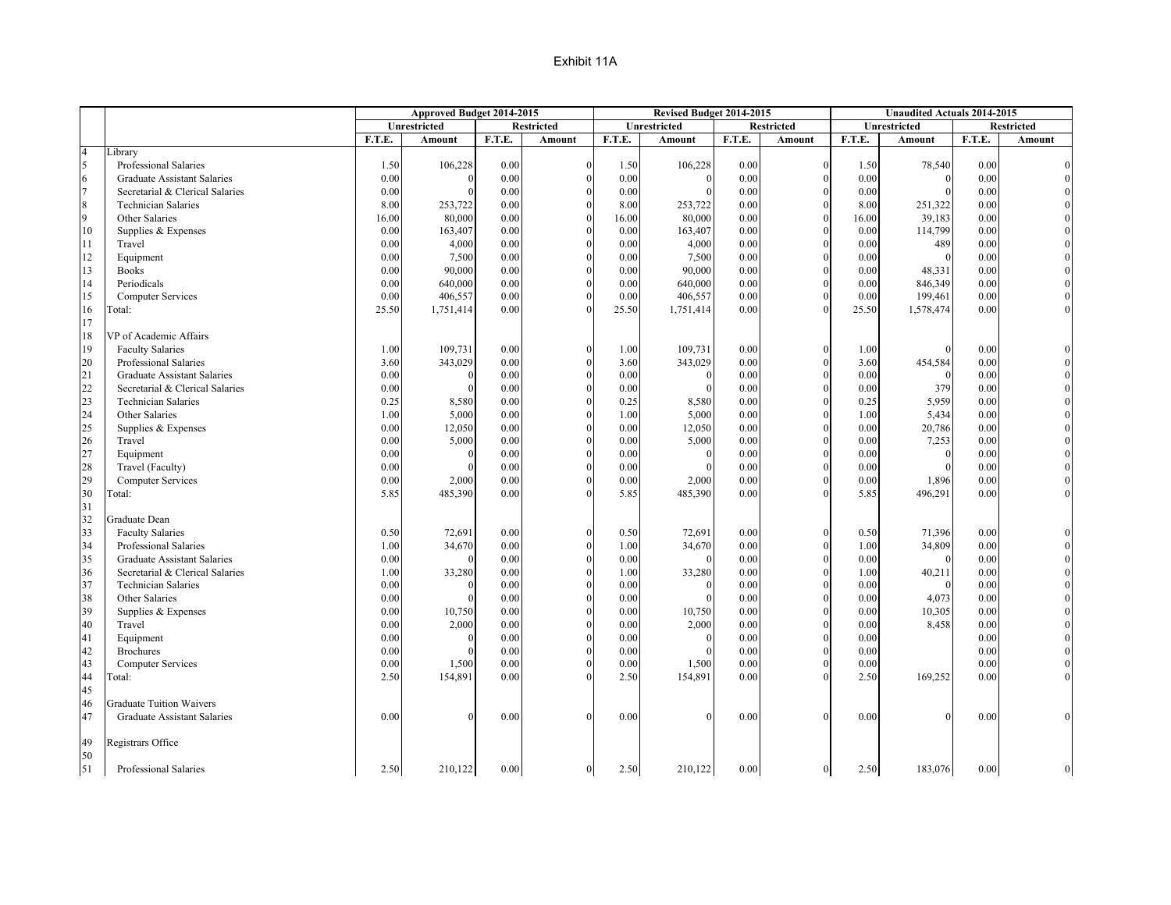|                |                                    |        | Approved Budget 2014-2015 |        |                   |        | Revised Budget 2014-2015 |          |                   | <b>Unaudited Actuals 2014-2015</b> |              |          |                   |
|----------------|------------------------------------|--------|---------------------------|--------|-------------------|--------|--------------------------|----------|-------------------|------------------------------------|--------------|----------|-------------------|
|                |                                    |        | Unrestricted              |        | <b>Restricted</b> |        | Unrestricted             |          | <b>Restricted</b> |                                    | Unrestricted |          | <b>Restricted</b> |
|                |                                    | F.T.E. | Amount                    | F.T.E. | Amount            | F.T.E. | Amount                   | F.T.E.   | Amount            | F.T.E.                             | Amount       | F.T.E.   | Amount            |
| $\overline{4}$ | Library                            |        |                           |        |                   |        |                          |          |                   |                                    |              |          |                   |
| 5              | Professional Salaries              | 1.50   | 106,228                   | 0.00   | $\theta$          | 1.50   | 106,228                  | 0.00     | $\Omega$          | 1.50                               | 78,540       | 0.00     |                   |
| 6              | <b>Graduate Assistant Salaries</b> | 0.00   |                           | 0.00   |                   | 0.00   |                          | 0.00     |                   | 0.00                               | $\Omega$     | 0.00     |                   |
| $\overline{7}$ | Secretarial & Clerical Salaries    | 0.00   |                           | 0.00   |                   | 0.00   |                          | 0.00     |                   | 0.00                               |              | 0.00     |                   |
| 8              | <b>Technician Salaries</b>         | 8.00   | 253,722                   | 0.00   |                   | 8.00   | 253,722                  | 0.00     |                   | 8.00                               | 251,322      | 0.00     |                   |
| $\overline{9}$ | Other Salaries                     | 16.00  | 80,000                    | 0.00   |                   | 16.00  | 80,000                   | 0.00     |                   | 16.00                              | 39,183       | 0.00     |                   |
| 10             | Supplies & Expenses                | 0.00   | 163,407                   | 0.00   |                   | 0.00   | 163,407                  | 0.00     | $\Omega$          | 0.00                               | 114,799      | 0.00     |                   |
| 11             | Travel                             | 0.00   | 4,000                     | 0.00   |                   | 0.00   | 4,000                    | 0.00     |                   | 0.00                               | 489          | 0.00     |                   |
| 12             | Equipment                          | 0.00   | 7,500                     | 0.00   |                   | 0.00   | 7,500                    | $0.00\,$ | $\Omega$          | 0.00                               | $\mathbf{0}$ | $0.00\,$ |                   |
| 13             | <b>Books</b>                       | 0.00   | 90,000                    | 0.00   |                   | 0.00   | 90,000                   | 0.00     |                   | 0.00                               | 48,331       | 0.00     |                   |
| 14             | Periodicals                        | 0.00   | 640,000                   | 0.00   |                   | 0.00   | 640,000                  | 0.00     |                   | 0.00                               | 846,349      | 0.00     |                   |
| 15             | <b>Computer Services</b>           | 0.00   | 406,557                   | 0.00   |                   | 0.00   | 406,557                  | 0.00     |                   | 0.00                               | 199,461      | 0.00     |                   |
| 16             | Total:                             | 25.50  | 1,751,414                 | 0.00   |                   | 25.50  | 1,751,414                | 0.00     |                   | 25.50                              | 1,578,474    | 0.00     |                   |
| 17             |                                    |        |                           |        |                   |        |                          |          |                   |                                    |              |          |                   |
| 18             | VP of Academic Affairs             |        |                           |        |                   |        |                          |          |                   |                                    |              |          |                   |
| 19             | <b>Faculty Salaries</b>            | 1.00   | 109,731                   | 0.00   | $\mathbf{0}$      | 1.00   | 109,731                  | 0.00     | $\Omega$          | 1.00                               |              | 0.00     |                   |
| 20             | Professional Salaries              | 3.60   | 343,029                   | 0.00   |                   | 3.60   | 343,029                  | 0.00     |                   | 3.60                               | 454,584      | 0.00     |                   |
| 21             | <b>Graduate Assistant Salaries</b> | 0.00   |                           | 0.00   |                   | 0.00   | $\Omega$                 | 0.00     | $\Omega$          | 0.00                               | $\Omega$     | 0.00     |                   |
| 22             | Secretarial & Clerical Salaries    | 0.00   |                           | 0.00   |                   | 0.00   |                          | 0.00     |                   | 0.00                               | 379          | 0.00     |                   |
| 23             | <b>Technician Salaries</b>         | 0.25   | 8,580                     | 0.00   |                   | 0.25   | 8,580                    | 0.00     | $\Omega$          | 0.25                               | 5,959        | 0.00     |                   |
| 24             | Other Salaries                     | 1.00   | 5,000                     | 0.00   |                   | 1.00   | 5,000                    | 0.00     |                   | 1.00                               | 5,434        | 0.00     |                   |
| 25             | Supplies & Expenses                | 0.00   | 12,050                    | 0.00   |                   | 0.00   | 12,050                   | 0.00     |                   | 0.00                               | 20,786       | 0.00     |                   |
| 26             | Travel                             | 0.00   | 5,000                     | 0.00   |                   | 0.00   | 5,000                    | 0.00     |                   | 0.00                               | 7,253        | 0.00     |                   |
| 27             | Equipment                          | 0.00   |                           | 0.00   |                   | 0.00   |                          | 0.00     |                   | 0.00                               | $\Omega$     | 0.00     |                   |
| 28             | Travel (Faculty)                   | 0.00   |                           | 0.00   |                   | 0.00   | $\Omega$                 | 0.00     | $\Omega$          | 0.00                               | $\Omega$     | 0.00     |                   |
| 29             | <b>Computer Services</b>           | 0.00   | 2,000                     | 0.00   |                   | 0.00   | 2,000                    | 0.00     |                   | 0.00                               | 1,896        | 0.00     |                   |
| 30             | Total:                             | 5.85   | 485,390                   | 0.00   |                   | 5.85   | 485,390                  | 0.00     |                   | 5.85                               | 496,291      | 0.00     |                   |
| 31             |                                    |        |                           |        |                   |        |                          |          |                   |                                    |              |          |                   |
| 32             | Graduate Dean                      |        |                           |        |                   |        |                          |          |                   |                                    |              |          |                   |
| 33             | <b>Faculty Salaries</b>            | 0.50   | 72,691                    | 0.00   | $\Omega$          | 0.50   | 72,691                   | 0.00     | $\Omega$          | 0.50                               | 71,396       | 0.00     |                   |
| 34             | Professional Salaries              | 1.00   | 34,670                    | 0.00   | $\Omega$          | 1.00   | 34,670                   | 0.00     | $\Omega$          | 1.00                               | 34,809       | 0.00     |                   |
| 35             | <b>Graduate Assistant Salaries</b> | 0.00   |                           | 0.00   |                   | 0.00   | $\Omega$                 | 0.00     |                   | 0.00                               | $\Omega$     | 0.00     |                   |
| 36             | Secretarial & Clerical Salaries    | 1.00   | 33,280                    | 0.00   |                   | 1.00   | 33,280                   | 0.00     |                   | 1.00                               | 40,211       | 0.00     |                   |
| 37             | <b>Technician Salaries</b>         | 0.00   |                           | 0.00   |                   | 0.00   |                          | 0.00     |                   | 0.00                               | $\Omega$     | 0.00     |                   |
| 38             | Other Salaries                     | 0.00   |                           | 0.00   |                   | 0.00   |                          | 0.00     |                   | 0.00                               | 4,073        | 0.00     |                   |
| 39             | Supplies & Expenses                | 0.00   | 10,750                    | 0.00   |                   | 0.00   | 10,750                   | 0.00     | $\Omega$          | 0.00                               | 10,305       | 0.00     |                   |
| 40             | Travel                             | 0.00   | 2,000                     | 0.00   |                   | 0.00   | 2,000                    | 0.00     |                   | 0.00                               | 8,458        | 0.00     |                   |
| 41             | Equipment                          | 0.00   |                           | 0.00   | $\Omega$          | 0.00   | $\Omega$                 | 0.00     | $\Omega$          | 0.00                               |              | 0.00     |                   |
| 42             | <b>Brochures</b>                   | 0.00   |                           | 0.00   |                   | 0.00   |                          | 0.00     |                   | 0.00                               |              | 0.00     |                   |
| 43             | <b>Computer Services</b>           | 0.00   | 1,500                     | 0.00   |                   | 0.00   | 1,500                    | 0.00     | $\Omega$          | 0.00                               |              | 0.00     |                   |
| 44             | Total:                             | 2.50   | 154,891                   | 0.00   |                   | 2.50   | 154,891                  | 0.00     |                   | 2.50                               | 169,252      | 0.00     |                   |
| 45             |                                    |        |                           |        |                   |        |                          |          |                   |                                    |              |          |                   |
| 46             | <b>Graduate Tuition Waivers</b>    |        |                           |        |                   |        |                          |          |                   |                                    |              |          |                   |
| 47             | Graduate Assistant Salaries        | 0.00   |                           | 0.00   | $\Omega$          | 0.00   |                          | 0.00     | $\Omega$          | 0.00                               | $\Omega$     | 0.00     |                   |
| 49             | Registrars Office                  |        |                           |        |                   |        |                          |          |                   |                                    |              |          |                   |
| 50             |                                    |        |                           |        |                   |        |                          |          |                   |                                    |              |          |                   |
| $\vert$ 51     | Professional Salaries              | 2.50   | 210,122                   | 0.00   | $\overline{0}$    | 2.50   | 210,122                  | 0.00     | $\theta$          | 2.50                               | 183,076      | 0.00     | $\overline{0}$    |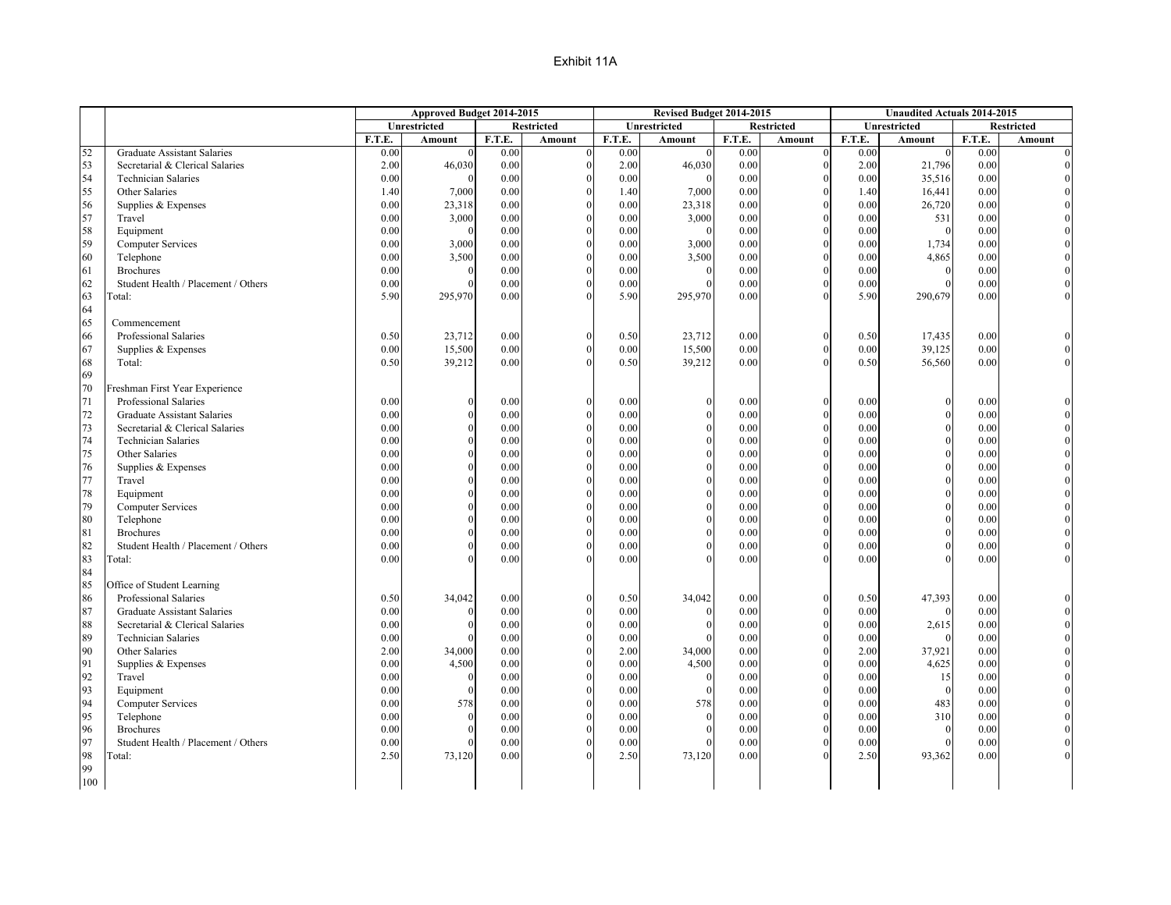| Approved Budget 2014-2015                                                                           | Revised Budget 2014-2015     | <b>Unaudited Actuals 2014-2015</b> |                         |
|-----------------------------------------------------------------------------------------------------|------------------------------|------------------------------------|-------------------------|
| Unrestricted<br><b>Restricted</b><br>Unrestricted                                                   | <b>Restricted</b>            | Unrestricted                       | <b>Restricted</b>       |
| F.T.E.<br>F.T.E.<br>F.T.E.<br>Amount<br>Amount                                                      | F.T.E.<br>Amount<br>Amount   | F.T.E.<br>Amount                   | F.T.E.<br><b>Amount</b> |
| 52<br><b>Graduate Assistant Salaries</b><br>0.00<br>0.00<br>0.00<br>$\overline{0}$                  | 0.00<br>$\theta$<br>$\Omega$ | 0.00<br>$\Omega$                   | 0.00<br>$\overline{0}$  |
| 53<br>0.00<br>2.00<br>Secretarial & Clerical Salaries<br>2.00<br>46,030                             | 46,030<br>0.00               | 2.00<br>21,796                     | 0.00                    |
| 54<br>0.00<br>0.00<br><b>Technician Salaries</b><br>0.00                                            | 0.00<br>$\Omega$             | 0.00<br>35,516                     | 0.00                    |
| 55<br>0.00<br>1.40<br>1.40<br>7,000<br>Other Salaries                                               | 0.00<br>7,000                | 1.40<br>16,441                     | 0.00                    |
| 56<br>Supplies & Expenses<br>0.00<br>0.00<br>0.00<br>23,318                                         | 23,318<br>0.00               | 0.00<br>26,720                     | 0.00                    |
| 57<br>Travel<br>0.00<br>3,000<br>0.00<br>0.00                                                       | 3,000<br>0.00                | 0.00<br>531                        | 0.00                    |
| 58<br>Equipment<br>0.00<br>0.00<br>0.00                                                             | 0.00<br>$\theta$             | 0.00<br>$\mathbf{0}$               | 0.00                    |
| 59<br>0.00<br>0.00<br><b>Computer Services</b><br>0.00<br>3,000                                     | 3,000<br>0.00                | 0.00<br>1,734                      | 0.00                    |
| 60<br>Telephone<br>0.00<br>3,500<br>0.00<br>0.00                                                    | 3,500<br>0.00                | 0.00<br>4,865                      | 0.00                    |
| 61<br><b>Brochures</b><br>0.00<br>0.00<br>0.00                                                      | 0.00<br>$\Omega$<br>$\Omega$ | 0.00<br>$\theta$                   | 0.00                    |
| 62<br>Student Health / Placement / Others<br>0.00<br>0.00<br>0.00                                   | 0.00                         | 0.00<br>$\Omega$                   | 0.00                    |
| 63<br>5.90<br>295,970<br>0.00<br>5.90<br>[otal:                                                     | 295,970<br>0.00              | 5.90<br>290,679                    | 0.00                    |
| 64                                                                                                  |                              |                                    |                         |
| 65<br>Commencement                                                                                  |                              |                                    |                         |
| 66<br>Professional Salaries<br>0.50<br>23,712<br>0.00<br>0.50<br>$\theta$                           | 23,712<br>0.00<br>$\Omega$   | 0.50<br>17,435                     | 0.00                    |
| 67<br>0.00<br>15,500<br>0.00<br>0.00<br>Supplies & Expenses                                         | 15,500<br>0.00<br>$\Omega$   | 39,125<br>0.00                     | 0.00                    |
| 68<br>0.50<br>Total:<br>0.50<br>0.00<br>39,212                                                      | 39,212<br>0.00               | 0.50<br>56,560                     | 0.00                    |
| 69                                                                                                  |                              |                                    |                         |
| 70<br>Freshman First Year Experience                                                                |                              |                                    |                         |
| 71<br>Professional Salaries<br>0.00<br>0.00<br>0.00                                                 | 0.00                         | 0.00<br>$\Omega$                   | 0.00                    |
| $72\,$<br>0.00<br>0.00<br>0.00<br>Graduate Assistant Salaries                                       | 0.00                         | 0.00<br>$\theta$                   | 0.00                    |
| 73<br>0.00<br>0.00<br>Secretarial & Clerical Salaries<br>0.00                                       | 0.00                         | 0.00<br>$\Omega$                   | 0.00                    |
| 74<br><b>Technician Salaries</b><br>0.00<br>0.00<br>0.00                                            | 0.00                         | 0.00                               | 0.00                    |
| 75<br>Other Salaries<br>0.00<br>0.00<br>0.00                                                        | 0.00<br>$\Omega$             | 0.00<br>$\Omega$                   | 0.00                    |
| 76<br>Supplies & Expenses<br>0.00<br>0.00<br>0.00                                                   | 0.00                         | 0.00                               | 0.00                    |
| 77<br>Travel<br>0.00<br>0.00<br>0.00                                                                | 0.00<br>$\Omega$             | 0.00<br>$\Omega$                   | 0.00                    |
| 78<br>Equipment<br>0.00<br>0.00<br>0.00                                                             | 0.00                         | 0.00                               | 0.00                    |
| 79<br><b>Computer Services</b><br>0.00<br>0.00<br>0.00                                              | 0.00                         | 0.00<br>$\Omega$                   | 0.00                    |
| 80<br>Telephone<br>0.00<br>0.00<br>0.00<br><b>Brochures</b>                                         | 0.00                         | 0.00                               | 0.00                    |
| 81<br>0.00<br>0.00<br>0.00<br>82                                                                    | 0.00<br>$\Omega$             | 0.00                               | 0.00                    |
| Student Health / Placement / Others<br>0.00<br>0.00<br>0.00<br>83<br>0.00<br>0.00<br>0.00<br>Fotal: | 0.00<br>0.00                 | 0.00<br>0.00                       | 0.00<br>0.00            |
| 84                                                                                                  |                              |                                    |                         |
| 85<br>Office of Student Learning                                                                    |                              |                                    |                         |
| 86<br>0.50<br>Professional Salaries<br>34,042<br>0.00<br>0.50<br>$\Omega$                           | 34,042<br>0.00<br>$\Omega$   | 47,393<br>0.50                     | 0.00                    |
| 87<br>Graduate Assistant Salaries<br>0.00<br>0.00<br>0.00                                           | 0.00<br>$\Omega$<br>$\Omega$ | 0.00<br>$\theta$                   | 0.00                    |
| 88<br>0.00<br>0.00<br>0.00<br>Secretarial & Clerical Salaries                                       | 0.00                         | 0.00<br>2,615                      | 0.00                    |
| 89<br>0.00<br>0.00<br><b>Technician Salaries</b><br>0.00                                            | 0.00<br>$\Omega$             | 0.00<br>$\theta$                   | 0.00                    |
| 90<br>2.00<br>0.00<br>2.00<br>Other Salaries<br>34,000                                              | 0.00<br>34,000               | 2.00<br>37,921                     | 0.00                    |
| 91<br>Supplies & Expenses<br>0.00<br>4,500<br>0.00<br>0.00                                          | 4,500<br>0.00                | 0.00<br>4,625                      | 0.00                    |
| 92<br>Travel<br>0.00<br>0.00<br>0.00                                                                | 0.00<br>$\Omega$             | 0.00<br>15                         | 0.00                    |
| 93<br>0.00<br>0.00<br>0.00<br>Equipment                                                             | 0.00<br>$\Omega$             | 0.00<br>$\mathbf{0}$               | 0.00                    |
| 94<br><b>Computer Services</b><br>0.00<br>578<br>0.00<br>0.00                                       | 578<br>0.00                  | 0.00<br>483                        | 0.00                    |
| 95<br>0.00<br>0.00<br>Telephone<br>0.00                                                             | 0.00<br>$\Omega$             | 0.00<br>310                        | 0.00                    |
| 96<br>0.00<br><b>Brochures</b><br>0.00<br>0.00                                                      | 0.00<br>$\theta$             | 0.00<br>$\mathbf{0}$               | 0.00                    |
| 97<br>0.00<br>0.00<br>Student Health / Placement / Others<br>0.00                                   | 0.00                         | 0.00<br>$\theta$                   | 0.00                    |
| 98<br>2.50<br>73,120<br>0.00<br>2.50<br>[otal:                                                      | 0.00<br>73,120               | 2.50<br>93,362                     | 0.00                    |
| 99                                                                                                  |                              |                                    |                         |
| 100                                                                                                 |                              |                                    |                         |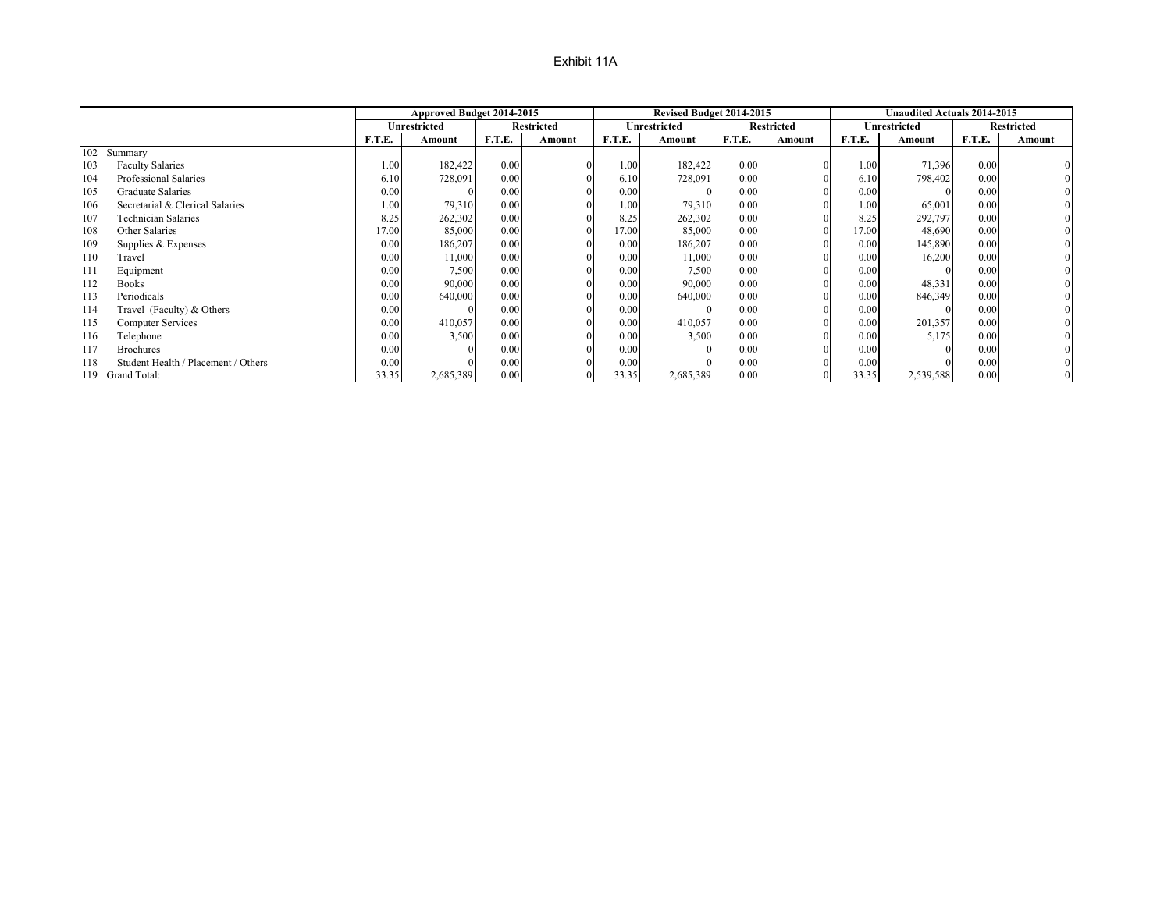|     |                                     |        | Approved Budget 2014-2015 |        |                   |        | Revised Budget 2014-2015 |        |                   | <b>Unaudited Actuals 2014-2015</b> |                     |        |                   |
|-----|-------------------------------------|--------|---------------------------|--------|-------------------|--------|--------------------------|--------|-------------------|------------------------------------|---------------------|--------|-------------------|
|     |                                     |        | Unrestricted              |        | <b>Restricted</b> |        | Unrestricted             |        | <b>Restricted</b> |                                    | <b>Unrestricted</b> |        | <b>Restricted</b> |
|     |                                     | F.T.E. | Amount                    | F.T.E. | Amount            | F.T.E. | Amount                   | F.T.E. | Amount            | <b>F.T.E.</b>                      | Amount              | F.T.E. | Amount            |
| 102 | Summary                             |        |                           |        |                   |        |                          |        |                   |                                    |                     |        |                   |
| 103 | <b>Faculty Salaries</b>             | 1.00   | 182,422                   | 0.00   |                   | 1.00   | 182,422                  | 0.00   |                   | 1.00                               | 71,396              | 0.00   |                   |
| 104 | Professional Salaries               | 6.10   | 728,091                   | 0.00   |                   | 6.10   | 728,091                  | 0.00   |                   | 6.10                               | 798,402             | 0.00   |                   |
| 105 | Graduate Salaries                   | 0.00   |                           | 0.00   |                   | 0.00   |                          | 0.00   |                   | 0.00                               |                     | 0.00   |                   |
| 106 | Secretarial & Clerical Salaries     | 1.00   | 79,310                    | 0.00   |                   | 1.00   | 79,310                   | 0.00   |                   | 1.00                               | 65,001              | 0.00   |                   |
| 107 | <b>Technician Salaries</b>          | 8.25   | 262,302                   | 0.00   |                   | 8.25   | 262,302                  | 0.00   |                   | 8.25                               | 292,797             | 0.00   |                   |
| 108 | Other Salaries                      | 7.00   | 85,000                    | 0.00   |                   | 17.00  | 85,000                   | 0.00   |                   | 17.00                              | 48,690              | 0.00   |                   |
| 109 | Supplies & Expenses                 | 0.00   | 186,207                   | 0.00   |                   | 0.00   | 186,207                  | 0.00   |                   | 0.00                               | 145,890             | 0.00   |                   |
| 110 | Travel                              | 0.00   | 11,000                    | 0.00   |                   | 0.00   | 11,000                   | 0.00   |                   | 0.00                               | 16,200              | 0.00   |                   |
| 111 | Equipment                           | 0.00   | 7,500                     | 0.00   |                   | 0.00   | 7,500                    | 0.00   |                   | 0.00                               |                     | 0.00   |                   |
| 112 | <b>Books</b>                        | 0.00   | 90,000                    | 0.00   |                   | 0.00   | 90,000                   | 0.00   |                   | 0.00                               | 48,331              | 0.00   |                   |
| 113 | Periodicals                         | 0.00   | 640,000                   | 0.00   |                   | 0.00   | 640,000                  | 0.00   |                   | 0.00                               | 846,349             | 0.00   |                   |
| 114 | Travel (Faculty) & Others           | 0.00   |                           | 0.00   |                   | 0.00   |                          | 0.00   |                   | 0.00                               |                     | 0.00   |                   |
| 115 | <b>Computer Services</b>            | 0.00   | 410,057                   | 0.00   |                   | 0.00   | 410,057                  | 0.00   |                   | 0.00                               | 201,357             | 0.00   |                   |
| 116 | Telephone                           | 0.00   | 3,500                     | 0.00   |                   | 0.00   | 3,500                    | 0.00   |                   | 0.00                               | 5,175               | 0.00   |                   |
| 117 | <b>Brochures</b>                    | 0.00   |                           | 0.00   |                   | 0.00   |                          | 0.00   |                   | 0.00                               |                     | 0.00   |                   |
| 118 | Student Health / Placement / Others | 0.00   |                           | 0.00   |                   | 0.00   |                          | 0.00   |                   | 0.00                               |                     | 0.00   |                   |
|     | 119 Grand Total:                    | 33.35  | 2,685,389                 | 0.00   |                   | 33.35  | 2,685,389                | 0.00   |                   | 33.35                              | 2,539,588           | 0.00   |                   |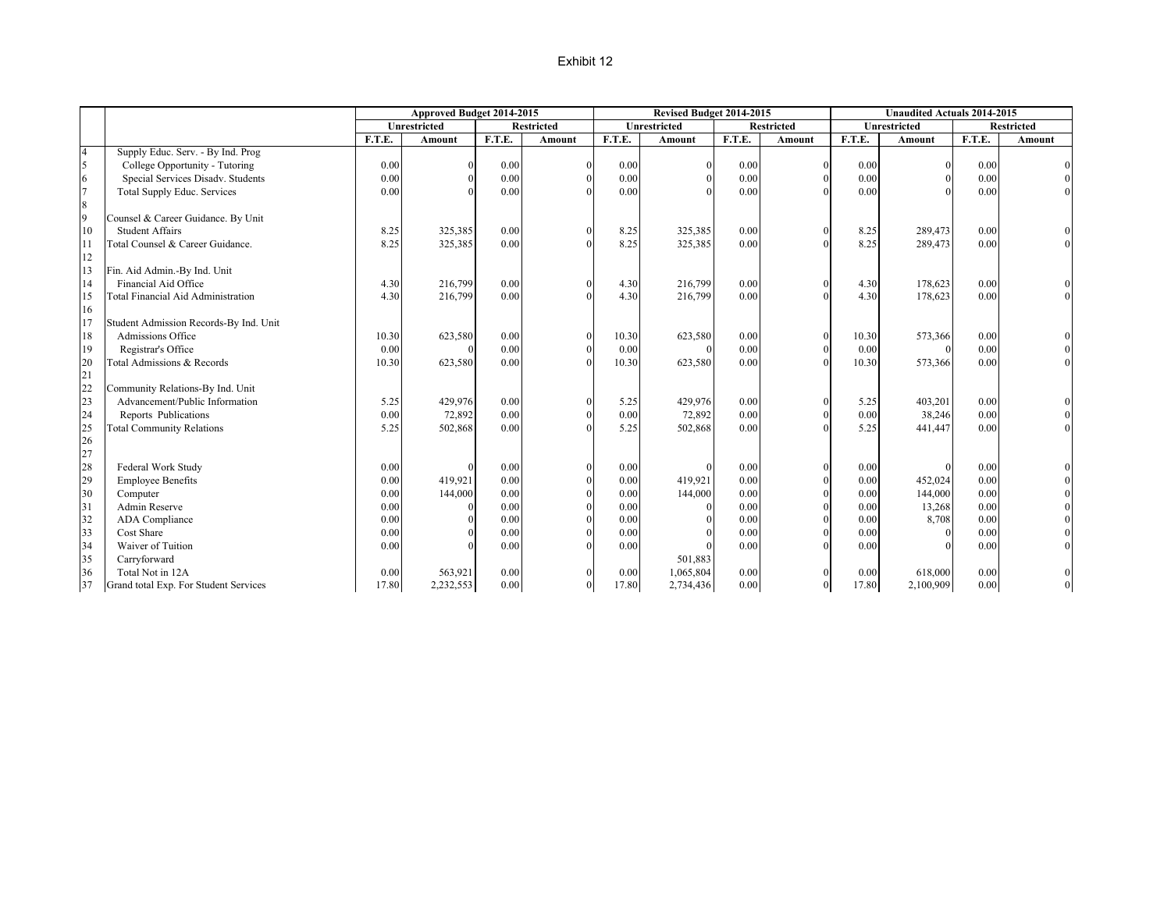|                |                                        |        | Approved Budget 2014-2015 |        |                   |        | Revised Budget 2014-2015 |        |                   |        | <b>Unaudited Actuals 2014-2015</b> |        |                   |
|----------------|----------------------------------------|--------|---------------------------|--------|-------------------|--------|--------------------------|--------|-------------------|--------|------------------------------------|--------|-------------------|
|                |                                        |        | <b>Unrestricted</b>       |        | <b>Restricted</b> |        | <b>Unrestricted</b>      |        | <b>Restricted</b> |        | <b>Unrestricted</b>                |        | <b>Restricted</b> |
|                |                                        | F.T.E. | <b>Amount</b>             | F.T.E. | Amount            | F.T.E. | Amount                   | F.T.E. | Amount            | F.T.E. | <b>Amount</b>                      | F.T.E. | <b>Amount</b>     |
| $\overline{4}$ | Supply Educ. Serv. - By Ind. Prog      |        |                           |        |                   |        |                          |        |                   |        |                                    |        |                   |
| 5              | College Opportunity - Tutoring         | 0.00   |                           | 0.00   | $\Omega$          | 0.00   |                          | 0.00   | $\mathbf{0}$      | 0.00   |                                    | 0.00   |                   |
| 6              | Special Services Disadv. Students      | 0.00   |                           | 0.00   |                   | 0.00   |                          | 0.00   | $\mathbf{0}$      | 0.00   |                                    | 0.00   |                   |
| $\overline{7}$ | <b>Total Supply Educ. Services</b>     | 0.00   |                           | 0.00   |                   | 0.00   |                          | 0.00   | $\Omega$          | 0.00   |                                    | 0.00   | $\overline{0}$    |
| 8              |                                        |        |                           |        |                   |        |                          |        |                   |        |                                    |        |                   |
| 9              | Counsel & Career Guidance. By Unit     |        |                           |        |                   |        |                          |        |                   |        |                                    |        |                   |
| 10             | <b>Student Affairs</b>                 | 8.25   | 325,385                   | 0.00   |                   | 8.25   | 325,385                  | 0.00   | $\theta$          | 8.25   | 289,473                            | 0.00   |                   |
| 11             | Total Counsel & Career Guidance.       | 8.25   | 325,385                   | 0.00   |                   | 8.25   | 325,385                  | 0.00   | $\theta$          | 8.25   | 289,473                            | 0.00   | $\overline{0}$    |
| 12             |                                        |        |                           |        |                   |        |                          |        |                   |        |                                    |        |                   |
| 13             | Fin. Aid Admin.-By Ind. Unit           |        |                           |        |                   |        |                          |        |                   |        |                                    |        |                   |
| 14             | Financial Aid Office                   | 4.30   | 216,799                   | 0.00   |                   | 4.30   | 216,799                  | 0.00   | $\theta$          | 4.30   | 178,623                            | 0.00   |                   |
| 15             | Total Financial Aid Administration     | 4.30   | 216,799                   | 0.00   |                   | 4.30   | 216,799                  | 0.00   | $\Omega$          | 4.30   | 178,623                            | 0.00   | $\Omega$          |
| 16             |                                        |        |                           |        |                   |        |                          |        |                   |        |                                    |        |                   |
| 17             | Student Admission Records-By Ind. Unit |        |                           |        |                   |        |                          |        |                   |        |                                    |        |                   |
| 18             | Admissions Office                      | 10.30  | 623,580                   | 0.00   |                   | 10.30  | 623,580                  | 0.00   | $\mathbf{0}$      | 10.30  | 573,366                            | 0.00   |                   |
| 19             | Registrar's Office                     | 0.00   |                           | 0.00   | $\Omega$          | 0.00   |                          | 0.00   | $\theta$          | 0.00   | $\Omega$                           | 0.00   |                   |
| 20             | Total Admissions & Records             | 10.30  | 623,580                   | 0.00   | $\Omega$          | 10.30  | 623,580                  | 0.00   | $\mathbf{0}$      | 10.30  | 573,366                            | 0.00   | $\overline{0}$    |
| 21             |                                        |        |                           |        |                   |        |                          |        |                   |        |                                    |        |                   |
| 22             | Community Relations-By Ind. Unit       |        |                           |        |                   |        |                          |        |                   |        |                                    |        |                   |
| 23             | Advancement/Public Information         | 5.25   | 429,976                   | 0.00   |                   | 5.25   | 429,976                  | 0.00   | $\Omega$          | 5.25   | 403,201                            | 0.00   |                   |
| 24             | Reports Publications                   | 0.00   | 72,892                    | 0.00   | $\Omega$          | 0.00   | 72,892                   | 0.00   | $\theta$          | 0.00   | 38,246                             | 0.00   |                   |
| 25             | <b>Total Community Relations</b>       | 5.25   | 502,868                   | 0.00   | $\Omega$          | 5.25   | 502,868                  | 0.00   | $\theta$          | 5.25   | 441,447                            | 0.00   | $\overline{0}$    |
| 26             |                                        |        |                           |        |                   |        |                          |        |                   |        |                                    |        |                   |
| 27             |                                        |        |                           |        |                   |        |                          |        |                   |        |                                    |        |                   |
| 28             | Federal Work Study                     | 0.00   |                           | 0.00   | $\Omega$          | 0.00   |                          | 0.00   | $\theta$          | 0.00   | $\Omega$                           | 0.00   |                   |
| 29             | <b>Employee Benefits</b>               | 0.00   | 419.921                   | 0.00   | $\theta$          | 0.00   | 419,921                  | 0.00   | $\mathbf{0}$      | 0.00   | 452,024                            | 0.00   |                   |
| 30             | Computer                               | 0.00   | 144,000                   | 0.00   | $\Omega$          | 0.00   | 144,000                  | 0.00   | $\theta$          | 0.00   | 144,000                            | 0.00   |                   |
| 31             | Admin Reserve                          | 0.00   |                           | 0.00   |                   | 0.00   |                          | 0.00   | $\theta$          | 0.00   | 13,268                             | 0.00   |                   |
| 32             | <b>ADA</b> Compliance                  | 0.00   |                           | 0.00   |                   | 0.00   |                          | 0.00   | $\theta$          | 0.00   | 8,708                              | 0.00   |                   |
| 33             | Cost Share                             | 0.00   |                           | 0.00   |                   | 0.00   |                          | 0.00   | $\theta$          | 0.00   | $\Omega$                           | 0.00   |                   |
| 34             | Waiver of Tuition                      | 0.00   |                           | 0.00   |                   | 0.00   |                          | 0.00   | $\theta$          | 0.00   |                                    | 0.00   |                   |
| 35             | Carryforward                           |        |                           |        |                   |        | 501,883                  |        |                   |        |                                    |        |                   |
| 36             | Total Not in 12A                       | 0.00   | 563,921                   | 0.00   |                   | 0.00   | 1,065,804                | 0.00   |                   | 0.00   | 618,000                            | 0.00   |                   |
| 37             | Grand total Exp. For Student Services  | 17.80  | 2,232,553                 | 0.00   | $\theta$          | 17.80  | 2,734,436                | 0.00   | $\mathbf{0}$      | 17.80  | 2,100,909                          | 0.00   | $\mathbf{0}$      |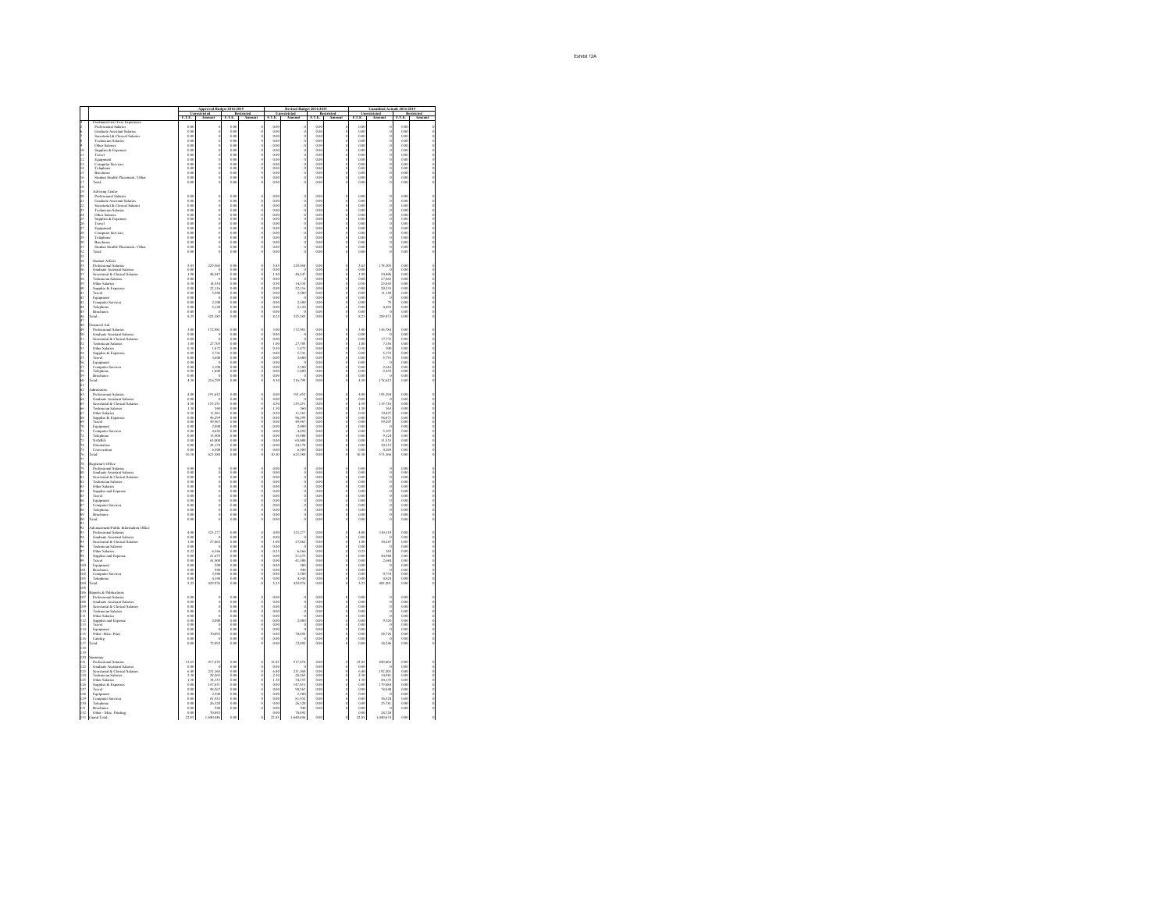|                                       |                                                                                                                                 |                        | Approved Budget 2014-2015<br>restricted Restr                    |                             | tricted |                                   | Revised Budget 2014-2015<br>restricted Res<br>Amount F.T.E.      |                          | tricted<br>Ame | Um<br>F.T.E.                               | Unaudited Actuals 2014-2015<br>estricted<br>Amor |                        | stricted |
|---------------------------------------|---------------------------------------------------------------------------------------------------------------------------------|------------------------|------------------------------------------------------------------|-----------------------------|---------|-----------------------------------|------------------------------------------------------------------|--------------------------|----------------|--------------------------------------------|--------------------------------------------------|------------------------|----------|
|                                       | man First Year Experience                                                                                                       | $\frac{1}{10}$         |                                                                  | F.T.E                       |         | $\frac{\overline{U}}{\text{ELE}}$ |                                                                  | F.T.E                    |                |                                            |                                                  | F.T.E                  |          |
|                                       | Professional Salaries<br>Graduate Assistant Salaries                                                                            | 0.00<br>o or           |                                                                  | 0.00<br>0.00                |         | 0.00<br>o or                      |                                                                  | 0.00<br>o or             |                | 0.00<br>0.00                               |                                                  | 0.00<br>o or           |          |
| A 40-11-01-01-01                      | Secretarial & Clerical Salaries                                                                                                 | 0.00                   |                                                                  | 0.00                        |         | $\frac{0.01}{0.01}$               |                                                                  | 0.00                     |                | 0.00                                       |                                                  | 0.00                   |          |
|                                       | <b>Technician Salaries</b><br>Other Salaries                                                                                    | 0.00<br>0.00           |                                                                  | 0.00<br>0.00                |         | 0.00                              |                                                                  | 0.00<br>0.00             |                | 0.00<br>0.00                               |                                                  | 0.00<br>0.00           |          |
| 10                                    | nes easartes<br>Supplies & Expenses<br>Travel                                                                                   | 0.06                   |                                                                  |                             |         | 0.00                              |                                                                  | $_{\alpha\alpha}$        |                | 0.00                                       |                                                  | 0.00                   |          |
| $\frac{11}{12}$                       | Equipment                                                                                                                       |                        |                                                                  | $0.00$<br>0.00<br>0.00      |         |                                   |                                                                  | $0.00$<br>$0.00$         |                | 0.00000                                    |                                                  |                        |          |
| 13                                    | Computer Services<br>Telephone<br>Brochures                                                                                     | 0.00<br>o or           |                                                                  | 0.00                        |         | 0.00<br>0 OC                      |                                                                  | 0.00                     |                | 0.00<br>0.00                               |                                                  | 0.00<br>o or           |          |
| $\frac{14}{15}$                       |                                                                                                                                 | 0.00                   |                                                                  | $\frac{0.00}{0.00}$         |         | 0.00                              | 0.0000                                                           | 0.00                     |                | $\overline{\omega}$                        |                                                  | 0.05                   |          |
| $\frac{16}{17}$                       | Student Health <sup>1</sup> Placement / Other<br>Total:                                                                         | 0.00<br>0.00           |                                                                  | 0.00<br>0.00                |         | 0.00<br>0.00                      |                                                                  | 0.00<br>0.00             |                | 0.00<br>0.00                               |                                                  | 0.00<br>0.00           |          |
| 18                                    |                                                                                                                                 |                        |                                                                  |                             |         |                                   |                                                                  |                          |                |                                            |                                                  |                        |          |
| ïs                                    | Advising Center<br>Professional Salaries                                                                                        | 0.00                   |                                                                  | 0.00                        |         | 0.00                              |                                                                  | 0.00                     |                | 0.00                                       |                                                  | 0.00                   |          |
|                                       | Graduate Assistant Salaries<br>Secretarial & Clerical Salaries                                                                  | 0.00<br>0.00           |                                                                  | 0.00<br>0.00                |         | 0.00<br>0.00                      | i                                                                | 0.00<br>0.00             |                | 0.00<br>0.00                               |                                                  | 0.00<br>0.00           |          |
| 82822                                 | Technician Salaries                                                                                                             | 0.0                    |                                                                  | 0.00                        |         | $\frac{0.01}{0.01}$               |                                                                  | $0.00$<br>$0.00$         |                | 0.00                                       |                                                  | 0.0                    |          |
|                                       | Other Salaries<br>Supplies & Expenses                                                                                           | 0.00<br>0.00           |                                                                  | 0.00<br>0.00                |         | 0.00                              |                                                                  | 0.00                     |                | 0.00<br>0.00                               |                                                  | 0.00<br>0.00           |          |
|                                       | Travel                                                                                                                          | oor                    |                                                                  | 0.00                        |         | oor                               |                                                                  | 0.00                     |                | 0.00                                       |                                                  | 0.06                   |          |
| <b>R 5. R</b>                         | Equipment<br>Computer Services                                                                                                  | $\frac{0.01}{0.01}$    |                                                                  | $0.00$<br>0.00              |         |                                   | o a                                                              | $0.00$<br>$0.00$         |                | 0.00000                                    |                                                  |                        |          |
|                                       |                                                                                                                                 | 0.00                   |                                                                  | 0.00                        |         | 0.00                              |                                                                  | 0.00                     |                | 0.00                                       |                                                  | 0.00                   |          |
| 92<br>30<br>31                        | Telephone<br>Brochures<br>Student Health/ Placement / Other                                                                     | o or<br>0.05           |                                                                  | 0.00                        |         | 0 OC<br>0.00                      | 0.000                                                            | 0.00                     |                | 0.00<br>$\overline{\alpha}$                |                                                  | o or<br>0.05           |          |
|                                       | Total:                                                                                                                          | 0.00                   |                                                                  | 0.00                        |         | 0.00                              |                                                                  | 0.00                     |                | 0.00                                       |                                                  | 0.00                   |          |
| 32 33 34 35 37                        | <b>Student &amp; Hoirs</b>                                                                                                      |                        |                                                                  |                             |         |                                   |                                                                  |                          |                |                                            |                                                  |                        |          |
|                                       |                                                                                                                                 | 5.85                   | 229,568                                                          | 0.00                        |         | 5.85                              | 229,568                                                          | 0.00                     |                | 5.85                                       | 178,105                                          | 0.00                   |          |
|                                       | Statem Attans<br>Professional Salaries<br>Graduate Assistant Salaries<br>Secretarial & Clerical Salaries                        | 0.00<br>1.90           | 48.247                                                           | 0.00<br>0.00                |         | 0.00<br>1.90                      | 48.247                                                           | 0.00<br>0.00             |                | 0.00<br>1.90                               | 24.406                                           | 0.00<br>0.00           |          |
|                                       | Technician Salaries<br>Other Salaries<br>Supplies & Expenses                                                                    | 0.00                   |                                                                  | $\alpha$                    |         |                                   |                                                                  | $0.00$<br>0.00<br>0.00   |                | $0.00$<br>0.50<br>0.00                     | 27,062<br>23,843<br>20,333                       | 0.00                   |          |
|                                       |                                                                                                                                 | $0.50$<br>0.00         | 14,534<br>22,116                                                 | $0.00$<br>0.00              |         |                                   | 14,534<br>22,116                                                 |                          |                |                                            |                                                  | 0.0000                 |          |
|                                       | Travel                                                                                                                          | 0.00<br>$\overline{0}$ | 3,500                                                            | 0.00<br>000                 |         | 0.00<br>000                       | 3,500                                                            | 0.00<br>0.00             |                | 0.00<br>$\overline{\alpha}$                | 11.158                                           | 0.00<br>$\overline{0}$ |          |
|                                       | 110142<br>Equipment<br>Computer Services<br>Telephone                                                                           |                        | $2,300$<br>$5,120$                                               | $0.00$<br>0.00              |         |                                   | $\frac{2,300}{5,120}$                                            | $0.00$<br>$0.00$         |                | 0.00000                                    | $-291$                                           | $0.01$<br>0.00         |          |
|                                       | Brochures                                                                                                                       | 0.00                   |                                                                  | 0.00                        |         | 0.00                              |                                                                  | 0.00                     |                | 0.00                                       |                                                  | 0.00                   |          |
|                                       | <b>Total:</b>                                                                                                                   | 821                    | 325.389                                                          | 0.00                        |         | 8.29                              | 325.385                                                          | 0.00                     |                | 82                                         | 289,473                                          | 0.00                   |          |
| 2020年12月22日12月22日22日                  | inancial Aid                                                                                                                    |                        |                                                                  |                             |         |                                   |                                                                  |                          |                |                                            |                                                  |                        |          |
|                                       | Professional Salaries<br>Graduate Assistant Salaries                                                                            | 3.00<br>o on           | 172.981                                                          | 0.00<br>0.00                |         | 3.00<br>0.00                      | 172.981                                                          | 0.00<br>0.00             |                | 3.00<br>0.00                               | 136,784                                          | 0.00<br>0.00           |          |
|                                       | ecretarial & Clerical Salaries                                                                                                  | 0.00                   |                                                                  | 0.00                        |         | 0.00                              |                                                                  | 0.00                     |                | 0.00                                       | 17,772                                           | 0.00                   |          |
|                                       | Technician Salaries<br>Other Salaries                                                                                           | 1.00<br>0.30           | 27,705<br>1.872                                                  | 0.00<br>0.00                |         | 1.00<br>0.30                      | 27,705                                                           | 0.00<br>0.00             |                | 1.00<br>0.30                               | 7,356<br>500                                     | 0.00<br>0.00           |          |
|                                       | Supplies & Expenses<br>Travel                                                                                                   | 0.00                   | 5.741                                                            |                             |         | 0.00                              | 5,741<br>3,600                                                   |                          |                | 0.00                                       | 5,372<br>5,791                                   | 0.00                   |          |
|                                       | Equipment                                                                                                                       | 0.0<br>0.00            | 3,600                                                            | $0.00$<br>0.00<br>0.00      |         |                                   |                                                                  | $0.00$<br>0.00<br>0.00   |                | 0.00000                                    |                                                  | 0.0000                 |          |
|                                       |                                                                                                                                 | 0.00                   | 3,100                                                            | 0.00                        |         | 0.00                              | 3,100                                                            | 0.00                     |                | 0.00                                       | 2.616                                            | 0.00                   |          |
|                                       | Computer Services<br>Telephone<br>Brochures                                                                                     | o or<br>0.00           | 1,800                                                            | o oo<br>$\overline{\alpha}$ |         | 0 OC<br>0.00                      | 1,800                                                            | 0.00<br>0.00             |                | o or<br>$\overline{\omega}$                | 2,432                                            | o or<br>0.05           |          |
|                                       | otal:                                                                                                                           | 4.30                   | 216,799                                                          | 0.00                        |         | 4.30                              | 216,799                                                          | 0.00                     |                | 4.30                                       | 178,623                                          | 0.00                   |          |
| 3.22 3.23 3.3 3 3 3 3 3 3 3 3 3 3 3 3 | Lebreicainen                                                                                                                    |                        |                                                                  |                             |         |                                   |                                                                  |                          |                |                                            |                                                  |                        |          |
|                                       | Professional Salaries                                                                                                           | 0.00                   | 191,652                                                          | 0.00<br>0.00                |         | 4.00<br>0.00                      | 191,652                                                          | 0.00<br>0.00             |                | 40<br>0.00                                 | 195,194                                          | 0.00<br>0.00           |          |
|                                       | Graduate Assistant Salaries<br>Secretarial & Clerical Salaries                                                                  | 4.50                   | 155.251                                                          | 0.00                        |         | 4.50                              | 155.251                                                          | 0.00                     |                | 4.50                                       | 119,736                                          | 0.00                   |          |
|                                       |                                                                                                                                 | $\frac{1.30}{0.50}$    |                                                                  | $0.00$<br>$0.00$            |         |                                   |                                                                  |                          |                | $\frac{1.30}{0.50}$                        | $\frac{563}{19,427}$                             | $0.00$<br>$0.00$       |          |
|                                       | Technician Salaries<br>Other Salaries<br>Supplies & Expenses                                                                    | 0.00                   | $\begin{array}{r} 560 \\ 11,581 \\ 96,299 \\ 49,967 \end{array}$ | 0.00                        |         | $\frac{1.31}{0.51}$               | $\begin{array}{c} 560 \\ 11,581 \\ 96,299 \\ 49,967 \end{array}$ | $0.00$<br>0.00<br>0.00   |                | 0.00                                       | 98,871                                           | 0.00                   |          |
|                                       | Travel                                                                                                                          | 0.00<br>oor            |                                                                  | 0.00<br>0.00                |         | 0.00<br>0.00                      |                                                                  | 0.00                     |                | 0.00<br>0.00                               | 59.207                                           | 0.00<br>0.00           |          |
| $\frac{70}{71}$                       | <b>Equipment</b><br>Computer Services<br>Telephone                                                                              | $0.01$<br>0.00         | $2,000$<br>$4,692$<br>$15,900$                                   | $0.00$<br>0.00              |         |                                   | $2,000$<br>$4,692$<br>$15,900$                                   | $0.00$<br>0.00<br>0.00   |                | 0.00000                                    | $\frac{5,107}{9,124}$                            | 0.0000                 |          |
|                                       | <b>NAMES</b>                                                                                                                    | 0.00                   | 65,000                                                           | 0.00                        |         | 0.00                              | 65,000                                                           | 0.00                     |                | 0.00                                       | 31,553                                           | 0.00                   |          |
| 73<br>74<br>75                        | Orientation<br>Convocatio                                                                                                       | o or<br>0.05           | 24,178<br>6,500                                                  | o oo<br>$\overline{\alpha}$ |         | 0 OC<br>0.00                      |                                                                  | 0.00<br>$\overline{000}$ |                | 0.00<br>0.00                               | 30,315                                           | 0.00<br>0.05           |          |
|                                       | Total                                                                                                                           | 10.30                  | 623,580                                                          | 0.00                        |         | 10.30                             | 24,178<br>6,500<br>623,580                                       | 0.00                     |                | 10.30                                      | \$73,366                                         | 0.00                   |          |
|                                       | <b>Louisiana's Office</b>                                                                                                       |                        |                                                                  |                             |         |                                   |                                                                  |                          |                |                                            |                                                  |                        |          |
|                                       | Professional Salari                                                                                                             | 0.00                   |                                                                  | 0.00                        |         | 0.00                              |                                                                  | 0.00                     |                | 0.O                                        |                                                  | 0.00                   |          |
|                                       | Graduate Assistant Salaries<br>Secretarial & Clerical Salaries                                                                  | 0.00<br>0.00           |                                                                  | 0.00<br>0.00                |         | 0.00<br>0.00                      |                                                                  | 0.00<br>0.00             |                | 0.00<br>0.00                               |                                                  | 0.00<br>0.00           |          |
|                                       | Technician Salaries<br>Other Salaries<br>Supplies and Expense                                                                   | o or                   |                                                                  | $0.00$<br>0.00<br>0.00      |         |                                   |                                                                  | $0.00$<br>0.00<br>0.00   |                | $\alpha$                                   |                                                  | 0.00                   |          |
|                                       |                                                                                                                                 | 0.00<br>0.00           |                                                                  |                             |         |                                   |                                                                  |                          |                | 0.00<br>0.00                               |                                                  |                        |          |
|                                       | Transf                                                                                                                          | 0.00<br>$\overline{0}$ |                                                                  | 0.00                        |         | 0.00<br>0.00                      |                                                                  | 0.00                     |                | 0.00<br>$\overline{\alpha}$                |                                                  | 0.00<br>0.05           |          |
|                                       | Equipment<br>Computer Services                                                                                                  | 0.00                   |                                                                  | $0.00$<br>0.00              |         | 0.00                              | 0.0000000                                                        | $0.00$<br>$0.00$         |                | $\overline{\omega}$                        |                                                  | 0.00                   |          |
|                                       | Telephone<br>Brochures                                                                                                          | 0.00<br>0.00           |                                                                  | 0.00<br>0.00                |         | 0.00<br>0.00                      |                                                                  | 0.00<br>0.00             |                | 0.00<br>0.00                               |                                                  | 0.00<br>0.00           |          |
|                                       | a.                                                                                                                              | ó ó                    |                                                                  | 0.00                        |         | 0.00                              |                                                                  | 0.00                     |                | 0.00                                       |                                                  | 0.00                   |          |
|                                       | Advancement Public Information Office                                                                                           |                        |                                                                  |                             |         |                                   |                                                                  |                          |                |                                            |                                                  |                        |          |
| 12 2 3 3 3 3 3 3 3 3 3 3 3 3 3 3 4 5  | Professional Salaries<br>Graduate Assistant Salaries                                                                            | 4.00                   | 323.277                                                          | 0.00                        |         | 4.00                              | 323.277                                                          | 0.00                     |                | 4.00                                       | 310,319                                          | 0.00                   |          |
|                                       | ecretarial & Clerical Salaries                                                                                                  | 0.00<br>1.00           | 27,862                                                           | 0.00<br>0.00                |         | 0.00<br>1.00                      | 27,862                                                           | 0.00<br>0.00             |                | 0.00<br>1.00                               | 30,287                                           | 0.00<br>0.00           |          |
|                                       | Technician Salaries<br>Other Salaries                                                                                           | 0.00<br>0.25           | 6366                                                             | 0.00<br>0.00                |         | 0.00<br>0.25                      | 6,366                                                            | 0.00<br>0.00             |                | 0.00<br>0.25                               | 365                                              | 0.00<br>0.00           |          |
|                                       | Supplies and Expense                                                                                                            | o or                   |                                                                  | 0.00                        |         | 0.00                              |                                                                  |                          |                | o or                                       | 44.988                                           | 0.00                   |          |
|                                       | Travel                                                                                                                          |                        | 21,675<br>41,500<br>500                                          | $0.00$<br>0.00              |         |                                   | 21,675<br>41,500<br>500                                          | $0.00$<br>0.00<br>0.00   |                | $0.00$<br>0.00                             | 2,684                                            |                        |          |
|                                       | Equipment<br>Brochures                                                                                                          | 0.00                   | 948                                                              | 0.00                        |         | 0.00                              | 948                                                              | 0.00                     |                | 0.00                                       |                                                  | 0.00                   |          |
| 101<br>102<br>103                     | Computer Services<br>Telephone                                                                                                  | $\overline{0}$<br>0.00 | 3.500<br>4.34                                                    | 0.00<br>0.00                |         | 0.00                              | 3,500<br>4,348                                                   | 0.00                     |                | 00<br>$\overline{\omega}$                  | 0.73                                             | 0.05<br>0.00           |          |
| 104                                   | otal                                                                                                                            | 5.21                   | 429,976                                                          | 0.00                        |         | 0.00<br>5.29                      | 429,976                                                          | 0.00                     |                | \$25                                       | 4,824<br>403,201                                 | 0.00                   |          |
| 105<br>106                            | ports & Publications                                                                                                            |                        |                                                                  |                             |         |                                   |                                                                  |                          |                |                                            |                                                  |                        |          |
| 107                                   |                                                                                                                                 | 0.00                   |                                                                  | 0.00                        |         | 0.00                              |                                                                  | 0.00                     |                | 0.00                                       |                                                  | 0.00                   |          |
| 108<br>109                            | poses ve a universitativo<br>Professional Salaries<br>Secretarial & Clerical Salaries                                           | 0.00<br>0.00           |                                                                  | 0.00<br>0.00                |         | 0.00<br>0.00                      |                                                                  | 0.00<br>0.00             |                | 0.00<br>0.00                               |                                                  | 0.00<br>0.00           |          |
|                                       | Technician Salaries<br>Other Salaries<br>Supplies and Expense                                                                   | $0.00$<br>$0.00$       |                                                                  | $0.00$<br>0.00<br>0.00      |         |                                   |                                                                  | $0.00$<br>0.00<br>0.00   |                | 0.000000                                   |                                                  | $0.00$<br>$0.00$       |          |
| $\frac{110}{111}$                     |                                                                                                                                 | 0.00                   | 2,000                                                            |                             |         |                                   | 2,000                                                            |                          |                | 0.00                                       | 9,520                                            | 0.00                   |          |
| 113<br>114<br>115                     | Transl                                                                                                                          | 0.00<br>$\overline{0}$ |                                                                  | 0.00<br>000                 |         | 0.00<br>0.00                      |                                                                  | 0.00                     |                | 0.00<br>$\overline{\alpha}$                |                                                  | 0.00<br>$\overline{0}$ |          |
|                                       | Equipment<br>Other-Mise. Print                                                                                                  | 0.00                   | 70,892                                                           | $\overline{\omega}$         |         | 0.00                              | 70,892                                                           | $0.00$<br>$0.00$         |                | $\overline{\omega}$                        | 28,726                                           | 0.00                   |          |
| $\frac{116}{117}$                     | Catalog<br>Total:                                                                                                               | 0.00<br>0.00           | 72.892                                                           | 0.00<br>0.00                |         | 0.00<br>0.00                      | 72.892                                                           | 0.00<br>0.00             |                | 0.00<br>0.00                               | 38.24                                            | 0.00<br>0.00           |          |
| 118                                   |                                                                                                                                 |                        |                                                                  |                             |         |                                   |                                                                  |                          |                |                                            |                                                  |                        |          |
| ii9                                   | ummary                                                                                                                          |                        |                                                                  |                             |         |                                   |                                                                  |                          |                |                                            |                                                  |                        |          |
| $^{120}_{121}$<br>122                 | Professional Salaries                                                                                                           | 12.85<br>0.00          | 917,478                                                          | 0.00<br>0.00                |         | 12.85<br>0.00                     | 917.478                                                          | 0.00<br>0.00             |                | 12.85<br>0.00                              | 820,402                                          | 0.00<br>0.00           |          |
|                                       | Graduate Assistant Salaries<br>Secretarial & Clerical Salaries                                                                  | 6.40                   | 231,360                                                          | 0.00                        |         |                                   | 231,360                                                          | 0.00                     |                |                                            | 192,201                                          | 0.00                   |          |
| 123<br>124<br>125                     | Technician Salaries<br>Other Salaries                                                                                           | 2.30<br>1.30           | 28,265<br>34.353                                                 | 0.00<br>0.00                |         | $\frac{6.40}{2.30}$<br>1.30       | 28,265<br>34.353                                                 | 0.00<br>0.00             |                | $\frac{6.40}{2.30}$<br>1.30                | 34,981<br>44,135                                 | 0.00<br>0.00           |          |
|                                       | Supplies & Expenses<br>Travel                                                                                                   | 0.00                   |                                                                  |                             |         |                                   |                                                                  |                          |                | ûά                                         |                                                  |                        |          |
| -<br>126<br>127<br>128                | Equipment                                                                                                                       | 0.0<br>0.00            | 147,831<br>98,567<br>2,500                                       | $0.00$<br>0.00<br>0.00      |         |                                   | 147,831<br>98,567<br>2,500                                       | $0.00$<br>0.00<br>0.00   |                | 0.00<br>0.00                               | 179,084                                          |                        |          |
| 129                                   |                                                                                                                                 | 0.00                   | 81.932                                                           | 0.00                        |         | 0.00                              | 81.932                                                           | 0.00                     |                | 0.00                                       | 36.5%                                            | 0.00                   |          |
| 130                                   | Computer Services<br>Telephone<br>Beochures                                                                                     | 000<br>0.00            | 26,320                                                           | 000<br>0.00                 |         | 0.000000                          | $26,320$<br>948                                                  | 0.00<br>0.00             |                | $\overline{\alpha}$<br>$\overline{\omega}$ | 25,781                                           | $\overline{0}$<br>0.00 |          |
|                                       | $\begin{tabular}{c} 132 \quad \quad \text{Other - Mi} \\ 133 \quad \text{Grand Total:} \end{tabular}$<br>Other - Misc. Printing | 0.00                   | 70,892                                                           |                             |         | 0.00                              | 70.892                                                           |                          |                | 0.00                                       | 28,726<br>1,440,674                              |                        |          |
|                                       |                                                                                                                                 | 22.85                  | 1,640,446                                                        | 0.00                        |         | 22.85                             | 1,640,446                                                        | 0.00                     |                | 22.85                                      |                                                  | 0.00                   |          |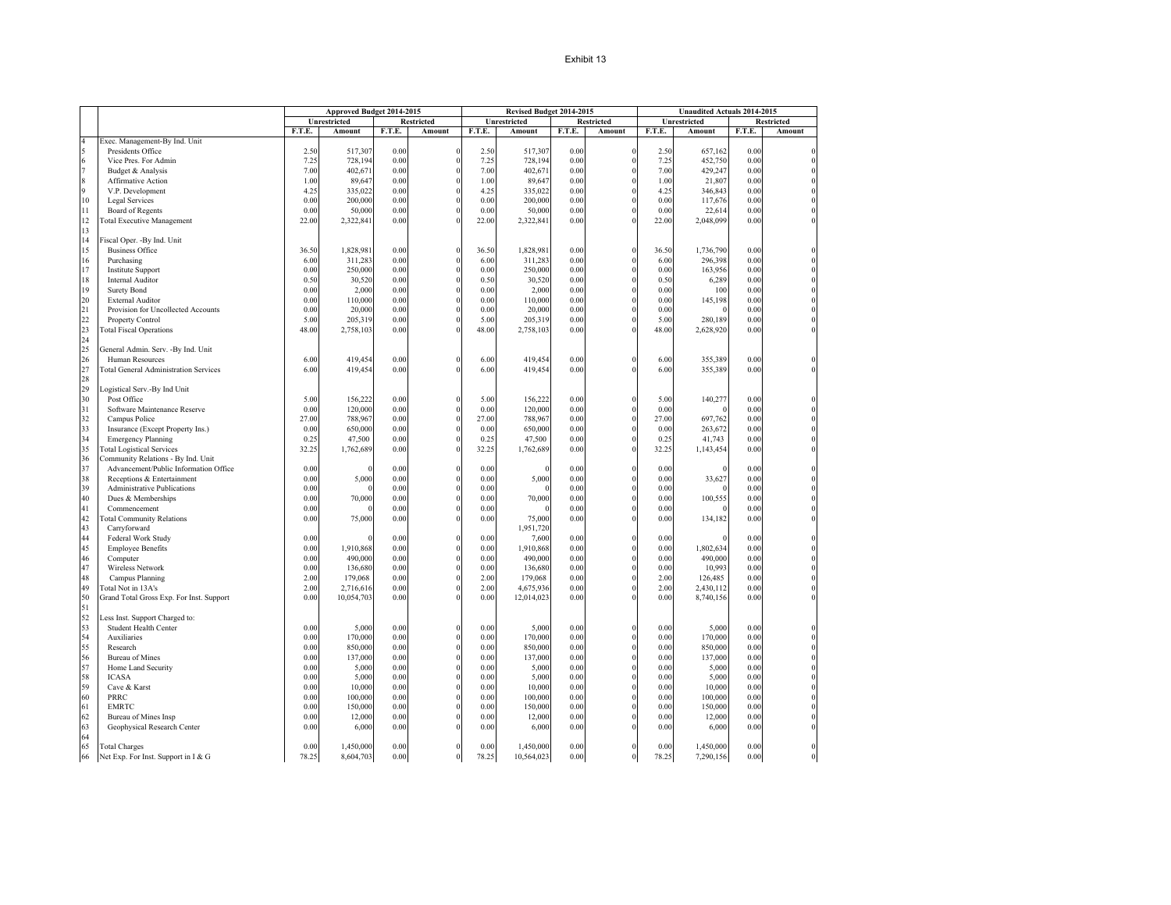|        |                                              |        | Approved Budget 2014-2015 |        |                |        | Revised Budget 2014-2015 |        |                   |        | Unaudited Actuals 2014-2015 |        |                   |
|--------|----------------------------------------------|--------|---------------------------|--------|----------------|--------|--------------------------|--------|-------------------|--------|-----------------------------|--------|-------------------|
|        |                                              |        | <b>Unrestricted</b>       |        | Restricted     |        | Unrestricted             |        | <b>Restricted</b> |        | Unrestricted                |        | <b>Restricted</b> |
|        |                                              | F.T.E. | Amount                    | F.T.E. | Amount         | F.T.E. | Amount                   | F.T.E. | Amount            | F.T.E. | Amount                      | F.T.E. | Amount            |
|        | Exec. Management-By Ind. Unit                |        |                           |        |                |        |                          |        |                   |        |                             |        |                   |
|        | Presidents Office                            | 2.50   | 517,307                   | 0.00   | $\Omega$       | 2.50   | 517,307                  | 0.00   | $\Omega$          | 2.50   | 657,162                     | 0.00   |                   |
| 6      | Vice Pres. For Admin                         | 7.25   | 728,194                   | 0.00   |                | 7.25   | 728,194                  | 0.00   |                   | 7.25   | 452,750                     | 0.00   |                   |
|        | Budget & Analysis                            | 7.00   | 402,671                   | 0.00   | $\mathbf{0}$   | 7.00   | 402,671                  | 0.00   |                   | 7.00   | 429,247                     | 0.00   |                   |
|        | Affirmative Action                           | 1.00   | 89,647                    | 0.00   |                | 1.00   | 89,647                   | 0.00   |                   | 1.00   | 21,807                      | 0.00   |                   |
|        | V.P. Development                             | 4.25   | 335,022                   | 0.00   |                | 4.25   | 335,022                  | 0.00   |                   | 4.25   | 346,843                     | 0.00   |                   |
| 10     |                                              | 0.00   | 200,000                   | 0.00   |                | 0.00   |                          |        |                   | 0.00   |                             |        |                   |
|        | Legal Services                               |        |                           |        | $\theta$       |        | 200,000                  | 0.00   |                   |        | 117,676                     | 0.00   |                   |
| 11     | Board of Regents                             | 0.00   | 50,000                    | 0.00   |                | 0.00   | 50,000                   | 0.00   |                   | 0.00   | 22,614                      | 0.00   |                   |
| 12     | <b>Total Executive Management</b>            | 22.00  | 2,322,841                 | 0.00   |                | 22.00  | 2,322,841                | 0.00   |                   | 22.00  | 2,048,099                   | 0.00   |                   |
| 13     |                                              |        |                           |        |                |        |                          |        |                   |        |                             |        |                   |
| 14     | iscal Oper. - By Ind. Unit                   |        |                           |        |                |        |                          |        |                   |        |                             |        |                   |
| $15\,$ | <b>Business Office</b>                       | 36.50  | 1,828,981                 | 0.00   | $\Omega$       | 36.50  | 1,828,981                | 0.00   | $\Omega$          | 36.50  | 1,736,790                   | 0.00   |                   |
| 16     | Purchasing                                   | 6.00   | 311,283                   | 0.00   |                | 6.00   | 311,283                  | 0.00   |                   | 6.00   | 296,398                     | 0.00   |                   |
| 17     | <b>Institute Support</b>                     | 0.00   | 250,000                   | 0.00   | $\Omega$       | 0.00   | 250,000                  | 0.00   |                   | 0.00   | 163,956                     | 0.00   |                   |
| 18     | Internal Auditor                             | 0.50   | 30,520                    | 0.00   | $\theta$       | 0.50   | 30,520                   | 0.00   |                   | 0.50   | 6,289                       | 0.00   |                   |
| 19     | <b>Surety Bond</b>                           | 0.00   | 2,000                     | 0.00   | $\theta$       | 0.00   | 2,000                    | 0.00   |                   | 0.00   | 100                         | 0.00   |                   |
| 20     | <b>External Auditor</b>                      | 0.00   | 110,000                   | 0.00   | $\theta$       | 0.00   | 110,000                  | 0.00   |                   | 0.00   | 145,198                     | 0.00   |                   |
| 21     | Provision for Uncollected Accounts           | 0.00   | 20,000                    | 0.00   |                | 0.00   | 20,000                   | 0.00   |                   | 0.00   |                             | 0.00   |                   |
| 22     |                                              |        |                           |        |                |        |                          |        |                   |        |                             |        |                   |
|        | Property Control                             | 5.00   | 205,319                   | 0.00   |                | 5.00   | 205,319                  | 0.00   |                   | 5.00   | 280,189                     | 0.00   |                   |
| 23     | <b>Total Fiscal Operations</b>               | 48.00  | 2,758,103                 | 0.00   |                | 48.00  | 2,758,103                | 0.00   |                   | 48.00  | 2,628,920                   | 0.00   |                   |
| 24     |                                              |        |                           |        |                |        |                          |        |                   |        |                             |        |                   |
| 25     | General Admin. Serv. -By Ind. Unit           |        |                           |        |                |        |                          |        |                   |        |                             |        |                   |
| 26     | Human Resources                              | 6.00   | 419,454                   | 0.00   | $\Omega$       | 6.00   | 419,454                  | 0.00   | $\Omega$          | 6.00   | 355,389                     | 0.00   |                   |
| 27     | <b>Total General Administration Services</b> | 6.00   | 419,454                   | 0.00   |                | 6.00   | 419,454                  | 0.00   |                   | 6.00   | 355,389                     | 0.00   |                   |
| 28     |                                              |        |                           |        |                |        |                          |        |                   |        |                             |        |                   |
| 29     | ogistical Serv.-By Ind Unit                  |        |                           |        |                |        |                          |        |                   |        |                             |        |                   |
| 30     | Post Office                                  | 5.00   | 156,222                   | 0.00   | $\Omega$       | 5.00   | 156,222                  | 0.00   | $\Omega$          | 5.00   | 140,277                     | 0.00   |                   |
| 31     | Software Maintenance Reserve                 | 0.00   | 120,000                   | 0.00   |                | 0.00   | 120,000                  | 0.00   |                   | 0.00   |                             | 0.00   |                   |
| 32     |                                              | 27.00  | 788,967                   | 0.00   | $\theta$       | 27.00  | 788,967                  | 0.00   |                   | 27.00  | 697,762                     | 0.00   |                   |
| 33     | Campus Police                                |        |                           |        |                |        |                          |        |                   |        |                             |        |                   |
|        | Insurance (Except Property Ins.)             | 0.00   | 650,000                   | 0.00   |                | 0.00   | 650,000                  | 0.00   |                   | 0.00   | 263,672                     | 0.00   |                   |
| 34     | <b>Emergency Planning</b>                    | 0.25   | 47,500                    | 0.00   |                | 0.25   | 47,500                   | 0.00   |                   | 0.25   | 41,743                      | 0.00   |                   |
| 35     | <b>Total Logistical Services</b>             | 32.25  | 1,762,689                 | 0.00   | $\Omega$       | 32.25  | 1,762,689                | 0.00   |                   | 32.25  | 1,143,454                   | 0.00   |                   |
| 36     | Community Relations - By Ind. Unit           |        |                           |        |                |        |                          |        |                   |        |                             |        |                   |
| 37     | Advancement/Public Information Office        | 0.00   |                           | 0.00   | $\Omega$       | 0.00   |                          | 0.00   | $\theta$          | 0.00   |                             | 0.00   |                   |
| 38     | Receptions & Entertainment                   | 0.00   | 5,000                     | 0.00   |                | 0.00   | 5,000                    | 0.00   |                   | 0.00   | 33,627                      | 0.00   |                   |
| 39     | Administrative Publications                  | 0.00   |                           | 0.00   | $\theta$       | 0.00   |                          | 0.00   |                   | 0.00   |                             | 0.00   |                   |
| 40     | Dues & Memberships                           | 0.00   | 70,000                    | 0.00   | $\theta$       | 0.00   | 70,000                   | 0.00   |                   | 0.00   | 100,555                     | 0.00   |                   |
| 41     | Commencement                                 | 0.00   |                           | 0.00   | $\mathbf{0}$   | 0.00   |                          | 0.00   |                   | 0.00   |                             | 0.00   |                   |
| 42     | <b>Cotal Community Relations</b>             | 0.00   | 75,000                    | 0.00   |                | 0.00   | 75,000                   | 0.00   |                   | 0.00   | 134,182                     | 0.00   |                   |
| 43     |                                              |        |                           |        |                |        | 1,951,720                |        |                   |        |                             |        |                   |
| 44     | Carryforward                                 | 0.00   |                           |        | $\theta$       | 0.00   |                          |        |                   |        |                             |        |                   |
|        | Federal Work Study                           |        |                           | 0.00   |                |        | 7,600                    | 0.00   |                   | 0.00   |                             | 0.00   |                   |
| 45     | <b>Employee Benefits</b>                     | 0.00   | 1,910,868                 | 0.00   | $\theta$       | 0.00   | 1,910,868                | 0.00   |                   | 0.00   | 1,802,634                   | 0.00   |                   |
| 46     | Computer                                     | 0.00   | 490,000                   | 0.00   | $\theta$       | 0.00   | 490,000                  | 0.00   |                   | 0.00   | 490,000                     | 0.00   |                   |
| 47     | Wireless Network                             | 0.00   | 136,680                   | 0.00   | $\theta$       | 0.00   | 136,680                  | 0.00   |                   | 0.00   | 10,993                      | 0.00   |                   |
| 48     | Campus Planning                              | 2.00   | 179,068                   | 0.00   | $\theta$       | 2.00   | 179,068                  | 0.00   |                   | 2.00   | 126,485                     | 0.00   |                   |
| 49     | Total Not in 13A's                           | 2.00   | 2,716,616                 | 0.00   | $\Omega$       | 2.00   | 4,675,936                | 0.00   |                   | 2.00   | 2,430,112                   | 0.00   |                   |
| 50     | Grand Total Gross Exp. For Inst. Support     | 0.00   | 10,054,703                | 0.00   |                | 0.00   | 12,014,023               | 0.00   |                   | 0.00   | 8,740,156                   | 0.00   |                   |
| 51     |                                              |        |                           |        |                |        |                          |        |                   |        |                             |        |                   |
| 52     | ess Inst. Support Charged to:                |        |                           |        |                |        |                          |        |                   |        |                             |        |                   |
| 53     | Student Health Center                        | 0.00   | 5,000                     | 0.00   | $\Omega$       | 0.00   | 5,000                    | 0.00   | $\Omega$          | 0.00   | 5,000                       | 0.00   |                   |
| 54     | Auxiliaries                                  | 0.00   | 170,000                   | 0.00   | $\theta$       | 0.00   | 170,000                  | 0.00   |                   | 0.00   | 170,000                     | 0.00   |                   |
| 55     |                                              |        |                           |        | $\theta$       |        |                          |        | $\sqrt{2}$        |        |                             |        |                   |
|        | Research                                     | 0.00   | 850,000                   | 0.00   |                | 0.00   | 850,000                  | 0.00   |                   | 0.00   | 850,000                     | 0.00   |                   |
| 56     | <b>Bureau</b> of Mines                       | 0.00   | 137,000                   | 0.00   | $\theta$       | 0.00   | 137,000                  | 0.00   |                   | 0.00   | 137,000                     | 0.00   |                   |
| 57     | Home Land Security                           | 0.00   | 5,000                     | 0.00   | $\theta$       | 0.00   | 5,000                    | 0.00   |                   | 0.00   | 5,000                       | 0.00   |                   |
| 58     | <b>ICASA</b>                                 | 0.00   | 5,000                     | 0.00   | $\mathbf{0}$   | 0.00   | 5,000                    | 0.00   |                   | 0.00   | 5,000                       | 0.00   |                   |
| 59     | Cave & Karst                                 | 0.00   | 10,000                    | 0.00   |                | 0.00   | 10,000                   | 0.00   |                   | 0.00   | 10,000                      | 0.00   |                   |
| 60     | PRRC                                         | 0.00   | 100,000                   | 0.00   | $\Omega$       | 0.00   | 100,000                  | 0.00   |                   | 0.00   | 100,000                     | 0.00   |                   |
| 61     | <b>EMRTC</b>                                 | 0.00   | 150,000                   | 0.00   | $\theta$       | 0.00   | 150,000                  | 0.00   |                   | 0.00   | 150,000                     | 0.00   |                   |
| 62     | <b>Bureau of Mines Insp</b>                  | 0.00   | 12,000                    | 0.00   |                | 0.00   | 12,000                   | 0.00   |                   | 0.00   | 12,000                      | 0.00   |                   |
| 63     | Geophysical Research Center                  | 0.00   | 6,000                     | 0.00   |                | 0.00   | 6,000                    | 0.00   |                   | 0.00   | 6,000                       | 0.00   |                   |
| 64     |                                              |        |                           |        |                |        |                          |        |                   |        |                             |        |                   |
| 65     |                                              | 0.00   | 1,450,000                 | 0.00   |                | 0.00   | 1,450,000                | 0.00   |                   | 0.00   | 1,450,000                   | 0.00   |                   |
|        | <b>Total Charges</b>                         |        |                           |        |                | 78.25  |                          |        | $\mathbf{0}$      |        |                             |        |                   |
| 66     | Net Exp. For Inst. Support in I & G          | 78.25  | 8,604,703                 | 0.00   | $\overline{0}$ |        | 10,564,023               | 0.00   |                   | 78.25  | 7,290,156                   | 0.00   |                   |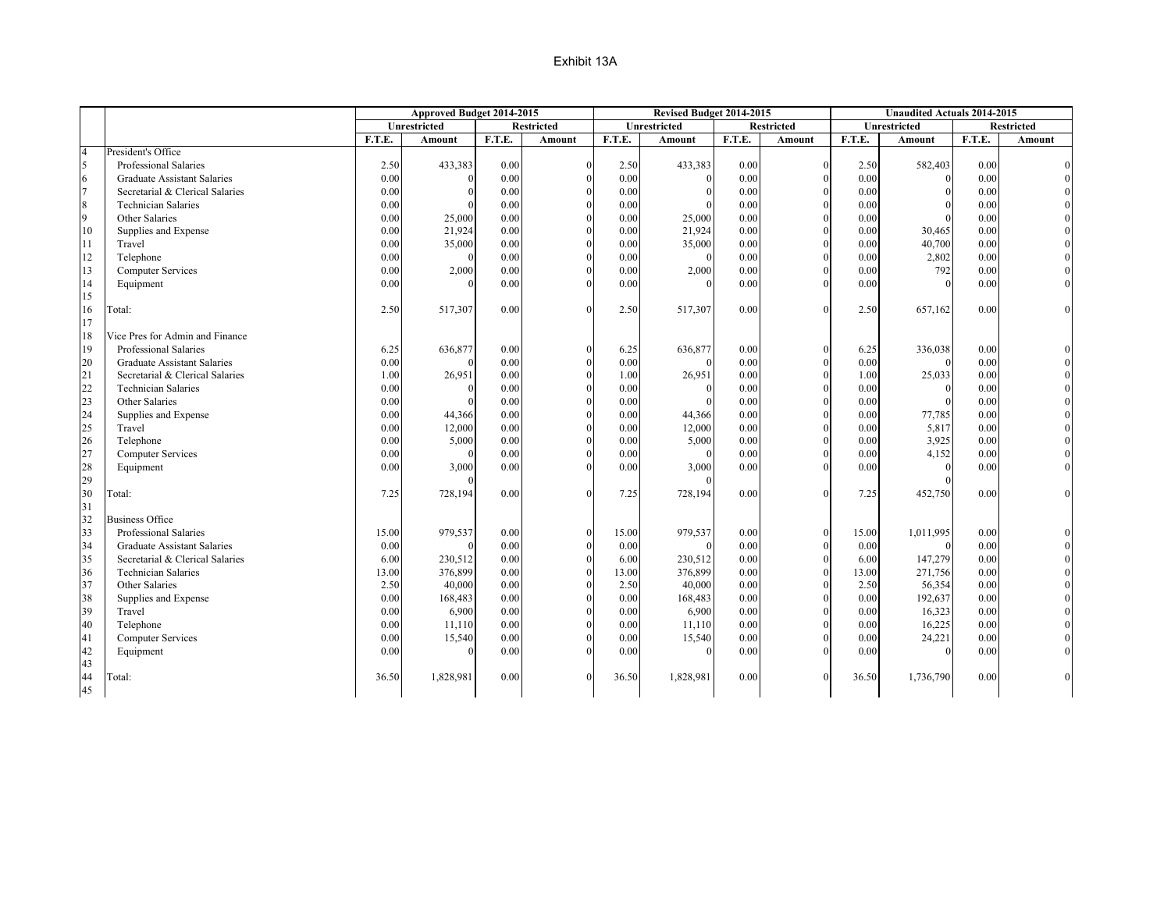|                |                                    | Approved Budget 2014-2015 |              |        |                   | Revised Budget 2014-2015 |              |        |            | <b>Unaudited Actuals 2014-2015</b> |               |        |                   |
|----------------|------------------------------------|---------------------------|--------------|--------|-------------------|--------------------------|--------------|--------|------------|------------------------------------|---------------|--------|-------------------|
|                |                                    |                           | Unrestricted |        | <b>Restricted</b> |                          | Unrestricted |        | Restricted |                                    | Unrestricted  |        | <b>Restricted</b> |
|                |                                    | F.T.E.                    | Amount       | F.T.E. | Amount            | F.T.E.                   | Amount       | F.T.E. | Amount     | <b>F.T.E.</b>                      | <b>Amount</b> | F.T.E. | Amount            |
| $\overline{4}$ | President's Office                 |                           |              |        |                   |                          |              |        |            |                                    |               |        |                   |
| 5              | Professional Salaries              | 2.50                      | 433,383      | 0.00   | $\mathbf{0}$      | 2.50                     | 433,383      | 0.00   |            | 2.50                               | 582,403       | 0.00   |                   |
| 6              | <b>Graduate Assistant Salaries</b> | 0.00                      | 0            | 0.00   | $\Omega$          | 0.00                     | $\Omega$     | 0.00   |            | 0.00                               |               | 0.00   |                   |
| $\overline{7}$ | Secretarial & Clerical Salaries    | 0.00                      | $\Omega$     | 0.00   | $\mathbf{0}$      | 0.00                     | $\mathbf{0}$ | 0.00   |            | 0.00                               | $\Omega$      | 0.00   |                   |
| $\,8\,$        | <b>Technician Salaries</b>         | 0.00                      |              | 0.00   | $\mathbf{0}$      | 0.00                     | $\Omega$     | 0.00   |            | 0.00                               |               | 0.00   |                   |
| 9              | Other Salaries                     | 0.00                      | 25,000       | 0.00   | $\Omega$          | 0.00                     | 25,000       | 0.00   |            | 0.00                               |               | 0.00   |                   |
| 10             | Supplies and Expense               | 0.00                      | 21,924       | 0.00   | $\mathbf{0}$      | 0.00                     | 21,924       | 0.00   |            | 0.00                               | 30,465        | 0.00   |                   |
| 11             | Travel                             | 0.00                      | 35,000       | 0.00   | $\mathbf{0}$      | 0.00                     | 35,000       | 0.00   |            | 0.00                               | 40,700        | 0.00   |                   |
| 12             | Telephone                          | 0.00                      | $\Omega$     | 0.00   | $\mathbf{0}$      | 0.00                     | $\Omega$     | 0.00   |            | 0.00                               | 2,802         | 0.00   |                   |
| 13             | <b>Computer Services</b>           | 0.00                      | 2,000        | 0.00   | $\Omega$          | 0.00                     | 2,000        | 0.00   |            | 0.00                               | 792           | 0.00   |                   |
| 14             | Equipment                          | 0.00                      |              | 0.00   | $\theta$          | 0.00                     |              | 0.00   |            | 0.00                               |               | 0.00   |                   |
| 15             |                                    |                           |              |        |                   |                          |              |        |            |                                    |               |        |                   |
| 16             | Total:                             | 2.50                      | 517,307      | 0.00   | $\Omega$          | 2.50                     | 517,307      | 0.00   | $\Omega$   | 2.50                               | 657,162       | 0.00   |                   |
| 17             |                                    |                           |              |        |                   |                          |              |        |            |                                    |               |        |                   |
| 18             | Vice Pres for Admin and Finance    |                           |              |        |                   |                          |              |        |            |                                    |               |        |                   |
| 19             | Professional Salaries              | 6.25                      | 636,877      | 0.00   | $\mathbf{0}$      | 6.25                     | 636,877      | 0.00   | $\Omega$   | 6.25                               | 336,038       | 0.00   |                   |
| 20             | <b>Graduate Assistant Salaries</b> | 0.00                      | $\Omega$     | 0.00   | $\Omega$          | 0.00                     |              | 0.00   |            | 0.00                               |               | 0.00   |                   |
| 21             | Secretarial & Clerical Salaries    | 1.00                      | 26,951       | 0.00   | $\boldsymbol{0}$  | 1.00                     | 26,951       | 0.00   |            | 1.00                               | 25,033        | 0.00   |                   |
| 22             | <b>Technician Salaries</b>         | 0.00                      | $\Omega$     | 0.00   | $\mathbf{0}$      | 0.00                     | $\mathbf{0}$ | 0.00   |            | 0.00                               | $\theta$      | 0.00   |                   |
| 23             | Other Salaries                     | 0.00                      | $\Omega$     | 0.00   | $\Omega$          | 0.00                     | $\Omega$     | 0.00   |            | 0.00                               | $\Omega$      | 0.00   |                   |
| 24             | Supplies and Expense               | 0.00                      | 44,366       | 0.00   | $\boldsymbol{0}$  | 0.00                     | 44,366       | 0.00   |            | 0.00                               | 77,785        | 0.00   |                   |
| 25             | Travel                             | 0.00                      | 12,000       | 0.00   | $\mathbf{0}$      | 0.00                     | 12,000       | 0.00   |            | 0.00                               | 5,817         | 0.00   |                   |
| 26             | Telephone                          | 0.00                      | 5,000        | 0.00   | $\theta$          | 0.00                     | 5,000        | 0.00   |            | 0.00                               | 3,925         | 0.00   |                   |
| 27             | <b>Computer Services</b>           | 0.00                      | $\theta$     | 0.00   | $\mathbf{0}$      | 0.00                     | $\theta$     | 0.00   |            | 0.00                               | 4,152         | 0.00   |                   |
| 28             | Equipment                          | 0.00                      | 3,000        | 0.00   | $\theta$          | 0.00                     | 3,000        | 0.00   |            | 0.00                               | $\Omega$      | 0.00   |                   |
| 29             |                                    |                           |              |        |                   |                          |              |        |            |                                    |               |        |                   |
| 30             | Total:                             | 7.25                      | 728,194      | 0.00   | $\theta$          | 7.25                     | 728,194      | 0.00   |            | 7.25                               | 452,750       | 0.00   | $\Omega$          |
| 31             |                                    |                           |              |        |                   |                          |              |        |            |                                    |               |        |                   |
| 32             | <b>Business Office</b>             |                           |              |        |                   |                          |              |        |            |                                    |               |        |                   |
| 33             | Professional Salaries              | 15.00                     | 979,537      | 0.00   | $\mathbf{0}$      | 15.00                    | 979,537      | 0.00   | $\Omega$   | 15.00                              | 1,011,995     | 0.00   |                   |
| 34             | Graduate Assistant Salaries        | 0.00                      | $\Omega$     | 0.00   | $\mathbf{0}$      | 0.00                     | $\Omega$     | 0.00   |            | 0.00                               |               | 0.00   |                   |
| 35             | Secretarial & Clerical Salaries    | 6.00                      | 230,512      | 0.00   | $\boldsymbol{0}$  | 6.00                     | 230,512      | 0.00   |            | 6.00                               | 147,279       | 0.00   |                   |
| 36             | <b>Technician Salaries</b>         | 13.00                     | 376,899      | 0.00   | $\mathbf{0}$      | 13.00                    | 376,899      | 0.00   |            | 13.00                              | 271,756       | 0.00   |                   |
| 37             | Other Salaries                     | 2.50                      | 40,000       | 0.00   | $\theta$          | 2.50                     | 40,000       | 0.00   |            | 2.50                               | 56,354        | 0.00   |                   |
| 38             | Supplies and Expense               | 0.00                      | 168,483      | 0.00   | $\mathbf{0}$      | 0.00                     | 168,483      | 0.00   |            | 0.00                               | 192,637       | 0.00   |                   |
| 39             | Travel                             | 0.00                      | 6,900        | 0.00   | $\mathbf{0}$      | 0.00                     | 6,900        | 0.00   |            | 0.00                               | 16,323        | 0.00   |                   |
| 40             | Telephone                          | 0.00                      | 11,110       | 0.00   | $\theta$          | 0.00                     | 11,110       | 0.00   |            | 0.00                               | 16,225        | 0.00   |                   |
| 41             | <b>Computer Services</b>           | 0.00                      | 15,540       | 0.00   | $\mathbf{0}$      | 0.00                     | 15,540       | 0.00   |            | 0.00                               | 24,221        | 0.00   |                   |
| 42             | Equipment                          | 0.00                      | $\Omega$     | 0.00   | $\Omega$          | 0.00                     | $\Omega$     | 0.00   |            | 0.00                               |               | 0.00   |                   |
| 43             |                                    |                           |              |        |                   |                          |              |        |            |                                    |               |        |                   |
| 44             | Total:                             | 36.50                     | 1,828,981    | 0.00   | $\Omega$          | 36.50                    | 1,828,981    | 0.00   |            | 36.50                              | 1,736,790     | 0.00   |                   |
| 45             |                                    |                           |              |        |                   |                          |              |        |            |                                    |               |        |                   |
|                |                                    |                           |              |        |                   |                          |              |        |            |                                    |               |        |                   |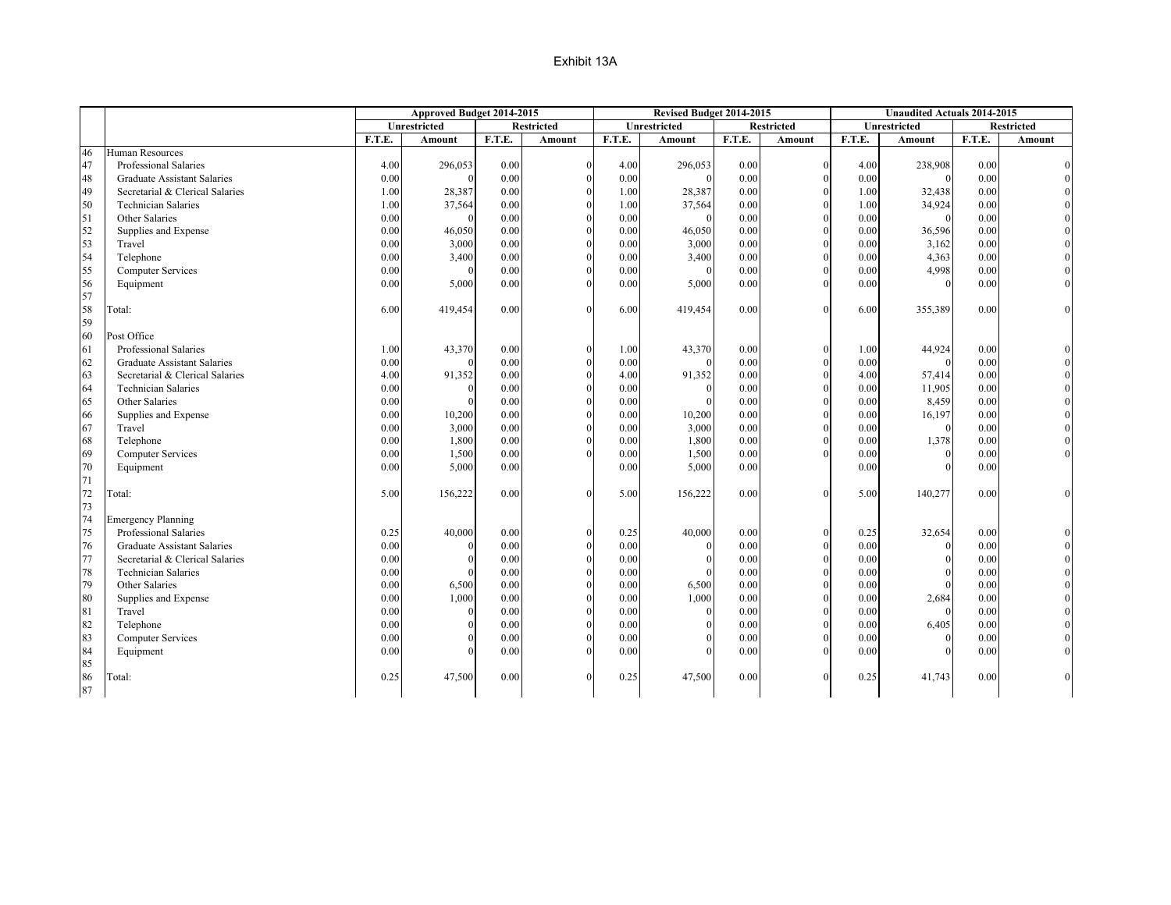|    |                                    | Approved Budget 2014-2015 |              |          |                   | Revised Budget 2014-2015 |                     |        |                   |        |                     | <b>Unaudited Actuals 2014-2015</b> |                   |
|----|------------------------------------|---------------------------|--------------|----------|-------------------|--------------------------|---------------------|--------|-------------------|--------|---------------------|------------------------------------|-------------------|
|    |                                    |                           | Unrestricted |          | <b>Restricted</b> |                          | <b>Unrestricted</b> |        | <b>Restricted</b> |        | <b>Unrestricted</b> |                                    | <b>Restricted</b> |
|    |                                    | F.T.E.                    | Amount       | F.T.E.   | Amount            | F.T.E.                   | Amount              | F.T.E. | Amount            | F.T.E. | Amount              | F.T.E.                             | Amount            |
| 46 | Human Resources                    |                           |              |          |                   |                          |                     |        |                   |        |                     |                                    |                   |
| 47 | Professional Salaries              | 4.00                      | 296,053      | 0.00     | $\Omega$          | 4.00                     | 296,053             | 0.00   |                   | 4.00   | 238,908             | 0.00                               |                   |
| 48 | <b>Graduate Assistant Salaries</b> | 0.00                      | $\Omega$     | 0.00     | $\Omega$          | 0.00                     | $\Omega$            | 0.00   |                   | 0.00   |                     | 0.00                               |                   |
| 49 | Secretarial & Clerical Salaries    | 1.00                      | 28,387       | 0.00     |                   | 1.00                     | 28,387              | 0.00   |                   | 1.00   | 32,438              | 0.00                               |                   |
| 50 | <b>Technician Salaries</b>         | 1.00                      | 37,564       | $0.00\,$ |                   | 1.00                     | 37,564              | 0.00   |                   | 1.00   | 34,924              | 0.00                               |                   |
| 51 | Other Salaries                     | 0.00                      | $\Omega$     | 0.00     |                   | 0.00                     | $\Omega$            | 0.00   |                   | 0.00   | $\Omega$            | 0.00                               |                   |
| 52 | Supplies and Expense               | 0.00                      | 46,050       | 0.00     |                   | 0.00                     | 46,050              | 0.00   |                   | 0.00   | 36,596              | 0.00                               |                   |
| 53 | Travel                             | 0.00                      | 3,000        | $0.00\,$ |                   | 0.00                     | 3,000               | 0.00   |                   | 0.00   | 3,162               | 0.00                               |                   |
| 54 | Telephone                          | 0.00                      | 3,400        | 0.00     |                   | 0.00                     | 3,400               | 0.00   |                   | 0.00   | 4,363               | 0.00                               |                   |
| 55 | <b>Computer Services</b>           | 0.00                      |              | 0.00     |                   | 0.00                     | $\theta$            | 0.00   |                   | 0.00   | 4,998               | $0.00\,$                           |                   |
| 56 | Equipment                          | 0.00                      | 5,000        | 0.00     |                   | 0.00                     | 5,000               | 0.00   |                   | 0.00   |                     | 0.00                               |                   |
| 57 |                                    |                           |              |          |                   |                          |                     |        |                   |        |                     |                                    |                   |
| 58 | Total:                             | 6.00                      | 419,454      | 0.00     | $\Omega$          | 6.00                     | 419,454             | 0.00   |                   | 6.00   | 355,389             | 0.00                               |                   |
| 59 |                                    |                           |              |          |                   |                          |                     |        |                   |        |                     |                                    |                   |
| 60 | Post Office                        |                           |              |          |                   |                          |                     |        |                   |        |                     |                                    |                   |
| 61 | Professional Salaries              | 1.00                      | 43,370       | 0.00     | $\Omega$          | 1.00                     | 43,370              | 0.00   |                   | 1.00   | 44,924              | 0.00                               |                   |
| 62 | Graduate Assistant Salaries        | 0.00                      | $\Omega$     | 0.00     | $\Omega$          | 0.00                     | $\Omega$            | 0.00   |                   | 0.00   |                     | 0.00                               |                   |
| 63 | Secretarial & Clerical Salaries    | 4.00                      | 91,352       | 0.00     |                   | 4.00                     | 91,352              | 0.00   |                   | 4.00   | 57,414              | 0.00                               |                   |
| 64 | <b>Technician Salaries</b>         | 0.00                      | $\Omega$     | 0.00     |                   | 0.00                     | $\mathbf{0}$        | 0.00   |                   | 0.00   | 11,905              | 0.00                               |                   |
| 65 | Other Salaries                     | 0.00                      | $\Omega$     | 0.00     |                   | 0.00                     | $\Omega$            | 0.00   |                   | 0.00   | 8,459               | 0.00                               |                   |
| 66 | Supplies and Expense               | 0.00                      | 10,200       | 0.00     |                   | 0.00                     | 10,200              | 0.00   |                   | 0.00   | 16,197              | 0.00                               |                   |
| 67 | Travel                             | 0.00                      | 3,000        | $0.00\,$ |                   | 0.00                     | 3,000               | 0.00   |                   | 0.00   | $\Omega$            | 0.00                               |                   |
| 68 | Telephone                          | 0.00                      | 1,800        | 0.00     |                   | 0.00                     | 1,800               | 0.00   |                   | 0.00   | 1,378               | 0.00                               |                   |
| 69 | <b>Computer Services</b>           | 0.00                      | 1,500        | 0.00     |                   | 0.00                     | 1,500               | 0.00   |                   | 0.00   | $\Omega$            | 0.00                               |                   |
| 70 | Equipment                          | 0.00                      | 5,000        | 0.00     |                   | 0.00                     | 5,000               | 0.00   |                   | 0.00   |                     | 0.00                               |                   |
| 71 |                                    |                           |              |          |                   |                          |                     |        |                   |        |                     |                                    |                   |
| 72 | Total:                             | 5.00                      | 156,222      | 0.00     | $\Omega$          | 5.00                     | 156,222             | 0.00   |                   | 5.00   | 140,277             | 0.00                               |                   |
| 73 |                                    |                           |              |          |                   |                          |                     |        |                   |        |                     |                                    |                   |
| 74 | <b>Emergency Planning</b>          |                           |              |          |                   |                          |                     |        |                   |        |                     |                                    |                   |
| 75 | Professional Salaries              | 0.25                      | 40,000       | 0.00     | $\Omega$          | 0.25                     | 40,000              | 0.00   |                   | 0.25   | 32,654              | 0.00                               |                   |
| 76 | <b>Graduate Assistant Salaries</b> | 0.00                      | $\Omega$     | 0.00     | $\Omega$          | 0.00                     | $\Omega$            | 0.00   |                   | 0.00   | $\Omega$            | 0.00                               |                   |
| 77 | Secretarial & Clerical Salaries    | 0.00                      |              | $0.00\,$ | $\Omega$          | 0.00                     | $\theta$            | 0.00   |                   | 0.00   | $\Omega$            | 0.00                               |                   |
| 78 | <b>Technician Salaries</b>         | 0.00                      |              | 0.00     |                   | 0.00                     | $\Omega$            | 0.00   |                   | 0.00   | $\Omega$            | 0.00                               |                   |
| 79 | Other Salaries                     | 0.00                      | 6,500        | 0.00     |                   | 0.00                     | 6,500               | 0.00   |                   | 0.00   |                     | 0.00                               |                   |
| 80 | Supplies and Expense               | 0.00                      | 1,000        | 0.00     |                   | 0.00                     | 1,000               | 0.00   |                   | 0.00   | 2,684               | 0.00                               |                   |
| 81 | Travel                             | 0.00                      |              | $0.00\,$ |                   | 0.00                     | $\Omega$            | 0.00   |                   | 0.00   |                     | 0.00                               |                   |
| 82 | Telephone                          | 0.00                      |              | $0.00\,$ |                   | 0.00                     | $\Omega$            | 0.00   |                   | 0.00   | 6,405               | 0.00                               |                   |
| 83 | <b>Computer Services</b>           | 0.00                      | $\Omega$     | 0.00     |                   | 0.00                     | $\Omega$            | 0.00   |                   | 0.00   | $\Omega$            | 0.00                               |                   |
| 84 | Equipment                          | 0.00                      |              | $0.00\,$ |                   | 0.00                     |                     | 0.00   |                   | 0.00   |                     | 0.00                               |                   |
| 85 |                                    |                           |              |          |                   |                          |                     |        |                   |        |                     |                                    |                   |
| 86 | Total:                             | 0.25                      | 47,500       | 0.00     |                   | 0.25                     | 47,500              | 0.00   |                   | 0.25   | 41,743              | 0.00                               |                   |
| 87 |                                    |                           |              |          |                   |                          |                     |        |                   |        |                     |                                    |                   |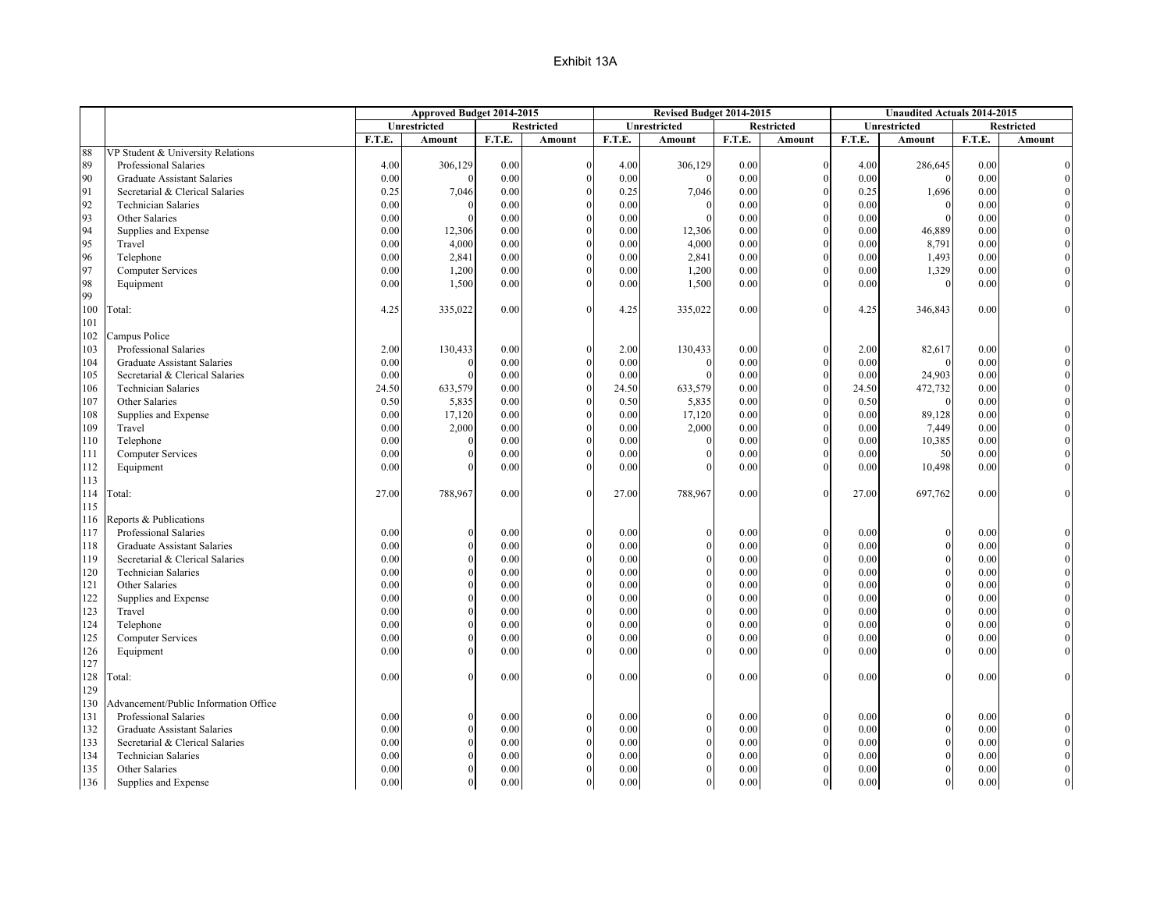|     |                                       |          | Approved Budget 2014-2015 |        |                   |        | Revised Budget 2014-2015 |        |                   | <b>Unaudited Actuals 2014-2015</b> |              |        |                   |
|-----|---------------------------------------|----------|---------------------------|--------|-------------------|--------|--------------------------|--------|-------------------|------------------------------------|--------------|--------|-------------------|
|     |                                       |          | Unrestricted              |        | <b>Restricted</b> |        | <b>Unrestricted</b>      |        | <b>Restricted</b> |                                    | Unrestricted |        | <b>Restricted</b> |
|     |                                       | F.T.E.   | Amount                    | F.T.E. | Amount            | F.T.E. | Amount                   | F.T.E. | Amount            | F.T.E.                             | Amount       | F.T.E. | Amount            |
| 88  | VP Student & University Relations     |          |                           |        |                   |        |                          |        |                   |                                    |              |        |                   |
| 89  | Professional Salaries                 | 4.00     | 306,129                   | 0.00   | $\Omega$          | 4.00   | 306,129                  | 0.00   | $\mathbf{0}$      | 4.00                               | 286,645      | 0.00   |                   |
| 90  | <b>Graduate Assistant Salaries</b>    | $0.00\,$ |                           | 0.00   |                   | 0.00   |                          | 0.00   | $\mathbf{0}$      | 0.00                               | $\theta$     | 0.00   |                   |
| 91  | Secretarial & Clerical Salaries       | 0.25     | 7,046                     | 0.00   |                   | 0.25   | 7,046                    | 0.00   | $\Omega$          | 0.25                               | 1,696        | 0.00   |                   |
| 92  | <b>Technician Salaries</b>            | 0.00     |                           | 0.00   |                   | 0.00   |                          | 0.00   | $\mathbf{0}$      | 0.00                               | $\theta$     | 0.00   |                   |
| 93  | Other Salaries                        | 0.00     |                           | 0.00   |                   | 0.00   |                          | 0.00   | $\Omega$          | 0.00                               | $\Omega$     | 0.00   |                   |
| 94  | Supplies and Expense                  | 0.00     | 12,306                    | 0.00   |                   | 0.00   | 12,306                   | 0.00   | $\mathbf{0}$      | 0.00                               | 46,889       | 0.00   |                   |
| 95  | Travel                                | 0.00     | 4,000                     | 0.00   |                   | 0.00   | 4,000                    | 0.00   | $\theta$          | 0.00                               | 8,791        | 0.00   |                   |
| 96  | Telephone                             | 0.00     | 2,841                     | 0.00   |                   | 0.00   | 2,841                    | 0.00   | $\theta$          | 0.00                               | 1,493        | 0.00   |                   |
| 97  | <b>Computer Services</b>              | 0.00     | 1,200                     | 0.00   |                   | 0.00   | 1,200                    | 0.00   | $\Omega$          | 0.00                               | 1,329        | 0.00   |                   |
| 98  | Equipment                             | 0.00     | 1,500                     | 0.00   |                   | 0.00   | 1,500                    | 0.00   | $\Omega$          | 0.00                               | $\theta$     | 0.00   |                   |
| 99  |                                       |          |                           |        |                   |        |                          |        |                   |                                    |              |        |                   |
| 100 | Total:                                | 4.25     | 335,022                   | 0.00   | $\Omega$          | 4.25   | 335,022                  | 0.00   | $\Omega$          | 4.25                               | 346,843      | 0.00   |                   |
| 101 |                                       |          |                           |        |                   |        |                          |        |                   |                                    |              |        |                   |
| 102 | Campus Police                         |          |                           |        |                   |        |                          |        |                   |                                    |              |        |                   |
| 103 | Professional Salaries                 | 2.00     | 130,433                   | 0.00   | $\Omega$          | 2.00   | 130,433                  | 0.00   | $\Omega$          | 2.00                               | 82,617       | 0.00   |                   |
| 104 | <b>Graduate Assistant Salaries</b>    | 0.00     |                           | 0.00   |                   | 0.00   |                          | 0.00   | $\Omega$          | 0.00                               | $\Omega$     | 0.00   |                   |
| 105 | Secretarial & Clerical Salaries       | 0.00     |                           | 0.00   |                   | 0.00   |                          | 0.00   | $\Omega$          | 0.00                               | 24,903       | 0.00   |                   |
| 106 | <b>Technician Salaries</b>            | 24.50    | 633,579                   | 0.00   |                   | 24.50  | 633,579                  | 0.00   | $\mathbf{0}$      | 24.50                              | 472,732      | 0.00   |                   |
| 107 | Other Salaries                        | 0.50     | 5,835                     | 0.00   |                   | 0.50   | 5,835                    | 0.00   | $\Omega$          | 0.50                               | $\Omega$     | 0.00   |                   |
| 108 | Supplies and Expense                  | 0.00     | 17,120                    | 0.00   |                   | 0.00   | 17,120                   | 0.00   | $\theta$          | 0.00                               | 89,128       | 0.00   |                   |
| 109 | Travel                                | 0.00     | 2,000                     | 0.00   |                   | 0.00   | 2,000                    | 0.00   | $\theta$          | 0.00                               | 7,449        | 0.00   |                   |
| 110 | Telephone                             | 0.00     |                           | 0.00   |                   | 0.00   |                          | 0.00   | $\Omega$          | 0.00                               | 10,385       | 0.00   |                   |
| 111 | <b>Computer Services</b>              | 0.00     |                           | 0.00   |                   | 0.00   |                          | 0.00   | $\Omega$          | 0.00                               | 50           | 0.00   |                   |
| 112 | Equipment                             | 0.00     |                           | 0.00   |                   | 0.00   |                          | 0.00   | $\Omega$          | 0.00                               | 10,498       | 0.00   |                   |
| 113 |                                       |          |                           |        |                   |        |                          |        |                   |                                    |              |        |                   |
| 114 | Гotal:                                | 27.00    | 788,967                   | 0.00   | $\theta$          | 27.00  | 788,967                  | 0.00   | $\Omega$          | 27.00                              | 697,762      | 0.00   |                   |
| 115 |                                       |          |                           |        |                   |        |                          |        |                   |                                    |              |        |                   |
| 116 | Reports & Publications                |          |                           |        |                   |        |                          |        |                   |                                    |              |        |                   |
| 117 | Professional Salaries                 | 0.00     |                           | 0.00   | $\Omega$          | 0.00   |                          | 0.00   | $\theta$          | 0.00                               | $\Omega$     | 0.00   |                   |
| 118 | <b>Graduate Assistant Salaries</b>    | 0.00     |                           | 0.00   |                   | 0.00   |                          | 0.00   | $\mathbf{0}$      | 0.00                               | $\Omega$     | 0.00   |                   |
| 119 | Secretarial & Clerical Salaries       | 0.00     |                           | 0.00   |                   | 0.00   |                          | 0.00   | $\theta$          | 0.00                               | $\theta$     | 0.00   |                   |
| 120 | <b>Technician Salaries</b>            | 0.00     |                           | 0.00   |                   | 0.00   |                          | 0.00   | $\mathbf{0}$      | 0.00                               | $\Omega$     | 0.00   |                   |
| 121 | Other Salaries                        | 0.00     |                           | 0.00   |                   | 0.00   |                          | 0.00   | $\Omega$          | 0.00                               |              | 0.00   |                   |
| 122 | Supplies and Expense                  | 0.00     |                           | 0.00   |                   | 0.00   |                          | 0.00   | $\Omega$          | 0.00                               | $\Omega$     | 0.00   |                   |
| 123 | Travel                                | 0.00     |                           | 0.00   |                   | 0.00   |                          | 0.00   | $\Omega$          | 0.00                               | $\Omega$     | 0.00   |                   |
| 124 | Telephone                             | 0.00     |                           | 0.00   |                   | 0.00   |                          | 0.00   | $\theta$          | 0.00                               |              | 0.00   |                   |
| 125 | <b>Computer Services</b>              | 0.00     |                           | 0.00   |                   | 0.00   |                          | 0.00   | $\mathbf{0}$      | 0.00                               | $\theta$     | 0.00   |                   |
| 126 | Equipment                             | 0.00     |                           | 0.00   |                   | 0.00   |                          | 0.00   | $\Omega$          | 0.00                               |              | 0.00   |                   |
| 127 |                                       |          |                           |        |                   |        |                          |        |                   |                                    |              |        |                   |
| 128 | [otal:                                | 0.00     |                           | 0.00   | $\Omega$          | 0.00   |                          | 0.00   | $\Omega$          | 0.00                               | $\Omega$     | 0.00   |                   |
| 129 |                                       |          |                           |        |                   |        |                          |        |                   |                                    |              |        |                   |
| 130 | Advancement/Public Information Office |          |                           |        |                   |        |                          |        |                   |                                    |              |        |                   |
| 131 | Professional Salaries                 | 0.00     |                           | 0.00   | $\Omega$          | 0.00   |                          | 0.00   | $\theta$          | 0.00                               | $\theta$     | 0.00   |                   |
| 132 | Graduate Assistant Salaries           | 0.00     |                           | 0.00   |                   | 0.00   |                          | 0.00   | $\mathbf{0}$      | 0.00                               | $\Omega$     | 0.00   |                   |
| 133 | Secretarial & Clerical Salaries       | 0.00     |                           | 0.00   |                   | 0.00   |                          | 0.00   | $\theta$          | 0.00                               |              | 0.00   |                   |
| 134 | <b>Technician Salaries</b>            | 0.00     |                           | 0.00   |                   | 0.00   |                          | 0.00   | $\Omega$          | 0.00                               |              | 0.00   |                   |
| 135 | Other Salaries                        | 0.00     |                           | 0.00   |                   | 0.00   |                          | 0.00   | $\Omega$          | 0.00                               |              | 0.00   |                   |
| 136 | Supplies and Expense                  | 0.00     |                           | 0.00   | $\Omega$          | 0.00   |                          | 0.00   | $\mathbf{0}$      | 0.00                               | $\Omega$     | 0.00   |                   |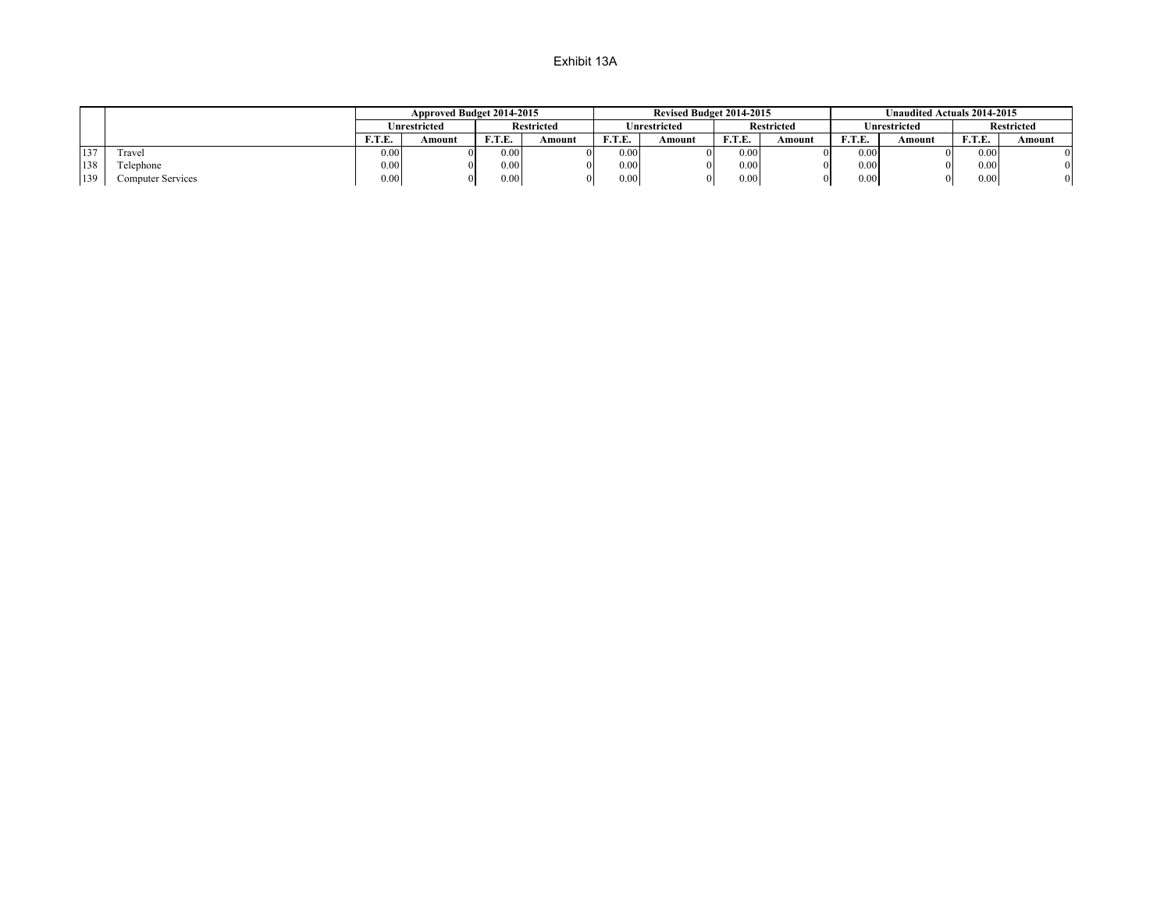|     |                          |           | Approved Budget 2014-2015 |        |                   |                 | <b>Revised Budget 2014-2015</b> |          |                   |       | <b>Unaudited Actuals 2014-2015</b> |            |            |
|-----|--------------------------|-----------|---------------------------|--------|-------------------|-----------------|---------------------------------|----------|-------------------|-------|------------------------------------|------------|------------|
|     |                          |           | U <b>nrestricted</b>      |        | <b>Restricted</b> |                 | Unrestricted                    |          | <b>Restricted</b> |       | Unrestricted                       |            | Restricted |
|     |                          | F.T.E.    | Amount                    | F.T.E. | Amount            | <b>ETF</b><br>. | Amount                          | гтг<br>. | Amount            | F.T.E | Amount                             | E T E<br>. | Amount     |
| 137 | Fravel                   | $_{0.00}$ |                           | 0.00   |                   | 0.00            |                                 | 0.00     |                   | 0.00  |                                    | 0.00       |            |
| 138 | Telephone                | 0.001     |                           | 0.00   |                   | 0.00            |                                 | 0.00     |                   | 0.00  |                                    | 0.00       |            |
| 139 | <b>Computer Services</b> | 0.001     |                           | 0.00   |                   | 0.00            |                                 | 0.00     |                   | 0.00  |                                    | 0.00       |            |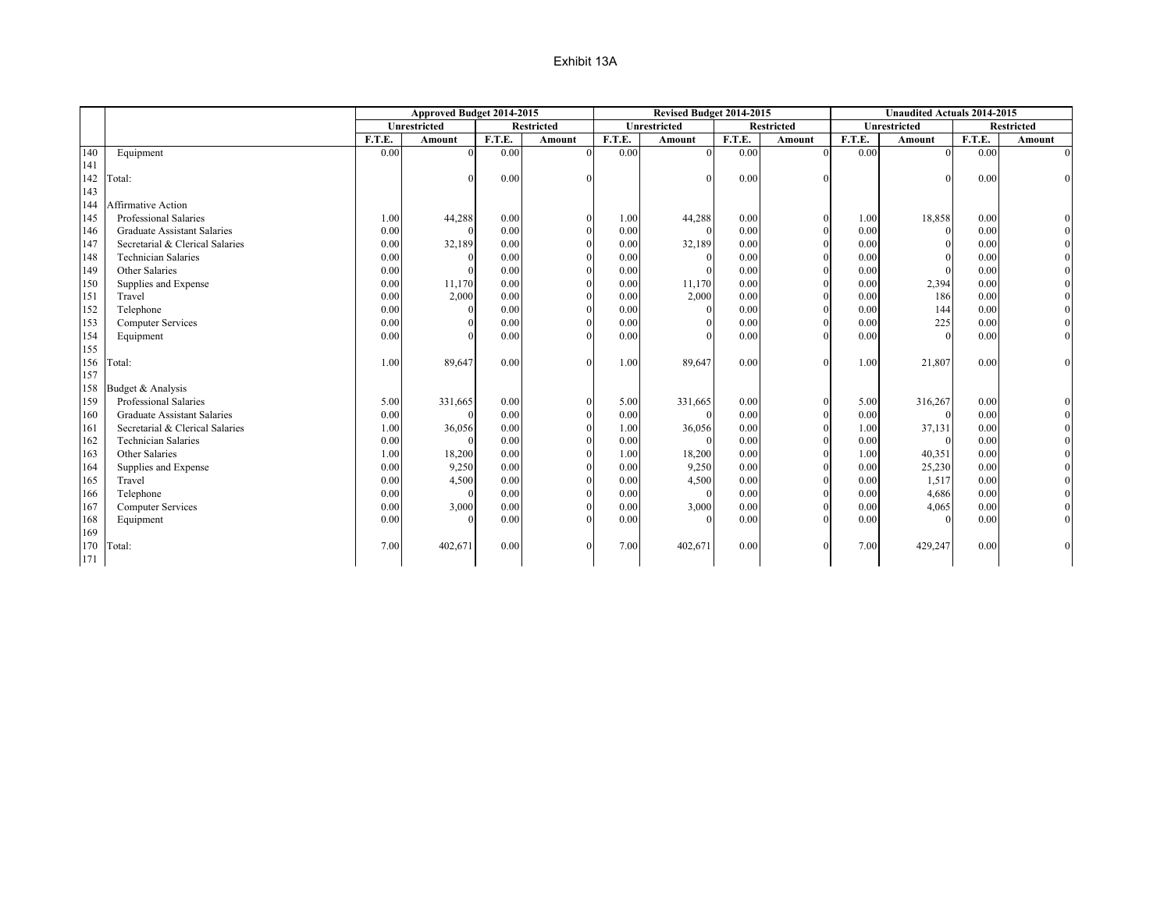|     |                                    |        | Approved Budget 2014-2015 |        |                   |        | Revised Budget 2014-2015 |        |                   |        | <b>Unaudited Actuals 2014-2015</b> |        |                   |
|-----|------------------------------------|--------|---------------------------|--------|-------------------|--------|--------------------------|--------|-------------------|--------|------------------------------------|--------|-------------------|
|     |                                    |        | <b>Unrestricted</b>       |        | <b>Restricted</b> |        | <b>Unrestricted</b>      |        | <b>Restricted</b> |        | <b>Unrestricted</b>                |        | <b>Restricted</b> |
|     |                                    | F.T.E. | Amount                    | F.T.E. | Amount            | F.T.E. | Amount                   | F.T.E. | Amount            | F.T.E. | Amount                             | F.T.E. | Amount            |
| 140 | Equipment                          | 0.00   |                           | 0.00   | $\Omega$          | 0.00   |                          | 0.00   | $\Omega$          | 0.00   | $\Omega$                           | 0.00   | $\Omega$          |
| 141 |                                    |        |                           |        |                   |        |                          |        |                   |        |                                    |        |                   |
| 142 | Total:                             |        |                           | 0.00   |                   |        |                          | 0.00   |                   |        |                                    | 0.00   |                   |
| 143 |                                    |        |                           |        |                   |        |                          |        |                   |        |                                    |        |                   |
| 144 | Affirmative Action                 |        |                           |        |                   |        |                          |        |                   |        |                                    |        |                   |
| 145 | Professional Salaries              | 1.00   | 44,288                    | 0.00   |                   | 1.00   | 44,288                   | 0.00   |                   | 1.00   | 18,858                             | 0.00   |                   |
| 146 | <b>Graduate Assistant Salaries</b> | 0.00   |                           | 0.00   |                   | 0.00   |                          | 0.00   |                   | 0.00   | $\theta$                           | 0.00   |                   |
| 147 | Secretarial & Clerical Salaries    | 0.00   | 32,189                    | 0.00   |                   | 0.00   | 32,189                   | 0.00   |                   | 0.00   |                                    | 0.00   |                   |
| 148 | <b>Technician Salaries</b>         | 0.00   |                           | 0.00   |                   | 0.00   |                          | 0.00   |                   | 0.00   |                                    | 0.00   |                   |
| 149 | Other Salaries                     | 0.00   |                           | 0.00   |                   | 0.00   |                          | 0.00   |                   | 0.00   |                                    | 0.00   |                   |
| 150 | Supplies and Expense               | 0.00   | 11,170                    | 0.00   |                   | 0.00   | 11,170                   | 0.00   |                   | 0.00   | 2,394                              | 0.00   |                   |
| 151 | Travel                             | 0.00   | 2,000                     | 0.00   |                   | 0.00   | 2,000                    | 0.00   |                   | 0.00   | 186                                | 0.00   |                   |
| 152 | Telephone                          | 0.00   |                           | 0.00   |                   | 0.00   |                          | 0.00   |                   | 0.00   | 144                                | 0.00   |                   |
| 153 | <b>Computer Services</b>           | 0.00   |                           | 0.00   |                   | 0.00   |                          | 0.00   |                   | 0.00   | 225                                | 0.00   |                   |
| 154 | Equipment                          | 0.00   |                           | 0.00   |                   | 0.00   |                          | 0.00   |                   | 0.00   |                                    | 0.00   |                   |
| 155 |                                    |        |                           |        |                   |        |                          |        |                   |        |                                    |        |                   |
| 156 | Total:                             | 1.00   | 89,647                    | 0.00   |                   | 1.00   | 89,647                   | 0.00   | $\Omega$          | 1.00   | 21,807                             | 0.00   |                   |
| 157 |                                    |        |                           |        |                   |        |                          |        |                   |        |                                    |        |                   |
| 158 | Budget & Analysis                  |        |                           |        |                   |        |                          |        |                   |        |                                    |        |                   |
| 159 | Professional Salaries              | 5.00   | 331,665                   | 0.00   |                   | 5.00   | 331,665                  | 0.00   |                   | 5.00   | 316,267                            | 0.00   |                   |
| 160 | <b>Graduate Assistant Salaries</b> | 0.00   |                           | 0.00   |                   | 0.00   |                          | 0.00   |                   | 0.00   |                                    | 0.00   |                   |
| 161 | Secretarial & Clerical Salaries    | 1.00   | 36,056                    | 0.00   |                   | 1.00   | 36,056                   | 0.00   |                   | 1.00   | 37,131                             | 0.00   |                   |
| 162 | <b>Technician Salaries</b>         | 0.00   |                           | 0.00   |                   | 0.00   |                          | 0.00   |                   | 0.00   | $\Omega$                           | 0.00   |                   |
| 163 | Other Salaries                     | 1.00   | 18,200                    | 0.00   |                   | 1.00   | 18,200                   | 0.00   |                   | 1.00   | 40,351                             | 0.00   |                   |
| 164 | Supplies and Expense               | 0.00   | 9,250                     | 0.00   |                   | 0.00   | 9,250                    | 0.00   |                   | 0.00   | 25,230                             | 0.00   |                   |
| 165 | Travel                             | 0.00   | 4,500                     | 0.00   |                   | 0.00   | 4,500                    | 0.00   |                   | 0.00   | 1,517                              | 0.00   |                   |
| 166 | Telephone                          | 0.00   |                           | 0.00   |                   | 0.00   |                          | 0.00   |                   | 0.00   | 4,686                              | 0.00   |                   |
| 167 | <b>Computer Services</b>           | 0.00   | 3,000                     | 0.00   |                   | 0.00   | 3,000                    | 0.00   |                   | 0.00   | 4,065                              | 0.00   |                   |
| 168 | Equipment                          | 0.00   |                           | 0.00   |                   | 0.00   |                          | 0.00   |                   | 0.00   |                                    | 0.00   |                   |
| 169 |                                    |        |                           |        |                   |        |                          |        |                   |        |                                    |        |                   |
| 170 | Total:                             | 7.00   | 402,671                   | 0.00   |                   | 7.00   | 402,671                  | 0.00   | $\Omega$          | 7.00   | 429,247                            | 0.00   |                   |
| 171 |                                    |        |                           |        |                   |        |                          |        |                   |        |                                    |        |                   |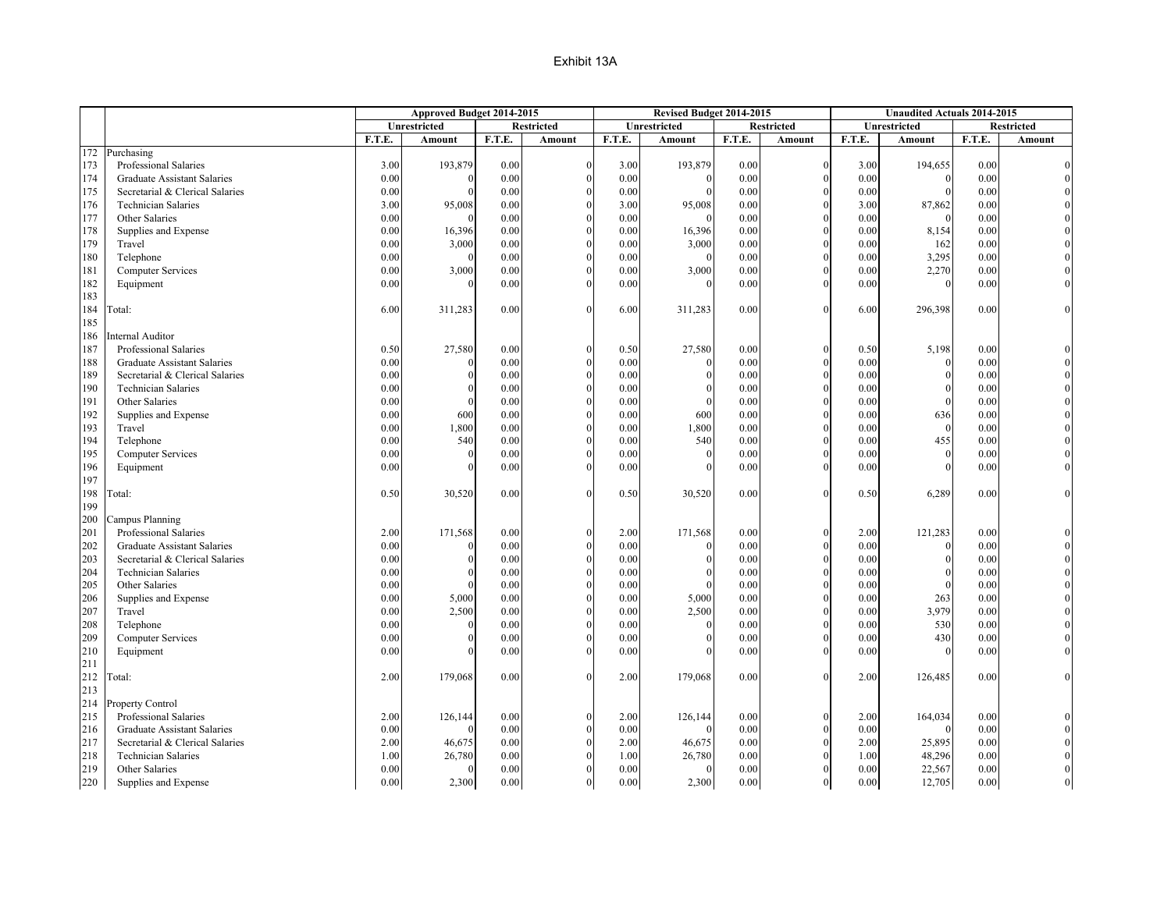|     |                                    |        | Approved Budget 2014-2015 |        |                   |        | Revised Budget 2014-2015 |        |                   |        | <b>Unaudited Actuals 2014-2015</b> |        |                   |
|-----|------------------------------------|--------|---------------------------|--------|-------------------|--------|--------------------------|--------|-------------------|--------|------------------------------------|--------|-------------------|
|     |                                    |        | Unrestricted              |        | <b>Restricted</b> |        | Unrestricted             |        | <b>Restricted</b> |        | Unrestricted                       |        | <b>Restricted</b> |
|     |                                    | F.T.E. | Amount                    | F.T.E. | Amount            | F.T.E. | Amount                   | F.T.E. | Amount            | F.T.E. | Amount                             | F.T.E. | Amount            |
| 172 | Purchasing                         |        |                           |        |                   |        |                          |        |                   |        |                                    |        |                   |
| 173 | Professional Salaries              | 3.00   | 193,879                   | 0.00   |                   | 3.00   | 193,879                  | 0.00   | $\Omega$          | 3.00   | 194,655                            | 0.00   |                   |
| 174 | Graduate Assistant Salaries        | 0.00   | 0                         | 0.00   |                   | 0.00   |                          | 0.00   |                   | 0.00   | $\theta$                           | 0.00   |                   |
| 175 | Secretarial & Clerical Salaries    | 0.00   |                           | 0.00   |                   | 0.00   |                          | 0.00   |                   | 0.00   |                                    | 0.00   |                   |
| 176 | <b>Technician Salaries</b>         | 3.00   | 95,008                    | 0.00   |                   | 3.00   | 95,008                   | 0.00   |                   | 3.00   | 87,862                             | 0.00   |                   |
| 177 | Other Salaries                     | 0.00   | O                         | 0.00   |                   | 0.00   |                          | 0.00   |                   | 0.00   |                                    | 0.00   |                   |
| 178 | Supplies and Expense               | 0.00   | 16,396                    | 0.00   |                   | 0.00   | 16,396                   | 0.00   |                   | 0.00   | 8,154                              | 0.00   |                   |
| 179 | Travel                             | 0.00   | 3,000                     | 0.00   |                   | 0.00   | 3,000                    | 0.00   |                   | 0.00   | 162                                | 0.00   |                   |
| 180 | Telephone                          | 0.00   | $\Omega$                  | 0.00   |                   | 0.00   |                          | 0.00   |                   | 0.00   | 3,295                              | 0.00   |                   |
| 181 | <b>Computer Services</b>           | 0.00   | 3,000                     | 0.00   |                   | 0.00   | 3,000                    | 0.00   |                   | 0.00   | 2,270                              | 0.00   |                   |
| 182 | Equipment                          | 0.00   | $\Omega$                  | 0.00   |                   | 0.00   |                          | 0.00   |                   | 0.00   |                                    | 0.00   |                   |
| 183 |                                    |        |                           |        |                   |        |                          |        |                   |        |                                    |        |                   |
| 184 | [otal:                             | 6.00   | 311,283                   | 0.00   |                   | 6.00   | 311,283                  | 0.00   |                   | 6.00   | 296,398                            | 0.00   |                   |
| 185 |                                    |        |                           |        |                   |        |                          |        |                   |        |                                    |        |                   |
| 186 | Internal Auditor                   |        |                           |        |                   |        |                          |        |                   |        |                                    |        |                   |
| 187 | Professional Salaries              | 0.50   | 27,580                    | 0.00   |                   | 0.50   | 27,580                   | 0.00   |                   | 0.50   | 5,198                              | 0.00   |                   |
| 188 | Graduate Assistant Salaries        | 0.00   |                           | 0.00   |                   | 0.00   |                          | 0.00   | $\Omega$          | 0.00   | $\mathbf{0}$                       | 0.00   |                   |
| 189 | Secretarial & Clerical Salaries    | 0.00   |                           | 0.00   |                   | 0.00   |                          | 0.00   |                   | 0.00   |                                    | 0.00   |                   |
| 190 | <b>Technician Salaries</b>         | 0.00   |                           | 0.00   |                   | 0.00   |                          | 0.00   |                   | 0.00   | $\Omega$                           | 0.00   |                   |
| 191 | Other Salaries                     | 0.00   | $\Omega$                  | 0.00   |                   | 0.00   |                          | 0.00   |                   | 0.00   |                                    | 0.00   |                   |
| 192 | Supplies and Expense               | 0.00   | 600                       | 0.00   |                   | 0.00   | 600                      | 0.00   |                   | 0.00   | 636                                | 0.00   |                   |
| 193 | Travel                             | 0.00   | 1,800                     | 0.00   |                   | 0.00   | 1,800                    | 0.00   |                   | 0.00   | $\Omega$                           | 0.00   |                   |
| 194 | Telephone                          | 0.00   | 540                       | 0.00   |                   | 0.00   | 540                      | 0.00   |                   | 0.00   | 455                                | 0.00   |                   |
| 195 | <b>Computer Services</b>           | 0.00   |                           | 0.00   |                   | 0.00   |                          | 0.00   | $\Omega$          | 0.00   | $\Omega$                           | 0.00   |                   |
| 196 | Equipment                          | 0.00   |                           | 0.00   |                   | 0.00   |                          | 0.00   |                   | 0.00   |                                    | 0.00   |                   |
| 197 |                                    |        |                           |        |                   |        |                          |        |                   |        |                                    |        |                   |
| 198 | [`otal:                            | 0.50   | 30,520                    | 0.00   |                   | 0.50   | 30,520                   | 0.00   | $\Omega$          | 0.50   | 6,289                              | 0.00   |                   |
| 199 |                                    |        |                           |        |                   |        |                          |        |                   |        |                                    |        |                   |
| 200 | Campus Planning                    |        |                           |        |                   |        |                          |        |                   |        |                                    |        |                   |
| 201 | Professional Salaries              | 2.00   | 171,568                   | 0.00   |                   | 2.00   | 171,568                  | 0.00   |                   | 2.00   | 121,283                            | 0.00   |                   |
| 202 | <b>Graduate Assistant Salaries</b> | 0.00   |                           | 0.00   |                   | 0.00   |                          | 0.00   |                   | 0.00   | $\Omega$                           | 0.00   |                   |
| 203 | Secretarial & Clerical Salaries    | 0.00   | $\Omega$                  | 0.00   |                   | 0.00   |                          | 0.00   |                   | 0.00   |                                    | 0.00   |                   |
| 204 | <b>Technician Salaries</b>         | 0.00   | 0                         | 0.00   |                   | 0.00   |                          | 0.00   |                   | 0.00   |                                    | 0.00   |                   |
| 205 | Other Salaries                     | 0.00   |                           | 0.00   |                   | 0.00   |                          | 0.00   |                   | 0.00   |                                    | 0.00   |                   |
| 206 | Supplies and Expense               | 0.00   | 5,000                     | 0.00   |                   | 0.00   | 5,000                    | 0.00   |                   | 0.00   | 263                                | 0.00   |                   |
| 207 | Travel                             | 0.00   | 2,500                     | 0.00   |                   | 0.00   | 2,500                    | 0.00   |                   | 0.00   | 3,979                              | 0.00   |                   |
| 208 | Telephone                          | 0.00   | $\Omega$                  | 0.00   |                   | 0.00   |                          | 0.00   |                   | 0.00   | 530                                | 0.00   |                   |
| 209 | <b>Computer Services</b>           | 0.00   |                           | 0.00   |                   | 0.00   |                          | 0.00   | $\Omega$          | 0.00   | 430                                | 0.00   |                   |
| 210 | Equipment                          | 0.00   |                           | 0.00   |                   | 0.00   |                          | 0.00   |                   | 0.00   |                                    | 0.00   |                   |
| 211 |                                    |        |                           |        |                   |        |                          |        |                   |        |                                    |        |                   |
| 212 | ⊺otal:                             | 2.00   | 179,068                   | 0.00   |                   | 2.00   | 179,068                  | 0.00   | $\Omega$          | 2.00   | 126,485                            | 0.00   |                   |
| 213 |                                    |        |                           |        |                   |        |                          |        |                   |        |                                    |        |                   |
| 214 | Property Control                   |        |                           |        |                   |        |                          |        |                   |        |                                    |        |                   |
| 215 | Professional Salaries              | 2.00   | 126,144                   | 0.00   |                   | 2.00   | 126,144                  | 0.00   |                   | 2.00   | 164,034                            | 0.00   |                   |
| 216 | Graduate Assistant Salaries        | 0.00   |                           | 0.00   |                   | 0.00   |                          | 0.00   |                   | 0.00   |                                    | 0.00   |                   |
| 217 | Secretarial & Clerical Salaries    | 2.00   | 46,675                    | 0.00   |                   | 2.00   | 46,675                   | 0.00   |                   | 2.00   | 25,895                             | 0.00   |                   |
| 218 | <b>Technician Salaries</b>         | 1.00   | 26,780                    | 0.00   |                   | 1.00   | 26,780                   | 0.00   |                   | 1.00   | 48,296                             | 0.00   |                   |
| 219 | Other Salaries                     | 0.00   | O                         | 0.00   |                   | 0.00   |                          | 0.00   |                   | 0.00   | 22,567                             | 0.00   |                   |
| 220 | Supplies and Expense               | 0.00   | 2,300                     | 0.00   |                   | 0.00   | 2,300                    | 0.00   | $\theta$          | 0.00   | 12,705                             | 0.00   |                   |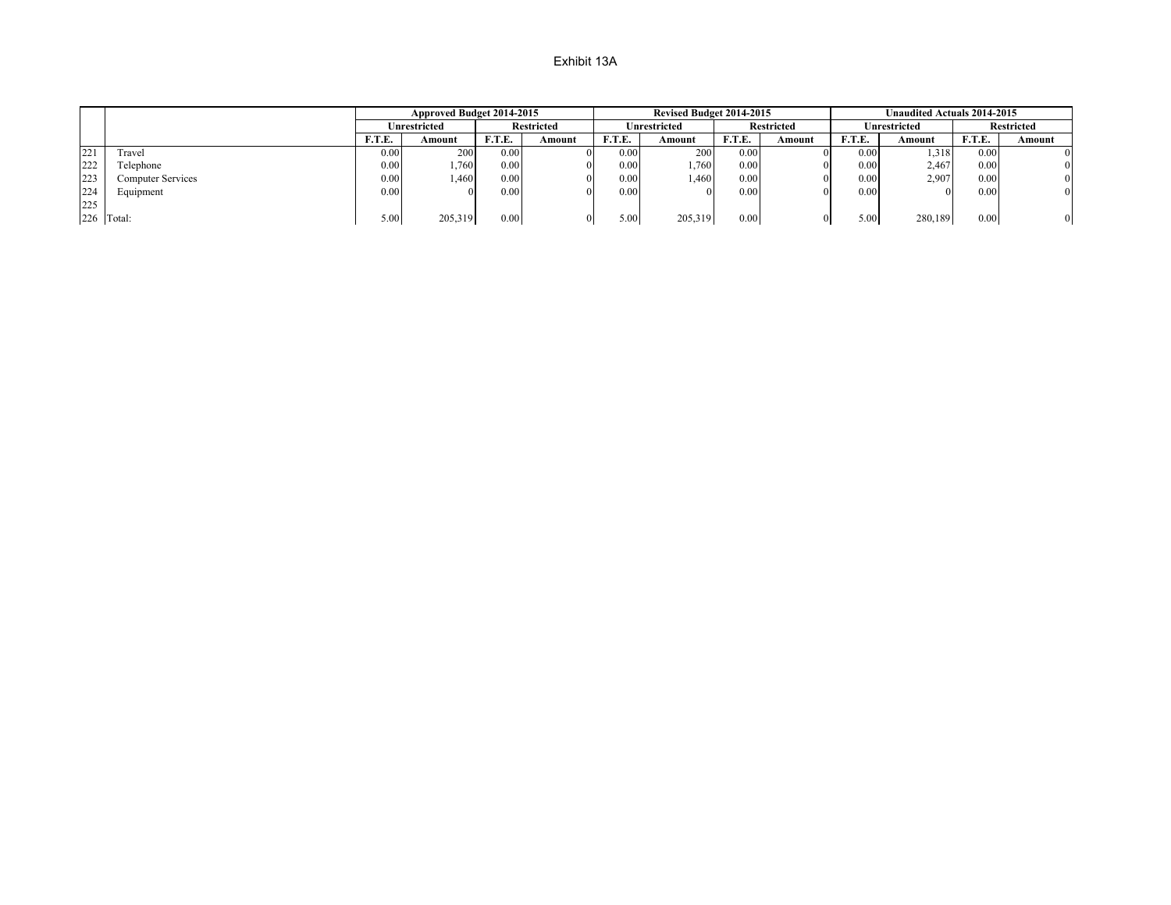|     |                   |        | Approved Budget 2014-2015 |                   |                   |        | <b>Revised Budget 2014-2015</b> |        |                   |               | <b>Unaudited Actuals 2014-2015</b> |        |                   |
|-----|-------------------|--------|---------------------------|-------------------|-------------------|--------|---------------------------------|--------|-------------------|---------------|------------------------------------|--------|-------------------|
|     |                   |        | Unrestricted              |                   | <b>Restricted</b> |        | Unrestricted                    |        | <b>Restricted</b> |               | Jnrestricted                       |        | <b>Restricted</b> |
|     |                   | F.T.E. | Amount                    | F.T.E.            | Amount            | F.T.E. | Amount                          | F.T.E. | Amount            | <b>F.T.E.</b> | Amount                             | F.T.E. | Amount            |
| 221 | Travel            | 0.00   | 200                       | 0.00              |                   | 0.00   | 200                             | 0.00   | $^{\prime}$       | 0.00          | 1,318                              | 0.00   |                   |
| 222 | Telephone         | 0.00   | 1.760                     | 0.00              |                   | 0.00   | 760                             | 0.00   | 01                | 0.00          | 2.467                              | 0.00   | 0                 |
| 223 | Computer Services | 0.00   | .460                      | 0.00              |                   | 0.00   | l.460                           | 0.00   | 01                | 0.00          | 2.907                              | 0.00   | 0                 |
| 224 | Equipment         | 0.00   |                           | 0.00 <sub>1</sub> |                   | 0.00   |                                 | 0.00   | 01                | 0.00          |                                    | 0.00   | $\mathbf{0}$      |
| 225 |                   |        |                           |                   |                   |        |                                 |        |                   |               |                                    |        |                   |
|     | 226 Total:        | 5.00   | 205,319                   | 0.00              |                   | 5.00   | 205,319                         | 0.00   | $_{0}$            | 5.00          | 280,189                            | 0.00   | 0                 |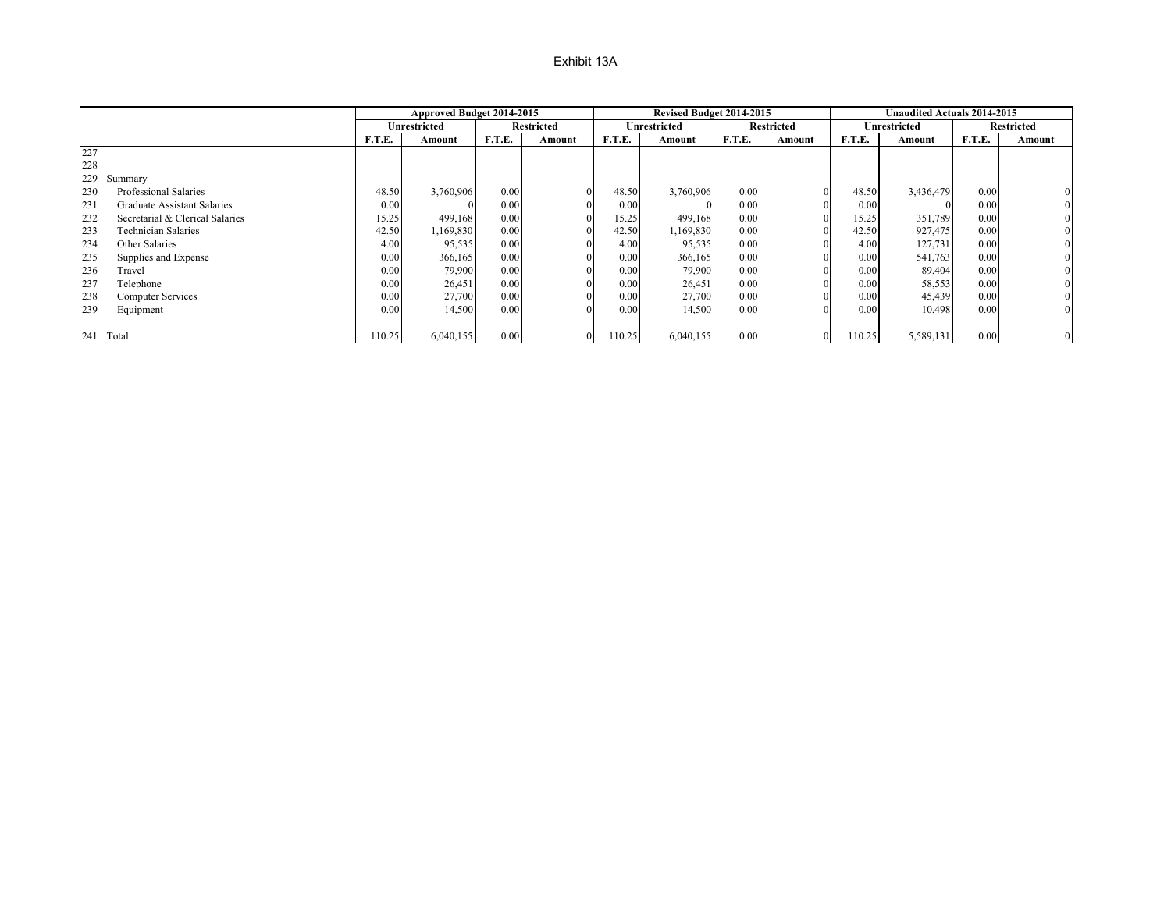|     |                                    |        | Approved Budget 2014-2015 |        |                   |        | Revised Budget 2014-2015 |        |                   |        | <b>Unaudited Actuals 2014-2015</b> |        |                   |
|-----|------------------------------------|--------|---------------------------|--------|-------------------|--------|--------------------------|--------|-------------------|--------|------------------------------------|--------|-------------------|
|     |                                    |        | Unrestricted              |        | <b>Restricted</b> |        | Unrestricted             |        | <b>Restricted</b> |        | Unrestricted                       |        | <b>Restricted</b> |
|     |                                    | F.T.E. | Amount                    | F.T.E. | Amount            | F.T.E. | Amount                   | F.T.E. | Amount            | F.T.E. | Amount                             | F.T.E. | Amount            |
| 227 |                                    |        |                           |        |                   |        |                          |        |                   |        |                                    |        |                   |
| 228 |                                    |        |                           |        |                   |        |                          |        |                   |        |                                    |        |                   |
| 229 | Summary                            |        |                           |        |                   |        |                          |        |                   |        |                                    |        |                   |
| 230 | Professional Salaries              | 48.50  | 3,760,906                 | 0.00   |                   | 48.50  | 3,760,906                | 0.00   |                   | 48.50  | 3,436,479                          | 0.00   | $\mathbf{0}$      |
| 231 | <b>Graduate Assistant Salaries</b> | 0.00   |                           | 0.00   |                   | 0.00   |                          | 0.00   |                   | 0.00   |                                    | 0.00   | $\overline{0}$    |
| 232 | Secretarial & Clerical Salaries    | 15.25  | 499,168                   | 0.00   |                   | 15.25  | 499,168                  | 0.00   |                   | 15.25  | 351,789                            | 0.00   | $\overline{0}$    |
| 233 | <b>Technician Salaries</b>         | 42.50  | 1,169,830                 | 0.00   |                   | 42.50  | 1,169,830                | 0.00   |                   | 42.50  | 927,475                            | 0.00   | $\overline{0}$    |
| 234 | Other Salaries                     | 4.00   | 95,535                    | 0.00   |                   | 4.00   | 95,535                   | 0.00   |                   | 4.00   | 127,731                            | 0.00   | $\overline{0}$    |
| 235 | Supplies and Expense               | 0.00   | 366,165                   | 0.00   |                   | 0.00   | 366,165                  | 0.00   |                   | 0.00   | 541,763                            | 0.00   | $\overline{0}$    |
| 236 | Travel                             | 0.00   | 79,900                    | 0.00   |                   | 0.00   | 79,900                   | 0.00   |                   | 0.00   | 89,404                             | 0.00   | $\overline{0}$    |
| 237 | Telephone                          | 0.00   | 26,451                    | 0.00   |                   | 0.00   | 26,451                   | 0.00   |                   | 0.00   | 58,553                             | 0.00   | $\overline{0}$    |
| 238 | <b>Computer Services</b>           | 0.00   | 27,700                    | 0.00   |                   | 0.00   | 27,700                   | 0.00   |                   | 0.00   | 45,439                             | 0.00   | $\mathbf{0}$      |
| 239 | Equipment                          | 0.00   | 14,500                    | 0.00   |                   | 0.00   | 14,500                   | 0.00   |                   | 0.00   | 10,498                             | 0.00   | $\boldsymbol{0}$  |
|     |                                    |        |                           |        |                   |        |                          |        |                   |        |                                    |        |                   |
|     | 241 Total:                         | 10.25  | 6,040,155                 | 0.00   |                   | 10.25  | 6,040,155                | 0.00   |                   | 110.25 | 5,589,131                          | 0.00   | $\mathbf{0}$      |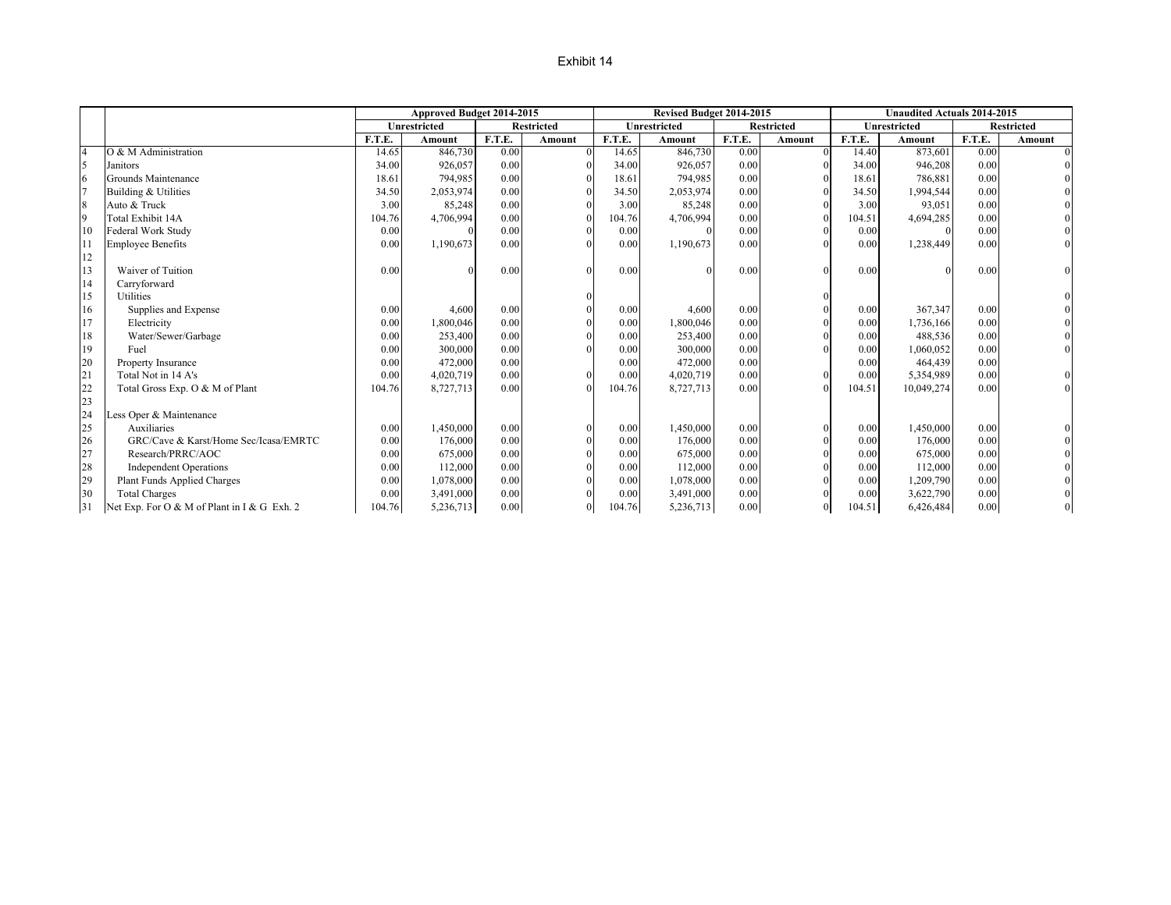### Exhibit 14

|                |                                             |        | Approved Budget 2014-2015 |        |                   |        | Revised Budget 2014-2015 |        |            |               | <b>Unaudited Actuals 2014-2015</b> |        |                   |
|----------------|---------------------------------------------|--------|---------------------------|--------|-------------------|--------|--------------------------|--------|------------|---------------|------------------------------------|--------|-------------------|
|                |                                             |        | Unrestricted              |        | <b>Restricted</b> |        | Unrestricted             |        | Restricted |               | <b>Unrestricted</b>                |        | <b>Restricted</b> |
|                |                                             | F.T.E. | Amount                    | F.T.E. | Amount            | F.T.E. | Amount                   | F.T.E. | Amount     | <b>F.T.E.</b> | Amount                             | F.T.E. | Amount            |
| $\overline{4}$ | O & M Administration                        | 14.65  | 846,730                   | 0.00   | $\Omega$          | 14.65  | 846,730                  | 0.00   |            | 14.40         | 873,601                            | 0.00   | $\Omega$          |
| 5              | Janitors                                    | 34.00  | 926,057                   | 0.00   |                   | 34.00  | 926,057                  | 0.00   |            | 34.00         | 946,208                            | 0.00   |                   |
| 6              | Grounds Maintenance                         | 18.61  | 794.985                   | 0.00   |                   | 18.61  | 794,985                  | 0.00   |            | 18.61         | 786,881                            | 0.00   |                   |
|                | Building & Utilities                        | 34.50  | 2,053,974                 | 0.00   |                   | 34.50  | 2,053,974                | 0.00   |            | 34.50         | 1,994,544                          | 0.00   |                   |
| 8              | Auto & Truck                                | 3.00   | 85,248                    | 0.00   |                   | 3.00   | 85,248                   | 0.00   |            | 3.00          | 93,051                             | 0.00   |                   |
| $\overline{9}$ | Total Exhibit 14A                           | 104.76 | 4,706,994                 | 0.00   |                   | 104.76 | 4,706,994                | 0.00   |            | 104.51        | 4,694,285                          | 0.00   |                   |
| 10             | Federal Work Study                          | 0.00   |                           | 0.00   |                   | 0.00   |                          | 0.00   |            | 0.00          |                                    | 0.00   |                   |
| 11             | <b>Employee Benefits</b>                    | 0.00   | 1,190,673                 | 0.00   |                   | 0.00   | 1,190,673                | 0.00   |            | 0.00          | 1,238,449                          | 0.00   |                   |
| 12             |                                             |        |                           |        |                   |        |                          |        |            |               |                                    |        |                   |
| 13             | Waiver of Tuition                           | 0.00   |                           | 0.00   |                   | 0.00   |                          | 0.00   |            | 0.00          |                                    | 0.00   |                   |
| 14             | Carryforward                                |        |                           |        |                   |        |                          |        |            |               |                                    |        |                   |
| 15             | Utilities                                   |        |                           |        |                   |        |                          |        |            |               |                                    |        |                   |
| 16             | Supplies and Expense                        | 0.00   | 4,600                     | 0.00   |                   | 0.00   | 4,600                    | 0.00   |            | 0.00          | 367,347                            | 0.00   |                   |
| 17             | Electricity                                 | 0.00   | 1,800,046                 | 0.00   |                   | 0.00   | 1,800,046                | 0.00   |            | 0.00          | 1,736,166                          | 0.00   |                   |
| 18             | Water/Sewer/Garbage                         | 0.00   | 253,400                   | 0.00   |                   | 0.00   | 253,400                  | 0.00   |            | 0.00          | 488,536                            | 0.00   |                   |
| 19             | Fuel                                        | 0.00   | 300,000                   | 0.00   |                   | 0.00   | 300,000                  | 0.00   |            | 0.00          | 1,060,052                          | 0.00   |                   |
| 20             | <b>Property Insurance</b>                   | 0.00   | 472,000                   | 0.00   |                   | 0.00   | 472,000                  | 0.00   |            | 0.00          | 464,439                            | 0.00   |                   |
| 21             | Total Not in 14 A's                         | 0.00   | 4,020,719                 | 0.00   |                   | 0.00   | 4,020,719                | 0.00   |            | 0.00          | 5,354,989                          | 0.00   |                   |
| 22             | Total Gross Exp. O & M of Plant             | 104.76 | 8,727,713                 | 0.00   |                   | 104.76 | 8,727,713                | 0.00   |            | 104.51        | 10,049,274                         | 0.00   |                   |
| 23             |                                             |        |                           |        |                   |        |                          |        |            |               |                                    |        |                   |
| 24             | Less Oper & Maintenance                     |        |                           |        |                   |        |                          |        |            |               |                                    |        |                   |
| 25             | Auxiliaries                                 | 0.00   | 1,450,000                 | 0.00   | $\Omega$          | 0.00   | 1,450,000                | 0.00   |            | 0.00          | 1,450,000                          | 0.00   |                   |
| 26             | GRC/Cave & Karst/Home Sec/Icasa/EMRTC       | 0.00   | 176,000                   | 0.00   |                   | 0.00   | 176,000                  | 0.00   |            | 0.00          | 176,000                            | 0.00   |                   |
| 27             | Research/PRRC/AOC                           | 0.00   | 675,000                   | 0.00   |                   | 0.00   | 675,000                  | 0.00   |            | 0.00          | 675,000                            | 0.00   |                   |
| 28             | <b>Independent Operations</b>               | 0.00   | 112,000                   | 0.00   |                   | 0.00   | 112,000                  | 0.00   |            | 0.00          | 112,000                            | 0.00   |                   |
| 29             | Plant Funds Applied Charges                 | 0.00   | 1,078,000                 | 0.00   |                   | 0.00   | 1,078,000                | 0.00   |            | 0.00          | 1,209,790                          | 0.00   |                   |
| 30             | <b>Total Charges</b>                        | 0.00   | 3,491,000                 | 0.00   |                   | 0.00   | 3,491,000                | 0.00   |            | 0.00          | 3,622,790                          | 0.00   |                   |
| 31             | Net Exp. For O & M of Plant in I & G Exh. 2 | 104.76 | 5,236,713                 | 0.00   | $\theta$          | 104.76 | 5,236,713                | 0.00   |            | 104.51        | 6,426,484                          | 0.00   |                   |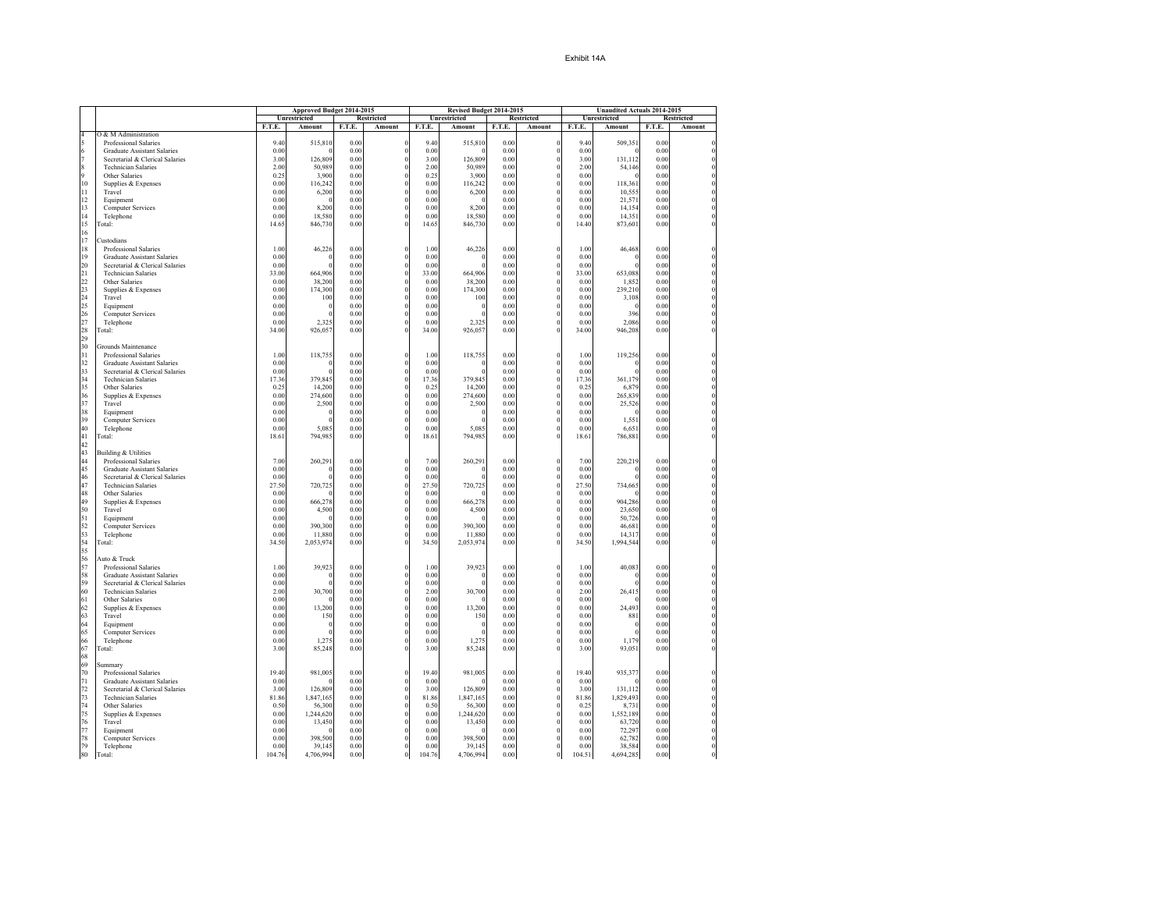|                     |                                                                       |              | Approved Budget 2014-2015 |              |                              |               | Revised Budget 2014-2015 |              |                      |               | Unaudited Actuals 2014-2015 |              |                   |
|---------------------|-----------------------------------------------------------------------|--------------|---------------------------|--------------|------------------------------|---------------|--------------------------|--------------|----------------------|---------------|-----------------------------|--------------|-------------------|
|                     |                                                                       |              | Unrestricted              |              | Restricted                   |               | Unrestricted             |              | Restricted           |               | Unrestricted                |              | <b>Restricted</b> |
|                     |                                                                       | F.T.E.       | Amount                    | F.T.E.       | Amount                       | F.T.E.        | Amount                   | F.T.E.       | Amount               | F.T.E.        | Amount                      | F.T.E.       | Amount            |
| $\overline{4}$<br>5 | O & M Administration                                                  |              |                           |              |                              |               |                          |              |                      |               |                             |              |                   |
| 6                   | Professional Salaries<br><b>Graduate Assistant Salaries</b>           | 9.40<br>0.00 | 515,810                   | 0.00<br>0.00 | $\bf{0}$<br>$\boldsymbol{0}$ | 9.40<br>0.00  | 515,810<br>-0            | 0.00<br>0.00 | 0<br>$\theta$        | 9.40<br>0.00  | 509,351<br>$\Omega$         | 0.00<br>0.00 |                   |
| $\overline{7}$      | Secretarial & Clerical Salaries                                       | 3.00         | 126,809                   | 0.00         | $\theta$                     | 3.00          | 126,809                  | 0.00         | $\Omega$             | 3.00          | 131.112                     | 0.00         |                   |
| 8                   | <b>Technician Salaries</b>                                            | 2.00         | 50,989                    | 0.00         |                              | 2.00          | 50,989                   | 0.00         | $\theta$             | 2.00          | 54,146                      | 0.00         |                   |
| 9                   | Other Salaries                                                        | 0.25         | 3,900                     | 0.00         | $\theta$                     | 0.25          | 3,900                    | 0.00         | $\theta$             | 0.00          | $\Omega$                    | 0.00         |                   |
| 10                  | Supplies & Expenses                                                   | 0.00         | 116,242                   | 0.00         | $\theta$                     | 0.00          | 116,242                  | 0.00         | $\theta$             | 0.00          | 118,361                     | 0.00         |                   |
| 11                  | Travel                                                                | 0.00         | 6,200                     | 0.00         | $\bf{0}$                     | 0.00          | 6,200                    | 0.00         | $\theta$             | 0.00          | 10,555                      | 0.00         |                   |
| 12                  | Equipment                                                             | 0.00         | $\Omega$                  | 0.00         | $\bf{0}$                     | 0.00          | $\theta$                 | 0.00         | $\theta$             | 0.00          | 21,571                      | 0.00         |                   |
| 13                  | Computer Services                                                     | 0.00         | 8,200                     | 0.00         | $\theta$                     | 0.00          | 8,200                    | 0.00         | $\theta$             | 0.00          | 14,154                      | 0.00         |                   |
| 14<br>15            | Telephone                                                             | 0.00         | 18,580<br>846,730         | 0.00<br>0.00 | $\bf{0}$<br>$\theta$         | 0.00<br>14.65 | 18,580<br>846,730        | 0.00<br>0.00 | $\theta$<br>$\theta$ | 0.00<br>14.40 | 14,351<br>873,601           | 0.00<br>0.00 |                   |
| 16                  | Total:                                                                | 14.65        |                           |              |                              |               |                          |              |                      |               |                             |              |                   |
| 17                  | Custodians                                                            |              |                           |              |                              |               |                          |              |                      |               |                             |              |                   |
| 18                  | Professional Salaries                                                 | 1.00         | 46,226                    | 0.00         | $\theta$                     | 1.00          | 46,226                   | 0.00         | $\theta$             | 1.00          | 46,468                      | 0.00         |                   |
| 19                  | <b>Graduate Assistant Salaries</b>                                    | 0.00         | -0                        | 0.00         | $\bf{0}$                     | 0.00          | 0                        | 0.00         | $\theta$             | 0.00          | $\Omega$                    | 0.00         |                   |
| 20                  | Secretarial & Clerical Salaries                                       | 0.00         | $\theta$                  | 0.00         | $\theta$                     | 0.00          | $\theta$                 | 0.00         | $\theta$             | 0.00          | $\Omega$                    | 0.00         |                   |
| 21                  | <b>Technician Salaries</b>                                            | 33.00        | 664,906                   | 0.00         | $\bf{0}$                     | 33.00         | 664,906                  | 0.00         | $\theta$             | 33.00         | 653,088                     | 0.00         |                   |
| 22                  | Other Salaries                                                        | 0.00         | 38,200                    | 0.00         | $\theta$                     | 0.00          | 38,200                   | 0.00         | $\theta$             | 0.00          | 1,852                       | 0.00         |                   |
| 23                  | Supplies & Expenses                                                   | 0.00         | 174,300                   | 0.00         | $\bf{0}$                     | 0.00          | 174,300                  | 0.00         | $\theta$             | 0.00          | 239,210                     | 0.00         |                   |
| 24                  | Travel                                                                | 0.00         | 100<br>$\mathbf 0$        | 0.00<br>0.00 | $\theta$<br>$\theta$         | 0.00<br>0.00  | 100<br>0                 | 0.00         | $\theta$<br>$\theta$ | 0.00          | 3,108                       | 0.00         |                   |
| 25<br>26            | Equipment<br><b>Computer Services</b>                                 | 0.00<br>0.00 | $\theta$                  | 0.00         | $\bf{0}$                     | 0.00          | $\theta$                 | 0.00<br>0.00 | 0                    | 0.00<br>0.00  | 396                         | 0.00<br>0.00 |                   |
| 27                  | Telephone                                                             | 0.00         | 2,325                     | 0.00         | $\theta$                     | 0.00          | 2,325                    | 0.00         | $\Omega$             | 0.00          | 2,086                       | 0.00         |                   |
| 28                  | Total:                                                                | 34.00        | 926,057                   | 0.00         |                              | 34.00         | 926,057                  | 0.00         | $\theta$             | 34.00         | 946,208                     | $0.00\,$     |                   |
| 29                  |                                                                       |              |                           |              |                              |               |                          |              |                      |               |                             |              |                   |
| 30                  | Grounds Maintenance                                                   |              |                           |              |                              |               |                          |              |                      |               |                             |              |                   |
| 31                  | Professional Salaries                                                 | 1.00         | 118,755                   | 0.00         | $\theta$                     | 1.00          | 118,755                  | 0.00         | $\theta$             | 1.00          | 119,256                     | 0.00         |                   |
| 32                  | <b>Graduate Assistant Salaries</b>                                    | 0.00         | $\mathbf 0$               | 0.00         | $\theta$                     | 0.00          | 0                        | 0.00         | $\theta$             | 0.00          | $\Omega$                    | 0.00         |                   |
| 33                  | Secretarial & Clerical Salaries                                       | 0.00         | $\theta$                  | 0.00         | $\bf{0}$                     | 0.00          | 0                        | 0.00         | 0                    | 0.00          | $\Omega$                    | 0.00         |                   |
| 34                  | <b>Technician Salaries</b>                                            | 17.36        | 379,845                   | 0.00         | $\boldsymbol{0}$             | 17.36         | 379,845                  | 0.00         | $\theta$             | 17.36         | 361,179                     | 0.00         |                   |
| 35<br>36            | Other Salaries<br>Supplies & Expenses                                 | 0.25<br>0.00 | 14,200<br>274,600         | 0.00<br>0.00 | $\bf{0}$<br>$\bf{0}$         | 0.25<br>0.00  | 14,200<br>274,600        | 0.00<br>0.00 | $\theta$<br>0        | 0.25<br>0.00  | 6,879<br>265,839            | 0.00<br>0.00 |                   |
| 37                  | Travel                                                                | 0.00         | 2,500                     | 0.00         | $\bf{0}$                     | 0.00          | 2,500                    | 0.00         | $\theta$             | 0.00          | 25,526                      | 0.00         |                   |
| 38                  | Equipment                                                             | 0.00         | $\theta$                  | 0.00         | $\theta$                     | 0.00          | $\boldsymbol{0}$         | 0.00         | $\theta$             | 0.00          | $\Omega$                    | 0.00         |                   |
| 39                  | Computer Services                                                     | 0.00         | $\theta$                  | 0.00         | $\theta$                     | 0.00          | $\theta$                 | 0.00         | $\theta$             | 0.00          | 1,551                       | 0.00         |                   |
| 40                  | Telephone                                                             | 0.00         | 5,085                     | 0.00         | $\bf{0}$                     | 0.00          | 5,085                    | 0.00         | 0                    | 0.00          | 6,651                       | 0.00         |                   |
| 41                  | Total:                                                                | 18.61        | 794,985                   | 0.00         | $\theta$                     | 18.61         | 794,985                  | 0.00         | $\theta$             | 18.61         | 786,881                     | $0.00\,$     |                   |
| 42                  |                                                                       |              |                           |              |                              |               |                          |              |                      |               |                             |              |                   |
| 43                  | <b>Building &amp; Utilities</b>                                       |              |                           |              |                              |               |                          |              |                      |               |                             |              |                   |
| 44                  | Professional Salaries                                                 | 7.00         | 260,291                   | 0.00         | $\theta$                     | 7.00          | 260,291                  | 0.00         | $\Omega$<br>$\theta$ | 7.00          | 220,219                     | 0.00         |                   |
| 45<br>46            | <b>Graduate Assistant Salaries</b><br>Secretarial & Clerical Salaries | 0.00<br>0.00 | $\theta$<br>$\theta$      | 0.00<br>0.00 | $\theta$<br>$\theta$         | 0.00<br>0.00  | $\theta$<br>$\theta$     | 0.00<br>0.00 | $\theta$             | 0.00<br>0.00  | $\Omega$                    | 0.00<br>0.00 |                   |
| 47                  | <b>Technician Salaries</b>                                            | 27.50        | 720,725                   | 0.00         | $\bf{0}$                     | 27.50         | 720,725                  | 0.00         | $\mathbf 0$          | 27.50         | 734,665                     | 0.00         |                   |
| 48                  | Other Salaries                                                        | 0.00         |                           | 0.00         | $\theta$                     | 0.00          | -0                       | 0.00         | $\theta$             | 0.00          | $\Omega$                    | 0.00         |                   |
| 49                  | Supplies & Expenses                                                   | 0.00         | 666,278                   | 0.00         | $\bf{0}$                     | 0.00          | 666,278                  | 0.00         | $\theta$             | 0.00          | 904,286                     | 0.00         |                   |
| 50                  | Travel                                                                | 0.00         | 4,500                     | 0.00         | $\bf{0}$                     | 0.00          | 4,500                    | 0.00         | 0                    | 0.00          | 23,650                      | $0.00\,$     |                   |
| 51                  | Equipment                                                             | 0.00         |                           | 0.00         | $\bf{0}$                     | 0.00          | $\Omega$                 | 0.00         | $\theta$             | 0.00          | 50,726                      | 0.00         |                   |
| 52                  | <b>Computer Services</b>                                              | 0.00         | 390,300                   | 0.00         | $\bf{0}$                     | 0.00          | 390,300                  | 0.00         | $\theta$             | 0.00          | 46,681                      | 0.00         |                   |
| 53                  | Telephone                                                             | 0.00         | 11,880                    | 0.00         | $\theta$                     | 0.00          | 11,880                   | 0.00         | $\theta$             | 0.00          | 14,317                      | 0.00         |                   |
| 54                  | Total:                                                                | 34.50        | 2,053,974                 | 0.00         | $\theta$                     | 34.50         | 2,053,974                | 0.00         | $\theta$             | 34.50         | 1,994,544                   | 0.00         |                   |
| 55<br>56            | Auto & Truck                                                          |              |                           |              |                              |               |                          |              |                      |               |                             |              |                   |
| 57                  | Professional Salaries                                                 | 1.00         | 39,923                    | 0.00         | $\bf{0}$                     | 1.00          | 39,923                   | 0.00         | $\mathbf 0$          | 1.00          | 40,083                      | 0.00         |                   |
| 58                  | <b>Graduate Assistant Salaries</b>                                    | 0.00         | $\mathbf 0$               | 0.00         | $\bf{0}$                     | 0.00          | 0                        | 0.00         | $\theta$             | 0.00          | $\Omega$                    | 0.00         |                   |
| 59                  | Secretarial & Clerical Salaries                                       | 0.00         | $\theta$                  | 0.00         | $\theta$                     | 0.00          | $\theta$                 | 0.00         | $\theta$             | 0.00          | $\Omega$                    | 0.00         |                   |
| 60                  | <b>Technician Salaries</b>                                            | 2.00         | 30,700                    | 0.00         | $\bf{0}$                     | 2.00          | 30,700                   | 0.00         | $\theta$             | 2.00          | 26,415                      | 0.00         |                   |
| 61                  | Other Salaries                                                        | 0.00         |                           | 0.00         | $\boldsymbol{0}$             | 0.00          |                          | 0.00         | $\mathbf 0$          | 0.00          |                             | 0.00         |                   |
| 62                  | Supplies & Expenses                                                   | 0.00         | 13,200                    | 0.00         | $\bf{0}$                     | 0.00          | 13,200                   | 0.00         | $\theta$             | 0.00          | 24,493                      | 0.00         |                   |
| 63                  | Travel                                                                | 0.00         | 150                       | 0.00         | $\bf{0}$                     | 0.00          | 150                      | 0.00         | $\theta$             | 0.00          | 881                         | 0.00         |                   |
| 64                  | Equipment                                                             | 0.00         | $\mathbf 0$               | 0.00         | $\bf{0}$                     | 0.00          | $\bf{0}$                 | 0.00         | $\theta$             | 0.00          | $\theta$                    | $0.00\,$     |                   |
| 65<br>66            | <b>Computer Services</b>                                              | 0.00<br>0.00 | $\theta$<br>1.275         | 0.00<br>0.00 | $\boldsymbol{0}$<br>$\bf{0}$ | 0.00<br>0.00  | $\Omega$                 | 0.00<br>0.00 | $\theta$<br>$\theta$ | 0.00<br>0.00  | $\Omega$<br>1.179           | 0.00<br>0.00 |                   |
| 67                  | Telephone<br>Total:                                                   | 3.00         | 85,248                    | 0.00         | $\theta$                     | 3.00          | 1,275<br>85,248          | 0.00         | $\theta$             | 3.00          | 93,051                      | 0.00         |                   |
| 68                  |                                                                       |              |                           |              |                              |               |                          |              |                      |               |                             |              |                   |
| 69                  | Summarv                                                               |              |                           |              |                              |               |                          |              |                      |               |                             |              |                   |
| 70                  | Professional Salaries                                                 | 19.40        | 981,005                   | 0.00         | $\theta$                     | 19.40         | 981,005                  | 0.00         | $\theta$             | 19.40         | 935,377                     | 0.00         |                   |
| 71                  | <b>Graduate Assistant Salaries</b>                                    | 0.00         |                           | 0.00         | $\bf{0}$                     | 0.00          |                          | 0.00         | 0                    | 0.00          | $\Omega$                    | 0.00         |                   |
| 72                  | Secretarial & Clerical Salaries                                       | 3.00         | 126,809                   | 0.00         | $\bf{0}$                     | 3.00          | 126,809                  | 0.00         | $\theta$             | 3.00          | 131,112                     | 0.00         |                   |
| 73                  | <b>Technician Salaries</b>                                            | 81.86        | 1,847,165                 | 0.00         | $\theta$                     | 81.86         | 1,847,165                | 0.00         | $\theta$             | 81.86         | 1,829,493                   | 0.00         |                   |
| 74                  | Other Salaries                                                        | 0.50         | 56,300                    | 0.00         | $\theta$                     | 0.50          | 56,300                   | 0.00         | $\theta$             | 0.25          | 8,731                       | 0.00         |                   |
| 75                  | Supplies & Expenses                                                   | 0.00         | 1,244,620                 | 0.00         | $\bf{0}$                     | 0.00          | 1,244,620                | 0.00         | $\theta$             | 0.00          | 1,552,189                   | 0.00         |                   |
| 76<br>77            | Travel                                                                | 0.00<br>0.00 | 13,450                    | 0.00<br>0.00 | $\bf{0}$<br>$\bf{0}$         | 0.00<br>0.00  | 13,450                   | 0.00<br>0.00 | $\theta$<br>$\theta$ | 0.00<br>0.00  | 63,720<br>72,297            | 0.00<br>0.00 |                   |
| 78                  | Equipment<br><b>Computer Services</b>                                 | 0.00         | 398,500                   | 0.00         | $\bf{0}$                     | 0.00          | 398,500                  | 0.00         | $\theta$             | 0.00          | 62,782                      | $\rm 0.00$   |                   |
| 79                  | Telephone                                                             | 0.00         | 39,145                    | 0.00         | $\boldsymbol{0}$             | 0.00          | 39,145                   | 0.00         | $\theta$             | 0.00          | 38,584                      | $0.00\,$     |                   |
| 80                  | Total:                                                                | 104.76       | 4,706,994                 | 0.00         | $\bf{0}$                     | 104.76        | 4,706,994                | 0.00         | $\theta$             | 104.51        | 4,694,285                   | 0.00         |                   |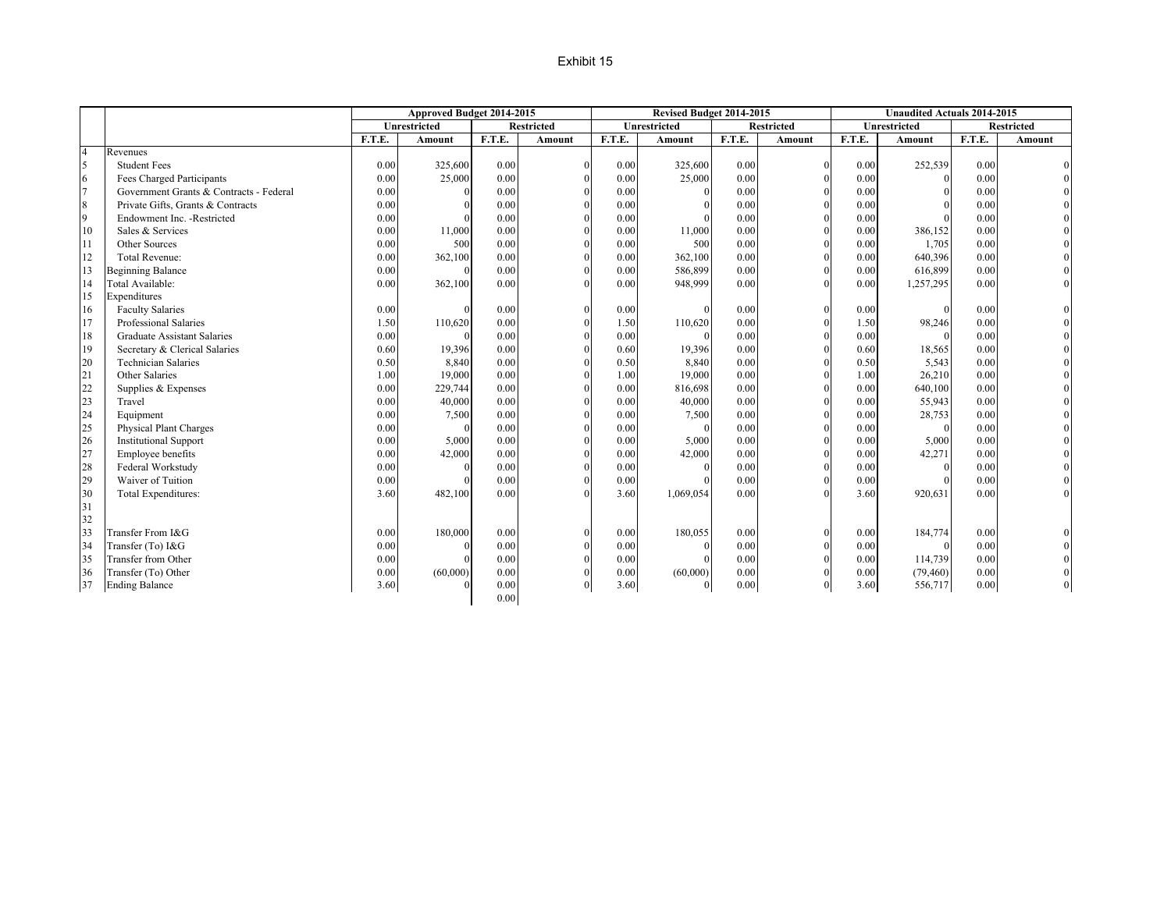#### Exhibit 15

|                |                                         |        | Approved Budget 2014-2015 |        |                   |        | Revised Budget 2014-2015 |        |                   |               | <b>Unaudited Actuals 2014-2015</b> |          |                   |
|----------------|-----------------------------------------|--------|---------------------------|--------|-------------------|--------|--------------------------|--------|-------------------|---------------|------------------------------------|----------|-------------------|
|                |                                         |        | <b>Unrestricted</b>       |        | <b>Restricted</b> |        | <b>Unrestricted</b>      |        | <b>Restricted</b> |               | Unrestricted                       |          | <b>Restricted</b> |
|                |                                         | F.T.E. | Amount                    | F.T.E. | Amount            | F.T.E. | Amount                   | F.T.E. | Amount            | <b>F.T.E.</b> | Amount                             | F.T.E.   | Amount            |
| $\overline{4}$ | Revenues                                |        |                           |        |                   |        |                          |        |                   |               |                                    |          |                   |
| 5              | <b>Student Fees</b>                     | 0.00   | 325,600                   | 0.00   | $\Omega$          | 0.00   | 325,600                  | 0.00   |                   | 0.00          | 252,539                            | 0.00     |                   |
| 6              | Fees Charged Participants               | 0.00   | 25,000                    | 0.00   | $\sqrt{ }$        | 0.00   | 25,000                   | 0.00   |                   | 0.00          | $\Omega$                           | 0.00     |                   |
| $\overline{7}$ | Government Grants & Contracts - Federal | 0.00   |                           | 0.00   | $\Omega$          | 0.00   |                          | 0.00   |                   | 0.00          | $\Omega$                           | 0.00     |                   |
| 8              | Private Gifts, Grants & Contracts       | 0.00   |                           | 0.00   | $\Omega$          | 0.00   |                          | 0.00   |                   | 0.00          |                                    | 0.00     |                   |
| 9              | Endowment Inc. - Restricted             | 0.00   |                           | 0.00   | $\Omega$          | 0.00   |                          | 0.00   |                   | 0.00          |                                    | 0.00     |                   |
| 10             | Sales & Services                        | 0.00   | 11,000                    | 0.00   | $\Omega$          | 0.00   | 11,000                   | 0.00   |                   | 0.00          | 386,152                            | 0.00     |                   |
| 11             | Other Sources                           | 0.00   | 500                       | 0.00   | $\Omega$          | 0.00   | 500                      | 0.00   |                   | 0.00          | 1,705                              | 0.00     |                   |
| 12             | <b>Total Revenue:</b>                   | 0.00   | 362,100                   | 0.00   | $\Omega$          | 0.00   | 362,100                  | 0.00   |                   | 0.00          | 640,396                            | 0.00     |                   |
| 13             | <b>Beginning Balance</b>                | 0.00   |                           | 0.00   | $\Omega$          | 0.00   | 586,899                  | 0.00   |                   | 0.00          | 616,899                            | 0.00     |                   |
| 14             | Total Available:                        | 0.00   | 362,100                   | 0.00   | $\Omega$          | 0.00   | 948,999                  | 0.00   |                   | 0.00          | 1,257,295                          | 0.00     |                   |
| 15             | Expenditures                            |        |                           |        |                   |        |                          |        |                   |               |                                    |          |                   |
| 16             | <b>Faculty Salaries</b>                 | 0.00   |                           | 0.00   | $\Omega$          | 0.00   | $\sqrt{ }$               | 0.00   |                   | 0.00          | $\sqrt{ }$                         | 0.00     |                   |
| 17             | Professional Salaries                   | 1.50   | 110,620                   | 0.00   | $\Omega$          | 1.50   | 110,620                  | 0.00   |                   | 1.50          | 98,246                             | 0.00     |                   |
| 18             | <b>Graduate Assistant Salaries</b>      | 0.00   |                           | 0.00   | $\sqrt{ }$        | 0.00   |                          | 0.00   |                   | 0.00          | $\Omega$                           | 0.00     |                   |
| 19             | Secretary & Clerical Salaries           | 0.60   | 19,396                    | 0.00   | $\sqrt{ }$        | 0.60   | 19,396                   | 0.00   |                   | 0.60          | 18,565                             | 0.00     |                   |
| 20             | <b>Technician Salaries</b>              | 0.50   | 8,840                     | 0.00   | $\Omega$          | 0.50   | 8,840                    | 0.00   |                   | 0.50          | 5,543                              | 0.00     |                   |
| 21             | Other Salaries                          | 1.00   | 19,000                    | 0.00   | $\Omega$          | 1.00   | 19,000                   | 0.00   |                   | 1.00          | 26,210                             | 0.00     |                   |
| 22             | Supplies & Expenses                     | 0.00   | 229,744                   | 0.00   | $\Omega$          | 0.00   | 816,698                  | 0.00   |                   | 0.00          | 640,100                            | 0.00     |                   |
| 23             | Travel                                  | 0.00   | 40,000                    | 0.00   | $\Omega$          | 0.00   | 40,000                   | 0.00   |                   | 0.00          | 55,943                             | 0.00     |                   |
| 24             | Equipment                               | 0.00   | 7,500                     | 0.00   | $\Omega$          | 0.00   | 7,500                    | 0.00   |                   | 0.00          | 28,753                             | 0.00     |                   |
| 25             | Physical Plant Charges                  | 0.00   |                           | 0.00   | $\Omega$          | 0.00   | $\sqrt{ }$               | 0.00   |                   | 0.00          | $\Omega$                           | $0.00\,$ |                   |
| 26             | <b>Institutional Support</b>            | 0.00   | 5,000                     | 0.00   | $\Omega$          | 0.00   | 5,000                    | 0.00   |                   | 0.00          | 5,000                              | 0.00     |                   |
| 27             | Employee benefits                       | 0.00   | 42,000                    | 0.00   | $\Omega$          | 0.00   | 42,000                   | 0.00   |                   | 0.00          | 42,271                             | 0.00     |                   |
| 28             | Federal Workstudy                       | 0.00   |                           | 0.00   | $\Omega$          | 0.00   |                          | 0.00   |                   | 0.00          | $\sqrt{ }$                         | 0.00     |                   |
| 29             | Waiver of Tuition                       | 0.00   |                           | 0.00   | $\Omega$          | 0.00   |                          | 0.00   |                   | 0.00          |                                    | 0.00     |                   |
| 30             | Total Expenditures:                     | 3.60   | 482,100                   | 0.00   | $\Omega$          | 3.60   | 1,069,054                | 0.00   |                   | 3.60          | 920,631                            | 0.00     |                   |
| 31             |                                         |        |                           |        |                   |        |                          |        |                   |               |                                    |          |                   |
| 32             |                                         |        |                           |        |                   |        |                          |        |                   |               |                                    |          |                   |
| 33             | Transfer From I&G                       | 0.00   | 180,000                   | 0.00   | $\Omega$          | 0.00   | 180,055                  | 0.00   |                   | 0.00          | 184,774                            | 0.00     |                   |
| 34             | Transfer (To) I&G                       | 0.00   |                           | 0.00   | $\Omega$          | 0.00   |                          | 0.00   |                   | 0.00          | $\Omega$                           | 0.00     |                   |
| 35             | Transfer from Other                     | 0.00   |                           | 0.00   | $\Omega$          | 0.00   |                          | 0.00   |                   | 0.00          | 114,739                            | 0.00     |                   |
| 36             | Transfer (To) Other                     | 0.00   | (60,000)                  | 0.00   | $\Omega$          | 0.00   | (60,000)                 | 0.00   |                   | 0.00          | (79, 460)                          | 0.00     |                   |
| 37             | <b>Ending Balance</b>                   | 3.60   |                           | 0.00   | $\theta$          | 3.60   | $\theta$                 | 0.00   | $\Omega$          | 3.60          | 556,717                            | 0.00     |                   |
|                |                                         |        |                           | 0.00   |                   |        |                          |        |                   |               |                                    |          |                   |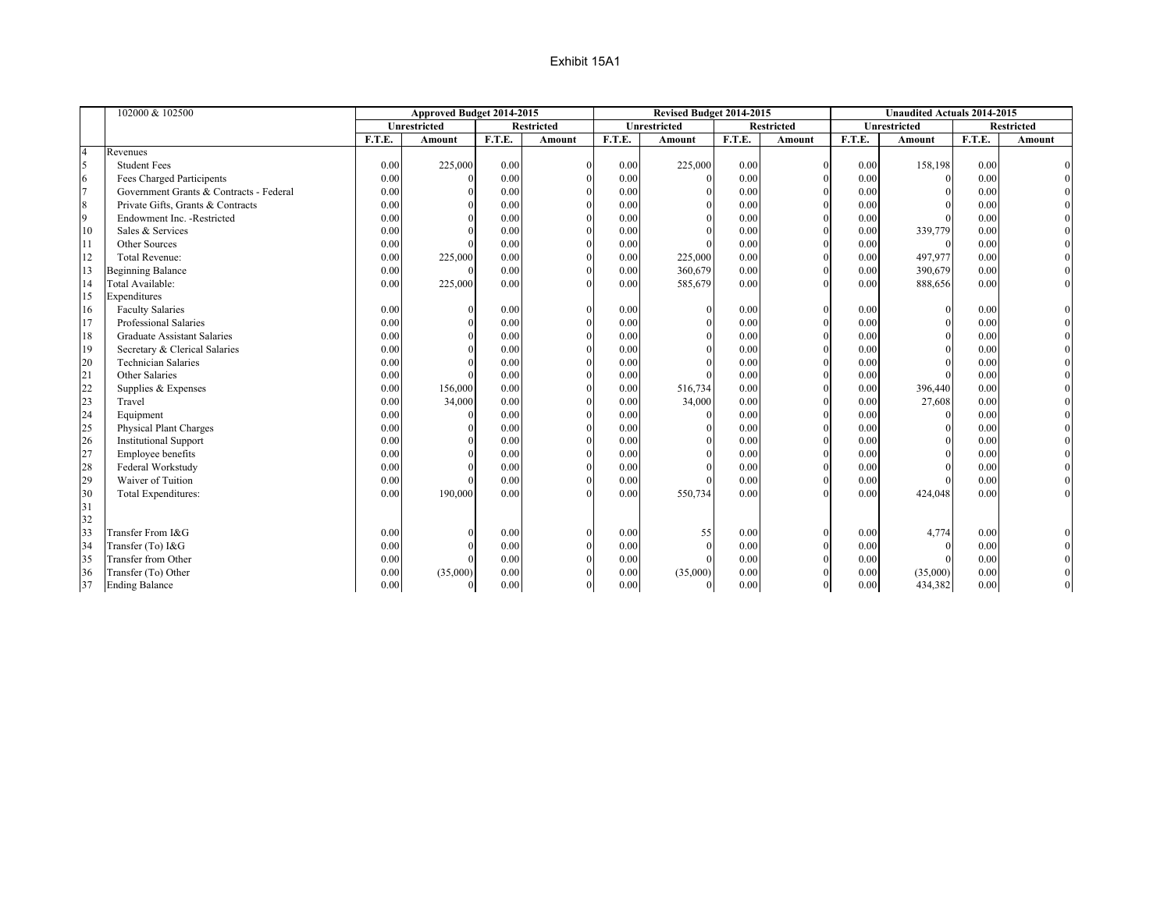|                | 102000 & 102500                         |        | Approved Budget 2014-2015 |          |                   |        | Revised Budget 2014-2015 |        |                   |        | <b>Unaudited Actuals 2014-2015</b> |        |                   |
|----------------|-----------------------------------------|--------|---------------------------|----------|-------------------|--------|--------------------------|--------|-------------------|--------|------------------------------------|--------|-------------------|
|                |                                         |        | <b>Unrestricted</b>       |          | <b>Restricted</b> |        | <b>Unrestricted</b>      |        | <b>Restricted</b> |        | Unrestricted                       |        | <b>Restricted</b> |
|                |                                         | F.T.E. | Amount                    | F.T.E.   | Amount            | F.T.E. | Amount                   | F.T.E. | Amount            | F.T.E. | Amount                             | F.T.E. | Amount            |
| $\overline{4}$ | Revenues                                |        |                           |          |                   |        |                          |        |                   |        |                                    |        |                   |
| 5              | <b>Student Fees</b>                     | 0.00   | 225,000                   | 0.00     |                   | 0.00   | 225,000                  | 0.00   | $\mathbf{0}$      | 0.00   | 158,198                            | 0.00   |                   |
| 6              | Fees Charged Participents               | 0.00   |                           | 0.00     |                   | 0.00   | $\Omega$                 | 0.00   | $\Omega$          | 0.00   | $\theta$                           | 0.00   |                   |
| $\overline{7}$ | Government Grants & Contracts - Federal | 0.00   |                           | 0.00     |                   | 0.00   |                          | 0.00   | $\mathbf{0}$      | 0.00   |                                    | 0.00   |                   |
| 8              | Private Gifts, Grants & Contracts       | 0.00   |                           | 0.00     |                   | 0.00   |                          | 0.00   | $\Omega$          | 0.00   |                                    | 0.00   |                   |
| 9              | Endowment Inc. - Restricted             | 0.00   |                           | 0.00     |                   | 0.00   |                          | 0.00   | $\mathbf{0}$      | 0.00   |                                    | 0.00   |                   |
| 10             | Sales & Services                        | 0.00   |                           | 0.00     |                   | 0.00   |                          | 0.00   | $\Omega$          | 0.00   | 339,779                            | 0.00   |                   |
| <sup>11</sup>  | Other Sources                           | 0.00   |                           | 0.00     |                   | 0.00   |                          | 0.00   | $\mathbf{0}$      | 0.00   |                                    | 0.00   |                   |
| 12             | <b>Total Revenue:</b>                   | 0.00   | 225,000                   | 0.00     |                   | 0.00   | 225,000                  | 0.00   | $\Omega$          | 0.00   | 497,977                            | 0.00   |                   |
| 13             | <b>Beginning Balance</b>                | 0.00   |                           | $0.00\,$ |                   | 0.00   | 360,679                  | 0.00   | $\Omega$          | 0.00   | 390,679                            | 0.00   |                   |
| 14             | Total Available:                        | 0.00   | 225,000                   | 0.00     |                   | 0.00   | 585,679                  | 0.00   | $\theta$          | 0.00   | 888,656                            | 0.00   | $\overline{0}$    |
| 15             | Expenditures                            |        |                           |          |                   |        |                          |        |                   |        |                                    |        |                   |
| 16             | <b>Faculty Salaries</b>                 | 0.00   |                           | 0.00     |                   | 0.00   | $\Omega$                 | 0.00   | $\mathbf{0}$      | 0.00   | $\Omega$                           | 0.00   |                   |
| 17             | Professional Salaries                   | 0.00   |                           | 0.00     |                   | 0.00   |                          | 0.00   | $\mathbf{0}$      | 0.00   |                                    | 0.00   |                   |
| 18             | <b>Graduate Assistant Salaries</b>      | 0.00   |                           | 0.00     |                   | 0.00   |                          | 0.00   | $\theta$          | 0.00   |                                    | 0.00   |                   |
| 19             | Secretary & Clerical Salaries           | 0.00   |                           | 0.00     |                   | 0.00   |                          | 0.00   | $\theta$          | 0.00   |                                    | 0.00   |                   |
| 20             | <b>Technician Salaries</b>              | 0.00   |                           | 0.00     |                   | 0.00   |                          | 0.00   | $\theta$          | 0.00   |                                    | 0.00   |                   |
| 21             | Other Salaries                          | 0.00   |                           | 0.00     |                   | 0.00   |                          | 0.00   | $\theta$          | 0.00   |                                    | 0.00   |                   |
| 22             | Supplies & Expenses                     | 0.00   | 156,000                   | 0.00     |                   | 0.00   | 516,734                  | 0.00   | $\theta$          | 0.00   | 396,440                            | 0.00   |                   |
| 23             | Travel                                  | 0.00   | 34,000                    | 0.00     |                   | 0.00   | 34,000                   | 0.00   | $\theta$          | 0.00   | 27,608                             | 0.00   |                   |
| 24             | Equipment                               | 0.00   |                           | 0.00     |                   | 0.00   |                          | 0.00   | $\theta$          | 0.00   | $\Omega$                           | 0.00   |                   |
| 25             | <b>Physical Plant Charges</b>           | 0.00   |                           | 0.00     |                   | 0.00   |                          | 0.00   | $\theta$          | 0.00   |                                    | 0.00   |                   |
| 26             | <b>Institutional Support</b>            | 0.00   |                           | 0.00     |                   | 0.00   |                          | 0.00   | $\theta$          | 0.00   |                                    | 0.00   |                   |
| 27             | Employee benefits                       | 0.00   |                           | 0.00     |                   | 0.00   |                          | 0.00   | $\mathbf{0}$      | 0.00   |                                    | 0.00   |                   |
| 28             | Federal Workstudy                       | 0.00   |                           | 0.00     |                   | 0.00   |                          | 0.00   | $\Omega$          | 0.00   |                                    | 0.00   |                   |
| 29             | Waiver of Tuition                       | 0.00   |                           | 0.00     |                   | 0.00   |                          | 0.00   | $\mathbf{0}$      | 0.00   |                                    | 0.00   |                   |
| 30             | Total Expenditures:                     | 0.00   | 190,000                   | 0.00     |                   | 0.00   | 550,734                  | 0.00   | $\Omega$          | 0.00   | 424,048                            | 0.00   |                   |
| 31             |                                         |        |                           |          |                   |        |                          |        |                   |        |                                    |        |                   |
| 32             |                                         |        |                           |          |                   |        |                          |        |                   |        |                                    |        |                   |
| 33             | Transfer From I&G                       | 0.00   |                           | 0.00     |                   | 0.00   | 55                       | 0.00   | $\theta$          | 0.00   | 4,774                              | 0.00   |                   |
| 34             | Transfer (To) I&G                       | 0.00   |                           | 0.00     |                   | 0.00   | $\Omega$                 | 0.00   | $\mathbf{0}$      | 0.00   | $\theta$                           | 0.00   |                   |
| 35             | Transfer from Other                     | 0.00   |                           | 0.00     |                   | 0.00   |                          | 0.00   | $\theta$          | 0.00   |                                    | 0.00   |                   |
| 36             | Transfer (To) Other                     | 0.00   | (35,000)                  | $0.00\,$ |                   | 0.00   | (35,000)                 | 0.00   | $\theta$          | 0.00   | (35,000)                           | 0.00   |                   |
| 37             | <b>Ending Balance</b>                   | 0.00   |                           | 0.00     |                   | 0.00   |                          | 0.00   | $\overline{0}$    | 0.00   | 434,382                            | 0.00   |                   |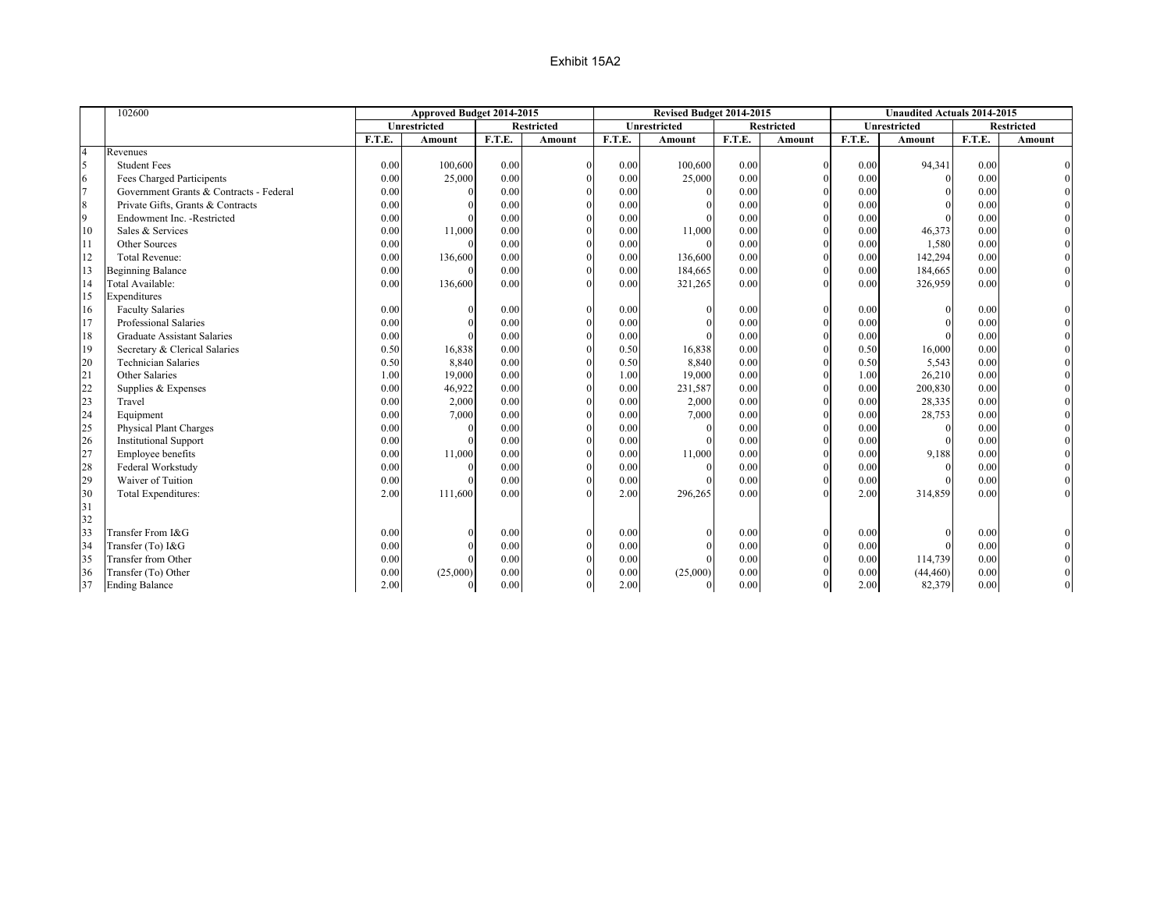|                | 102600                                  |        | Approved Budget 2014-2015 |        |                   |        | Revised Budget 2014-2015 |        |               |        | <b>Unaudited Actuals 2014-2015</b> |        |                   |
|----------------|-----------------------------------------|--------|---------------------------|--------|-------------------|--------|--------------------------|--------|---------------|--------|------------------------------------|--------|-------------------|
|                |                                         |        | Unrestricted              |        | <b>Restricted</b> |        | Unrestricted             |        | Restricted    |        | <b>Unrestricted</b>                |        | <b>Restricted</b> |
|                |                                         | F.T.E. | Amount                    | F.T.E. | Amount            | F.T.E. | <b>Amount</b>            | F.T.E. | <b>Amount</b> | F.T.E. | <b>Amount</b>                      | F.T.E. | <b>Amount</b>     |
| $\overline{4}$ | Revenues                                |        |                           |        |                   |        |                          |        |               |        |                                    |        |                   |
| 5              | <b>Student Fees</b>                     | 0.00   | 100,600                   | 0.00   |                   | 0.00   | 100,600                  | 0.00   |               | 0.00   | 94,341                             | 0.00   |                   |
| 6              | <b>Fees Charged Participents</b>        | 0.00   | 25,000                    | 0.00   |                   | 0.00   | 25,000                   | 0.00   |               | 0.00   | $\Omega$                           | 0.00   |                   |
| $\overline{7}$ | Government Grants & Contracts - Federal | 0.00   |                           | 0.00   |                   | 0.00   |                          | 0.00   |               | 0.00   |                                    | 0.00   |                   |
| 8              | Private Gifts, Grants & Contracts       | 0.00   |                           | 0.00   |                   | 0.00   |                          | 0.00   |               | 0.00   |                                    | 0.00   |                   |
| $\overline{9}$ | Endowment Inc. - Restricted             | 0.00   |                           | 0.00   |                   | 0.00   |                          | 0.00   |               | 0.00   |                                    | 0.00   |                   |
| 10             | Sales & Services                        | 0.00   | 11,000                    | 0.00   |                   | 0.00   | 11,000                   | 0.00   |               | 0.00   | 46,373                             | 0.00   |                   |
| 11             | Other Sources                           | 0.00   |                           | 0.00   |                   | 0.00   |                          | 0.00   |               | 0.00   | 1,580                              | 0.00   |                   |
| 12             | <b>Total Revenue:</b>                   | 0.00   | 136,600                   | 0.00   |                   | 0.00   | 136,600                  | 0.00   |               | 0.00   | 142,294                            | 0.00   |                   |
| 13             | <b>Beginning Balance</b>                | 0.00   |                           | 0.00   |                   | 0.00   | 184,665                  | 0.00   |               | 0.00   | 184,665                            | 0.00   |                   |
| 14             | Total Available:                        | 0.00   | 136,600                   | 0.00   |                   | 0.00   | 321,265                  | 0.00   |               | 0.00   | 326,959                            | 0.00   |                   |
| 15             | Expenditures                            |        |                           |        |                   |        |                          |        |               |        |                                    |        |                   |
| 16             | <b>Faculty Salaries</b>                 | 0.00   |                           | 0.00   | $\Omega$          | 0.00   |                          | 0.00   |               | 0.00   |                                    | 0.00   |                   |
| 17             | Professional Salaries                   | 0.00   |                           | 0.00   |                   | 0.00   |                          | 0.00   |               | 0.00   |                                    | 0.00   |                   |
| 18             | <b>Graduate Assistant Salaries</b>      | 0.00   |                           | 0.00   |                   | 0.00   |                          | 0.00   |               | 0.00   |                                    | 0.00   |                   |
| 19             | Secretary & Clerical Salaries           | 0.50   | 16,838                    | 0.00   |                   | 0.50   | 16,838                   | 0.00   |               | 0.50   | 16,000                             | 0.00   |                   |
| 20             | <b>Technician Salaries</b>              | 0.50   | 8,840                     | 0.00   |                   | 0.50   | 8,840                    | 0.00   |               | 0.50   | 5,543                              | 0.00   |                   |
| 21             | Other Salaries                          | 1.00   | 19,000                    | 0.00   |                   | 1.00   | 19,000                   | 0.00   |               | 1.00   | 26,210                             | 0.00   |                   |
| 22             | Supplies & Expenses                     | 0.00   | 46,922                    | 0.00   |                   | 0.00   | 231,587                  | 0.00   |               | 0.00   | 200,830                            | 0.00   |                   |
| 23             | Travel                                  | 0.00   | 2,000                     | 0.00   |                   | 0.00   | 2,000                    | 0.00   |               | 0.00   | 28,335                             | 0.00   |                   |
| 24             | Equipment                               | 0.00   | 7,000                     | 0.00   |                   | 0.00   | 7,000                    | 0.00   |               | 0.00   | 28,753                             | 0.00   |                   |
| 25             | <b>Physical Plant Charges</b>           | 0.00   |                           | 0.00   |                   | 0.00   |                          | 0.00   |               | 0.00   |                                    | 0.00   |                   |
| 26             | <b>Institutional Support</b>            | 0.00   |                           | 0.00   |                   | 0.00   |                          | 0.00   |               | 0.00   |                                    | 0.00   |                   |
| 27             | Employee benefits                       | 0.00   | 11,000                    | 0.00   |                   | 0.00   | 11,000                   | 0.00   |               | 0.00   | 9,188                              | 0.00   |                   |
| 28             | Federal Workstudy                       | 0.00   |                           | 0.00   |                   | 0.00   |                          | 0.00   |               | 0.00   |                                    | 0.00   |                   |
| 29             | Waiver of Tuition                       | 0.00   |                           | 0.00   |                   | 0.00   |                          | 0.00   |               | 0.00   |                                    | 0.00   |                   |
| 30             | Total Expenditures:                     | 2.00   | 111,600                   | 0.00   |                   | 2.00   | 296,265                  | 0.00   |               | 2.00   | 314,859                            | 0.00   |                   |
| 31             |                                         |        |                           |        |                   |        |                          |        |               |        |                                    |        |                   |
| 32             |                                         |        |                           |        |                   |        |                          |        |               |        |                                    |        |                   |
| 33             | Transfer From I&G                       | 0.00   |                           | 0.00   |                   | 0.00   |                          | 0.00   |               | 0.00   |                                    | 0.00   |                   |
| 34             | Transfer (To) I&G                       | 0.00   |                           | 0.00   |                   | 0.00   |                          | 0.00   |               | 0.00   |                                    | 0.00   |                   |
| 35             | Transfer from Other                     | 0.00   |                           | 0.00   |                   | 0.00   |                          | 0.00   |               | 0.00   | 114,739                            | 0.00   |                   |
| 36             | Transfer (To) Other                     | 0.00   | (25,000)                  | 0.00   |                   | 0.00   | (25,000)                 | 0.00   |               | 0.00   | (44, 460)                          | 0.00   |                   |
| 37             | <b>Ending Balance</b>                   | 2.00   |                           | 0.00   |                   | 2.00   | $\Omega$                 | 0.00   |               | 2.00   | 82,379                             | 0.00   |                   |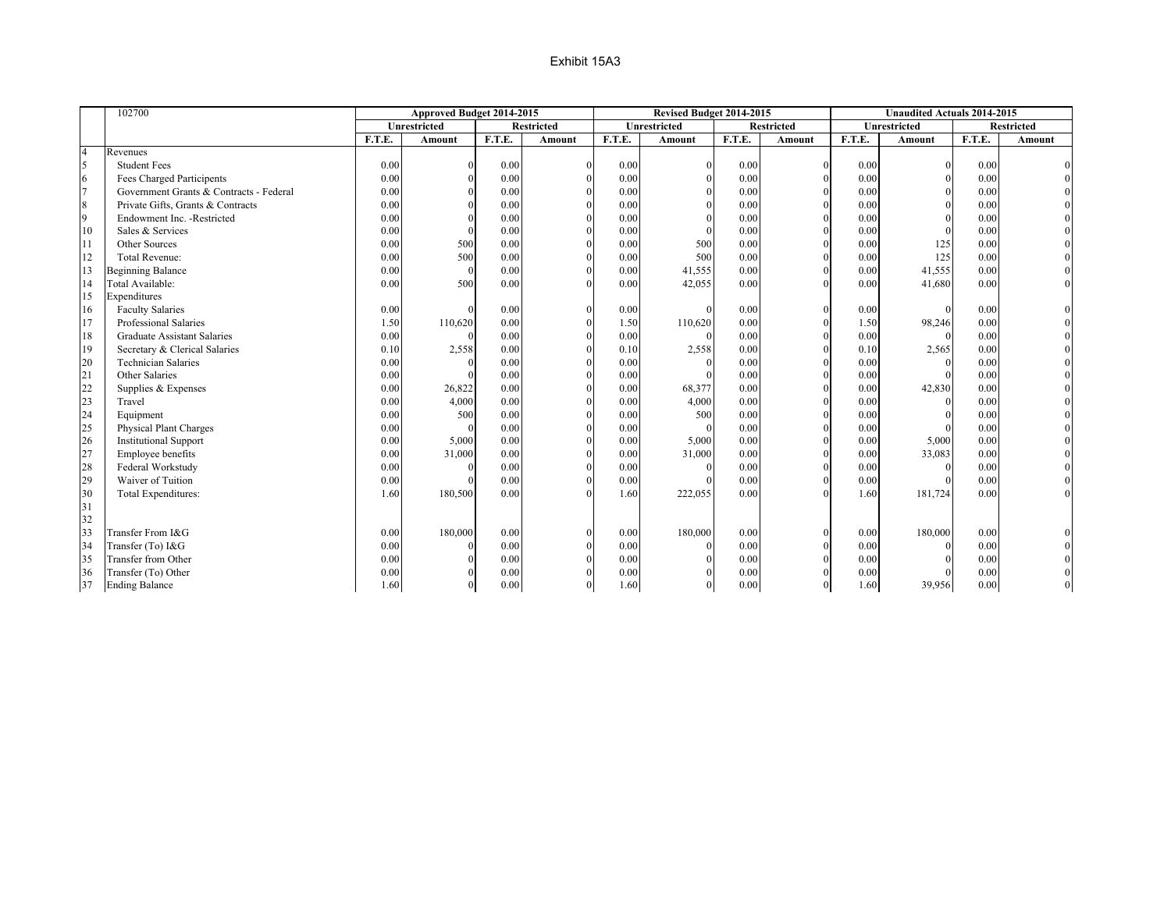|                | 102700                                  |        | Approved Budget 2014-2015 |        |                   |        | Revised Budget 2014-2015 |        |                   |        | <b>Unaudited Actuals 2014-2015</b> |        |                   |
|----------------|-----------------------------------------|--------|---------------------------|--------|-------------------|--------|--------------------------|--------|-------------------|--------|------------------------------------|--------|-------------------|
|                |                                         |        | <b>Unrestricted</b>       |        | <b>Restricted</b> |        | <b>Unrestricted</b>      |        | <b>Restricted</b> |        | <b>Unrestricted</b>                |        | <b>Restricted</b> |
|                |                                         | F.T.E. | <b>Amount</b>             | F.T.E. | <b>Amount</b>     | F.T.E. | <b>Amount</b>            | F.T.E. | <b>Amount</b>     | F.T.E. | <b>Amount</b>                      | F.T.E. | <b>Amount</b>     |
| $\overline{4}$ | Revenues                                |        |                           |        |                   |        |                          |        |                   |        |                                    |        |                   |
| 5              | <b>Student Fees</b>                     | 0.00   |                           | 0.00   | $\Omega$          | 0.00   |                          | 0.00   |                   | 0.00   |                                    | 0.00   |                   |
| 6              | Fees Charged Participents               | 0.00   |                           | 0.00   |                   | 0.00   |                          | 0.00   |                   | 0.00   |                                    | 0.00   |                   |
| $\overline{7}$ | Government Grants & Contracts - Federal | 0.00   |                           | 0.00   |                   | 0.00   |                          | 0.00   |                   | 0.00   |                                    | 0.00   |                   |
| 8              | Private Gifts, Grants & Contracts       | 0.00   |                           | 0.00   |                   | 0.00   |                          | 0.00   |                   | 0.00   |                                    | 0.00   |                   |
| 9              | Endowment Inc. - Restricted             | 0.00   |                           | 0.00   |                   | 0.00   |                          | 0.00   |                   | 0.00   |                                    | 0.00   |                   |
| 10             | Sales & Services                        | 0.00   |                           | 0.00   |                   | 0.00   |                          | 0.00   |                   | 0.00   |                                    | 0.00   |                   |
| 11             | Other Sources                           | 0.00   | 500                       | 0.00   |                   | 0.00   | 500                      | 0.00   |                   | 0.00   | 125                                | 0.00   |                   |
| 12             | <b>Total Revenue:</b>                   | 0.00   | 500                       | 0.00   |                   | 0.00   | 500                      | 0.00   |                   | 0.00   | 125                                | 0.00   |                   |
| 13             | <b>Beginning Balance</b>                | 0.00   |                           | 0.00   |                   | 0.00   | 41,555                   | 0.00   |                   | 0.00   | 41,555                             | 0.00   |                   |
| 14             | Total Available:                        | 0.00   | 500                       | 0.00   |                   | 0.00   | 42,055                   | 0.00   |                   | 0.00   | 41,680                             | 0.00   |                   |
| 15             | Expenditures                            |        |                           |        |                   |        |                          |        |                   |        |                                    |        |                   |
| 16             | <b>Faculty Salaries</b>                 | 0.00   |                           | 0.00   |                   | 0.00   |                          | 0.00   |                   | 0.00   |                                    | 0.00   |                   |
| 17             | Professional Salaries                   | 1.50   | 110,620                   | 0.00   |                   | 1.50   | 110,620                  | 0.00   |                   | 1.50   | 98,246                             | 0.00   |                   |
| 18             | <b>Graduate Assistant Salaries</b>      | 0.00   |                           | 0.00   |                   | 0.00   |                          | 0.00   |                   | 0.00   |                                    | 0.00   |                   |
| 19             | Secretary & Clerical Salaries           | 0.10   | 2,558                     | 0.00   |                   | 0.10   | 2,558                    | 0.00   |                   | 0.10   | 2,565                              | 0.00   |                   |
| 20             | <b>Technician Salaries</b>              | 0.00   |                           | 0.00   |                   | 0.00   |                          | 0.00   |                   | 0.00   |                                    | 0.00   |                   |
| 21             | Other Salaries                          | 0.00   |                           | 0.00   |                   | 0.00   |                          | 0.00   |                   | 0.00   |                                    | 0.00   |                   |
| 22             | Supplies & Expenses                     | 0.00   | 26,822                    | 0.00   |                   | 0.00   | 68,377                   | 0.00   |                   | 0.00   | 42,830                             | 0.00   |                   |
| 23             | Travel                                  | 0.00   | 4,000                     | 0.00   |                   | 0.00   | 4,000                    | 0.00   |                   | 0.00   |                                    | 0.00   |                   |
| 24             | Equipment                               | 0.00   | 500                       | 0.00   |                   | 0.00   | 500                      | 0.00   |                   | 0.00   |                                    | 0.00   |                   |
| 25             | <b>Physical Plant Charges</b>           | 0.00   |                           | 0.00   |                   | 0.00   |                          | 0.00   |                   | 0.00   |                                    | 0.00   |                   |
| 26             | <b>Institutional Support</b>            | 0.00   | 5,000                     | 0.00   |                   | 0.00   | 5,000                    | 0.00   |                   | 0.00   | 5,000                              | 0.00   |                   |
| 27             | Employee benefits                       | 0.00   | 31,000                    | 0.00   |                   | 0.00   | 31,000                   | 0.00   |                   | 0.00   | 33,083                             | 0.00   |                   |
| 28             | Federal Workstudy                       | 0.00   |                           | 0.00   |                   | 0.00   |                          | 0.00   |                   | 0.00   |                                    | 0.00   |                   |
| 29             | Waiver of Tuition                       | 0.00   |                           | 0.00   |                   | 0.00   |                          | 0.00   |                   | 0.00   |                                    | 0.00   |                   |
| 30             | Total Expenditures:                     | 1.60   | 180,500                   | 0.00   |                   | 1.60   | 222,055                  | 0.00   |                   | 1.60   | 181,724                            | 0.00   |                   |
| 31             |                                         |        |                           |        |                   |        |                          |        |                   |        |                                    |        |                   |
| 32             |                                         |        |                           |        |                   |        |                          |        |                   |        |                                    |        |                   |
| 33             | Transfer From I&G                       | 0.00   | 180,000                   | 0.00   |                   | 0.00   | 180,000                  | 0.00   |                   | 0.00   | 180,000                            | 0.00   |                   |
| 34             | Transfer (To) I&G                       | 0.00   |                           | 0.00   |                   | 0.00   |                          | 0.00   |                   | 0.00   |                                    | 0.00   |                   |
| 35             | Transfer from Other                     | 0.00   |                           | 0.00   |                   | 0.00   |                          | 0.00   |                   | 0.00   |                                    | 0.00   |                   |
| 36             | Transfer (To) Other                     | 0.00   |                           | 0.00   |                   | 0.00   |                          | 0.00   |                   | 0.00   |                                    | 0.00   |                   |
| 37             | <b>Ending Balance</b>                   | 1.60   |                           | 0.00   |                   | 1.60   |                          | 0.00   |                   | 1.60   | 39,956                             | 0.00   |                   |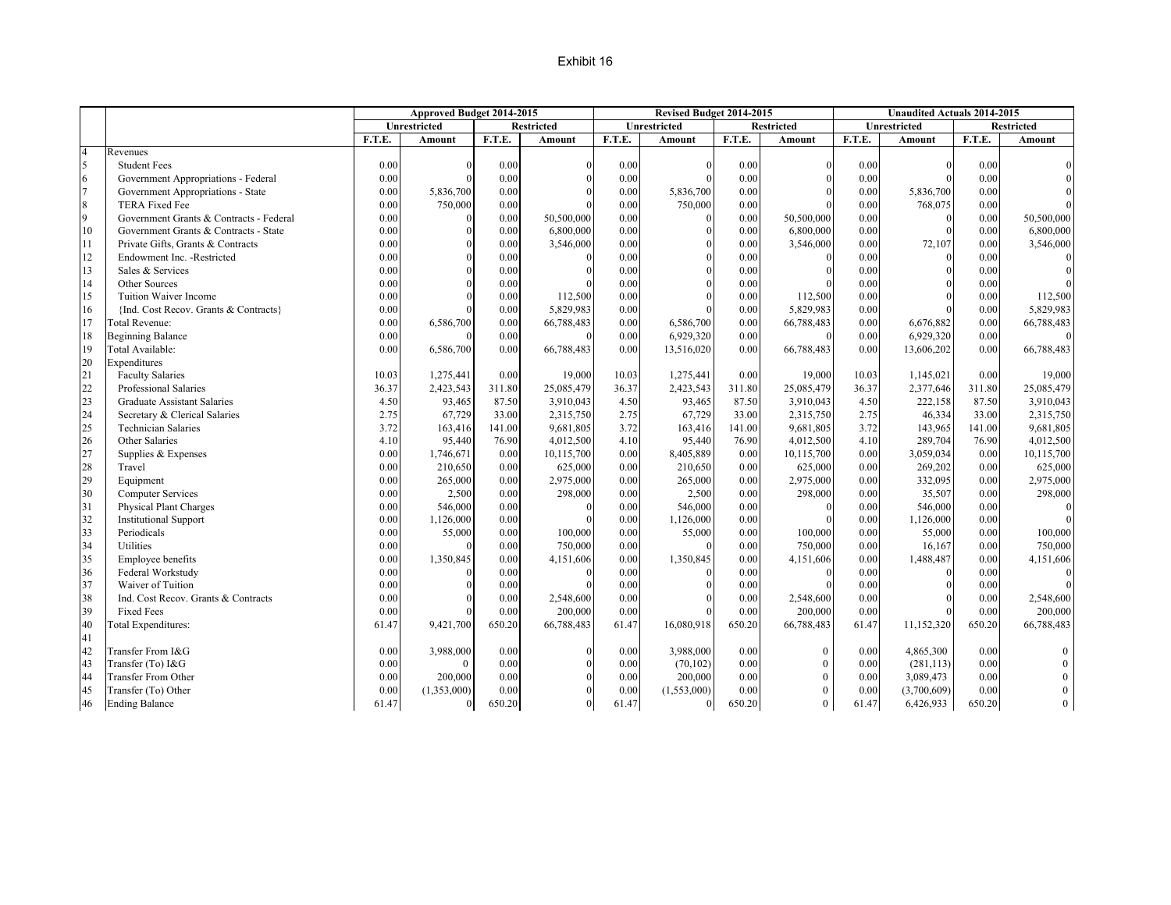#### Exhibit 16

|                |                                         |        | Approved Budget 2014-2015 |        |                   |        | Revised Budget 2014-2015 |          |                   |        | <b>Unaudited Actuals 2014-2015</b> |        |                   |
|----------------|-----------------------------------------|--------|---------------------------|--------|-------------------|--------|--------------------------|----------|-------------------|--------|------------------------------------|--------|-------------------|
|                |                                         |        | Unrestricted              |        | <b>Restricted</b> |        | <b>Unrestricted</b>      |          | <b>Restricted</b> |        | <b>Unrestricted</b>                |        | <b>Restricted</b> |
|                |                                         | F.T.E. | Amount                    | F.T.E. | Amount            | F.T.E. | Amount                   | F.T.E.   | Amount            | F.T.E. | Amount                             | F.T.E. | Amount            |
| $\overline{4}$ | Revenues                                |        |                           |        |                   |        |                          |          |                   |        |                                    |        |                   |
| 5              | <b>Student Fees</b>                     | 0.00   | $\Omega$                  | 0.00   | $\Omega$          | 0.00   | $\Omega$                 | 0.00     | $\Omega$          | 0.00   | $\Omega$                           | 0.00   |                   |
| 6              | Government Appropriations - Federal     | 0.00   | $\Omega$                  | 0.00   | $\Omega$          | 0.00   | $\Omega$                 | 0.00     |                   | 0.00   | $\Omega$                           | 0.00   |                   |
| $\overline{7}$ | Government Appropriations - State       | 0.00   | 5,836,700                 | 0.00   |                   | 0.00   | 5,836,700                | 0.00     |                   | 0.00   | 5,836,700                          | 0.00   |                   |
| 8              | TERA Fixed Fee                          | 0.00   | 750,000                   | 0.00   |                   | 0.00   | 750,000                  | 0.00     |                   | 0.00   | 768,075                            | 0.00   |                   |
| 9              | Government Grants & Contracts - Federal | 0.00   | $\mathbf{0}$              | 0.00   | 50,500,000        | 0.00   | $\Omega$                 | $0.00\,$ | 50,500,000        | 0.00   | $\Omega$                           | 0.00   | 50,500,000        |
| 10             | Government Grants & Contracts - State   | 0.00   | $\Omega$                  | 0.00   | 6,800,000         | 0.00   |                          | 0.00     | 6,800,000         | 0.00   | $\Omega$                           | 0.00   | 6,800,000         |
| 11             | Private Gifts, Grants & Contracts       | 0.00   | $\Omega$                  | 0.00   | 3,546,000         | 0.00   | $\Omega$                 | 0.00     | 3,546,000         | 0.00   | 72,107                             | 0.00   | 3,546,000         |
| 12             | Endowment Inc. - Restricted             | 0.00   | $\theta$                  | 0.00   |                   | 0.00   |                          | 0.00     |                   | 0.00   | $\theta$                           | 0.00   |                   |
| 13             | Sales & Services                        | 0.00   | $\Omega$                  | 0.00   |                   | 0.00   |                          | 0.00     |                   | 0.00   | $\Omega$                           | 0.00   |                   |
| 14             | Other Sources                           | 0.00   | $\Omega$                  | 0.00   |                   | 0.00   | $\Omega$                 | 0.00     |                   | 0.00   | $\Omega$                           | 0.00   |                   |
| 15             | Tuition Waiver Income                   | 0.00   | $\Omega$                  | 0.00   | 112,500           | 0.00   |                          | 0.00     | 112,500           | 0.00   | $\Omega$                           | 0.00   | 112,500           |
| 16             | {Ind. Cost Recov. Grants & Contracts}   | 0.00   |                           | 0.00   | 5,829,983         | 0.00   |                          | 0.00     | 5,829,983         | 0.00   | $\Omega$                           | 0.00   | 5,829,983         |
| 17             | Total Revenue:                          | 0.00   | 6,586,700                 | 0.00   | 66,788,483        | 0.00   | 6,586,700                | $0.00\,$ | 66,788,483        | 0.00   | 6,676,882                          | 0.00   | 66,788,483        |
| 18             | <b>Beginning Balance</b>                | 0.00   |                           | 0.00   | $\theta$          | 0.00   | 6,929,320                | 0.00     | $\Omega$          | 0.00   | 6,929,320                          | 0.00   |                   |
| 19             | Total Available:                        | 0.00   | 6,586,700                 | 0.00   | 66,788,483        | 0.00   | 13,516,020               | 0.00     | 66,788,483        | 0.00   | 13,606,202                         | 0.00   | 66,788,483        |
| 20             | Expenditures                            |        |                           |        |                   |        |                          |          |                   |        |                                    |        |                   |
| 21             | <b>Faculty Salaries</b>                 | 10.03  | 1,275,441                 | 0.00   | 19,000            | 10.03  | 1,275,441                | 0.00     | 19,000            | 10.03  | 1,145,021                          | 0.00   | 19,000            |
| 22             | Professional Salaries                   | 36.37  | 2,423,543                 | 311.80 | 25,085,479        | 36.37  | 2,423,543                | 311.80   | 25,085,479        | 36.37  | 2,377,646                          | 311.80 | 25,085,479        |
| 23             | <b>Graduate Assistant Salaries</b>      | 4.50   | 93,465                    | 87.50  | 3,910,043         | 4.50   | 93,465                   | 87.50    | 3,910,043         | 4.50   | 222,158                            | 87.50  | 3,910,043         |
| 24             | Secretary & Clerical Salaries           | 2.75   | 67,729                    | 33.00  | 2,315,750         | 2.75   | 67,729                   | 33.00    | 2,315,750         | 2.75   | 46,334                             | 33.00  | 2,315,750         |
| 25             | <b>Technician Salaries</b>              | 3.72   | 163,416                   | 141.00 | 9,681,805         | 3.72   | 163,416                  | 141.00   | 9,681,805         | 3.72   | 143,965                            | 141.00 | 9,681,805         |
| 26             | Other Salaries                          | 4.10   | 95,440                    | 76.90  | 4,012,500         | 4.10   | 95,440                   | 76.90    | 4,012,500         | 4.10   | 289,704                            | 76.90  | 4,012,500         |
| 27             | Supplies & Expenses                     | 0.00   | 1,746,671                 | 0.00   | 10,115,700        | 0.00   | 8,405,889                | 0.00     | 10,115,700        | 0.00   | 3,059,034                          | 0.00   | 10,115,700        |
| 28             | Travel                                  | 0.00   | 210,650                   | 0.00   | 625,000           | 0.00   | 210,650                  | 0.00     | 625,000           | 0.00   | 269,202                            | 0.00   | 625,000           |
| 29             | Equipment                               | 0.00   | 265,000                   | 0.00   | 2,975,000         | 0.00   | 265,000                  | 0.00     | 2,975,000         | 0.00   | 332,095                            | 0.00   | 2,975,000         |
| 30             | <b>Computer Services</b>                | 0.00   | 2,500                     | 0.00   | 298,000           | 0.00   | 2,500                    | 0.00     | 298,000           | 0.00   | 35,507                             | 0.00   | 298,000           |
| 31             | <b>Physical Plant Charges</b>           | 0.00   | 546,000                   | 0.00   | $\Omega$          | 0.00   | 546,000                  | 0.00     | $\Omega$          | 0.00   | 546,000                            | 0.00   |                   |
| 32             | <b>Institutional Support</b>            | 0.00   | 1,126,000                 | 0.00   | $\Omega$          | 0.00   | 1,126,000                | 0.00     |                   | 0.00   | 1,126,000                          | 0.00   |                   |
| 33             | Periodicals                             | 0.00   | 55,000                    | 0.00   | 100,000           | 0.00   | 55,000                   | 0.00     | 100,000           | 0.00   | 55,000                             | 0.00   | 100,000           |
| 34             | Utilities                               | 0.00   |                           | 0.00   | 750,000           | 0.00   |                          | 0.00     | 750,000           | 0.00   | 16,167                             | 0.00   | 750,000           |
| 35             | Employee benefits                       | 0.00   | 1,350,845                 | 0.00   | 4,151,606         | 0.00   | 1,350,845                | 0.00     | 4,151,606         | 0.00   | 1,488,487                          | 0.00   | 4,151,606         |
| 36             | Federal Workstudy                       | 0.00   |                           | 0.00   | $\Omega$          | 0.00   |                          | 0.00     | $\Omega$          | 0.00   | $\Omega$                           | 0.00   |                   |
| 37             | Waiver of Tuition                       | 0.00   |                           | 0.00   |                   | 0.00   |                          | 0.00     |                   | 0.00   | $\Omega$                           | 0.00   |                   |
| 38             | Ind. Cost Recov. Grants & Contracts     | 0.00   |                           | 0.00   | 2,548,600         | 0.00   |                          | 0.00     | 2,548,600         | 0.00   | $\Omega$                           | 0.00   | 2,548,600         |
| 39             | <b>Fixed Fees</b>                       | 0.00   |                           | 0.00   | 200,000           | 0.00   |                          | 0.00     | 200,000           | 0.00   |                                    | 0.00   | 200,000           |
| 40             | <b>Total Expenditures:</b>              | 61.47  | 9,421,700                 | 650.20 | 66,788,483        | 61.47  | 16,080,918               | 650.20   | 66,788,483        | 61.47  | 11,152,320                         | 650.20 | 66,788,483        |
| 41             |                                         |        |                           |        |                   |        |                          |          |                   |        |                                    |        |                   |
| 42             | Transfer From I&G                       | 0.00   | 3,988,000                 | 0.00   | $\Omega$          | 0.00   | 3,988,000                | 0.00     | $\Omega$          | 0.00   | 4,865,300                          | 0.00   | $\theta$          |
| 43             | Transfer (To) I&G                       | 0.00   | $\theta$                  | 0.00   | $\Omega$          | 0.00   | (70, 102)                | 0.00     | $\Omega$          | 0.00   | (281, 113)                         | 0.00   | $\overline{0}$    |
| 44             | <b>Transfer From Other</b>              | 0.00   | 200,000                   | 0.00   |                   | 0.00   | 200,000                  | 0.00     | $\Omega$          | 0.00   | 3,089,473                          | 0.00   | $\overline{0}$    |
| 45             | Transfer (To) Other                     | 0.00   | (1,353,000)               | 0.00   |                   | 0.00   | (1,553,000)              | 0.00     | $\Omega$          | 0.00   | (3,700,609)                        | 0.00   | $\mathbf{0}$      |
| 46             | <b>Ending Balance</b>                   | 61.47  | $\overline{0}$            | 650.20 | $\Omega$          | 61.47  | $\mathbf{0}$             | 650.20   | $\overline{0}$    | 61.47  | 6,426,933                          | 650.20 | $\theta$          |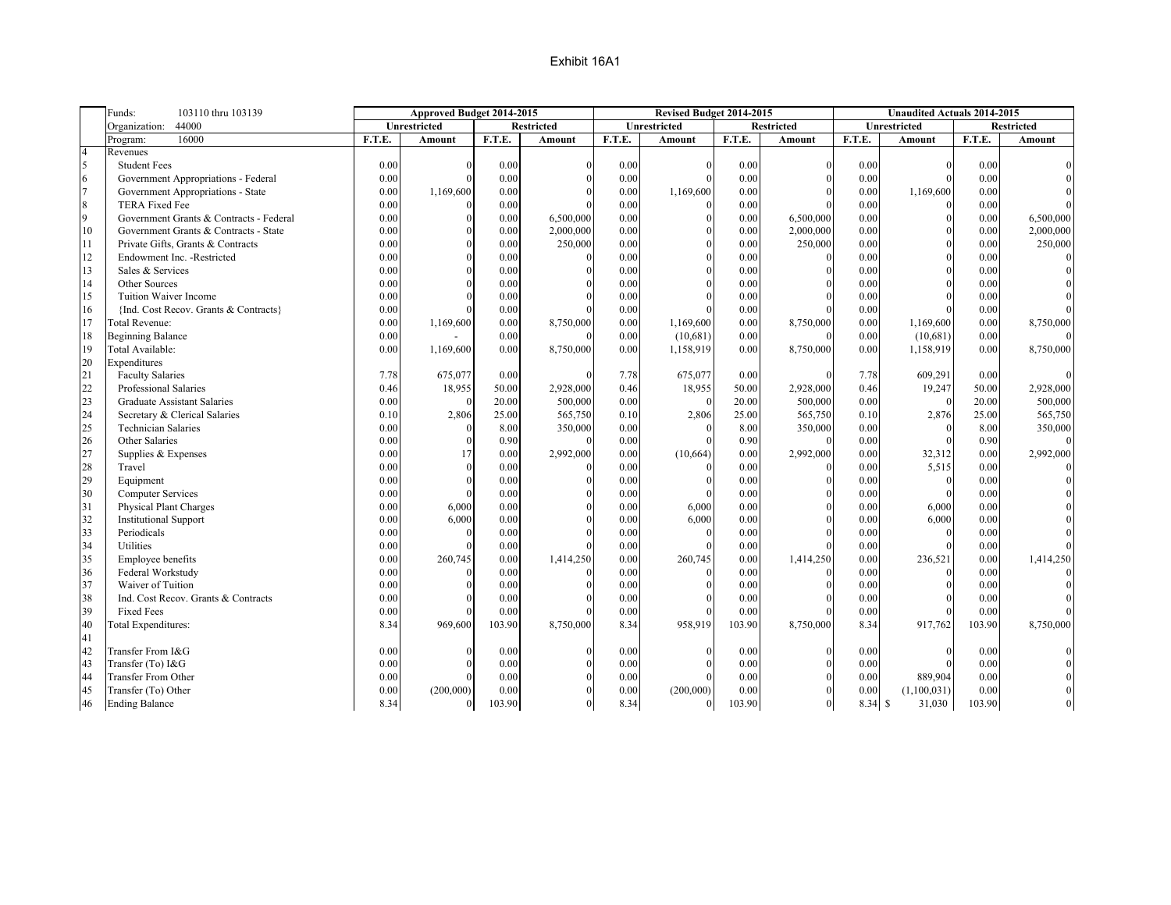|                                                                | Funds:<br>103110 thru 103139                                                                                                                                                                                                                             |                                                                              | Approved Budget 2014-2015        |                                                                                  |                   |                                                                              | Revised Budget 2014-2015             |                                                                                  |                   |                                                                                 | <b>Unaudited Actuals 2014-2015</b>          |                                                                                  |                   |
|----------------------------------------------------------------|----------------------------------------------------------------------------------------------------------------------------------------------------------------------------------------------------------------------------------------------------------|------------------------------------------------------------------------------|----------------------------------|----------------------------------------------------------------------------------|-------------------|------------------------------------------------------------------------------|--------------------------------------|----------------------------------------------------------------------------------|-------------------|---------------------------------------------------------------------------------|---------------------------------------------|----------------------------------------------------------------------------------|-------------------|
|                                                                | 44000<br>Organization:                                                                                                                                                                                                                                   |                                                                              | Unrestricted                     |                                                                                  | <b>Restricted</b> |                                                                              | Unrestricted                         |                                                                                  | <b>Restricted</b> |                                                                                 | Unrestricted                                |                                                                                  | <b>Restricted</b> |
|                                                                | 16000<br>Program:                                                                                                                                                                                                                                        | F.T.E.                                                                       | Amount                           | F.T.E.                                                                           | Amount            | F.T.E.                                                                       | Amount                               | F.T.E.                                                                           | <b>Amount</b>     | F.T.E.                                                                          | Amount                                      | F.T.E.                                                                           | Amount            |
| $\overline{4}$                                                 | Revenues                                                                                                                                                                                                                                                 |                                                                              |                                  |                                                                                  |                   |                                                                              |                                      |                                                                                  |                   |                                                                                 |                                             |                                                                                  |                   |
| 5                                                              | <b>Student Fees</b>                                                                                                                                                                                                                                      | 0.00                                                                         | $\Omega$                         | 0.00                                                                             |                   | 0.00                                                                         |                                      | 0.00                                                                             |                   | 0.00                                                                            | $\Omega$                                    | 0.00                                                                             |                   |
| $\overline{6}$                                                 | Government Appropriations - Federal                                                                                                                                                                                                                      | 0.00                                                                         | $\Omega$                         | 0.00                                                                             |                   | 0.00                                                                         | $\Omega$                             | 0.00                                                                             |                   | 0.00                                                                            | $\Omega$                                    | 0.00                                                                             |                   |
| $\overline{7}$                                                 | Government Appropriations - State                                                                                                                                                                                                                        | 0.00                                                                         | 1,169,600                        | 0.00                                                                             |                   | 0.00                                                                         | 1,169,600                            | 0.00                                                                             |                   | 0.00                                                                            | 1,169,600                                   | 0.00                                                                             |                   |
| $\,8\,$                                                        | <b>TERA Fixed Fee</b>                                                                                                                                                                                                                                    | 0.00                                                                         | $\Omega$                         | 0.00                                                                             |                   | 0.00                                                                         |                                      | 0.00                                                                             |                   | 0.00                                                                            |                                             | 0.00                                                                             |                   |
| 9                                                              | Government Grants & Contracts - Federal                                                                                                                                                                                                                  | 0.00                                                                         | $\theta$                         | 0.00                                                                             | 6,500,000         | 0.00                                                                         | $\Omega$                             | 0.00                                                                             | 6,500,000         | 0.00                                                                            | $\Omega$                                    | 0.00                                                                             | 6,500,000         |
| 10                                                             | Government Grants & Contracts - State                                                                                                                                                                                                                    | 0.00                                                                         | $\Omega$                         | 0.00                                                                             | 2,000,000         | 0.00                                                                         | $\Omega$                             | 0.00                                                                             | 2,000,000         | 0.00                                                                            | $\Omega$                                    | 0.00                                                                             | 2,000,000         |
| 11                                                             | Private Gifts, Grants & Contracts                                                                                                                                                                                                                        | 0.00                                                                         | $\Omega$                         | 0.00                                                                             | 250,000           | 0.00                                                                         | $\Omega$                             | 0.00                                                                             | 250,000           | 0.00                                                                            | $\Omega$                                    | 0.00                                                                             | 250,000           |
| 12                                                             | Endowment Inc. - Restricted                                                                                                                                                                                                                              | 0.00                                                                         | $\Omega$                         | 0.00                                                                             |                   | 0.00                                                                         | $\theta$                             | 0.00                                                                             |                   | 0.00                                                                            | $\theta$                                    | 0.00                                                                             |                   |
| 13                                                             | Sales & Services                                                                                                                                                                                                                                         | 0.00                                                                         | $\Omega$                         | 0.00                                                                             |                   | 0.00                                                                         | $\Omega$                             | 0.00                                                                             |                   | 0.00                                                                            | $\Omega$                                    | 0.00                                                                             |                   |
| 14                                                             | Other Sources                                                                                                                                                                                                                                            | 0.00                                                                         | $\Omega$                         | 0.00                                                                             |                   | 0.00                                                                         | $\theta$                             | 0.00                                                                             |                   | 0.00                                                                            | $\Omega$                                    | 0.00                                                                             |                   |
| 15                                                             | Tuition Waiver Income                                                                                                                                                                                                                                    | 0.00                                                                         | $\Omega$                         | 0.00                                                                             |                   | 0.00                                                                         |                                      | 0.00                                                                             |                   | 0.00                                                                            |                                             | 0.00                                                                             |                   |
| 16                                                             | {Ind. Cost Recov. Grants & Contracts}                                                                                                                                                                                                                    | 0.00                                                                         | $\Omega$                         | 0.00                                                                             |                   | 0.00                                                                         |                                      | 0.00                                                                             |                   | 0.00                                                                            |                                             | 0.00                                                                             |                   |
| 17                                                             | Total Revenue:                                                                                                                                                                                                                                           | 0.00                                                                         | 1,169,600                        | 0.00                                                                             | 8,750,000         | $0.00\,$                                                                     | 1,169,600                            | $0.00\,$                                                                         | 8,750,000         | 0.00                                                                            | 1,169,600                                   | $0.00\,$                                                                         | 8,750,000         |
| 18                                                             | <b>Beginning Balance</b>                                                                                                                                                                                                                                 | 0.00                                                                         |                                  | 0.00                                                                             |                   | 0.00                                                                         | (10,681)                             | 0.00                                                                             |                   | 0.00                                                                            | (10,681)                                    | 0.00                                                                             |                   |
| 19                                                             | Total Available:                                                                                                                                                                                                                                         | 0.00                                                                         | 1,169,600                        | 0.00                                                                             | 8,750,000         | 0.00                                                                         | 1,158,919                            | 0.00                                                                             | 8,750,000         | 0.00                                                                            | 1,158,919                                   | 0.00                                                                             | 8,750,000         |
| 20                                                             | Expenditures                                                                                                                                                                                                                                             |                                                                              |                                  |                                                                                  |                   |                                                                              |                                      |                                                                                  |                   |                                                                                 |                                             |                                                                                  |                   |
| 21                                                             | <b>Faculty Salaries</b>                                                                                                                                                                                                                                  | 7.78                                                                         | 675,077                          | 0.00                                                                             |                   | 7.78                                                                         | 675,077                              | 0.00                                                                             |                   | 7.78                                                                            | 609,291                                     | 0.00                                                                             |                   |
| 22                                                             | Professional Salaries                                                                                                                                                                                                                                    | 0.46                                                                         | 18,955                           | 50.00                                                                            | 2,928,000         | 0.46                                                                         | 18,955                               | 50.00                                                                            | 2,928,000         | 0.46                                                                            | 19,247                                      | 50.00                                                                            | 2,928,000         |
| 23                                                             | Graduate Assistant Salaries                                                                                                                                                                                                                              | 0.00                                                                         | $\Omega$                         | 20.00                                                                            | 500,000           | 0.00                                                                         |                                      | 20.00                                                                            | 500,000           | 0.00                                                                            |                                             | 20.00                                                                            | 500,000           |
| 24                                                             | Secretary & Clerical Salaries                                                                                                                                                                                                                            | 0.10                                                                         | 2,806                            | 25.00                                                                            | 565,750           | 0.10                                                                         | 2,806                                | 25.00                                                                            | 565,750           | 0.10                                                                            | 2,876                                       | 25.00                                                                            | 565,750           |
| 25                                                             | <b>Technician Salaries</b>                                                                                                                                                                                                                               | 0.00                                                                         | $\Omega$                         | 8.00                                                                             | 350,000           | $0.00\,$                                                                     | $\Omega$                             | 8.00                                                                             | 350,000           | 0.00                                                                            | $\Omega$                                    | 8.00                                                                             | 350,000           |
| 26                                                             | Other Salaries                                                                                                                                                                                                                                           | 0.00                                                                         | $\Omega$                         | 0.90                                                                             |                   | 0.00                                                                         |                                      | 0.90                                                                             |                   | 0.00                                                                            | $\Omega$                                    | 0.90                                                                             |                   |
| 27                                                             | Supplies & Expenses                                                                                                                                                                                                                                      | 0.00                                                                         | 17                               | 0.00                                                                             | 2,992,000         | 0.00                                                                         | (10,664)                             | 0.00                                                                             | 2,992,000         | 0.00                                                                            | 32,312                                      | 0.00                                                                             | 2,992,000         |
| 28                                                             | Travel                                                                                                                                                                                                                                                   | 0.00                                                                         | $\theta$                         | 0.00                                                                             |                   | 0.00                                                                         |                                      | 0.00                                                                             |                   | 0.00                                                                            | 5,515                                       | 0.00                                                                             |                   |
| 29                                                             | Equipment                                                                                                                                                                                                                                                | 0.00                                                                         | $\Omega$                         | 0.00                                                                             |                   | 0.00                                                                         | $\Omega$                             | 0.00                                                                             |                   | 0.00                                                                            | $\Omega$                                    | 0.00                                                                             |                   |
| 30                                                             | <b>Computer Services</b>                                                                                                                                                                                                                                 | 0.00                                                                         | $\overline{0}$                   | 0.00                                                                             |                   | 0.00                                                                         | $\Omega$                             | 0.00                                                                             |                   | 0.00                                                                            | $\theta$                                    | 0.00                                                                             |                   |
| 31                                                             | Physical Plant Charges                                                                                                                                                                                                                                   | 0.00                                                                         | 6,000                            | 0.00                                                                             |                   | 0.00                                                                         | 6,000                                | 0.00                                                                             |                   | 0.00                                                                            | 6,000                                       | 0.00                                                                             |                   |
| 32                                                             | <b>Institutional Support</b>                                                                                                                                                                                                                             | 0.00                                                                         | 6,000                            | 0.00                                                                             |                   | 0.00                                                                         | 6,000                                | 0.00                                                                             |                   | 0.00                                                                            | 6,000                                       | 0.00                                                                             |                   |
| 33                                                             | Periodicals                                                                                                                                                                                                                                              | 0.00                                                                         | $\Omega$                         | 0.00                                                                             |                   | 0.00                                                                         | $\Omega$                             | 0.00                                                                             |                   | 0.00                                                                            | $\Omega$                                    | 0.00                                                                             |                   |
| 34                                                             | <b>Utilities</b>                                                                                                                                                                                                                                         | 0.00                                                                         | $\Omega$                         | 0.00                                                                             |                   | 0.00                                                                         |                                      | 0.00                                                                             |                   | 0.00                                                                            |                                             | 0.00                                                                             |                   |
| 35                                                             | Employee benefits                                                                                                                                                                                                                                        | 0.00                                                                         | 260,745                          | 0.00                                                                             | 1,414,250         | 0.00                                                                         | 260,745                              | 0.00                                                                             | 1,414,250         | 0.00                                                                            | 236,521                                     | 0.00                                                                             | 1,414,250         |
|                                                                |                                                                                                                                                                                                                                                          |                                                                              | $\Omega$                         |                                                                                  |                   |                                                                              |                                      |                                                                                  |                   |                                                                                 | $\Omega$                                    |                                                                                  |                   |
|                                                                |                                                                                                                                                                                                                                                          |                                                                              | $\Omega$                         |                                                                                  |                   |                                                                              | $\Omega$                             |                                                                                  |                   |                                                                                 | $\Omega$                                    |                                                                                  |                   |
|                                                                |                                                                                                                                                                                                                                                          |                                                                              | $\Omega$                         |                                                                                  |                   |                                                                              |                                      |                                                                                  |                   |                                                                                 | $\Omega$                                    |                                                                                  |                   |
|                                                                |                                                                                                                                                                                                                                                          |                                                                              |                                  |                                                                                  |                   |                                                                              |                                      |                                                                                  |                   |                                                                                 |                                             |                                                                                  |                   |
|                                                                |                                                                                                                                                                                                                                                          |                                                                              |                                  |                                                                                  |                   |                                                                              |                                      |                                                                                  |                   |                                                                                 |                                             |                                                                                  |                   |
|                                                                |                                                                                                                                                                                                                                                          |                                                                              |                                  |                                                                                  |                   |                                                                              |                                      |                                                                                  |                   |                                                                                 |                                             |                                                                                  |                   |
|                                                                |                                                                                                                                                                                                                                                          |                                                                              | $\Omega$                         |                                                                                  |                   |                                                                              |                                      |                                                                                  |                   |                                                                                 |                                             |                                                                                  |                   |
|                                                                |                                                                                                                                                                                                                                                          |                                                                              | $\Omega$                         |                                                                                  |                   |                                                                              | $\Omega$                             |                                                                                  |                   |                                                                                 | $\Omega$                                    |                                                                                  |                   |
|                                                                |                                                                                                                                                                                                                                                          |                                                                              |                                  |                                                                                  |                   |                                                                              |                                      |                                                                                  |                   |                                                                                 |                                             |                                                                                  |                   |
|                                                                |                                                                                                                                                                                                                                                          |                                                                              |                                  |                                                                                  |                   |                                                                              |                                      |                                                                                  |                   |                                                                                 |                                             |                                                                                  |                   |
|                                                                |                                                                                                                                                                                                                                                          |                                                                              |                                  |                                                                                  | $\Omega$          |                                                                              |                                      |                                                                                  | $\Omega$          |                                                                                 |                                             |                                                                                  |                   |
| 36<br>37<br>38<br>39<br>40<br>41<br>42<br>43<br>44<br>45<br>46 | Federal Workstudy<br>Waiver of Tuition<br>Ind. Cost Recov. Grants & Contracts<br><b>Fixed Fees</b><br><b>Total Expenditures:</b><br>Transfer From I&G<br>Transfer (To) I&G<br><b>Transfer From Other</b><br>Transfer (To) Other<br><b>Ending Balance</b> | 0.00<br>0.00<br>0.00<br>0.00<br>8.34<br>0.00<br>0.00<br>0.00<br>0.00<br>8.34 | 969,600<br>(200,000)<br>$\theta$ | 0.00<br>0.00<br>0.00<br>0.00<br>103.90<br>0.00<br>0.00<br>0.00<br>0.00<br>103.90 | 8,750,000         | 0.00<br>0.00<br>0.00<br>0.00<br>8.34<br>0.00<br>0.00<br>0.00<br>0.00<br>8.34 | 958,919<br>(200,000)<br>$\mathbf{0}$ | 0.00<br>0.00<br>0.00<br>0.00<br>103.90<br>0.00<br>0.00<br>0.00<br>0.00<br>103.90 | 8,750,000         | 0.00<br>0.00<br>0.00<br>0.00<br>8.34<br>0.00<br>0.00<br>0.00<br>0.00<br>8.34 \$ | 917,762<br>889,904<br>(1,100,031)<br>31,030 | 0.00<br>0.00<br>0.00<br>0.00<br>103.90<br>0.00<br>0.00<br>0.00<br>0.00<br>103.90 | 8,750,000         |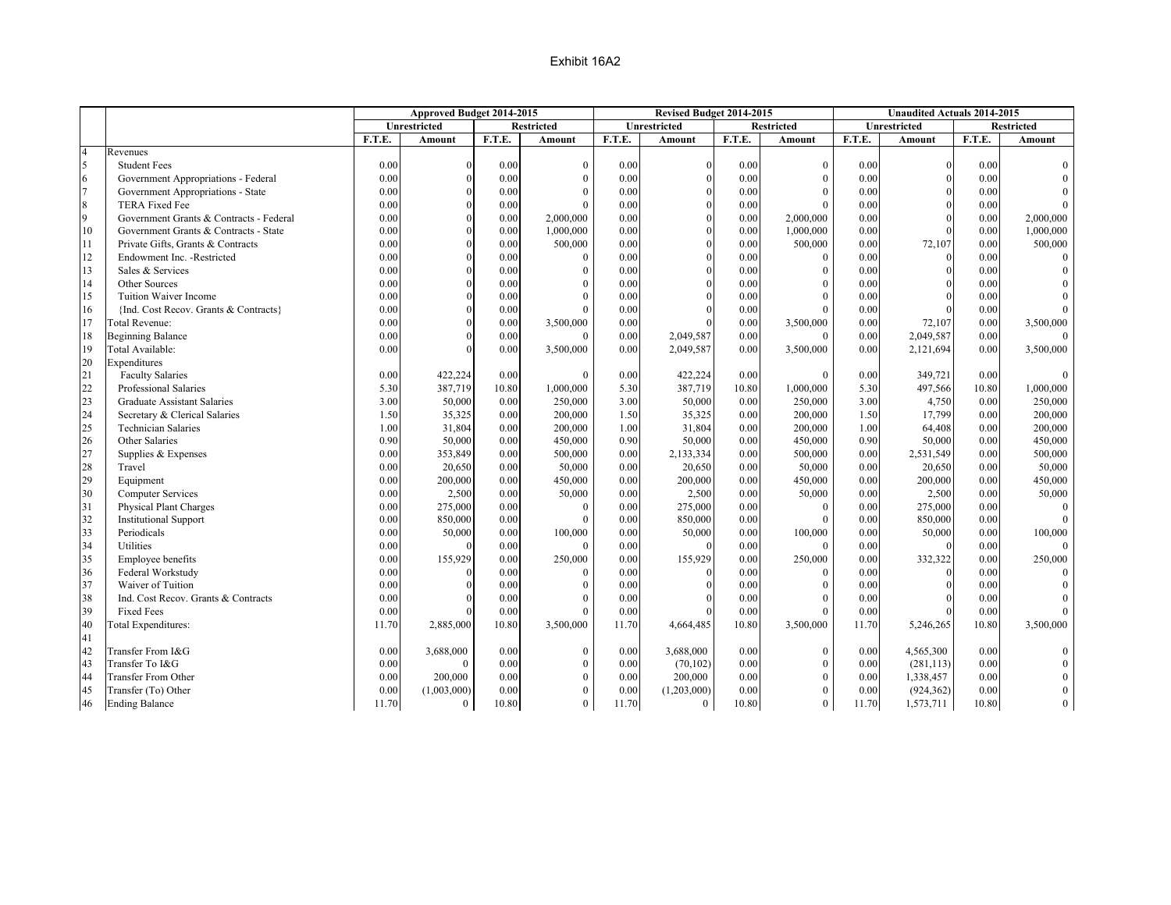|                |                                         |        | Approved Budget 2014-2015 |        |                   |        | Revised Budget 2014-2015 |          |                   |        | <b>Unaudited Actuals 2014-2015</b> |        |                   |
|----------------|-----------------------------------------|--------|---------------------------|--------|-------------------|--------|--------------------------|----------|-------------------|--------|------------------------------------|--------|-------------------|
|                |                                         |        | Unrestricted              |        | <b>Restricted</b> |        | <b>Unrestricted</b>      |          | <b>Restricted</b> |        | Unrestricted                       |        | <b>Restricted</b> |
|                |                                         | F.T.E. | <b>Amount</b>             | F.T.E. | <b>Amount</b>     | F.T.E. | Amount                   | F.T.E.   | <b>Amount</b>     | F.T.E. | <b>Amount</b>                      | F.T.E. | <b>Amount</b>     |
| $\overline{4}$ | Revenues                                |        |                           |        |                   |        |                          |          |                   |        |                                    |        |                   |
| 5              | <b>Student Fees</b>                     | 0.00   | $\theta$                  | 0.00   | $\bf{0}$          | 0.00   | $\Omega$                 | 0.00     | $\mathbf{0}$      | 0.00   | $\Omega$                           | 0.00   | $\theta$          |
| 6              | Government Appropriations - Federal     | 0.00   | $\theta$                  | 0.00   | $\theta$          | 0.00   | $\Omega$                 | 0.00     | $\Omega$          | 0.00   | $\theta$                           | 0.00   |                   |
| $\overline{7}$ | Government Appropriations - State       | 0.00   | $\Omega$                  | 0.00   | $\Omega$          | 0.00   | $\Omega$                 | 0.00     |                   | 0.00   | $\theta$                           | 0.00   |                   |
| 8              | <b>TERA Fixed Fee</b>                   | 0.00   | $\Omega$                  | 0.00   | $\Omega$          | 0.00   | $\Omega$                 | 0.00     |                   | 0.00   | $\Omega$                           | 0.00   |                   |
| 9              | Government Grants & Contracts - Federal | 0.00   | $\theta$                  | 0.00   | 2,000,000         | 0.00   | $\Omega$                 | 0.00     | 2,000,000         | 0.00   | $\theta$                           | 0.00   | 2,000,000         |
| 10             | Government Grants & Contracts - State   | 0.00   | $\Omega$                  | 0.00   | 1,000,000         | 0.00   | $\Omega$                 | 0.00     | 1,000,000         | 0.00   | $\Omega$                           | 0.00   | 1,000,000         |
| 11             | Private Gifts, Grants & Contracts       | 0.00   | $\theta$                  | 0.00   | 500,000           | 0.00   | $\Omega$                 | 0.00     | 500,000           | 0.00   | 72,107                             | 0.00   | 500,000           |
| 12             | Endowment Inc. - Restricted             | 0.00   | $\Omega$                  | 0.00   | $\theta$          | 0.00   | $\Omega$                 | 0.00     | $\theta$          | 0.00   | $\theta$                           | 0.00   | $\Omega$          |
| 13             | Sales & Services                        | 0.00   | $\Omega$                  | 0.00   | $\mathbf{0}$      | 0.00   |                          | 0.00     | $\Omega$          | 0.00   | $\Omega$                           | 0.00   |                   |
| 14             | Other Sources                           | 0.00   | $\mathbf{0}$              | 0.00   | $\mathbf{0}$      | 0.00   | $\Omega$                 | 0.00     | $\Omega$          | 0.00   | $\mathbf{0}$                       | 0.00   |                   |
| 15             | Tuition Waiver Income                   | 0.00   | $\Omega$                  | 0.00   | $\Omega$          | 0.00   | $\Omega$                 | 0.00     |                   | 0.00   | $\Omega$                           | 0.00   |                   |
| 16             | {Ind. Cost Recov. Grants & Contracts}   | 0.00   | $\theta$                  | 0.00   | $\Omega$          | 0.00   | $\Omega$                 | 0.00     |                   | 0.00   | $\Omega$                           | 0.00   |                   |
| 17             | <b>Total Revenue:</b>                   | 0.00   | $\theta$                  | 0.00   | 3,500,000         | 0.00   |                          | 0.00     | 3,500,000         | 0.00   | 72,107                             | 0.00   | 3,500,000         |
| 18             | <b>Beginning Balance</b>                | 0.00   | $\Omega$                  | 0.00   | $\Omega$          | 0.00   | 2,049,587                | 0.00     | $\Omega$          | 0.00   | 2,049,587                          | 0.00   |                   |
| 19             | Total Available:                        | 0.00   | $\Omega$                  | 0.00   | 3,500,000         | 0.00   | 2,049,587                | 0.00     | 3,500,000         | 0.00   | 2,121,694                          | 0.00   | 3,500,000         |
| 20             | Expenditures                            |        |                           |        |                   |        |                          |          |                   |        |                                    |        |                   |
| 21             | <b>Faculty Salaries</b>                 | 0.00   | 422,224                   | 0.00   | $\theta$          | 0.00   | 422,224                  | 0.00     | $\Omega$          | 0.00   | 349,721                            | 0.00   |                   |
| 22             | Professional Salaries                   | 5.30   | 387,719                   | 10.80  | 1,000,000         | 5.30   | 387,719                  | 10.80    | 1,000,000         | 5.30   | 497,566                            | 10.80  | 1,000,000         |
| 23             | Graduate Assistant Salaries             | 3.00   | 50,000                    | 0.00   | 250,000           | 3.00   | 50,000                   | 0.00     | 250,000           | 3.00   | 4,750                              | 0.00   | 250,000           |
| 24             | Secretary & Clerical Salaries           | 1.50   | 35,325                    | 0.00   | 200,000           | 1.50   | 35,325                   | 0.00     | 200,000           | 1.50   | 17,799                             | 0.00   | 200,000           |
| 25             | <b>Technician Salaries</b>              | 1.00   | 31,804                    | 0.00   | 200,000           | 1.00   | 31,804                   | 0.00     | 200,000           | 1.00   | 64,408                             | 0.00   | 200,000           |
| 26             | Other Salaries                          | 0.90   | 50,000                    | 0.00   | 450,000           | 0.90   | 50,000                   | 0.00     | 450,000           | 0.90   | 50,000                             | 0.00   | 450,000           |
| 27             | Supplies & Expenses                     | 0.00   | 353,849                   | 0.00   | 500,000           | 0.00   | 2,133,334                | 0.00     | 500,000           | 0.00   | 2,531,549                          | 0.00   | 500,000           |
| 28             | Travel                                  | 0.00   | 20,650                    | 0.00   | 50,000            | 0.00   | 20,650                   | 0.00     | 50,000            | 0.00   | 20,650                             | 0.00   | 50,000            |
| 29             | Equipment                               | 0.00   | 200,000                   | 0.00   | 450,000           | 0.00   | 200,000                  | 0.00     | 450,000           | 0.00   | 200,000                            | 0.00   | 450,000           |
| 30             | <b>Computer Services</b>                | 0.00   | 2,500                     | 0.00   | 50,000            | 0.00   | 2,500                    | 0.00     | 50,000            | 0.00   | 2,500                              | 0.00   | 50,000            |
| 31             | Physical Plant Charges                  | 0.00   | 275,000                   | 0.00   | $\overline{0}$    | 0.00   | 275,000                  | 0.00     | $\Omega$          | 0.00   | 275,000                            | 0.00   | $\Omega$          |
| 32             | <b>Institutional Support</b>            | 0.00   | 850,000                   | 0.00   | $\Omega$          | 0.00   | 850,000                  | 0.00     |                   | 0.00   | 850,000                            | 0.00   |                   |
| 33             | Periodicals                             | 0.00   | 50,000                    | 0.00   | 100,000           | 0.00   | 50,000                   | 0.00     | 100,000           | 0.00   | 50,000                             | 0.00   | 100,000           |
| 34             | Utilities                               | 0.00   | $\Omega$                  | 0.00   | $\theta$          | 0.00   | $\Omega$                 | 0.00     |                   | 0.00   | $\Omega$                           | 0.00   |                   |
| 35             | Employee benefits                       | 0.00   | 155,929                   | 0.00   | 250,000           | 0.00   | 155,929                  | 0.00     | 250,000           | 0.00   | 332,322                            | 0.00   | 250,000           |
| 36             | Federal Workstudy                       | 0.00   | $\Omega$                  | 0.00   | $\theta$          | 0.00   |                          | 0.00     | $\Omega$          | 0.00   | $\Omega$                           | 0.00   | $\Omega$          |
| 37             | Waiver of Tuition                       | 0.00   | $\Omega$                  | 0.00   | $\overline{0}$    | 0.00   |                          | 0.00     |                   | 0.00   | $\Omega$                           | 0.00   |                   |
| 38             | Ind. Cost Recov. Grants & Contracts     | 0.00   | $\Omega$                  | 0.00   | $\Omega$          | 0.00   |                          | $0.00\,$ |                   | 0.00   | $\Omega$                           | 0.00   |                   |
| 39             | <b>Fixed Fees</b>                       | 0.00   |                           | 0.00   | $\Omega$          | 0.00   |                          | 0.00     |                   | 0.00   |                                    | 0.00   |                   |
| 40             | Total Expenditures:                     | 11.70  | 2,885,000                 | 10.80  | 3,500,000         | 11.70  | 4,664,485                | 10.80    | 3,500,000         | 11.70  | 5,246,265                          | 10.80  | 3,500,000         |
| 41             |                                         |        |                           |        |                   |        |                          |          |                   |        |                                    |        |                   |
| 42             | Transfer From I&G                       | 0.00   | 3,688,000                 | 0.00   | $\overline{0}$    | 0.00   | 3,688,000                | 0.00     | $\theta$          | 0.00   | 4,565,300                          | 0.00   | $\theta$          |
| 43             | Transfer To I&G                         | 0.00   | $\theta$                  | 0.00   | $\overline{0}$    | 0.00   | (70, 102)                | 0.00     | $\Omega$          | 0.00   | (281, 113)                         | 0.00   | $\mathbf{0}$      |
| 44             | <b>Transfer From Other</b>              | 0.00   | 200,000                   | 0.00   | $\mathbf{0}$      | 0.00   | 200,000                  | 0.00     | $\Omega$          | 0.00   | 1,338,457                          | 0.00   | $\mathbf{0}$      |
| 45             | Transfer (To) Other                     | 0.00   | (1,003,000)               | 0.00   | $\mathbf{0}$      | 0.00   | (1,203,000)              | 0.00     | $\theta$          | 0.00   | (924, 362)                         | 0.00   | $\mathbf{0}$      |
| 46             | <b>Ending Balance</b>                   | 11.70  | $\overline{0}$            | 10.80  | $\mathbf{0}$      | 11.70  | $\overline{0}$           | 10.80    | $\overline{0}$    | 11.70  | 1,573,711                          | 10.80  | $\overline{0}$    |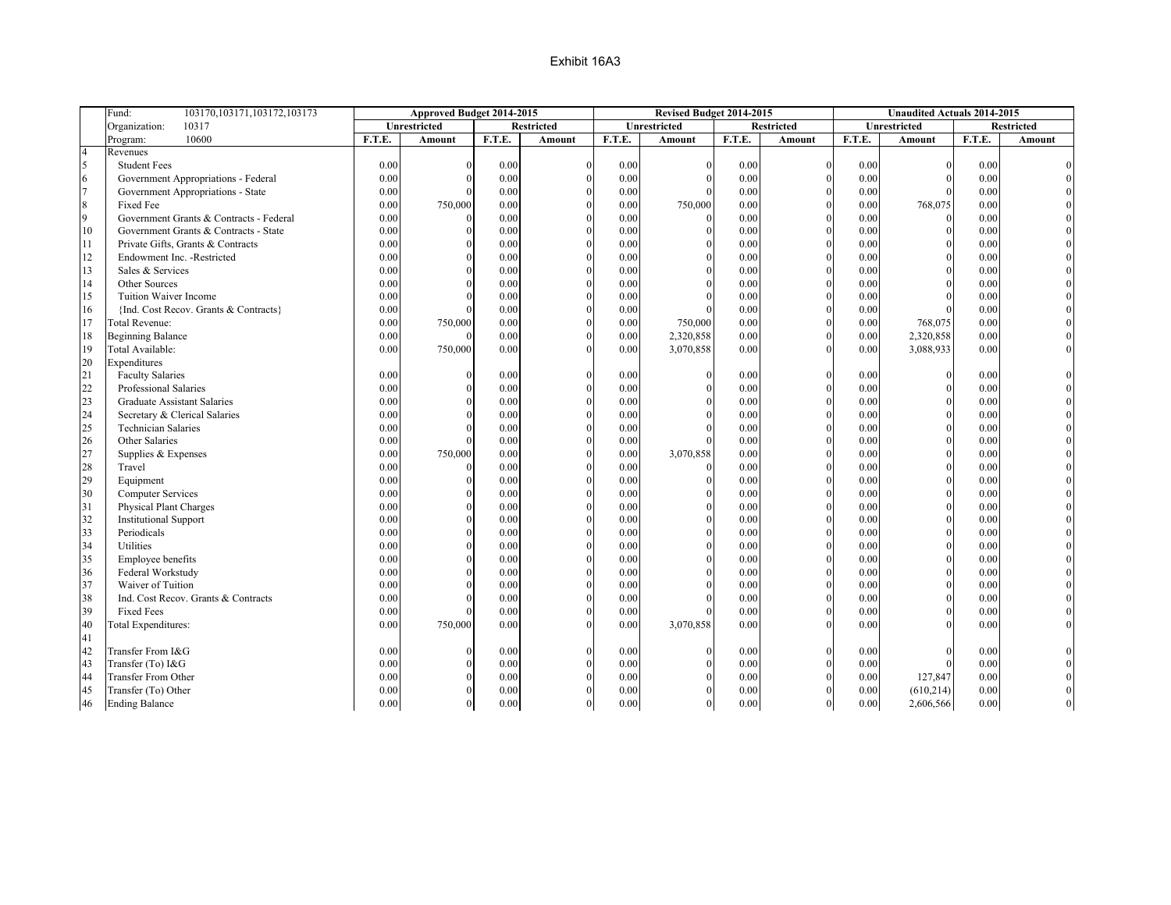|                | Fund:<br>103170, 103171, 103172, 103173     |              | Approved Budget 2014-2015 |              |                   |        | Revised Budget 2014-2015 |              |                   |              | <b>Unaudited Actuals 2014-2015</b> |              |                   |
|----------------|---------------------------------------------|--------------|---------------------------|--------------|-------------------|--------|--------------------------|--------------|-------------------|--------------|------------------------------------|--------------|-------------------|
|                | 10317<br>Organization:                      |              | Unrestricted              |              | <b>Restricted</b> |        | Unrestricted             |              | <b>Restricted</b> |              | Unrestricted                       |              | <b>Restricted</b> |
|                | 10600<br>Program:                           | F.T.E.       | <b>Amount</b>             | F.T.E.       | <b>Amount</b>     | F.T.E. | <b>Amount</b>            | F.T.E.       | <b>Amount</b>     | F.T.E.       | Amount                             | F.T.E.       | <b>Amount</b>     |
| $\overline{4}$ | Revenues                                    |              |                           |              |                   |        |                          |              |                   |              |                                    |              |                   |
| 5              | <b>Student Fees</b>                         | 0.00         |                           | 0.00         |                   | 0.00   | $\theta$                 | 0.00         | $\boldsymbol{0}$  | 0.00         | $\Omega$                           | 0.00         |                   |
| 6              | Government Appropriations - Federal         | 0.00         | $\Omega$                  | 0.00         |                   | 0.00   | $\overline{0}$           | 0.00         | $\mathbf{0}$      | 0.00         | $\Omega$                           | 0.00         |                   |
| $\overline{7}$ | Government Appropriations - State           | 0.00         |                           | 0.00         |                   | 0.00   | $\Omega$                 | 0.00         | $\mathbf{0}$      | 0.00         | $\Omega$                           | 0.00         |                   |
| $\,8\,$        | Fixed Fee                                   | 0.00         | 750,000                   | 0.00         | $\Omega$          | 0.00   | 750,000                  | 0.00         | $\mathbf{0}$      | 0.00         | 768,075                            | 0.00         |                   |
| 9              | Government Grants & Contracts - Federal     | 0.00         | $\theta$                  | 0.00         | $\theta$          | 0.00   | $\mathbf{0}$             | 0.00         | $\mathbf{0}$      | 0.00         | $\theta$                           | 0.00         |                   |
| 10             | Government Grants & Contracts - State       | 0.00         |                           | 0.00         |                   | 0.00   | $\theta$                 | 0.00         | $\theta$          | 0.00         | $\Omega$                           | 0.00         |                   |
| 11             | Private Gifts, Grants & Contracts           | 0.00         |                           | 0.00         |                   | 0.00   | $\theta$                 | 0.00         | $\mathbf{0}$      | 0.00         | $\Omega$                           | 0.00         |                   |
| 12             | Endowment Inc. - Restricted                 | 0.00         |                           | 0.00         | $\Omega$          | 0.00   | $\overline{0}$           | 0.00         | $\mathbf{0}$      | 0.00         | $\theta$                           | 0.00         |                   |
| 13             | Sales & Services                            | 0.00         |                           | 0.00         |                   | 0.00   | $\Omega$                 | 0.00         | $\mathbf{0}$      | 0.00         | $\Omega$                           | 0.00         |                   |
| 14             | Other Sources                               | $0.00\,$     |                           | 0.00         | $\theta$          | 0.00   | $\Omega$                 | 0.00         | $\mathbf{0}$      | 0.00         | $\Omega$                           | 0.00         |                   |
| 15             | Tuition Waiver Income                       | 0.00         |                           | 0.00         |                   | 0.00   | $\Omega$                 | 0.00         | $\mathbf{0}$      | 0.00         |                                    | 0.00         |                   |
| 16             | {Ind. Cost Recov. Grants & Contracts}       | 0.00         |                           | 0.00         |                   | 0.00   |                          | 0.00         | $\theta$          | 0.00         | $\Omega$                           | 0.00         |                   |
| 17             | <b>Total Revenue:</b>                       | $0.00\,$     | 750,000                   | 0.00         | $\theta$          | 0.00   | 750,000                  | 0.00         | $\mathbf{0}$      | 0.00         | 768,075                            | 0.00         |                   |
| 18             | <b>Beginning Balance</b>                    | 0.00         |                           | 0.00         |                   | 0.00   | 2,320,858                | 0.00         | $\Omega$          | 0.00         | 2,320,858                          | 0.00         |                   |
| 19             | Total Available:                            | 0.00         | 750,000                   | 0.00         |                   | 0.00   | 3,070,858                | 0.00         | $\Omega$          | 0.00         | 3,088,933                          | 0.00         |                   |
| 20             | Expenditures                                |              |                           |              |                   |        |                          |              |                   |              |                                    |              |                   |
| 21             | <b>Faculty Salaries</b>                     | 0.00         |                           | 0.00         |                   | 0.00   | $\theta$                 | 0.00         | $\mathbf{0}$      | 0.00         | $\Omega$                           | 0.00         |                   |
| 22             | Professional Salaries                       | 0.00         | $\Omega$                  | 0.00         | $\Omega$          | 0.00   | $\mathbf{0}$             | 0.00         | $\mathbf{0}$      | 0.00         | $\Omega$                           | 0.00         |                   |
| 23             | <b>Graduate Assistant Salaries</b>          | 0.00         |                           | 0.00         | $\Omega$          | 0.00   | $\theta$                 | 0.00         | $\boldsymbol{0}$  | 0.00         | $\theta$                           | 0.00         |                   |
| 24             | Secretary & Clerical Salaries               | 0.00         |                           | 0.00         | $\Omega$          | 0.00   | $\Omega$                 | 0.00         | $\Omega$          | 0.00         | $\Omega$                           | 0.00         |                   |
| 25             | <b>Technician Salaries</b>                  | 0.00         |                           | 0.00         | $\theta$          | 0.00   | $\theta$                 | 0.00         | $\mathbf{0}$      | 0.00         | $\Omega$                           | 0.00         |                   |
| 26             | Other Salaries                              | 0.00         |                           | 0.00         |                   | 0.00   |                          | 0.00         | $\boldsymbol{0}$  | 0.00         | $\Omega$                           | 0.00         |                   |
| 27             | Supplies & Expenses                         | 0.00         | 750,000                   | 0.00         | $\theta$          | 0.00   | 3,070,858                | 0.00         | $\Omega$          | 0.00         | $\Omega$                           | 0.00         |                   |
| 28             | Travel                                      | 0.00         |                           | 0.00         | $\Omega$          | 0.00   | $\theta$                 | 0.00         | $\boldsymbol{0}$  | 0.00         | $\Omega$                           | 0.00         |                   |
| 29             | Equipment                                   | 0.00         |                           | 0.00         |                   | 0.00   | $\theta$                 | 0.00         | $\mathbf{0}$      | 0.00         | $\Omega$                           | 0.00         |                   |
| 30             | <b>Computer Services</b>                    | 0.00         | $\theta$                  | 0.00         | $\theta$          | 0.00   | $\mathbf{0}$             | 0.00         | $\mathbf{0}$      | 0.00         | $\Omega$                           | 0.00         |                   |
|                |                                             |              | $\Omega$                  | 0.00         | $\theta$          | 0.00   | $\theta$                 | 0.00         | $\mathbf{0}$      | 0.00         | $\theta$                           |              |                   |
| 31             | Physical Plant Charges                      | 0.00         |                           |              |                   | 0.00   | $\overline{0}$           |              | $\mathbf{0}$      |              | $\theta$                           | 0.00         |                   |
| 32<br>33       | <b>Institutional Support</b><br>Periodicals | 0.00<br>0.00 | $\theta$                  | 0.00<br>0.00 | $\theta$          | 0.00   | $\mathbf{0}$             | 0.00<br>0.00 | $\mathbf{0}$      | 0.00<br>0.00 | $\Omega$                           | 0.00<br>0.00 |                   |
|                | Utilities                                   |              |                           |              |                   |        | $\theta$                 |              | $\mathbf{0}$      |              | $\Omega$                           |              |                   |
| 34             |                                             | 0.00         | $\Omega$                  | 0.00         |                   | 0.00   | $\theta$                 | 0.00         | $\mathbf{0}$      | 0.00         | $\Omega$                           | 0.00         |                   |
| 35             | Employee benefits                           | 0.00         |                           | 0.00         | $\theta$          | 0.00   |                          | 0.00         |                   | 0.00         | $\Omega$                           | 0.00         |                   |
| 36             | Federal Workstudy                           | 0.00         | $\theta$                  | 0.00         | $\theta$          | 0.00   | $\theta$                 | 0.00         | $\mathbf{0}$      | 0.00         |                                    | 0.00         |                   |
| 37             | Waiver of Tuition                           | 0.00         |                           | 0.00         |                   | 0.00   | $\Omega$                 | 0.00         | $\mathbf{0}$      | 0.00         | $\theta$                           | 0.00         |                   |
| 38             | Ind. Cost Recov. Grants & Contracts         | 0.00         |                           | 0.00         | $\theta$          | 0.00   | $\theta$                 | 0.00         | $\mathbf{0}$      | 0.00         | $\Omega$                           | 0.00         |                   |
| 39             | <b>Fixed Fees</b>                           | 0.00         |                           | 0.00         |                   | 0.00   | $\Omega$                 | 0.00         | $\mathbf{0}$      | 0.00         | $\Omega$                           | 0.00         |                   |
| 40             | <b>Total Expenditures:</b>                  | 0.00         | 750,000                   | 0.00         |                   | 0.00   | 3,070,858                | 0.00         | $\theta$          | 0.00         |                                    | 0.00         |                   |
| 41             |                                             |              |                           |              |                   |        |                          |              |                   |              |                                    |              |                   |
| 42             | Transfer From I&G                           | 0.00         |                           | 0.00         |                   | 0.00   | $\theta$                 | 0.00         | $\mathbf{0}$      | 0.00         |                                    | 0.00         |                   |
| 43             | Transfer (To) I&G                           | 0.00         |                           | 0.00         |                   | 0.00   | $\Omega$                 | 0.00         | $\theta$          | 0.00         |                                    | 0.00         |                   |
| 44             | Transfer From Other                         | 0.00         |                           | 0.00         |                   | 0.00   | $\mathbf{0}$             | 0.00         | $\mathbf{0}$      | 0.00         | 127,847                            | 0.00         |                   |
| 45             | Transfer (To) Other                         | 0.00         |                           | 0.00         |                   | 0.00   | $\Omega$                 | 0.00         | $\mathbf{0}$      | 0.00         | (610, 214)                         | 0.00         |                   |
| 46             | <b>Ending Balance</b>                       | 0.00         | $\theta$                  | 0.00         | $\theta$          | 0.00   | $\overline{0}$           | 0.00         | $\overline{0}$    | 0.00         | 2,606,566                          | 0.00         |                   |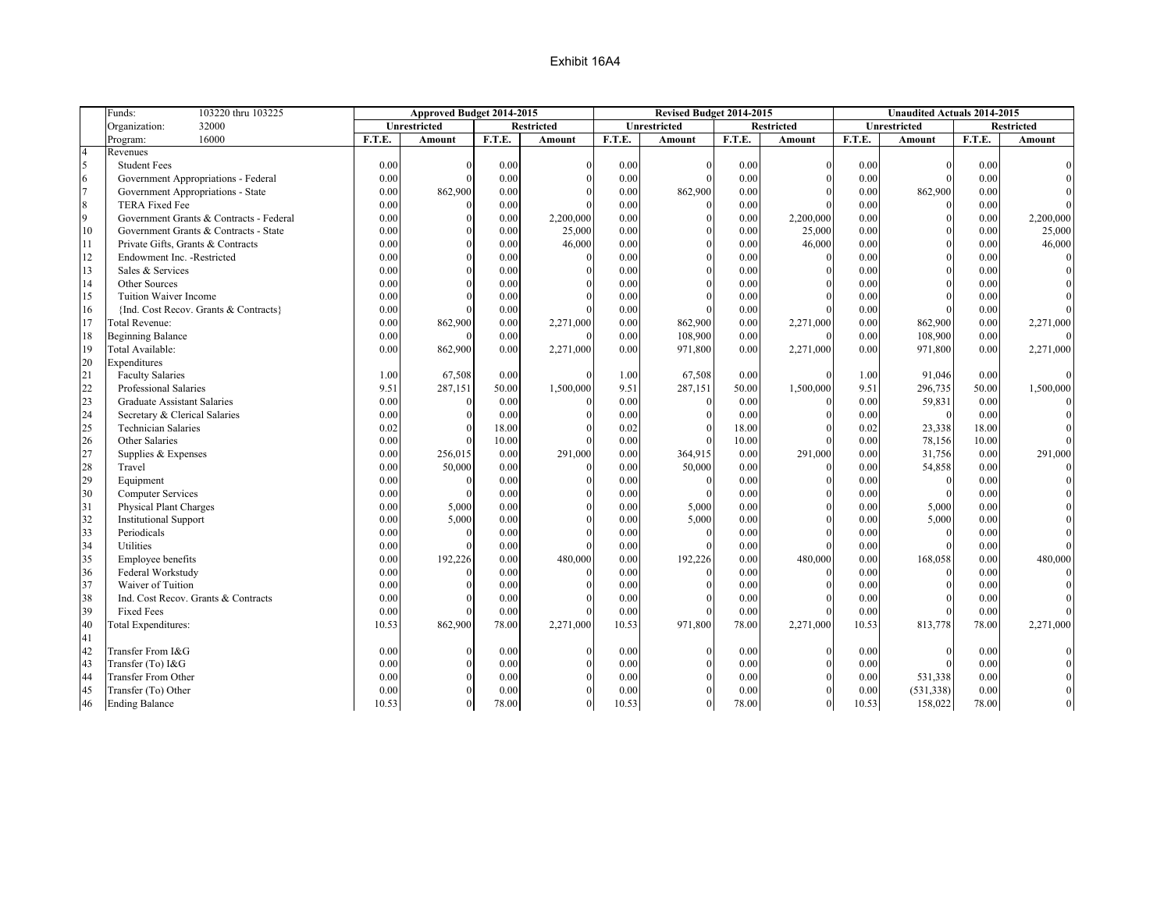|                | 103220 thru 103225<br>Funds:            |        | Approved Budget 2014-2015 |        |                   |        | Revised Budget 2014-2015 |          |                   |        | <b>Unaudited Actuals 2014-2015</b> |        |                   |
|----------------|-----------------------------------------|--------|---------------------------|--------|-------------------|--------|--------------------------|----------|-------------------|--------|------------------------------------|--------|-------------------|
|                | 32000<br>Organization:                  |        | Unrestricted              |        | <b>Restricted</b> |        | Unrestricted             |          | <b>Restricted</b> |        | Unrestricted                       |        | <b>Restricted</b> |
|                | 16000<br>Program:                       | F.T.E. | <b>Amount</b>             | F.T.E. | <b>Amount</b>     | F.T.E. | Amount                   | F.T.E.   | <b>Amount</b>     | F.T.E. | Amount                             | F.T.E. | Amount            |
| $\overline{4}$ | Revenues                                |        |                           |        |                   |        |                          |          |                   |        |                                    |        |                   |
| 5              | <b>Student Fees</b>                     | 0.00   | $\Omega$                  | 0.00   | $\Omega$          | 0.00   |                          | 0.00     |                   | 0.00   | $\Omega$                           | 0.00   |                   |
| 6              | Government Appropriations - Federal     | 0.00   | $\Omega$                  | 0.00   |                   | 0.00   | $\Omega$                 | 0.00     |                   | 0.00   | $\Omega$                           | 0.00   |                   |
| $\overline{7}$ | Government Appropriations - State       | 0.00   | 862,900                   | 0.00   |                   | 0.00   | 862,900                  | 0.00     |                   | 0.00   | 862,900                            | 0.00   |                   |
| $\,$ 8 $\,$    | <b>TERA Fixed Fee</b>                   | 0.00   | $\theta$                  | 0.00   |                   | 0.00   |                          | 0.00     |                   | 0.00   | $\theta$                           | 0.00   |                   |
| 9              | Government Grants & Contracts - Federal | 0.00   | $\theta$                  | 0.00   | 2,200,000         | 0.00   |                          | 0.00     | 2,200,000         | 0.00   | $\mathbf{0}$                       | 0.00   | 2,200,000         |
| 10             | Government Grants & Contracts - State   | 0.00   | $\Omega$                  | 0.00   | 25,000            | 0.00   |                          | 0.00     | 25,000            | 0.00   | $\Omega$                           | 0.00   | 25,000            |
| 11             | Private Gifts, Grants & Contracts       | 0.00   | $\Omega$                  | 0.00   | 46,000            | 0.00   |                          | 0.00     | 46,000            | 0.00   | $\Omega$                           | 0.00   | 46,000            |
| 12             | Endowment Inc. - Restricted             | 0.00   | $\Omega$                  | 0.00   |                   | 0.00   |                          | $0.00\,$ |                   | 0.00   | $\theta$                           | 0.00   |                   |
| 13             | Sales & Services                        | 0.00   | $\Omega$                  | 0.00   |                   | 0.00   |                          | 0.00     |                   | 0.00   | $\Omega$                           | 0.00   |                   |
| 14             | Other Sources                           | 0.00   | $\Omega$                  | 0.00   |                   | 0.00   | $\Omega$                 | 0.00     |                   | 0.00   | $\theta$                           | 0.00   |                   |
| 15             | Tuition Waiver Income                   | 0.00   |                           | 0.00   |                   | 0.00   |                          | 0.00     |                   | 0.00   |                                    | 0.00   |                   |
| 16             | {Ind. Cost Recov. Grants & Contracts}   | 0.00   | $\Omega$                  | 0.00   |                   | 0.00   |                          | 0.00     |                   | 0.00   | $\Omega$                           | 0.00   |                   |
| 17             | Total Revenue:                          | 0.00   | 862,900                   | 0.00   | 2,271,000         | 0.00   | 862,900                  | $0.00\,$ | 2,271,000         | 0.00   | 862,900                            | 0.00   | 2,271,000         |
| 18             | <b>Beginning Balance</b>                | 0.00   |                           | 0.00   |                   | 0.00   | 108,900                  | 0.00     |                   | 0.00   | 108,900                            | 0.00   |                   |
| 19             | Total Available:                        | 0.00   | 862,900                   | 0.00   | 2,271,000         | 0.00   | 971,800                  | 0.00     | 2,271,000         | 0.00   | 971,800                            | 0.00   | 2,271,000         |
| 20             | Expenditures                            |        |                           |        |                   |        |                          |          |                   |        |                                    |        |                   |
| 21             | <b>Faculty Salaries</b>                 | 1.00   | 67,508                    | 0.00   | $\Omega$          | 1.00   | 67,508                   | 0.00     |                   | 1.00   | 91,046                             | 0.00   |                   |
| 22             | Professional Salaries                   | 9.51   | 287,151                   | 50.00  | 1,500,000         | 9.51   | 287,151                  | 50.00    | 1,500,000         | 9.51   | 296,735                            | 50.00  | 1,500,000         |
| 23             | Graduate Assistant Salaries             | 0.00   | $\Omega$                  | 0.00   |                   | 0.00   |                          | 0.00     |                   | 0.00   | 59,831                             | 0.00   |                   |
| 24             | Secretary & Clerical Salaries           | 0.00   | $\Omega$                  | 0.00   |                   | 0.00   |                          | 0.00     |                   | 0.00   | $\Omega$                           | 0.00   |                   |
| 25             | <b>Technician Salaries</b>              | 0.02   | $\Omega$                  | 18.00  |                   | 0.02   |                          | 18.00    |                   | 0.02   | 23,338                             | 18.00  |                   |
| 26             | Other Salaries                          | 0.00   |                           | 10.00  |                   | 0.00   |                          | 10.00    |                   | 0.00   | 78,156                             | 10.00  |                   |
| 27             | Supplies & Expenses                     | 0.00   | 256,015                   | 0.00   | 291,000           | 0.00   | 364,915                  | 0.00     | 291,000           | 0.00   | 31,756                             | 0.00   | 291,000           |
| 28             | Travel                                  | 0.00   | 50,000                    | 0.00   |                   | 0.00   | 50,000                   | 0.00     |                   | 0.00   | 54,858                             | 0.00   |                   |
| 29             | Equipment                               | 0.00   | $\Omega$                  | 0.00   |                   | 0.00   | $\Omega$                 | 0.00     |                   | 0.00   | $\Omega$                           | 0.00   |                   |
| 30             | <b>Computer Services</b>                | 0.00   | $\theta$                  | 0.00   |                   | 0.00   | $\Omega$                 | 0.00     |                   | 0.00   | $\theta$                           | 0.00   |                   |
| 31             | Physical Plant Charges                  | 0.00   | 5,000                     | 0.00   |                   | 0.00   | 5,000                    | 0.00     |                   | 0.00   | 5,000                              | 0.00   |                   |
| 32             | <b>Institutional Support</b>            | 0.00   | 5,000                     | 0.00   |                   | 0.00   | 5,000                    | 0.00     |                   | 0.00   | 5,000                              | 0.00   |                   |
| 33             | Periodicals                             | 0.00   | $\Omega$                  | 0.00   |                   | 0.00   |                          | 0.00     |                   | 0.00   | $\Omega$                           | 0.00   |                   |
| 34             | Utilities                               | 0.00   |                           | 0.00   |                   | 0.00   |                          | 0.00     |                   | 0.00   | $\Omega$                           | 0.00   |                   |
| 35             | Employee benefits                       | 0.00   | 192,226                   | 0.00   | 480,000           | 0.00   | 192,226                  | 0.00     | 480,000           | 0.00   | 168,058                            | 0.00   | 480,000           |
| 36             | Federal Workstudy                       | 0.00   |                           | 0.00   |                   | 0.00   |                          | 0.00     |                   | 0.00   | $\Omega$                           | 0.00   |                   |
| 37             | Waiver of Tuition                       | 0.00   |                           | 0.00   |                   | 0.00   |                          | 0.00     |                   | 0.00   | $\Omega$                           | 0.00   |                   |
| 38             | Ind. Cost Recov. Grants & Contracts     | 0.00   | $\Omega$                  | 0.00   |                   | 0.00   |                          | 0.00     |                   | 0.00   | $\theta$                           | 0.00   |                   |
| 39             | <b>Fixed Fees</b>                       | 0.00   |                           | 0.00   |                   | 0.00   |                          | 0.00     |                   | 0.00   |                                    | 0.00   |                   |
| 40             | Total Expenditures:                     | 10.53  | 862,900                   | 78.00  | 2,271,000         | 10.53  | 971,800                  | 78.00    | 2,271,000         | 10.53  | 813,778                            | 78.00  | 2,271,000         |
| 41             |                                         |        |                           |        |                   |        |                          |          |                   |        |                                    |        |                   |
| 42             | Transfer From I&G                       | 0.00   | $\Omega$                  | 0.00   | $\Omega$          | 0.00   |                          | 0.00     |                   | 0.00   | $\Omega$                           | 0.00   |                   |
| 43             | Transfer (To) I&G                       | 0.00   | $\Omega$                  | 0.00   |                   | 0.00   |                          | 0.00     |                   | 0.00   | $\Omega$                           | 0.00   |                   |
| 44             | <b>Transfer From Other</b>              | 0.00   |                           | 0.00   |                   | 0.00   |                          | 0.00     |                   | 0.00   | 531,338                            | 0.00   |                   |
| 45             | Transfer (To) Other                     | 0.00   |                           | 0.00   |                   | 0.00   |                          | 0.00     |                   | 0.00   | (531, 338)                         | 0.00   |                   |
| 46             | <b>Ending Balance</b>                   | 10.53  | $\theta$                  | 78.00  | $\Omega$          | 10.53  | $\Omega$                 | 78.00    | $\Omega$          | 10.53  | 158,022                            | 78.00  |                   |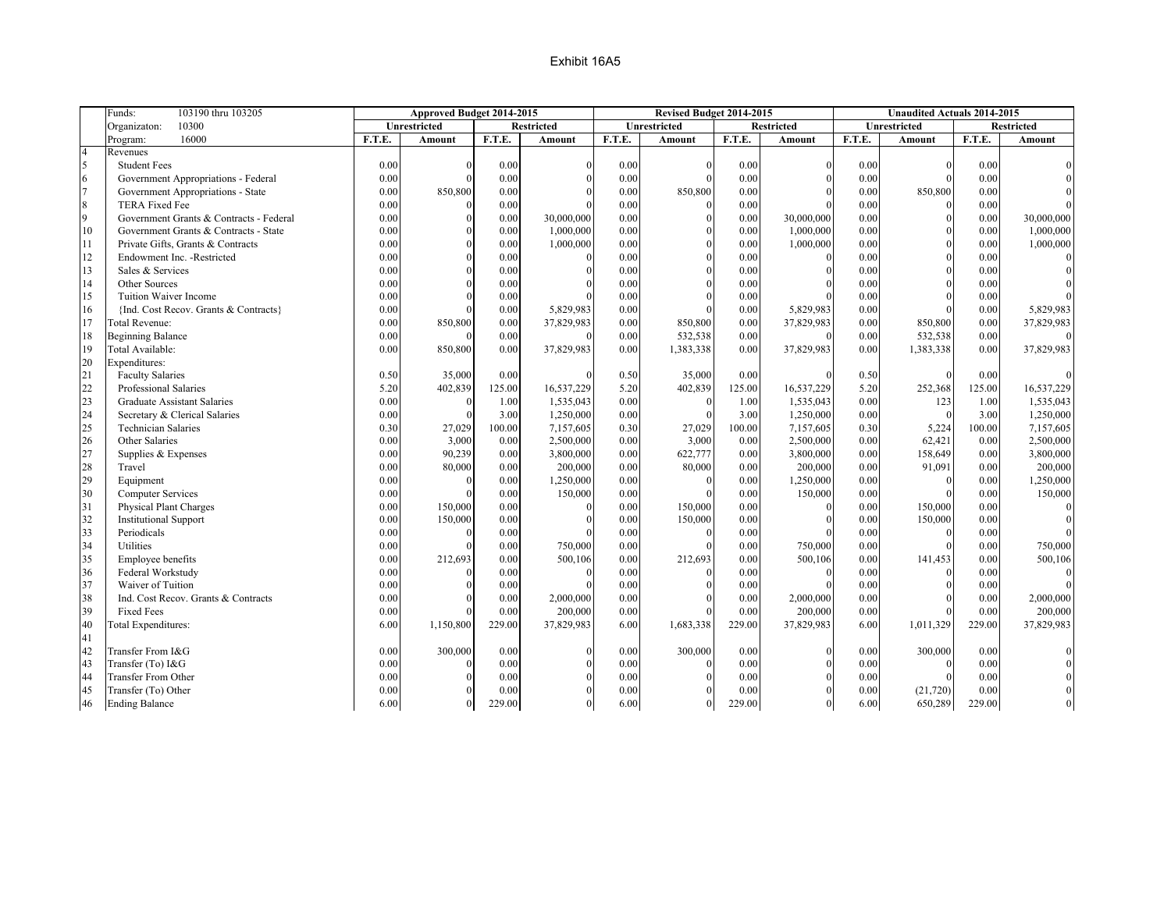|                | Funds:<br>103190 thru 103205            |        | Approved Budget 2014-2015 |        |                   |        | Revised Budget 2014-2015 |          |                   |        | <b>Unaudited Actuals 2014-2015</b> |        |                   |
|----------------|-----------------------------------------|--------|---------------------------|--------|-------------------|--------|--------------------------|----------|-------------------|--------|------------------------------------|--------|-------------------|
|                | 10300<br>Organizaton:                   |        | Unrestricted              |        | <b>Restricted</b> |        | Unrestricted             |          | <b>Restricted</b> |        | Unrestricted                       |        | <b>Restricted</b> |
|                | 16000<br>Program:                       | F.T.E. | <b>Amount</b>             | F.T.E. | <b>Amount</b>     | F.T.E. | Amount                   | F.T.E.   | <b>Amount</b>     | F.T.E. | Amount                             | F.T.E. | Amount            |
| $\overline{4}$ | Revenues                                |        |                           |        |                   |        |                          |          |                   |        |                                    |        |                   |
| 5              | <b>Student Fees</b>                     | 0.00   | $\Omega$                  | 0.00   | $\Omega$          | 0.00   |                          | 0.00     |                   | 0.00   | $\Omega$                           | 0.00   |                   |
| 6              | Government Appropriations - Federal     | 0.00   | $\Omega$                  | 0.00   |                   | 0.00   | $\Omega$                 | 0.00     |                   | 0.00   | $\Omega$                           | 0.00   |                   |
| $\overline{7}$ | Government Appropriations - State       | 0.00   | 850,800                   | 0.00   |                   | 0.00   | 850,800                  | 0.00     |                   | 0.00   | 850,800                            | 0.00   |                   |
| $\,$ 8 $\,$    | <b>TERA Fixed Fee</b>                   | 0.00   | $\Omega$                  | 0.00   |                   | 0.00   |                          | 0.00     |                   | 0.00   | $\theta$                           | 0.00   |                   |
| 9              | Government Grants & Contracts - Federal | 0.00   | $\theta$                  | 0.00   | 30,000,000        | 0.00   |                          | 0.00     | 30,000,000        | 0.00   | $\mathbf{0}$                       | 0.00   | 30,000,000        |
| 10             | Government Grants & Contracts - State   | 0.00   | $\Omega$                  | 0.00   | 1,000,000         | 0.00   | $\Omega$                 | 0.00     | 1,000,000         | 0.00   | $\Omega$                           | 0.00   | 1,000,000         |
| 11             | Private Gifts, Grants & Contracts       | 0.00   | $\Omega$                  | 0.00   | 1,000,000         | 0.00   | $\Omega$                 | 0.00     | 1,000,000         | 0.00   | $\Omega$                           | 0.00   | 1,000,000         |
| 12             | Endowment Inc. - Restricted             | 0.00   | $\Omega$                  | 0.00   |                   | 0.00   | $\Omega$                 | 0.00     |                   | 0.00   | $\theta$                           | 0.00   |                   |
| 13             | Sales & Services                        | 0.00   | $\Omega$                  | 0.00   |                   | 0.00   |                          | 0.00     |                   | 0.00   | $\theta$                           | 0.00   |                   |
| 14             | Other Sources                           | 0.00   | $\Omega$                  | 0.00   |                   | 0.00   | $\Omega$                 | 0.00     |                   | 0.00   | $\mathbf{0}$                       | 0.00   |                   |
| 15             | Tuition Waiver Income                   | 0.00   | $\Omega$                  | 0.00   |                   | 0.00   |                          | 0.00     |                   | 0.00   | $\Omega$                           | 0.00   |                   |
| 16             | {Ind. Cost Recov. Grants & Contracts}   | 0.00   | $\Omega$                  | 0.00   | 5,829,983         | 0.00   |                          | 0.00     | 5,829,983         | 0.00   | $\Omega$                           | 0.00   | 5,829,983         |
| 17             | Total Revenue:                          | 0.00   | 850,800                   | 0.00   | 37,829,983        | 0.00   | 850,800                  | 0.00     | 37,829,983        | 0.00   | 850,800                            | 0.00   | 37,829,983        |
| 18             | <b>Beginning Balance</b>                | 0.00   |                           | 0.00   | $\Omega$          | 0.00   | 532,538                  | 0.00     | $\Omega$          | 0.00   | 532,538                            | 0.00   |                   |
| 19             | Total Available:                        | 0.00   | 850,800                   | 0.00   | 37,829,983        | 0.00   | 1,383,338                | 0.00     | 37,829,983        | 0.00   | 1,383,338                          | 0.00   | 37,829,983        |
| 20             | Expenditures:                           |        |                           |        |                   |        |                          |          |                   |        |                                    |        |                   |
| 21             | <b>Faculty Salaries</b>                 | 0.50   | 35,000                    | 0.00   | $\Omega$          | 0.50   | 35,000                   | 0.00     |                   | 0.50   | $\Omega$                           | 0.00   |                   |
| 22             | Professional Salaries                   | 5.20   | 402,839                   | 125.00 | 16,537,229        | 5.20   | 402,839                  | 125.00   | 16,537,229        | 5.20   | 252,368                            | 125.00 | 16,537,229        |
| 23             | Graduate Assistant Salaries             | 0.00   | $\Omega$                  | 1.00   | 1,535,043         | 0.00   |                          | 1.00     | 1,535,043         | 0.00   | 123                                | 1.00   | 1,535,043         |
| 24             | Secretary & Clerical Salaries           | 0.00   | $\Omega$                  | 3.00   | 1,250,000         | 0.00   | $\Omega$                 | 3.00     | 1,250,000         | 0.00   | $\theta$                           | 3.00   | 1,250,000         |
| 25             | <b>Technician Salaries</b>              | 0.30   | 27,029                    | 100.00 | 7,157,605         | 0.30   | 27,029                   | 100.00   | 7,157,605         | 0.30   | 5,224                              | 100.00 | 7,157,605         |
| 26             | Other Salaries                          | 0.00   | 3,000                     | 0.00   | 2,500,000         | 0.00   | 3,000                    | 0.00     | 2,500,000         | 0.00   | 62,421                             | 0.00   | 2,500,000         |
| 27             | Supplies & Expenses                     | 0.00   | 90,239                    | 0.00   | 3,800,000         | 0.00   | 622,777                  | 0.00     | 3,800,000         | 0.00   | 158,649                            | 0.00   | 3,800,000         |
| 28             | Travel                                  | 0.00   | 80,000                    | 0.00   | 200,000           | 0.00   | 80,000                   | 0.00     | 200,000           | 0.00   | 91,091                             | 0.00   | 200,000           |
| 29             | Equipment                               | 0.00   | $\Omega$                  | 0.00   | 1,250,000         | 0.00   | $\Omega$                 | 0.00     | 1,250,000         | 0.00   | $\Omega$                           | 0.00   | 1,250,000         |
| 30             | <b>Computer Services</b>                | 0.00   | $\Omega$                  | 0.00   | 150,000           | 0.00   |                          | 0.00     | 150,000           | 0.00   | $\Omega$                           | 0.00   | 150,000           |
| 31             | Physical Plant Charges                  | 0.00   | 150,000                   | 0.00   | $\Omega$          | 0.00   | 150,000                  | 0.00     |                   | 0.00   | 150,000                            | 0.00   |                   |
| 32             | <b>Institutional Support</b>            | 0.00   | 150,000                   | 0.00   |                   | 0.00   | 150,000                  | 0.00     |                   | 0.00   | 150,000                            | 0.00   |                   |
| 33             | Periodicals                             | 0.00   | $\Omega$                  | 0.00   |                   | 0.00   |                          | 0.00     |                   | 0.00   | $\theta$                           | 0.00   |                   |
| 34             | Utilities                               | 0.00   |                           | 0.00   | 750,000           | 0.00   |                          | $0.00\,$ | 750,000           | 0.00   | $\Omega$                           | 0.00   | 750,000           |
| 35             | Employee benefits                       | 0.00   | 212,693                   | 0.00   | 500,106           | 0.00   | 212,693                  | 0.00     | 500,106           | 0.00   | 141,453                            | 0.00   | 500,106           |
| 36             | Federal Workstudy                       | 0.00   | $\Omega$                  | 0.00   | $\Omega$          | 0.00   |                          | 0.00     |                   | 0.00   | $\Omega$                           | 0.00   |                   |
| 37             | Waiver of Tuition                       | 0.00   |                           | 0.00   |                   | 0.00   |                          | 0.00     |                   | 0.00   | $\Omega$                           | 0.00   |                   |
| 38             | Ind. Cost Recov. Grants & Contracts     | 0.00   |                           | 0.00   | 2,000,000         | 0.00   |                          | $0.00\,$ | 2,000,000         | 0.00   |                                    | 0.00   | 2,000,000         |
| 39             | <b>Fixed Fees</b>                       | 0.00   |                           | 0.00   | 200,000           | 0.00   |                          | 0.00     | 200,000           | 0.00   |                                    | 0.00   | 200,000           |
| 40             | <b>Total Expenditures:</b>              | 6.00   | 1,150,800                 | 229.00 | 37,829,983        | 6.00   | 1,683,338                | 229.00   | 37,829,983        | 6.00   | 1,011,329                          | 229.00 | 37,829,983        |
| 41             |                                         |        |                           |        |                   |        |                          |          |                   |        |                                    |        |                   |
| 42             | Transfer From I&G                       | 0.00   | 300,000                   | 0.00   | $\Omega$          | 0.00   | 300,000                  | 0.00     |                   | 0.00   | 300,000                            | 0.00   |                   |
| 43             | Transfer (To) I&G                       | 0.00   | $\Omega$                  | 0.00   | $\Omega$          | 0.00   |                          | 0.00     |                   | 0.00   | $\Omega$                           | 0.00   |                   |
| 44             | <b>Transfer From Other</b>              | 0.00   | $\Omega$                  | 0.00   |                   | 0.00   |                          | 0.00     |                   | 0.00   | $\Omega$                           | 0.00   |                   |
| 45             | Transfer (To) Other                     | 0.00   |                           | 0.00   |                   | 0.00   |                          | 0.00     |                   | 0.00   | (21, 720)                          | 0.00   |                   |
| 46             | <b>Ending Balance</b>                   | 6.00   | $\theta$                  | 229.00 | $\Omega$          | 6.00   | $\Omega$                 | 229.00   | $\Omega$          | 6.00   | 650,289                            | 229.00 |                   |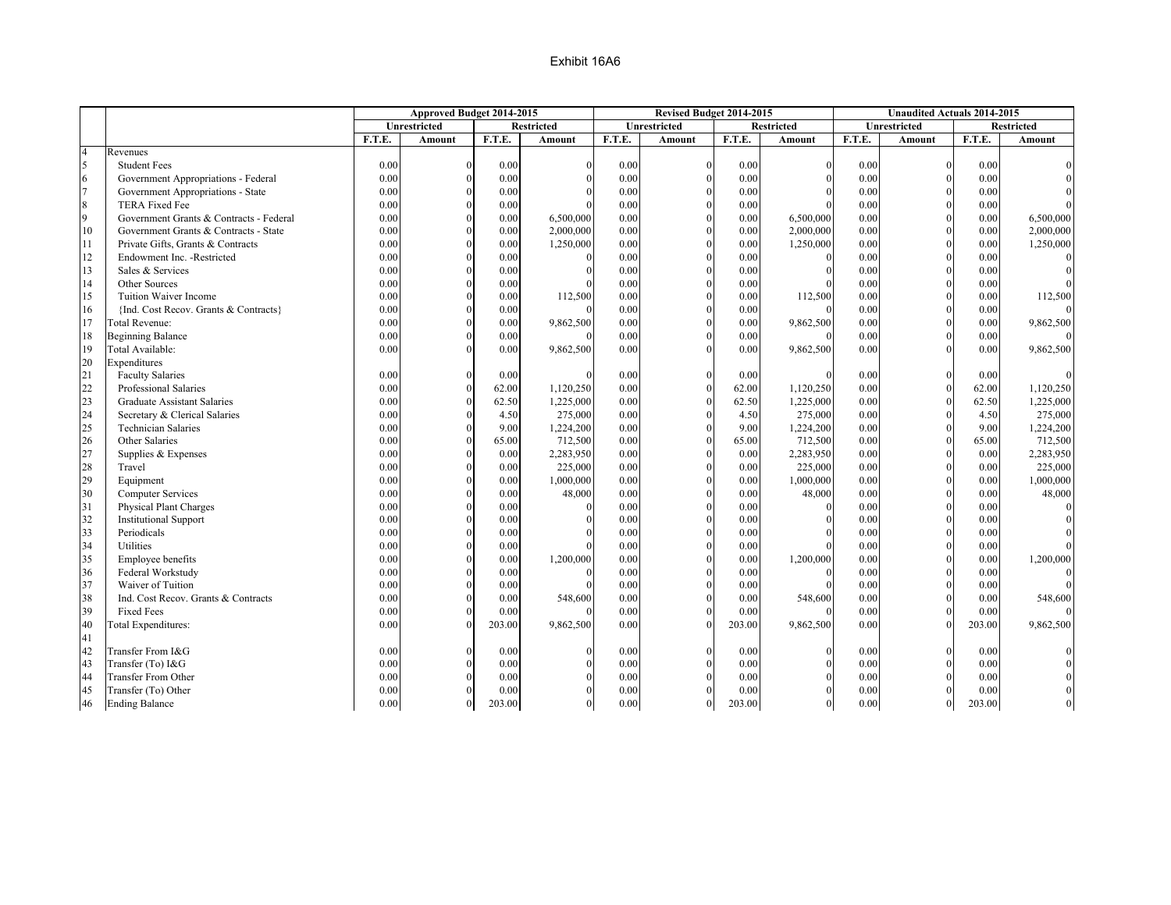|                  |                                         |        | Approved Budget 2014-2015 |        |                   |        | Revised Budget 2014-2015 |        |                   |        | <b>Unaudited Actuals 2014-2015</b> |        |                   |
|------------------|-----------------------------------------|--------|---------------------------|--------|-------------------|--------|--------------------------|--------|-------------------|--------|------------------------------------|--------|-------------------|
|                  |                                         |        | Unrestricted              |        | <b>Restricted</b> |        | Unrestricted             |        | <b>Restricted</b> |        | Unrestricted                       |        | <b>Restricted</b> |
|                  |                                         | F.T.E. | Amount                    | F.T.E. | Amount            | F.T.E. | <b>Amount</b>            | F.T.E. | <b>Amount</b>     | F.T.E. | <b>Amount</b>                      | F.T.E. | Amount            |
| $\overline{4}$   | Revenues                                |        |                           |        |                   |        |                          |        |                   |        |                                    |        |                   |
| 5                | <b>Student Fees</b>                     | 0.00   | $\Omega$                  | 0.00   |                   | 0.00   | $\Omega$                 | 0.00   |                   | 0.00   | $\theta$                           | 0.00   |                   |
| 6                | Government Appropriations - Federal     | 0.00   | $\Omega$                  | 0.00   |                   | 0.00   | $\Omega$                 | 0.00   |                   | 0.00   | $\theta$                           | 0.00   |                   |
| $\overline{7}$   | Government Appropriations - State       | 0.00   | $\Omega$                  | 0.00   |                   | 0.00   | $\Omega$                 | 0.00   |                   | 0.00   | $\theta$                           | 0.00   |                   |
| $\boldsymbol{8}$ | <b>TERA Fixed Fee</b>                   | 0.00   | $\Omega$                  | 0.00   |                   | 0.00   | $\Omega$                 | 0.00   |                   | 0.00   | $\theta$                           | 0.00   |                   |
| $\overline{9}$   | Government Grants & Contracts - Federal | 0.00   | $\Omega$                  | 0.00   | 6,500,000         | 0.00   | $\Omega$                 | 0.00   | 6,500,000         | 0.00   | $\overline{0}$                     | 0.00   | 6,500,000         |
| 10               | Government Grants & Contracts - State   | 0.00   | $\Omega$                  | 0.00   | 2,000,000         | 0.00   |                          | 0.00   | 2,000,000         | 0.00   | $\Omega$                           | 0.00   | 2,000,000         |
| 11               | Private Gifts, Grants & Contracts       | 0.00   | $\Omega$                  | 0.00   | 1,250,000         | 0.00   | $\Omega$                 | 0.00   | 1,250,000         | 0.00   | $\theta$                           | 0.00   | 1,250,000         |
| 12               | Endowment Inc. - Restricted             | 0.00   | $\Omega$                  | 0.00   |                   | 0.00   | $\Omega$                 | 0.00   |                   | 0.00   | $\mathbf{0}$                       | 0.00   |                   |
| 13               | Sales & Services                        | 0.00   |                           | 0.00   |                   | 0.00   |                          | 0.00   |                   | 0.00   | $\theta$                           | 0.00   |                   |
| 14               | Other Sources                           | 0.00   | $\Omega$                  | 0.00   |                   | 0.00   | $\Omega$                 | 0.00   |                   | 0.00   | $\mathbf{0}$                       | 0.00   |                   |
| 15               | Tuition Waiver Income                   | 0.00   | $\Omega$                  | 0.00   | 112,500           | 0.00   | $\Omega$                 | 0.00   | 112,500           | 0.00   | $\theta$                           | 0.00   | 112,500           |
| 16               | {Ind. Cost Recov. Grants & Contracts}   | 0.00   | $\Omega$                  | 0.00   |                   | 0.00   | $\Omega$                 | 0.00   |                   | 0.00   | $\theta$                           | 0.00   |                   |
| 17               | Total Revenue:                          | 0.00   | $\Omega$                  | 0.00   | 9,862,500         | 0.00   | $\Omega$                 | 0.00   | 9,862,500         | 0.00   | $\mathbf{0}$                       | 0.00   | 9,862,500         |
| 18               | <b>Beginning Balance</b>                | 0.00   | $\Omega$                  | 0.00   |                   | 0.00   |                          | 0.00   |                   | 0.00   | $\theta$                           | 0.00   |                   |
| 19               | Total Available:                        | 0.00   | $\Omega$                  | 0.00   | 9,862,500         | 0.00   |                          | 0.00   | 9,862,500         | 0.00   | $\Omega$                           | 0.00   | 9,862,500         |
| 20               | Expenditures                            |        |                           |        |                   |        |                          |        |                   |        |                                    |        |                   |
| 21               | <b>Faculty Salaries</b>                 | 0.00   | $\Omega$                  | 0.00   |                   | 0.00   |                          | 0.00   |                   | 0.00   | $\Omega$                           | 0.00   |                   |
| 22               | Professional Salaries                   | 0.00   | $\Omega$                  | 62.00  | 1,120,250         | 0.00   | $\Omega$                 | 62.00  | 1,120,250         | 0.00   | $\mathbf{0}$                       | 62.00  | 1,120,250         |
| 23               | <b>Graduate Assistant Salaries</b>      | 0.00   | $\Omega$                  | 62.50  | 1,225,000         | 0.00   | $\theta$                 | 62.50  | 1,225,000         | 0.00   | $\theta$                           | 62.50  | 1,225,000         |
| 24               | Secretary & Clerical Salaries           | 0.00   | $\Omega$                  | 4.50   | 275,000           | 0.00   | $\Omega$                 | 4.50   | 275,000           | 0.00   | $\theta$                           | 4.50   | 275,000           |
| 25               | <b>Technician Salaries</b>              | 0.00   | $\Omega$                  | 9.00   | 1,224,200         | 0.00   | $\Omega$                 | 9.00   | 1,224,200         | 0.00   | $\overline{0}$                     | 9.00   | 1,224,200         |
| 26               | Other Salaries                          | 0.00   | $\Omega$                  | 65.00  | 712,500           | 0.00   | $\Omega$                 | 65.00  | 712,500           | 0.00   | $\theta$                           | 65.00  | 712,500           |
| 27               | Supplies & Expenses                     | 0.00   | $\Omega$                  | 0.00   | 2,283,950         | 0.00   | $\Omega$                 | 0.00   | 2,283,950         | 0.00   | $\Omega$                           | 0.00   | 2,283,950         |
| 28               | Travel                                  | 0.00   | $\Omega$                  | 0.00   | 225,000           | 0.00   | $\theta$                 | 0.00   | 225,000           | 0.00   | $\theta$                           | 0.00   | 225,000           |
| 29               | Equipment                               | 0.00   | $\Omega$                  | 0.00   | 1,000,000         | 0.00   |                          | 0.00   | 1,000,000         | 0.00   | $\Omega$                           | 0.00   | 1,000,000         |
| 30               | Computer Services                       | 0.00   | $\Omega$                  | 0.00   | 48,000            | 0.00   | $\theta$                 | 0.00   | 48,000            | 0.00   | $\mathbf{0}$                       | 0.00   | 48,000            |
| 31               | <b>Physical Plant Charges</b>           | 0.00   | $\Omega$                  | 0.00   |                   | 0.00   |                          | 0.00   |                   | 0.00   | $\Omega$                           | 0.00   |                   |
| 32               | <b>Institutional Support</b>            | 0.00   | $\Omega$                  | 0.00   |                   | 0.00   | $\Omega$                 | 0.00   |                   | 0.00   | $\theta$                           | 0.00   |                   |
| 33               | Periodicals                             | 0.00   | $\Omega$                  | 0.00   |                   | 0.00   | $\Omega$                 | 0.00   |                   | 0.00   | $\theta$                           | 0.00   |                   |
| 34               | Utilities                               | 0.00   | $\Omega$                  | 0.00   |                   | 0.00   | $\Omega$                 | 0.00   |                   | 0.00   | $\Omega$                           | 0.00   |                   |
| 35               | Employee benefits                       | 0.00   | $\Omega$                  | 0.00   | 1,200,000         | 0.00   | $\Omega$                 | 0.00   | 1,200,000         | 0.00   | $\mathbf{0}$                       | 0.00   | 1,200,000         |
| 36               | Federal Workstudy                       | 0.00   | $\Omega$                  | 0.00   |                   | 0.00   | $\theta$                 | 0.00   |                   | 0.00   | $\theta$                           | 0.00   |                   |
| 37               | Waiver of Tuition                       | 0.00   | $\Omega$                  | 0.00   |                   | 0.00   |                          | 0.00   |                   | 0.00   | $\Omega$                           | 0.00   |                   |
| 38               | Ind. Cost Recov. Grants & Contracts     | 0.00   |                           | 0.00   | 548,600           | 0.00   | $\Omega$                 | 0.00   | 548,600           | 0.00   | $\theta$                           | 0.00   | 548,600           |
| 39               | <b>Fixed Fees</b>                       | 0.00   |                           | 0.00   |                   | 0.00   |                          | 0.00   |                   | 0.00   | $\theta$                           | 0.00   |                   |
| 40               | <b>Total Expenditures:</b>              | 0.00   |                           | 203.00 | 9,862,500         | 0.00   |                          | 203.00 | 9,862,500         | 0.00   |                                    | 203.00 | 9,862,500         |
| 41               |                                         |        |                           |        |                   |        |                          |        |                   |        |                                    |        |                   |
| 42               | Transfer From I&G                       | 0.00   |                           | 0.00   |                   | 0.00   |                          | 0.00   |                   | 0.00   | $\Omega$                           | 0.00   |                   |
| 43               | Transfer (To) I&G                       | 0.00   | $\Omega$                  | 0.00   |                   | 0.00   |                          | 0.00   |                   | 0.00   | $\theta$                           | 0.00   |                   |
| 44               | <b>Transfer From Other</b>              | 0.00   |                           | 0.00   |                   | 0.00   |                          | 0.00   |                   | 0.00   | $\Omega$                           | 0.00   |                   |
| 45               | Transfer (To) Other                     | 0.00   |                           | 0.00   |                   | 0.00   |                          | 0.00   |                   | 0.00   | $\Omega$                           | 0.00   |                   |
| 46               | <b>Ending Balance</b>                   | 0.00   | $\Omega$                  | 203.00 | $\Omega$          | 0.00   | $\Omega$                 | 203.00 | $\overline{0}$    | 0.00   | $\overline{0}$                     | 203.00 |                   |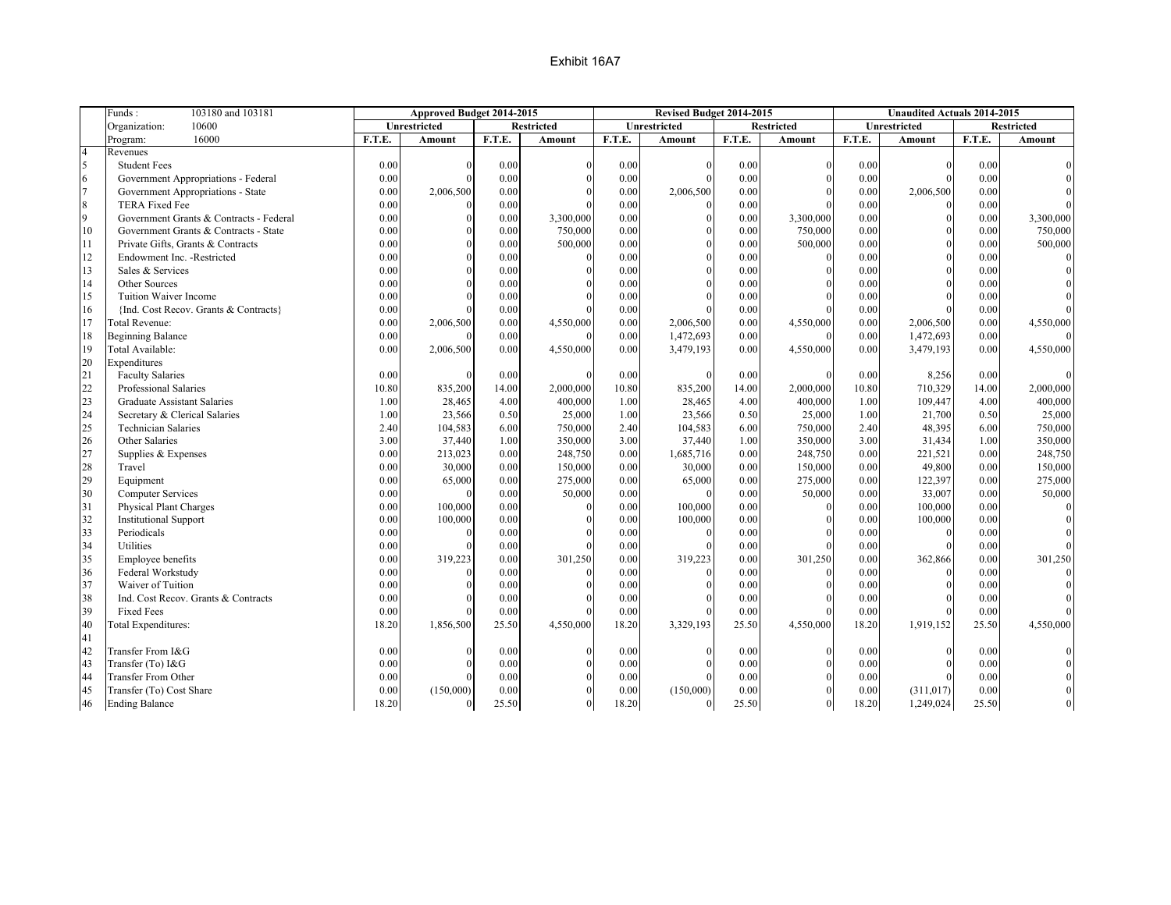|                | Funds:<br>103180 and 103181             |        | Approved Budget 2014-2015 |        |                   |        | Revised Budget 2014-2015 |          |                   |        | <b>Unaudited Actuals 2014-2015</b> |          |                   |
|----------------|-----------------------------------------|--------|---------------------------|--------|-------------------|--------|--------------------------|----------|-------------------|--------|------------------------------------|----------|-------------------|
|                | Organization:<br>10600                  |        | Unrestricted              |        | <b>Restricted</b> |        | Unrestricted             |          | <b>Restricted</b> |        | Unrestricted                       |          | <b>Restricted</b> |
|                | 16000<br>Program:                       | F.T.E. | Amount                    | F.T.E. | Amount            | F.T.E. | Amount                   | F.T.E.   | Amount            | F.T.E. | Amount                             | F.T.E.   | Amount            |
| $\overline{4}$ | Revenues                                |        |                           |        |                   |        |                          |          |                   |        |                                    |          |                   |
| 5              | <b>Student Fees</b>                     | 0.00   | $\Omega$                  | 0.00   | $\Omega$          | 0.00   |                          | 0.00     |                   | 0.00   | $\Omega$                           | 0.00     |                   |
| 6              | Government Appropriations - Federal     | 0.00   | $\Omega$                  | 0.00   |                   | 0.00   |                          | 0.00     |                   | 0.00   | $\Omega$                           | 0.00     |                   |
| $\overline{7}$ | Government Appropriations - State       | 0.00   | 2,006,500                 | 0.00   |                   | 0.00   | 2,006,500                | 0.00     |                   | 0.00   | 2,006,500                          | 0.00     |                   |
| 8              | <b>TERA Fixed Fee</b>                   | 0.00   | $\Omega$                  | 0.00   |                   | 0.00   |                          | 0.00     |                   | 0.00   | $\theta$                           | 0.00     |                   |
| 9              | Government Grants & Contracts - Federal | 0.00   | $\Omega$                  | 0.00   | 3,300,000         | 0.00   |                          | 0.00     | 3,300,000         | 0.00   | $\mathbf{0}$                       | 0.00     | 3,300,000         |
| 10             | Government Grants & Contracts - State   | 0.00   | $\Omega$                  | 0.00   | 750,000           | 0.00   |                          | 0.00     | 750,000           | 0.00   | $\theta$                           | 0.00     | 750,000           |
| 11             | Private Gifts, Grants & Contracts       | 0.00   | $\theta$                  | 0.00   | 500,000           | 0.00   |                          | 0.00     | 500,000           | 0.00   | $\Omega$                           | 0.00     | 500,000           |
| 12             | Endowment Inc. - Restricted             | 0.00   | $\Omega$                  | 0.00   |                   | 0.00   |                          | 0.00     |                   | 0.00   | $\Omega$                           | 0.00     |                   |
| 13             | Sales & Services                        | 0.00   |                           | 0.00   |                   | 0.00   |                          | 0.00     |                   | 0.00   | $\Omega$                           | 0.00     |                   |
| 14             | Other Sources                           | 0.00   | $\Omega$                  | 0.00   |                   | 0.00   | $\Omega$                 | 0.00     |                   | 0.00   | $\Omega$                           | 0.00     |                   |
| 15             | Tuition Waiver Income                   | 0.00   |                           | 0.00   |                   | 0.00   |                          | 0.00     |                   | 0.00   | $\Omega$                           | 0.00     |                   |
| 16             | {Ind. Cost Recov. Grants & Contracts}   | 0.00   |                           | 0.00   |                   | 0.00   |                          | 0.00     |                   | 0.00   | $\theta$                           | 0.00     |                   |
| 17             | Total Revenue:                          | 0.00   | 2,006,500                 | 0.00   | 4,550,000         | 0.00   | 2,006,500                | 0.00     | 4,550,000         | 0.00   | 2,006,500                          | 0.00     | 4,550,000         |
| 18             | <b>Beginning Balance</b>                | 0.00   |                           | 0.00   |                   | 0.00   | 1,472,693                | 0.00     |                   | 0.00   | 1,472,693                          | 0.00     |                   |
| 19             | Total Available:                        | 0.00   | 2,006,500                 | 0.00   | 4,550,000         | 0.00   | 3,479,193                | 0.00     | 4,550,000         | 0.00   | 3,479,193                          | 0.00     | 4,550,000         |
| 20             | Expenditures                            |        |                           |        |                   |        |                          |          |                   |        |                                    |          |                   |
| 21             | <b>Faculty Salaries</b>                 | 0.00   |                           | 0.00   | $\Omega$          | 0.00   |                          | 0.00     |                   | 0.00   | 8,256                              | 0.00     |                   |
| 22             | Professional Salaries                   | 10.80  | 835,200                   | 14.00  | 2,000,000         | 10.80  | 835,200                  | 14.00    | 2,000,000         | 10.80  | 710,329                            | 14.00    | 2,000,000         |
| 23             | Graduate Assistant Salaries             | 1.00   | 28,465                    | 4.00   | 400,000           | 1.00   | 28,465                   | 4.00     | 400,000           | 1.00   | 109,447                            | 4.00     | 400,000           |
| 24             | Secretary & Clerical Salaries           | 1.00   | 23,566                    | 0.50   | 25,000            | 1.00   | 23,566                   | 0.50     | 25,000            | 1.00   | 21,700                             | 0.50     | 25,000            |
| 25             | <b>Technician Salaries</b>              | 2.40   | 104,583                   | 6.00   | 750,000           | 2.40   | 104,583                  | 6.00     | 750,000           | 2.40   | 48,395                             | 6.00     | 750,000           |
| 26             | Other Salaries                          | 3.00   | 37,440                    | 1.00   | 350,000           | 3.00   | 37,440                   | 1.00     | 350,000           | 3.00   | 31,434                             | 1.00     | 350,000           |
| 27             | Supplies & Expenses                     | 0.00   | 213,023                   | 0.00   | 248,750           | 0.00   | 1,685,716                | 0.00     | 248,750           | 0.00   | 221,521                            | 0.00     | 248,750           |
| 28             | Travel                                  | 0.00   | 30,000                    | 0.00   | 150,000           | 0.00   | 30,000                   | 0.00     | 150,000           | 0.00   | 49,800                             | 0.00     | 150,000           |
| 29             | Equipment                               | 0.00   | 65,000                    | 0.00   | 275,000           | 0.00   | 65,000                   | 0.00     | 275,000           | 0.00   | 122,397                            | 0.00     | 275,000           |
| 30             | <b>Computer Services</b>                | 0.00   | $\Omega$                  | 0.00   | 50,000            | 0.00   |                          | 0.00     | 50,000            | 0.00   | 33,007                             | 0.00     | 50,000            |
| 31             | Physical Plant Charges                  | 0.00   | 100,000                   | 0.00   | $\Omega$          | 0.00   | 100,000                  | $0.00\,$ |                   | 0.00   | 100,000                            | 0.00     |                   |
| 32             | <b>Institutional Support</b>            | 0.00   | 100,000                   | 0.00   |                   | 0.00   | 100,000                  | 0.00     |                   | 0.00   | 100,000                            | 0.00     |                   |
| 33             | Periodicals                             | 0.00   | $\Omega$                  | 0.00   |                   | 0.00   |                          | 0.00     |                   | 0.00   | $\Omega$                           | 0.00     |                   |
| 34             | Utilities                               | 0.00   |                           | 0.00   |                   | 0.00   |                          | 0.00     |                   | 0.00   | $\Omega$                           | 0.00     |                   |
| 35             | Employee benefits                       | 0.00   | 319,223                   | 0.00   | 301,250           | 0.00   | 319,223                  | 0.00     | 301,250           | 0.00   | 362,866                            | 0.00     | 301,250           |
| 36             | Federal Workstudy                       | 0.00   | $\Omega$                  | 0.00   |                   | 0.00   |                          | 0.00     |                   | 0.00   | $\Omega$                           | 0.00     |                   |
| 37             | Waiver of Tuition                       | 0.00   |                           | 0.00   |                   | 0.00   |                          | 0.00     |                   | 0.00   | $\Omega$                           | 0.00     |                   |
| 38             | Ind. Cost Recov. Grants & Contracts     | 0.00   |                           | 0.00   |                   | 0.00   |                          | $0.00\,$ |                   | 0.00   | $\theta$                           | $0.00\,$ |                   |
| 39             | <b>Fixed Fees</b>                       | 0.00   |                           | 0.00   |                   | 0.00   |                          | 0.00     |                   | 0.00   |                                    | 0.00     |                   |
| 40             | <b>Total Expenditures:</b>              | 18.20  | 1,856,500                 | 25.50  | 4,550,000         | 18.20  | 3,329,193                | 25.50    | 4,550,000         | 18.20  | 1,919,152                          | 25.50    | 4,550,000         |
| 41             |                                         |        |                           |        |                   |        |                          |          |                   |        |                                    |          |                   |
| 42             | Transfer From I&G                       | 0.00   |                           | 0.00   | $\Omega$          | 0.00   |                          | 0.00     |                   | 0.00   |                                    | 0.00     |                   |
| 43             | Transfer (To) I&G                       | 0.00   | $\Omega$                  | 0.00   |                   | 0.00   |                          | 0.00     |                   | 0.00   | $\Omega$                           | 0.00     |                   |
| 44             | <b>Transfer From Other</b>              | 0.00   |                           | 0.00   |                   | 0.00   |                          | 0.00     |                   | 0.00   |                                    | 0.00     |                   |
| 45             | Transfer (To) Cost Share                | 0.00   | (150,000)                 | 0.00   |                   | 0.00   | (150,000)                | 0.00     |                   | 0.00   | (311, 017)                         | 0.00     |                   |
| 46             | <b>Ending Balance</b>                   | 18.20  | $\Omega$                  | 25.50  | $\theta$          | 18.20  | $\Omega$                 | 25.50    |                   | 18.20  | 1,249,024                          | 25.50    |                   |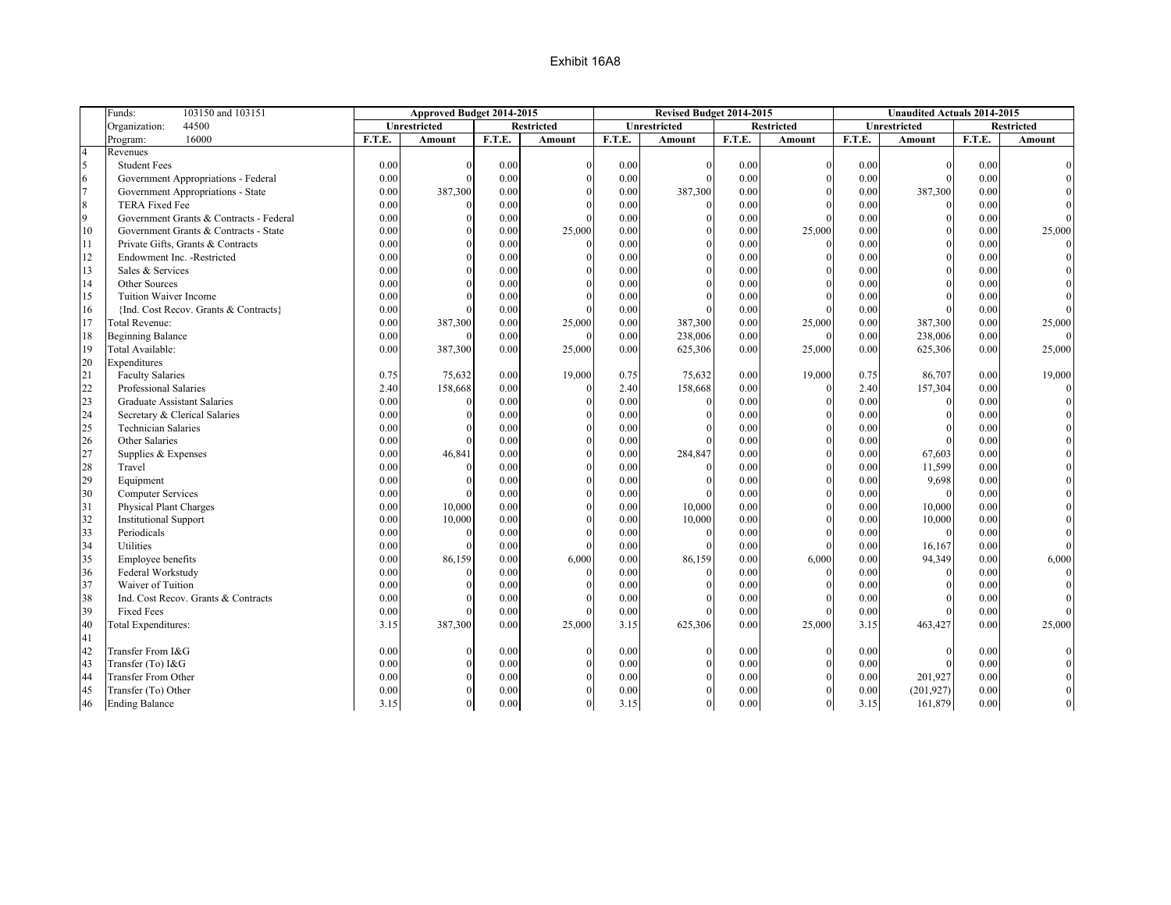|                | Funds:<br>103150 and 103151             |        | Approved Budget 2014-2015 |        |                   |        | Revised Budget 2014-2015 |        |                   |        | <b>Unaudited Actuals 2014-2015</b> |        |                   |
|----------------|-----------------------------------------|--------|---------------------------|--------|-------------------|--------|--------------------------|--------|-------------------|--------|------------------------------------|--------|-------------------|
|                | 44500<br>Organization:                  |        | Unrestricted              |        | <b>Restricted</b> |        | Unrestricted             |        | <b>Restricted</b> |        | Unrestricted                       |        | <b>Restricted</b> |
|                | 16000<br>Program:                       | F.T.E. | Amount                    | F.T.E. | Amount            | F.T.E. | Amount                   | F.T.E. | Amount            | F.T.E. | Amount                             | F.T.E. | Amount            |
| $\overline{4}$ | Revenues                                |        |                           |        |                   |        |                          |        |                   |        |                                    |        |                   |
| 5              | <b>Student Fees</b>                     | 0.00   | $\Omega$                  | 0.00   |                   | 0.00   |                          | 0.00   | $\Omega$          | 0.00   | $\mathbf{0}$                       | 0.00   |                   |
| 6              | Government Appropriations - Federal     | 0.00   | $\Omega$                  | 0.00   |                   | 0.00   | $\Omega$                 | 0.00   | $\Omega$          | 0.00   | $\Omega$                           | 0.00   |                   |
| $\overline{7}$ | Government Appropriations - State       | 0.00   | 387,300                   | 0.00   |                   | 0.00   | 387,300                  | 0.00   |                   | 0.00   | 387,300                            | 0.00   |                   |
| $\,$ 8 $\,$    | <b>TERA Fixed Fee</b>                   | 0.00   | $\Omega$                  | 0.00   |                   | 0.00   |                          | 0.00   | $\Omega$          | 0.00   | $\theta$                           | 0.00   |                   |
| 9              | Government Grants & Contracts - Federal | 0.00   | $\Omega$                  | 0.00   |                   | 0.00   | $\theta$                 | 0.00   | $\Omega$          | 0.00   | $\mathbf{0}$                       | 0.00   |                   |
| 10             | Government Grants & Contracts - State   | 0.00   | $\Omega$                  | 0.00   | 25,000            | 0.00   |                          | 0.00   | 25,000            | 0.00   | $\mathbf{0}$                       | 0.00   | 25,000            |
| 11             | Private Gifts, Grants & Contracts       | 0.00   | $\Omega$                  | 0.00   |                   | 0.00   | $\Omega$                 | 0.00   |                   | 0.00   | $\mathbf{0}$                       | 0.00   |                   |
| 12             | Endowment Inc. - Restricted             | 0.00   | $\Omega$                  | 0.00   |                   | 0.00   | $\theta$                 | 0.00   |                   | 0.00   | $\Omega$                           | 0.00   |                   |
| 13             | Sales & Services                        | 0.00   | $\Omega$                  | 0.00   |                   | 0.00   |                          | 0.00   |                   | 0.00   | $\mathbf{0}$                       | 0.00   |                   |
| 14             | Other Sources                           | 0.00   | $\Omega$                  | 0.00   |                   | 0.00   | $\Omega$                 | 0.00   | $\Omega$          | 0.00   | $\mathbf{0}$                       | 0.00   |                   |
| 15             | Tuition Waiver Income                   | 0.00   | $\Omega$                  | 0.00   |                   | 0.00   |                          | 0.00   |                   | 0.00   |                                    | 0.00   |                   |
| 16             | {Ind. Cost Recov. Grants & Contracts}   | 0.00   | $\Omega$                  | 0.00   |                   | 0.00   |                          | 0.00   | $\Omega$          | 0.00   |                                    | 0.00   |                   |
| 17             | Total Revenue:                          | 0.00   | 387,300                   | 0.00   | 25,000            | 0.00   | 387,300                  | 0.00   | 25,000            | 0.00   | 387,300                            | 0.00   | 25,000            |
| 18             | <b>Beginning Balance</b>                | 0.00   |                           | 0.00   |                   | 0.00   | 238,006                  | 0.00   | $\Omega$          | 0.00   | 238,006                            | 0.00   |                   |
| 19             | Total Available:                        | 0.00   | 387,300                   | 0.00   | 25,000            | 0.00   | 625,306                  | 0.00   | 25,000            | 0.00   | 625,306                            | 0.00   | 25,000            |
| 20             | Expenditures                            |        |                           |        |                   |        |                          |        |                   |        |                                    |        |                   |
| 21             | <b>Faculty Salaries</b>                 | 0.75   | 75,632                    | 0.00   | 19,000            | 0.75   | 75,632                   | 0.00   | 19,000            | 0.75   | 86,707                             | 0.00   | 19,000            |
| 22             | Professional Salaries                   | 2.40   | 158,668                   | 0.00   |                   | 2.40   | 158,668                  | 0.00   | $\Omega$          | 2.40   | 157,304                            | 0.00   |                   |
| 23             | Graduate Assistant Salaries             | 0.00   | $\Omega$                  | 0.00   |                   | 0.00   |                          | 0.00   |                   | 0.00   | $\mathbf{0}$                       | 0.00   |                   |
| 24             | Secretary & Clerical Salaries           | 0.00   | $\Omega$                  | 0.00   |                   | 0.00   | $\Omega$                 | 0.00   |                   | 0.00   | $\Omega$                           | 0.00   |                   |
| 25             | <b>Technician Salaries</b>              | 0.00   | $\Omega$                  | 0.00   |                   | 0.00   |                          | 0.00   | $\theta$          | 0.00   | $\theta$                           | 0.00   |                   |
| 26             | Other Salaries                          | 0.00   | $\Omega$                  | 0.00   |                   | 0.00   |                          | 0.00   | $\Omega$          | 0.00   |                                    | 0.00   |                   |
| 27             | Supplies & Expenses                     | 0.00   | 46,841                    | 0.00   |                   | 0.00   | 284,847                  | 0.00   | $\Omega$          | 0.00   | 67,603                             | 0.00   |                   |
| 28             | Travel                                  | 0.00   | $\Omega$                  | 0.00   |                   | 0.00   |                          | 0.00   | $\Omega$          | 0.00   | 11,599                             | 0.00   |                   |
| 29             | Equipment                               | 0.00   | $\Omega$                  | 0.00   |                   | 0.00   |                          | 0.00   | $\theta$          | 0.00   | 9,698                              | 0.00   |                   |
| 30             | Computer Services                       | 0.00   | $\Omega$                  | 0.00   |                   | 0.00   |                          | 0.00   | $\mathbf{0}$      | 0.00   | $\mathbf{0}$                       | 0.00   |                   |
| 31             | Physical Plant Charges                  | 0.00   | 10,000                    | 0.00   |                   | 0.00   | 10,000                   | 0.00   | $\Omega$          | 0.00   | 10,000                             | 0.00   |                   |
| 32             | <b>Institutional Support</b>            | 0.00   | 10,000                    | 0.00   |                   | 0.00   | 10,000                   | 0.00   | $\Omega$          | 0.00   | 10,000                             | 0.00   |                   |
| 33             | Periodicals                             | 0.00   | $\Omega$                  | 0.00   |                   | 0.00   | $\Omega$                 | 0.00   | $\Omega$          | 0.00   | $\Omega$                           | 0.00   |                   |
| 34             | Utilities                               | 0.00   | $\Omega$                  | 0.00   |                   | 0.00   |                          | 0.00   | $\Omega$          | 0.00   | 16,167                             | 0.00   |                   |
| 35             | Employee benefits                       | 0.00   | 86,159                    | 0.00   | 6,000             | 0.00   | 86,159                   | 0.00   | 6,000             | 0.00   | 94,349                             | 0.00   | 6,000             |
| 36             | Federal Workstudy                       | 0.00   | $\Omega$                  | 0.00   |                   | 0.00   | $\Omega$                 | 0.00   |                   | 0.00   | $\Omega$                           | 0.00   |                   |
| 37             | Waiver of Tuition                       | 0.00   | $\Omega$                  | 0.00   |                   | 0.00   | $\Omega$                 | 0.00   |                   | 0.00   | $\Omega$                           | 0.00   |                   |
| 38             | Ind. Cost Recov. Grants & Contracts     | 0.00   | $\Omega$                  | 0.00   |                   | 0.00   | $\Omega$                 | 0.00   | $\Omega$          | 0.00   | $\Omega$                           | 0.00   |                   |
| 39             | <b>Fixed Fees</b>                       | 0.00   | $\Omega$                  | 0.00   |                   | 0.00   |                          | 0.00   | $\Omega$          | 0.00   |                                    | 0.00   |                   |
| 40             | Total Expenditures:                     | 3.15   | 387,300                   | 0.00   | 25,000            | 3.15   | 625,306                  | 0.00   | 25,000            | 3.15   | 463,427                            | 0.00   | 25,000            |
| 41             |                                         |        |                           |        |                   |        |                          |        |                   |        |                                    |        |                   |
| 42             | Transfer From I&G                       | 0.00   | $\Omega$                  | 0.00   |                   | 0.00   |                          | 0.00   |                   | 0.00   | $\Omega$                           | 0.00   |                   |
| 43             | Transfer (To) I&G                       | 0.00   | $\Omega$                  | 0.00   |                   | 0.00   | $\Omega$                 | 0.00   | $\Omega$          | 0.00   | $\theta$                           | 0.00   |                   |
| 44             | <b>Transfer From Other</b>              | 0.00   |                           | 0.00   |                   | 0.00   |                          | 0.00   |                   | 0.00   | 201,927                            | 0.00   |                   |
| 45             | Transfer (To) Other                     | 0.00   | $\Omega$                  | 0.00   |                   | 0.00   |                          | 0.00   | $\theta$          | 0.00   | (201, 927)                         | 0.00   |                   |
| 46             | <b>Ending Balance</b>                   | 3.15   | $\Omega$                  | 0.00   | $\Omega$          | 3.15   | $\theta$                 | 0.00   | $\mathbf{0}$      | 3.15   | 161,879                            | 0.00   |                   |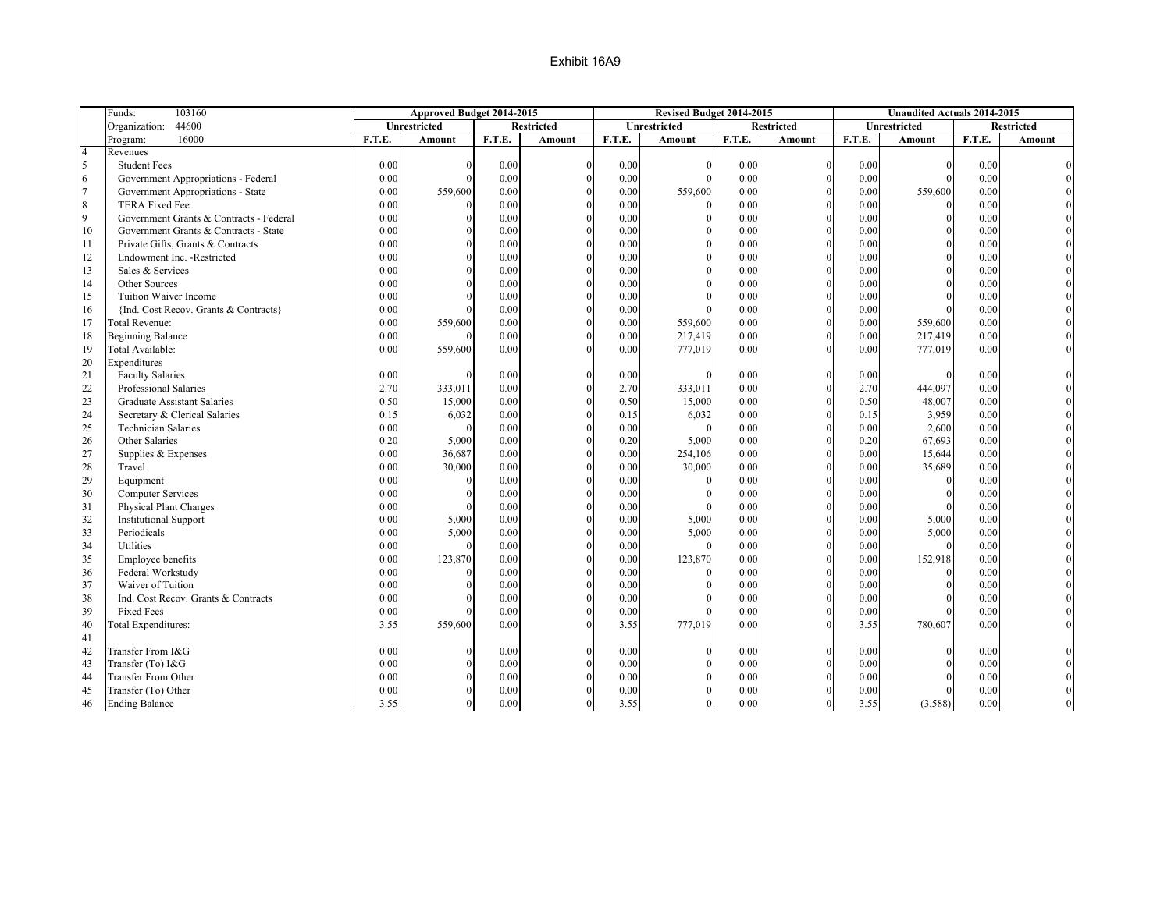|                  | 103160<br>Funds:                        |        | Approved Budget 2014-2015 |        |                   |        | Revised Budget 2014-2015 |        |                   |        | <b>Unaudited Actuals 2014-2015</b> |        |                   |
|------------------|-----------------------------------------|--------|---------------------------|--------|-------------------|--------|--------------------------|--------|-------------------|--------|------------------------------------|--------|-------------------|
|                  | 44600<br>Organization:                  |        | Unrestricted              |        | <b>Restricted</b> |        | Unrestricted             |        | <b>Restricted</b> |        | Unrestricted                       |        | <b>Restricted</b> |
|                  | 16000<br>Program:                       | F.T.E. | <b>Amount</b>             | F.T.E. | Amount            | F.T.E. | Amount                   | F.T.E. | <b>Amount</b>     | F.T.E. | Amount                             | F.T.E. | Amount            |
| $\overline{4}$   | Revenues                                |        |                           |        |                   |        |                          |        |                   |        |                                    |        |                   |
| 5                | <b>Student Fees</b>                     | 0.00   | $\Omega$                  | 0.00   |                   | 0.00   | $\Omega$                 | 0.00   | $\theta$          | 0.00   | $\Omega$                           | 0.00   |                   |
| 6                | Government Appropriations - Federal     | 0.00   | $\Omega$                  | 0.00   |                   | 0.00   |                          | 0.00   | $\Omega$          | 0.00   | $\theta$                           | 0.00   |                   |
| $\overline{7}$   | Government Appropriations - State       | 0.00   | 559,600                   | 0.00   |                   | 0.00   | 559,600                  | 0.00   |                   | 0.00   | 559,600                            | 0.00   |                   |
| $\boldsymbol{8}$ | <b>TERA Fixed Fee</b>                   | 0.00   | $\Omega$                  | 0.00   |                   | 0.00   |                          | 0.00   |                   | 0.00   |                                    | 0.00   |                   |
| $\overline{9}$   | Government Grants & Contracts - Federal | 0.00   | $\Omega$                  | 0.00   |                   | 0.00   | $\Omega$                 | 0.00   | $\theta$          | 0.00   | $\theta$                           | 0.00   |                   |
| 10               | Government Grants & Contracts - State   | 0.00   | $\Omega$                  | 0.00   |                   | 0.00   | $\Omega$                 | 0.00   |                   | 0.00   | $\Omega$                           | 0.00   |                   |
| 11               | Private Gifts, Grants & Contracts       | 0.00   | $\Omega$                  | 0.00   |                   | 0.00   | $\Omega$                 | 0.00   | $\Omega$          | 0.00   | $\theta$                           | 0.00   |                   |
| 12               | Endowment Inc. - Restricted             | 0.00   | $\Omega$                  | 0.00   |                   | 0.00   | $\Omega$                 | 0.00   | $\Omega$          | 0.00   | $\mathbf{0}$                       | 0.00   |                   |
| 13               | Sales & Services                        | 0.00   |                           | 0.00   |                   | 0.00   |                          | 0.00   |                   | 0.00   | $\Omega$                           | 0.00   |                   |
| 14               | Other Sources                           | 0.00   | $\Omega$                  | 0.00   |                   | 0.00   | $\theta$                 | 0.00   | $\theta$          | 0.00   | $\Omega$                           | 0.00   |                   |
| 15               | Tuition Waiver Income                   | 0.00   | $\Omega$                  | 0.00   |                   | 0.00   |                          | 0.00   | $\theta$          | 0.00   | $\theta$                           | 0.00   |                   |
| 16               | {Ind. Cost Recov. Grants & Contracts}   | 0.00   |                           | 0.00   |                   | 0.00   |                          | 0.00   |                   | 0.00   | $\Omega$                           | 0.00   |                   |
| 17               | Total Revenue:                          | 0.00   | 559,600                   | 0.00   |                   | 0.00   | 559,600                  | 0.00   | $\theta$          | 0.00   | 559,600                            | 0.00   |                   |
| 18               | <b>Beginning Balance</b>                | 0.00   |                           | 0.00   |                   | 0.00   | 217,419                  | 0.00   |                   | 0.00   | 217,419                            | 0.00   |                   |
| 19               | Total Available:                        | 0.00   | 559,600                   | 0.00   |                   | 0.00   | 777,019                  | 0.00   |                   | 0.00   | 777,019                            | 0.00   |                   |
| 20               | Expenditures                            |        |                           |        |                   |        |                          |        |                   |        |                                    |        |                   |
| 21               | <b>Faculty Salaries</b>                 | 0.00   | $\Omega$                  | 0.00   | $\Omega$          | 0.00   |                          | 0.00   | $\Omega$          | 0.00   | $\Omega$                           | 0.00   |                   |
| 22               | Professional Salaries                   | 2.70   | 333,011                   | 0.00   |                   | 2.70   | 333,011                  | 0.00   | $\mathbf{0}$      | 2.70   | 444,097                            | 0.00   |                   |
| 23               | <b>Graduate Assistant Salaries</b>      | 0.50   | 15,000                    | 0.00   |                   | 0.50   | 15,000                   | 0.00   | $\theta$          | 0.50   | 48,007                             | 0.00   |                   |
| 24               | Secretary & Clerical Salaries           | 0.15   | 6,032                     | 0.00   |                   | 0.15   | 6,032                    | 0.00   | $\Omega$          | 0.15   | 3,959                              | 0.00   |                   |
| 25               | <b>Technician Salaries</b>              | 0.00   | $\Omega$                  | 0.00   |                   | 0.00   | $\Omega$                 | 0.00   | $\theta$          | 0.00   | 2,600                              | 0.00   |                   |
| 26               | Other Salaries                          | 0.20   | 5,000                     | 0.00   |                   | 0.20   | 5,000                    | 0.00   |                   | 0.20   | 67,693                             | 0.00   |                   |
| 27               | Supplies & Expenses                     | 0.00   | 36,687                    | 0.00   |                   | 0.00   | 254,106                  | 0.00   | $\Omega$          | 0.00   | 15,644                             | 0.00   |                   |
| 28               | Travel                                  | 0.00   | 30,000                    | 0.00   |                   | 0.00   | 30,000                   | 0.00   | $\theta$          | 0.00   | 35,689                             | 0.00   |                   |
| 29               | Equipment                               | 0.00   | $\Omega$                  | 0.00   |                   | 0.00   | $\theta$                 | 0.00   |                   | 0.00   | $\Omega$                           | 0.00   |                   |
| 30               | Computer Services                       | 0.00   | $\Omega$                  | 0.00   |                   | 0.00   | $\theta$                 | 0.00   | $\theta$          | 0.00   | $\theta$                           | 0.00   |                   |
| 31               | <b>Physical Plant Charges</b>           | 0.00   | $\Omega$                  | 0.00   |                   | 0.00   |                          | 0.00   |                   | 0.00   | $\Omega$                           | 0.00   |                   |
| 32               | <b>Institutional Support</b>            | 0.00   | 5,000                     | 0.00   |                   | 0.00   | 5,000                    | 0.00   | $\Omega$          | 0.00   | 5,000                              | 0.00   |                   |
| 33               | Periodicals                             | 0.00   | 5,000                     | 0.00   |                   | 0.00   | 5,000                    | 0.00   | $\Omega$          | 0.00   | 5,000                              | 0.00   |                   |
| 34               | Utilities                               | 0.00   | $\Omega$                  | 0.00   |                   | 0.00   |                          | 0.00   |                   | 0.00   | $\Omega$                           | 0.00   |                   |
| 35               | Employee benefits                       | 0.00   | 123,870                   | 0.00   |                   | 0.00   | 123,870                  | 0.00   | $\theta$          | 0.00   | 152,918                            | 0.00   |                   |
| 36               | Federal Workstudy                       | 0.00   |                           | 0.00   |                   | 0.00   | $\theta$                 | 0.00   | $\theta$          | 0.00   | $\theta$                           | 0.00   |                   |
| 37               | Waiver of Tuition                       | 0.00   | $\Omega$                  | 0.00   |                   | 0.00   |                          | 0.00   |                   | 0.00   | $\theta$                           | 0.00   |                   |
| 38               | Ind. Cost Recov. Grants & Contracts     | 0.00   | $\Omega$                  | 0.00   |                   | 0.00   | $\theta$                 | 0.00   | $\theta$          | 0.00   | $\theta$                           | 0.00   |                   |
| 39               | <b>Fixed Fees</b>                       | 0.00   | $\Omega$                  | 0.00   |                   | 0.00   |                          | 0.00   |                   | 0.00   | $\Omega$                           | 0.00   |                   |
| 40               | Total Expenditures:                     | 3.55   | 559,600                   | 0.00   |                   | 3.55   | 777,019                  | 0.00   |                   | 3.55   | 780,607                            | 0.00   |                   |
| 41               |                                         |        |                           |        |                   |        |                          |        |                   |        |                                    |        |                   |
| 42               | Transfer From I&G                       | 0.00   | $\Omega$                  | 0.00   |                   | 0.00   | $\theta$                 | 0.00   |                   | 0.00   | $\theta$                           | 0.00   |                   |
| 43               | Transfer (To) I&G                       | 0.00   | $\Omega$                  | 0.00   |                   | 0.00   | $\Omega$                 | 0.00   | $\Omega$          | 0.00   | $\theta$                           | 0.00   |                   |
| 44               | Transfer From Other                     | 0.00   |                           | 0.00   |                   | 0.00   |                          | 0.00   |                   | 0.00   |                                    | 0.00   |                   |
| 45               | Transfer (To) Other                     | 0.00   | $\Omega$                  | 0.00   |                   | 0.00   |                          | 0.00   |                   | 0.00   | $\theta$                           | 0.00   |                   |
| 46               | <b>Ending Balance</b>                   | 3.55   | $\Omega$                  | 0.00   | $\Omega$          | 3.55   | $\Omega$                 | 0.00   | $\overline{0}$    | 3.55   | (3,588)                            | 0.00   |                   |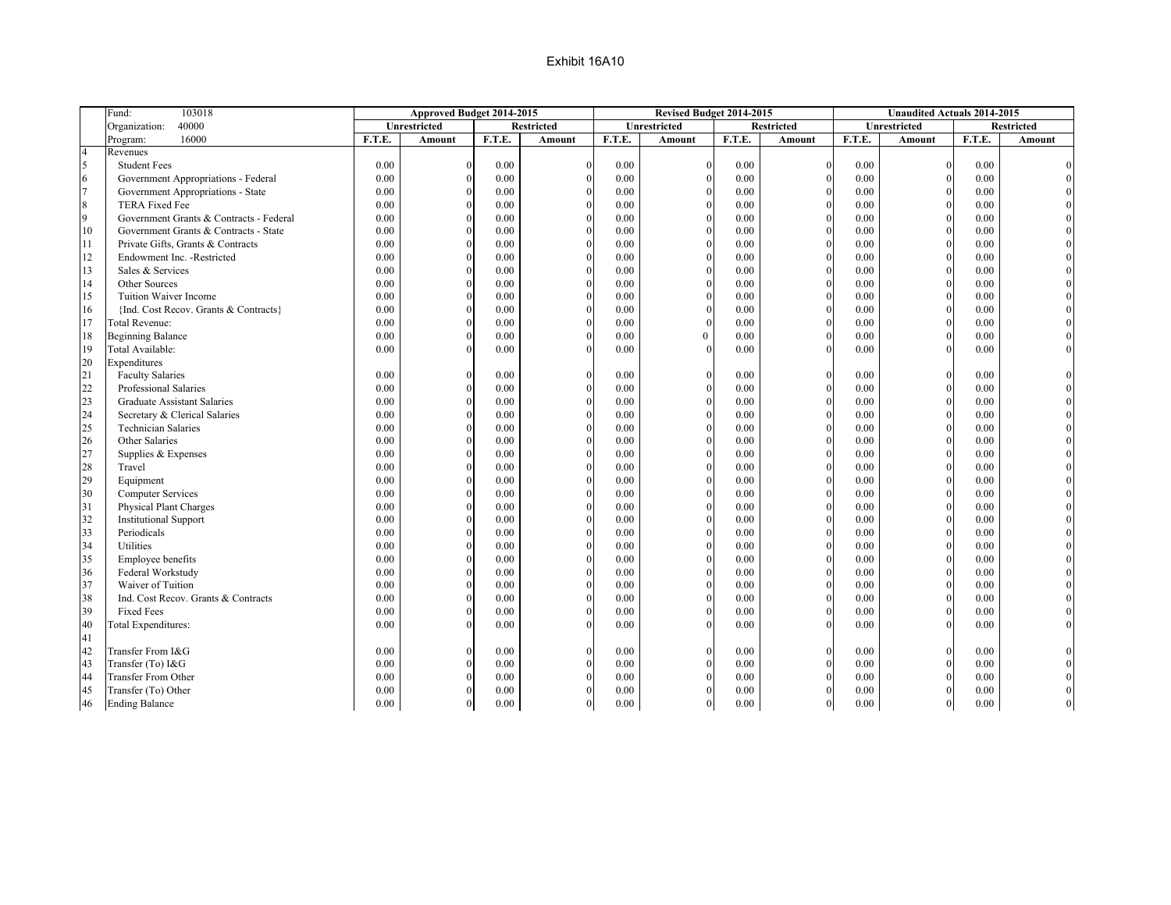|                | Fund:<br>103018                         |        | Approved Budget 2014-2015 |          |               |        | Revised Budget 2014-2015 |        |                   |          | <b>Unaudited Actuals 2014-2015</b> |        |                   |
|----------------|-----------------------------------------|--------|---------------------------|----------|---------------|--------|--------------------------|--------|-------------------|----------|------------------------------------|--------|-------------------|
|                | 40000<br>Organization:                  |        | Unrestricted              |          | Restricted    |        | Unrestricted             |        | <b>Restricted</b> |          | Unrestricted                       |        | <b>Restricted</b> |
|                | 16000<br>Program:                       | F.T.E. | <b>Amount</b>             | F.T.E.   | <b>Amount</b> | F.T.E. | Amount                   | F.T.E. | <b>Amount</b>     | F.T.E.   | <b>Amount</b>                      | F.T.E. | <b>Amount</b>     |
| $\overline{4}$ | Revenues                                |        |                           |          |               |        |                          |        |                   |          |                                    |        |                   |
| 5              | <b>Student Fees</b>                     | 0.00   |                           | 0.00     | $\Omega$      | 0.00   |                          | 0.00   | $\Omega$          | 0.00     | $\mathbf{0}$                       | 0.00   |                   |
| 6              | Government Appropriations - Federal     | 0.00   |                           | 0.00     |               | 0.00   |                          | 0.00   | $\Omega$          | 0.00     | $\mathbf{0}$                       | 0.00   |                   |
| $\overline{7}$ | Government Appropriations - State       | 0.00   |                           | 0.00     |               | 0.00   |                          | 0.00   |                   | 0.00     | $\mathbf{0}$                       | 0.00   |                   |
| 8              | <b>TERA Fixed Fee</b>                   | 0.00   |                           | 0.00     |               | 0.00   |                          | 0.00   | $\Omega$          | 0.00     | $\Omega$                           | 0.00   |                   |
| 9              | Government Grants & Contracts - Federal | 0.00   |                           | 0.00     |               | 0.00   |                          | 0.00   | $\Omega$          | 0.00     | $\mathbf{0}$                       | 0.00   |                   |
| 10             | Government Grants & Contracts - State   | 0.00   |                           | 0.00     |               | 0.00   |                          | 0.00   | $\Omega$          | 0.00     | $\theta$                           | 0.00   |                   |
| 11             | Private Gifts, Grants & Contracts       | 0.00   |                           | 0.00     |               | 0.00   |                          | 0.00   | $\Omega$          | 0.00     | $\mathbf{0}$                       | 0.00   |                   |
| 12             | Endowment Inc. - Restricted             | 0.00   |                           | 0.00     |               | 0.00   |                          | 0.00   | $\Omega$          | 0.00     | $\theta$                           | 0.00   |                   |
| 13             | Sales & Services                        | 0.00   |                           | 0.00     |               | 0.00   |                          | 0.00   | $\Omega$          | 0.00     | $\theta$                           | 0.00   |                   |
| 14             | Other Sources                           | 0.00   |                           | 0.00     |               | 0.00   |                          | 0.00   | $\Omega$          | 0.00     | $\boldsymbol{0}$                   | 0.00   |                   |
| 15             | Tuition Waiver Income                   | 0.00   |                           | 0.00     |               | 0.00   |                          | 0.00   | $\Omega$          | 0.00     | $\theta$                           | 0.00   |                   |
| 16             | {Ind. Cost Recov. Grants & Contracts}   | 0.00   |                           | 0.00     |               | 0.00   |                          | 0.00   | $\Omega$          | 0.00     | $\mathbf{0}$                       | 0.00   |                   |
| 17             | Total Revenue:                          | 0.00   |                           | 0.00     |               | 0.00   |                          | 0.00   | $\Omega$          | 0.00     | $\theta$                           | 0.00   |                   |
| 18             | <b>Beginning Balance</b>                | 0.00   |                           | 0.00     |               | 0.00   | 0                        | 0.00   | $\Omega$          | 0.00     | $\theta$                           | 0.00   |                   |
| 19             | Total Available:                        | 0.00   |                           | 0.00     |               | 0.00   |                          | 0.00   | $\Omega$          | 0.00     | $\Omega$                           | 0.00   |                   |
| 20             | Expenditures                            |        |                           |          |               |        |                          |        |                   |          |                                    |        |                   |
| 21             | <b>Faculty Salaries</b>                 | 0.00   |                           | 0.00     |               | 0.00   |                          | 0.00   | $\Omega$          | 0.00     | $\theta$                           | 0.00   |                   |
| 22             | Professional Salaries                   | 0.00   |                           | 0.00     |               | 0.00   |                          | 0.00   | $\Omega$          | 0.00     | $\boldsymbol{0}$                   | 0.00   |                   |
| 23             | <b>Graduate Assistant Salaries</b>      | 0.00   |                           | 0.00     |               | 0.00   |                          | 0.00   |                   | 0.00     | $\mathbf{0}$                       | 0.00   |                   |
| 24             | Secretary & Clerical Salaries           | 0.00   |                           | 0.00     |               | 0.00   |                          | 0.00   | $\Omega$          | 0.00     | $\mathbf{0}$                       | 0.00   |                   |
| 25             | <b>Technician Salaries</b>              | 0.00   |                           | 0.00     |               | 0.00   |                          | 0.00   | $\Omega$          | 0.00     | $\overline{0}$                     | 0.00   |                   |
| 26             | Other Salaries                          | 0.00   |                           | 0.00     |               | 0.00   |                          | 0.00   | $\Omega$          | 0.00     | $\mathbf{0}$                       | 0.00   |                   |
| 27             | Supplies & Expenses                     | 0.00   |                           | 0.00     |               | 0.00   |                          | 0.00   | $\Omega$          | 0.00     | $\theta$                           | 0.00   |                   |
| 28             | Travel                                  | 0.00   |                           | 0.00     |               | 0.00   |                          | 0.00   | $\Omega$          | 0.00     | $\theta$                           | 0.00   |                   |
| 29             | Equipment                               | 0.00   |                           | 0.00     |               | 0.00   |                          | 0.00   | $\theta$          | 0.00     | $\boldsymbol{0}$                   | 0.00   |                   |
| 30             | <b>Computer Services</b>                | 0.00   |                           | 0.00     |               | 0.00   |                          | 0.00   | $\Omega$          | 0.00     | $\overline{0}$                     | 0.00   |                   |
| 31             | Physical Plant Charges                  | 0.00   |                           | 0.00     |               | 0.00   |                          | 0.00   | $\Omega$          | 0.00     | $\mathbf{0}$                       | 0.00   |                   |
| 32             | <b>Institutional Support</b>            | 0.00   |                           | 0.00     |               | 0.00   |                          | 0.00   | $\Omega$          | 0.00     | $\boldsymbol{0}$                   | 0.00   |                   |
| 33             | Periodicals                             | 0.00   |                           | 0.00     |               | 0.00   |                          | 0.00   |                   | 0.00     | $\theta$                           | 0.00   |                   |
| 34             | Utilities                               | 0.00   |                           | 0.00     |               | 0.00   |                          | 0.00   | $\Omega$          | 0.00     | $\mathbf{0}$                       | 0.00   |                   |
| 35             | Employee benefits                       | 0.00   |                           | 0.00     |               | 0.00   |                          | 0.00   | $\Omega$          | 0.00     | $\theta$                           | 0.00   |                   |
| 36             | Federal Workstudy                       | 0.00   |                           | 0.00     |               | 0.00   |                          | 0.00   | $\Omega$          | 0.00     | $\theta$                           | 0.00   |                   |
| 37             | Waiver of Tuition                       | 0.00   |                           | 0.00     |               | 0.00   |                          | 0.00   | $\Omega$          | 0.00     | $\overline{0}$                     | 0.00   |                   |
| 38             | Ind. Cost Recov. Grants & Contracts     | 0.00   |                           | 0.00     |               | 0.00   |                          | 0.00   | $\Omega$          | 0.00     | $\theta$                           | 0.00   |                   |
| 39             | <b>Fixed Fees</b>                       | 0.00   |                           | 0.00     |               | 0.00   |                          | 0.00   | $\Omega$          | 0.00     | $\mathbf{0}$                       | 0.00   |                   |
| 40             | Total Expenditures:                     | 0.00   |                           | 0.00     |               | 0.00   |                          | 0.00   |                   | 0.00     | $\Omega$                           | 0.00   |                   |
| 41             |                                         |        |                           |          |               |        |                          |        |                   |          |                                    |        |                   |
| 42             | Transfer From I&G                       | 0.00   |                           | 0.00     | $\Omega$      | 0.00   |                          | 0.00   | $\Omega$          | 0.00     | $\boldsymbol{0}$                   | 0.00   |                   |
| 43             | Transfer (To) I&G                       | 0.00   |                           | 0.00     |               | 0.00   |                          | 0.00   | $\Omega$          | 0.00     | $\mathbf{0}$                       | 0.00   |                   |
| 44             | Transfer From Other                     | 0.00   | $\Omega$                  | 0.00     |               | 0.00   |                          | 0.00   | $\mathbf{0}$      | 0.00     | $\boldsymbol{0}$                   | 0.00   |                   |
| 45             | Transfer (To) Other                     | 0.00   |                           | 0.00     |               | 0.00   |                          | 0.00   | $\theta$          | 0.00     | $\mathbf{0}$                       | 0.00   |                   |
| 46             | <b>Ending Balance</b>                   | 0.00   | $\mathbf{0}$              | $0.00\,$ | $\mathbf{0}$  | 0.00   | $\mathbf{0}$             | 0.00   | $\boldsymbol{0}$  | $0.00\,$ | $\vert$                            | 0.00   |                   |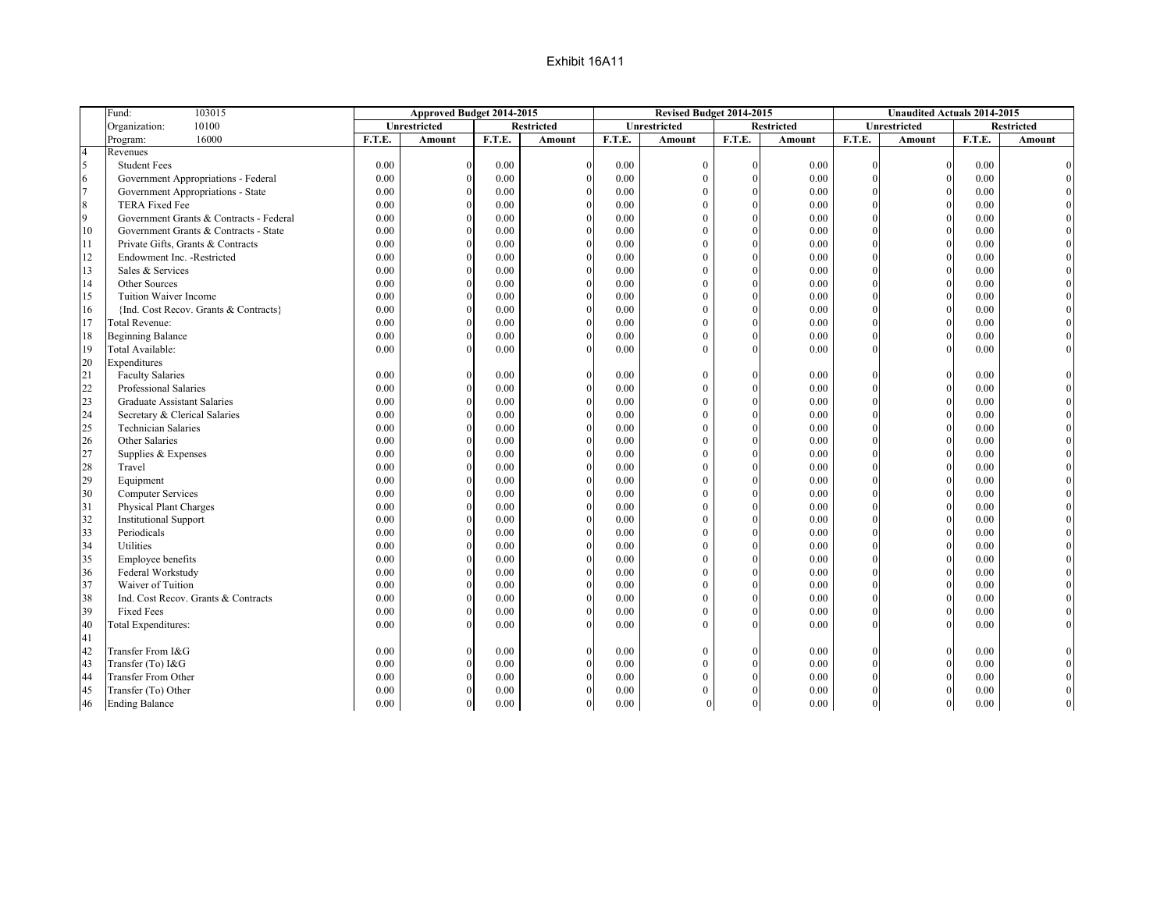|                | Fund:<br>103015                         |        | Approved Budget 2014-2015 |        |                   |        | Revised Budget 2014-2015 |          |                   |          | <b>Unaudited Actuals 2014-2015</b> |        |                   |
|----------------|-----------------------------------------|--------|---------------------------|--------|-------------------|--------|--------------------------|----------|-------------------|----------|------------------------------------|--------|-------------------|
|                | 10100<br>Organization:                  |        | Unrestricted              |        | <b>Restricted</b> |        | Unrestricted             |          | <b>Restricted</b> |          | Unrestricted                       |        | <b>Restricted</b> |
|                | 16000<br>Program:                       | F.T.E. | <b>Amount</b>             | F.T.E. | <b>Amount</b>     | F.T.E. | <b>Amount</b>            | F.T.E.   | <b>Amount</b>     | F.T.E.   | Amount                             | F.T.E. | <b>Amount</b>     |
| $\overline{4}$ | Revenues                                |        |                           |        |                   |        |                          |          |                   |          |                                    |        |                   |
| 5              | <b>Student Fees</b>                     | 0.00   |                           | 0.00   |                   | 0.00   | $\mathbf{0}$             | $\Omega$ | 0.00              | $\Omega$ | $\theta$                           | 0.00   |                   |
| 6              | Government Appropriations - Federal     | 0.00   | $\theta$                  | 0.00   |                   | 0.00   | $\overline{0}$           |          | 0.00              |          | $\Omega$                           | 0.00   |                   |
| $\overline{7}$ | Government Appropriations - State       | 0.00   | $\Omega$                  | 0.00   |                   | 0.00   | $\theta$                 | $\Omega$ | 0.00              |          | $\Omega$                           | 0.00   |                   |
| $\,8\,$        | <b>TERA Fixed Fee</b>                   | 0.00   |                           | 0.00   |                   | 0.00   | $\theta$                 | $\Omega$ | 0.00              |          | $\Omega$                           | 0.00   |                   |
| 9              | Government Grants & Contracts - Federal | 0.00   | $\theta$                  | 0.00   |                   | 0.00   | $\mathbf{0}$             | $\theta$ | 0.00              |          | $\overline{0}$                     | 0.00   |                   |
| 10             | Government Grants & Contracts - State   | 0.00   |                           | 0.00   |                   | 0.00   | $\Omega$                 | $\Omega$ | 0.00              |          | $\Omega$                           | 0.00   |                   |
| 11             | Private Gifts, Grants & Contracts       | 0.00   |                           | 0.00   |                   | 0.00   | $\theta$                 | $\Omega$ | 0.00              |          | $\Omega$                           | 0.00   |                   |
| 12             | Endowment Inc. - Restricted             | 0.00   |                           | 0.00   |                   | 0.00   | $\theta$                 | $\Omega$ | 0.00              |          | $\theta$                           | 0.00   |                   |
| 13             | Sales & Services                        | 0.00   |                           | 0.00   |                   | 0.00   | $\theta$                 | $\Omega$ | 0.00              |          | $\Omega$                           | 0.00   |                   |
| 14             | Other Sources                           | 0.00   | $\Omega$                  | 0.00   | $\Omega$          | 0.00   | $\theta$                 | $\Omega$ | 0.00              |          | $\Omega$                           | 0.00   |                   |
| 15             | Tuition Waiver Income                   | 0.00   |                           | 0.00   |                   | 0.00   | $\theta$                 | $\theta$ | 0.00              |          | $\theta$                           | 0.00   |                   |
| 16             | {Ind. Cost Recov. Grants & Contracts}   | 0.00   |                           | 0.00   |                   | 0.00   | $\Omega$                 | $\Omega$ | 0.00              |          | $\Omega$                           | 0.00   |                   |
| 17             | Total Revenue:                          | 0.00   |                           | 0.00   |                   | 0.00   | $\mathbf{0}$             | $\Omega$ | 0.00              |          | $\theta$                           | 0.00   |                   |
| 18             | <b>Beginning Balance</b>                | 0.00   |                           | 0.00   |                   | 0.00   | $\theta$                 | $\Omega$ | 0.00              |          | $\Omega$                           | 0.00   |                   |
| 19             | Total Available:                        | 0.00   |                           | 0.00   |                   | 0.00   | $\Omega$                 | $\theta$ | 0.00              |          |                                    | 0.00   |                   |
| 20             | Expenditures                            |        |                           |        |                   |        |                          |          |                   |          |                                    |        |                   |
| 21             | <b>Faculty Salaries</b>                 | 0.00   |                           | 0.00   |                   | 0.00   | $\theta$                 | 0        | 0.00              |          | $\Omega$                           | 0.00   |                   |
| 22             | Professional Salaries                   | 0.00   | $\Omega$                  | 0.00   |                   | 0.00   | $\theta$                 |          | 0.00              |          | $\Omega$                           | 0.00   |                   |
| 23             | <b>Graduate Assistant Salaries</b>      | 0.00   |                           | 0.00   |                   | 0.00   | $\theta$                 | $\Omega$ | 0.00              |          | $\theta$                           | 0.00   |                   |
| 24             | Secretary & Clerical Salaries           | 0.00   |                           | 0.00   |                   | 0.00   | $\theta$                 | $\theta$ | 0.00              |          | $\Omega$                           | 0.00   |                   |
| 25             | <b>Technician Salaries</b>              | 0.00   | $\Omega$                  | 0.00   | $\Omega$          | 0.00   | $\theta$                 | $\Omega$ | 0.00              |          | $\Omega$                           | 0.00   |                   |
| 26             | Other Salaries                          | 0.00   |                           | 0.00   |                   | 0.00   | $\theta$                 | $\Omega$ | 0.00              |          | $\Omega$                           | 0.00   |                   |
| 27             | Supplies & Expenses                     | 0.00   |                           | 0.00   |                   | 0.00   | $\theta$                 | $\Omega$ | 0.00              |          | $\Omega$                           | 0.00   |                   |
| 28             | Travel                                  | 0.00   |                           | 0.00   |                   | 0.00   |                          | $\Omega$ | 0.00              |          | $\Omega$                           | 0.00   |                   |
|                |                                         |        |                           |        |                   |        |                          |          |                   |          |                                    |        |                   |
| 29             | Equipment                               | 0.00   | $\theta$                  | 0.00   |                   | 0.00   | $\theta$                 | $\Omega$ | 0.00              |          | $\Omega$<br>$\Omega$               | 0.00   |                   |
| 30             | <b>Computer Services</b>                | 0.00   |                           | 0.00   |                   | 0.00   | $\theta$                 | $\Omega$ | 0.00              |          |                                    | 0.00   |                   |
| 31             | Physical Plant Charges                  | 0.00   | $\Omega$                  | 0.00   |                   | 0.00   | $\theta$                 | $\Omega$ | 0.00              |          | $\theta$                           | 0.00   |                   |
| 32             | <b>Institutional Support</b>            | 0.00   |                           | 0.00   |                   | 0.00   | $\theta$                 | $\Omega$ | 0.00              |          | $\Omega$                           | 0.00   |                   |
| 33             | Periodicals                             | 0.00   | $\theta$                  | 0.00   | $\Omega$          | 0.00   | $\theta$                 | $\Omega$ | 0.00              |          | $\Omega$                           | 0.00   |                   |
| 34             | Utilities                               | 0.00   |                           | 0.00   |                   | 0.00   | $\Omega$                 | $\Omega$ | 0.00              |          | $\Omega$                           | 0.00   |                   |
| 35             | Employee benefits                       | 0.00   | $\Omega$                  | 0.00   |                   | 0.00   | $\theta$                 | $\Omega$ | 0.00              |          | $\Omega$                           | 0.00   |                   |
| 36             | Federal Workstudy                       | 0.00   | $\theta$                  | 0.00   |                   | 0.00   | $\theta$                 | $\Omega$ | 0.00              |          | $\Omega$                           | 0.00   |                   |
| 37             | Waiver of Tuition                       | 0.00   |                           | 0.00   |                   | 0.00   | $\theta$                 | $\Omega$ | 0.00              |          | $\Omega$                           | 0.00   |                   |
| 38             | Ind. Cost Recov. Grants & Contracts     | 0.00   |                           | 0.00   |                   | 0.00   | $\mathbf{0}$             | $\Omega$ | 0.00              |          | $\Omega$                           | 0.00   |                   |
| 39             | <b>Fixed Fees</b>                       | 0.00   |                           | 0.00   |                   | 0.00   | $\theta$                 | $\Omega$ | 0.00              |          | $\Omega$                           | 0.00   |                   |
| 40             | <b>Total Expenditures:</b>              | 0.00   |                           | 0.00   |                   | 0.00   | $\Omega$                 | $\Omega$ | 0.00              |          |                                    | 0.00   |                   |
| 41             |                                         |        |                           |        |                   |        |                          |          |                   |          |                                    |        |                   |
| 42             | Transfer From I&G                       | 0.00   |                           | 0.00   |                   | 0.00   | $\theta$                 |          | 0.00              |          | $\Omega$                           | 0.00   |                   |
| 43             | Transfer (To) I&G                       | 0.00   |                           | 0.00   |                   | 0.00   | $\Omega$                 |          | 0.00              |          | $\Omega$                           | 0.00   |                   |
| 44             | Transfer From Other                     | 0.00   |                           | 0.00   |                   | 0.00   |                          |          | 0.00              |          | $\Omega$                           | 0.00   |                   |
| 45             | Transfer (To) Other                     | 0.00   |                           | 0.00   |                   | 0.00   | $\Omega$                 |          | 0.00              |          | $\Omega$                           | 0.00   |                   |
| 46             | <b>Ending Balance</b>                   | 0.00   | $\theta$                  | 0.00   | $\theta$          | 0.00   | $\mathbf{0}$             | $\Omega$ | 0.00              | $\Omega$ | $\Omega$                           | 0.00   |                   |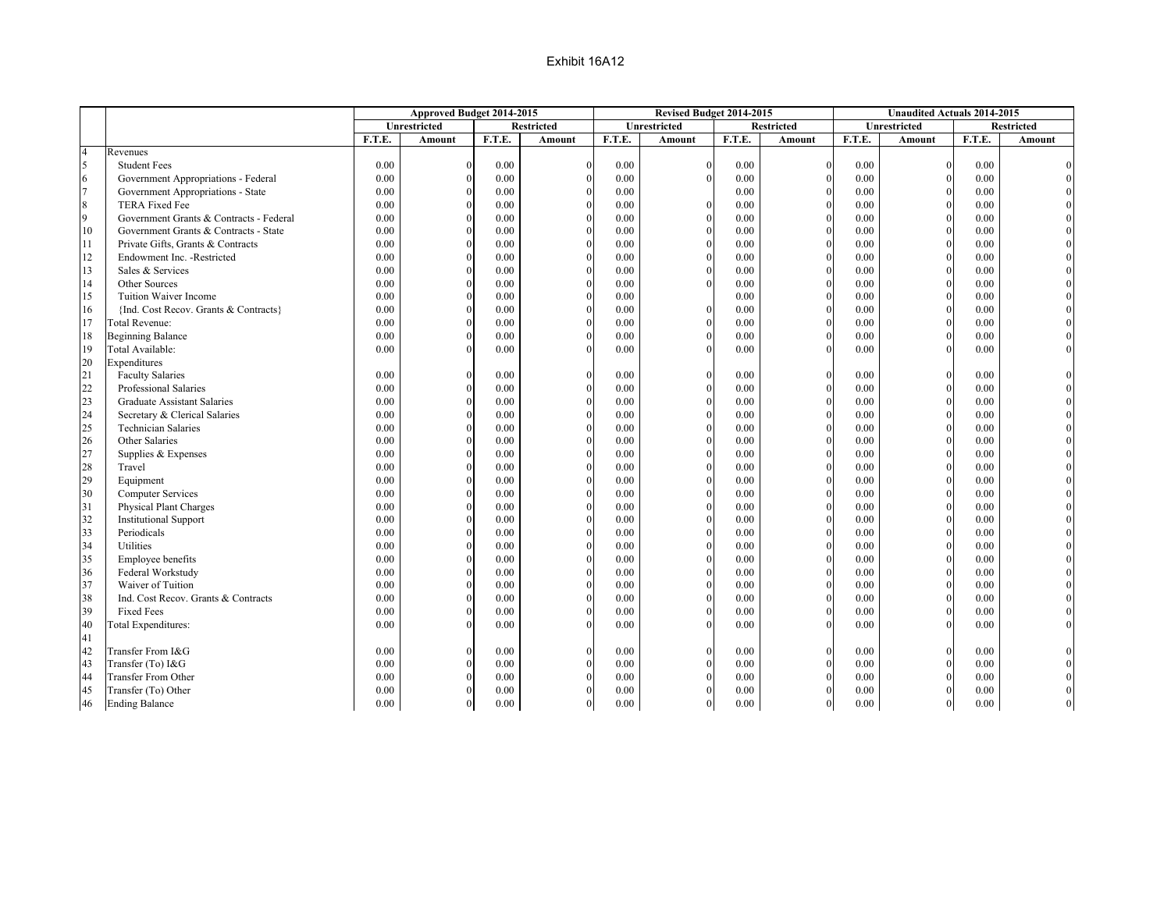|                |                                         |        | Approved Budget 2014-2015 |          |                   |        | Revised Budget 2014-2015 |        |                   |        | <b>Unaudited Actuals 2014-2015</b> |        |                   |
|----------------|-----------------------------------------|--------|---------------------------|----------|-------------------|--------|--------------------------|--------|-------------------|--------|------------------------------------|--------|-------------------|
|                |                                         |        | Unrestricted              |          | <b>Restricted</b> |        | <b>Unrestricted</b>      |        | <b>Restricted</b> |        | <b>Unrestricted</b>                |        | <b>Restricted</b> |
|                |                                         | F.T.E. | Amount                    | F.T.E.   | Amount            | F.T.E. | Amount                   | F.T.E. | Amount            | F.T.E. | Amount                             | F.T.E. | Amount            |
| $\overline{4}$ | Revenues                                |        |                           |          |                   |        |                          |        |                   |        |                                    |        |                   |
| 5              | <b>Student Fees</b>                     | 0.00   | $\Omega$                  | 0.00     | $\Omega$          | 0.00   |                          | 0.00   | $\Omega$          | 0.00   | $\mathbf{0}$                       | 0.00   |                   |
| 6              | Government Appropriations - Federal     | 0.00   |                           | 0.00     |                   | 0.00   |                          | 0.00   | $\Omega$          | 0.00   | $\mathbf{0}$                       | 0.00   |                   |
| $\tau$         | Government Appropriations - State       | 0.00   |                           | 0.00     |                   | 0.00   |                          | 0.00   | $\Omega$          | 0.00   | $\mathbf{0}$                       | 0.00   |                   |
| 8              | <b>TERA Fixed Fee</b>                   | 0.00   |                           | 0.00     |                   | 0.00   |                          | 0.00   | $\Omega$          | 0.00   | $\theta$                           | 0.00   |                   |
| 9              | Government Grants & Contracts - Federal | 0.00   |                           | 0.00     |                   | 0.00   |                          | 0.00   | $\Omega$          | 0.00   | $\mathbf{0}$                       | 0.00   |                   |
| 10             | Government Grants & Contracts - State   | 0.00   |                           | 0.00     |                   | 0.00   |                          | 0.00   | $\Omega$          | 0.00   | $\overline{0}$                     | 0.00   |                   |
| 11             | Private Gifts, Grants & Contracts       | 0.00   |                           | 0.00     |                   | 0.00   |                          | 0.00   | $\Omega$          | 0.00   | $\mathbf{0}$                       | 0.00   |                   |
| 12             | Endowment Inc. - Restricted             | 0.00   |                           | 0.00     |                   | 0.00   |                          | 0.00   | $\Omega$          | 0.00   | $\mathbf{0}$                       | 0.00   |                   |
| 13             | Sales & Services                        | 0.00   |                           | 0.00     |                   | 0.00   |                          | 0.00   | $\Omega$          | 0.00   | $\theta$                           | 0.00   |                   |
| 14             | Other Sources                           | 0.00   |                           | 0.00     |                   | 0.00   |                          | 0.00   | $\mathbf{0}$      | 0.00   | $\mathbf{0}$                       | 0.00   |                   |
| 15             | Tuition Waiver Income                   | 0.00   |                           | 0.00     |                   | 0.00   |                          | 0.00   | $\Omega$          | 0.00   | $\mathbf{0}$                       | 0.00   |                   |
| 16             | {Ind. Cost Recov. Grants & Contracts}   | 0.00   |                           | 0.00     |                   | 0.00   |                          | 0.00   | $\Omega$          | 0.00   | $\mathbf{0}$                       | 0.00   |                   |
| 17             | <b>Total Revenue:</b>                   | 0.00   |                           | 0.00     |                   | 0.00   |                          | 0.00   | $\Omega$          | 0.00   | $\mathbf{0}$                       | 0.00   |                   |
| 18             | <b>Beginning Balance</b>                | 0.00   |                           | 0.00     |                   | 0.00   |                          | 0.00   | $\Omega$          | 0.00   | $\mathbf{0}$                       | 0.00   |                   |
| 19             | Total Available:                        | 0.00   |                           | 0.00     |                   | 0.00   |                          | 0.00   | $\Omega$          | 0.00   | $\mathbf{0}$                       | 0.00   |                   |
| 20             | Expenditures                            |        |                           |          |                   |        |                          |        |                   |        |                                    |        |                   |
| 21             | <b>Faculty Salaries</b>                 | 0.00   |                           | 0.00     | $\Omega$          | 0.00   |                          | 0.00   | $\Omega$          | 0.00   | $\mathbf{0}$                       | 0.00   |                   |
| 22             | Professional Salaries                   | 0.00   |                           | 0.00     |                   | 0.00   |                          | 0.00   | $\Omega$          | 0.00   | $\mathbf{0}$                       | 0.00   |                   |
| 23             | <b>Graduate Assistant Salaries</b>      | 0.00   |                           | 0.00     |                   | 0.00   |                          | 0.00   | $\Omega$          | 0.00   | $\mathbf{0}$                       | 0.00   |                   |
| 24             | Secretary & Clerical Salaries           | 0.00   |                           | 0.00     | $\theta$          | 0.00   |                          | 0.00   | $\theta$          | 0.00   | $\boldsymbol{0}$                   | 0.00   |                   |
| 25             | <b>Technician Salaries</b>              | 0.00   |                           | 0.00     |                   | 0.00   |                          | 0.00   | $\Omega$          | 0.00   | $\mathbf{0}$                       | 0.00   |                   |
| 26             | Other Salaries                          | 0.00   |                           | 0.00     |                   | 0.00   |                          | 0.00   | $\Omega$          | 0.00   | $\mathbf{0}$                       | 0.00   |                   |
| 27             | Supplies & Expenses                     | 0.00   |                           | 0.00     |                   | 0.00   |                          | 0.00   | $\Omega$          | 0.00   | $\mathbf{0}$                       | 0.00   |                   |
| 28             | Travel                                  | 0.00   |                           | 0.00     |                   | 0.00   |                          | 0.00   | $\Omega$          | 0.00   | $\boldsymbol{0}$                   | 0.00   |                   |
| 29             | Equipment                               | 0.00   |                           | 0.00     |                   | 0.00   |                          | 0.00   | $\theta$          | 0.00   | $\boldsymbol{0}$                   | 0.00   |                   |
| 30             | <b>Computer Services</b>                | 0.00   |                           | 0.00     |                   | 0.00   |                          | 0.00   | $\Omega$          | 0.00   | $\mathbf{0}$                       | 0.00   |                   |
| 31             | Physical Plant Charges                  | 0.00   |                           | 0.00     |                   | 0.00   |                          | 0.00   | $\Omega$          | 0.00   | $\theta$                           | 0.00   |                   |
| 32             | <b>Institutional Support</b>            | 0.00   |                           | 0.00     |                   | 0.00   |                          | 0.00   | $\Omega$          | 0.00   | $\boldsymbol{0}$                   | 0.00   |                   |
| 33             | Periodicals                             | 0.00   |                           | 0.00     |                   | 0.00   |                          | 0.00   | $\Omega$          | 0.00   | $\boldsymbol{0}$                   | 0.00   |                   |
| 34             | Utilities                               | 0.00   |                           | 0.00     |                   | 0.00   |                          | 0.00   | $\Omega$          | 0.00   | $\boldsymbol{0}$                   | 0.00   |                   |
| 35             | Employee benefits                       | 0.00   |                           | 0.00     |                   | 0.00   |                          | 0.00   | $\Omega$          | 0.00   | $\mathbf{0}$                       | 0.00   |                   |
| 36             | Federal Workstudy                       | 0.00   |                           | 0.00     |                   | 0.00   |                          | 0.00   | $\Omega$          | 0.00   | $\theta$                           | 0.00   |                   |
| 37             | Waiver of Tuition                       | 0.00   |                           | 0.00     |                   | 0.00   |                          | 0.00   | $\Omega$          | 0.00   | $\boldsymbol{0}$                   | 0.00   |                   |
| 38             | Ind. Cost Recov. Grants & Contracts     | 0.00   |                           | 0.00     |                   | 0.00   |                          | 0.00   | $\Omega$          | 0.00   | $\mathbf{0}$                       | 0.00   |                   |
| 39             | <b>Fixed Fees</b>                       | 0.00   |                           | 0.00     |                   | 0.00   |                          | 0.00   | $\theta$          | 0.00   | $\mathbf{0}$                       | 0.00   |                   |
| 40             | Total Expenditures:                     | 0.00   |                           | 0.00     |                   | 0.00   |                          | 0.00   | $\Omega$          | 0.00   | $\theta$                           | 0.00   |                   |
| 41             |                                         |        |                           |          |                   |        |                          |        |                   |        |                                    |        |                   |
| 42             | Transfer From I&G                       | 0.00   |                           | 0.00     | $\Omega$          | 0.00   |                          | 0.00   | $\Omega$          | 0.00   | $\boldsymbol{0}$                   | 0.00   |                   |
| 43             | Transfer (To) I&G                       | 0.00   |                           | 0.00     | $\Omega$          | 0.00   |                          | 0.00   | $\Omega$          | 0.00   | $\mathbf{0}$                       | 0.00   |                   |
| 44             | Transfer From Other                     | 0.00   | $\Omega$                  | 0.00     |                   | 0.00   |                          | 0.00   | $\mathbf{0}$      | 0.00   | $\boldsymbol{0}$                   | 0.00   |                   |
| 45             | Transfer (To) Other                     | 0.00   |                           | 0.00     |                   | 0.00   |                          | 0.00   | $\theta$          | 0.00   | $\mathbf{0}$                       | 0.00   |                   |
| 46             | <b>Ending Balance</b>                   | 0.00   | $\mathbf{0}$              | $0.00\,$ | $\mathbf{0}$      | 0.00   | $\mathbf{0}$             | 0.00   | $\boldsymbol{0}$  | 0.00   | $\vert$                            | 0.00   |                   |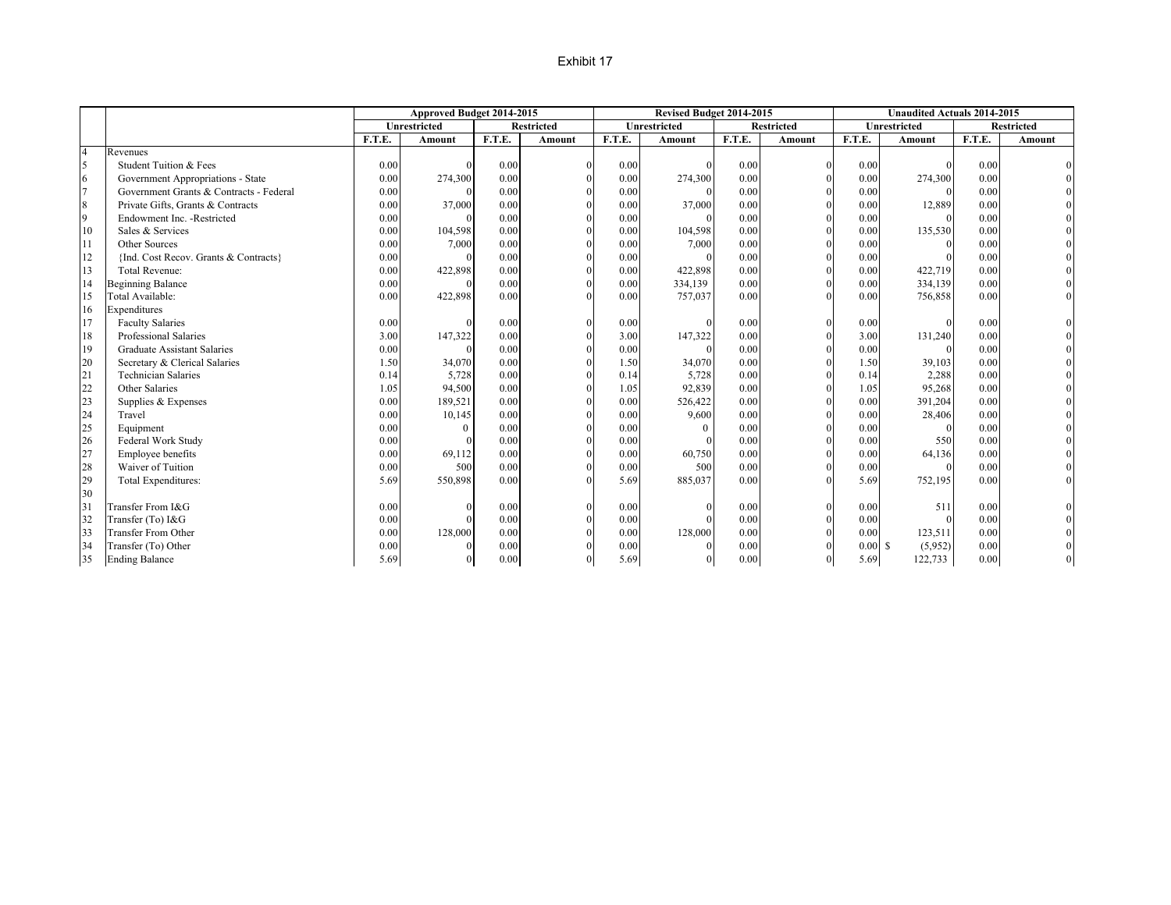### Exhibit 17

|                |                                         |        | Approved Budget 2014-2015 |        |                   |        | Revised Budget 2014-2015 |        |                   |        | <b>Unaudited Actuals 2014-2015</b> |        |                   |
|----------------|-----------------------------------------|--------|---------------------------|--------|-------------------|--------|--------------------------|--------|-------------------|--------|------------------------------------|--------|-------------------|
|                |                                         |        | Unrestricted              |        | <b>Restricted</b> |        | <b>Unrestricted</b>      |        | <b>Restricted</b> |        | Unrestricted                       |        | <b>Restricted</b> |
|                |                                         | F.T.E. | Amount                    | F.T.E. | Amount            | F.T.E. | Amount                   | F.T.E. | Amount            | F.T.E. | Amount                             | F.T.E. | Amount            |
| $\overline{4}$ | Revenues                                |        |                           |        |                   |        |                          |        |                   |        |                                    |        |                   |
| 5              | Student Tuition & Fees                  | 0.00   |                           | 0.00   |                   | 0.00   | $\Omega$                 | 0.00   | $\overline{0}$    | 0.00   | $\Omega$                           | 0.00   |                   |
| 6              | Government Appropriations - State       | 0.00   | 274,300                   | 0.00   |                   | 0.00   | 274,300                  | 0.00   | $\Omega$          | 0.00   | 274,300                            | 0.00   |                   |
| $\overline{7}$ | Government Grants & Contracts - Federal | 0.00   |                           | 0.00   |                   | 0.00   |                          | 0.00   | $\Omega$          | 0.00   | $\Omega$                           | 0.00   |                   |
| 8              | Private Gifts, Grants & Contracts       | 0.00   | 37,000                    | 0.00   |                   | 0.00   | 37,000                   | 0.00   | $\Omega$          | 0.00   | 12,889                             | 0.00   |                   |
| 9              | Endowment Inc. - Restricted             | 0.00   |                           | 0.00   |                   | 0.00   | $\Omega$                 | 0.00   | $\mathbf{0}$      | 0.00   | $\Omega$                           | 0.00   |                   |
| 10             | Sales & Services                        | 0.00   | 104,598                   | 0.00   |                   | 0.00   | 104,598                  | 0.00   | $\Omega$          | 0.00   | 135,530                            | 0.00   |                   |
| 11             | Other Sources                           | 0.00   | 7,000                     | 0.00   |                   | 0.00   | 7,000                    | 0.00   | $\mathbf{0}$      | 0.00   |                                    | 0.00   |                   |
| 12             | {Ind. Cost Recov. Grants & Contracts}   | 0.00   |                           | 0.00   |                   | 0.00   |                          | 0.00   | $\mathbf{0}$      | 0.00   |                                    | 0.00   |                   |
| 13             | <b>Total Revenue:</b>                   | 0.00   | 422,898                   | 0.00   |                   | 0.00   | 422,898                  | 0.00   | $\mathbf{0}$      | 0.00   | 422,719                            | 0.00   |                   |
| 14             | <b>Beginning Balance</b>                | 0.00   |                           | 0.00   |                   | 0.00   | 334,139                  | 0.00   | $\mathbf{0}$      | 0.00   | 334,139                            | 0.00   |                   |
| 15             | Total Available:                        | 0.00   | 422,898                   | 0.00   |                   | 0.00   | 757,037                  | 0.00   | $\Omega$          | 0.00   | 756,858                            | 0.00   |                   |
| 16             | Expenditures                            |        |                           |        |                   |        |                          |        |                   |        |                                    |        |                   |
| 17             | <b>Faculty Salaries</b>                 | 0.00   |                           | 0.00   |                   | 0.00   | $\Omega$                 | 0.00   | $\Omega$          | 0.00   |                                    | 0.00   |                   |
| 18             | Professional Salaries                   | 3.00   | 147,322                   | 0.00   |                   | 3.00   | 147,322                  | 0.00   | $\mathbf{0}$      | 3.00   | 131,240                            | 0.00   |                   |
| 19             | <b>Graduate Assistant Salaries</b>      | 0.00   |                           | 0.00   |                   | 0.00   |                          | 0.00   | $\Omega$          | 0.00   |                                    | 0.00   |                   |
| 20             | Secretary & Clerical Salaries           | 1.50   | 34,070                    | 0.00   |                   | 1.50   | 34,070                   | 0.00   | $\Omega$          | 1.50   | 39,103                             | 0.00   |                   |
| 21             | <b>Technician Salaries</b>              | 0.14   | 5,728                     | 0.00   |                   | 0.14   | 5,728                    | 0.00   | $\Omega$          | 0.14   | 2,288                              | 0.00   |                   |
| 22             | Other Salaries                          | 1.05   | 94,500                    | 0.00   |                   | 1.05   | 92,839                   | 0.00   | $\mathbf{0}$      | 1.05   | 95,268                             | 0.00   |                   |
| 23             | Supplies & Expenses                     | 0.00   | 189,521                   | 0.00   |                   | 0.00   | 526,422                  | 0.00   | $\Omega$          | 0.00   | 391,204                            | 0.00   |                   |
| 24             | Travel                                  | 0.00   | 10,145                    | 0.00   |                   | 0.00   | 9,600                    | 0.00   | $\Omega$          | 0.00   | 28,406                             | 0.00   |                   |
| 25             | Equipment                               | 0.00   |                           | 0.00   |                   | 0.00   | $\Omega$                 | 0.00   | $\Omega$          | 0.00   | $\Omega$                           | 0.00   |                   |
| 26             | Federal Work Study                      | 0.00   |                           | 0.00   |                   | 0.00   |                          | 0.00   | $\mathbf{0}$      | 0.00   | 550                                | 0.00   |                   |
| 27             | Employee benefits                       | 0.00   | 69,112                    | 0.00   |                   | 0.00   | 60,750                   | 0.00   | $\mathbf{0}$      | 0.00   | 64,136                             | 0.00   |                   |
| 28             | Waiver of Tuition                       | 0.00   | 500                       | 0.00   |                   | 0.00   | 500                      | 0.00   | $\mathbf{0}$      | 0.00   | $\Omega$                           | 0.00   |                   |
| 29             | Total Expenditures:                     | 5.69   | 550,898                   | 0.00   |                   | 5.69   | 885,037                  | 0.00   | $\Omega$          | 5.69   | 752,195                            | 0.00   |                   |
| 30             |                                         |        |                           |        |                   |        |                          |        |                   |        |                                    |        |                   |
| 31             | Transfer From I&G                       | 0.00   |                           | 0.00   |                   | 0.00   | $\theta$                 | 0.00   | $\mathbf{0}$      | 0.00   | 511                                | 0.00   |                   |
| 32             | Transfer (To) I&G                       | 0.00   |                           | 0.00   |                   | 0.00   |                          | 0.00   | $\Omega$          | 0.00   |                                    | 0.00   |                   |
| 33             | <b>Transfer From Other</b>              | 0.00   | 128,000                   | 0.00   |                   | 0.00   | 128,000                  | 0.00   | $\Omega$          | 0.00   | 123,511                            | 0.00   |                   |
| 34             | Transfer (To) Other                     | 0.00   |                           | 0.00   |                   | 0.00   | $\Omega$                 | 0.00   | $\Omega$          | 0.00S  | (5,952)                            | 0.00   |                   |
| 35             | <b>Ending Balance</b>                   | 5.69   | $\theta$                  | 0.00   |                   | 5.69   | $\mathbf{0}$             | 0.00   | $\mathbf{0}$      | 5.69   | 122,733                            | 0.00   |                   |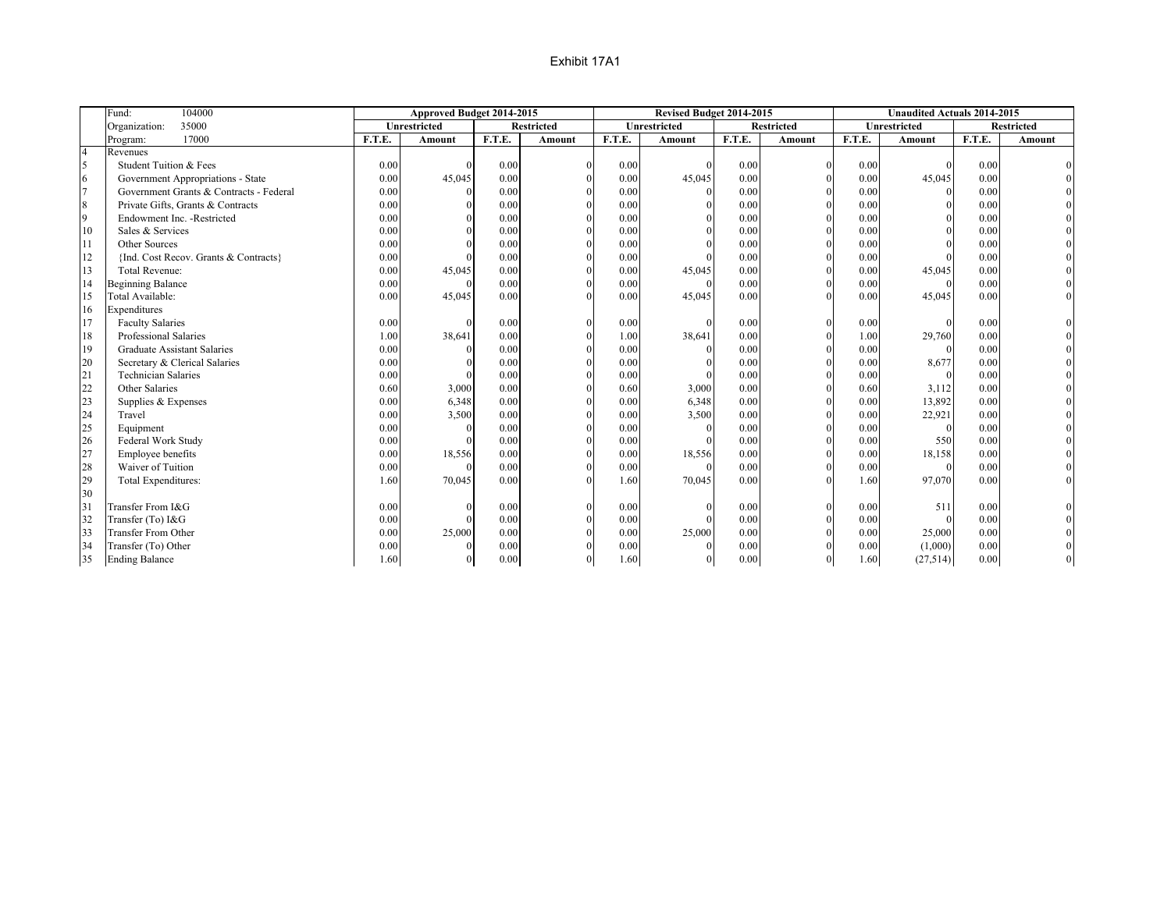|                          | 104000<br>Fund:                         |        | Approved Budget 2014-2015 |        |                   |        | Revised Budget 2014-2015 |        |                   |        | <b>Unaudited Actuals 2014-2015</b> |        |                   |
|--------------------------|-----------------------------------------|--------|---------------------------|--------|-------------------|--------|--------------------------|--------|-------------------|--------|------------------------------------|--------|-------------------|
|                          | 35000<br>Organization:                  |        | <b>Unrestricted</b>       |        | <b>Restricted</b> |        | Unrestricted             |        | <b>Restricted</b> |        | Unrestricted                       |        | <b>Restricted</b> |
|                          | 17000<br>Program:                       | F.T.E. | <b>Amount</b>             | F.T.E. | Amount            | F.T.E. | <b>Amount</b>            | F.T.E. | Amount            | F.T.E. | <b>Amount</b>                      | F.T.E. | Amount            |
| $\overline{4}$           | Revenues                                |        |                           |        |                   |        |                          |        |                   |        |                                    |        |                   |
| $\overline{\phantom{a}}$ | Student Tuition & Fees                  | 0.00   | $\Omega$                  | 0.00   |                   | 0.00   |                          | 0.00   |                   | 0.00   | $\Omega$                           | 0.00   |                   |
| 6                        | Government Appropriations - State       | 0.00   | 45,045                    | 0.00   |                   | 0.00   | 45,045                   | 0.00   |                   | 0.00   | 45,045                             | 0.00   |                   |
| $\overline{7}$           | Government Grants & Contracts - Federal | 0.00   | $\Omega$                  | 0.00   |                   | 0.00   |                          | 0.00   |                   | 0.00   | $\Omega$                           | 0.00   |                   |
| $\boldsymbol{8}$         | Private Gifts, Grants & Contracts       | 0.00   |                           | 0.00   |                   | 0.00   |                          | 0.00   |                   | 0.00   |                                    | 0.00   |                   |
| $\overline{9}$           | Endowment Inc. - Restricted             | 0.00   |                           | 0.00   |                   | 0.00   |                          | 0.00   |                   | 0.00   |                                    | 0.00   |                   |
| 10                       | Sales & Services                        | 0.00   |                           | 0.00   |                   | 0.00   |                          | 0.00   |                   | 0.00   |                                    | 0.00   |                   |
| 11                       | Other Sources                           | 0.00   |                           | 0.00   |                   | 0.00   |                          | 0.00   |                   | 0.00   |                                    | 0.00   |                   |
| 12                       | {Ind. Cost Recov. Grants & Contracts}   | 0.00   |                           | 0.00   |                   | 0.00   |                          | 0.00   |                   | 0.00   |                                    | 0.00   |                   |
| 13                       | Total Revenue:                          | 0.00   | 45,045                    | 0.00   |                   | 0.00   | 45,045                   | 0.00   | $\Omega$          | 0.00   | 45,045                             | 0.00   |                   |
| 14                       | <b>Beginning Balance</b>                | 0.00   | $\Omega$                  | 0.00   |                   | 0.00   |                          | 0.00   | $\Omega$          | 0.00   | $\Omega$                           | 0.00   |                   |
| 15                       | Total Available:                        | 0.00   | 45,045                    | 0.00   |                   | 0.00   | 45,045                   | 0.00   |                   | 0.00   | 45,045                             | 0.00   |                   |
| 16                       | Expenditures                            |        |                           |        |                   |        |                          |        |                   |        |                                    |        |                   |
| 17                       | <b>Faculty Salaries</b>                 | 0.00   |                           | 0.00   |                   | 0.00   |                          | 0.00   |                   | 0.00   |                                    | 0.00   |                   |
| 18                       | Professional Salaries                   | 1.00   | 38,641                    | 0.00   |                   | 1.00   | 38,641                   | 0.00   |                   | 1.00   | 29,760                             | 0.00   |                   |
| 19                       | <b>Graduate Assistant Salaries</b>      | 0.00   | $\Omega$                  | 0.00   |                   | 0.00   |                          | 0.00   |                   | 0.00   | $\Omega$                           | 0.00   |                   |
| 20                       | Secretary & Clerical Salaries           | 0.00   |                           | 0.00   |                   | 0.00   |                          | 0.00   |                   | 0.00   | 8,677                              | 0.00   |                   |
| 21                       | <b>Technician Salaries</b>              | 0.00   | $\Omega$                  | 0.00   |                   | 0.00   |                          | 0.00   |                   | 0.00   | $\Omega$                           | 0.00   |                   |
| 22                       | Other Salaries                          | 0.60   | 3,000                     | 0.00   |                   | 0.60   | 3,000                    | 0.00   |                   | 0.60   | 3,112                              | 0.00   |                   |
| 23                       | Supplies & Expenses                     | 0.00   | 6,348                     | 0.00   |                   | 0.00   | 6,348                    | 0.00   |                   | 0.00   | 13,892                             | 0.00   |                   |
| 24                       | Travel                                  | 0.00   | 3,500                     | 0.00   |                   | 0.00   | 3,500                    | 0.00   |                   | 0.00   | 22,921                             | 0.00   |                   |
| 25                       | Equipment                               | 0.00   | $\Omega$                  | 0.00   |                   | 0.00   |                          | 0.00   |                   | 0.00   | $\Omega$                           | 0.00   |                   |
| 26                       | Federal Work Study                      | 0.00   |                           | 0.00   |                   | 0.00   |                          | 0.00   |                   | 0.00   | 550                                | 0.00   |                   |
| 27                       | Employee benefits                       | 0.00   | 18,556                    | 0.00   |                   | 0.00   | 18,556                   | 0.00   |                   | 0.00   | 18,158                             | 0.00   |                   |
| 28                       | Waiver of Tuition                       | 0.00   | $\Omega$                  | 0.00   |                   | 0.00   |                          | 0.00   |                   | 0.00   | $\Omega$                           | 0.00   |                   |
| 29                       | Total Expenditures:                     | 1.60   | 70,045                    | 0.00   |                   | 1.60   | 70,045                   | 0.00   |                   | 1.60   | 97,070                             | 0.00   |                   |
| 30                       |                                         |        |                           |        |                   |        |                          |        |                   |        |                                    |        |                   |
| 31                       | Transfer From I&G                       | 0.00   | $\Omega$                  | 0.00   |                   | 0.00   |                          | 0.00   |                   | 0.00   | 511                                | 0.00   |                   |
| 32                       | Transfer (To) I&G                       | 0.00   |                           | 0.00   |                   | 0.00   |                          | 0.00   |                   | 0.00   |                                    | 0.00   |                   |
| 33                       | <b>Transfer From Other</b>              | 0.00   | 25,000                    | 0.00   |                   | 0.00   | 25,000                   | 0.00   |                   | 0.00   | 25,000                             | 0.00   |                   |
| 34                       | Transfer (To) Other                     | 0.00   | $\Omega$                  | 0.00   |                   | 0.00   |                          | 0.00   |                   | 0.00   | (1,000)                            | 0.00   |                   |
| 35                       | <b>Ending Balance</b>                   | 1.60   | $\Omega$                  | 0.00   |                   | 1.60   |                          | 0.00   | $\theta$          | 1.60   | (27, 514)                          | 0.00   |                   |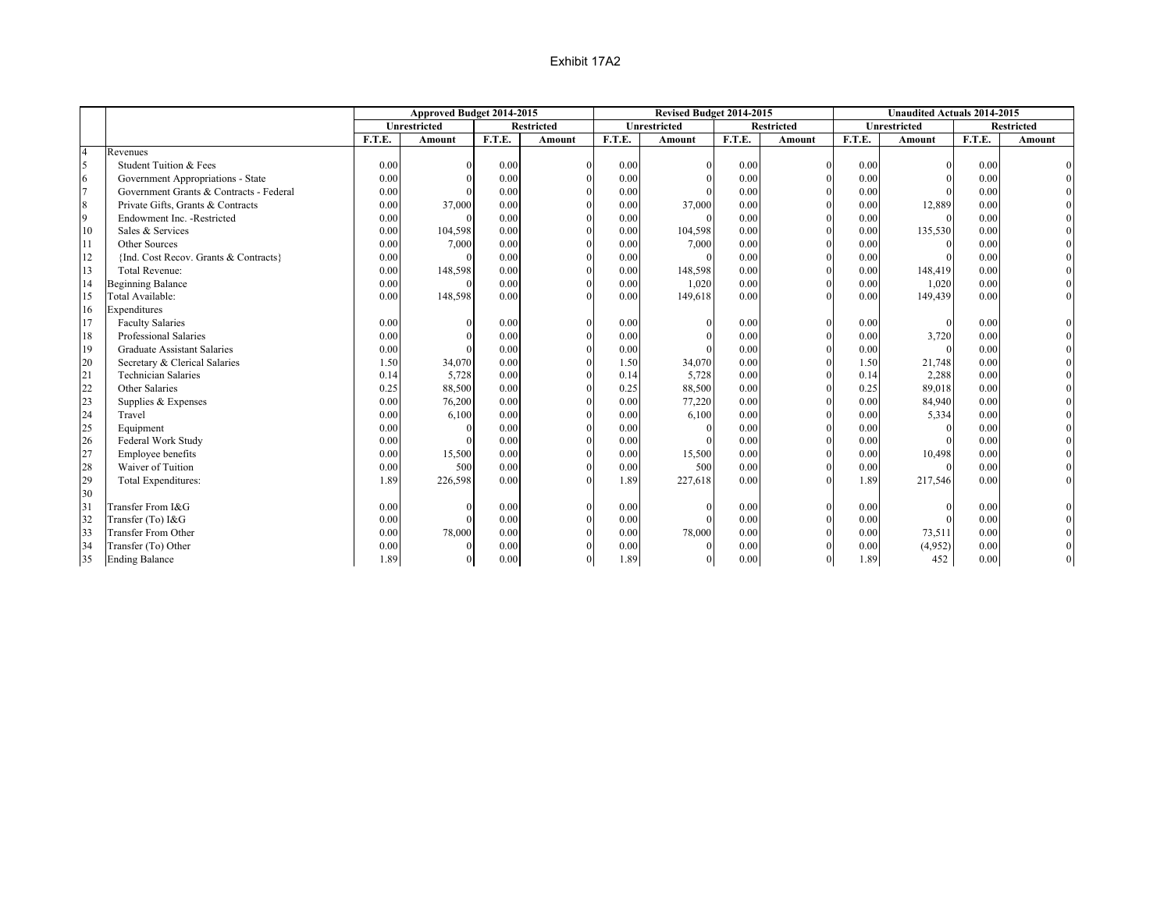|                  |                                         |        | Approved Budget 2014-2015 |        |                   |        | Revised Budget 2014-2015 |        |                   |        | <b>Unaudited Actuals 2014-2015</b> |        |                   |
|------------------|-----------------------------------------|--------|---------------------------|--------|-------------------|--------|--------------------------|--------|-------------------|--------|------------------------------------|--------|-------------------|
|                  |                                         |        | <b>Unrestricted</b>       |        | <b>Restricted</b> |        | <b>Unrestricted</b>      |        | <b>Restricted</b> |        | <b>Unrestricted</b>                |        | <b>Restricted</b> |
|                  |                                         | F.T.E. | Amount                    | F.T.E. | Amount            | F.T.E. | Amount                   | F.T.E. | Amount            | F.T.E. | Amount                             | F.T.E. | Amount            |
| $\overline{4}$   | Revenues                                |        |                           |        |                   |        |                          |        |                   |        |                                    |        |                   |
| 5                | Student Tuition & Fees                  | 0.00   |                           | 0.00   |                   | 0.00   |                          | 0.00   |                   | 0.00   | $\Omega$                           | 0.00   |                   |
| 6                | Government Appropriations - State       | 0.00   | $\Omega$                  | 0.00   |                   | 0.00   |                          | 0.00   |                   | 0.00   | $\Omega$                           | 0.00   |                   |
| $\overline{7}$   | Government Grants & Contracts - Federal | 0.00   |                           | 0.00   |                   | 0.00   |                          | 0.00   |                   | 0.00   |                                    | 0.00   |                   |
| $\boldsymbol{8}$ | Private Gifts, Grants & Contracts       | 0.00   | 37,000                    | 0.00   |                   | 0.00   | 37,000                   | 0.00   |                   | 0.00   | 12,889                             | 0.00   |                   |
| 9                | Endowment Inc. - Restricted             | 0.00   | $\Omega$                  | 0.00   |                   | 0.00   |                          | 0.00   |                   | 0.00   | $\Omega$                           | 0.00   |                   |
| 10               | Sales & Services                        | 0.00   | 104,598                   | 0.00   |                   | 0.00   | 104,598                  | 0.00   |                   | 0.00   | 135,530                            | 0.00   |                   |
| 11               | Other Sources                           | 0.00   | 7,000                     | 0.00   |                   | 0.00   | 7,000                    | 0.00   |                   | 0.00   |                                    | 0.00   |                   |
| 12               | {Ind. Cost Recov. Grants & Contracts}   | 0.00   | $\Omega$                  | 0.00   |                   | 0.00   |                          | 0.00   |                   | 0.00   |                                    | 0.00   |                   |
| 13               | <b>Total Revenue:</b>                   | 0.00   | 148,598                   | 0.00   |                   | 0.00   | 148,598                  | 0.00   | $\Omega$          | 0.00   | 148,419                            | 0.00   |                   |
| 14               | <b>Beginning Balance</b>                | 0.00   | $\Omega$                  | 0.00   |                   | 0.00   | 1,020                    | 0.00   |                   | 0.00   | 1,020                              | 0.00   |                   |
| 15               | Total Available:                        | 0.00   | 148,598                   | 0.00   |                   | 0.00   | 149,618                  | 0.00   |                   | 0.00   | 149,439                            | 0.00   |                   |
| 16               | Expenditures                            |        |                           |        |                   |        |                          |        |                   |        |                                    |        |                   |
| 17               | <b>Faculty Salaries</b>                 | 0.00   |                           | 0.00   |                   | 0.00   |                          | 0.00   |                   | 0.00   | $\Omega$                           | 0.00   |                   |
| 18               | Professional Salaries                   | 0.00   |                           | 0.00   |                   | 0.00   |                          | 0.00   |                   | 0.00   | 3,720                              | 0.00   |                   |
| 19               | <b>Graduate Assistant Salaries</b>      | 0.00   |                           | 0.00   |                   | 0.00   |                          | 0.00   |                   | 0.00   |                                    | 0.00   |                   |
| 20               | Secretary & Clerical Salaries           | 1.50   | 34,070                    | 0.00   |                   | 1.50   | 34,070                   | 0.00   |                   | 1.50   | 21,748                             | 0.00   |                   |
| 21               | <b>Technician Salaries</b>              | 0.14   | 5,728                     | 0.00   |                   | 0.14   | 5,728                    | 0.00   |                   | 0.14   | 2,288                              | 0.00   |                   |
| 22               | Other Salaries                          | 0.25   | 88,500                    | 0.00   |                   | 0.25   | 88,500                   | 0.00   |                   | 0.25   | 89,018                             | 0.00   |                   |
| 23               | Supplies & Expenses                     | 0.00   | 76,200                    | 0.00   |                   | 0.00   | 77,220                   | 0.00   |                   | 0.00   | 84,940                             | 0.00   |                   |
| 24               | Travel                                  | 0.00   | 6,100                     | 0.00   |                   | 0.00   | 6,100                    | 0.00   |                   | 0.00   | 5,334                              | 0.00   |                   |
| 25               | Equipment                               | 0.00   | $\Omega$                  | 0.00   |                   | 0.00   |                          | 0.00   |                   | 0.00   | $\Omega$                           | 0.00   |                   |
| 26               | Federal Work Study                      | 0.00   |                           | 0.00   |                   | 0.00   |                          | 0.00   |                   | 0.00   |                                    | 0.00   |                   |
| 27               | Employee benefits                       | 0.00   | 15,500                    | 0.00   |                   | 0.00   | 15,500                   | 0.00   |                   | 0.00   | 10,498                             | 0.00   |                   |
| 28               | Waiver of Tuition                       | 0.00   | 500                       | 0.00   |                   | 0.00   | 500                      | 0.00   |                   | 0.00   | $\Omega$                           | 0.00   |                   |
| 29               | Total Expenditures:                     | 1.89   | 226,598                   | 0.00   |                   | 1.89   | 227,618                  | 0.00   |                   | 1.89   | 217,546                            | 0.00   |                   |
| 30               |                                         |        |                           |        |                   |        |                          |        |                   |        |                                    |        |                   |
| 31               | Transfer From I&G                       | 0.00   | $\Omega$                  | 0.00   |                   | 0.00   | $\Omega$                 | 0.00   | $\theta$          | 0.00   |                                    | 0.00   |                   |
| 32               | Transfer (To) I&G                       | 0.00   | $\Omega$                  | 0.00   |                   | 0.00   |                          | 0.00   |                   | 0.00   |                                    | 0.00   |                   |
| 33               | <b>Transfer From Other</b>              | 0.00   | 78,000                    | 0.00   |                   | 0.00   | 78,000                   | 0.00   |                   | 0.00   | 73,511                             | 0.00   |                   |
| 34               | Transfer (To) Other                     | 0.00   | $\Omega$                  | 0.00   |                   | 0.00   | $\Omega$                 | 0.00   |                   | 0.00   | (4,952)                            | 0.00   |                   |
| 35               | <b>Ending Balance</b>                   | 1.89   | $\Omega$                  | 0.00   |                   | 1.89   | $\theta$                 | 0.00   | $\theta$          | 1.89   | 452                                | 0.00   |                   |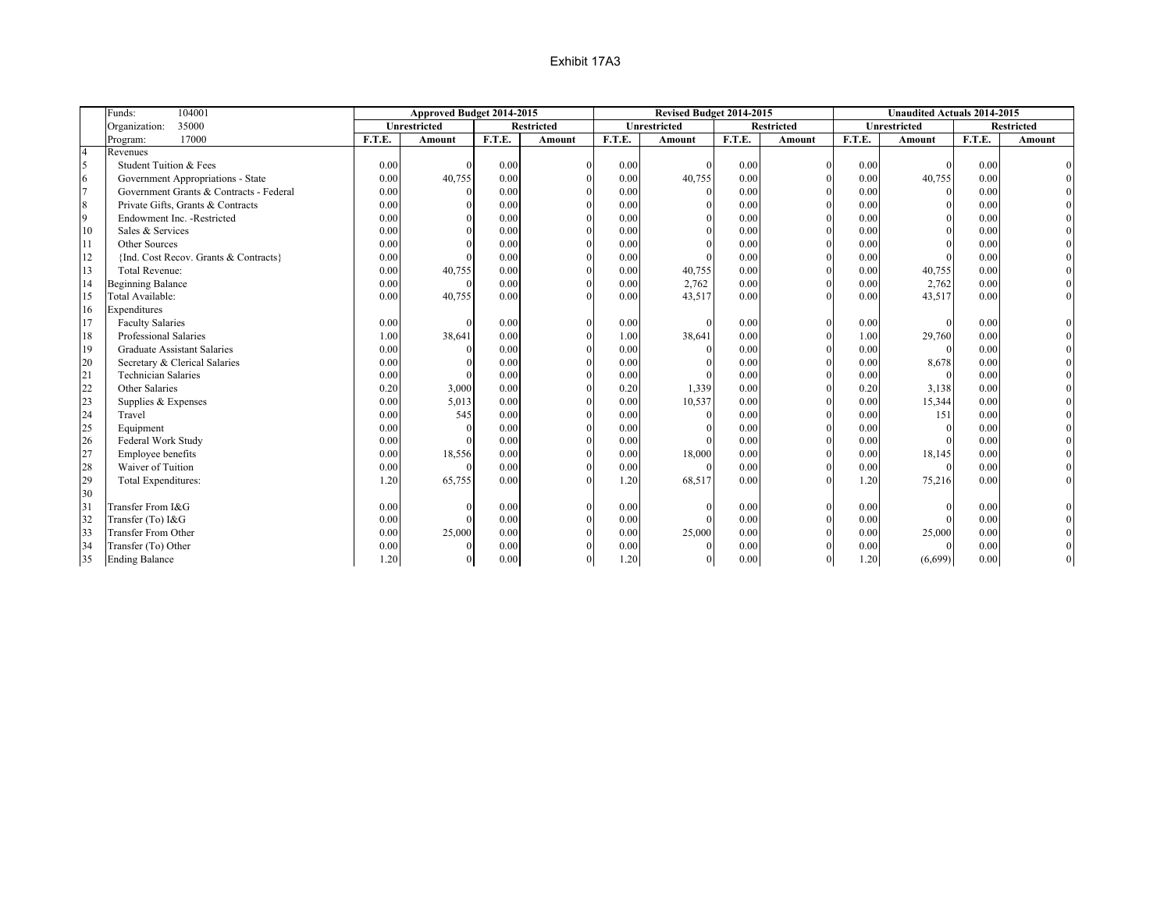|                          | 104001<br>Funds:                        |        | Approved Budget 2014-2015 |        |                   |        | Revised Budget 2014-2015 |        |                   |        | <b>Unaudited Actuals 2014-2015</b> |        |                   |
|--------------------------|-----------------------------------------|--------|---------------------------|--------|-------------------|--------|--------------------------|--------|-------------------|--------|------------------------------------|--------|-------------------|
|                          | 35000<br>Organization:                  |        | <b>Unrestricted</b>       |        | <b>Restricted</b> |        | Unrestricted             |        | <b>Restricted</b> |        | Unrestricted                       |        | <b>Restricted</b> |
|                          | 17000<br>Program:                       | F.T.E. | <b>Amount</b>             | F.T.E. | Amount            | F.T.E. | <b>Amount</b>            | F.T.E. | Amount            | F.T.E. | <b>Amount</b>                      | F.T.E. | Amount            |
| $\overline{4}$           | Revenues                                |        |                           |        |                   |        |                          |        |                   |        |                                    |        |                   |
| $\overline{\phantom{a}}$ | Student Tuition & Fees                  | 0.00   | $\Omega$                  | 0.00   |                   | 0.00   |                          | 0.00   |                   | 0.00   | $\Omega$                           | 0.00   |                   |
| 6                        | Government Appropriations - State       | 0.00   | 40,755                    | 0.00   |                   | 0.00   | 40,755                   | 0.00   |                   | 0.00   | 40,755                             | 0.00   |                   |
| $\overline{7}$           | Government Grants & Contracts - Federal | 0.00   | $\Omega$                  | 0.00   |                   | 0.00   |                          | 0.00   |                   | 0.00   | $\Omega$                           | 0.00   |                   |
| 8                        | Private Gifts, Grants & Contracts       | 0.00   |                           | 0.00   |                   | 0.00   |                          | 0.00   |                   | 0.00   |                                    | 0.00   |                   |
| $\overline{9}$           | Endowment Inc. - Restricted             | 0.00   |                           | 0.00   |                   | 0.00   |                          | 0.00   |                   | 0.00   |                                    | 0.00   |                   |
| 10                       | Sales & Services                        | 0.00   |                           | 0.00   |                   | 0.00   |                          | 0.00   |                   | 0.00   |                                    | 0.00   |                   |
| 11                       | Other Sources                           | 0.00   |                           | 0.00   |                   | 0.00   |                          | 0.00   |                   | 0.00   |                                    | 0.00   |                   |
| 12                       | {Ind. Cost Recov. Grants & Contracts}   | 0.00   |                           | 0.00   |                   | 0.00   |                          | 0.00   |                   | 0.00   |                                    | 0.00   |                   |
| 13                       | Total Revenue:                          | 0.00   | 40,755                    | 0.00   |                   | 0.00   | 40,755                   | 0.00   | $\Omega$          | 0.00   | 40,755                             | 0.00   |                   |
| 14                       | <b>Beginning Balance</b>                | 0.00   | $\Omega$                  | 0.00   |                   | 0.00   | 2,762                    | 0.00   | $\Omega$          | 0.00   | 2,762                              | 0.00   |                   |
| 15                       | Total Available:                        | 0.00   | 40,755                    | 0.00   |                   | 0.00   | 43,517                   | 0.00   |                   | 0.00   | 43,517                             | 0.00   |                   |
| 16                       | Expenditures                            |        |                           |        |                   |        |                          |        |                   |        |                                    |        |                   |
| 17                       | <b>Faculty Salaries</b>                 | 0.00   |                           | 0.00   |                   | 0.00   |                          | 0.00   |                   | 0.00   | $\Omega$                           | 0.00   |                   |
| 18                       | Professional Salaries                   | 1.00   | 38,641                    | 0.00   |                   | 1.00   | 38,641                   | 0.00   |                   | 1.00   | 29,760                             | 0.00   |                   |
| 19                       | <b>Graduate Assistant Salaries</b>      | 0.00   | $\Omega$                  | 0.00   |                   | 0.00   |                          | 0.00   |                   | 0.00   | $\Omega$                           | 0.00   |                   |
| 20                       | Secretary & Clerical Salaries           | 0.00   |                           | 0.00   |                   | 0.00   |                          | 0.00   |                   | 0.00   | 8,678                              | 0.00   |                   |
| 21                       | <b>Technician Salaries</b>              | 0.00   | $\Omega$                  | 0.00   |                   | 0.00   |                          | 0.00   |                   | 0.00   |                                    | 0.00   |                   |
| 22                       | Other Salaries                          | 0.20   | 3,000                     | 0.00   |                   | 0.20   | 1,339                    | 0.00   |                   | 0.20   | 3,138                              | 0.00   |                   |
| 23                       | Supplies & Expenses                     | 0.00   | 5,013                     | 0.00   |                   | 0.00   | 10,537                   | 0.00   |                   | 0.00   | 15,344                             | 0.00   |                   |
| 24                       | Travel                                  | 0.00   | 545                       | 0.00   |                   | 0.00   |                          | 0.00   |                   | 0.00   | 151                                | 0.00   |                   |
| 25                       | Equipment                               | 0.00   | $\Omega$                  | 0.00   |                   | 0.00   |                          | 0.00   |                   | 0.00   | $\Omega$                           | 0.00   |                   |
| 26                       | Federal Work Study                      | 0.00   |                           | 0.00   |                   | 0.00   |                          | 0.00   |                   | 0.00   |                                    | 0.00   |                   |
| 27                       | Employee benefits                       | 0.00   | 18,556                    | 0.00   |                   | 0.00   | 18,000                   | 0.00   |                   | 0.00   | 18,145                             | 0.00   |                   |
| 28                       | Waiver of Tuition                       | 0.00   | $\Omega$                  | 0.00   |                   | 0.00   |                          | 0.00   |                   | 0.00   | $\Omega$                           | 0.00   |                   |
| 29                       | Total Expenditures:                     | 1.20   | 65,755                    | 0.00   |                   | 1.20   | 68,517                   | 0.00   |                   | 1.20   | 75,216                             | 0.00   |                   |
| 30                       |                                         |        |                           |        |                   |        |                          |        |                   |        |                                    |        |                   |
| 31                       | Transfer From I&G                       | 0.00   | $\Omega$                  | 0.00   |                   | 0.00   |                          | 0.00   |                   | 0.00   |                                    | 0.00   |                   |
| 32                       | Transfer (To) I&G                       | 0.00   |                           | 0.00   |                   | 0.00   |                          | 0.00   |                   | 0.00   |                                    | 0.00   |                   |
| 33                       | <b>Transfer From Other</b>              | 0.00   | 25,000                    | 0.00   |                   | 0.00   | 25,000                   | 0.00   |                   | 0.00   | 25,000                             | 0.00   |                   |
| 34                       | Transfer (To) Other                     | 0.00   | $\Omega$                  | 0.00   |                   | 0.00   |                          | 0.00   |                   | 0.00   | $\Omega$                           | 0.00   |                   |
| 35                       | <b>Ending Balance</b>                   | 1.20   | $\Omega$                  | 0.00   |                   | 1.20   |                          | 0.00   | $\theta$          | 1.20   | (6,699)                            | 0.00   |                   |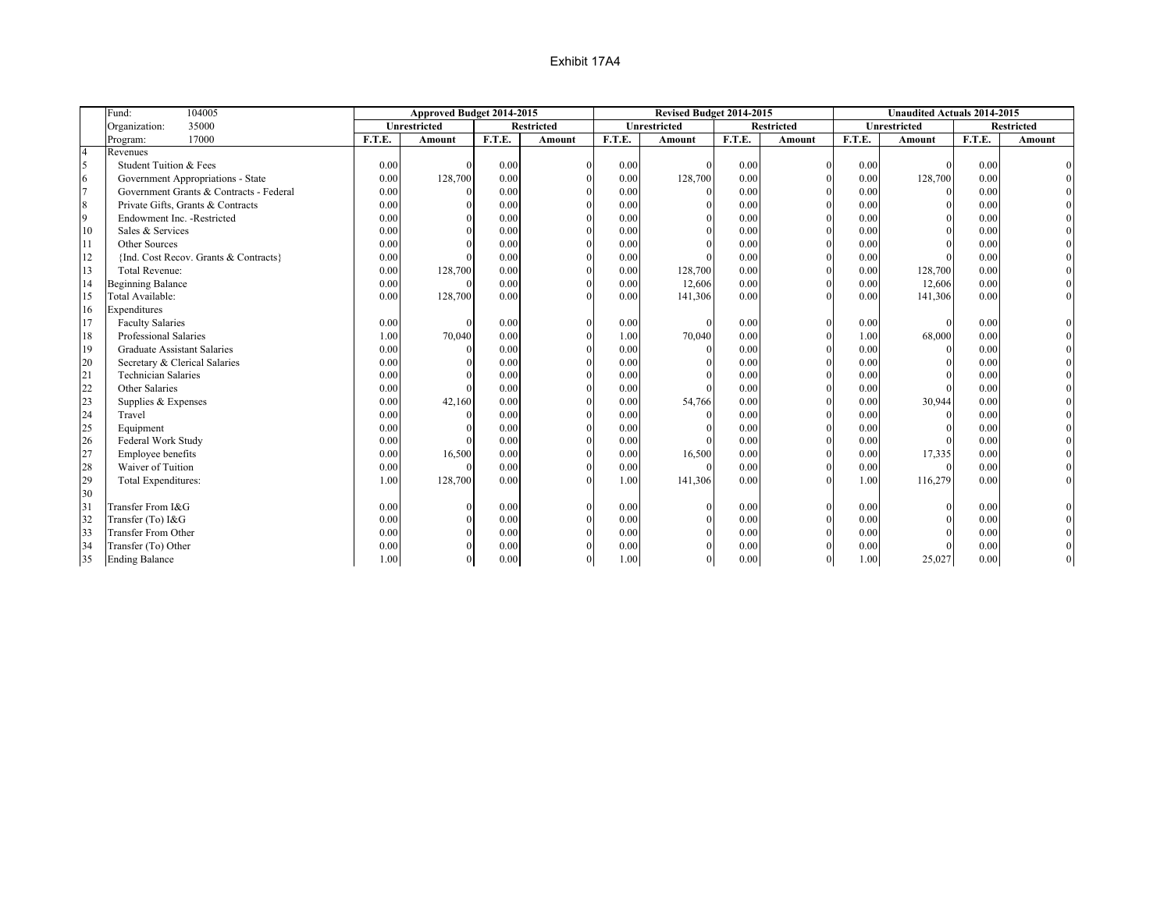|                | Fund:<br>104005                         |        | Approved Budget 2014-2015 |        |                   |        | Revised Budget 2014-2015 |        |                   |        | <b>Unaudited Actuals 2014-2015</b> |        |                   |
|----------------|-----------------------------------------|--------|---------------------------|--------|-------------------|--------|--------------------------|--------|-------------------|--------|------------------------------------|--------|-------------------|
|                | 35000<br>Organization:                  |        | Unrestricted              |        | <b>Restricted</b> |        | Unrestricted             |        | <b>Restricted</b> |        | Unrestricted                       |        | <b>Restricted</b> |
|                | 17000<br>Program:                       | F.T.E. | <b>Amount</b>             | F.T.E. | Amount            | F.T.E. | <b>Amount</b>            | F.T.E. | Amount            | F.T.E. | <b>Amount</b>                      | F.T.E. | <b>Amount</b>     |
| $\overline{4}$ | Revenues                                |        |                           |        |                   |        |                          |        |                   |        |                                    |        |                   |
| 5              | Student Tuition & Fees                  | 0.00   | $\Omega$                  | 0.00   | $\Omega$          | 0.00   | $\Omega$                 | 0.00   | $\Omega$          | 0.00   | $\Omega$                           | 0.00   |                   |
| 6              | Government Appropriations - State       | 0.00   | 128,700                   | 0.00   |                   | 0.00   | 128,700                  | 0.00   |                   | 0.00   | 128,700                            | 0.00   |                   |
| $\overline{7}$ | Government Grants & Contracts - Federal | 0.00   | $\Omega$                  | 0.00   |                   | 0.00   |                          | 0.00   |                   | 0.00   | $\Omega$                           | 0.00   |                   |
| $\,$ 8 $\,$    | Private Gifts, Grants & Contracts       | 0.00   | $\Omega$                  | 0.00   |                   | 0.00   |                          | 0.00   |                   | 0.00   |                                    | 0.00   |                   |
| 9              | Endowment Inc. - Restricted             | 0.00   | $\Omega$                  | 0.00   |                   | 0.00   |                          | 0.00   |                   | 0.00   |                                    | 0.00   |                   |
| 10             | Sales & Services                        | 0.00   |                           | 0.00   |                   | 0.00   | $\Omega$                 | 0.00   |                   | 0.00   |                                    | 0.00   |                   |
| 11             | Other Sources                           | 0.00   |                           | 0.00   |                   | 0.00   | $\Omega$                 | 0.00   |                   | 0.00   |                                    | 0.00   |                   |
| 12             | {Ind. Cost Recov. Grants & Contracts}   | 0.00   |                           | 0.00   | $\Omega$          | 0.00   |                          | 0.00   | $\theta$          | 0.00   |                                    | 0.00   |                   |
| 13             | <b>Total Revenue:</b>                   | 0.00   | 128,700                   | 0.00   | $\Omega$          | 0.00   | 128,700                  | 0.00   | $\theta$          | 0.00   | 128,700                            | 0.00   |                   |
| 14             | <b>Beginning Balance</b>                | 0.00   | $\Omega$                  | 0.00   | $\Omega$          | 0.00   | 12,606                   | 0.00   | $\Omega$          | 0.00   | 12,606                             | 0.00   |                   |
| 15             | Total Available:                        | 0.00   | 128,700                   | 0.00   | $\Omega$          | 0.00   | 141,306                  | 0.00   | $\Omega$          | 0.00   | 141,306                            | 0.00   |                   |
| 16             | Expenditures                            |        |                           |        |                   |        |                          |        |                   |        |                                    |        |                   |
| 17             | <b>Faculty Salaries</b>                 | 0.00   | $\Omega$                  | 0.00   |                   | 0.00   |                          | 0.00   | $\theta$          | 0.00   |                                    | 0.00   |                   |
| 18             | Professional Salaries                   | 1.00   | 70,040                    | 0.00   |                   | 1.00   | 70,040                   | 0.00   | $\Omega$          | 1.00   | 68,000                             | 0.00   |                   |
| 19             | <b>Graduate Assistant Salaries</b>      | 0.00   | $\theta$                  | 0.00   |                   | 0.00   | $\Omega$                 | 0.00   |                   | 0.00   | $\Omega$                           | 0.00   |                   |
| 20             | Secretary & Clerical Salaries           | 0.00   |                           | 0.00   |                   | 0.00   | $\Omega$                 | 0.00   |                   | 0.00   |                                    | 0.00   |                   |
| 21             | <b>Technician Salaries</b>              | 0.00   |                           | 0.00   |                   | 0.00   |                          | 0.00   |                   | 0.00   |                                    | 0.00   |                   |
| 22             | Other Salaries                          | 0.00   |                           | 0.00   |                   | 0.00   |                          | 0.00   |                   | 0.00   |                                    | 0.00   |                   |
| 23             | Supplies & Expenses                     | 0.00   | 42,160                    | 0.00   |                   | 0.00   | 54,766                   | 0.00   |                   | 0.00   | 30,944                             | 0.00   |                   |
| 24             | Travel                                  | 0.00   | $\Omega$                  | 0.00   |                   | 0.00   | $\Omega$                 | 0.00   |                   | 0.00   |                                    | 0.00   |                   |
| 25             | Equipment                               | 0.00   |                           | 0.00   |                   | 0.00   |                          | 0.00   |                   | 0.00   |                                    | 0.00   |                   |
| 26             | Federal Work Study                      | 0.00   |                           | 0.00   |                   | 0.00   |                          | 0.00   |                   | 0.00   |                                    | 0.00   |                   |
| 27             | Employee benefits                       | 0.00   | 16,500                    | 0.00   |                   | 0.00   | 16,500                   | 0.00   |                   | 0.00   | 17,335                             | 0.00   |                   |
| 28             | Waiver of Tuition                       | 0.00   | $\theta$                  | 0.00   |                   | 0.00   | $\Omega$                 | 0.00   |                   | 0.00   | $\Omega$                           | 0.00   |                   |
| 29             | Total Expenditures:                     | 1.00   | 128,700                   | 0.00   |                   | 1.00   | 141,306                  | 0.00   | $\Omega$          | 1.00   | 116,279                            | 0.00   |                   |
| 30             |                                         |        |                           |        |                   |        |                          |        |                   |        |                                    |        |                   |
| 31             | Transfer From I&G                       | 0.00   | $\Omega$                  | 0.00   |                   | 0.00   | $\theta$                 | 0.00   | $\Omega$          | 0.00   |                                    | 0.00   |                   |
| 32             | Transfer (To) I&G                       | 0.00   | $\theta$                  | 0.00   |                   | 0.00   | $\Omega$                 | 0.00   | $\Omega$          | 0.00   |                                    | 0.00   |                   |
| 33             | Transfer From Other                     | 0.00   | $\Omega$                  | 0.00   |                   | 0.00   | $\Omega$                 | 0.00   |                   | 0.00   |                                    | 0.00   |                   |
| 34             | Transfer (To) Other                     | 0.00   |                           | 0.00   |                   | 0.00   | $\Omega$                 | 0.00   |                   | 0.00   |                                    | 0.00   |                   |
| 35             | <b>Ending Balance</b>                   | 1.00   | $\Omega$                  | 0.00   |                   | 1.00   | $\theta$                 | 0.00   | $\overline{0}$    | 1.00   | 25,027                             | 0.00   |                   |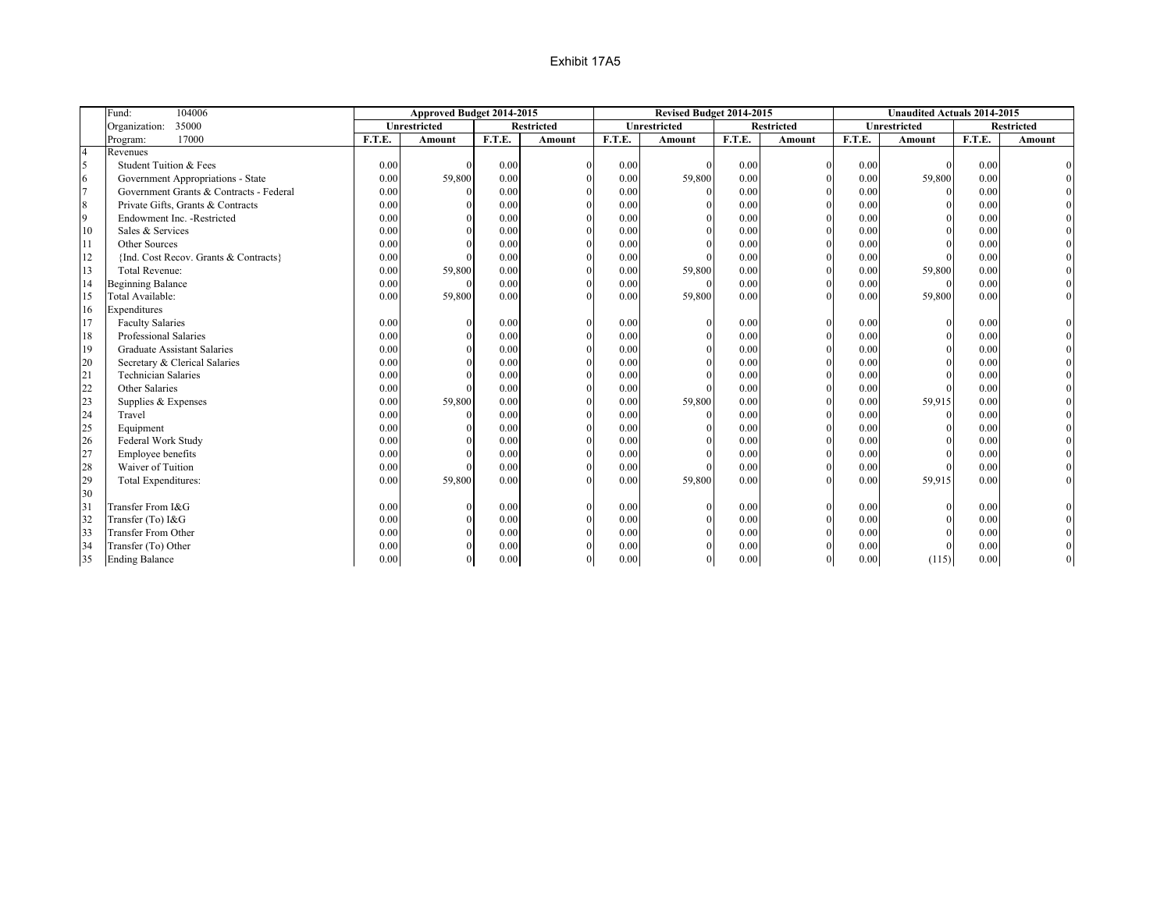|                | 104006<br>Fund:                         |        | Approved Budget 2014-2015 |        |                   |        | Revised Budget 2014-2015 |        |                   |        | <b>Unaudited Actuals 2014-2015</b> |        |                   |
|----------------|-----------------------------------------|--------|---------------------------|--------|-------------------|--------|--------------------------|--------|-------------------|--------|------------------------------------|--------|-------------------|
|                | 35000<br>Organization:                  |        | <b>Unrestricted</b>       |        | <b>Restricted</b> |        | <b>Unrestricted</b>      |        | <b>Restricted</b> |        | <b>Unrestricted</b>                |        | <b>Restricted</b> |
|                | 17000<br>Program:                       | F.T.E. | <b>Amount</b>             | F.T.E. | <b>Amount</b>     | F.T.E. | Amount                   | F.T.E. | <b>Amount</b>     | F.T.E. | <b>Amount</b>                      | F.T.E. | Amount            |
| $\overline{4}$ | Revenues                                |        |                           |        |                   |        |                          |        |                   |        |                                    |        |                   |
| 5              | Student Tuition & Fees                  | 0.00   |                           | 0.00   | $\Omega$          | 0.00   |                          | 0.00   | $\theta$          | 0.00   |                                    | 0.00   |                   |
| 6              | Government Appropriations - State       | 0.00   | 59,800                    | 0.00   |                   | 0.00   | 59,800                   | 0.00   |                   | 0.00   | 59,800                             | 0.00   |                   |
| $\overline{7}$ | Government Grants & Contracts - Federal | 0.00   |                           | 0.00   |                   | 0.00   |                          | 0.00   |                   | 0.00   |                                    | 0.00   |                   |
| 8              | Private Gifts, Grants & Contracts       | 0.00   |                           | 0.00   |                   | 0.00   |                          | 0.00   |                   | 0.00   |                                    | 0.00   |                   |
| 9              | Endowment Inc. - Restricted             | 0.00   |                           | 0.00   |                   | 0.00   |                          | 0.00   |                   | 0.00   |                                    | 0.00   |                   |
| 10             | Sales & Services                        | 0.00   |                           | 0.00   |                   | 0.00   |                          | 0.00   |                   | 0.00   |                                    | 0.00   |                   |
| 11             | Other Sources                           | 0.00   |                           | 0.00   |                   | 0.00   |                          | 0.00   |                   | 0.00   |                                    | 0.00   |                   |
| 12             | {Ind. Cost Recov. Grants & Contracts}   | 0.00   |                           | 0.00   |                   | 0.00   |                          | 0.00   | $\theta$          | 0.00   |                                    | 0.00   |                   |
| 13             | <b>Total Revenue:</b>                   | 0.00   | 59,800                    | 0.00   |                   | 0.00   | 59,800                   | 0.00   | $\theta$          | 0.00   | 59,800                             | 0.00   |                   |
| 14             | <b>Beginning Balance</b>                | 0.00   |                           | 0.00   |                   | 0.00   |                          | 0.00   | $\Omega$          | 0.00   | $\Omega$                           | 0.00   |                   |
| 15             | Total Available:                        | 0.00   | 59,800                    | 0.00   |                   | 0.00   | 59,800                   | 0.00   |                   | 0.00   | 59,800                             | 0.00   |                   |
| 16             | Expenditures                            |        |                           |        |                   |        |                          |        |                   |        |                                    |        |                   |
| 17             | <b>Faculty Salaries</b>                 | 0.00   |                           | 0.00   | $\Omega$          | 0.00   |                          | 0.00   | $\Omega$          | 0.00   |                                    | 0.00   |                   |
| 18             | Professional Salaries                   | 0.00   |                           | 0.00   |                   | 0.00   |                          | 0.00   |                   | 0.00   |                                    | 0.00   |                   |
| 19             | <b>Graduate Assistant Salaries</b>      | 0.00   |                           | 0.00   |                   | 0.00   |                          | 0.00   |                   | 0.00   |                                    | 0.00   |                   |
| 20             | Secretary & Clerical Salaries           | 0.00   |                           | 0.00   |                   | 0.00   |                          | 0.00   |                   | 0.00   |                                    | 0.00   |                   |
| 21             | <b>Technician Salaries</b>              | 0.00   |                           | 0.00   |                   | 0.00   |                          | 0.00   | $\theta$          | 0.00   |                                    | 0.00   |                   |
| 22             | Other Salaries                          | 0.00   |                           | 0.00   |                   | 0.00   |                          | 0.00   |                   | 0.00   |                                    | 0.00   |                   |
| 23             | Supplies & Expenses                     | 0.00   | 59,800                    | 0.00   |                   | 0.00   | 59,800                   | 0.00   | $\Omega$          | 0.00   | 59,915                             | 0.00   |                   |
| 24             | Travel                                  | 0.00   |                           | 0.00   |                   | 0.00   |                          | 0.00   |                   | 0.00   |                                    | 0.00   |                   |
| 25             | Equipment                               | 0.00   |                           | 0.00   |                   | 0.00   |                          | 0.00   |                   | 0.00   |                                    | 0.00   |                   |
| 26             | Federal Work Study                      | 0.00   |                           | 0.00   |                   | 0.00   |                          | 0.00   |                   | 0.00   |                                    | 0.00   |                   |
| 27             | Employee benefits                       | 0.00   |                           | 0.00   |                   | 0.00   |                          | 0.00   | $\theta$          | 0.00   |                                    | 0.00   |                   |
| 28             | Waiver of Tuition                       | 0.00   |                           | 0.00   |                   | 0.00   |                          | 0.00   | $\theta$          | 0.00   |                                    | 0.00   |                   |
| 29             | Total Expenditures:                     | 0.00   | 59,800                    | 0.00   |                   | 0.00   | 59,800                   | 0.00   | $\Omega$          | 0.00   | 59,915                             | 0.00   |                   |
| 30             |                                         |        |                           |        |                   |        |                          |        |                   |        |                                    |        |                   |
| 31             | Transfer From I&G                       | 0.00   |                           | 0.00   | $\Omega$          | 0.00   |                          | 0.00   | $\Omega$          | 0.00   |                                    | 0.00   |                   |
| 32             | Transfer (To) I&G                       | 0.00   |                           | 0.00   |                   | 0.00   |                          | 0.00   |                   | 0.00   |                                    | 0.00   |                   |
| 33             | <b>Transfer From Other</b>              | 0.00   |                           | 0.00   |                   | 0.00   |                          | 0.00   |                   | 0.00   |                                    | 0.00   |                   |
| 34             | Transfer (To) Other                     | 0.00   |                           | 0.00   |                   | 0.00   |                          | 0.00   |                   | 0.00   |                                    | 0.00   |                   |
| 35             | <b>Ending Balance</b>                   | 0.00   |                           | 0.00   | $\Omega$          | 0.00   |                          | 0.00   |                   | 0.00   | (115)                              | 0.00   |                   |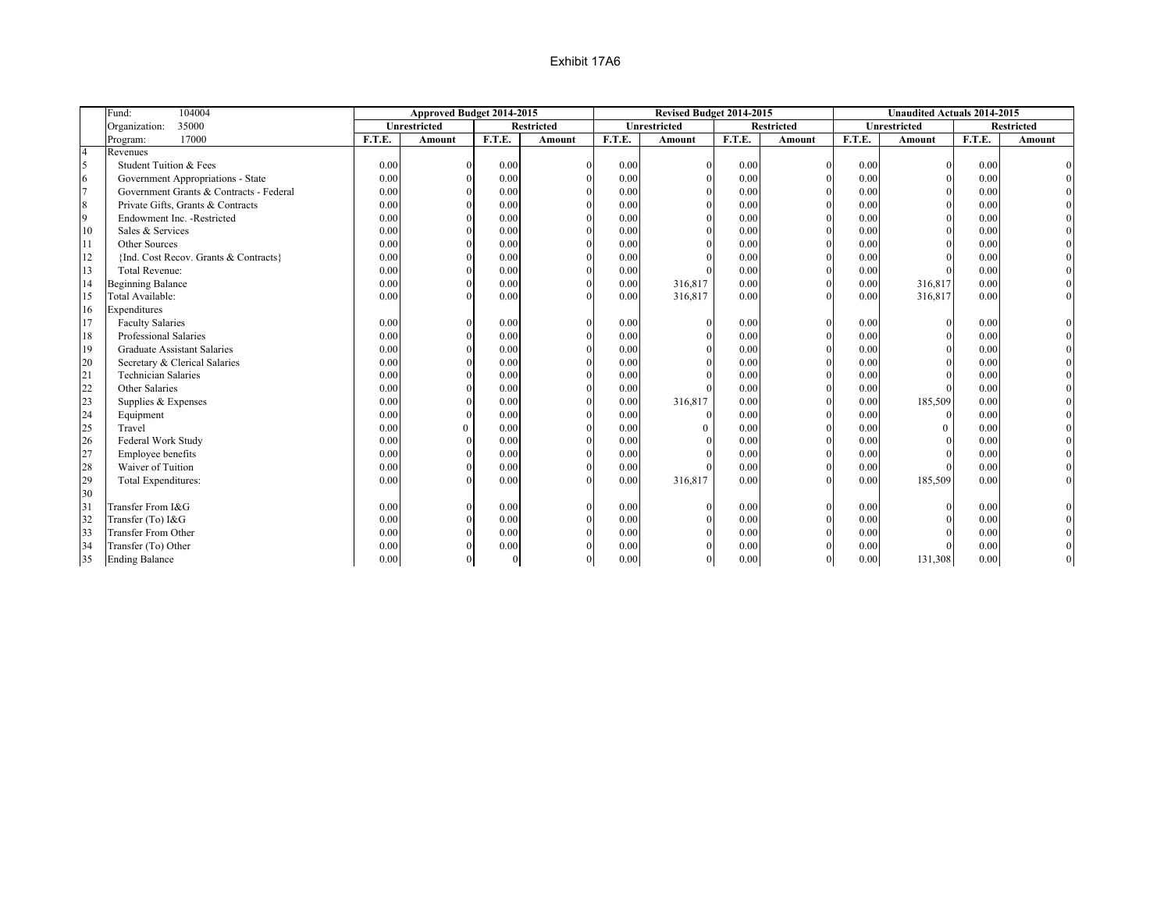|                          | 104004<br>Fund:                         |        | Approved Budget 2014-2015 |              |                   |        | Revised Budget 2014-2015 |        |                   |        | <b>Unaudited Actuals 2014-2015</b> |        |                   |
|--------------------------|-----------------------------------------|--------|---------------------------|--------------|-------------------|--------|--------------------------|--------|-------------------|--------|------------------------------------|--------|-------------------|
|                          | 35000<br>Organization:                  |        | <b>Unrestricted</b>       |              | <b>Restricted</b> |        | Unrestricted             |        | <b>Restricted</b> |        | Unrestricted                       |        | <b>Restricted</b> |
|                          | 17000<br>Program:                       | F.T.E. | <b>Amount</b>             | F.T.E.       | Amount            | F.T.E. | <b>Amount</b>            | F.T.E. | Amount            | F.T.E. | <b>Amount</b>                      | F.T.E. | Amount            |
| $\overline{4}$           | Revenues                                |        |                           |              |                   |        |                          |        |                   |        |                                    |        |                   |
| $\overline{\phantom{a}}$ | Student Tuition & Fees                  | 0.00   |                           | 0.00         |                   | 0.00   |                          | 0.00   |                   | 0.00   | $\Omega$                           | 0.00   |                   |
| 6                        | Government Appropriations - State       | 0.00   |                           | 0.00         |                   | 0.00   |                          | 0.00   |                   | 0.00   | $\Omega$                           | 0.00   |                   |
| $\overline{7}$           | Government Grants & Contracts - Federal | 0.00   |                           | 0.00         |                   | 0.00   |                          | 0.00   |                   | 0.00   |                                    | 0.00   |                   |
| 8                        | Private Gifts, Grants & Contracts       | 0.00   |                           | 0.00         |                   | 0.00   |                          | 0.00   |                   | 0.00   |                                    | 0.00   |                   |
| $\overline{9}$           | Endowment Inc. - Restricted             | 0.00   |                           | 0.00         |                   | 0.00   |                          | 0.00   |                   | 0.00   |                                    | 0.00   |                   |
| 10                       | Sales & Services                        | 0.00   |                           | 0.00         |                   | 0.00   |                          | 0.00   |                   | 0.00   |                                    | 0.00   |                   |
| 11                       | Other Sources                           | 0.00   |                           | 0.00         |                   | 0.00   |                          | 0.00   |                   | 0.00   |                                    | 0.00   |                   |
| 12                       | {Ind. Cost Recov. Grants & Contracts}   | 0.00   |                           | 0.00         |                   | 0.00   |                          | 0.00   |                   | 0.00   |                                    | 0.00   |                   |
| 13                       | Total Revenue:                          | 0.00   |                           | 0.00         |                   | 0.00   |                          | 0.00   |                   | 0.00   |                                    | 0.00   |                   |
| 14                       | <b>Beginning Balance</b>                | 0.00   |                           | 0.00         |                   | 0.00   | 316,817                  | 0.00   |                   | 0.00   | 316,817                            | 0.00   |                   |
| 15                       | Total Available:                        | 0.00   |                           | 0.00         |                   | 0.00   | 316,817                  | 0.00   |                   | 0.00   | 316,817                            | 0.00   |                   |
| 16                       | Expenditures                            |        |                           |              |                   |        |                          |        |                   |        |                                    |        |                   |
| 17                       | <b>Faculty Salaries</b>                 | 0.00   |                           | 0.00         |                   | 0.00   |                          | 0.00   |                   | 0.00   | $\Omega$                           | 0.00   |                   |
| 18                       | Professional Salaries                   | 0.00   |                           | 0.00         |                   | 0.00   |                          | 0.00   |                   | 0.00   |                                    | 0.00   |                   |
| 19                       | <b>Graduate Assistant Salaries</b>      | 0.00   |                           | 0.00         |                   | 0.00   |                          | 0.00   |                   | 0.00   |                                    | 0.00   |                   |
| 20                       | Secretary & Clerical Salaries           | 0.00   |                           | 0.00         |                   | 0.00   |                          | 0.00   |                   | 0.00   |                                    | 0.00   |                   |
| 21                       | <b>Technician Salaries</b>              | 0.00   |                           | 0.00         |                   | 0.00   |                          | 0.00   |                   | 0.00   |                                    | 0.00   |                   |
| 22                       | Other Salaries                          | 0.00   |                           | 0.00         |                   | 0.00   |                          | 0.00   |                   | 0.00   |                                    | 0.00   |                   |
| 23                       | Supplies & Expenses                     | 0.00   |                           | 0.00         |                   | 0.00   | 316,817                  | 0.00   |                   | 0.00   | 185,509                            | 0.00   |                   |
| 24                       | Equipment                               | 0.00   |                           | 0.00         |                   | 0.00   |                          | 0.00   |                   | 0.00   | $\Omega$                           | 0.00   |                   |
| 25                       | Travel                                  | 0.00   | $\mathbf{0}$              | 0.00         |                   | 0.00   |                          | 0.00   |                   | 0.00   | $\Omega$                           | 0.00   |                   |
| 26                       | Federal Work Study                      | 0.00   |                           | 0.00         |                   | 0.00   |                          | 0.00   |                   | 0.00   |                                    | 0.00   |                   |
| 27                       | Employee benefits                       | 0.00   |                           | 0.00         |                   | 0.00   |                          | 0.00   |                   | 0.00   |                                    | 0.00   |                   |
| 28                       | Waiver of Tuition                       | 0.00   |                           | 0.00         |                   | 0.00   |                          | 0.00   |                   | 0.00   |                                    | 0.00   |                   |
| 29                       | Total Expenditures:                     | 0.00   |                           | 0.00         |                   | 0.00   | 316,817                  | 0.00   |                   | 0.00   | 185,509                            | 0.00   |                   |
| 30                       |                                         |        |                           |              |                   |        |                          |        |                   |        |                                    |        |                   |
| 31                       | Transfer From I&G                       | 0.00   |                           | 0.00         |                   | 0.00   |                          | 0.00   |                   | 0.00   |                                    | 0.00   |                   |
| 32                       | Transfer (To) I&G                       | 0.00   |                           | 0.00         |                   | 0.00   |                          | 0.00   |                   | 0.00   |                                    | 0.00   |                   |
| 33                       | <b>Transfer From Other</b>              | 0.00   |                           | 0.00         |                   | 0.00   |                          | 0.00   |                   | 0.00   |                                    | 0.00   |                   |
| 34                       | Transfer (To) Other                     | 0.00   |                           | 0.00         |                   | 0.00   |                          | 0.00   |                   | 0.00   |                                    | 0.00   |                   |
| 35                       | <b>Ending Balance</b>                   | 0.00   |                           | $\mathbf{0}$ |                   | 0.00   |                          | 0.00   |                   | 0.00   | 131,308                            | 0.00   |                   |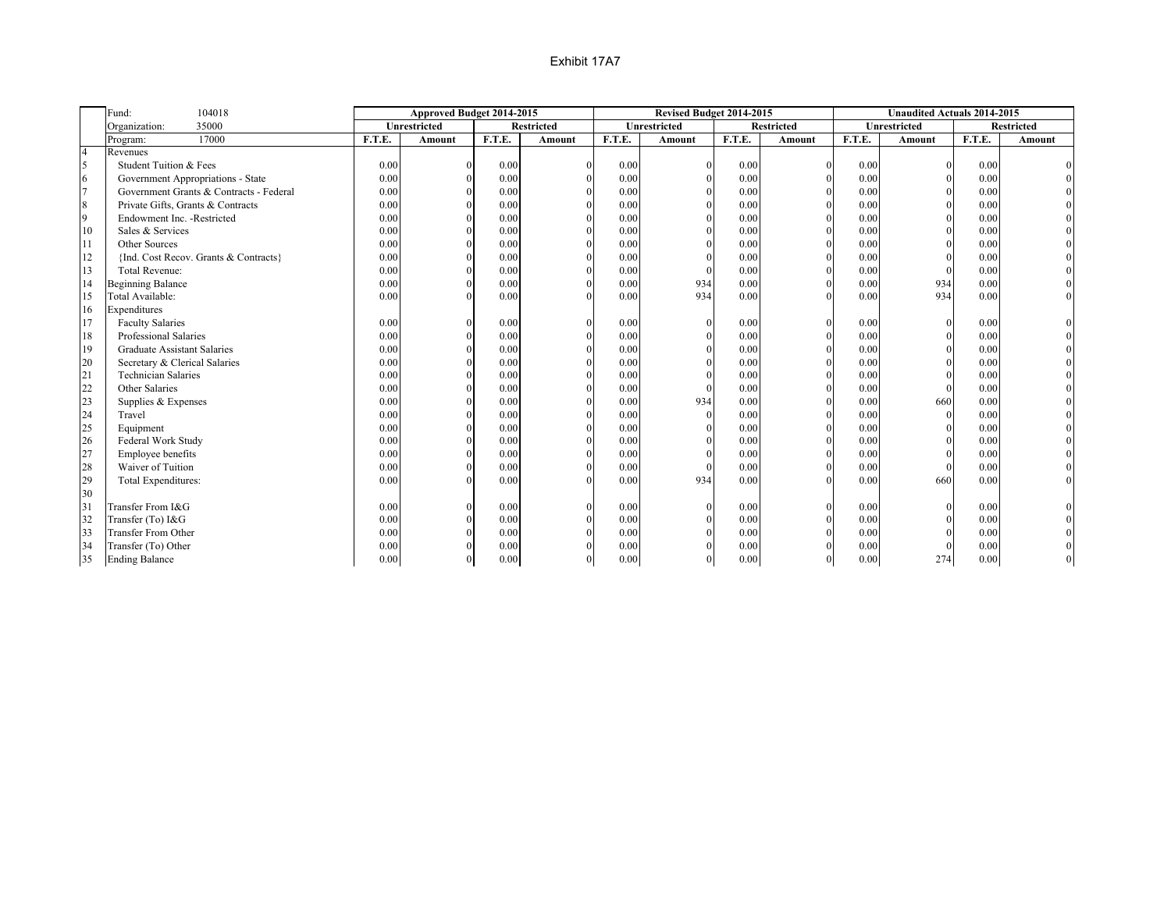|                | 104018<br>Fund:                         |        | Approved Budget 2014-2015 |        |                   |        | Revised Budget 2014-2015 |        |                   |        | <b>Unaudited Actuals 2014-2015</b> |        |                   |
|----------------|-----------------------------------------|--------|---------------------------|--------|-------------------|--------|--------------------------|--------|-------------------|--------|------------------------------------|--------|-------------------|
|                | 35000<br>Organization:                  |        | Unrestricted              |        | <b>Restricted</b> |        | Unrestricted             |        | <b>Restricted</b> |        | <b>Unrestricted</b>                |        | <b>Restricted</b> |
|                | 17000<br>Program:                       | F.T.E. | Amount                    | F.T.E. | Amount            | F.T.E. | Amount                   | F.T.E. | Amount            | F.T.E. | Amount                             | F.T.E. | Amount            |
| $\overline{4}$ | Revenues                                |        |                           |        |                   |        |                          |        |                   |        |                                    |        |                   |
| 5              | Student Tuition & Fees                  | 0.00   |                           | 0.00   |                   | 0.00   |                          | 0.00   |                   | 0.00   | $\Omega$                           | 0.00   |                   |
| 6              | Government Appropriations - State       | 0.00   | $\Omega$                  | 0.00   |                   | 0.00   |                          | 0.00   |                   | 0.00   | $\Omega$                           | 0.00   |                   |
| 17             | Government Grants & Contracts - Federal | 0.00   | $\Omega$                  | 0.00   |                   | 0.00   |                          | 0.00   |                   | 0.00   | $\Omega$                           | 0.00   |                   |
| 8              | Private Gifts, Grants & Contracts       | 0.00   |                           | 0.00   |                   | 0.00   |                          | 0.00   |                   | 0.00   | $\Omega$                           | 0.00   |                   |
| $\overline{9}$ | Endowment Inc. - Restricted             | 0.00   |                           | 0.00   |                   | 0.00   |                          | 0.00   |                   | 0.00   | $\Omega$                           | 0.00   |                   |
| 10             | Sales & Services                        | 0.00   |                           | 0.00   |                   | 0.00   |                          | 0.00   |                   | 0.00   | $\Omega$                           | 0.00   |                   |
| 11             | Other Sources                           | 0.00   |                           | 0.00   |                   | 0.00   |                          | 0.00   |                   | 0.00   |                                    | 0.00   |                   |
| 12             | {Ind. Cost Recov. Grants & Contracts}   | 0.00   |                           | 0.00   |                   | 0.00   |                          | 0.00   |                   | 0.00   |                                    | 0.00   |                   |
| 13             | <b>Total Revenue:</b>                   | 0.00   |                           | 0.00   |                   | 0.00   |                          | 0.00   | $\theta$          | 0.00   |                                    | 0.00   |                   |
| 14             | <b>Beginning Balance</b>                | 0.00   |                           | 0.00   |                   | 0.00   | 934                      | 0.00   |                   | 0.00   | 934                                | 0.00   |                   |
| 15             | Total Available:                        | 0.00   |                           | 0.00   |                   | 0.00   | 934                      | 0.00   |                   | 0.00   | 934                                | 0.00   |                   |
| 16             | Expenditures                            |        |                           |        |                   |        |                          |        |                   |        |                                    |        |                   |
| 17             | <b>Faculty Salaries</b>                 | 0.00   |                           | 0.00   |                   | 0.00   |                          | 0.00   |                   | 0.00   |                                    | 0.00   |                   |
| 18             | Professional Salaries                   | 0.00   |                           | 0.00   |                   | 0.00   |                          | 0.00   |                   | 0.00   |                                    | 0.00   |                   |
| 19             | <b>Graduate Assistant Salaries</b>      | 0.00   |                           | 0.00   |                   | 0.00   |                          | 0.00   |                   | 0.00   |                                    | 0.00   |                   |
| 20             | Secretary & Clerical Salaries           | 0.00   |                           | 0.00   |                   | 0.00   |                          | 0.00   |                   | 0.00   |                                    | 0.00   |                   |
| 21             | <b>Technician Salaries</b>              | 0.00   |                           | 0.00   |                   | 0.00   |                          | 0.00   |                   | 0.00   |                                    | 0.00   |                   |
| 22             | Other Salaries                          | 0.00   |                           | 0.00   |                   | 0.00   |                          | 0.00   |                   | 0.00   | $\Omega$                           | 0.00   |                   |
| 23             | Supplies & Expenses                     | 0.00   |                           | 0.00   |                   | 0.00   | 934                      | 0.00   |                   | 0.00   | 660                                | 0.00   |                   |
| 24             | Travel                                  | 0.00   |                           | 0.00   |                   | 0.00   |                          | 0.00   |                   | 0.00   | $\Omega$                           | 0.00   |                   |
| 25             | Equipment                               | 0.00   |                           | 0.00   |                   | 0.00   |                          | 0.00   |                   | 0.00   |                                    | 0.00   |                   |
| 26             | Federal Work Study                      | 0.00   |                           | 0.00   |                   | 0.00   |                          | 0.00   |                   | 0.00   |                                    | 0.00   |                   |
| 27             | Employee benefits                       | 0.00   |                           | 0.00   |                   | 0.00   |                          | 0.00   |                   | 0.00   | $\Omega$                           | 0.00   |                   |
| 28             | Waiver of Tuition                       | 0.00   |                           | 0.00   |                   | 0.00   |                          | 0.00   |                   | 0.00   | $\Omega$                           | 0.00   |                   |
| 29             | Total Expenditures:                     | 0.00   |                           | 0.00   |                   | 0.00   | 934                      | 0.00   |                   | 0.00   | 660                                | 0.00   |                   |
| 30             |                                         |        |                           |        |                   |        |                          |        |                   |        |                                    |        |                   |
| 31             | Transfer From I&G                       | 0.00   |                           | 0.00   |                   | 0.00   |                          | 0.00   | $\Omega$          | 0.00   |                                    | 0.00   |                   |
| 32             | Transfer (To) I&G                       | 0.00   |                           | 0.00   |                   | 0.00   |                          | 0.00   |                   | 0.00   |                                    | 0.00   |                   |
| 33             | <b>Transfer From Other</b>              | 0.00   |                           | 0.00   |                   | 0.00   |                          | 0.00   |                   | 0.00   | $\Omega$                           | 0.00   |                   |
| 34             | Transfer (To) Other                     | 0.00   |                           | 0.00   |                   | 0.00   |                          | 0.00   |                   | 0.00   | $\Omega$                           | 0.00   |                   |
| 35             | <b>Ending Balance</b>                   | 0.00   |                           | 0.00   |                   | 0.00   |                          | 0.00   |                   | 0.00   | 274                                | 0.00   |                   |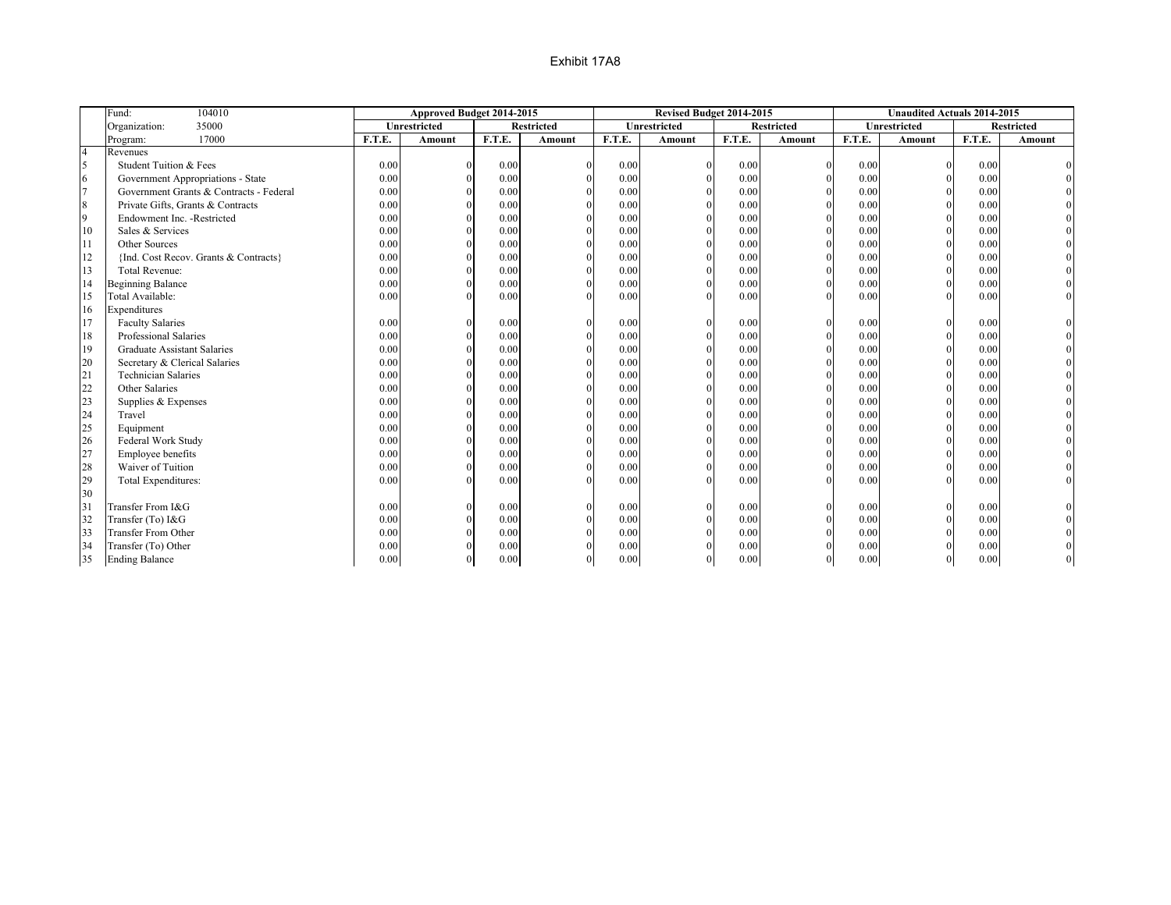|                 | Fund:<br>104010                         |        | Approved Budget 2014-2015 |        |                   |        | Revised Budget 2014-2015 |        |                   |        | <b>Unaudited Actuals 2014-2015</b> |        |                   |
|-----------------|-----------------------------------------|--------|---------------------------|--------|-------------------|--------|--------------------------|--------|-------------------|--------|------------------------------------|--------|-------------------|
|                 | 35000<br>Organization:                  |        | Unrestricted              |        | <b>Restricted</b> |        | Unrestricted             |        | <b>Restricted</b> |        | Unrestricted                       |        | <b>Restricted</b> |
|                 | 17000<br>Program:                       | F.T.E. | Amount                    | F.T.E. | Amount            | F.T.E. | Amount                   | F.T.E. | Amount            | F.T.E. | <b>Amount</b>                      | F.T.E. | Amount            |
| $\overline{4}$  | Revenues                                |        |                           |        |                   |        |                          |        |                   |        |                                    |        |                   |
| 5               | Student Tuition & Fees                  | 0.00   |                           | 0.00   |                   | 0.00   | $\Omega$                 | 0.00   | $\Omega$          | 0.00   | $\Omega$                           | 0.00   |                   |
| 6               | Government Appropriations - State       | 0.00   | $\Omega$                  | 0.00   |                   | 0.00   | $\Omega$                 | 0.00   |                   | 0.00   | $\Omega$                           | 0.00   |                   |
| $7\overline{ }$ | Government Grants & Contracts - Federal | 0.00   | $\theta$                  | 0.00   |                   | 0.00   | $\Omega$                 | 0.00   |                   | 0.00   |                                    | 0.00   |                   |
| 8               | Private Gifts, Grants & Contracts       | 0.00   | $\Omega$                  | 0.00   |                   | 0.00   |                          | 0.00   |                   | 0.00   |                                    | 0.00   |                   |
| 9               | Endowment Inc. - Restricted             | 0.00   | $\Omega$                  | 0.00   |                   | 0.00   | $\Omega$                 | 0.00   |                   | 0.00   |                                    | 0.00   |                   |
| 10              | Sales & Services                        | 0.00   |                           | 0.00   |                   | 0.00   | $\Omega$                 | 0.00   |                   | 0.00   |                                    | 0.00   |                   |
| 11              | Other Sources                           | 0.00   |                           | 0.00   |                   | 0.00   | $\theta$                 | 0.00   |                   | 0.00   |                                    | 0.00   |                   |
| 12              | {Ind. Cost Recov. Grants & Contracts}   | 0.00   |                           | 0.00   |                   | 0.00   | $\theta$                 | 0.00   |                   | 0.00   |                                    | 0.00   |                   |
| 13              | <b>Total Revenue:</b>                   | 0.00   |                           | 0.00   |                   | 0.00   | $\Omega$                 | 0.00   | $\theta$          | 0.00   |                                    | 0.00   |                   |
| 14              | <b>Beginning Balance</b>                | 0.00   |                           | 0.00   |                   | 0.00   | $\Omega$                 | 0.00   | $\Omega$          | 0.00   |                                    | 0.00   |                   |
| 15              | Total Available:                        | 0.00   |                           | 0.00   |                   | 0.00   |                          | 0.00   | $\Omega$          | 0.00   |                                    | 0.00   |                   |
| 16              | Expenditures                            |        |                           |        |                   |        |                          |        |                   |        |                                    |        |                   |
| 17              | <b>Faculty Salaries</b>                 | 0.00   | $\theta$                  | 0.00   |                   | 0.00   | $\theta$                 | 0.00   | $\Omega$          | 0.00   | $\Omega$                           | 0.00   |                   |
| 18              | Professional Salaries                   | 0.00   | $\Omega$                  | 0.00   |                   | 0.00   | $\theta$                 | 0.00   |                   | 0.00   | $\Omega$                           | 0.00   |                   |
| 19              | <b>Graduate Assistant Salaries</b>      | 0.00   | $\Omega$                  | 0.00   |                   | 0.00   | $\theta$                 | 0.00   |                   | 0.00   |                                    | 0.00   |                   |
| 20              | Secretary & Clerical Salaries           | 0.00   |                           | 0.00   |                   | 0.00   | $\theta$                 | 0.00   |                   | 0.00   |                                    | 0.00   |                   |
| 21              | <b>Technician Salaries</b>              | 0.00   |                           | 0.00   |                   | 0.00   | $\theta$                 | 0.00   | $\theta$          | 0.00   |                                    | 0.00   |                   |
| 22              | Other Salaries                          | 0.00   | $\Omega$                  | 0.00   |                   | 0.00   |                          | 0.00   | $\Omega$          | 0.00   |                                    | 0.00   |                   |
| 23              | Supplies & Expenses                     | 0.00   | $\Omega$                  | 0.00   |                   | 0.00   |                          | 0.00   |                   | 0.00   |                                    | 0.00   |                   |
| 24              | Travel                                  | 0.00   | $\Omega$                  | 0.00   |                   | 0.00   |                          | 0.00   |                   | 0.00   | $\Omega$                           | 0.00   |                   |
| 25              | Equipment                               | 0.00   | $\theta$                  | 0.00   |                   | 0.00   | $\Omega$                 | 0.00   |                   | 0.00   | $\Omega$                           | 0.00   |                   |
| 26              | Federal Work Study                      | 0.00   | $\Omega$                  | 0.00   |                   | 0.00   | $\theta$                 | 0.00   |                   | 0.00   | $\Omega$                           | 0.00   |                   |
| 27              | Employee benefits                       | 0.00   |                           | 0.00   |                   | 0.00   | $\theta$                 | 0.00   | $\theta$          | 0.00   |                                    | 0.00   |                   |
| 28              | Waiver of Tuition                       | 0.00   |                           | 0.00   |                   | 0.00   | $\theta$                 | 0.00   | $\theta$          | 0.00   |                                    | 0.00   |                   |
| 29              | Total Expenditures:                     | 0.00   |                           | 0.00   | $\Omega$          | 0.00   | $\Omega$                 | 0.00   | $\Omega$          | 0.00   |                                    | 0.00   |                   |
| 30              |                                         |        |                           |        |                   |        |                          |        |                   |        |                                    |        |                   |
| 31              | Transfer From I&G                       | 0.00   |                           | 0.00   |                   | 0.00   | $\Omega$                 | 0.00   | $\Omega$          | 0.00   |                                    | 0.00   |                   |
| 32              | Transfer (To) I&G                       | 0.00   |                           | 0.00   |                   | 0.00   | $\theta$                 | 0.00   |                   | 0.00   | $\Omega$                           | 0.00   |                   |
| 33              | <b>Transfer From Other</b>              | 0.00   |                           | 0.00   |                   | 0.00   | $\Omega$                 | 0.00   |                   | 0.00   |                                    | 0.00   |                   |
| 34              | Transfer (To) Other                     | 0.00   |                           | 0.00   |                   | 0.00   |                          | 0.00   |                   | 0.00   |                                    | 0.00   |                   |
| 35              | <b>Ending Balance</b>                   | 0.00   | $\theta$                  | 0.00   |                   | 0.00   |                          | 0.00   | $\Omega$          | 0.00   | $\Omega$                           | 0.00   |                   |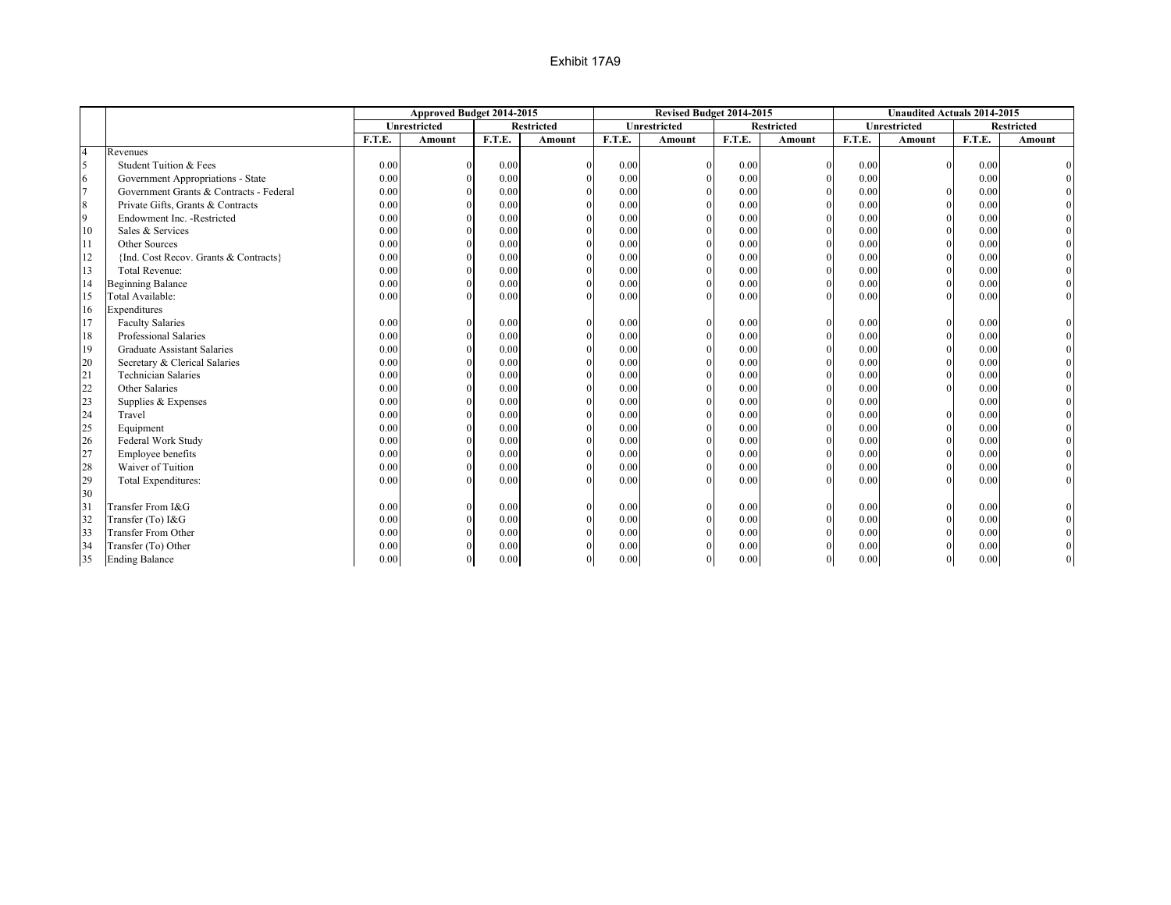|                  |                                         |        | Approved Budget 2014-2015 |        |                   |        | Revised Budget 2014-2015 |        |                   |        | <b>Unaudited Actuals 2014-2015</b> |        |            |
|------------------|-----------------------------------------|--------|---------------------------|--------|-------------------|--------|--------------------------|--------|-------------------|--------|------------------------------------|--------|------------|
|                  |                                         |        | <b>Unrestricted</b>       |        | <b>Restricted</b> |        | Unrestricted             |        | <b>Restricted</b> |        | Unrestricted                       |        | Restricted |
|                  |                                         | F.T.E. | <b>Amount</b>             | F.T.E. | Amount            | F.T.E. | Amount                   | F.T.E. | Amount            | F.T.E. | <b>Amount</b>                      | F.T.E. | Amount     |
| $\overline{4}$   | Revenues                                |        |                           |        |                   |        |                          |        |                   |        |                                    |        |            |
| $\overline{5}$   | Student Tuition & Fees                  | 0.00   |                           | 0.00   | $\Omega$          | 0.00   | $\mathbf{0}$             | 0.00   | $\overline{0}$    | 0.00   | $\Omega$                           | 0.00   |            |
| 6                | Government Appropriations - State       | 0.00   | $\Omega$                  | 0.00   |                   | 0.00   | $\theta$                 | 0.00   | $\Omega$          | 0.00   |                                    | 0.00   |            |
| $\overline{7}$   | Government Grants & Contracts - Federal | 0.00   | $\Omega$                  | 0.00   |                   | 0.00   | $\theta$                 | 0.00   |                   | 0.00   |                                    | 0.00   |            |
| $\boldsymbol{8}$ | Private Gifts, Grants & Contracts       | 0.00   | $\Omega$                  | 0.00   |                   | 0.00   | $\theta$                 | 0.00   |                   | 0.00   |                                    | 0.00   |            |
| $\overline{9}$   | Endowment Inc. - Restricted             | 0.00   | $\Omega$                  | 0.00   |                   | 0.00   | $\theta$                 | 0.00   | $\Omega$          | 0.00   |                                    | 0.00   |            |
| 10               | Sales & Services                        | 0.00   |                           | 0.00   |                   | 0.00   | $\theta$                 | 0.00   | $\theta$          | 0.00   |                                    | 0.00   |            |
| 11               | Other Sources                           | 0.00   |                           | 0.00   |                   | 0.00   | $\theta$                 | 0.00   | $\Omega$          | 0.00   |                                    | 0.00   |            |
| 12               | {Ind. Cost Recov. Grants & Contracts}   | 0.00   |                           | 0.00   |                   | 0.00   | $\theta$                 | 0.00   | $\Omega$          | 0.00   |                                    | 0.00   |            |
| 13               | <b>Total Revenue:</b>                   | 0.00   |                           | 0.00   |                   | 0.00   | $\theta$                 | 0.00   | $\Omega$          | 0.00   |                                    | 0.00   |            |
| 14               | <b>Beginning Balance</b>                | 0.00   | $\Omega$                  | 0.00   | $\Omega$          | 0.00   | $\Omega$                 | 0.00   | $\Omega$          | 0.00   |                                    | 0.00   |            |
| 15               | Total Available:                        | 0.00   | $\Omega$                  | 0.00   | $\Omega$          | 0.00   |                          | 0.00   | $\Omega$          | 0.00   |                                    | 0.00   |            |
| 16               | Expenditures                            |        |                           |        |                   |        |                          |        |                   |        |                                    |        |            |
| 17               | <b>Faculty Salaries</b>                 | 0.00   | $\Omega$                  | 0.00   |                   | 0.00   | $\mathbf{0}$             | 0.00   | $\Omega$          | 0.00   |                                    | 0.00   |            |
| 18               | Professional Salaries                   | 0.00   | $\Omega$                  | 0.00   |                   | 0.00   | $\Omega$                 | 0.00   | $\Omega$          | 0.00   |                                    | 0.00   |            |
| 19               | <b>Graduate Assistant Salaries</b>      | 0.00   | $\Omega$                  | 0.00   | $\theta$          | 0.00   | $\Omega$                 | 0.00   | $\Omega$          | 0.00   |                                    | 0.00   |            |
| 20               | Secretary & Clerical Salaries           | 0.00   | $\Omega$                  | 0.00   | $\theta$          | 0.00   | $\theta$                 | 0.00   | $\Omega$          | 0.00   |                                    | 0.00   |            |
| 21               | <b>Technician Salaries</b>              | 0.00   | $\Omega$                  | 0.00   |                   | 0.00   | $\Omega$                 | 0.00   | $\Omega$          | 0.00   |                                    | 0.00   |            |
| 22               | Other Salaries                          | 0.00   | $\Omega$                  | 0.00   |                   | 0.00   | $\theta$                 | 0.00   | $\Omega$          | 0.00   |                                    | 0.00   |            |
| 23               | Supplies & Expenses                     | 0.00   | $\Omega$                  | 0.00   |                   | 0.00   | $\Omega$                 | 0.00   | $\Omega$          | 0.00   |                                    | 0.00   |            |
| 24               | Travel                                  | 0.00   | $\Omega$                  | 0.00   |                   | 0.00   | $\theta$                 | 0.00   | $\Omega$          | 0.00   |                                    | 0.00   |            |
| 25               | Equipment                               | 0.00   | $\Omega$                  | 0.00   |                   | 0.00   | $\Omega$                 | 0.00   | $\Omega$          | 0.00   |                                    | 0.00   |            |
| 26               | Federal Work Study                      | 0.00   | $\Omega$                  | 0.00   |                   | 0.00   | $\theta$                 | 0.00   | $\Omega$          | 0.00   |                                    | 0.00   |            |
| 27               | Employee benefits                       | 0.00   | $\Omega$                  | 0.00   | $\theta$          | 0.00   | $\Omega$                 | 0.00   | $\Omega$          | 0.00   |                                    | 0.00   |            |
| 28               | Waiver of Tuition                       | 0.00   | $\Omega$                  | 0.00   | $\theta$          | 0.00   | $\mathbf{0}$             | 0.00   | $\mathbf{0}$      | 0.00   |                                    | 0.00   |            |
| 29               | Total Expenditures:                     | 0.00   |                           | 0.00   | $\Omega$          | 0.00   | $\Omega$                 | 0.00   | $\Omega$          | 0.00   |                                    | 0.00   |            |
| 30               |                                         |        |                           |        |                   |        |                          |        |                   |        |                                    |        |            |
| 31               | Transfer From I&G                       | 0.00   | $\Omega$                  | 0.00   |                   | 0.00   | $\Omega$                 | 0.00   | $\Omega$          | 0.00   |                                    | 0.00   |            |
| 32               | Transfer (To) I&G                       | 0.00   | $\Omega$                  | 0.00   |                   | 0.00   | $\theta$                 | 0.00   | $\Omega$          | 0.00   |                                    | 0.00   |            |
| 33               | <b>Transfer From Other</b>              | 0.00   |                           | 0.00   |                   | 0.00   | $\theta$                 | 0.00   | $\Omega$          | 0.00   |                                    | 0.00   |            |
| 34               | Transfer (To) Other                     | 0.00   |                           | 0.00   |                   | 0.00   |                          | 0.00   |                   | 0.00   |                                    | 0.00   |            |
| 35               | <b>Ending Balance</b>                   | 0.00   | $\Omega$                  | 0.00   |                   | 0.00   | $\theta$                 | 0.00   | $\Omega$          | 0.00   |                                    | 0.00   |            |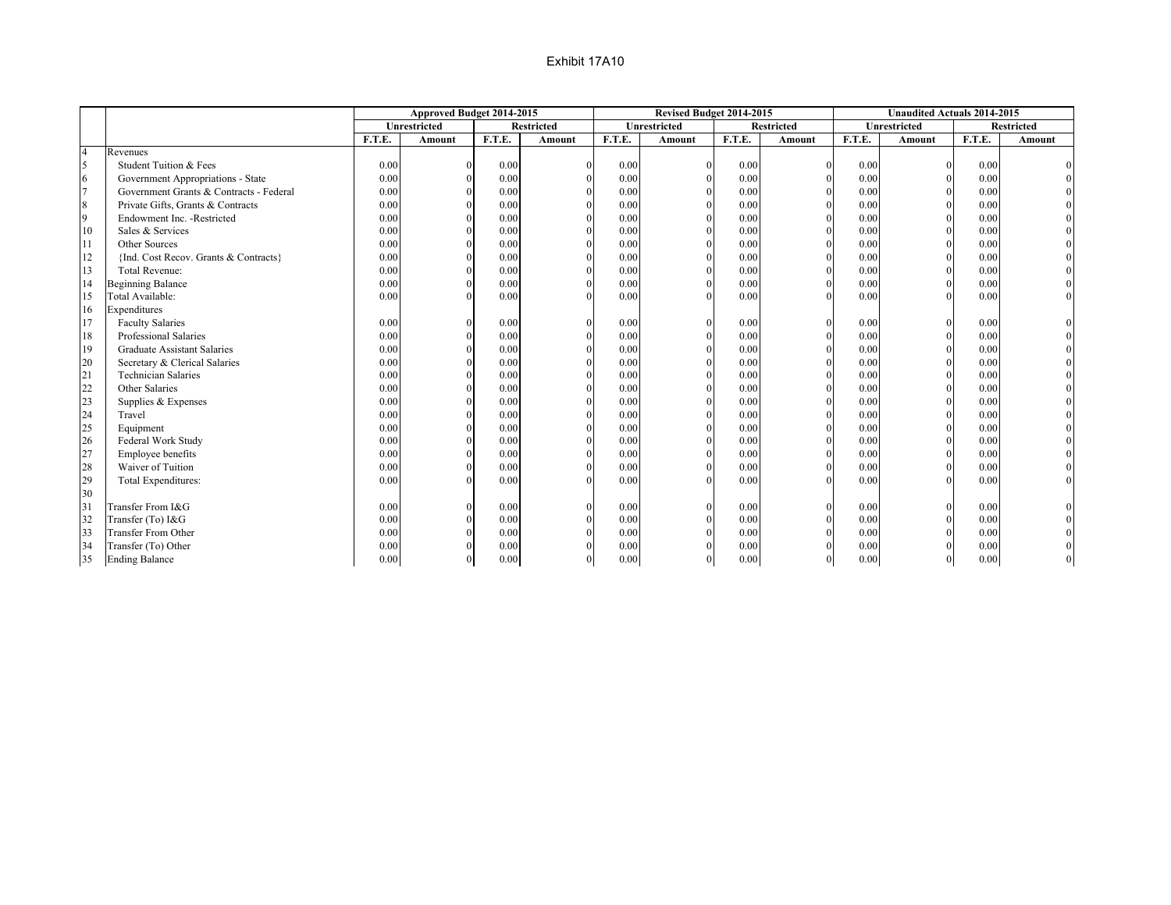|                  |                                         |        | Approved Budget 2014-2015 |        |                   |        | Revised Budget 2014-2015 |        |                   |        | <b>Unaudited Actuals 2014-2015</b> |        |                   |
|------------------|-----------------------------------------|--------|---------------------------|--------|-------------------|--------|--------------------------|--------|-------------------|--------|------------------------------------|--------|-------------------|
|                  |                                         |        | Unrestricted              |        | <b>Restricted</b> |        | Unrestricted             |        | <b>Restricted</b> |        | Unrestricted                       |        | <b>Restricted</b> |
|                  |                                         | F.T.E. | <b>Amount</b>             | F.T.E. | <b>Amount</b>     | F.T.E. | <b>Amount</b>            | F.T.E. | Amount            | F.T.E. | <b>Amount</b>                      | F.T.E. | <b>Amount</b>     |
| $\overline{4}$   | Revenues                                |        |                           |        |                   |        |                          |        |                   |        |                                    |        |                   |
| 5                | Student Tuition & Fees                  | 0.00   |                           | 0.00   |                   | 0.00   |                          | 0.00   |                   | 0.00   | $\Omega$                           | 0.00   |                   |
| 6                | Government Appropriations - State       | 0.00   | $\Omega$                  | 0.00   |                   | 0.00   |                          | 0.00   |                   | 0.00   | $\Omega$                           | 0.00   |                   |
| $\overline{7}$   | Government Grants & Contracts - Federal | 0.00   | $\Omega$                  | 0.00   |                   | 0.00   |                          | 0.00   |                   | 0.00   | $\Omega$                           | 0.00   |                   |
| $\boldsymbol{8}$ | Private Gifts, Grants & Contracts       | 0.00   |                           | 0.00   |                   | 0.00   |                          | 0.00   |                   | 0.00   | $\Omega$                           | 0.00   |                   |
| $\overline{9}$   | Endowment Inc. - Restricted             | 0.00   | $\Omega$                  | 0.00   |                   | 0.00   |                          | 0.00   |                   | 0.00   | $\Omega$                           | 0.00   |                   |
| 10               | Sales & Services                        | 0.00   |                           | 0.00   |                   | 0.00   |                          | 0.00   |                   | 0.00   | $\Omega$                           | 0.00   |                   |
| 11               | Other Sources                           | 0.00   |                           | 0.00   |                   | 0.00   |                          | 0.00   |                   | 0.00   | $\Omega$                           | 0.00   |                   |
| 12               | {Ind. Cost Recov. Grants & Contracts}   | 0.00   |                           | 0.00   |                   | 0.00   |                          | 0.00   | $\theta$          | 0.00   |                                    | 0.00   |                   |
| 13               | <b>Total Revenue:</b>                   | 0.00   |                           | 0.00   |                   | 0.00   |                          | 0.00   | $\theta$          | 0.00   |                                    | 0.00   |                   |
| 14               | <b>Beginning Balance</b>                | 0.00   |                           | 0.00   |                   | 0.00   |                          | 0.00   | $\theta$          | 0.00   | $\Omega$                           | 0.00   |                   |
| 15               | Total Available:                        | 0.00   |                           | 0.00   |                   | 0.00   |                          | 0.00   |                   | 0.00   |                                    | 0.00   |                   |
| 16               | Expenditures                            |        |                           |        |                   |        |                          |        |                   |        |                                    |        |                   |
| 17               | <b>Faculty Salaries</b>                 | 0.00   |                           | 0.00   |                   | 0.00   |                          | 0.00   | $\Omega$          | 0.00   | $\Omega$                           | 0.00   |                   |
| 18               | Professional Salaries                   | 0.00   | $\Omega$                  | 0.00   |                   | 0.00   |                          | 0.00   |                   | 0.00   | $\Omega$                           | 0.00   |                   |
| 19               | <b>Graduate Assistant Salaries</b>      | 0.00   |                           | 0.00   |                   | 0.00   |                          | 0.00   |                   | 0.00   | $\Omega$                           | 0.00   |                   |
| 20               | Secretary & Clerical Salaries           | 0.00   |                           | 0.00   |                   | 0.00   |                          | 0.00   |                   | 0.00   | $\Omega$                           | 0.00   |                   |
| 21               | <b>Technician Salaries</b>              | 0.00   |                           | 0.00   |                   | 0.00   |                          | 0.00   |                   | 0.00   |                                    | 0.00   |                   |
| 22               | Other Salaries                          | 0.00   |                           | 0.00   |                   | 0.00   |                          | 0.00   |                   | 0.00   |                                    | 0.00   |                   |
| 23               | Supplies & Expenses                     | 0.00   |                           | 0.00   |                   | 0.00   |                          | 0.00   |                   | 0.00   | $\Omega$                           | 0.00   |                   |
| 24               | Travel                                  | 0.00   |                           | 0.00   |                   | 0.00   |                          | 0.00   |                   | 0.00   | $\Omega$                           | 0.00   |                   |
| 25               | Equipment                               | 0.00   |                           | 0.00   |                   | 0.00   |                          | 0.00   |                   | 0.00   | $\Omega$                           | 0.00   |                   |
| 26               | Federal Work Study                      | 0.00   |                           | 0.00   |                   | 0.00   |                          | 0.00   |                   | 0.00   | $\Omega$                           | 0.00   |                   |
| 27               | Employee benefits                       | 0.00   |                           | 0.00   |                   | 0.00   |                          | 0.00   |                   | 0.00   |                                    | 0.00   |                   |
| 28               | Waiver of Tuition                       | 0.00   |                           | 0.00   |                   | 0.00   |                          | 0.00   | $\theta$          | 0.00   |                                    | 0.00   |                   |
| 29               | Total Expenditures:                     | 0.00   |                           | 0.00   |                   | 0.00   |                          | 0.00   |                   | 0.00   |                                    | 0.00   |                   |
| 30               |                                         |        |                           |        |                   |        |                          |        |                   |        |                                    |        |                   |
| 31               | Transfer From I&G                       | 0.00   |                           | 0.00   |                   | 0.00   |                          | 0.00   |                   | 0.00   |                                    | 0.00   |                   |
| 32               | Transfer (To) I&G                       | 0.00   |                           | 0.00   |                   | 0.00   |                          | 0.00   |                   | 0.00   | $\Omega$                           | 0.00   |                   |
| 33               | <b>Transfer From Other</b>              | 0.00   |                           | 0.00   |                   | 0.00   |                          | 0.00   |                   | 0.00   | $\Omega$                           | 0.00   |                   |
| 34               | Transfer (To) Other                     | 0.00   |                           | 0.00   |                   | 0.00   |                          | 0.00   |                   | 0.00   |                                    | 0.00   |                   |
| 35               | <b>Ending Balance</b>                   | 0.00   |                           | 0.00   |                   | 0.00   |                          | 0.00   |                   | 0.00   | $\Omega$                           | 0.00   |                   |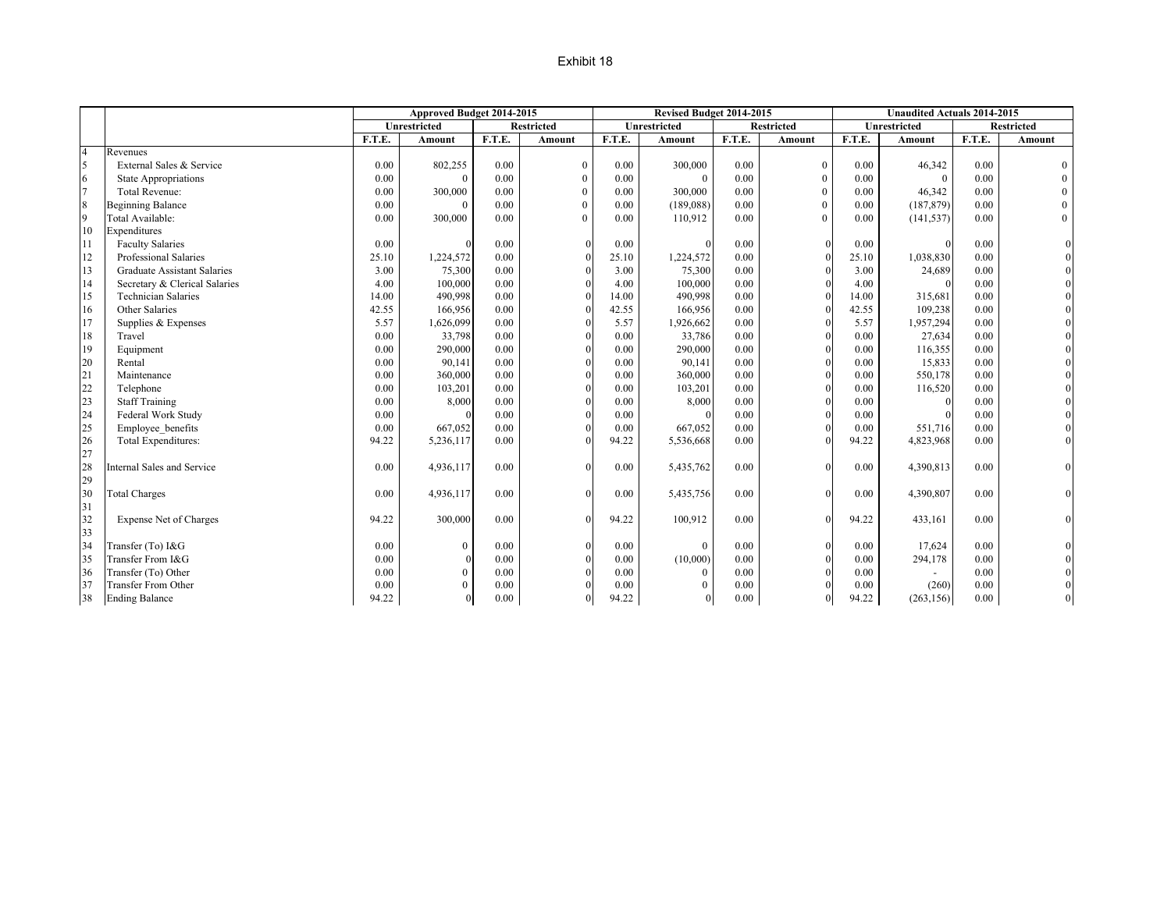#### Exhibit 18

|                  |                               |        | Approved Budget 2014-2015 |        |                   |        | Revised Budget 2014-2015 |        |                   |        | <b>Unaudited Actuals 2014-2015</b> |        |                   |
|------------------|-------------------------------|--------|---------------------------|--------|-------------------|--------|--------------------------|--------|-------------------|--------|------------------------------------|--------|-------------------|
|                  |                               |        | <b>Unrestricted</b>       |        | <b>Restricted</b> |        | <b>Unrestricted</b>      |        | <b>Restricted</b> |        | <b>Unrestricted</b>                |        | <b>Restricted</b> |
|                  |                               | F.T.E. | Amount                    | F.T.E. | Amount            | F.T.E. | Amount                   | F.T.E. | Amount            | F.T.E. | Amount                             | F.T.E. | Amount            |
| $\overline{4}$   | Revenues                      |        |                           |        |                   |        |                          |        |                   |        |                                    |        |                   |
| 5                | External Sales & Service      | 0.00   | 802,255                   | 0.00   | $\boldsymbol{0}$  | 0.00   | 300,000                  | 0.00   | $\boldsymbol{0}$  | 0.00   | 46,342                             | 0.00   | $\mathbf{0}$      |
| 6                | <b>State Appropriations</b>   | 0.00   | $\Omega$                  | 0.00   | $\mathbf{0}$      | 0.00   | $\theta$                 | 0.00   | $\mathbf{0}$      | 0.00   | $\Omega$                           | 0.00   | $\overline{0}$    |
| $7\overline{ }$  | <b>Total Revenue:</b>         | 0.00   | 300,000                   | 0.00   | $\mathbf{0}$      | 0.00   | 300,000                  | 0.00   | $\theta$          | 0.00   | 46,342                             | 0.00   | $\mathbf{0}$      |
| $\boldsymbol{8}$ | <b>Beginning Balance</b>      | 0.00   | $\Omega$                  | 0.00   | $\mathbf{0}$      | 0.00   | (189,088)                | 0.00   | $\mathbf{0}$      | 0.00   | (187, 879)                         | 0.00   | $\boldsymbol{0}$  |
| $\overline{9}$   | Total Available:              | 0.00   | 300,000                   | 0.00   | $\Omega$          | 0.00   | 110,912                  | 0.00   | $\Omega$          | 0.00   | (141, 537)                         | 0.00   | $\overline{0}$    |
| 10               | Expenditures                  |        |                           |        |                   |        |                          |        |                   |        |                                    |        |                   |
| 11               | <b>Faculty Salaries</b>       | 0.00   | $\Omega$                  | 0.00   | $\theta$          | 0.00   | $\Omega$                 | 0.00   | $\Omega$          | 0.00   | $\Omega$                           | 0.00   |                   |
| 12               | Professional Salaries         | 25.10  | 1,224,572                 | 0.00   |                   | 25.10  | 1,224,572                | 0.00   |                   | 25.10  | 1,038,830                          | 0.00   |                   |
| 13               | Graduate Assistant Salaries   | 3.00   | 75,300                    | 0.00   |                   | 3.00   | 75,300                   | 0.00   |                   | 3.00   | 24,689                             | 0.00   |                   |
| 14               | Secretary & Clerical Salaries | 4.00   | 100,000                   | 0.00   |                   | 4.00   | 100,000                  | 0.00   |                   | 4.00   |                                    | 0.00   | $\overline{0}$    |
| 15               | <b>Technician Salaries</b>    | 14.00  | 490,998                   | 0.00   |                   | 14.00  | 490,998                  | 0.00   |                   | 14.00  | 315,681                            | 0.00   | $\overline{0}$    |
| 16               | Other Salaries                | 42.55  | 166,956                   | 0.00   |                   | 42.55  | 166,956                  | 0.00   |                   | 42.55  | 109,238                            | 0.00   |                   |
| 17               | Supplies & Expenses           | 5.57   | 1,626,099                 | 0.00   |                   | 5.57   | 1,926,662                | 0.00   |                   | 5.57   | 1,957,294                          | 0.00   |                   |
| 18               | Travel                        | 0.00   | 33,798                    | 0.00   |                   | 0.00   | 33,786                   | 0.00   |                   | 0.00   | 27,634                             | 0.00   |                   |
| 19               | Equipment                     | 0.00   | 290,000                   | 0.00   |                   | 0.00   | 290,000                  | 0.00   |                   | 0.00   | 116,355                            | 0.00   |                   |
| 20               | Rental                        | 0.00   | 90,141                    | 0.00   |                   | 0.00   | 90,141                   | 0.00   |                   | 0.00   | 15,833                             | 0.00   |                   |
| 21               | Maintenance                   | 0.00   | 360,000                   | 0.00   | $\Omega$          | 0.00   | 360,000                  | 0.00   |                   | 0.00   | 550,178                            | 0.00   |                   |
| 22               | Telephone                     | 0.00   | 103,201                   | 0.00   | $\Omega$          | 0.00   | 103,201                  | 0.00   |                   | 0.00   | 116,520                            | 0.00   |                   |
| 23               | <b>Staff Training</b>         | 0.00   | 8,000                     | 0.00   | $\Omega$          | 0.00   | 8,000                    | 0.00   |                   | 0.00   |                                    | 0.00   |                   |
| 24               | Federal Work Study            | 0.00   |                           | 0.00   | $\Omega$          | 0.00   |                          | 0.00   |                   | 0.00   |                                    | 0.00   | $\overline{0}$    |
| 25               | Employee benefits             | 0.00   | 667,052                   | 0.00   |                   | 0.00   | 667,052                  | 0.00   |                   | 0.00   | 551,716                            | 0.00   |                   |
| 26               | Total Expenditures:           | 94.22  | 5,236,117                 | 0.00   |                   | 94.22  | 5,536,668                | 0.00   |                   | 94.22  | 4,823,968                          | 0.00   | $\mathbf{0}$      |
| 27               |                               |        |                           |        |                   |        |                          |        |                   |        |                                    |        |                   |
| 28               | Internal Sales and Service    | 0.00   | 4,936,117                 | 0.00   | $\Omega$          | 0.00   | 5,435,762                | 0.00   |                   | 0.00   | 4,390,813                          | 0.00   |                   |
| 29               |                               |        |                           |        |                   |        |                          |        |                   |        |                                    |        |                   |
| 30               | <b>Total Charges</b>          | 0.00   | 4,936,117                 | 0.00   | $\Omega$          | 0.00   | 5,435,756                | 0.00   |                   | 0.00   | 4,390,807                          | 0.00   |                   |
| 31               |                               |        |                           |        |                   |        |                          |        |                   |        |                                    |        |                   |
| 32               | <b>Expense Net of Charges</b> | 94.22  | 300,000                   | 0.00   | $\Omega$          | 94.22  | 100,912                  | 0.00   |                   | 94.22  | 433,161                            | 0.00   |                   |
| 33               |                               |        |                           |        |                   |        |                          |        |                   |        |                                    |        |                   |
| 34               | Transfer (To) I&G             | 0.00   | $\boldsymbol{0}$          | 0.00   | $\Omega$          | 0.00   | $\overline{0}$           | 0.00   |                   | 0.00   | 17,624                             | 0.00   |                   |
| 35               | Transfer From I&G             | 0.00   |                           | 0.00   |                   | 0.00   | (10,000)                 | 0.00   |                   | 0.00   | 294,178                            | 0.00   |                   |
| 36               | Transfer (To) Other           | 0.00   | $\boldsymbol{0}$          | 0.00   |                   | 0.00   | $\mathbf{0}$             | 0.00   |                   | 0.00   |                                    | 0.00   |                   |
| 37               | <b>Transfer From Other</b>    | 0.00   | $\mathbf{0}$              | 0.00   |                   | 0.00   | $\mathbf{0}$             | 0.00   |                   | 0.00   | (260)                              | 0.00   |                   |
| 38               | <b>Ending Balance</b>         | 94.22  | $\Omega$                  | 0.00   | $\Omega$          | 94.22  | $\Omega$                 | 0.00   |                   | 94.22  | (263, 156)                         | 0.00   | $\Omega$          |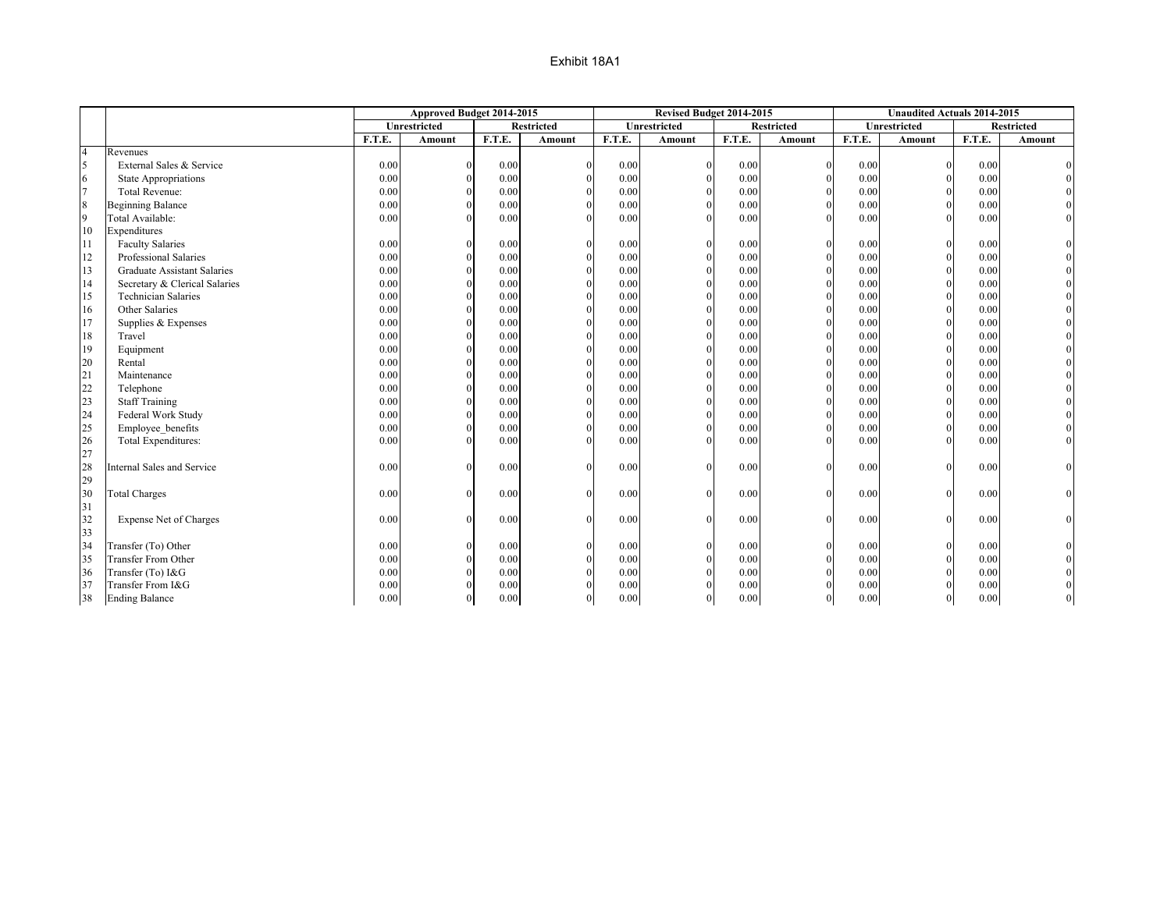|                |                                    |        | Approved Budget 2014-2015 |        |                   |          | Revised Budget 2014-2015 |        |              |        | <b>Unaudited Actuals 2014-2015</b> |        |                   |
|----------------|------------------------------------|--------|---------------------------|--------|-------------------|----------|--------------------------|--------|--------------|--------|------------------------------------|--------|-------------------|
|                |                                    |        | <b>Unrestricted</b>       |        | <b>Restricted</b> |          | Unrestricted             |        | Restricted   |        | Unrestricted                       |        | <b>Restricted</b> |
|                |                                    | F.T.E. | Amount                    | F.T.E. | Amount            | F.T.E.   | Amount                   | F.T.E. | Amount       | F.T.E. | Amount                             | F.T.E. | Amount            |
| $\overline{4}$ | Revenues                           |        |                           |        |                   |          |                          |        |              |        |                                    |        |                   |
| 5              | External Sales & Service           | 0.00   |                           | 0.00   |                   | 0.00     |                          | 0.00   |              | 0.00   | $\Omega$                           | 0.00   |                   |
| 6              | <b>State Appropriations</b>        | 0.00   | $\Omega$                  | 0.00   |                   | 0.00     | $\Omega$                 | 0.00   |              | 0.00   | $\Omega$                           | 0.00   |                   |
| $\overline{7}$ | <b>Total Revenue:</b>              | 0.00   | $\Omega$                  | 0.00   |                   | 0.00     | $\Omega$                 | 0.00   |              | 0.00   | $\Omega$                           | 0.00   |                   |
| 8              | <b>Beginning Balance</b>           | 0.00   | $\Omega$                  | 0.00   |                   | 0.00     |                          | 0.00   | $\Omega$     | 0.00   | $\Omega$                           | 0.00   |                   |
| $\overline{9}$ | Total Available:                   | 0.00   | $\Omega$                  | 0.00   |                   | 0.00     |                          | 0.00   | $\Omega$     | 0.00   | $\Omega$                           | 0.00   |                   |
| 10             | Expenditures                       |        |                           |        |                   |          |                          |        |              |        |                                    |        |                   |
| 111            | <b>Faculty Salaries</b>            | 0.00   | $\Omega$                  | 0.00   |                   | 0.00     | $\Omega$                 | 0.00   | $\mathbf{0}$ | 0.00   | $\mathbf{0}$                       | 0.00   | $\Omega$          |
| 12             | Professional Salaries              | 0.00   |                           | 0.00   |                   | 0.00     |                          | 0.00   | $\theta$     | 0.00   | $\Omega$                           | 0.00   |                   |
| 13             | <b>Graduate Assistant Salaries</b> | 0.00   |                           | 0.00   |                   | 0.00     |                          | 0.00   | $\theta$     | 0.00   | $\theta$                           | 0.00   |                   |
| 14             | Secretary & Clerical Salaries      | 0.00   |                           | 0.00   |                   | 0.00     |                          | 0.00   | $\Omega$     | 0.00   | $\Omega$                           | 0.00   |                   |
| 15             | <b>Technician Salaries</b>         | 0.00   |                           | 0.00   |                   | 0.00     |                          | 0.00   |              | 0.00   | $\Omega$                           | 0.00   |                   |
| 16             | Other Salaries                     | 0.00   |                           | 0.00   |                   | $0.00\,$ |                          | 0.00   |              | 0.00   | $\Omega$                           | 0.00   |                   |
| 17             | Supplies & Expenses                | 0.00   |                           | 0.00   |                   | 0.00     |                          | 0.00   |              | 0.00   |                                    | 0.00   |                   |
| 18             | Travel                             | 0.00   |                           | 0.00   |                   | 0.00     |                          | 0.00   |              | 0.00   | $\Omega$                           | 0.00   |                   |
| 19             | Equipment                          | 0.00   |                           | 0.00   |                   | 0.00     |                          | 0.00   |              | 0.00   | $\Omega$                           | 0.00   |                   |
| 20             | Rental                             | 0.00   | $\Omega$                  | 0.00   |                   | 0.00     |                          | 0.00   |              | 0.00   | $\Omega$                           | 0.00   |                   |
| 21             | Maintenance                        | 0.00   | $\Omega$                  | 0.00   |                   | 0.00     |                          | 0.00   |              | 0.00   | $\theta$                           | 0.00   |                   |
| 22             | Telephone                          | 0.00   | $\Omega$                  | 0.00   |                   | 0.00     |                          | 0.00   |              | 0.00   | $\theta$                           | 0.00   |                   |
| 23             | <b>Staff Training</b>              | 0.00   | $\Omega$                  | 0.00   |                   | 0.00     |                          | 0.00   |              | 0.00   | $\theta$                           | 0.00   |                   |
| 24             | Federal Work Study                 | 0.00   | $\Omega$                  | 0.00   |                   | 0.00     |                          | 0.00   | $\Omega$     | 0.00   | $\theta$                           | 0.00   |                   |
| 25             | Employee benefits                  | 0.00   | $\Omega$                  | 0.00   |                   | 0.00     |                          | 0.00   | $\theta$     | 0.00   | $\Omega$                           | 0.00   |                   |
| 26             | Total Expenditures:                | 0.00   | $\Omega$                  | 0.00   |                   | 0.00     |                          | 0.00   | $\Omega$     | 0.00   | $\Omega$                           | 0.00   |                   |
| 27             |                                    |        |                           |        |                   |          |                          |        |              |        |                                    |        |                   |
| 28             | <b>Internal Sales and Service</b>  | 0.00   | $\Omega$                  | 0.00   | $\Omega$          | 0.00     |                          | 0.00   | $\Omega$     | 0.00   | $\Omega$                           | 0.00   | $\theta$          |
| 29             |                                    |        |                           |        |                   |          |                          |        |              |        |                                    |        |                   |
| 30             | <b>Total Charges</b>               | 0.00   | $\Omega$                  | 0.00   | $\Omega$          | 0.00     |                          | 0.00   | $\Omega$     | 0.00   | $\Omega$                           | 0.00   | $\boldsymbol{0}$  |
| 31             |                                    |        |                           |        |                   |          |                          |        |              |        |                                    |        |                   |
| 32             | Expense Net of Charges             | 0.00   | $\Omega$                  | 0.00   | $\Omega$          | 0.00     |                          | 0.00   | $\theta$     | 0.00   | $\Omega$                           | 0.00   |                   |
| 33             |                                    |        |                           |        |                   |          |                          |        |              |        |                                    |        |                   |
| 34             | Transfer (To) Other                | 0.00   | $\Omega$                  | 0.00   |                   | 0.00     |                          | 0.00   | $\theta$     | 0.00   | $\Omega$                           | 0.00   |                   |
| 35             | <b>Transfer From Other</b>         | 0.00   | $\Omega$                  | 0.00   |                   | 0.00     |                          | 0.00   | $\theta$     | 0.00   | $\Omega$                           | 0.00   |                   |
| 36             | Transfer (To) I&G                  | 0.00   |                           | 0.00   |                   | 0.00     |                          | 0.00   |              | 0.00   | $\Omega$                           | 0.00   |                   |
| 37             | Transfer From I&G                  | 0.00   |                           | 0.00   |                   | 0.00     |                          | 0.00   |              | 0.00   | $\Omega$                           | 0.00   |                   |
| 38             | <b>Ending Balance</b>              | 0.00   | $\Omega$                  | 0.00   | $\Omega$          | 0.00     | $\Omega$                 | 0.00   | $\theta$     | 0.00   | $\overline{0}$                     | 0.00   |                   |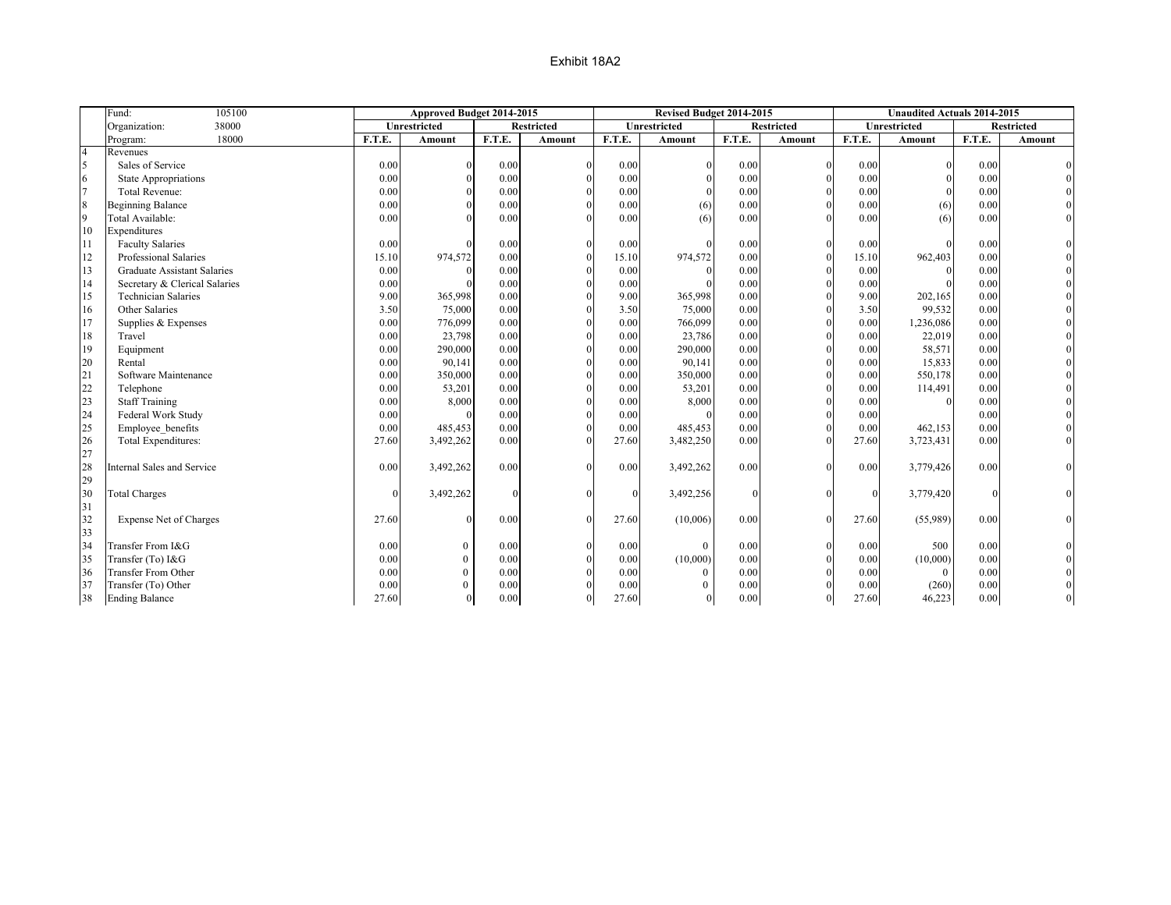|                  | 105100<br>Fund:                    |          | Approved Budget 2014-2015 |          |                   |          | Revised Budget 2014-2015 |          |                   |              | <b>Unaudited Actuals 2014-2015</b> |        |                   |
|------------------|------------------------------------|----------|---------------------------|----------|-------------------|----------|--------------------------|----------|-------------------|--------------|------------------------------------|--------|-------------------|
|                  | 38000<br>Organization:             |          | Unrestricted              |          | <b>Restricted</b> |          | <b>Unrestricted</b>      |          | <b>Restricted</b> |              | Unrestricted                       |        | <b>Restricted</b> |
|                  | 18000<br>Program:                  | F.T.E.   | Amount                    | F.T.E.   | Amount            | F.T.E.   | <b>Amount</b>            | F.T.E.   | <b>Amount</b>     | F.T.E.       | <b>Amount</b>                      | F.T.E. | Amount            |
| $\overline{4}$   | Revenues                           |          |                           |          |                   |          |                          |          |                   |              |                                    |        |                   |
| 5                | Sales of Service                   | 0.00     |                           | 0.00     | $\Omega$          | 0.00     |                          | 0.00     | $\Omega$          | 0.00         | $\theta$                           | 0.00   |                   |
| 6                | <b>State Appropriations</b>        | 0.00     |                           | 0.00     | $\Omega$          | 0.00     |                          | 0.00     | $\Omega$          | 0.00         | $\theta$                           | 0.00   |                   |
| $\overline{7}$   | <b>Total Revenue:</b>              | 0.00     |                           | 0.00     | $\Omega$          | 0.00     |                          | 0.00     | $\Omega$          | 0.00         | $\Omega$                           | 0.00   |                   |
| $\boldsymbol{8}$ | <b>Beginning Balance</b>           | 0.00     |                           | 0.00     | $\Omega$          | 0.00     | (6)                      | 0.00     | $\Omega$          | 0.00         | (6)                                | 0.00   |                   |
| $\overline{9}$   | Total Available:                   | 0.00     |                           | 0.00     | $\Omega$          | 0.00     | (6)                      | 0.00     | $\Omega$          | 0.00         | (6)                                | 0.00   |                   |
| 10               | Expenditures                       |          |                           |          |                   |          |                          |          |                   |              |                                    |        |                   |
| 11               | <b>Faculty Salaries</b>            | 0.00     | $\Omega$                  | 0.00     | $\Omega$          | 0.00     | $\Omega$                 | 0.00     | $\mathbf{0}$      | 0.00         | $\Omega$                           | 0.00   |                   |
| 12               | Professional Salaries              | 15.10    | 974,572                   | 0.00     | $\Omega$          | 15.10    | 974,572                  | 0.00     | $\Omega$          | 15.10        | 962,403                            | 0.00   |                   |
| 13               | <b>Graduate Assistant Salaries</b> | 0.00     |                           | 0.00     | $\Omega$          | 0.00     |                          | 0.00     | $\Omega$          | 0.00         |                                    | 0.00   |                   |
| 14               | Secretary & Clerical Salaries      | 0.00     |                           | 0.00     |                   | 0.00     |                          | 0.00     |                   | 0.00         |                                    | 0.00   |                   |
| 15               | <b>Technician Salaries</b>         | 9.00     | 365,998                   | 0.00     |                   | 9.00     | 365,998                  | 0.00     | $\Omega$          | 9.00         | 202,165                            | 0.00   |                   |
| 16               | Other Salaries                     | 3.50     | 75,000                    | 0.00     | $\Omega$          | 3.50     | 75,000                   | 0.00     | $\Omega$          | 3.50         | 99,532                             | 0.00   |                   |
| 17               | Supplies & Expenses                | 0.00     | 776,099                   | 0.00     | $\Omega$          | 0.00     | 766,099                  | 0.00     | $\Omega$          | 0.00         | 1,236,086                          | 0.00   |                   |
| 18               | Travel                             | 0.00     | 23,798                    | 0.00     | $\Omega$          | 0.00     | 23,786                   | 0.00     | $\Omega$          | 0.00         | 22,019                             | 0.00   |                   |
| 19               | Equipment                          | 0.00     | 290,000                   | 0.00     | $\Omega$          | 0.00     | 290,000                  | 0.00     | $\Omega$          | 0.00         | 58,571                             | 0.00   |                   |
| 20               | Rental                             | 0.00     | 90,141                    | 0.00     | $\Omega$          | 0.00     | 90,141                   | 0.00     |                   | 0.00         | 15,833                             | 0.00   |                   |
| 21               | Software Maintenance               | 0.00     | 350,000                   | 0.00     | $\Omega$          | 0.00     | 350,000                  | 0.00     | $\Omega$          | 0.00         | 550,178                            | 0.00   |                   |
| 22               | Telephone                          | 0.00     | 53,201                    | 0.00     | $\Omega$          | 0.00     | 53,201                   | 0.00     | $\Omega$          | 0.00         | 114,491                            | 0.00   |                   |
| 23               | <b>Staff Training</b>              | 0.00     | 8,000                     | 0.00     | $\Omega$          | 0.00     | 8,000                    | 0.00     | $\Omega$          | 0.00         | $\Omega$                           | 0.00   |                   |
| 24               | Federal Work Study                 | 0.00     |                           | 0.00     |                   | 0.00     |                          | 0.00     | $\Omega$          | 0.00         |                                    | 0.00   |                   |
| 25               | Employee benefits                  | 0.00     | 485,453                   | 0.00     |                   | 0.00     | 485,453                  | 0.00     |                   | 0.00         | 462,153                            | 0.00   |                   |
| 26               | Total Expenditures:                | 27.60    | 3,492,262                 | 0.00     | $\Omega$          | 27.60    | 3,482,250                | 0.00     | $\Omega$          | 27.60        | 3,723,431                          | 0.00   | $\Omega$          |
| 27               |                                    |          |                           |          |                   |          |                          |          |                   |              |                                    |        |                   |
| 28               | <b>Internal Sales and Service</b>  | 0.00     | 3,492,262                 | 0.00     | $\Omega$          | 0.00     | 3,492,262                | 0.00     | $\Omega$          | 0.00         | 3,779,426                          | 0.00   | $\Omega$          |
| 29               |                                    |          |                           |          |                   |          |                          |          |                   |              |                                    |        |                   |
| 30               | <b>Total Charges</b>               | $\Omega$ | 3,492,262                 | $\Omega$ | $\Omega$          | $\Omega$ | 3,492,256                | $\theta$ | $\Omega$          | $\mathbf{0}$ | 3,779,420                          |        |                   |
| 31               |                                    |          |                           |          |                   |          |                          |          |                   |              |                                    |        |                   |
| 32               | Expense Net of Charges             | 27.60    | $\theta$                  | 0.00     | $\Omega$          | 27.60    | (10,006)                 | 0.00     | $\Omega$          | 27.60        | (55,989)                           | 0.00   |                   |
| 33               |                                    |          |                           |          |                   |          |                          |          |                   |              |                                    |        |                   |
| 34               | Transfer From I&G                  | 0.00     | $\mathbf{0}$              | 0.00     | $\Omega$          | 0.00     | $\Omega$                 | 0.00     | $\Omega$          | 0.00         | 500                                | 0.00   |                   |
| 35               | Transfer (To) I&G                  | 0.00     | $\mathbf{0}$              | 0.00     |                   | 0.00     | (10,000)                 | 0.00     | $\Omega$          | 0.00         | (10,000)                           | 0.00   |                   |
| 36               | <b>Transfer From Other</b>         | 0.00     | $\mathbf{0}$              | 0.00     |                   | 0.00     | $\theta$                 | 0.00     | $\Omega$          | 0.00         | $\theta$                           | 0.00   |                   |
| 37               | Transfer (To) Other                | 0.00     | $\mathbf{0}$              | 0.00     |                   | 0.00     | $\Omega$                 | 0.00     |                   | 0.00         | (260)                              | 0.00   |                   |
| 38               | <b>Ending Balance</b>              | 27.60    | $\theta$                  | 0.00     | $\Omega$          | 27.60    | $\theta$                 | 0.00     | $\Omega$          | 27.60        | 46,223                             | 0.00   | $\overline{0}$    |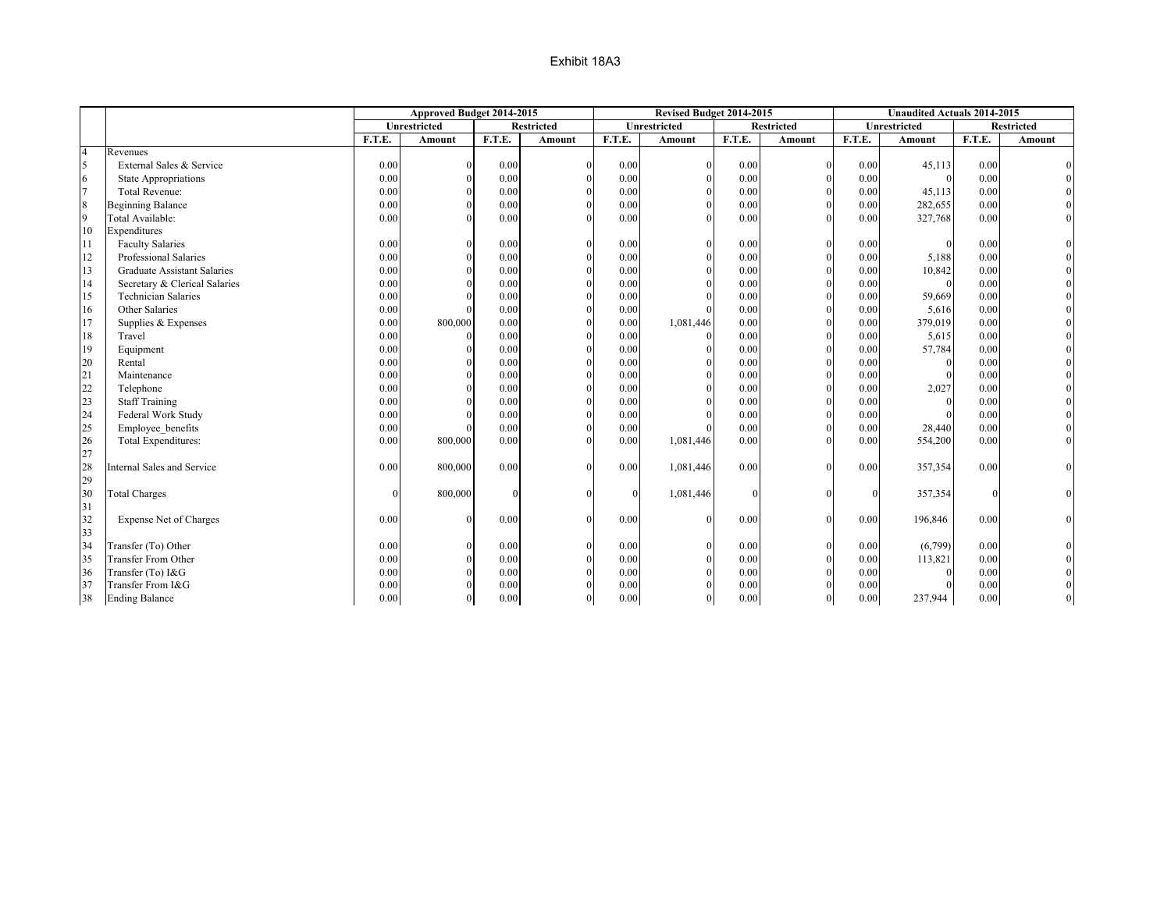|                  |                                    |          | Approved Budget 2014-2015 |          |                   |              | Revised Budget 2014-2015 |          |                   |          | <b>Unaudited Actuals 2014-2015</b> |        |                   |
|------------------|------------------------------------|----------|---------------------------|----------|-------------------|--------------|--------------------------|----------|-------------------|----------|------------------------------------|--------|-------------------|
|                  |                                    |          | Unrestricted              |          | <b>Restricted</b> |              | <b>Unrestricted</b>      |          | <b>Restricted</b> |          | <b>Unrestricted</b>                |        | <b>Restricted</b> |
|                  |                                    | F.T.E.   | Amount                    | F.T.E.   | Amount            | F.T.E.       | Amount                   | F.T.E.   | Amount            | F.T.E.   | Amount                             | F.T.E. | Amount            |
| $\overline{4}$   | Revenues                           |          |                           |          |                   |              |                          |          |                   |          |                                    |        |                   |
| 5                | External Sales & Service           | 0.00     |                           | 0.00     |                   | 0.00         |                          | 0.00     | $\theta$          | 0.00     | 45,113                             | 0.00   |                   |
| 6                | <b>State Appropriations</b>        | 0.00     | $\Omega$                  | 0.00     |                   | 0.00         |                          | 0.00     |                   | 0.00     | $\Omega$                           | 0.00   |                   |
| $\overline{7}$   | <b>Total Revenue:</b>              | 0.00     | $\Omega$                  | 0.00     |                   | 0.00         |                          | 0.00     |                   | 0.00     | 45,113                             | 0.00   |                   |
| $\boldsymbol{8}$ | <b>Beginning Balance</b>           | 0.00     | $\Omega$                  | 0.00     |                   | 0.00         | $\Omega$                 | 0.00     | $\theta$          | 0.00     | 282,655                            | 0.00   |                   |
| $\overline{9}$   | Total Available:                   | 0.00     | $\Omega$                  | 0.00     |                   | 0.00         |                          | 0.00     |                   | 0.00     | 327,768                            | 0.00   |                   |
| 10               | Expenditures                       |          |                           |          |                   |              |                          |          |                   |          |                                    |        |                   |
| 11               | <b>Faculty Salaries</b>            | 0.00     | $\Omega$                  | 0.00     | $\Omega$          | 0.00         | $\Omega$                 | 0.00     | $\Omega$          | 0.00     | $\theta$                           | 0.00   |                   |
| 12               | Professional Salaries              | 0.00     | $\Omega$                  | 0.00     |                   | 0.00         |                          | 0.00     | $\theta$          | 0.00     | 5,188                              | 0.00   |                   |
| 13               | <b>Graduate Assistant Salaries</b> | 0.00     | $\Omega$                  | 0.00     |                   | 0.00         |                          | 0.00     | $\theta$          | 0.00     | 10,842                             | 0.00   |                   |
| 14               | Secretary & Clerical Salaries      | 0.00     | $\Omega$                  | 0.00     |                   | 0.00         |                          | 0.00     | $\theta$          | 0.00     | $\Omega$                           | 0.00   |                   |
| 15               | <b>Technician Salaries</b>         | 0.00     | $\Omega$                  | 0.00     |                   | 0.00         |                          | 0.00     | $\Omega$          | 0.00     | 59,669                             | 0.00   |                   |
| 16               | Other Salaries                     | 0.00     | $\Omega$                  | 0.00     |                   | 0.00         |                          | 0.00     | $\Omega$          | 0.00     | 5,616                              | 0.00   |                   |
| 17               | Supplies & Expenses                | 0.00     | 800,000                   | 0.00     |                   | 0.00         | 1,081,446                | 0.00     |                   | 0.00     | 379,019                            | 0.00   |                   |
| 18               | Travel                             | 0.00     | $\Omega$                  | 0.00     |                   | 0.00         |                          | 0.00     |                   | 0.00     | 5,615                              | 0.00   |                   |
| 19               | Equipment                          | 0.00     | $\Omega$                  | 0.00     |                   | 0.00         |                          | 0.00     |                   | 0.00     | 57,784                             | 0.00   |                   |
| 20               | Rental                             | 0.00     | $\Omega$                  | 0.00     |                   | 0.00         |                          | 0.00     |                   | 0.00     | $\Omega$                           | 0.00   |                   |
| 21               | Maintenance                        | 0.00     | $\Omega$                  | 0.00     |                   | 0.00         |                          | 0.00     |                   | 0.00     | $\Omega$                           | 0.00   |                   |
| 22               | Telephone                          | 0.00     | $\Omega$                  | 0.00     |                   | 0.00         |                          | 0.00     |                   | 0.00     | 2,027                              | 0.00   |                   |
| 23               | <b>Staff Training</b>              | 0.00     | $\Omega$                  | 0.00     |                   | 0.00         |                          | 0.00     |                   | 0.00     | $\Omega$                           | 0.00   |                   |
| 24               | Federal Work Study                 | 0.00     | $\Omega$                  | 0.00     |                   | 0.00         |                          | 0.00     | $\theta$          | 0.00     | $\Omega$                           | 0.00   |                   |
| 25               | Employee benefits                  | 0.00     |                           | 0.00     |                   | 0.00         |                          | 0.00     | $\Omega$          | 0.00     | 28,440                             | 0.00   |                   |
| 26               | Total Expenditures:                | 0.00     | 800,000                   | 0.00     |                   | 0.00         | 1,081,446                | 0.00     |                   | 0.00     | 554,200                            | 0.00   |                   |
| 27               |                                    |          |                           |          |                   |              |                          |          |                   |          |                                    |        |                   |
| 28               | <b>Internal Sales and Service</b>  | 0.00     | 800,000                   | 0.00     |                   | 0.00         | 1,081,446                | 0.00     | $\Omega$          | 0.00     | 357,354                            | 0.00   |                   |
| 29               |                                    |          |                           |          |                   |              |                          |          |                   |          |                                    |        |                   |
| 30               | <b>Total Charges</b>               | $\Omega$ | 800,000                   | $\theta$ |                   | $\mathbf{0}$ | 1,081,446                | $\Omega$ |                   | $\Omega$ | 357,354                            |        |                   |
| 31               |                                    |          |                           |          |                   |              |                          |          |                   |          |                                    |        |                   |
| 32               | Expense Net of Charges             | 0.00     | $\Omega$                  | 0.00     | $\Omega$          | 0.00         | $\Omega$                 | 0.00     | $\Omega$          | 0.00     | 196,846                            | 0.00   |                   |
| 33               |                                    |          |                           |          |                   |              |                          |          |                   |          |                                    |        |                   |
| 34               | Transfer (To) Other                | 0.00     | $\Omega$                  | 0.00     |                   | 0.00         |                          | 0.00     |                   | 0.00     | (6,799)                            | 0.00   |                   |
| 35               | <b>Transfer From Other</b>         | 0.00     |                           | 0.00     |                   | 0.00         |                          | 0.00     |                   | 0.00     | 113,821                            | 0.00   |                   |
| 36               | Transfer (To) I&G                  | 0.00     |                           | 0.00     |                   | 0.00         |                          | 0.00     |                   | 0.00     | $\Omega$                           | 0.00   |                   |
| 37               | Transfer From I&G                  | 0.00     |                           | 0.00     |                   | $0.00\,$     |                          | 0.00     |                   | 0.00     |                                    | 0.00   |                   |
| 38               | <b>Ending Balance</b>              | 0.00     | $\Omega$                  | 0.00     |                   | 0.00         | $\Omega$                 | 0.00     | $\Omega$          | 0.00     | 237,944                            | 0.00   |                   |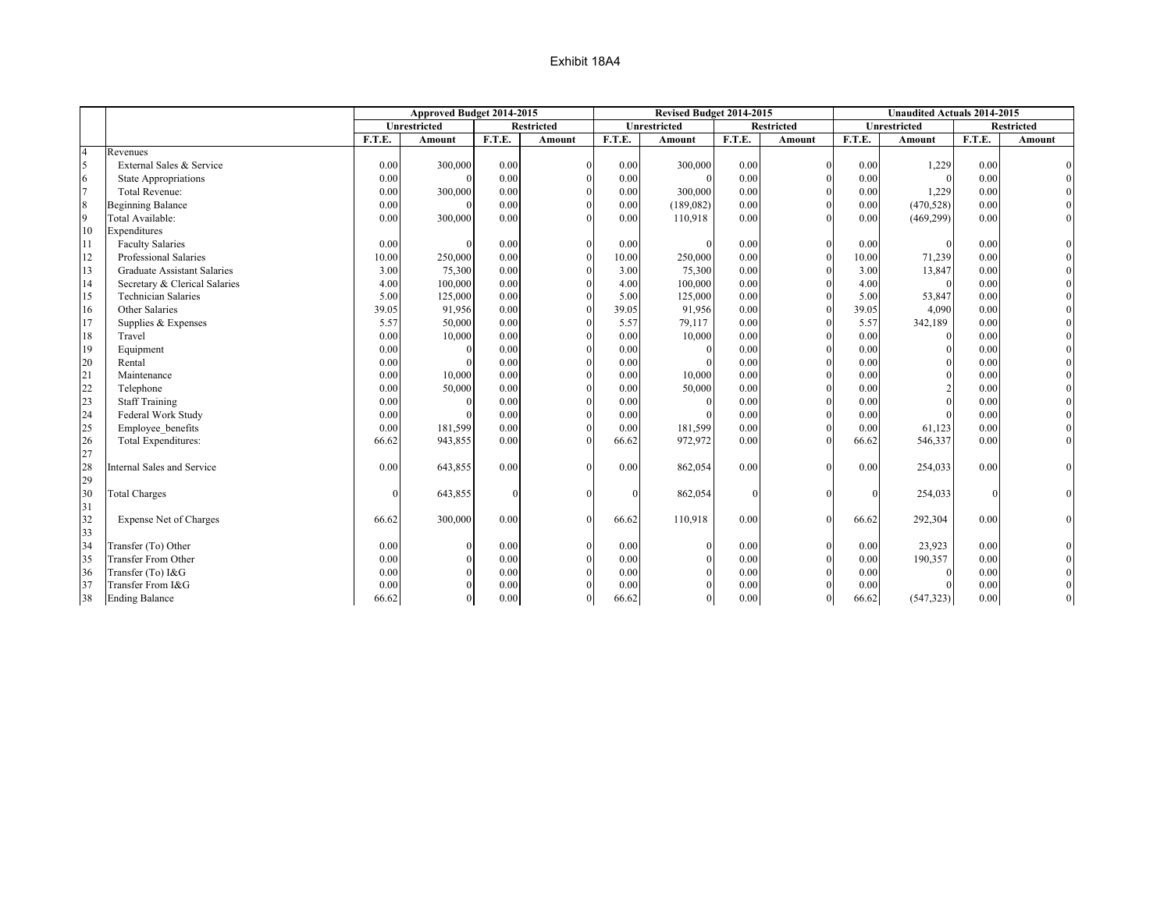|                  |                                    |          | Approved Budget 2014-2015 |              |                   |              | Revised Budget 2014-2015 |          |                   |          | <b>Unaudited Actuals 2014-2015</b> |        |                   |
|------------------|------------------------------------|----------|---------------------------|--------------|-------------------|--------------|--------------------------|----------|-------------------|----------|------------------------------------|--------|-------------------|
|                  |                                    |          | <b>Unrestricted</b>       |              | <b>Restricted</b> |              | Unrestricted             |          | <b>Restricted</b> |          | Unrestricted                       |        | <b>Restricted</b> |
|                  |                                    | F.T.E.   | Amount                    | F.T.E.       | Amount            | F.T.E.       | Amount                   | F.T.E.   | Amount            | F.T.E.   | <b>Amount</b>                      | F.T.E. | Amount            |
| $\overline{4}$   | Revenues                           |          |                           |              |                   |              |                          |          |                   |          |                                    |        |                   |
| 5                | External Sales & Service           | 0.00     | 300,000                   | 0.00         |                   | 0.00         | 300,000                  | 0.00     | $\theta$          | 0.00     | 1,229                              | 0.00   |                   |
| 6                | <b>State Appropriations</b>        | 0.00     | $\Omega$                  | 0.00         |                   | 0.00         |                          | 0.00     | $\theta$          | 0.00     | $\Omega$                           | 0.00   |                   |
| $\overline{7}$   | <b>Total Revenue:</b>              | 0.00     | 300,000                   | 0.00         |                   | 0.00         | 300,000                  | 0.00     |                   | 0.00     | 1,229                              | 0.00   |                   |
| $\boldsymbol{8}$ | <b>Beginning Balance</b>           | 0.00     | $\Omega$                  | 0.00         |                   | 0.00         | (189,082)                | 0.00     |                   | 0.00     | (470, 528)                         | 0.00   |                   |
| $\overline{9}$   | Total Available:                   | 0.00     | 300,000                   | 0.00         |                   | 0.00         | 110,918                  | 0.00     |                   | 0.00     | (469, 299)                         | 0.00   |                   |
| 10               | Expenditures                       |          |                           |              |                   |              |                          |          |                   |          |                                    |        |                   |
| 11               | <b>Faculty Salaries</b>            | 0.00     | $\Omega$                  | 0.00         | $\Omega$          | 0.00         |                          | 0.00     | $\theta$          | 0.00     | $\Omega$                           | 0.00   |                   |
| 12               | Professional Salaries              | 10.00    | 250,000                   | 0.00         |                   | 10.00        | 250,000                  | 0.00     | $\theta$          | 10.00    | 71,239                             | 0.00   |                   |
| 13               | <b>Graduate Assistant Salaries</b> | 3.00     | 75,300                    | 0.00         |                   | 3.00         | 75,300                   | 0.00     |                   | 3.00     | 13,847                             | 0.00   |                   |
| 14               | Secretary & Clerical Salaries      | 4.00     | 100,000                   | 0.00         |                   | 4.00         | 100,000                  | 0.00     |                   | 4.00     | $\Omega$                           | 0.00   |                   |
| 15               | <b>Technician Salaries</b>         | 5.00     | 125,000                   | 0.00         |                   | 5.00         | 125,000                  | 0.00     |                   | 5.00     | 53,847                             | 0.00   |                   |
| 16               | Other Salaries                     | 39.05    | 91,956                    | 0.00         |                   | 39.05        | 91,956                   | 0.00     |                   | 39.05    | 4,090                              | 0.00   |                   |
| 17               | Supplies & Expenses                | 5.57     | 50,000                    | 0.00         |                   | 5.57         | 79,117                   | 0.00     |                   | 5.57     | 342,189                            | 0.00   |                   |
| 18               | Travel                             | 0.00     | 10,000                    | 0.00         |                   | 0.00         | 10,000                   | 0.00     |                   | 0.00     |                                    | 0.00   |                   |
| 19               | Equipment                          | 0.00     | $\Omega$                  | 0.00         |                   | 0.00         |                          | 0.00     |                   | 0.00     | $\Omega$                           | 0.00   |                   |
| 20               | Rental                             | 0.00     | $\Omega$                  | 0.00         |                   | 0.00         |                          | 0.00     |                   | 0.00     | $\theta$                           | 0.00   |                   |
| 21               | Maintenance                        | 0.00     | 10,000                    | 0.00         |                   | 0.00         | 10,000                   | 0.00     |                   | 0.00     | $\Omega$                           | 0.00   |                   |
| 22               | Telephone                          | 0.00     | 50,000                    | 0.00         |                   | 0.00         | 50,000                   | 0.00     |                   | 0.00     |                                    | 0.00   |                   |
| 23               | <b>Staff Training</b>              | 0.00     | $\Omega$                  | 0.00         |                   | 0.00         | $\Omega$                 | 0.00     |                   | 0.00     |                                    | 0.00   |                   |
| 24               | Federal Work Study                 | 0.00     |                           | 0.00         |                   | 0.00         |                          | 0.00     |                   | 0.00     |                                    | 0.00   |                   |
| 25               | Employee benefits                  | 0.00     | 181,599                   | 0.00         |                   | 0.00         | 181,599                  | 0.00     |                   | 0.00     | 61,123                             | 0.00   |                   |
| 26               | Total Expenditures:                | 66.62    | 943,855                   | 0.00         |                   | 66.62        | 972,972                  | 0.00     |                   | 66.62    | 546,337                            | 0.00   |                   |
| 27               |                                    |          |                           |              |                   |              |                          |          |                   |          |                                    |        |                   |
| 28               | Internal Sales and Service         | 0.00     | 643,855                   | 0.00         |                   | 0.00         | 862,054                  | 0.00     |                   | 0.00     | 254,033                            | 0.00   |                   |
| 29               |                                    |          |                           |              |                   |              |                          |          |                   |          |                                    |        |                   |
| 30               | <b>Total Charges</b>               | $\Omega$ | 643,855                   | $\mathbf{0}$ |                   | $\mathbf{0}$ | 862,054                  | $\Omega$ |                   | $\Omega$ | 254,033                            |        |                   |
| 31               |                                    |          |                           |              |                   |              |                          |          |                   |          |                                    |        |                   |
| 32               | Expense Net of Charges             | 66.62    | 300,000                   | 0.00         |                   | 66.62        | 110,918                  | 0.00     |                   | 66.62    | 292,304                            | 0.00   |                   |
| 33               |                                    |          |                           |              |                   |              |                          |          |                   |          |                                    |        |                   |
| 34               | Transfer (To) Other                | 0.00     | $\Omega$                  | 0.00         |                   | 0.00         | $\theta$                 | 0.00     |                   | 0.00     | 23,923                             | 0.00   |                   |
| 35               | <b>Transfer From Other</b>         | 0.00     | $\Omega$                  | 0.00         |                   | 0.00         |                          | 0.00     |                   | 0.00     | 190,357                            | 0.00   |                   |
| 36               | Transfer (To) I&G                  | 0.00     |                           | 0.00         |                   | 0.00         |                          | 0.00     |                   | 0.00     |                                    | 0.00   |                   |
| 37               | Transfer From I&G                  | 0.00     |                           | 0.00         |                   | 0.00         |                          | 0.00     |                   | 0.00     |                                    | 0.00   |                   |
| 38               | <b>Ending Balance</b>              | 66.62    | $\Omega$                  | 0.00         |                   | 66.62        | $\Omega$                 | 0.00     | $\Omega$          | 66.62    | (547, 323)                         | 0.00   |                   |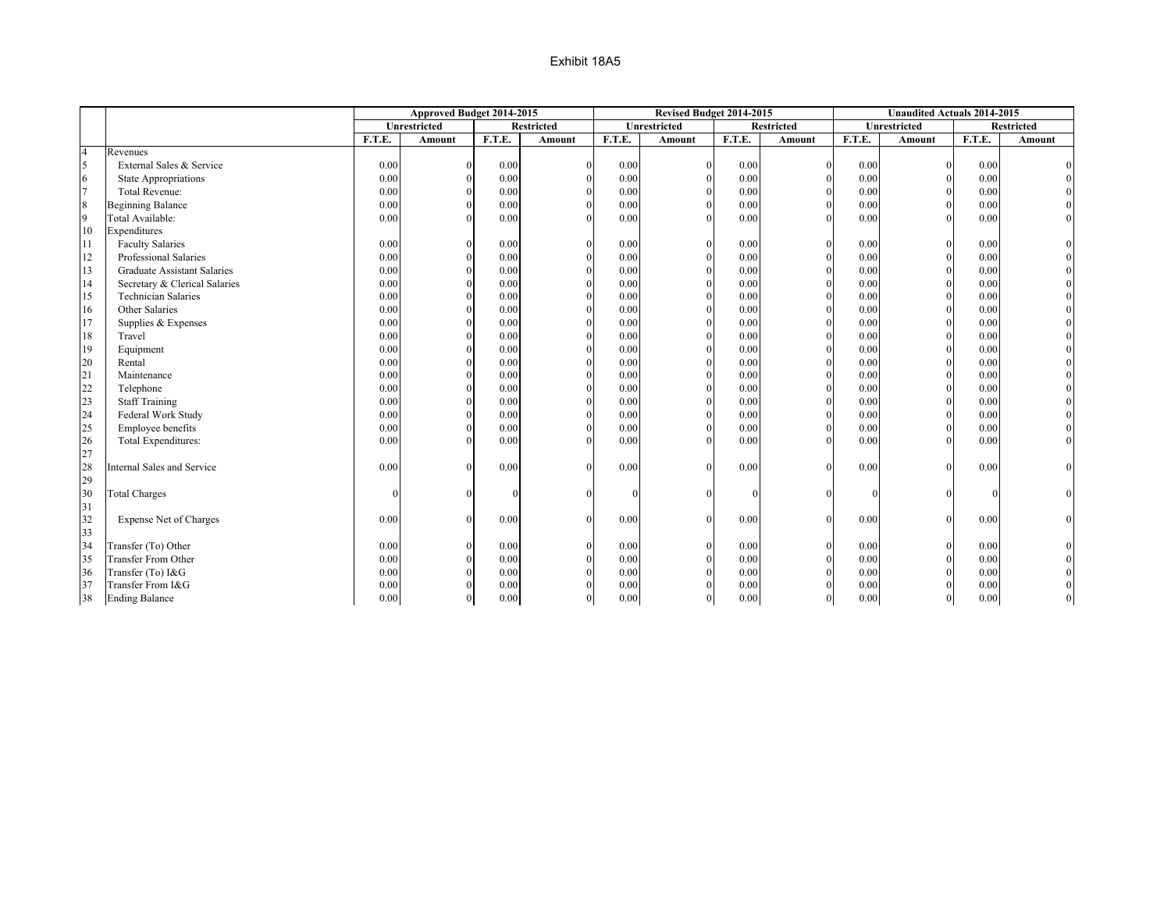|                |                                    |        | Approved Budget 2014-2015 |        |                   |        | Revised Budget 2014-2015 |        |                   |        | <b>Unaudited Actuals 2014-2015</b> |          |                   |
|----------------|------------------------------------|--------|---------------------------|--------|-------------------|--------|--------------------------|--------|-------------------|--------|------------------------------------|----------|-------------------|
|                |                                    |        | <b>Unrestricted</b>       |        | <b>Restricted</b> |        | Unrestricted             |        | <b>Restricted</b> |        | Unrestricted                       |          | <b>Restricted</b> |
|                |                                    | F.T.E. | Amount                    | F.T.E. | Amount            | F.T.E. | Amount                   | F.T.E. | Amount            | F.T.E. | Amount                             | F.T.E.   | Amount            |
| $\overline{4}$ | Revenues                           |        |                           |        |                   |        |                          |        |                   |        |                                    |          |                   |
| 5              | External Sales & Service           | 0.00   | $\Omega$                  | 0.00   | $\Omega$          | 0.00   | $\mathbf{0}$             | 0.00   | $\theta$          | 0.00   |                                    | 0.00     |                   |
| 6              | <b>State Appropriations</b>        | 0.00   | $\Omega$                  | 0.00   | $\Omega$          | 0.00   | $\mathbf{0}$             | 0.00   | $\Omega$          | 0.00   |                                    | 0.00     |                   |
| $\overline{7}$ | <b>Total Revenue:</b>              | 0.00   | $\Omega$                  | 0.00   | $\Omega$          | 0.00   | $\mathbf{0}$             | 0.00   | $\theta$          | 0.00   |                                    | 0.00     |                   |
| 8              | <b>Beginning Balance</b>           | 0.00   | $\Omega$                  | 0.00   | $\Omega$          | 0.00   | $\mathbf{0}$             | 0.00   | $\Omega$          | 0.00   |                                    | 0.00     |                   |
| $\overline{9}$ | Total Available:                   | 0.00   | $\Omega$                  | 0.00   | $\Omega$          | 0.00   | $\Omega$                 | 0.00   | $\Omega$          | 0.00   |                                    | 0.00     |                   |
| 10             | Expenditures                       |        |                           |        |                   |        |                          |        |                   |        |                                    |          |                   |
| 111            | <b>Faculty Salaries</b>            | 0.00   | $\Omega$                  | 0.00   | $\theta$          | 0.00   | $\mathbf{0}$             | 0.00   | $\mathbf{0}$      | 0.00   | $\Omega$                           | 0.00     |                   |
| 12             | Professional Salaries              | 0.00   | $\Omega$                  | 0.00   | $\theta$          | 0.00   | $\mathbf{0}$             | 0.00   | $\mathbf{0}$      | 0.00   |                                    | 0.00     |                   |
| 13             | <b>Graduate Assistant Salaries</b> | 0.00   | $\Omega$                  | 0.00   | $\theta$          | 0.00   | $\mathbf{0}$             | 0.00   | $\Omega$          | 0.00   |                                    | 0.00     |                   |
| 14             | Secretary & Clerical Salaries      | 0.00   | $\Omega$                  | 0.00   | $\Omega$          | 0.00   | $\mathbf{0}$             | 0.00   | $\Omega$          | 0.00   |                                    | 0.00     |                   |
| 15             | <b>Technician Salaries</b>         | 0.00   | $\Omega$                  | 0.00   |                   | 0.00   | $\Omega$                 | 0.00   | $\Omega$          | 0.00   |                                    | 0.00     |                   |
| 16             | Other Salaries                     | 0.00   |                           | 0.00   |                   | 0.00   | $\Omega$                 | 0.00   | $\theta$          | 0.00   |                                    | 0.00     |                   |
| 17             | Supplies & Expenses                | 0.00   | $\Omega$                  | 0.00   |                   | 0.00   | $\theta$                 | 0.00   | $\Omega$          | 0.00   |                                    | 0.00     |                   |
| 18             | Travel                             | 0.00   | $\Omega$                  | 0.00   |                   | 0.00   | $\theta$                 | 0.00   | $\Omega$          | 0.00   |                                    | 0.00     |                   |
| 19             | Equipment                          | 0.00   | $\Omega$                  | 0.00   |                   | 0.00   | $\theta$                 | 0.00   | $\Omega$          | 0.00   |                                    | 0.00     |                   |
| 20             | Rental                             | 0.00   | $\Omega$                  | 0.00   |                   | 0.00   | $\theta$                 | 0.00   | $\Omega$          | 0.00   |                                    | 0.00     |                   |
| 21             | Maintenance                        | 0.00   | $\Omega$                  | 0.00   |                   | 0.00   | $\Omega$                 | 0.00   | $\Omega$          | 0.00   |                                    | 0.00     |                   |
| 22             | Telephone                          | 0.00   | $\Omega$                  | 0.00   |                   | 0.00   | $\Omega$                 | 0.00   | $\Omega$          | 0.00   |                                    | 0.00     |                   |
| 23             | <b>Staff Training</b>              | 0.00   | $\Omega$                  | 0.00   |                   | 0.00   | $\Omega$                 | 0.00   | $\theta$          | 0.00   |                                    | 0.00     |                   |
| 24             | Federal Work Study                 | 0.00   | $\Omega$                  | 0.00   | $\theta$          | 0.00   | $\mathbf{0}$             | 0.00   | $\Omega$          | 0.00   |                                    | 0.00     |                   |
| 25             | Employee benefits                  | 0.00   | $\Omega$                  | 0.00   | $\theta$          | 0.00   | $\Omega$                 | 0.00   | $\Omega$          | 0.00   |                                    | 0.00     |                   |
| 26             | Total Expenditures:                | 0.00   | $\Omega$                  | 0.00   | $\Omega$          | 0.00   | $\Omega$                 | 0.00   | $\Omega$          | 0.00   |                                    | 0.00     |                   |
| 27             |                                    |        |                           |        |                   |        |                          |        |                   |        |                                    |          |                   |
| 28             | <b>Internal Sales and Service</b>  | 0.00   | $\Omega$                  | 0.00   | $\theta$          | 0.00   | $\Omega$                 | 0.00   | $\mathbf{0}$      | 0.00   |                                    | 0.00     |                   |
| 29             |                                    |        |                           |        |                   |        |                          |        |                   |        |                                    |          |                   |
| 30             | <b>Total Charges</b>               |        |                           |        |                   |        |                          | 0      | $\Omega$          |        |                                    |          |                   |
| 31             |                                    |        |                           |        |                   |        |                          |        |                   |        |                                    |          |                   |
| 32             | Expense Net of Charges             | 0.00   | $\Omega$                  | 0.00   | $\theta$          | 0.00   | $\theta$                 | 0.00   | $\overline{0}$    | 0.00   |                                    | 0.00     |                   |
| 33             |                                    |        |                           |        |                   |        |                          |        |                   |        |                                    |          |                   |
| 34             | Transfer (To) Other                | 0.00   | $\Omega$                  | 0.00   | $\Omega$          | 0.00   | $\mathbf{0}$             | 0.00   | $\mathbf{0}$      | 0.00   |                                    | 0.00     |                   |
| 35             | <b>Transfer From Other</b>         | 0.00   | $\Omega$                  | 0.00   | $\Omega$          | 0.00   | $\mathbf{0}$             | 0.00   | $\Omega$          | 0.00   |                                    | $0.00\,$ |                   |
| 36             | Transfer (To) I&G                  | 0.00   | $\Omega$                  | 0.00   | $\Omega$          | 0.00   | $\mathbf{0}$             | 0.00   | $\Omega$          | 0.00   |                                    | 0.00     |                   |
| 37             | Transfer From I&G                  | 0.00   |                           | 0.00   |                   | 0.00   | $\mathbf{0}$             | 0.00   | $\Omega$          | 0.00   |                                    | 0.00     |                   |
| 38             | <b>Ending Balance</b>              | 0.00   | $\Omega$                  | 0.00   | $\theta$          | 0.00   | $\mathbf{0}$             | 0.00   | $\overline{0}$    | 0.00   | $\Omega$                           | 0.00     |                   |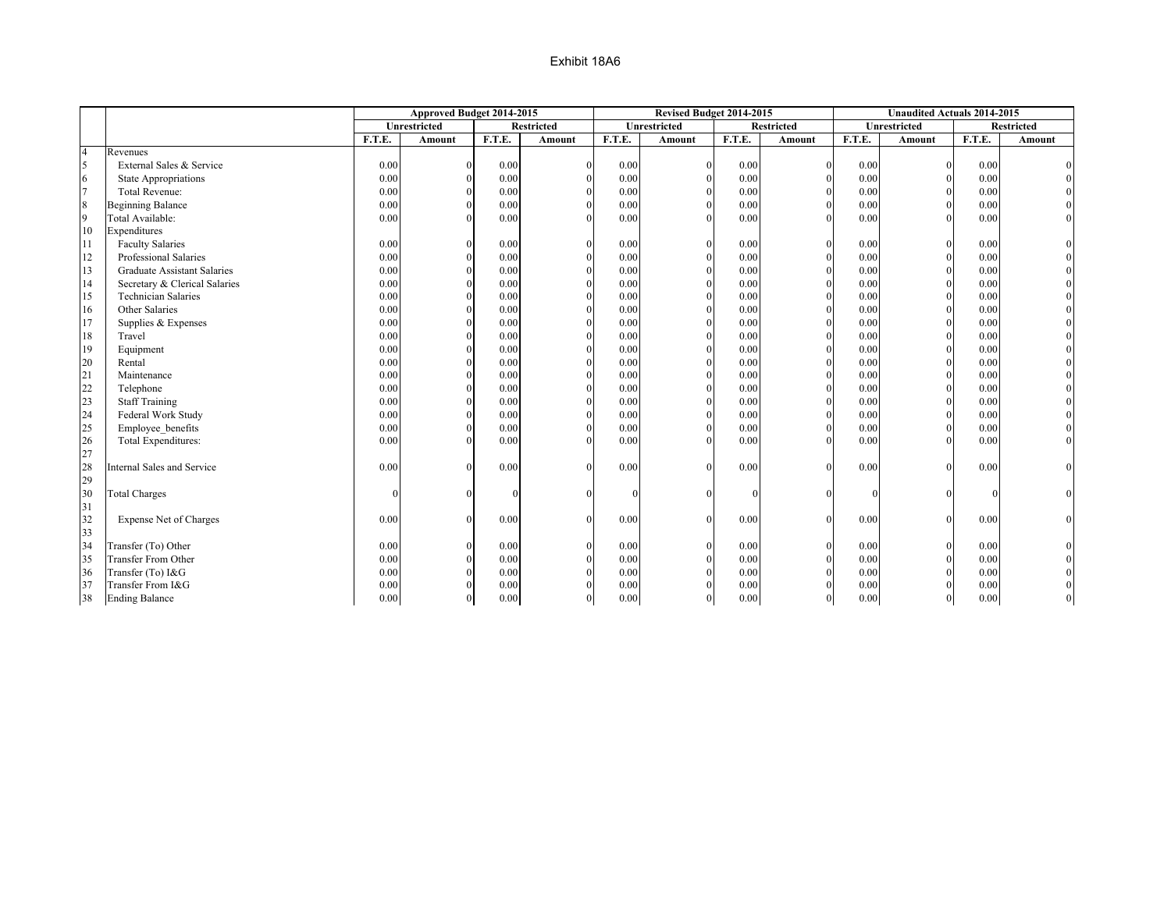|                 |                                    |        | Approved Budget 2014-2015 |        |                   |        | Revised Budget 2014-2015 |          |                   |        | <b>Unaudited Actuals 2014-2015</b> |        |                   |
|-----------------|------------------------------------|--------|---------------------------|--------|-------------------|--------|--------------------------|----------|-------------------|--------|------------------------------------|--------|-------------------|
|                 |                                    |        | <b>Unrestricted</b>       |        | <b>Restricted</b> |        | <b>Unrestricted</b>      |          | <b>Restricted</b> |        | <b>Unrestricted</b>                |        | <b>Restricted</b> |
|                 |                                    | F.T.E. | Amount                    | F.T.E. | Amount            | F.T.E. | Amount                   | F.T.E.   | Amount            | F.T.E. | Amount                             | F.T.E. | Amount            |
| $\overline{4}$  | Revenues                           |        |                           |        |                   |        |                          |          |                   |        |                                    |        |                   |
| 5               | External Sales & Service           | 0.00   | $\Omega$                  | 0.00   | $\Omega$          | 0.00   | $\mathbf{0}$             | 0.00     | $\overline{0}$    | 0.00   | 0                                  | 0.00   |                   |
| 6               | <b>State Appropriations</b>        | 0.00   | $\Omega$                  | 0.00   |                   | 0.00   | $\mathbf{0}$             | 0.00     | $\Omega$          | 0.00   |                                    | 0.00   |                   |
| $7\overline{ }$ | Total Revenue:                     | 0.00   | $\Omega$                  | 0.00   |                   | 0.00   | $\Omega$                 | 0.00     | $\theta$          | 0.00   |                                    | 0.00   |                   |
| 8               | <b>Beginning Balance</b>           | 0.00   | $\Omega$                  | 0.00   | $\Omega$          | 0.00   | $\mathbf{0}$             | 0.00     | $\Omega$          | 0.00   |                                    | 0.00   |                   |
| $\overline{9}$  | Total Available:                   | 0.00   | $\Omega$                  | 0.00   | $\Omega$          | 0.00   | $\Omega$                 | 0.00     | $\Omega$          | 0.00   |                                    | 0.00   |                   |
| 10              | Expenditures                       |        |                           |        |                   |        |                          |          |                   |        |                                    |        |                   |
| 11              | <b>Faculty Salaries</b>            | 0.00   | $\Omega$                  | 0.00   | $\theta$          | 0.00   | $\mathbf{0}$             | 0.00     | $\mathbf{0}$      | 0.00   | $\Omega$                           | 0.00   |                   |
| 12              | Professional Salaries              | 0.00   | $\Omega$                  | 0.00   | $\theta$          | 0.00   | $\mathbf{0}$             | 0.00     | $\Omega$          | 0.00   |                                    | 0.00   |                   |
| 13              | <b>Graduate Assistant Salaries</b> | 0.00   | $\Omega$                  | 0.00   | $\Omega$          | 0.00   | $\mathbf{0}$             | 0.00     | $\Omega$          | 0.00   |                                    | 0.00   |                   |
| 14              | Secretary & Clerical Salaries      | 0.00   | $\Omega$                  | 0.00   | $\Omega$          | 0.00   | $\mathbf{0}$             | 0.00     | $\mathbf{0}$      | 0.00   |                                    | 0.00   |                   |
| 15              | <b>Technician Salaries</b>         | 0.00   | $\Omega$                  | 0.00   | $\theta$          | 0.00   | $\mathbf{0}$             | 0.00     | $\mathbf{0}$      | 0.00   |                                    | 0.00   |                   |
| 16              | Other Salaries                     | 0.00   | $\Omega$                  | 0.00   | $\Omega$          | 0.00   | $\mathbf{0}$             | 0.00     | $\theta$          | 0.00   |                                    | 0.00   |                   |
| 17              | Supplies & Expenses                | 0.00   | $\Omega$                  | 0.00   | $\Omega$          | 0.00   | $\Omega$                 | 0.00     | $\Omega$          | 0.00   |                                    | 0.00   |                   |
| 18              | Travel                             | 0.00   | $\Omega$                  | 0.00   | $\theta$          | 0.00   | $\theta$                 | 0.00     | $\theta$          | 0.00   |                                    | 0.00   |                   |
| 19              | Equipment                          | 0.00   | $\Omega$                  | 0.00   | $\Omega$          | 0.00   | $\Omega$                 | 0.00     | $\theta$          | 0.00   |                                    | 0.00   |                   |
| 20              | Rental                             | 0.00   | $\Omega$                  | 0.00   | $\Omega$          | 0.00   | $\mathbf{0}$             | 0.00     | $\Omega$          | 0.00   |                                    | 0.00   |                   |
| 21              | Maintenance                        | 0.00   | $\Omega$                  | 0.00   | $\Omega$          | 0.00   | $\Omega$                 | 0.00     | $\theta$          | 0.00   |                                    | 0.00   |                   |
| 22              | Telephone                          | 0.00   | $\Omega$                  | 0.00   | $\Omega$          | 0.00   | $\mathbf{0}$             | 0.00     | $\mathbf{0}$      | 0.00   |                                    | 0.00   |                   |
| 23              | <b>Staff Training</b>              | 0.00   | $\Omega$                  | 0.00   | $\Omega$          | 0.00   | $\mathbf{0}$             | 0.00     | $\Omega$          | 0.00   |                                    | 0.00   |                   |
| 24              | Federal Work Study                 | 0.00   | $\Omega$                  | 0.00   | $\Omega$          | 0.00   | $\Omega$                 | 0.00     | $\Omega$          | 0.00   |                                    | 0.00   |                   |
| 25              | Employee benefits                  | 0.00   | $\Omega$                  | 0.00   | $\Omega$          | 0.00   | $\mathbf{0}$             | 0.00     | $\mathbf{0}$      | 0.00   |                                    | 0.00   |                   |
| 26              | Total Expenditures:                | 0.00   | $\Omega$                  | 0.00   | $\Omega$          | 0.00   | $\Omega$                 | 0.00     | $\Omega$          | 0.00   |                                    | 0.00   |                   |
| 27              |                                    |        |                           |        |                   |        |                          |          |                   |        |                                    |        |                   |
| 28              | <b>Internal Sales and Service</b>  | 0.00   | $\Omega$                  | 0.00   | $\Omega$          | 0.00   | $\Omega$                 | 0.00     | $\mathbf{0}$      | 0.00   |                                    | 0.00   |                   |
| 29              |                                    |        |                           |        |                   |        |                          |          |                   |        |                                    |        |                   |
| 30              | <b>Total Charges</b>               |        |                           |        |                   |        |                          | $\theta$ | $\Omega$          |        |                                    |        |                   |
| 31              |                                    |        |                           |        |                   |        |                          |          |                   |        |                                    |        |                   |
| 32              | Expense Net of Charges             | 0.00   | $\Omega$                  | 0.00   | $\Omega$          | 0.00   | $\theta$                 | 0.00     | $\overline{0}$    | 0.00   |                                    | 0.00   |                   |
| 33              |                                    |        |                           |        |                   |        |                          |          |                   |        |                                    |        |                   |
| 34              | Transfer (To) Other                | 0.00   | $\Omega$                  | 0.00   |                   | 0.00   | $\mathbf{0}$             | 0.00     | $\overline{0}$    | 0.00   |                                    | 0.00   |                   |
| 35              | <b>Transfer From Other</b>         | 0.00   | $\Omega$                  | 0.00   | $\Omega$          | 0.00   | $\mathbf{0}$             | 0.00     | $\Omega$          | 0.00   |                                    | 0.00   |                   |
| 36              | Transfer (To) I&G                  | 0.00   | $\Omega$                  | 0.00   | $\Omega$          | 0.00   | $\mathbf{0}$             | 0.00     | $\Omega$          | 0.00   |                                    | 0.00   |                   |
| 37              | Transfer From I&G                  | 0.00   |                           | 0.00   |                   | 0.00   | $\mathbf{0}$             | 0.00     | $\Omega$          | 0.00   |                                    | 0.00   |                   |
| 38              | <b>Ending Balance</b>              | 0.00   | $\Omega$                  | 0.00   | $\theta$          | 0.00   | $\mathbf{0}$             | 0.00     | $\overline{0}$    | 0.00   | $\Omega$                           | 0.00   |                   |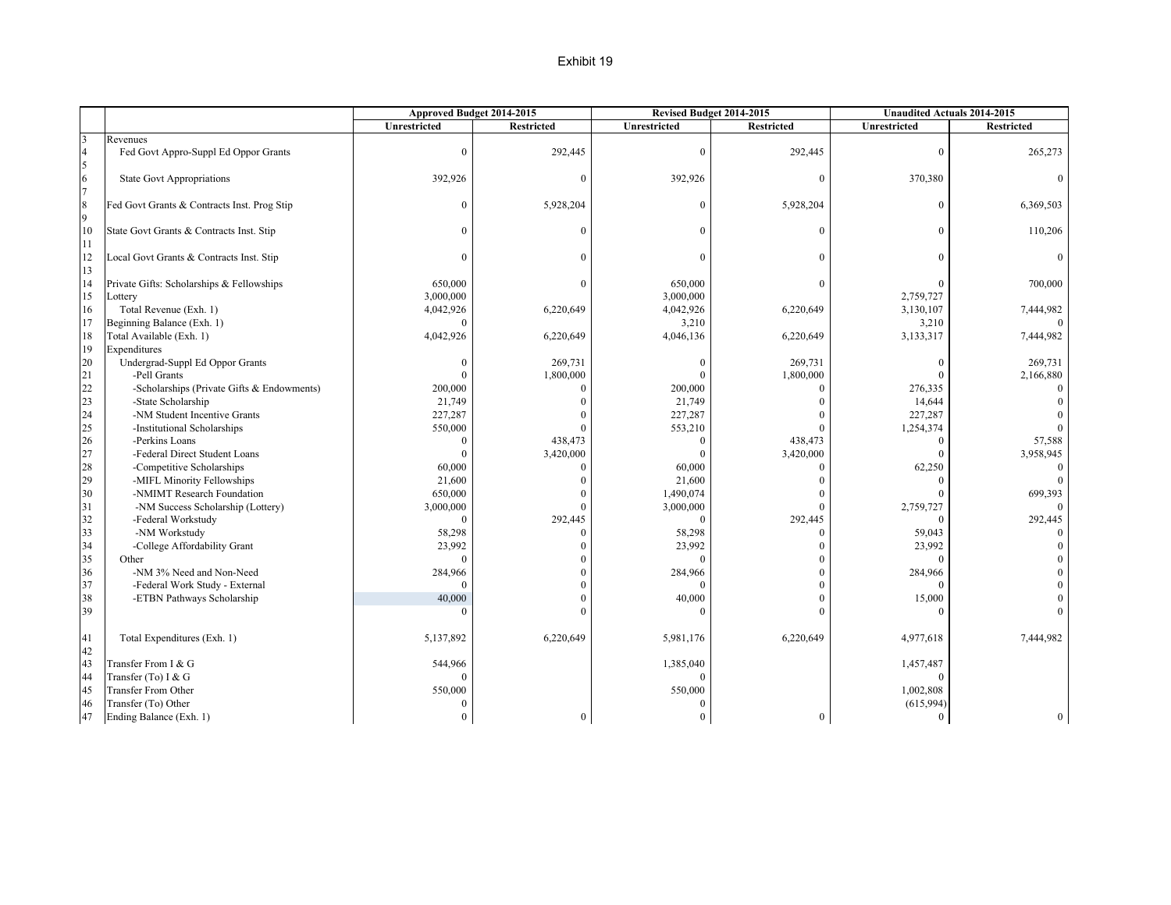### Exhibit 19

|                                       |                                             | Approved Budget 2014-2015 |                   | Revised Budget 2014-2015 |                   |              | <b>Unaudited Actuals 2014-2015</b> |
|---------------------------------------|---------------------------------------------|---------------------------|-------------------|--------------------------|-------------------|--------------|------------------------------------|
|                                       |                                             | Unrestricted              | <b>Restricted</b> | Unrestricted             | <b>Restricted</b> | Unrestricted | <b>Restricted</b>                  |
| $\overline{\mathbf{3}}$               | Revenues                                    |                           |                   |                          |                   |              |                                    |
| $\overline{4}$                        | Fed Govt Appro-Suppl Ed Oppor Grants        | $\mathbf{0}$              | 292,445           | $\mathbf{0}$             | 292,445           | $\theta$     | 265,273                            |
| 5                                     |                                             |                           |                   |                          |                   |              |                                    |
| $\begin{array}{c} 6 \\ 7 \end{array}$ | <b>State Govt Appropriations</b>            | 392,926                   | $\overline{0}$    | 392,926                  | $\mathbf{0}$      | 370,380      |                                    |
|                                       |                                             |                           |                   |                          |                   |              |                                    |
| $\frac{8}{9}$                         | Fed Govt Grants & Contracts Inst. Prog Stip | $\theta$                  | 5,928,204         | $\theta$                 | 5,928,204         |              | 6,369,503                          |
|                                       |                                             |                           |                   |                          |                   |              |                                    |
| 10                                    | State Govt Grants & Contracts Inst. Stip    | $\theta$                  | $\mathbf{0}$      | $\theta$                 | $\Omega$          | 0            | 110,206                            |
| 11                                    |                                             |                           |                   |                          |                   |              |                                    |
| 12                                    | Local Govt Grants & Contracts Inst. Stip    | $\Omega$                  | $\theta$          | $\Omega$                 | $\theta$          |              |                                    |
| 13                                    |                                             |                           |                   |                          |                   |              |                                    |
| 14                                    | Private Gifts: Scholarships & Fellowships   | 650,000                   | $\mathbf{0}$      | 650,000                  | $\Omega$          |              | 700,000                            |
| 15                                    | Lottery                                     | 3,000,000                 |                   | 3,000,000                |                   | 2,759,727    |                                    |
| 16                                    | Total Revenue (Exh. 1)                      | 4,042,926                 | 6,220,649         | 4,042,926                | 6,220,649         | 3,130,107    | 7,444,982                          |
| 17                                    | Beginning Balance (Exh. 1)                  | O                         |                   | 3,210                    |                   | 3,210        |                                    |
| 18                                    | Total Available (Exh. 1)                    | 4,042,926                 | 6,220,649         | 4,046,136                | 6,220,649         | 3,133,317    | 7,444,982                          |
| 19                                    | Expenditures                                |                           |                   |                          |                   |              |                                    |
| 20                                    | Undergrad-Suppl Ed Oppor Grants             | $\bf{0}$                  | 269,731           | $\mathbf{0}$             | 269,731           | $\Omega$     | 269,731                            |
| 21                                    | -Pell Grants                                | $\Omega$                  | 1,800,000         | $\Omega$                 | 1,800,000         |              | 2,166,880                          |
| 22                                    | -Scholarships (Private Gifts & Endowments)  | 200,000                   | $\theta$          | 200,000                  | $\Omega$          | 276,335      |                                    |
| 23                                    | -State Scholarship                          | 21,749                    | $\bf{0}$          | 21,749                   | $\mathbf{0}$      | 14,644       |                                    |
| 24                                    | -NM Student Incentive Grants                | 227,287                   | $\mathbf{0}$      | 227,287                  | $\theta$          | 227,287      |                                    |
| 25                                    | -Institutional Scholarships                 | 550,000                   | $\mathbf{0}$      | 553,210                  | $\theta$          | 1,254,374    |                                    |
| 26                                    | -Perkins Loans                              | $\mathbf{0}$              | 438,473           | $\theta$                 | 438,473           | $\Omega$     | 57,588                             |
| 27                                    | -Federal Direct Student Loans               | $\theta$                  | 3,420,000         | $\Omega$                 | 3,420,000         |              | 3,958,945                          |
| 28                                    | -Competitive Scholarships                   | 60,000                    | $\mathbf{0}$      | 60,000                   | $\Omega$          | 62,250       | $\Omega$                           |
| 29                                    | -MIFL Minority Fellowships                  | 21,600                    | $\mathbf{0}$      | 21,600                   | $\Omega$          |              |                                    |
| 30                                    | -NMIMT Research Foundation                  | 650,000                   | $\overline{0}$    | 1,490,074                | $\theta$          |              | 699,393                            |
| 31                                    | -NM Success Scholarship (Lottery)           | 3,000,000                 | $\theta$          | 3,000,000                | $\theta$          | 2,759,727    |                                    |
| 32                                    | -Federal Workstudy                          | $\Omega$                  | 292,445           | $\Omega$                 | 292,445           |              | 292,445                            |
| 33                                    | -NM Workstudy                               | 58,298                    | $\mathbf{0}$      | 58,298                   | $\mathbf{0}$      | 59,043       |                                    |
| 34                                    | -College Affordability Grant                | 23,992                    | $\mathbf{0}$      | 23,992                   | $\theta$          | 23,992       |                                    |
| 35                                    | Other                                       | $\Omega$                  | $\bf{0}$          | $\Omega$                 | $\overline{0}$    | $\Omega$     |                                    |
| 36                                    | -NM 3% Need and Non-Need                    | 284,966                   | $\mathbf{0}$      | 284,966                  | $\theta$          | 284,966      |                                    |
| 37                                    | -Federal Work Study - External              | $\Omega$                  | $\bf{0}$          | $\theta$                 | $\overline{0}$    |              |                                    |
| 38                                    | -ETBN Pathways Scholarship                  | 40,000                    | $\boldsymbol{0}$  | 40,000                   | $\overline{0}$    | 15,000       |                                    |
| 39                                    |                                             | $\Omega$                  | $\theta$          | $\Omega$                 | $\Omega$          |              |                                    |
|                                       |                                             |                           |                   |                          |                   |              |                                    |
| 41                                    | Total Expenditures (Exh. 1)                 | 5,137,892                 | 6,220,649         | 5,981,176                | 6,220,649         | 4,977,618    | 7,444,982                          |
| 42                                    |                                             |                           |                   |                          |                   |              |                                    |
| 43                                    | Transfer From I & G                         | 544,966                   |                   | 1,385,040                |                   | 1,457,487    |                                    |
| 44                                    | Transfer (To) I & G                         | $\Omega$                  |                   |                          |                   |              |                                    |
| 45                                    | <b>Transfer From Other</b>                  | 550,000                   |                   | 550,000                  |                   | 1,002,808    |                                    |
| 46                                    | Transfer (To) Other                         | $\theta$                  |                   | $\Omega$                 |                   | (615,994)    |                                    |
| 47                                    | Ending Balance (Exh. 1)                     | $\overline{0}$            | $\boldsymbol{0}$  | $\overline{0}$           | $\overline{0}$    | $\mathbf{0}$ | $\overline{0}$                     |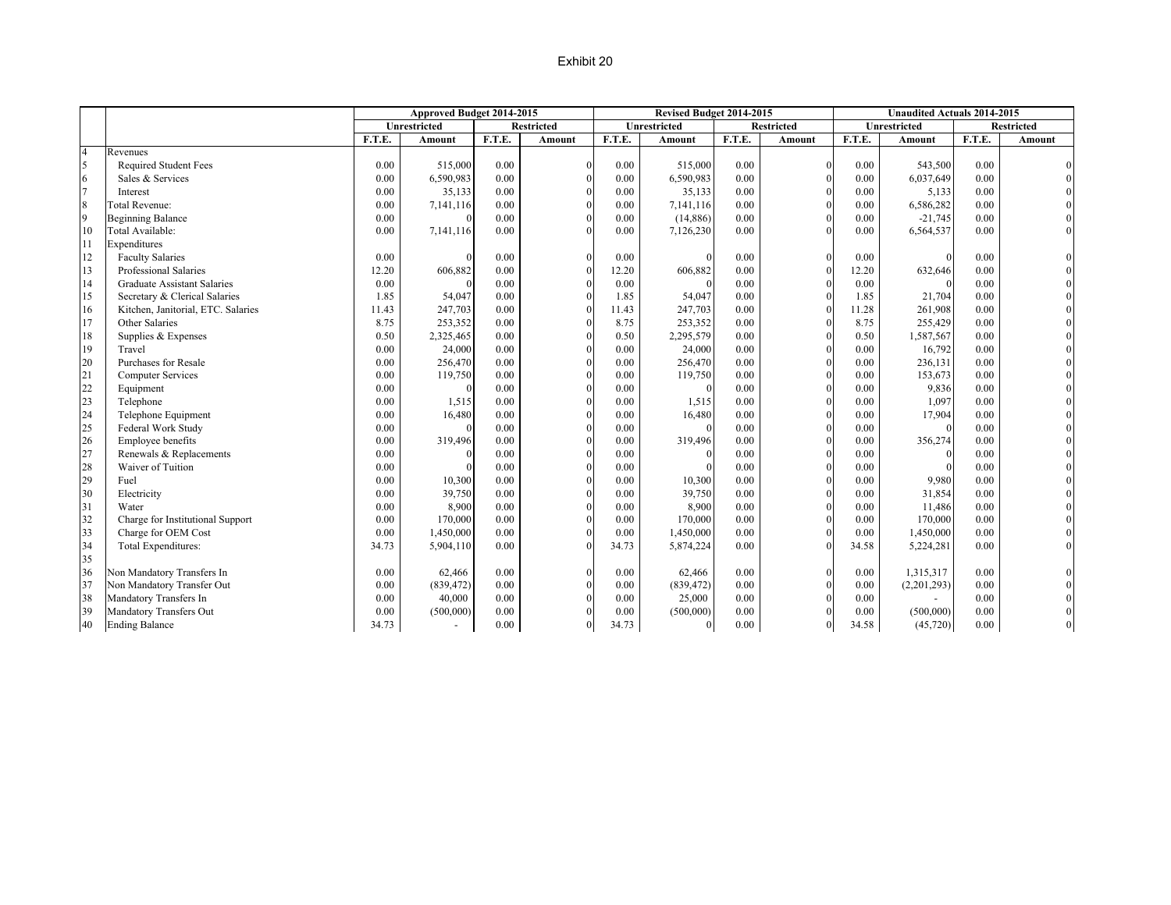### Exhibit 20

|                |                                    |        | Approved Budget 2014-2015 |        |                   |        | Revised Budget 2014-2015 |        |                   |        | <b>Unaudited Actuals 2014-2015</b> |        |                   |
|----------------|------------------------------------|--------|---------------------------|--------|-------------------|--------|--------------------------|--------|-------------------|--------|------------------------------------|--------|-------------------|
|                |                                    |        | Unrestricted              |        | <b>Restricted</b> |        | Unrestricted             |        | <b>Restricted</b> |        | Unrestricted                       |        | <b>Restricted</b> |
|                |                                    | F.T.E. | Amount                    | F.T.E. | Amount            | F.T.E. | Amount                   | F.T.E. | Amount            | F.T.E. | Amount                             | F.T.E. | Amount            |
| $\overline{4}$ | Revenues                           |        |                           |        |                   |        |                          |        |                   |        |                                    |        |                   |
| 5              | <b>Required Student Fees</b>       | 0.00   | 515,000                   | 0.00   | $\Omega$          | 0.00   | 515,000                  | 0.00   | $\mathbf{0}$      | 0.00   | 543,500                            | 0.00   |                   |
| 6              | Sales & Services                   | 0.00   | 6,590,983                 | 0.00   |                   | 0.00   | 6,590,983                | 0.00   | $\theta$          | 0.00   | 6,037,649                          | 0.00   |                   |
| $\overline{7}$ | Interest                           | 0.00   | 35,133                    | 0.00   | $\theta$          | 0.00   | 35,133                   | 0.00   | $\Omega$          | 0.00   | 5,133                              | 0.00   |                   |
| 8              | Total Revenue:                     | 0.00   | 7,141,116                 | 0.00   | $\Omega$          | 0.00   | 7,141,116                | 0.00   | $\theta$          | 0.00   | 6,586,282                          | 0.00   |                   |
| $\overline{9}$ | <b>Beginning Balance</b>           | 0.00   | $\theta$                  | 0.00   | $\Omega$          | 0.00   | (14,886)                 | 0.00   | $\theta$          | 0.00   | $-21,745$                          | 0.00   |                   |
| 10             | Total Available:                   | 0.00   | 7,141,116                 | 0.00   |                   | 0.00   | 7,126,230                | 0.00   |                   | 0.00   | 6,564,537                          | 0.00   |                   |
| 11             | Expenditures                       |        |                           |        |                   |        |                          |        |                   |        |                                    |        |                   |
| 12             | <b>Faculty Salaries</b>            | 0.00   |                           | 0.00   |                   | 0.00   |                          | 0.00   | $\mathbf{0}$      | 0.00   |                                    | 0.00   |                   |
| 13             | Professional Salaries              | 12.20  | 606,882                   | 0.00   |                   | 12.20  | 606,882                  | 0.00   | $\theta$          | 12.20  | 632,646                            | 0.00   |                   |
| 14             | <b>Graduate Assistant Salaries</b> | 0.00   |                           | 0.00   |                   | 0.00   |                          | 0.00   |                   | 0.00   |                                    | 0.00   |                   |
| 15             | Secretary & Clerical Salaries      | 1.85   | 54,047                    | 0.00   |                   | 1.85   | 54,047                   | 0.00   | $\Omega$          | 1.85   | 21,704                             | 0.00   |                   |
| 16             | Kitchen, Janitorial, ETC. Salaries | 11.43  | 247,703                   | 0.00   |                   | 11.43  | 247,703                  | 0.00   |                   | 11.28  | 261,908                            | 0.00   |                   |
| 17             | Other Salaries                     | 8.75   | 253,352                   | 0.00   |                   | 8.75   | 253,352                  | 0.00   |                   | 8.75   | 255,429                            | 0.00   |                   |
| 18             | Supplies & Expenses                | 0.50   | 2,325,465                 | 0.00   |                   | 0.50   | 2,295,579                | 0.00   |                   | 0.50   | 1,587,567                          | 0.00   |                   |
| 19             | Travel                             | 0.00   | 24,000                    | 0.00   |                   | 0.00   | 24,000                   | 0.00   | $\theta$          | 0.00   | 16,792                             | 0.00   |                   |
| 20             | Purchases for Resale               | 0.00   | 256,470                   | 0.00   |                   | 0.00   | 256,470                  | 0.00   | $\theta$          | 0.00   | 236,131                            | 0.00   |                   |
| 21             | <b>Computer Services</b>           | 0.00   | 119,750                   | 0.00   |                   | 0.00   | 119,750                  | 0.00   | $\theta$          | 0.00   | 153,673                            | 0.00   |                   |
| 22             | Equipment                          | 0.00   | $\Omega$                  | 0.00   | $\Omega$          | 0.00   |                          | 0.00   | $\theta$          | 0.00   | 9,836                              | 0.00   |                   |
| 23             | Telephone                          | 0.00   | 1,515                     | 0.00   |                   | 0.00   | 1,515                    | 0.00   | $\Omega$          | 0.00   | 1,097                              | 0.00   |                   |
| 24             | Telephone Equipment                | 0.00   | 16,480                    | 0.00   |                   | 0.00   | 16,480                   | 0.00   | $\Omega$          | 0.00   | 17,904                             | 0.00   |                   |
| 25             | Federal Work Study                 | 0.00   | $\theta$                  | 0.00   |                   | 0.00   | $\Omega$                 | 0.00   | $\Omega$          | 0.00   | $\Omega$                           | 0.00   |                   |
| 26             | Employee benefits                  | 0.00   | 319,496                   | 0.00   |                   | 0.00   | 319,496                  | 0.00   | $\Omega$          | 0.00   | 356,274                            | 0.00   |                   |
| 27             | Renewals & Replacements            | 0.00   | $\theta$                  | 0.00   |                   | 0.00   | $\Omega$                 | 0.00   | $\theta$          | 0.00   | $\Omega$                           | 0.00   |                   |
| 28             | Waiver of Tuition                  | 0.00   | $\Omega$                  | 0.00   |                   | 0.00   |                          | 0.00   | $\theta$          | 0.00   |                                    | 0.00   |                   |
| 29             | Fuel                               | 0.00   | 10,300                    | 0.00   | $\Omega$          | 0.00   | 10,300                   | 0.00   | $\theta$          | 0.00   | 9,980                              | 0.00   |                   |
| 30             | Electricity                        | 0.00   | 39,750                    | 0.00   |                   | 0.00   | 39,750                   | 0.00   | $\Omega$          | 0.00   | 31,854                             | 0.00   |                   |
| 31             | Water                              | 0.00   | 8,900                     | 0.00   |                   | 0.00   | 8,900                    | 0.00   | $\theta$          | 0.00   | 11,486                             | 0.00   |                   |
| 32             | Charge for Institutional Support   | 0.00   | 170,000                   | 0.00   |                   | 0.00   | 170,000                  | 0.00   | $\theta$          | 0.00   | 170,000                            | 0.00   |                   |
| 33             | Charge for OEM Cost                | 0.00   | 1,450,000                 | 0.00   | $\Omega$          | 0.00   | 1,450,000                | 0.00   | $\Omega$          | 0.00   | 1,450,000                          | 0.00   |                   |
| 34             | Total Expenditures:                | 34.73  | 5,904,110                 | 0.00   |                   | 34.73  | 5,874,224                | 0.00   | $\Omega$          | 34.58  | 5,224,281                          | 0.00   |                   |
| 35             |                                    |        |                           |        |                   |        |                          |        |                   |        |                                    |        |                   |
| 36             | Non Mandatory Transfers In         | 0.00   | 62,466                    | 0.00   |                   | 0.00   | 62,466                   | 0.00   | $\theta$          | 0.00   | 1,315,317                          | 0.00   |                   |
| 37             | Non Mandatory Transfer Out         | 0.00   | (839, 472)                | 0.00   |                   | 0.00   | (839, 472)               | 0.00   | $\theta$          | 0.00   | (2,201,293)                        | 0.00   |                   |
| 38             | Mandatory Transfers In             | 0.00   | 40,000                    | 0.00   |                   | 0.00   | 25,000                   | 0.00   | $\Omega$          | 0.00   |                                    | 0.00   |                   |
| 39             | Mandatory Transfers Out            | 0.00   | (500,000)                 | 0.00   |                   | 0.00   | (500,000)                | 0.00   |                   | 0.00   | (500,000)                          | 0.00   |                   |
| 40             | <b>Ending Balance</b>              | 34.73  | $\sim$                    | 0.00   | $\Omega$          | 34.73  | $\mathbf{0}$             | 0.00   | $\Omega$          | 34.58  | (45, 720)                          | 0.00   |                   |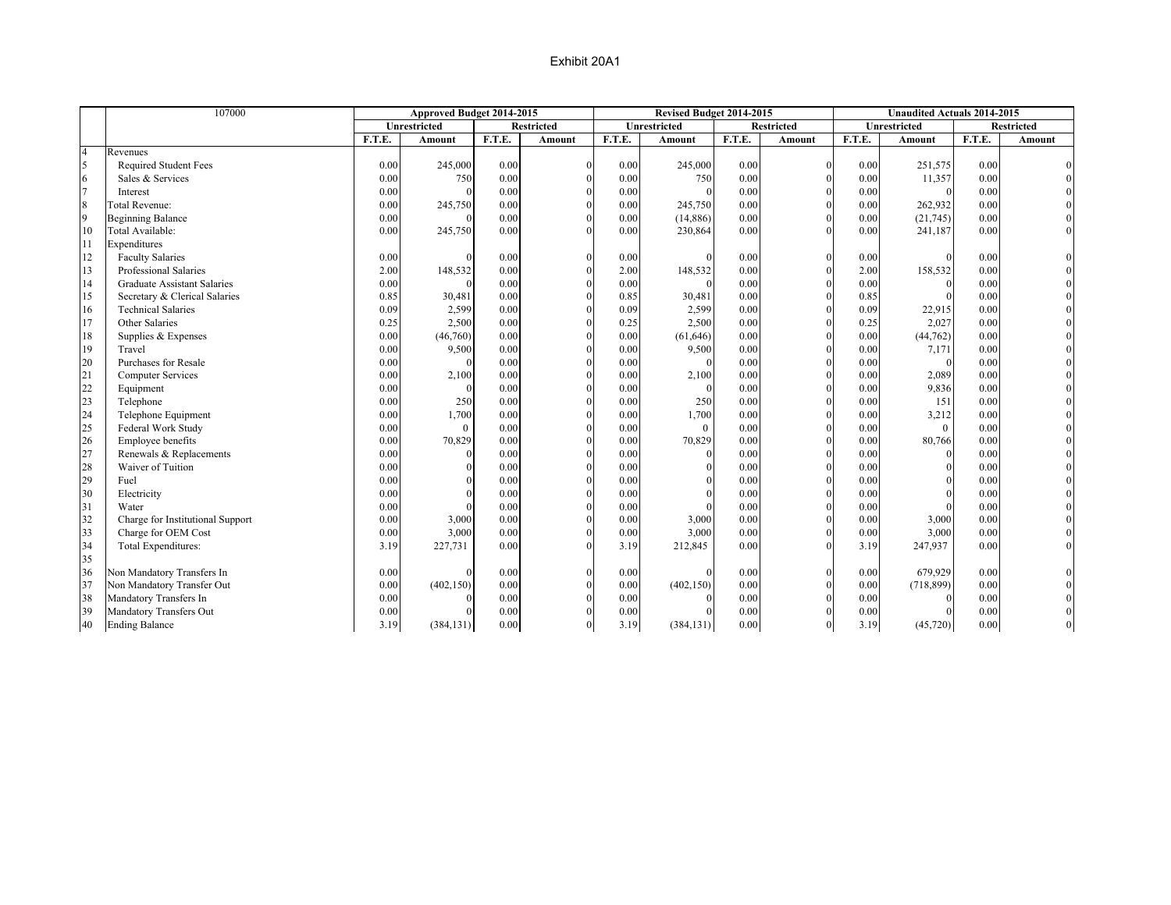|                | 107000                             | Approved Budget 2014-2015 |              |        |                   |        | Revised Budget 2014-2015 |        |                   |        | <b>Unaudited Actuals 2014-2015</b> |        |                   |
|----------------|------------------------------------|---------------------------|--------------|--------|-------------------|--------|--------------------------|--------|-------------------|--------|------------------------------------|--------|-------------------|
|                |                                    |                           | Unrestricted |        | <b>Restricted</b> |        | Unrestricted             |        | <b>Restricted</b> |        | Unrestricted                       |        | <b>Restricted</b> |
|                |                                    | F.T.E.                    | Amount       | F.T.E. | Amount            | F.T.E. | Amount                   | F.T.E. | Amount            | F.T.E. | Amount                             | F.T.E. | Amount            |
| $\overline{4}$ | Revenues                           |                           |              |        |                   |        |                          |        |                   |        |                                    |        |                   |
| $\overline{5}$ | <b>Required Student Fees</b>       | 0.00                      | 245,000      | 0.00   |                   | 0.00   | 245,000                  | 0.00   | $\theta$          | 0.00   | 251,575                            | 0.00   |                   |
| 6              | Sales & Services                   | 0.00                      | 750          | 0.00   |                   | 0.00   | 750                      | 0.00   | $\Omega$          | 0.00   | 11,357                             | 0.00   |                   |
| $\overline{7}$ | Interest                           | 0.00                      |              | 0.00   |                   | 0.00   | $\theta$                 | 0.00   | $\theta$          | 0.00   | $\Omega$                           | 0.00   |                   |
| 8              | Total Revenue:                     | 0.00                      | 245,750      | 0.00   | $\theta$          | 0.00   | 245,750                  | 0.00   | $\theta$          | 0.00   | 262,932                            | 0.00   |                   |
| $\overline{9}$ | <b>Beginning Balance</b>           | 0.00                      |              | 0.00   | $\theta$          | 0.00   | (14, 886)                | 0.00   | $\theta$          | 0.00   | (21, 745)                          | 0.00   |                   |
| 10             | Total Available:                   | 0.00                      | 245,750      | 0.00   |                   | 0.00   | 230,864                  | 0.00   | $\Omega$          | 0.00   | 241,187                            | 0.00   |                   |
| 11             | Expenditures                       |                           |              |        |                   |        |                          |        |                   |        |                                    |        |                   |
| 12             | <b>Faculty Salaries</b>            | 0.00                      |              | 0.00   |                   | 0.00   | $\Omega$                 | 0.00   | $\Omega$          | 0.00   |                                    | 0.00   |                   |
| 13             | Professional Salaries              | 2.00                      | 148,532      | 0.00   |                   | 2.00   | 148,532                  | 0.00   | $\Omega$          | 2.00   | 158,532                            | 0.00   |                   |
| 14             | <b>Graduate Assistant Salaries</b> | 0.00                      |              | 0.00   |                   | 0.00   |                          | 0.00   | $\Omega$          | 0.00   |                                    | 0.00   |                   |
| 15             | Secretary & Clerical Salaries      | 0.85                      | 30,481       | 0.00   |                   | 0.85   | 30,481                   | 0.00   | $\theta$          | 0.85   |                                    | 0.00   |                   |
| 16             | <b>Technical Salaries</b>          | 0.09                      | 2,599        | 0.00   |                   | 0.09   | 2,599                    | 0.00   | $\theta$          | 0.09   | 22,915                             | 0.00   |                   |
| 17             | Other Salaries                     | 0.25                      | 2,500        | 0.00   | $\theta$          | 0.25   | 2,500                    | 0.00   | $\Omega$          | 0.25   | 2,027                              | 0.00   |                   |
| 18             | Supplies & Expenses                | 0.00                      | (46,760)     | 0.00   | $\Omega$          | 0.00   | (61, 646)                | 0.00   | $\Omega$          | 0.00   | (44, 762)                          | 0.00   |                   |
| 19             | Travel                             | $0.00\,$                  | 9,500        | 0.00   |                   | 0.00   | 9,500                    | 0.00   | $\Omega$          | 0.00   | 7,171                              | 0.00   |                   |
| 20             | Purchases for Resale               | 0.00                      |              | 0.00   |                   | 0.00   |                          | 0.00   | $\theta$          | 0.00   |                                    | 0.00   |                   |
| 21             | <b>Computer Services</b>           | 0.00                      | 2,100        | 0.00   | $\theta$          | 0.00   | 2,100                    | 0.00   | $\theta$          | 0.00   | 2,089                              | 0.00   |                   |
| 22             | Equipment                          | 0.00                      | $\Omega$     | 0.00   | $\Omega$          | 0.00   | $\Omega$                 | 0.00   | $\theta$          | 0.00   | 9,836                              | 0.00   |                   |
| 23             | Telephone                          | 0.00                      | 250          | 0.00   | $\theta$          | 0.00   | 250                      | 0.00   | $\theta$          | 0.00   | 151                                | 0.00   |                   |
| 24             | Telephone Equipment                | 0.00                      | 1,700        | 0.00   | $\theta$          | 0.00   | 1,700                    | 0.00   | $\Omega$          | 0.00   | 3,212                              | 0.00   |                   |
| 25             | Federal Work Study                 | 0.00                      | $\theta$     | 0.00   | $\theta$          | 0.00   | $\overline{0}$           | 0.00   | $\Omega$          | 0.00   | $\overline{0}$                     | 0.00   |                   |
| 26             | Employee benefits                  | 0.00                      | 70,829       | 0.00   | $\Omega$          | 0.00   | 70,829                   | 0.00   | $\Omega$          | 0.00   | 80,766                             | 0.00   |                   |
| 27             | Renewals & Replacements            | 0.00                      |              | 0.00   |                   | 0.00   | $\theta$                 | 0.00   | $\theta$          | 0.00   |                                    | 0.00   |                   |
| 28             | Waiver of Tuition                  | 0.00                      |              | 0.00   |                   | 0.00   | $\theta$                 | 0.00   | $\theta$          | 0.00   |                                    | 0.00   |                   |
| 29             | Fuel                               | 0.00                      |              | 0.00   | $\theta$          | 0.00   | $\theta$                 | 0.00   | $\theta$          | 0.00   |                                    | 0.00   |                   |
| 30             | Electricity                        | 0.00                      |              | 0.00   | $\theta$          | 0.00   | $\theta$                 | 0.00   | $\theta$          | 0.00   |                                    | 0.00   |                   |
| 31             | Water                              | 0.00                      |              | 0.00   | $\Omega$          | 0.00   |                          | 0.00   | $\Omega$          | 0.00   |                                    | 0.00   |                   |
| 32             | Charge for Institutional Support   | 0.00                      | 3,000        | 0.00   | $\theta$          | 0.00   | 3,000                    | 0.00   | $\Omega$          | 0.00   | 3,000                              | 0.00   |                   |
| 33             | Charge for OEM Cost                | 0.00                      | 3,000        | 0.00   | $\Omega$          | 0.00   | 3,000                    | 0.00   | $\theta$          | 0.00   | 3,000                              | 0.00   |                   |
| 34             | Total Expenditures:                | 3.19                      | 227,731      | 0.00   |                   | 3.19   | 212,845                  | 0.00   | $\theta$          | 3.19   | 247,937                            | 0.00   |                   |
| 35             |                                    |                           |              |        |                   |        |                          |        |                   |        |                                    |        |                   |
| 36             | Non Mandatory Transfers In         | 0.00                      |              | 0.00   | $\theta$          | 0.00   |                          | 0.00   | $\theta$          | 0.00   | 679,929                            | 0.00   |                   |
| 37             | Non Mandatory Transfer Out         | 0.00                      | (402, 150)   | 0.00   |                   | 0.00   | (402, 150)               | 0.00   | $\Omega$          | 0.00   | (718, 899)                         | 0.00   |                   |
| 38             | Mandatory Transfers In             | 0.00                      |              | 0.00   |                   | 0.00   |                          | 0.00   | $\Omega$          | 0.00   |                                    | 0.00   |                   |
| 39             | Mandatory Transfers Out            | $0.00\,$                  |              | 0.00   |                   | 0.00   |                          | 0.00   | $\Omega$          | 0.00   |                                    | 0.00   |                   |
| 40             | <b>Ending Balance</b>              | 3.19                      | (384, 131)   | 0.00   | $\Omega$          | 3.19   | (384, 131)               | 0.00   | $\Omega$          | 3.19   | (45, 720)                          | 0.00   |                   |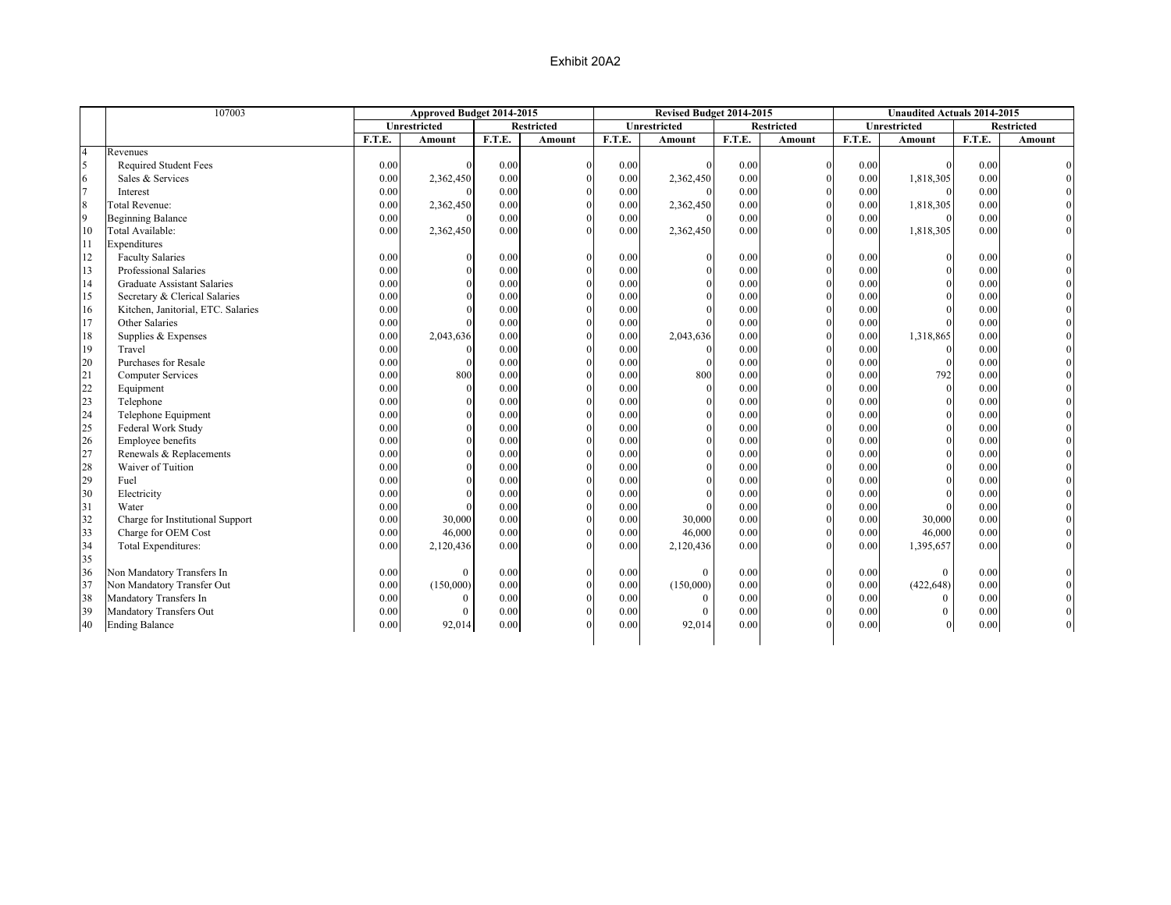| Unrestricted<br><b>Restricted</b><br>Unrestricted<br><b>Unrestricted</b><br><b>Restricted</b><br>F.T.E.<br>F.T.E.<br>F.T.E.<br>F.T.E.<br>F.T.E.<br>Amount<br>Amount<br><b>Amount</b><br>Amount<br><b>Amount</b><br>$\overline{4}$<br>Revenues<br>5<br>Required Student Fees<br>0.00<br>0.00<br>0.00<br>0.00<br>$\mathbf{0}$<br>0.00<br>$\Omega$<br>$\theta$<br>$\Omega$<br>$\Omega$<br>6<br>0.00<br>0.00<br>$\mathbf{0}$<br>0.00<br>2,362,450<br>0.00<br>2,362,450<br>1,818,305<br>Sales & Services<br>0.00<br>$\theta$<br>$\overline{7}$<br>0.00<br>0.00<br>0.00<br>$\mathbf{0}$<br>0.00<br>0.00<br>Interest<br>$\Omega$<br>$\theta$<br>$\Omega$<br>$\boldsymbol{8}$<br>$\mathbf{0}$<br>0.00<br>2,362,450<br>0.00<br>0.00<br>2,362,450<br>0.00<br>0.00<br>1,818,305<br><b>Total Revenue:</b><br>9<br>$\theta$<br><b>Beginning Balance</b><br>0.00<br>0.00<br>0.00<br>$\Omega$<br>0.00<br>0.00<br>10<br>Total Available:<br>2,362,450<br>0.00<br>0.00<br>2,362,450<br>0.00<br>0.00<br>1,818,305<br>0.00<br>$\Omega$<br>11<br>Expenditures<br>12<br>$\boldsymbol{0}$<br><b>Faculty Salaries</b><br>0.00<br>0.00<br>0.00<br>0.00<br>0.00<br>$\theta$<br>$\theta$<br>$\bf{0}$<br>$\theta$<br>13<br>$\mathbf{0}$<br>Professional Salaries<br>0.00<br>0.00<br>0.00<br>$\mathbf{0}$<br>0.00<br>0.00<br>$\Omega$<br>$\Omega$<br>$\Omega$<br>$\mathbf{0}$<br>14<br>$\Omega$<br><b>Graduate Assistant Salaries</b><br>0.00<br>$\Omega$<br>0.00<br>0.00<br>0.00<br>0.00<br>$\Omega$<br>$\Omega$<br>15<br>$\mathbf{0}$<br>$\Omega$<br>Secretary & Clerical Salaries<br>0.00<br>0.00<br>0.00<br>0.00<br>0.00<br>$\Omega$<br>$\Omega$<br>$\Omega$ | <b>Restricted</b><br>F.T.E.<br>Amount<br>0.00<br>0.00<br>0.00<br>0.00<br>0.00<br>0.00<br>0.00<br>0.00<br>0.00<br>0.00<br>0.00 |
|--------------------------------------------------------------------------------------------------------------------------------------------------------------------------------------------------------------------------------------------------------------------------------------------------------------------------------------------------------------------------------------------------------------------------------------------------------------------------------------------------------------------------------------------------------------------------------------------------------------------------------------------------------------------------------------------------------------------------------------------------------------------------------------------------------------------------------------------------------------------------------------------------------------------------------------------------------------------------------------------------------------------------------------------------------------------------------------------------------------------------------------------------------------------------------------------------------------------------------------------------------------------------------------------------------------------------------------------------------------------------------------------------------------------------------------------------------------------------------------------------------------------------------------------------------------------------------------------------------------------------------------|-------------------------------------------------------------------------------------------------------------------------------|
|                                                                                                                                                                                                                                                                                                                                                                                                                                                                                                                                                                                                                                                                                                                                                                                                                                                                                                                                                                                                                                                                                                                                                                                                                                                                                                                                                                                                                                                                                                                                                                                                                                      |                                                                                                                               |
|                                                                                                                                                                                                                                                                                                                                                                                                                                                                                                                                                                                                                                                                                                                                                                                                                                                                                                                                                                                                                                                                                                                                                                                                                                                                                                                                                                                                                                                                                                                                                                                                                                      |                                                                                                                               |
|                                                                                                                                                                                                                                                                                                                                                                                                                                                                                                                                                                                                                                                                                                                                                                                                                                                                                                                                                                                                                                                                                                                                                                                                                                                                                                                                                                                                                                                                                                                                                                                                                                      |                                                                                                                               |
|                                                                                                                                                                                                                                                                                                                                                                                                                                                                                                                                                                                                                                                                                                                                                                                                                                                                                                                                                                                                                                                                                                                                                                                                                                                                                                                                                                                                                                                                                                                                                                                                                                      |                                                                                                                               |
|                                                                                                                                                                                                                                                                                                                                                                                                                                                                                                                                                                                                                                                                                                                                                                                                                                                                                                                                                                                                                                                                                                                                                                                                                                                                                                                                                                                                                                                                                                                                                                                                                                      |                                                                                                                               |
|                                                                                                                                                                                                                                                                                                                                                                                                                                                                                                                                                                                                                                                                                                                                                                                                                                                                                                                                                                                                                                                                                                                                                                                                                                                                                                                                                                                                                                                                                                                                                                                                                                      |                                                                                                                               |
|                                                                                                                                                                                                                                                                                                                                                                                                                                                                                                                                                                                                                                                                                                                                                                                                                                                                                                                                                                                                                                                                                                                                                                                                                                                                                                                                                                                                                                                                                                                                                                                                                                      |                                                                                                                               |
|                                                                                                                                                                                                                                                                                                                                                                                                                                                                                                                                                                                                                                                                                                                                                                                                                                                                                                                                                                                                                                                                                                                                                                                                                                                                                                                                                                                                                                                                                                                                                                                                                                      |                                                                                                                               |
|                                                                                                                                                                                                                                                                                                                                                                                                                                                                                                                                                                                                                                                                                                                                                                                                                                                                                                                                                                                                                                                                                                                                                                                                                                                                                                                                                                                                                                                                                                                                                                                                                                      |                                                                                                                               |
|                                                                                                                                                                                                                                                                                                                                                                                                                                                                                                                                                                                                                                                                                                                                                                                                                                                                                                                                                                                                                                                                                                                                                                                                                                                                                                                                                                                                                                                                                                                                                                                                                                      |                                                                                                                               |
|                                                                                                                                                                                                                                                                                                                                                                                                                                                                                                                                                                                                                                                                                                                                                                                                                                                                                                                                                                                                                                                                                                                                                                                                                                                                                                                                                                                                                                                                                                                                                                                                                                      |                                                                                                                               |
|                                                                                                                                                                                                                                                                                                                                                                                                                                                                                                                                                                                                                                                                                                                                                                                                                                                                                                                                                                                                                                                                                                                                                                                                                                                                                                                                                                                                                                                                                                                                                                                                                                      |                                                                                                                               |
|                                                                                                                                                                                                                                                                                                                                                                                                                                                                                                                                                                                                                                                                                                                                                                                                                                                                                                                                                                                                                                                                                                                                                                                                                                                                                                                                                                                                                                                                                                                                                                                                                                      |                                                                                                                               |
|                                                                                                                                                                                                                                                                                                                                                                                                                                                                                                                                                                                                                                                                                                                                                                                                                                                                                                                                                                                                                                                                                                                                                                                                                                                                                                                                                                                                                                                                                                                                                                                                                                      |                                                                                                                               |
| 16<br>$\mathbf{0}$<br>Kitchen, Janitorial, ETC. Salaries<br>0.00<br>0.00<br>0.00<br>0.00<br>0.00<br>$\Omega$<br>$\Omega$<br>$\Omega$<br>$\Omega$                                                                                                                                                                                                                                                                                                                                                                                                                                                                                                                                                                                                                                                                                                                                                                                                                                                                                                                                                                                                                                                                                                                                                                                                                                                                                                                                                                                                                                                                                     |                                                                                                                               |
| 17<br>0.00<br>0.00<br>0.00<br>0.00<br>$\mathbf{0}$<br>0.00<br>Other Salaries<br>$\Omega$<br>$\Omega$                                                                                                                                                                                                                                                                                                                                                                                                                                                                                                                                                                                                                                                                                                                                                                                                                                                                                                                                                                                                                                                                                                                                                                                                                                                                                                                                                                                                                                                                                                                                 | 0.00                                                                                                                          |
| $\theta$<br>18<br>Supplies & Expenses<br>0.00<br>2,043,636<br>0.00<br>0.00<br>2,043,636<br>0.00<br>0.00<br>1,318,865                                                                                                                                                                                                                                                                                                                                                                                                                                                                                                                                                                                                                                                                                                                                                                                                                                                                                                                                                                                                                                                                                                                                                                                                                                                                                                                                                                                                                                                                                                                 | 0.00                                                                                                                          |
| 19<br>Travel<br>$\theta$<br>0.00<br>0.00<br>0.00<br>0.00<br>0.00<br>$\Omega$<br>$\theta$<br>$\Omega$                                                                                                                                                                                                                                                                                                                                                                                                                                                                                                                                                                                                                                                                                                                                                                                                                                                                                                                                                                                                                                                                                                                                                                                                                                                                                                                                                                                                                                                                                                                                 | 0.00                                                                                                                          |
| 20<br>Purchases for Resale<br>0.00<br>0.00<br>$\Omega$<br>0.00<br>0.00<br>0.00<br>$\theta$<br>$\Omega$<br>$\theta$<br>$\Omega$                                                                                                                                                                                                                                                                                                                                                                                                                                                                                                                                                                                                                                                                                                                                                                                                                                                                                                                                                                                                                                                                                                                                                                                                                                                                                                                                                                                                                                                                                                       | 0.00                                                                                                                          |
| $\mathbf{0}$<br>21<br>0.00<br>800<br>0.00<br>0.00<br>800<br>0.00<br>0.00<br>792<br><b>Computer Services</b><br>$\Omega$                                                                                                                                                                                                                                                                                                                                                                                                                                                                                                                                                                                                                                                                                                                                                                                                                                                                                                                                                                                                                                                                                                                                                                                                                                                                                                                                                                                                                                                                                                              | 0.00                                                                                                                          |
| 22<br>0.00<br>0.00<br>0.00<br>$\Omega$<br>0.00<br>$\mathbf{0}$<br>0.00<br>$\mathbf{0}$<br>$\Omega$<br>Equipment<br>$\Omega$                                                                                                                                                                                                                                                                                                                                                                                                                                                                                                                                                                                                                                                                                                                                                                                                                                                                                                                                                                                                                                                                                                                                                                                                                                                                                                                                                                                                                                                                                                          | 0.00                                                                                                                          |
| 23<br>$\mathbf{0}$<br>0.00<br>$\theta$<br>0.00<br>Telephone<br>0.00<br>$\Omega$<br>0.00<br>0.00<br>$\Omega$                                                                                                                                                                                                                                                                                                                                                                                                                                                                                                                                                                                                                                                                                                                                                                                                                                                                                                                                                                                                                                                                                                                                                                                                                                                                                                                                                                                                                                                                                                                          | 0.00                                                                                                                          |
| 24<br>0.00<br>$\Omega$<br>0.00<br>$\Omega$<br>0.00<br>$\Omega$<br>0.00<br>0.00<br>$\theta$<br>Telephone Equipment<br>$\Omega$                                                                                                                                                                                                                                                                                                                                                                                                                                                                                                                                                                                                                                                                                                                                                                                                                                                                                                                                                                                                                                                                                                                                                                                                                                                                                                                                                                                                                                                                                                        | 0.00                                                                                                                          |
| 25<br>$\Omega$<br>0.00<br>$\theta$<br>0.00<br>0.00<br>$\Omega$<br>Federal Work Study<br>0.00<br>0.00<br>$\theta$                                                                                                                                                                                                                                                                                                                                                                                                                                                                                                                                                                                                                                                                                                                                                                                                                                                                                                                                                                                                                                                                                                                                                                                                                                                                                                                                                                                                                                                                                                                     | 0.00                                                                                                                          |
| $\mathbf{0}$<br>26<br>0.00<br>0.00<br>0.00<br>$\Omega$<br>0.00<br>0.00<br>Employee benefits<br>$\theta$<br>$\theta$                                                                                                                                                                                                                                                                                                                                                                                                                                                                                                                                                                                                                                                                                                                                                                                                                                                                                                                                                                                                                                                                                                                                                                                                                                                                                                                                                                                                                                                                                                                  | 0.00                                                                                                                          |
| 27<br>Renewals & Replacements<br>0.00<br>0.00<br>$\Omega$<br>0.00<br>$\Omega$<br>0.00<br>$\Omega$<br>0.00<br>$\theta$                                                                                                                                                                                                                                                                                                                                                                                                                                                                                                                                                                                                                                                                                                                                                                                                                                                                                                                                                                                                                                                                                                                                                                                                                                                                                                                                                                                                                                                                                                                | 0.00                                                                                                                          |
| $\theta$<br>$\theta$<br>28<br>Waiver of Tuition<br>$\Omega$<br>$\Omega$<br>0.00<br>0.00<br>0.00<br>0.00<br>0.00                                                                                                                                                                                                                                                                                                                                                                                                                                                                                                                                                                                                                                                                                                                                                                                                                                                                                                                                                                                                                                                                                                                                                                                                                                                                                                                                                                                                                                                                                                                      | 0.00                                                                                                                          |
| $\Omega$<br>29<br>Fuel<br>0.00<br>0.00<br>0.00<br>$\Omega$<br>0.00<br>0.00<br>$\Omega$<br>$\Omega$<br>$\Omega$                                                                                                                                                                                                                                                                                                                                                                                                                                                                                                                                                                                                                                                                                                                                                                                                                                                                                                                                                                                                                                                                                                                                                                                                                                                                                                                                                                                                                                                                                                                       | 0.00                                                                                                                          |
| $\Omega$<br>30<br>Electricity<br>0.00<br>0.00<br>0.00<br>$\Omega$<br>0.00<br>0.00<br>$\Omega$<br>$\Omega$<br>$\Omega$                                                                                                                                                                                                                                                                                                                                                                                                                                                                                                                                                                                                                                                                                                                                                                                                                                                                                                                                                                                                                                                                                                                                                                                                                                                                                                                                                                                                                                                                                                                | 0.00                                                                                                                          |
| 31<br>Water<br>0.00<br>0.00<br>0.00<br>0.00<br>$\mathbf{0}$<br>0.00<br>$\theta$                                                                                                                                                                                                                                                                                                                                                                                                                                                                                                                                                                                                                                                                                                                                                                                                                                                                                                                                                                                                                                                                                                                                                                                                                                                                                                                                                                                                                                                                                                                                                      | 0.00                                                                                                                          |
| 32<br>$\mathbf{0}$<br>0.00<br>0.00<br>Charge for Institutional Support<br>0.00<br>30,000<br>0.00<br>0.00<br>30,000<br>30,000<br>$\Omega$                                                                                                                                                                                                                                                                                                                                                                                                                                                                                                                                                                                                                                                                                                                                                                                                                                                                                                                                                                                                                                                                                                                                                                                                                                                                                                                                                                                                                                                                                             | 0.00                                                                                                                          |
| 33<br>$\mathbf{0}$<br>Charge for OEM Cost<br>0.00<br>0.00<br>0.00<br>46,000<br>$\Omega$<br>0.00<br>46,000<br>0.00<br>46,000                                                                                                                                                                                                                                                                                                                                                                                                                                                                                                                                                                                                                                                                                                                                                                                                                                                                                                                                                                                                                                                                                                                                                                                                                                                                                                                                                                                                                                                                                                          | 0.00                                                                                                                          |
| 34<br>0.00<br>0.00<br>$\Omega$<br>Total Expenditures:<br>0.00<br>2,120,436<br>0.00<br>2,120,436<br>0.00<br>$\theta$<br>1,395,657                                                                                                                                                                                                                                                                                                                                                                                                                                                                                                                                                                                                                                                                                                                                                                                                                                                                                                                                                                                                                                                                                                                                                                                                                                                                                                                                                                                                                                                                                                     | 0.00                                                                                                                          |
| 35                                                                                                                                                                                                                                                                                                                                                                                                                                                                                                                                                                                                                                                                                                                                                                                                                                                                                                                                                                                                                                                                                                                                                                                                                                                                                                                                                                                                                                                                                                                                                                                                                                   |                                                                                                                               |
| 36<br>Non Mandatory Transfers In<br>0.00<br>$\mathbf{0}$<br>0.00<br>0.00<br>$\theta$<br>0.00<br>0.00<br>$\overline{0}$<br>$\theta$<br>$\theta$                                                                                                                                                                                                                                                                                                                                                                                                                                                                                                                                                                                                                                                                                                                                                                                                                                                                                                                                                                                                                                                                                                                                                                                                                                                                                                                                                                                                                                                                                       | 0.00                                                                                                                          |
| 37<br>$\mathbf{0}$<br>Non Mandatory Transfer Out<br>0.00<br>(150,000)<br>0.00<br>0.00<br>0.00<br>(422, 648)<br>0.00<br>(150,000)<br>$\theta$                                                                                                                                                                                                                                                                                                                                                                                                                                                                                                                                                                                                                                                                                                                                                                                                                                                                                                                                                                                                                                                                                                                                                                                                                                                                                                                                                                                                                                                                                         | 0.00                                                                                                                          |
| $\mathbf{0}$<br>38<br>Mandatory Transfers In<br>0.00<br>0.00<br>0.00<br>$\mathbf{0}$<br>$\theta$<br>0.00<br>0.00<br>$\theta$<br>$\theta$                                                                                                                                                                                                                                                                                                                                                                                                                                                                                                                                                                                                                                                                                                                                                                                                                                                                                                                                                                                                                                                                                                                                                                                                                                                                                                                                                                                                                                                                                             | 0.00                                                                                                                          |
| $\mathbf{0}$<br>39<br>0.00<br>Mandatory Transfers Out<br>0.00<br>$\overline{0}$<br>0.00<br>0.00<br>0.00<br>$\theta$<br>$\theta$<br>$\theta$                                                                                                                                                                                                                                                                                                                                                                                                                                                                                                                                                                                                                                                                                                                                                                                                                                                                                                                                                                                                                                                                                                                                                                                                                                                                                                                                                                                                                                                                                          | 0.00                                                                                                                          |
| 0.00<br>0.00<br>$\Omega$<br>0.00<br><b>Ending Balance</b><br>0.00<br>0.00<br>92,014<br>$\overline{0}$<br>40<br>92,014<br>$\Omega$                                                                                                                                                                                                                                                                                                                                                                                                                                                                                                                                                                                                                                                                                                                                                                                                                                                                                                                                                                                                                                                                                                                                                                                                                                                                                                                                                                                                                                                                                                    | $0.00\,$                                                                                                                      |
|                                                                                                                                                                                                                                                                                                                                                                                                                                                                                                                                                                                                                                                                                                                                                                                                                                                                                                                                                                                                                                                                                                                                                                                                                                                                                                                                                                                                                                                                                                                                                                                                                                      |                                                                                                                               |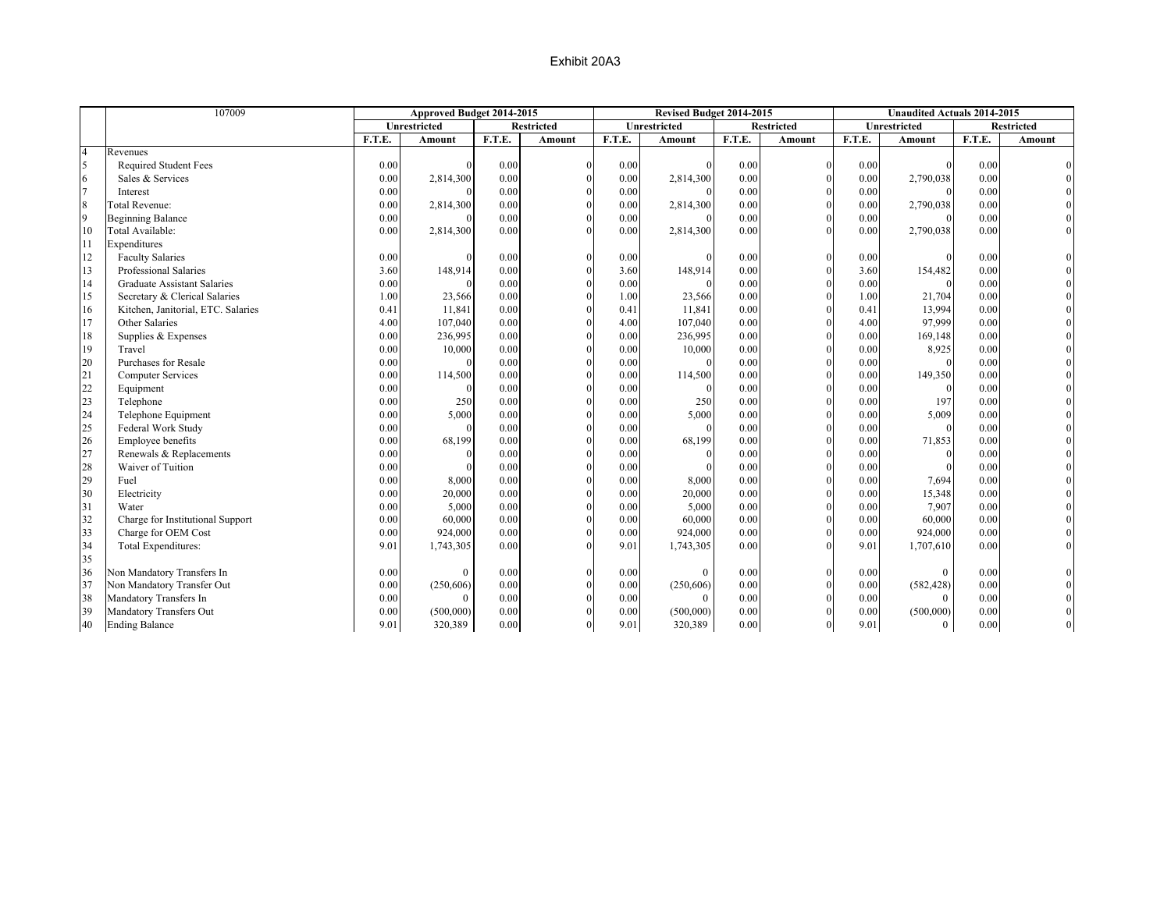|                | 107009                             | Approved Budget 2014-2015 |              |        |                   |        | Revised Budget 2014-2015 |        |                   |        | <b>Unaudited Actuals 2014-2015</b> |        |                   |
|----------------|------------------------------------|---------------------------|--------------|--------|-------------------|--------|--------------------------|--------|-------------------|--------|------------------------------------|--------|-------------------|
|                |                                    |                           | Unrestricted |        | <b>Restricted</b> |        | Unrestricted             |        | <b>Restricted</b> |        | Unrestricted                       |        | <b>Restricted</b> |
|                |                                    | F.T.E.                    | Amount       | F.T.E. | Amount            | F.T.E. | Amount                   | F.T.E. | Amount            | F.T.E. | Amount                             | F.T.E. | Amount            |
| $\overline{4}$ | Revenues                           |                           |              |        |                   |        |                          |        |                   |        |                                    |        |                   |
| 5              | <b>Required Student Fees</b>       | 0.00                      |              | 0.00   |                   | 0.00   |                          | 0.00   | $\mathbf{0}$      | 0.00   |                                    | 0.00   |                   |
| 6              | Sales & Services                   | 0.00                      | 2,814,300    | 0.00   |                   | 0.00   | 2,814,300                | 0.00   | $\theta$          | 0.00   | 2,790,038                          | 0.00   |                   |
| $\overline{7}$ | Interest                           | 0.00                      |              | 0.00   |                   | 0.00   |                          | 0.00   |                   | 0.00   |                                    | 0.00   |                   |
| $\,$ 8 $\,$    | <b>Total Revenue:</b>              | 0.00                      | 2,814,300    | 0.00   |                   | 0.00   | 2,814,300                | 0.00   | $\theta$          | 0.00   | 2,790,038                          | 0.00   |                   |
| 9              | <b>Beginning Balance</b>           | 0.00                      | $\Omega$     | 0.00   |                   | 0.00   |                          | 0.00   | $\theta$          | 0.00   |                                    | 0.00   |                   |
| 10             | Total Available:                   | 0.00                      | 2,814,300    | 0.00   | $\Omega$          | 0.00   | 2,814,300                | 0.00   | $\Omega$          | 0.00   | 2,790,038                          | 0.00   |                   |
| 11             | Expenditures                       |                           |              |        |                   |        |                          |        |                   |        |                                    |        |                   |
| 12             | <b>Faculty Salaries</b>            | 0.00                      | $\Omega$     | 0.00   |                   | 0.00   |                          | 0.00   | $\Omega$          | 0.00   |                                    | 0.00   |                   |
| 13             | Professional Salaries              | 3.60                      | 148,914      | 0.00   | $\Omega$          | 3.60   | 148,914                  | 0.00   | $\theta$          | 3.60   | 154,482                            | 0.00   |                   |
| 14             | <b>Graduate Assistant Salaries</b> | 0.00                      |              | 0.00   | $\Omega$          | 0.00   |                          | 0.00   |                   | 0.00   |                                    | 0.00   |                   |
| 15             | Secretary & Clerical Salaries      | 1.00                      | 23,566       | 0.00   | $\Omega$          | 1.00   | 23,566                   | 0.00   | $\theta$          | 1.00   | 21,704                             | 0.00   |                   |
| 16             | Kitchen, Janitorial, ETC. Salaries | 0.41                      | 11,841       | 0.00   |                   | 0.41   | 11,841                   | 0.00   | $\theta$          | 0.41   | 13,994                             | 0.00   |                   |
| 17             | Other Salaries                     | 4.00                      | 107,040      | 0.00   | $\theta$          | 4.00   | 107,040                  | 0.00   | $\theta$          | 4.00   | 97,999                             | 0.00   |                   |
| 18             | Supplies & Expenses                | 0.00                      | 236,995      | 0.00   | $\Omega$          | 0.00   | 236,995                  | 0.00   | $\theta$          | 0.00   | 169,148                            | 0.00   |                   |
| 19             | Travel                             | 0.00                      | 10,000       | 0.00   | $\theta$          | 0.00   | 10,000                   | 0.00   | $\theta$          | 0.00   | 8,925                              | 0.00   |                   |
| 20             | Purchases for Resale               | 0.00                      | $\Omega$     | 0.00   | $\Omega$          | 0.00   | $\Omega$                 | 0.00   | $\theta$          | 0.00   |                                    | 0.00   |                   |
| 21             | <b>Computer Services</b>           | 0.00                      | 114,500      | 0.00   | $\Omega$          | 0.00   | 114,500                  | 0.00   | $\theta$          | 0.00   | 149,350                            | 0.00   |                   |
| 22             | Equipment                          | 0.00                      | $\Omega$     | 0.00   | $\theta$          | 0.00   | $\Omega$                 | 0.00   | $\theta$          | 0.00   |                                    | 0.00   |                   |
| 23             | Telephone                          | 0.00                      | 250          | 0.00   | $\theta$          | 0.00   | 250                      | 0.00   | $\Omega$          | 0.00   | 197                                | 0.00   |                   |
| 24             | Telephone Equipment                | 0.00                      | 5,000        | 0.00   | $\Omega$          | 0.00   | 5,000                    | 0.00   | $\Omega$          | 0.00   | 5,009                              | 0.00   |                   |
| 25             | Federal Work Study                 | 0.00                      | $\theta$     | 0.00   | $\Omega$          | 0.00   | $\Omega$                 | 0.00   | $\theta$          | 0.00   | $\Omega$                           | 0.00   |                   |
| 26             | Employee benefits                  | 0.00                      | 68,199       | 0.00   | $\Omega$          | 0.00   | 68,199                   | 0.00   | $\theta$          | 0.00   | 71,853                             | 0.00   |                   |
| 27             | Renewals & Replacements            | 0.00                      | $\theta$     | 0.00   |                   | 0.00   |                          | 0.00   | $\theta$          | 0.00   | $\Omega$                           | 0.00   |                   |
| 28             | Waiver of Tuition                  | 0.00                      | $\Omega$     | 0.00   |                   | 0.00   |                          | 0.00   | $\theta$          | 0.00   |                                    | 0.00   |                   |
| 29             | Fuel                               | 0.00                      | 8,000        | 0.00   |                   | 0.00   | 8,000                    | 0.00   |                   | 0.00   | 7,694                              | 0.00   |                   |
| 30             | Electricity                        | 0.00                      | 20,000       | 0.00   | $\Omega$          | 0.00   | 20,000                   | 0.00   | $\theta$          | 0.00   | 15,348                             | 0.00   |                   |
| 31             | Water                              | 0.00                      | 5,000        | 0.00   | $\Omega$          | 0.00   | 5,000                    | 0.00   | $\theta$          | 0.00   | 7,907                              | 0.00   |                   |
| 32             | Charge for Institutional Support   | 0.00                      | 60,000       | 0.00   |                   | 0.00   | 60,000                   | 0.00   | $\theta$          | 0.00   | 60,000                             | 0.00   |                   |
| 33             | Charge for OEM Cost                | 0.00                      | 924,000      | 0.00   | $\Omega$          | 0.00   | 924,000                  | 0.00   | $\mathbf{0}$      | 0.00   | 924,000                            | 0.00   |                   |
| 34             | Total Expenditures:                | 9.01                      | 1,743,305    | 0.00   | $\Omega$          | 9.01   | 1,743,305                | 0.00   | $\Omega$          | 9.01   | 1,707,610                          | 0.00   |                   |
| 35             |                                    |                           |              |        |                   |        |                          |        |                   |        |                                    |        |                   |
| 36             | Non Mandatory Transfers In         | 0.00                      | $\Omega$     | 0.00   |                   | 0.00   | $\theta$                 | 0.00   | $\mathbf{0}$      | 0.00   | $\theta$                           | 0.00   |                   |
| 37             | Non Mandatory Transfer Out         | 0.00                      | (250, 606)   | 0.00   | $\Omega$          | 0.00   | (250, 606)               | 0.00   | $\theta$          | 0.00   | (582, 428)                         | 0.00   |                   |
| 38             | Mandatory Transfers In             | 0.00                      | $\Omega$     | 0.00   |                   | 0.00   | $\Omega$                 | 0.00   | $\Omega$          | 0.00   | $\Omega$                           | 0.00   |                   |
| 39             | Mandatory Transfers Out            | 0.00                      | (500,000)    | 0.00   |                   | 0.00   | (500,000)                | 0.00   | $\theta$          | 0.00   | (500,000)                          | 0.00   |                   |
| 40             | <b>Ending Balance</b>              | 9.01                      | 320,389      | 0.00   | $\theta$          | 9.01   | 320,389                  | 0.00   | $\overline{0}$    | 9.01   | $\theta$                           | 0.00   |                   |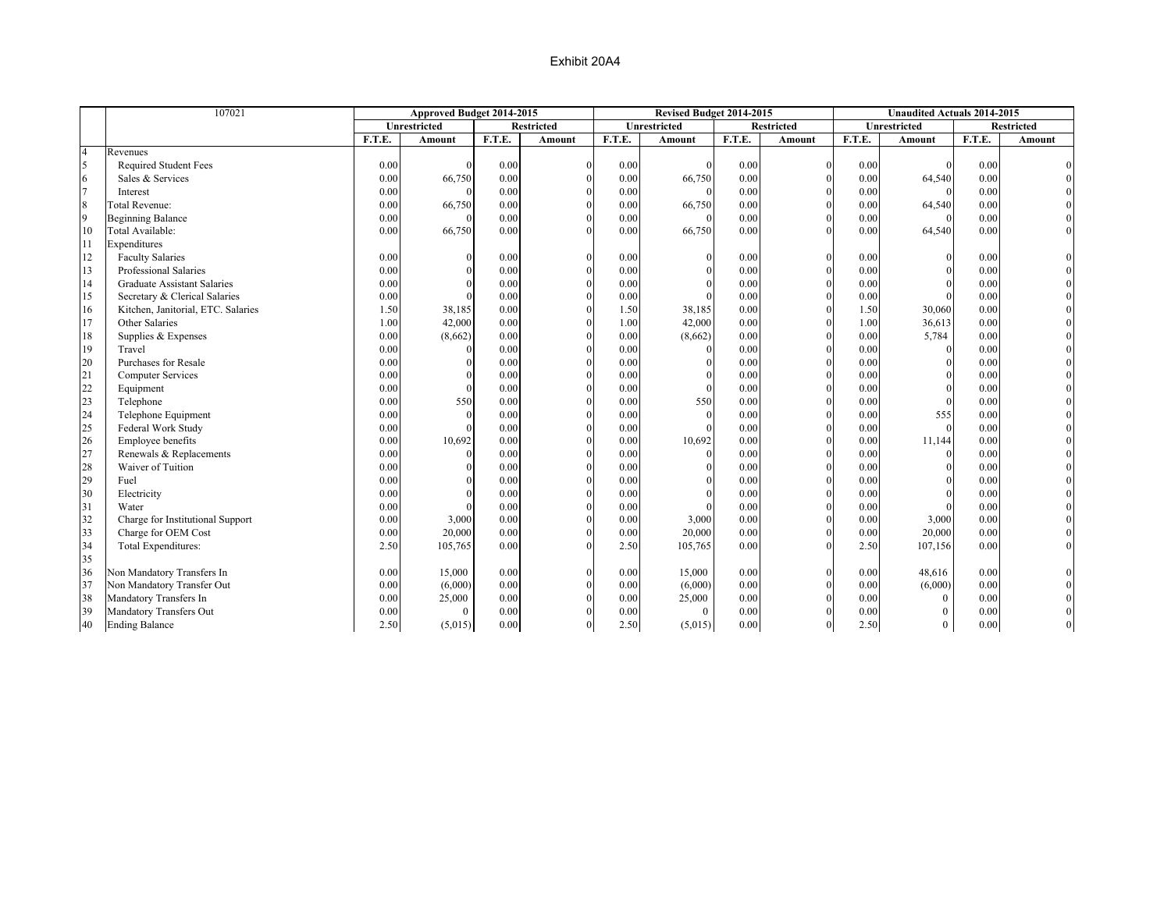|                | 107021                             |        | Approved Budget 2014-2015 |        |                   |        | Revised Budget 2014-2015 |        |                   |        | <b>Unaudited Actuals 2014-2015</b> |        |                   |
|----------------|------------------------------------|--------|---------------------------|--------|-------------------|--------|--------------------------|--------|-------------------|--------|------------------------------------|--------|-------------------|
|                |                                    |        | Unrestricted              |        | <b>Restricted</b> |        | Unrestricted             |        | <b>Restricted</b> |        | Unrestricted                       |        | <b>Restricted</b> |
|                |                                    | F.T.E. | Amount                    | F.T.E. | Amount            | F.T.E. | Amount                   | F.T.E. | Amount            | F.T.E. | Amount                             | F.T.E. | Amount            |
| $\overline{4}$ | Revenues                           |        |                           |        |                   |        |                          |        |                   |        |                                    |        |                   |
| 5              | Required Student Fees              | 0.00   |                           | 0.00   | $\Omega$          | 0.00   |                          | 0.00   | $\mathbf{0}$      | 0.00   |                                    | 0.00   |                   |
| 6              | Sales & Services                   | 0.00   | 66,750                    | 0.00   |                   | 0.00   | 66,750                   | 0.00   | $\theta$          | 0.00   | 64,540                             | 0.00   |                   |
| $\overline{7}$ | Interest                           | 0.00   | $\theta$                  | 0.00   | $\theta$          | 0.00   |                          | 0.00   | $\theta$          | 0.00   |                                    | 0.00   |                   |
| $\,$ 8 $\,$    | <b>Total Revenue:</b>              | 0.00   | 66,750                    | 0.00   | $\Omega$          | 0.00   | 66,750                   | 0.00   | $\theta$          | 0.00   | 64,540                             | 0.00   |                   |
| 9              | <b>Beginning Balance</b>           | 0.00   | $\Omega$                  | 0.00   | $\Omega$          | 0.00   | $\Omega$                 | 0.00   | $\Omega$          | 0.00   |                                    | 0.00   |                   |
| 10             | Total Available:                   | 0.00   | 66,750                    | 0.00   | $\Omega$          | 0.00   | 66,750                   | 0.00   | $\Omega$          | 0.00   | 64,540                             | 0.00   |                   |
| 11             | Expenditures                       |        |                           |        |                   |        |                          |        |                   |        |                                    |        |                   |
| 12             | <b>Faculty Salaries</b>            | 0.00   | $\theta$                  | 0.00   |                   | 0.00   | $\mathbf{0}$             | 0.00   | $\mathbf{0}$      | 0.00   | $\Omega$                           | 0.00   |                   |
| 13             | Professional Salaries              | 0.00   | $\Omega$                  | 0.00   | $\Omega$          | 0.00   | $\theta$                 | 0.00   | $\theta$          | 0.00   |                                    | 0.00   |                   |
| 14             | <b>Graduate Assistant Salaries</b> | 0.00   |                           | 0.00   | $\Omega$          | 0.00   | $\theta$                 | 0.00   | $\theta$          | 0.00   | $\Omega$                           | 0.00   |                   |
| 15             | Secretary & Clerical Salaries      | 0.00   | $\Omega$                  | 0.00   | $\Omega$          | 0.00   |                          | 0.00   | $\theta$          | 0.00   | $\Omega$                           | 0.00   |                   |
| 16             | Kitchen, Janitorial, ETC. Salaries | 1.50   | 38,185                    | 0.00   |                   | 1.50   | 38,185                   | 0.00   | $\Omega$          | 1.50   | 30,060                             | 0.00   |                   |
| 17             | Other Salaries                     | 1.00   | 42,000                    | 0.00   | $\theta$          | 1.00   | 42,000                   | 0.00   | $\Omega$          | 1.00   | 36,613                             | 0.00   |                   |
| 18             | Supplies & Expenses                | 0.00   | (8,662)                   | 0.00   | $\Omega$          | 0.00   | (8,662)                  | 0.00   | $\mathbf{0}$      | 0.00   | 5,784                              | 0.00   |                   |
| 19             | Travel                             | 0.00   | $\theta$                  | 0.00   | $\Omega$          | 0.00   |                          | 0.00   | $\mathbf{0}$      | 0.00   | $\Omega$                           | 0.00   |                   |
| 20             | Purchases for Resale               | 0.00   | $\Omega$                  | 0.00   | $\Omega$          | 0.00   | $\Omega$                 | 0.00   | $\theta$          | 0.00   | $\Omega$                           | 0.00   |                   |
| 21             | <b>Computer Services</b>           | 0.00   | $\Omega$                  | 0.00   | $\theta$          | 0.00   | $\theta$                 | 0.00   | $\Omega$          | 0.00   | $\theta$                           | 0.00   |                   |
| 22             | Equipment                          | 0.00   | $\Omega$                  | 0.00   | $\theta$          | 0.00   | $\Omega$                 | 0.00   | $\theta$          | 0.00   | $\theta$                           | 0.00   |                   |
| 23             | Telephone                          | 0.00   | 550                       | 0.00   | $\theta$          | 0.00   | 550                      | 0.00   | $\Omega$          | 0.00   | $\theta$                           | 0.00   |                   |
| 24             | Telephone Equipment                | 0.00   | $\theta$                  | 0.00   | $\Omega$          | 0.00   | $\Omega$                 | 0.00   | $\Omega$          | 0.00   | 555                                | 0.00   |                   |
| 25             | Federal Work Study                 | 0.00   | $\Omega$                  | 0.00   | $\Omega$          | 0.00   | $\Omega$                 | 0.00   | $\theta$          | 0.00   | $\Omega$                           | 0.00   |                   |
| 26             | Employee benefits                  | 0.00   | 10,692                    | 0.00   | $\Omega$          | 0.00   | 10,692                   | 0.00   | $\theta$          | 0.00   | 11,144                             | 0.00   |                   |
| 27             | Renewals & Replacements            | 0.00   | $\theta$                  | 0.00   |                   | 0.00   |                          | 0.00   | $\theta$          | 0.00   | $\theta$                           | 0.00   |                   |
| 28             | Waiver of Tuition                  | 0.00   | $\Omega$                  | 0.00   |                   | 0.00   | $\Omega$                 | 0.00   | $\theta$          | 0.00   | $\Omega$                           | 0.00   |                   |
| 29             | Fuel                               | 0.00   | $\Omega$                  | 0.00   |                   | 0.00   | $\Omega$                 | 0.00   |                   | 0.00   | $\Omega$                           | 0.00   |                   |
| 30             | Electricity                        | 0.00   | $\Omega$                  | 0.00   | $\Omega$          | 0.00   | $\Omega$                 | 0.00   | $\theta$          | 0.00   | $\Omega$                           | 0.00   |                   |
| 31             | Water                              | 0.00   |                           | 0.00   | $\Omega$          | 0.00   |                          | 0.00   | $\theta$          | 0.00   |                                    | 0.00   |                   |
| 32             | Charge for Institutional Support   | 0.00   | 3,000                     | 0.00   | $\Omega$          | 0.00   | 3,000                    | 0.00   | $\mathbf{0}$      | 0.00   | 3,000                              | 0.00   |                   |
| 33             | Charge for OEM Cost                | 0.00   | 20,000                    | 0.00   | $\Omega$          | 0.00   | 20,000                   | 0.00   | $\mathbf{0}$      | 0.00   | 20,000                             | 0.00   |                   |
| 34             | Total Expenditures:                | 2.50   | 105,765                   | 0.00   | $\Omega$          | 2.50   | 105,765                  | 0.00   | $\Omega$          | 2.50   | 107,156                            | 0.00   |                   |
| 35             |                                    |        |                           |        |                   |        |                          |        |                   |        |                                    |        |                   |
| 36             | Non Mandatory Transfers In         | 0.00   | 15,000                    | 0.00   |                   | 0.00   | 15,000                   | 0.00   | $\Omega$          | 0.00   | 48,616                             | 0.00   |                   |
| 37             | Non Mandatory Transfer Out         | 0.00   | (6,000)                   | 0.00   | $\Omega$          | 0.00   | (6,000)                  | 0.00   | $\theta$          | 0.00   | (6,000)                            | 0.00   |                   |
| 38             | Mandatory Transfers In             | 0.00   | 25,000                    | 0.00   |                   | 0.00   | 25,000                   | 0.00   | $\Omega$          | 0.00   | $\Omega$                           | 0.00   |                   |
| 39             | Mandatory Transfers Out            | 0.00   | $\mathbf{0}$              | 0.00   |                   | 0.00   | $\theta$                 | 0.00   | $\Omega$          | 0.00   | $\theta$                           | 0.00   |                   |
| 40             | <b>Ending Balance</b>              | 2.50   | (5,015)                   | 0.00   | $\theta$          | 2.50   | (5,015)                  | 0.00   | $\overline{0}$    | 2.50   | $\Omega$                           | 0.00   |                   |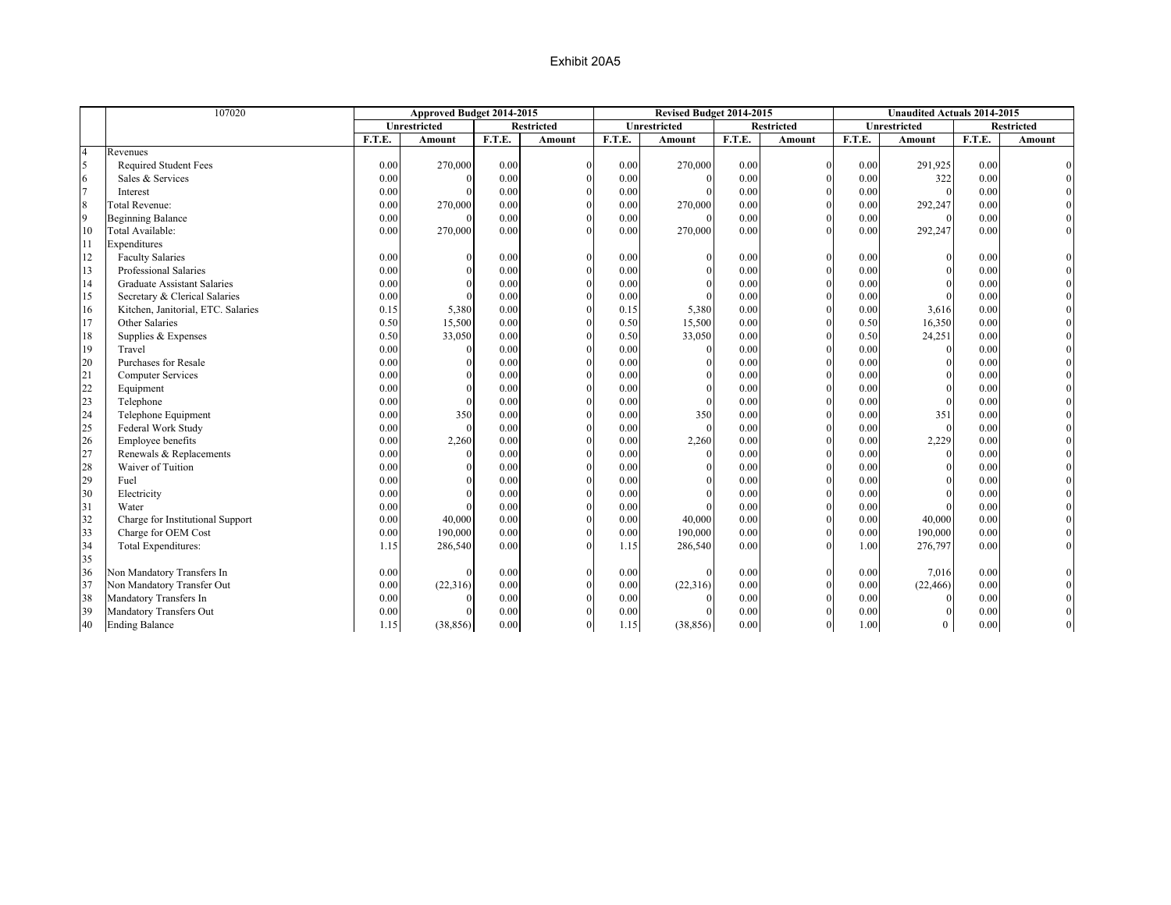|                | 107020                             |        | Approved Budget 2014-2015 |        |                   |        | Revised Budget 2014-2015 |        |                   |        | <b>Unaudited Actuals 2014-2015</b> |        |                   |
|----------------|------------------------------------|--------|---------------------------|--------|-------------------|--------|--------------------------|--------|-------------------|--------|------------------------------------|--------|-------------------|
|                |                                    |        | Unrestricted              |        | <b>Restricted</b> |        | Unrestricted             |        | <b>Restricted</b> |        | Unrestricted                       |        | <b>Restricted</b> |
|                |                                    | F.T.E. | Amount                    | F.T.E. | Amount            | F.T.E. | Amount                   | F.T.E. | Amount            | F.T.E. | Amount                             | F.T.E. | Amount            |
| $\overline{4}$ | Revenues                           |        |                           |        |                   |        |                          |        |                   |        |                                    |        |                   |
|                | <b>Required Student Fees</b>       | 0.00   | 270,000                   | 0.00   | $\Omega$          | 0.00   | 270,000                  | 0.00   | $\Omega$          | 0.00   | 291,925                            | 0.00   |                   |
|                | Sales & Services                   | 0.00   |                           | 0.00   |                   | 0.00   |                          | 0.00   | $\Omega$          | 0.00   | 322                                | 0.00   |                   |
|                | Interest                           | 0.00   |                           | 0.00   | $\Omega$          | 0.00   |                          | 0.00   | $\Omega$          | 0.00   | $\Omega$                           | 0.00   |                   |
| 8              | <b>Total Revenue:</b>              | 0.00   | 270,000                   | 0.00   | $\Omega$          | 0.00   | 270,000                  | 0.00   |                   | 0.00   | 292,247                            | 0.00   |                   |
| 9              | <b>Beginning Balance</b>           | 0.00   |                           | 0.00   |                   | 0.00   |                          | 0.00   |                   | 0.00   |                                    | 0.00   |                   |
| 10             | Total Available:                   | 0.00   | 270,000                   | 0.00   | $\Omega$          | 0.00   | 270,000                  | 0.00   |                   | 0.00   | 292,247                            | 0.00   |                   |
| 11             | Expenditures                       |        |                           |        |                   |        |                          |        |                   |        |                                    |        |                   |
| 12             | <b>Faculty Salaries</b>            | 0.00   |                           | 0.00   | $\Omega$          | 0.00   |                          | 0.00   | $\Omega$          | 0.00   | $\Omega$                           | 0.00   |                   |
| 13             | Professional Salaries              | 0.00   |                           | 0.00   |                   | 0.00   |                          | 0.00   | $\Omega$          | 0.00   |                                    | 0.00   |                   |
| 14             | <b>Graduate Assistant Salaries</b> | 0.00   |                           | 0.00   | $\Omega$          | 0.00   |                          | 0.00   | $\Omega$          | 0.00   |                                    | 0.00   |                   |
| 15             | Secretary & Clerical Salaries      | 0.00   |                           | 0.00   |                   | 0.00   |                          | 0.00   | $\Omega$          | 0.00   |                                    | 0.00   |                   |
| 16             | Kitchen, Janitorial, ETC. Salaries | 0.15   | 5,380                     | 0.00   |                   | 0.15   | 5,380                    | 0.00   |                   | 0.00   | 3,616                              | 0.00   |                   |
| 17             | Other Salaries                     | 0.50   | 15,500                    | 0.00   |                   | 0.50   | 15,500                   | 0.00   |                   | 0.50   | 16,350                             | 0.00   |                   |
| 18             | Supplies & Expenses                | 0.50   | 33,050                    | 0.00   |                   | 0.50   | 33,050                   | 0.00   |                   | 0.50   | 24,251                             | 0.00   |                   |
| 19             | Travel                             | 0.00   |                           | 0.00   |                   | 0.00   |                          | 0.00   |                   | 0.00   | $\Omega$                           | 0.00   |                   |
| 20             | Purchases for Resale               | 0.00   |                           | 0.00   |                   | 0.00   |                          | 0.00   |                   | 0.00   | $\Omega$                           | 0.00   |                   |
| 21             | <b>Computer Services</b>           | 0.00   |                           | 0.00   | $\Omega$          | 0.00   |                          | 0.00   |                   | 0.00   |                                    | 0.00   |                   |
| 22             | Equipment                          | 0.00   |                           | 0.00   |                   | 0.00   |                          | 0.00   |                   | 0.00   | $\Omega$                           | 0.00   |                   |
| 23             | Telephone                          | 0.00   |                           | 0.00   |                   | 0.00   |                          | 0.00   |                   | 0.00   | $\Omega$                           | 0.00   |                   |
| 24             | Telephone Equipment                | 0.00   | 350                       | 0.00   |                   | 0.00   | 350                      | 0.00   |                   | 0.00   | 351                                | 0.00   |                   |
| 25             | Federal Work Study                 | 0.00   |                           | 0.00   |                   | 0.00   |                          | 0.00   |                   | 0.00   | $\Omega$                           | 0.00   |                   |
| 26             | Employee benefits                  | 0.00   | 2,260                     | 0.00   |                   | 0.00   | 2,260                    | 0.00   |                   | 0.00   | 2,229                              | 0.00   |                   |
| 27             | Renewals & Replacements            | 0.00   |                           | 0.00   |                   | 0.00   |                          | 0.00   |                   | 0.00   | $\Omega$                           | 0.00   |                   |
| 28             | Waiver of Tuition                  | 0.00   |                           | 0.00   |                   | 0.00   |                          | 0.00   | $\Omega$          | 0.00   |                                    | 0.00   |                   |
| 29             | Fuel                               | 0.00   |                           | 0.00   |                   | 0.00   |                          | 0.00   |                   | 0.00   |                                    | 0.00   |                   |
| 30             | Electricity                        | 0.00   |                           | 0.00   |                   | 0.00   |                          | 0.00   |                   | 0.00   |                                    | 0.00   |                   |
| 31             | Water                              | 0.00   |                           | 0.00   |                   | 0.00   |                          | 0.00   |                   | 0.00   |                                    | 0.00   |                   |
| 32             | Charge for Institutional Support   | 0.00   | 40,000                    | 0.00   |                   | 0.00   | 40,000                   | 0.00   |                   | 0.00   | 40,000                             | 0.00   |                   |
| 33             | Charge for OEM Cost                | 0.00   | 190,000                   | 0.00   |                   | 0.00   | 190,000                  | 0.00   |                   | 0.00   | 190,000                            | 0.00   |                   |
| 34             | Total Expenditures:                | 1.15   | 286,540                   | 0.00   | $\Omega$          | 1.15   | 286,540                  | 0.00   |                   | 1.00   | 276,797                            | 0.00   |                   |
| 35             |                                    |        |                           |        |                   |        |                          |        |                   |        |                                    |        |                   |
| 36             | Non Mandatory Transfers In         | 0.00   |                           | 0.00   | $\Omega$          | 0.00   |                          | 0.00   | $\Omega$          | 0.00   | 7,016                              | 0.00   |                   |
| 37             | Non Mandatory Transfer Out         | 0.00   | (22, 316)                 | 0.00   |                   | 0.00   | (22,316)                 | 0.00   | $\mathbf{0}$      | 0.00   | (22, 466)                          | 0.00   |                   |
| 38             | Mandatory Transfers In             | 0.00   |                           | 0.00   | $\Omega$          | 0.00   |                          | 0.00   | $\Omega$          | 0.00   | $\Omega$                           | 0.00   |                   |
| 39             | Mandatory Transfers Out            | 0.00   |                           | 0.00   | $\Omega$          | 0.00   |                          | 0.00   | $\Omega$          | 0.00   | $\Omega$                           | 0.00   |                   |
| 40             | <b>Ending Balance</b>              | 1.15   | (38, 856)                 | 0.00   | $\mathbf{0}$      | 1.15   | (38, 856)                | 0.00   | $\mathbf{0}$      | 1.00   | $\overline{0}$                     | 0.00   |                   |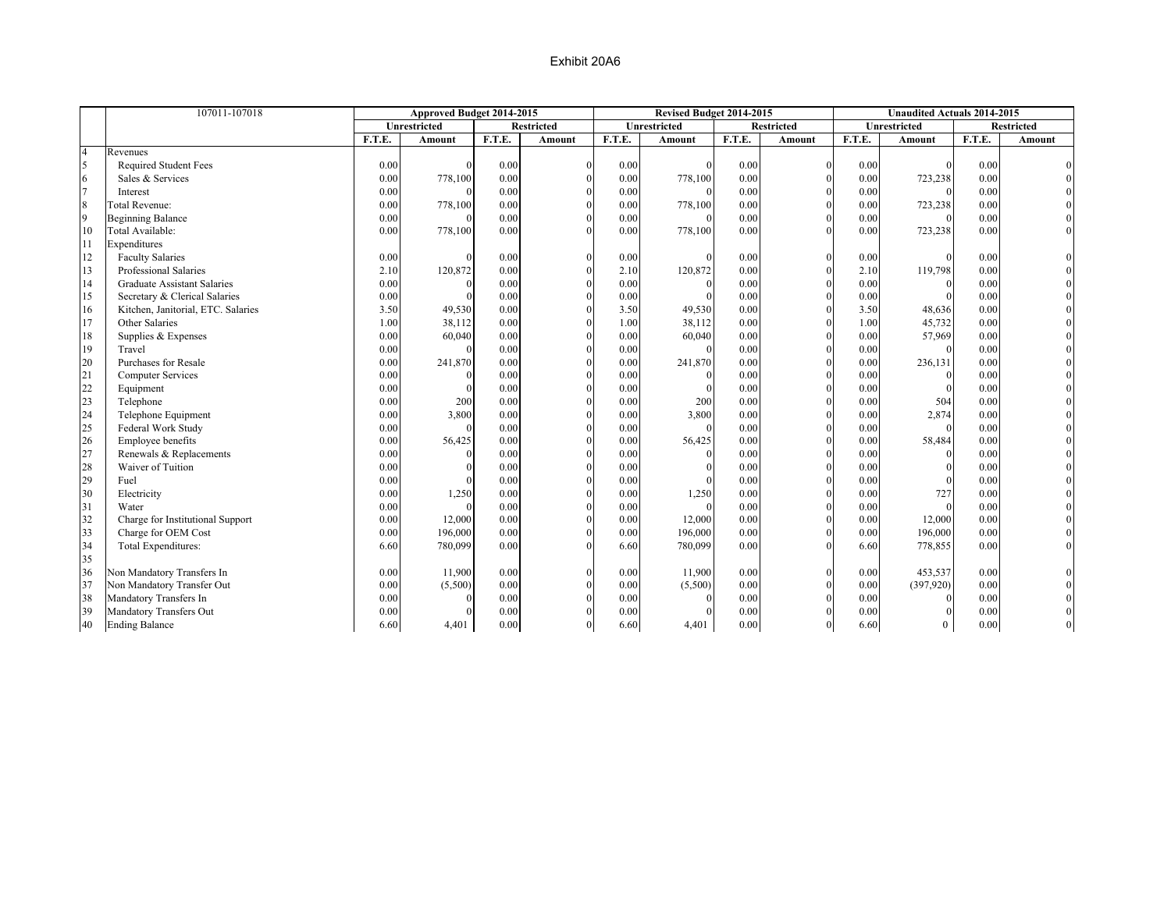|                | 107011-107018                      |        | Approved Budget 2014-2015 |        |                   |        | Revised Budget 2014-2015 |        |                   |        | <b>Unaudited Actuals 2014-2015</b> |        |                   |
|----------------|------------------------------------|--------|---------------------------|--------|-------------------|--------|--------------------------|--------|-------------------|--------|------------------------------------|--------|-------------------|
|                |                                    |        | Unrestricted              |        | <b>Restricted</b> |        | Unrestricted             |        | <b>Restricted</b> |        | Unrestricted                       |        | <b>Restricted</b> |
|                |                                    | F.T.E. | Amount                    | F.T.E. | Amount            | F.T.E. | Amount                   | F.T.E. | Amount            | F.T.E. | Amount                             | F.T.E. | Amount            |
| $\overline{4}$ | Revenues                           |        |                           |        |                   |        |                          |        |                   |        |                                    |        |                   |
|                | <b>Required Student Fees</b>       | 0.00   |                           | 0.00   | $\Omega$          | 0.00   |                          | 0.00   | $\Omega$          | 0.00   |                                    | 0.00   |                   |
|                | Sales & Services                   | 0.00   | 778,100                   | 0.00   |                   | 0.00   | 778,100                  | 0.00   | $\Omega$          | 0.00   | 723,238                            | 0.00   |                   |
|                | Interest                           | 0.00   |                           | 0.00   | $\Omega$          | 0.00   |                          | 0.00   | $\Omega$          | 0.00   |                                    | 0.00   |                   |
| 8              | <b>Total Revenue:</b>              | 0.00   | 778,100                   | 0.00   | $\Omega$          | 0.00   | 778,100                  | 0.00   |                   | 0.00   | 723,238                            | 0.00   |                   |
| 9              | <b>Beginning Balance</b>           | 0.00   |                           | 0.00   |                   | 0.00   |                          | 0.00   |                   | 0.00   |                                    | 0.00   |                   |
| 10             | Total Available:                   | 0.00   | 778,100                   | 0.00   |                   | 0.00   | 778,100                  | 0.00   |                   | 0.00   | 723,238                            | 0.00   |                   |
| 11             | Expenditures                       |        |                           |        |                   |        |                          |        |                   |        |                                    |        |                   |
| 12             | <b>Faculty Salaries</b>            | 0.00   |                           | 0.00   |                   | 0.00   |                          | 0.00   | $\Omega$          | 0.00   | $\Omega$                           | 0.00   |                   |
| 13             | Professional Salaries              | 2.10   | 120,872                   | 0.00   |                   | 2.10   | 120,872                  | 0.00   | $\Omega$          | 2.10   | 119,798                            | 0.00   |                   |
| 14             | <b>Graduate Assistant Salaries</b> | 0.00   |                           | 0.00   | $\Omega$          | 0.00   |                          | 0.00   | $\Omega$          | 0.00   |                                    | 0.00   |                   |
| 15             | Secretary & Clerical Salaries      | 0.00   |                           | 0.00   |                   | 0.00   |                          | 0.00   | $\Omega$          | 0.00   |                                    | 0.00   |                   |
| 16             | Kitchen, Janitorial, ETC. Salaries | 3.50   | 49,530                    | 0.00   |                   | 3.50   | 49,530                   | 0.00   |                   | 3.50   | 48,636                             | 0.00   |                   |
| 17             | Other Salaries                     | 1.00   | 38,112                    | 0.00   |                   | 1.00   | 38,112                   | 0.00   |                   | 1.00   | 45,732                             | 0.00   |                   |
| 18             | Supplies & Expenses                | 0.00   | 60,040                    | 0.00   |                   | 0.00   | 60,040                   | 0.00   |                   | 0.00   | 57,969                             | 0.00   |                   |
| 19             | Travel                             | 0.00   |                           | 0.00   |                   | 0.00   |                          | 0.00   |                   | 0.00   |                                    | 0.00   |                   |
| 20             | Purchases for Resale               | 0.00   | 241,870                   | 0.00   |                   | 0.00   | 241,870                  | 0.00   |                   | 0.00   | 236,131                            | 0.00   |                   |
| 21             | <b>Computer Services</b>           | 0.00   |                           | 0.00   |                   | 0.00   |                          | 0.00   |                   | 0.00   | $\Omega$                           | 0.00   |                   |
| 22             | Equipment                          | 0.00   |                           | 0.00   |                   | 0.00   |                          | 0.00   |                   | 0.00   |                                    | 0.00   |                   |
| 23             | Telephone                          | 0.00   | 200                       | 0.00   |                   | 0.00   | 200                      | 0.00   |                   | 0.00   | 504                                | 0.00   |                   |
| 24             | Telephone Equipment                | 0.00   | 3,800                     | 0.00   |                   | 0.00   | 3,800                    | 0.00   |                   | 0.00   | 2,874                              | 0.00   |                   |
| 25             | Federal Work Study                 | 0.00   |                           | 0.00   |                   | 0.00   |                          | 0.00   |                   | 0.00   |                                    | 0.00   |                   |
| 26             | Employee benefits                  | 0.00   | 56,425                    | 0.00   |                   | 0.00   | 56,425                   | 0.00   |                   | 0.00   | 58,484                             | 0.00   |                   |
| 27             | Renewals & Replacements            | 0.00   |                           | 0.00   |                   | 0.00   |                          | 0.00   |                   | 0.00   | $\Omega$                           | 0.00   |                   |
| 28             | Waiver of Tuition                  | 0.00   |                           | 0.00   |                   | 0.00   |                          | 0.00   | $\Omega$          | 0.00   |                                    | 0.00   |                   |
| 29             | Fuel                               | 0.00   |                           | 0.00   |                   | 0.00   |                          | 0.00   |                   | 0.00   |                                    | 0.00   |                   |
| 30             | Electricity                        | 0.00   | 1,250                     | 0.00   |                   | 0.00   | 1,250                    | 0.00   |                   | 0.00   | 727                                | 0.00   |                   |
| 31             | Water                              | 0.00   |                           | 0.00   |                   | 0.00   |                          | 0.00   | $\Omega$          | 0.00   |                                    | 0.00   |                   |
| 32             | Charge for Institutional Support   | 0.00   | 12,000                    | 0.00   |                   | 0.00   | 12,000                   | 0.00   |                   | 0.00   | 12,000                             | 0.00   |                   |
| 33             | Charge for OEM Cost                | 0.00   | 196,000                   | 0.00   |                   | 0.00   | 196,000                  | 0.00   |                   | 0.00   | 196,000                            | 0.00   |                   |
| 34             | Total Expenditures:                | 6.60   | 780,099                   | 0.00   | $\Omega$          | 6.60   | 780,099                  | 0.00   |                   | 6.60   | 778,855                            | 0.00   |                   |
| 35             |                                    |        |                           |        |                   |        |                          |        |                   |        |                                    |        |                   |
| 36             | Non Mandatory Transfers In         | 0.00   | 11,900                    | 0.00   | $\Omega$          | 0.00   | 11,900                   | 0.00   | $\mathbf{0}$      | 0.00   | 453,537                            | 0.00   |                   |
| 37             | Non Mandatory Transfer Out         | 0.00   | (5,500)                   | 0.00   |                   | 0.00   | (5,500)                  | 0.00   | $\mathbf{0}$      | 0.00   | (397,920)                          | 0.00   |                   |
| 38             | Mandatory Transfers In             | 0.00   |                           | 0.00   | $\Omega$          | 0.00   |                          | 0.00   | $\Omega$          | 0.00   | $\Omega$                           | 0.00   |                   |
| 39             | Mandatory Transfers Out            | 0.00   |                           | 0.00   |                   | 0.00   |                          | 0.00   | $\Omega$          | 0.00   |                                    | 0.00   |                   |
| 40             | <b>Ending Balance</b>              | 6.60   | 4,401                     | 0.00   | $\mathbf{0}$      | 6.60   | 4,401                    | 0.00   | $\mathbf{0}$      | 6.60   | $\overline{0}$                     | 0.00   |                   |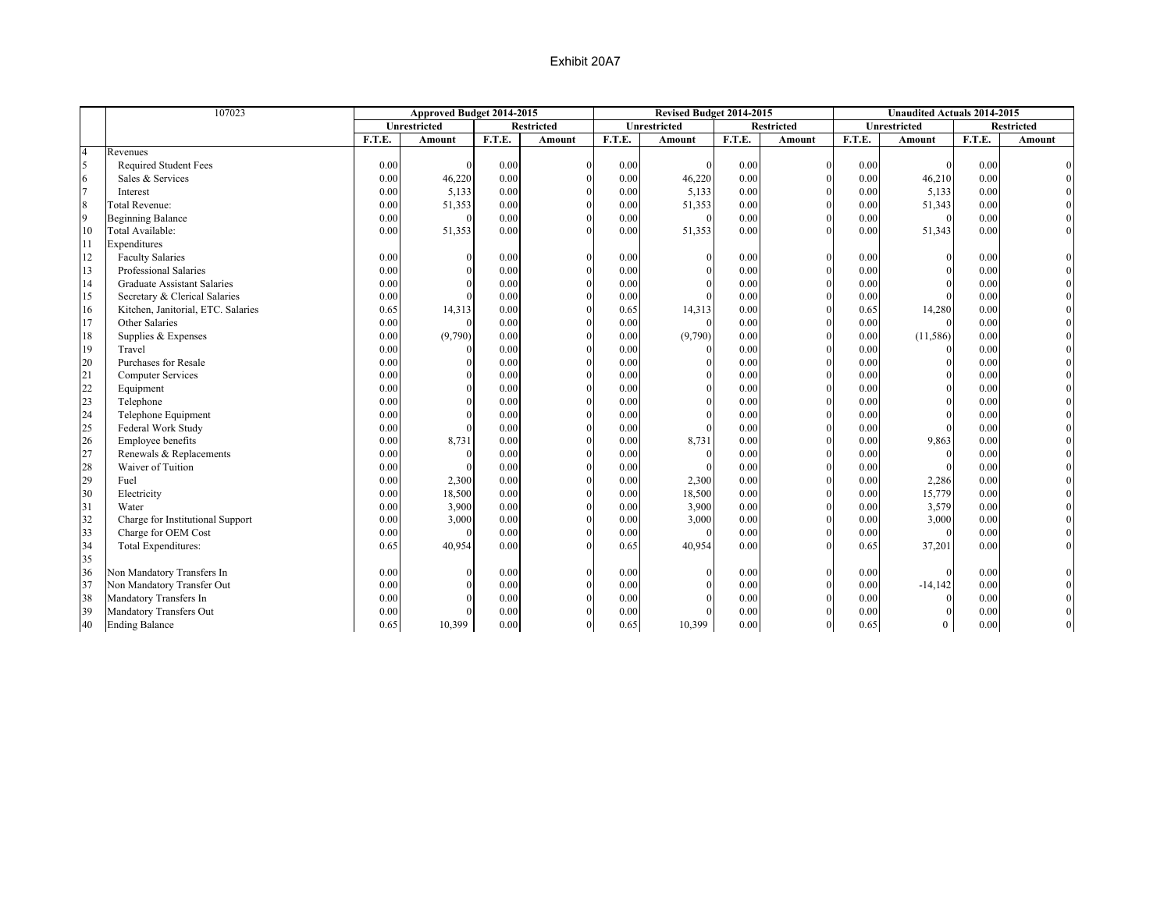|                | 107023                             |        | Approved Budget 2014-2015 |        |                   |        | Revised Budget 2014-2015 |        |                   |        | <b>Unaudited Actuals 2014-2015</b> |        |                   |
|----------------|------------------------------------|--------|---------------------------|--------|-------------------|--------|--------------------------|--------|-------------------|--------|------------------------------------|--------|-------------------|
|                |                                    |        | Unrestricted              |        | <b>Restricted</b> |        | Unrestricted             |        | <b>Restricted</b> |        | Unrestricted                       |        | <b>Restricted</b> |
|                |                                    | F.T.E. | Amount                    | F.T.E. | Amount            | F.T.E. | Amount                   | F.T.E. | Amount            | F.T.E. | Amount                             | F.T.E. | Amount            |
| $\overline{4}$ | Revenues                           |        |                           |        |                   |        |                          |        |                   |        |                                    |        |                   |
| $\overline{5}$ | Required Student Fees              | 0.00   |                           | 0.00   | $\Omega$          | 0.00   | $\Omega$                 | 0.00   | $\mathbf{0}$      | 0.00   |                                    | 0.00   |                   |
| 6              | Sales & Services                   | 0.00   | 46,220                    | 0.00   |                   | 0.00   | 46,220                   | 0.00   | $\theta$          | 0.00   | 46,210                             | 0.00   |                   |
| $\overline{7}$ | Interest                           | 0.00   | 5,133                     | 0.00   | $\theta$          | 0.00   | 5,133                    | 0.00   | $\theta$          | 0.00   | 5,133                              | 0.00   |                   |
| 8              | Total Revenue:                     | 0.00   | 51,353                    | 0.00   | $\Omega$          | 0.00   | 51,353                   | 0.00   | $\Omega$          | 0.00   | 51,343                             | 0.00   |                   |
| $\overline{9}$ | <b>Beginning Balance</b>           | 0.00   | $\Omega$                  | 0.00   | $\Omega$          | 0.00   | $\Omega$                 | 0.00   | $\Omega$          | 0.00   | $\Omega$                           | 0.00   |                   |
| 10             | Total Available:                   | 0.00   | 51,353                    | 0.00   | $\Omega$          | 0.00   | 51,353                   | 0.00   | $\Omega$          | 0.00   | 51,343                             | 0.00   |                   |
| 11             | Expenditures                       |        |                           |        |                   |        |                          |        |                   |        |                                    |        |                   |
| 12             | <b>Faculty Salaries</b>            | 0.00   | $\theta$                  | 0.00   |                   | 0.00   | $\mathbf{0}$             | 0.00   | $\mathbf{0}$      | 0.00   | $\Omega$                           | 0.00   |                   |
| 13             | Professional Salaries              | 0.00   | $\Omega$                  | 0.00   | $\Omega$          | 0.00   | $\Omega$                 | 0.00   | $\theta$          | 0.00   |                                    | 0.00   |                   |
| 14             | <b>Graduate Assistant Salaries</b> | 0.00   | $\Omega$                  | 0.00   | $\Omega$          | 0.00   | $\Omega$                 | 0.00   | $\theta$          | 0.00   | $\Omega$                           | 0.00   |                   |
| 15             | Secretary & Clerical Salaries      | 0.00   | $\Omega$                  | 0.00   | $\Omega$          | 0.00   |                          | 0.00   | $\Omega$          | 0.00   | $\Omega$                           | 0.00   |                   |
| 16             | Kitchen, Janitorial, ETC. Salaries | 0.65   | 14,313                    | 0.00   |                   | 0.65   | 14,313                   | 0.00   | $\theta$          | 0.65   | 14,280                             | 0.00   |                   |
| 17             | Other Salaries                     | 0.00   | $\theta$                  | 0.00   | $\Omega$          | 0.00   | $\Omega$                 | 0.00   | $\theta$          | 0.00   | $\Omega$                           | 0.00   |                   |
| 18             | Supplies & Expenses                | 0.00   | (9,790)                   | 0.00   | $\Omega$          | 0.00   | (9,790)                  | 0.00   | $\theta$          | 0.00   | (11, 586)                          | 0.00   |                   |
| 19             | Travel                             | 0.00   |                           | 0.00   |                   | 0.00   |                          | 0.00   | $\theta$          | 0.00   |                                    | 0.00   |                   |
| 20             | Purchases for Resale               | 0.00   | $\theta$                  | 0.00   |                   | 0.00   | $\Omega$                 | 0.00   | $\theta$          | 0.00   | $\Omega$                           | 0.00   |                   |
| 21             | <b>Computer Services</b>           | 0.00   | $\theta$                  | 0.00   |                   | 0.00   | $\Omega$                 | 0.00   | $\theta$          | 0.00   | $\Omega$                           | 0.00   |                   |
| 22             | Equipment                          | 0.00   | $\theta$                  | 0.00   | $\Omega$          | 0.00   | $\Omega$                 | 0.00   | $\theta$          | 0.00   | $\Omega$                           | 0.00   |                   |
| 23             | Telephone                          | 0.00   | $\Omega$                  | 0.00   |                   | 0.00   | $\Omega$                 | 0.00   | $\Omega$          | 0.00   | $\Omega$                           | 0.00   |                   |
| 24             | Telephone Equipment                | 0.00   | $\Omega$                  | 0.00   | $\Omega$          | 0.00   | $\Omega$                 | 0.00   | $\mathbf{0}$      | 0.00   | $\Omega$                           | 0.00   |                   |
| 25             | Federal Work Study                 | 0.00   | $\theta$                  | 0.00   |                   | 0.00   |                          | 0.00   | $\theta$          | 0.00   | $\Omega$                           | 0.00   |                   |
| 26             | Employee benefits                  | 0.00   | 8,731                     | 0.00   | $\Omega$          | 0.00   | 8,731                    | 0.00   | $\theta$          | 0.00   | 9,863                              | 0.00   |                   |
| 27             | Renewals & Replacements            | 0.00   | $\theta$                  | 0.00   | $\Omega$          | 0.00   | $\Omega$                 | 0.00   | $\theta$          | 0.00   | $\theta$                           | 0.00   |                   |
| 28             | Waiver of Tuition                  | 0.00   | $\Omega$                  | 0.00   | $\Omega$          | 0.00   |                          | 0.00   | $\theta$          | 0.00   | $\Omega$                           | 0.00   |                   |
| 29             | Fuel                               | 0.00   | 2,300                     | 0.00   | $\Omega$          | 0.00   | 2,300                    | 0.00   | $\theta$          | 0.00   | 2,286                              | 0.00   |                   |
| 30             | Electricity                        | 0.00   | 18,500                    | 0.00   | $\Omega$          | 0.00   | 18,500                   | 0.00   | $\Omega$          | 0.00   | 15,779                             | 0.00   |                   |
| 31             | Water                              | 0.00   | 3,900                     | 0.00   | $\Omega$          | 0.00   | 3,900                    | 0.00   | $\mathbf{0}$      | 0.00   | 3,579                              | 0.00   |                   |
| 32             | Charge for Institutional Support   | 0.00   | 3,000                     | 0.00   | $\Omega$          | 0.00   | 3,000                    | 0.00   | $\mathbf{0}$      | 0.00   | 3,000                              | 0.00   |                   |
| 33             | Charge for OEM Cost                | 0.00   | $\Omega$                  | 0.00   | $\theta$          | 0.00   | $\Omega$                 | 0.00   | $\mathbf{0}$      | 0.00   | $\theta$                           | 0.00   |                   |
| 34             | Total Expenditures:                | 0.65   | 40,954                    | 0.00   | $\Omega$          | 0.65   | 40,954                   | 0.00   | $\Omega$          | 0.65   | 37,201                             | 0.00   |                   |
| 35             |                                    |        |                           |        |                   |        |                          |        |                   |        |                                    |        |                   |
| 36             | Non Mandatory Transfers In         | 0.00   | $\theta$                  | 0.00   | $\theta$          | 0.00   | $\mathbf{0}$             | 0.00   | $\mathbf{0}$      | 0.00   |                                    | 0.00   |                   |
| 37             | Non Mandatory Transfer Out         | 0.00   | $\Omega$                  | 0.00   | $\Omega$          | 0.00   | $\Omega$                 | 0.00   | $\theta$          | 0.00   | $-14,142$                          | 0.00   |                   |
| 38             | Mandatory Transfers In             | 0.00   | $\Omega$                  | 0.00   |                   | 0.00   | $\Omega$                 | 0.00   | $\Omega$          | 0.00   |                                    | 0.00   |                   |
| 39             | Mandatory Transfers Out            | 0.00   | $\Omega$                  | 0.00   |                   | 0.00   |                          | 0.00   |                   | 0.00   | $\Omega$                           | 0.00   |                   |
| 40             | <b>Ending Balance</b>              | 0.65   | 10,399                    | 0.00   | $\Omega$          | 0.65   | 10,399                   | 0.00   | $\overline{0}$    | 0.65   | $\overline{0}$                     | 0.00   |                   |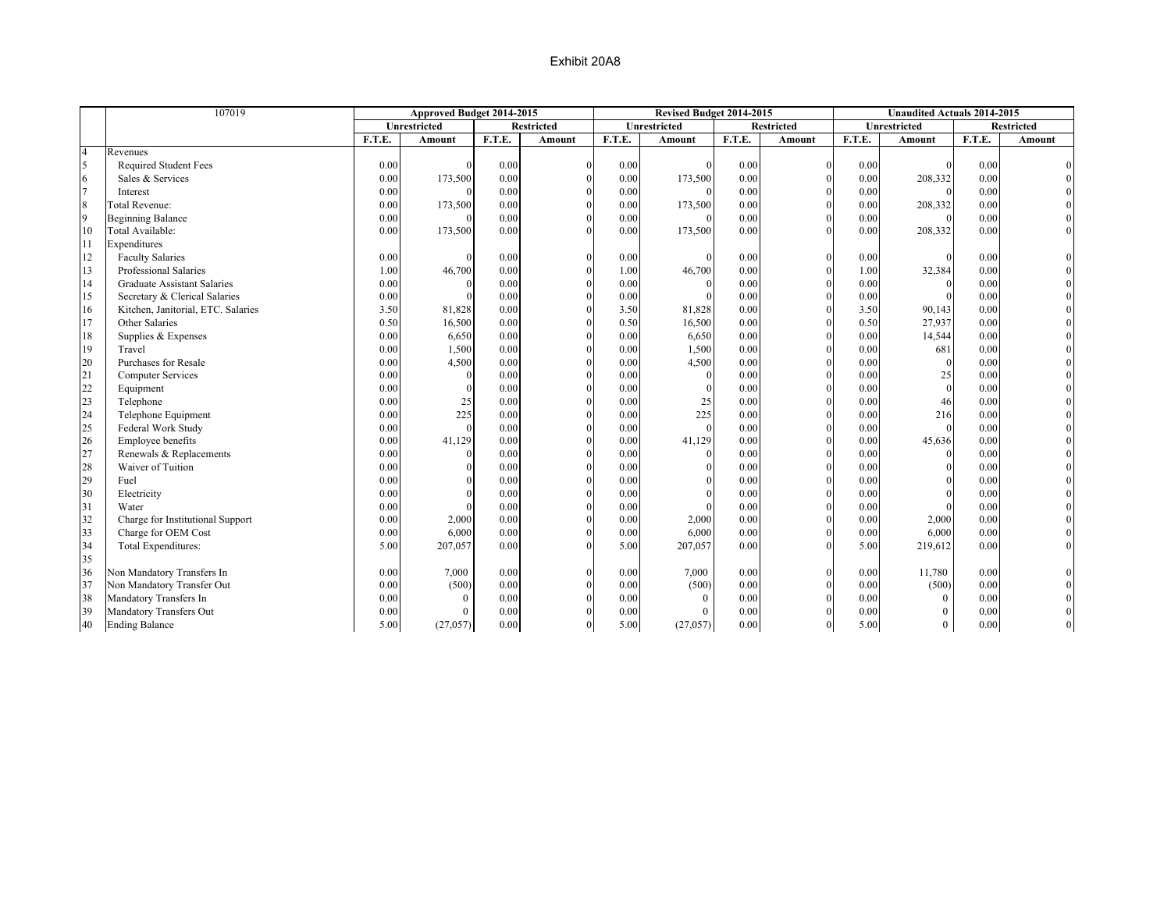|                | 107019                             |        | Approved Budget 2014-2015 |        |                   |        | Revised Budget 2014-2015 |        |                   |        | <b>Unaudited Actuals 2014-2015</b> |        |                   |
|----------------|------------------------------------|--------|---------------------------|--------|-------------------|--------|--------------------------|--------|-------------------|--------|------------------------------------|--------|-------------------|
|                |                                    |        | Unrestricted              |        | <b>Restricted</b> |        | Unrestricted             |        | <b>Restricted</b> |        | Unrestricted                       |        | <b>Restricted</b> |
|                |                                    | F.T.E. | Amount                    | F.T.E. | Amount            | F.T.E. | Amount                   | F.T.E. | Amount            | F.T.E. | Amount                             | F.T.E. | Amount            |
| $\overline{4}$ | Revenues                           |        |                           |        |                   |        |                          |        |                   |        |                                    |        |                   |
| 5              | <b>Required Student Fees</b>       | 0.00   |                           | 0.00   | $\Omega$          | 0.00   |                          | 0.00   | $\mathbf{0}$      | 0.00   |                                    | 0.00   |                   |
| 6              | Sales & Services                   | 0.00   | 173,500                   | 0.00   |                   | 0.00   | 173,500                  | 0.00   | $\theta$          | 0.00   | 208,332                            | 0.00   |                   |
| $\overline{7}$ | Interest                           | 0.00   |                           | 0.00   | $\theta$          | 0.00   |                          | 0.00   | $\theta$          | 0.00   |                                    | 0.00   |                   |
| $\,$ 8 $\,$    | <b>Total Revenue:</b>              | 0.00   | 173,500                   | 0.00   | $\Omega$          | 0.00   | 173,500                  | 0.00   | $\theta$          | 0.00   | 208,332                            | 0.00   |                   |
| 9              | <b>Beginning Balance</b>           | 0.00   | $\theta$                  | 0.00   | $\Omega$          | 0.00   | $\Omega$                 | 0.00   | $\Omega$          | 0.00   |                                    | 0.00   |                   |
| 10             | Total Available:                   | 0.00   | 173,500                   | 0.00   | $\Omega$          | 0.00   | 173,500                  | 0.00   | $\Omega$          | 0.00   | 208,332                            | 0.00   |                   |
| 11             | Expenditures                       |        |                           |        |                   |        |                          |        |                   |        |                                    |        |                   |
| 12             | <b>Faculty Salaries</b>            | 0.00   | $\theta$                  | 0.00   |                   | 0.00   | $\Omega$                 | 0.00   | $\mathbf{0}$      | 0.00   | $\Omega$                           | 0.00   |                   |
| 13             | Professional Salaries              | 1.00   | 46,700                    | 0.00   | $\Omega$          | 1.00   | 46,700                   | 0.00   | $\theta$          | 1.00   | 32,384                             | 0.00   |                   |
| 14             | <b>Graduate Assistant Salaries</b> | 0.00   | $\Omega$                  | 0.00   | $\Omega$          | 0.00   | $\Omega$                 | 0.00   | $\theta$          | 0.00   | $\Omega$                           | 0.00   |                   |
| 15             | Secretary & Clerical Salaries      | 0.00   | $\Omega$                  | 0.00   | $\Omega$          | 0.00   |                          | 0.00   | $\theta$          | 0.00   | $\Omega$                           | 0.00   |                   |
| 16             | Kitchen, Janitorial, ETC. Salaries | 3.50   | 81,828                    | 0.00   |                   | 3.50   | 81,828                   | 0.00   | $\Omega$          | 3.50   | 90,143                             | 0.00   |                   |
| 17             | Other Salaries                     | 0.50   | 16,500                    | 0.00   | $\theta$          | 0.50   | 16,500                   | 0.00   | $\Omega$          | 0.50   | 27,937                             | 0.00   |                   |
| 18             | Supplies & Expenses                | 0.00   | 6,650                     | 0.00   | $\Omega$          | 0.00   | 6,650                    | 0.00   | $\mathbf{0}$      | 0.00   | 14,544                             | 0.00   |                   |
| 19             | Travel                             | 0.00   | 1,500                     | 0.00   | $\Omega$          | 0.00   | 1,500                    | 0.00   | $\mathbf{0}$      | 0.00   | 681                                | 0.00   |                   |
| 20             | Purchases for Resale               | 0.00   | 4,500                     | 0.00   | $\Omega$          | 0.00   | 4,500                    | 0.00   | $\theta$          | 0.00   | $\Omega$                           | 0.00   |                   |
| 21             | <b>Computer Services</b>           | 0.00   | $\theta$                  | 0.00   | $\Omega$          | 0.00   | $\Omega$                 | 0.00   | $\Omega$          | 0.00   | 25                                 | 0.00   |                   |
| 22             | Equipment                          | 0.00   | $\Omega$                  | 0.00   | $\theta$          | 0.00   | $\Omega$                 | 0.00   | $\theta$          | 0.00   | $\theta$                           | 0.00   |                   |
| 23             | Telephone                          | 0.00   | 25                        | 0.00   | $\theta$          | 0.00   | 25                       | 0.00   | $\Omega$          | 0.00   | 46                                 | 0.00   |                   |
| 24             | Telephone Equipment                | 0.00   | 225                       | 0.00   | $\Omega$          | 0.00   | 225                      | 0.00   | $\Omega$          | 0.00   | 216                                | 0.00   |                   |
| 25             | Federal Work Study                 | 0.00   | $\theta$                  | 0.00   | $\Omega$          | 0.00   | $\Omega$                 | 0.00   | $\theta$          | 0.00   | $\theta$                           | 0.00   |                   |
| 26             | Employee benefits                  | 0.00   | 41,129                    | 0.00   | $\Omega$          | 0.00   | 41,129                   | 0.00   | $\theta$          | 0.00   | 45,636                             | 0.00   |                   |
| 27             | Renewals & Replacements            | 0.00   | $\theta$                  | 0.00   |                   | 0.00   | $\theta$                 | 0.00   | $\theta$          | 0.00   | $\Omega$                           | 0.00   |                   |
| 28             | Waiver of Tuition                  | 0.00   | $\Omega$                  | 0.00   |                   | 0.00   | $\Omega$                 | 0.00   | $\theta$          | 0.00   | $\Omega$                           | 0.00   |                   |
| 29             | Fuel                               | 0.00   | $\Omega$                  | 0.00   |                   | 0.00   | $\Omega$                 | 0.00   | $\theta$          | 0.00   | $\Omega$                           | 0.00   |                   |
| 30             | Electricity                        | 0.00   | $\Omega$                  | 0.00   |                   | 0.00   | $\Omega$                 | 0.00   | $\theta$          | 0.00   | $\Omega$                           | 0.00   |                   |
| 31             | Water                              | 0.00   | $\Omega$                  | 0.00   |                   | 0.00   |                          | 0.00   | $\theta$          | 0.00   |                                    | 0.00   |                   |
| 32             | Charge for Institutional Support   | 0.00   | 2,000                     | 0.00   | $\Omega$          | 0.00   | 2,000                    | 0.00   | $\mathbf{0}$      | 0.00   | 2,000                              | 0.00   |                   |
| 33             | Charge for OEM Cost                | 0.00   | 6,000                     | 0.00   | $\Omega$          | 0.00   | 6,000                    | 0.00   | $\mathbf{0}$      | 0.00   | 6,000                              | 0.00   |                   |
| 34             | Total Expenditures:                | 5.00   | 207,057                   | 0.00   | $\Omega$          | 5.00   | 207,057                  | 0.00   | $\Omega$          | 5.00   | 219,612                            | 0.00   |                   |
| 35             |                                    |        |                           |        |                   |        |                          |        |                   |        |                                    |        |                   |
| 36             | Non Mandatory Transfers In         | 0.00   | 7,000                     | 0.00   |                   | 0.00   | 7,000                    | 0.00   | $\Omega$          | 0.00   | 11,780                             | 0.00   |                   |
| 37             | Non Mandatory Transfer Out         | 0.00   | (500)                     | 0.00   | $\Omega$          | 0.00   | (500)                    | 0.00   | $\theta$          | 0.00   | (500)                              | 0.00   |                   |
| 38             | Mandatory Transfers In             | 0.00   | $\Omega$                  | 0.00   |                   | 0.00   | $\Omega$                 | 0.00   | $\Omega$          | 0.00   | $\Omega$                           | 0.00   |                   |
| 39             | Mandatory Transfers Out            | 0.00   | $\overline{0}$            | 0.00   |                   | 0.00   | $\theta$                 | 0.00   | $\Omega$          | 0.00   | $\theta$                           | 0.00   |                   |
| 40             | <b>Ending Balance</b>              | 5.00   | (27,057)                  | 0.00   | $\theta$          | 5.00   | (27,057)                 | 0.00   | $\overline{0}$    | 5.00   | $\Omega$                           | 0.00   |                   |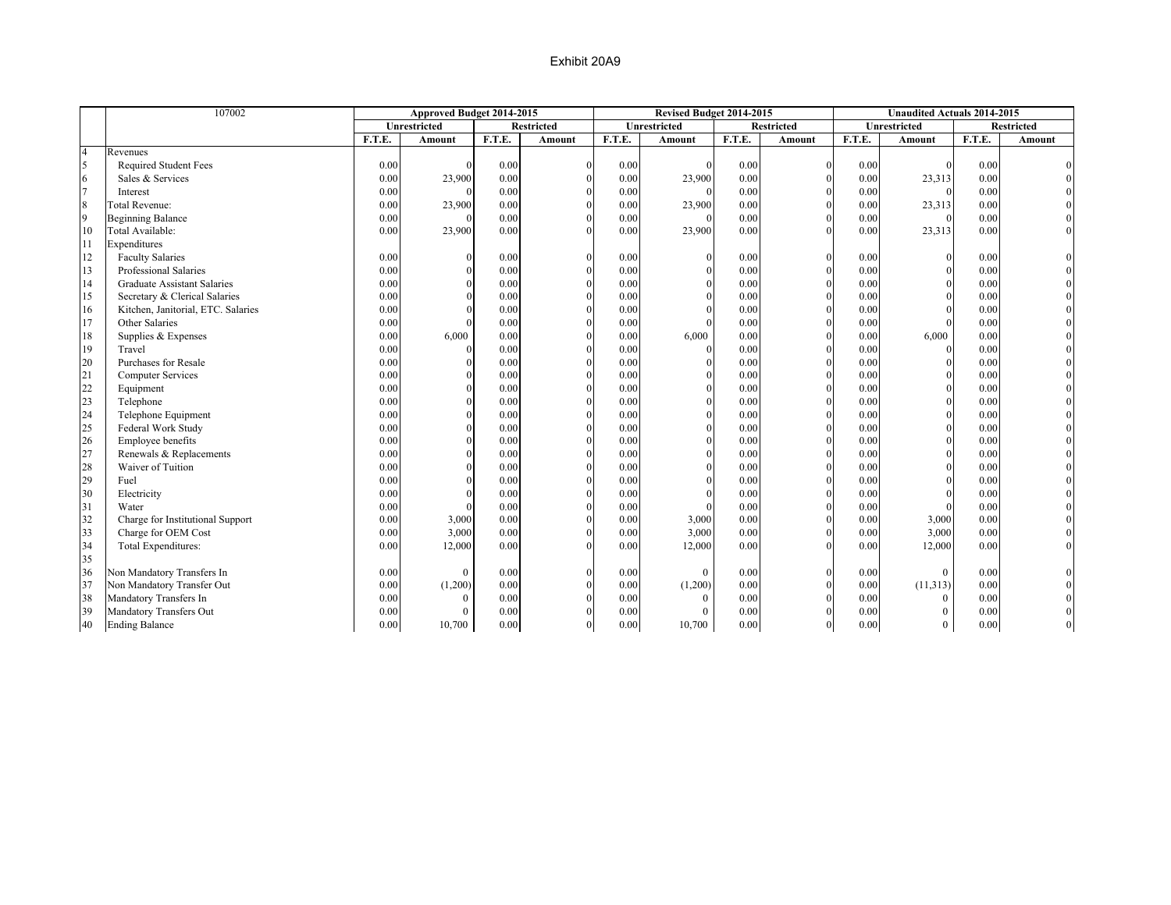|                       | 107002                             |        | Approved Budget 2014-2015 |        |                   |        | Revised Budget 2014-2015 |        |                   |        | <b>Unaudited Actuals 2014-2015</b> |        |                   |
|-----------------------|------------------------------------|--------|---------------------------|--------|-------------------|--------|--------------------------|--------|-------------------|--------|------------------------------------|--------|-------------------|
|                       |                                    |        | Unrestricted              |        | <b>Restricted</b> |        | Unrestricted             |        | <b>Restricted</b> |        | Unrestricted                       |        | <b>Restricted</b> |
|                       |                                    | F.T.E. | Amount                    | F.T.E. | Amount            | F.T.E. | <b>Amount</b>            | F.T.E. | <b>Amount</b>     | F.T.E. | <b>Amount</b>                      | F.T.E. | Amount            |
| $\overline{4}$        | Revenues                           |        |                           |        |                   |        |                          |        |                   |        |                                    |        |                   |
| $\tilde{\mathcal{L}}$ | <b>Required Student Fees</b>       | 0.00   |                           | 0.00   | $\Omega$          | 0.00   |                          | 0.00   | $\Omega$          | 0.00   |                                    | 0.00   |                   |
|                       | Sales & Services                   | 0.00   | 23,900                    | 0.00   |                   | 0.00   | 23,900                   | 0.00   | $\Omega$          | 0.00   | 23,313                             | 0.00   |                   |
|                       | Interest                           | 0.00   |                           | 0.00   |                   | 0.00   |                          | 0.00   | $\Omega$          | 0.00   |                                    | 0.00   |                   |
| 8                     | <b>Total Revenue:</b>              | 0.00   | 23,900                    | 0.00   | $\Omega$          | 0.00   | 23,900                   | 0.00   |                   | 0.00   | 23,313                             | 0.00   |                   |
| 9                     | <b>Beginning Balance</b>           | 0.00   |                           | 0.00   |                   | 0.00   |                          | 0.00   |                   | 0.00   | $\Omega$                           | 0.00   |                   |
| 10                    | Total Available:                   | 0.00   | 23,900                    | 0.00   | $\Omega$          | 0.00   | 23,900                   | 0.00   | $\Omega$          | 0.00   | 23,313                             | 0.00   |                   |
| 11                    | Expenditures                       |        |                           |        |                   |        |                          |        |                   |        |                                    |        |                   |
| 12                    | <b>Faculty Salaries</b>            | 0.00   |                           | 0.00   | $\Omega$          | 0.00   |                          | 0.00   | $\Omega$          | 0.00   | $\Omega$                           | 0.00   |                   |
| 13                    | Professional Salaries              | 0.00   |                           | 0.00   |                   | 0.00   |                          | 0.00   | $\Omega$          | 0.00   |                                    | 0.00   |                   |
| 14                    | <b>Graduate Assistant Salaries</b> | 0.00   |                           | 0.00   |                   | 0.00   |                          | 0.00   | $\Omega$          | 0.00   |                                    | 0.00   |                   |
| 15                    | Secretary & Clerical Salaries      | 0.00   |                           | 0.00   |                   | 0.00   |                          | 0.00   | $\Omega$          | 0.00   |                                    | 0.00   |                   |
| 16                    | Kitchen, Janitorial, ETC. Salaries | 0.00   |                           | 0.00   |                   | 0.00   |                          | 0.00   |                   | 0.00   |                                    | 0.00   |                   |
| 17                    | Other Salaries                     | 0.00   |                           | 0.00   |                   | 0.00   |                          | 0.00   | $\Omega$          | 0.00   |                                    | 0.00   |                   |
| 18                    | Supplies & Expenses                | 0.00   | 6,000                     | 0.00   |                   | 0.00   | 6,000                    | 0.00   |                   | 0.00   | 6,000                              | 0.00   |                   |
| 19                    | Travel                             | 0.00   |                           | 0.00   |                   | 0.00   |                          | 0.00   |                   | 0.00   | $\Omega$                           | 0.00   |                   |
| 20                    | Purchases for Resale               | 0.00   |                           | 0.00   | $\Omega$          | 0.00   |                          | 0.00   |                   | 0.00   | $\Omega$                           | 0.00   |                   |
| 21                    | <b>Computer Services</b>           | 0.00   |                           | 0.00   | $\Omega$          | 0.00   |                          | 0.00   | $\Omega$          | 0.00   |                                    | 0.00   |                   |
| 22                    | Equipment                          | 0.00   |                           | 0.00   |                   | 0.00   |                          | 0.00   |                   | 0.00   |                                    | 0.00   |                   |
| 23                    | Telephone                          | 0.00   |                           | 0.00   |                   | 0.00   |                          | 0.00   |                   | 0.00   |                                    | 0.00   |                   |
| 24                    | Telephone Equipment                | 0.00   |                           | 0.00   |                   | 0.00   |                          | 0.00   |                   | 0.00   |                                    | 0.00   |                   |
| 25                    | Federal Work Study                 | 0.00   |                           | 0.00   |                   | 0.00   |                          | 0.00   |                   | 0.00   |                                    | 0.00   |                   |
| 26                    | Employee benefits                  | 0.00   |                           | 0.00   |                   | 0.00   |                          | 0.00   |                   | 0.00   |                                    | 0.00   |                   |
| 27                    | Renewals & Replacements            | 0.00   |                           | 0.00   |                   | 0.00   |                          | 0.00   |                   | 0.00   |                                    | 0.00   |                   |
| 28                    | Waiver of Tuition                  | 0.00   |                           | 0.00   |                   | 0.00   |                          | 0.00   |                   | 0.00   |                                    | 0.00   |                   |
| 29                    | Fuel                               | 0.00   |                           | 0.00   |                   | 0.00   |                          | 0.00   |                   | 0.00   |                                    | 0.00   |                   |
| 30                    | Electricity                        | 0.00   |                           | 0.00   |                   | 0.00   |                          | 0.00   | $\Omega$          | 0.00   |                                    | 0.00   |                   |
| 31                    | Water                              | 0.00   |                           | 0.00   |                   | 0.00   |                          | 0.00   | $\Omega$          | 0.00   |                                    | 0.00   |                   |
| 32                    | Charge for Institutional Support   | 0.00   | 3,000                     | 0.00   |                   | 0.00   | 3,000                    | 0.00   |                   | 0.00   | 3,000                              | 0.00   |                   |
| 33                    | Charge for OEM Cost                | 0.00   | 3,000                     | 0.00   |                   | 0.00   | 3,000                    | 0.00   |                   | 0.00   | 3,000                              | 0.00   |                   |
| 34                    | Total Expenditures:                | 0.00   | 12,000                    | 0.00   | $\Omega$          | 0.00   | 12,000                   | 0.00   |                   | 0.00   | 12,000                             | 0.00   |                   |
| 35                    |                                    |        |                           |        |                   |        |                          |        |                   |        |                                    |        |                   |
| 36                    | Non Mandatory Transfers In         | 0.00   | $\bf{0}$                  | 0.00   | $\Omega$          | 0.00   | $\mathbf{0}$             | 0.00   | $\Omega$          | 0.00   | $\Omega$                           | 0.00   |                   |
| 37                    | Non Mandatory Transfer Out         | 0.00   | (1,200)                   | 0.00   |                   | 0.00   | (1,200)                  | 0.00   | $\mathbf{0}$      | 0.00   | (11, 313)                          | 0.00   |                   |
| 38                    | Mandatory Transfers In             | 0.00   | $\mathbf{0}$              | 0.00   | $\Omega$          | 0.00   | $\Omega$                 | 0.00   | $\overline{0}$    | 0.00   | $\theta$                           | 0.00   |                   |
| 39                    | Mandatory Transfers Out            | 0.00   | $\theta$                  | 0.00   | $\Omega$          | 0.00   | $\Omega$                 | 0.00   | $\Omega$          | 0.00   | $\Omega$                           | 0.00   |                   |
| 40                    | <b>Ending Balance</b>              | 0.00   | 10,700                    | 0.00   | $\mathbf{0}$      | 0.00   | 10,700                   | 0.00   | $\mathbf{0}$      | 0.00   | $\overline{0}$                     | 0.00   |                   |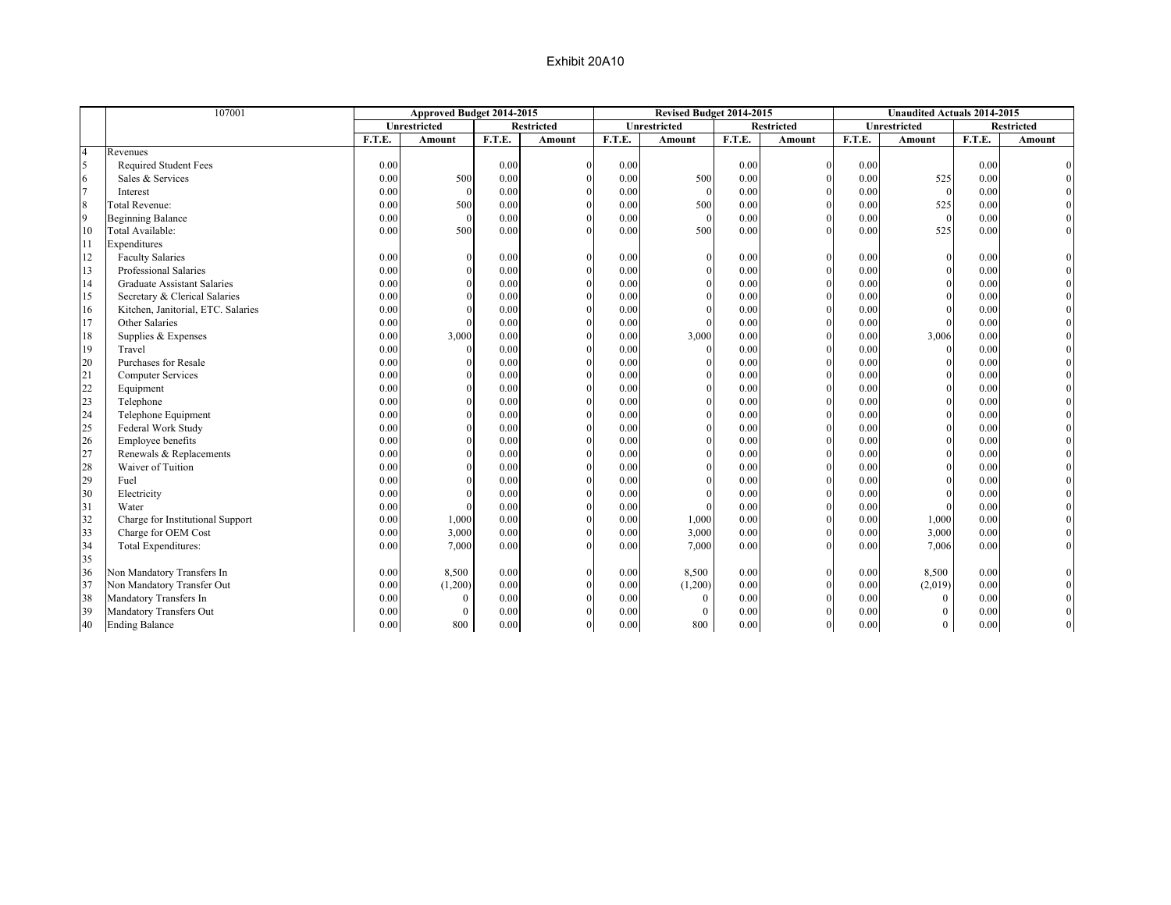|                | 107001                             |        | Approved Budget 2014-2015 |        |                   |        | Revised Budget 2014-2015 |        |                   |        | <b>Unaudited Actuals 2014-2015</b> |        |                   |
|----------------|------------------------------------|--------|---------------------------|--------|-------------------|--------|--------------------------|--------|-------------------|--------|------------------------------------|--------|-------------------|
|                |                                    |        | Unrestricted              |        | <b>Restricted</b> |        | Unrestricted             |        | <b>Restricted</b> |        | Unrestricted                       |        | <b>Restricted</b> |
|                |                                    | F.T.E. | Amount                    | F.T.E. | Amount            | F.T.E. | <b>Amount</b>            | F.T.E. | <b>Amount</b>     | F.T.E. | Amount                             | F.T.E. | Amount            |
| $\overline{4}$ | Revenues                           |        |                           |        |                   |        |                          |        |                   |        |                                    |        |                   |
| $\varsigma$    | <b>Required Student Fees</b>       | 0.00   |                           | 0.00   | $\Omega$          | 0.00   |                          | 0.00   | $\Omega$          | 0.00   |                                    | 0.00   |                   |
|                | Sales & Services                   | 0.00   | 500                       | 0.00   |                   | 0.00   | 500                      | 0.00   | $\Omega$          | 0.00   | 525                                | 0.00   |                   |
|                | Interest                           | 0.00   | $\Omega$                  | 0.00   |                   | 0.00   |                          | 0.00   | $\Omega$          | 0.00   | $\Omega$                           | 0.00   |                   |
| 8              | <b>Total Revenue:</b>              | 0.00   | 500                       | 0.00   | $\Omega$          | 0.00   | 500                      | 0.00   |                   | 0.00   | 525                                | 0.00   |                   |
| 9              | <b>Beginning Balance</b>           | 0.00   | $\theta$                  | 0.00   |                   | 0.00   |                          | 0.00   |                   | 0.00   | $\Omega$                           | 0.00   |                   |
| 10             | Total Available:                   | 0.00   | 500                       | 0.00   | $\Omega$          | 0.00   | 500                      | 0.00   | $\Omega$          | 0.00   | 525                                | 0.00   |                   |
| 11             | Expenditures                       |        |                           |        |                   |        |                          |        |                   |        |                                    |        |                   |
| 12             | <b>Faculty Salaries</b>            | 0.00   | $\Omega$                  | 0.00   | $\Omega$          | 0.00   |                          | 0.00   | $\Omega$          | 0.00   | $\Omega$                           | 0.00   |                   |
| 13             | Professional Salaries              | 0.00   |                           | 0.00   |                   | 0.00   |                          | 0.00   | $\Omega$          | 0.00   |                                    | 0.00   |                   |
| 14             | <b>Graduate Assistant Salaries</b> | 0.00   |                           | 0.00   |                   | 0.00   |                          | 0.00   | $\Omega$          | 0.00   |                                    | 0.00   |                   |
| 15             | Secretary & Clerical Salaries      | 0.00   |                           | 0.00   |                   | 0.00   |                          | 0.00   | $\Omega$          | 0.00   |                                    | 0.00   |                   |
| 16             | Kitchen, Janitorial, ETC. Salaries | 0.00   |                           | 0.00   |                   | 0.00   |                          | 0.00   | $\overline{0}$    | 0.00   |                                    | 0.00   |                   |
| 17             | Other Salaries                     | 0.00   |                           | 0.00   |                   | 0.00   |                          | 0.00   | $\Omega$          | 0.00   |                                    | 0.00   |                   |
| 18             | Supplies & Expenses                | 0.00   | 3,000                     | 0.00   |                   | 0.00   | 3,000                    | 0.00   |                   | 0.00   | 3,006                              | 0.00   |                   |
| 19             | Travel                             | 0.00   |                           | 0.00   |                   | 0.00   |                          | 0.00   |                   | 0.00   | $\Omega$                           | 0.00   |                   |
| 20             | Purchases for Resale               | 0.00   |                           | 0.00   | $\Omega$          | 0.00   |                          | 0.00   |                   | 0.00   | $\Omega$                           | 0.00   |                   |
| 21             | <b>Computer Services</b>           | 0.00   |                           | 0.00   | $\theta$          | 0.00   |                          | 0.00   | $\theta$          | 0.00   |                                    | 0.00   |                   |
| 22             | Equipment                          | 0.00   |                           | 0.00   |                   | 0.00   |                          | 0.00   | $\Omega$          | 0.00   |                                    | 0.00   |                   |
| 23             | Telephone                          | 0.00   |                           | 0.00   |                   | 0.00   |                          | 0.00   |                   | 0.00   |                                    | 0.00   |                   |
| 24             | Telephone Equipment                | 0.00   |                           | 0.00   |                   | 0.00   |                          | 0.00   |                   | 0.00   |                                    | 0.00   |                   |
| 25             | Federal Work Study                 | 0.00   |                           | 0.00   |                   | 0.00   |                          | 0.00   | $\Omega$          | 0.00   |                                    | 0.00   |                   |
| 26             | Employee benefits                  | 0.00   |                           | 0.00   |                   | 0.00   |                          | 0.00   |                   | 0.00   |                                    | 0.00   |                   |
| 27             | Renewals & Replacements            | 0.00   |                           | 0.00   |                   | 0.00   |                          | 0.00   |                   | 0.00   |                                    | 0.00   |                   |
| 28             | Waiver of Tuition                  | 0.00   |                           | 0.00   |                   | 0.00   |                          | 0.00   | $\Omega$          | 0.00   |                                    | 0.00   |                   |
| 29             | Fuel                               | 0.00   |                           | 0.00   |                   | 0.00   |                          | 0.00   |                   | 0.00   |                                    | 0.00   |                   |
| 30             | Electricity                        | 0.00   |                           | 0.00   |                   | 0.00   |                          | 0.00   | $\Omega$          | 0.00   |                                    | 0.00   |                   |
| 31             | Water                              | 0.00   |                           | 0.00   |                   | 0.00   |                          | 0.00   | $\Omega$          | 0.00   |                                    | 0.00   |                   |
| 32             | Charge for Institutional Support   | 0.00   | 1,000                     | 0.00   |                   | 0.00   | 1,000                    | 0.00   |                   | 0.00   | 1,000                              | 0.00   |                   |
| 33             | Charge for OEM Cost                | 0.00   | 3,000                     | 0.00   |                   | 0.00   | 3,000                    | 0.00   | $\Omega$          | 0.00   | 3,000                              | 0.00   |                   |
| 34             | Total Expenditures:                | 0.00   | 7,000                     | 0.00   | $\Omega$          | 0.00   | 7,000                    | 0.00   | $\Omega$          | 0.00   | 7,006                              | 0.00   |                   |
| 35             |                                    |        |                           |        |                   |        |                          |        |                   |        |                                    |        |                   |
| 36             | Non Mandatory Transfers In         | 0.00   | 8,500                     | 0.00   | $\Omega$          | 0.00   | 8,500                    | 0.00   | $\Omega$          | 0.00   | 8,500                              | 0.00   |                   |
| 37             | Non Mandatory Transfer Out         | 0.00   | (1,200)                   | 0.00   |                   | 0.00   | (1,200)                  | 0.00   | $\mathbf{0}$      | 0.00   | (2,019)                            | 0.00   |                   |
| 38             | Mandatory Transfers In             | 0.00   | $\mathbf{0}$              | 0.00   | $\Omega$          | 0.00   | $\theta$                 | 0.00   | $\overline{0}$    | 0.00   | $\theta$                           | 0.00   |                   |
| 39             | Mandatory Transfers Out            | 0.00   | $\mathbf{0}$              | 0.00   | $\Omega$          | 0.00   | $\theta$                 | 0.00   | $\Omega$          | 0.00   | $\Omega$                           | 0.00   |                   |
| 40             | <b>Ending Balance</b>              | 0.00   | 800                       | 0.00   | $\mathbf{0}$      | 0.00   | 800                      | 0.00   | $\mathbf{0}$      | 0.00   | $\overline{0}$                     | 0.00   |                   |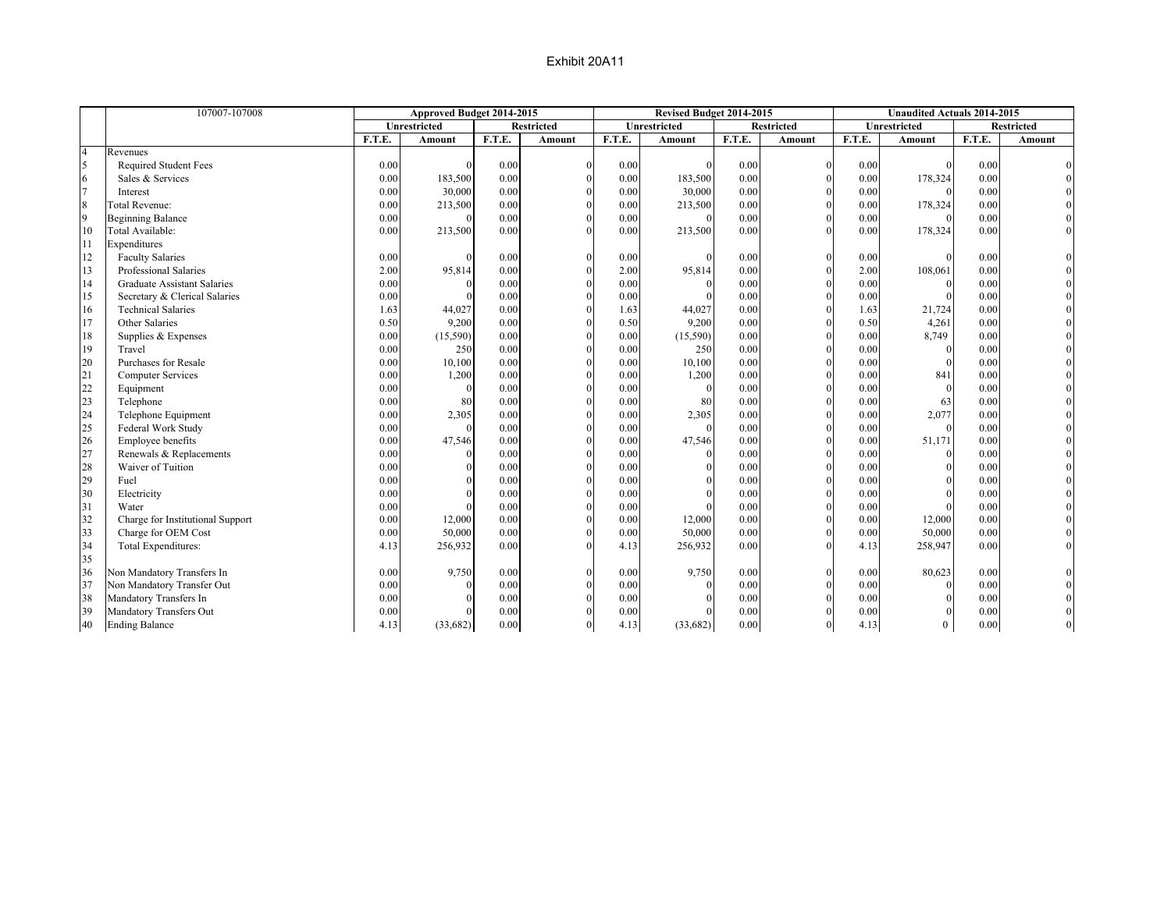|                       | 107007-107008                      |        | Approved Budget 2014-2015 |        |                   |        | Revised Budget 2014-2015 |        |                   |        | <b>Unaudited Actuals 2014-2015</b> |        |                   |
|-----------------------|------------------------------------|--------|---------------------------|--------|-------------------|--------|--------------------------|--------|-------------------|--------|------------------------------------|--------|-------------------|
|                       |                                    |        | Unrestricted              |        | <b>Restricted</b> |        | Unrestricted             |        | <b>Restricted</b> |        | Unrestricted                       |        | <b>Restricted</b> |
|                       |                                    | F.T.E. | Amount                    | F.T.E. | Amount            | F.T.E. | Amount                   | F.T.E. | Amount            | F.T.E. | Amount                             | F.T.E. | Amount            |
| $\overline{4}$        | Revenues                           |        |                           |        |                   |        |                          |        |                   |        |                                    |        |                   |
| $\tilde{\mathcal{L}}$ | <b>Required Student Fees</b>       | 0.00   |                           | 0.00   | $\Omega$          | 0.00   |                          | 0.00   | $\Omega$          | 0.00   |                                    | 0.00   |                   |
|                       | Sales & Services                   | 0.00   | 183,500                   | 0.00   |                   | 0.00   | 183,500                  | 0.00   | $\Omega$          | 0.00   | 178,324                            | 0.00   |                   |
|                       | Interest                           | 0.00   | 30,000                    | 0.00   | $\Omega$          | 0.00   | 30,000                   | 0.00   | $\Omega$          | 0.00   |                                    | 0.00   |                   |
| 8                     | <b>Total Revenue:</b>              | 0.00   | 213,500                   | 0.00   | $\Omega$          | 0.00   | 213,500                  | 0.00   | $\Omega$          | 0.00   | 178,324                            | 0.00   |                   |
| 9                     | <b>Beginning Balance</b>           | 0.00   |                           | 0.00   |                   | 0.00   |                          | 0.00   |                   | 0.00   |                                    | 0.00   |                   |
| 10                    | Total Available:                   | 0.00   | 213,500                   | 0.00   | $\Omega$          | 0.00   | 213,500                  | 0.00   |                   | 0.00   | 178,324                            | 0.00   |                   |
| 11                    | Expenditures                       |        |                           |        |                   |        |                          |        |                   |        |                                    |        |                   |
| 12                    | <b>Faculty Salaries</b>            | 0.00   |                           | 0.00   | $\Omega$          | 0.00   |                          | 0.00   | $\Omega$          | 0.00   | $\Omega$                           | 0.00   |                   |
| 13                    | Professional Salaries              | 2.00   | 95,814                    | 0.00   |                   | 2.00   | 95,814                   | 0.00   | $\Omega$          | 2.00   | 108,061                            | 0.00   |                   |
| 14                    | <b>Graduate Assistant Salaries</b> | 0.00   |                           | 0.00   | $\Omega$          | 0.00   |                          | 0.00   | $\Omega$          | 0.00   |                                    | 0.00   |                   |
| 15                    | Secretary & Clerical Salaries      | 0.00   |                           | 0.00   |                   | 0.00   |                          | 0.00   | $\Omega$          | 0.00   |                                    | 0.00   |                   |
| 16                    | <b>Technical Salaries</b>          | 1.63   | 44,027                    | 0.00   |                   | 1.63   | 44,027                   | 0.00   | $\Omega$          | 1.63   | 21,724                             | 0.00   |                   |
| 17                    | Other Salaries                     | 0.50   | 9,200                     | 0.00   |                   | 0.50   | 9,200                    | 0.00   |                   | 0.50   | 4,261                              | 0.00   |                   |
| 18                    | Supplies & Expenses                | 0.00   | (15,590)                  | 0.00   |                   | 0.00   | (15,590)                 | 0.00   |                   | 0.00   | 8,749                              | 0.00   |                   |
| 19                    | Travel                             | 0.00   | 250                       | 0.00   |                   | 0.00   | 250                      | 0.00   |                   | 0.00   | $\Omega$                           | 0.00   |                   |
| 20                    | Purchases for Resale               | 0.00   | 10,100                    | 0.00   |                   | 0.00   | 10,100                   | 0.00   |                   | 0.00   | $\Omega$                           | 0.00   |                   |
| 21                    | <b>Computer Services</b>           | 0.00   | 1,200                     | 0.00   | $\Omega$          | 0.00   | 1,200                    | 0.00   | $\Omega$          | 0.00   | 841                                | 0.00   |                   |
| 22                    | Equipment                          | 0.00   |                           | 0.00   |                   | 0.00   |                          | 0.00   | $\Omega$          | 0.00   | $\Omega$                           | 0.00   |                   |
| 23                    | Telephone                          | 0.00   | 80                        | 0.00   |                   | 0.00   | 80                       | 0.00   | $\Omega$          | 0.00   | 63                                 | 0.00   |                   |
| 24                    | Telephone Equipment                | 0.00   | 2,305                     | 0.00   |                   | 0.00   | 2,305                    | 0.00   |                   | 0.00   | 2,077                              | 0.00   |                   |
| 25                    | Federal Work Study                 | 0.00   |                           | 0.00   |                   | 0.00   |                          | 0.00   |                   | 0.00   | $\Omega$                           | 0.00   |                   |
| 26                    | Employee benefits                  | 0.00   | 47,546                    | 0.00   |                   | 0.00   | 47,546                   | 0.00   | $\Omega$          | 0.00   | 51,171                             | 0.00   |                   |
| 27                    | Renewals & Replacements            | 0.00   |                           | 0.00   |                   | 0.00   |                          | 0.00   |                   | 0.00   | $\Omega$                           | 0.00   |                   |
| 28                    | Waiver of Tuition                  | 0.00   |                           | 0.00   |                   | 0.00   |                          | 0.00   | $\Omega$          | 0.00   |                                    | 0.00   |                   |
| 29                    | Fuel                               | 0.00   |                           | 0.00   |                   | 0.00   |                          | 0.00   |                   | 0.00   |                                    | 0.00   |                   |
| 30                    | Electricity                        | 0.00   |                           | 0.00   |                   | 0.00   |                          | 0.00   | $\Omega$          | 0.00   |                                    | 0.00   |                   |
| 31                    | Water                              | 0.00   |                           | 0.00   |                   | 0.00   |                          | 0.00   | $\Omega$          | 0.00   |                                    | 0.00   |                   |
| 32                    | Charge for Institutional Support   | 0.00   | 12,000                    | 0.00   |                   | 0.00   | 12,000                   | 0.00   |                   | 0.00   | 12,000                             | 0.00   |                   |
| 33                    | Charge for OEM Cost                | 0.00   | 50,000                    | 0.00   |                   | 0.00   | 50,000                   | 0.00   |                   | 0.00   | 50,000                             | 0.00   |                   |
| 34                    | Total Expenditures:                | 4.13   | 256,932                   | 0.00   | $\Omega$          | 4.13   | 256,932                  | 0.00   |                   | 4.13   | 258,947                            | 0.00   |                   |
| 35                    |                                    |        |                           |        |                   |        |                          |        |                   |        |                                    |        |                   |
| 36                    | Non Mandatory Transfers In         | 0.00   | 9,750                     | 0.00   | $\Omega$          | 0.00   | 9,750                    | 0.00   | $\Omega$          | 0.00   | 80,623                             | 0.00   |                   |
| 37                    | Non Mandatory Transfer Out         | 0.00   |                           | 0.00   |                   | 0.00   |                          | 0.00   | $\mathbf{0}$      | 0.00   |                                    | 0.00   |                   |
| 38                    | Mandatory Transfers In             | 0.00   |                           | 0.00   | $\Omega$          | 0.00   |                          | 0.00   | $\Omega$          | 0.00   | $\Omega$                           | 0.00   |                   |
| 39                    | Mandatory Transfers Out            | 0.00   |                           | 0.00   | $\Omega$          | 0.00   |                          | 0.00   | $\Omega$          | 0.00   |                                    | 0.00   |                   |
| 40                    | <b>Ending Balance</b>              | 4.13   | (33,682)                  | 0.00   | $\mathbf{0}$      | 4.13   | (33,682)                 | 0.00   | $\mathbf{0}$      | 4.13   | $\overline{0}$                     | 0.00   |                   |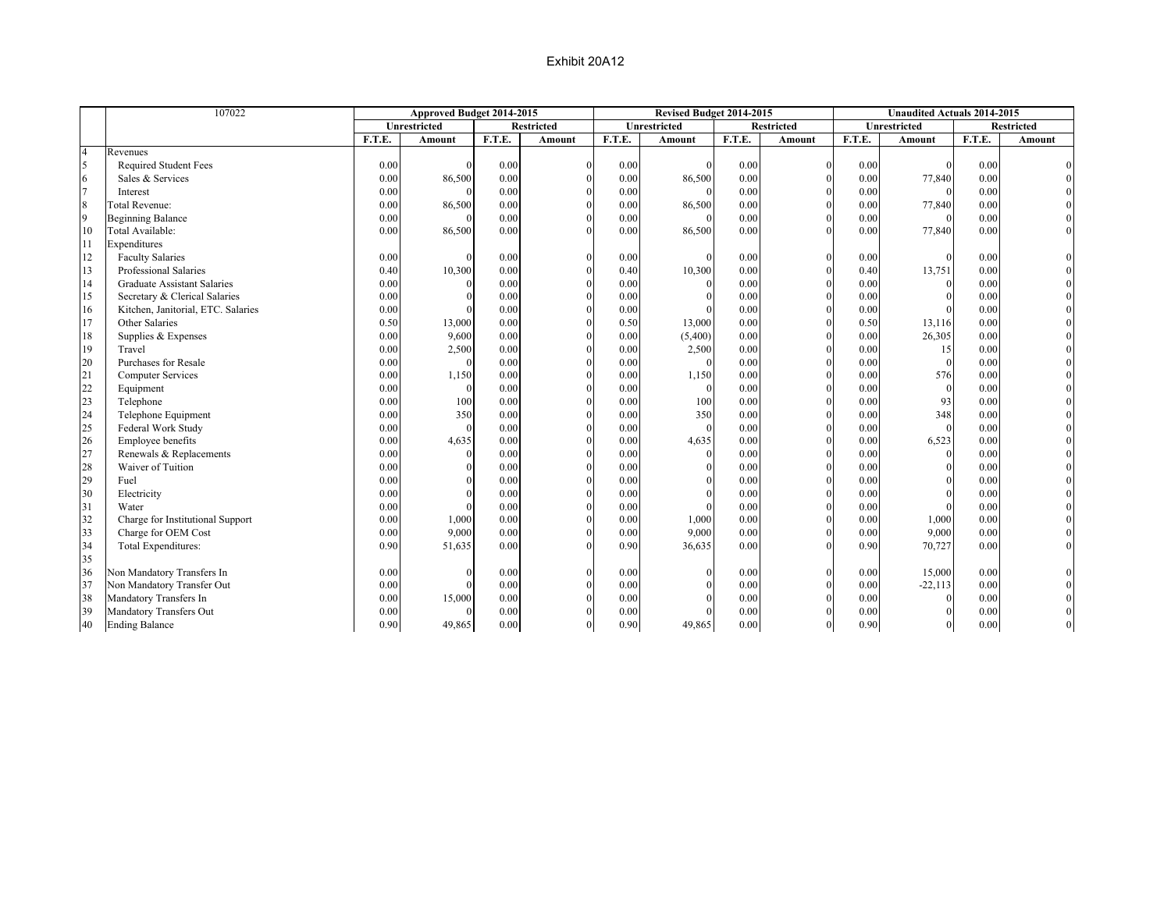|                | 107022                             |        | Approved Budget 2014-2015 |        |                   |        | Revised Budget 2014-2015 |        |                   |        | <b>Unaudited Actuals 2014-2015</b> |        |                   |
|----------------|------------------------------------|--------|---------------------------|--------|-------------------|--------|--------------------------|--------|-------------------|--------|------------------------------------|--------|-------------------|
|                |                                    |        | Unrestricted              |        | <b>Restricted</b> |        | Unrestricted             |        | <b>Restricted</b> |        | Unrestricted                       |        | <b>Restricted</b> |
|                |                                    | F.T.E. | Amount                    | F.T.E. | Amount            | F.T.E. | Amount                   | F.T.E. | Amount            | F.T.E. | Amount                             | F.T.E. | Amount            |
| $\overline{4}$ | Revenues                           |        |                           |        |                   |        |                          |        |                   |        |                                    |        |                   |
| $\overline{5}$ | Required Student Fees              | 0.00   | $\Omega$                  | 0.00   | $\Omega$          | 0.00   | $\Omega$                 | 0.00   | $\mathbf{0}$      | 0.00   |                                    | 0.00   |                   |
| 6              | Sales & Services                   | 0.00   | 86,500                    | 0.00   |                   | 0.00   | 86,500                   | 0.00   | $\theta$          | 0.00   | 77,840                             | 0.00   |                   |
| $\overline{7}$ | Interest                           | 0.00   | $\Omega$                  | 0.00   | $\theta$          | 0.00   | $\Omega$                 | 0.00   | $\theta$          | 0.00   | $\Omega$                           | 0.00   |                   |
| $\,8\,$        | <b>Total Revenue:</b>              | 0.00   | 86,500                    | 0.00   | $\Omega$          | 0.00   | 86,500                   | 0.00   | $\theta$          | 0.00   | 77,840                             | 0.00   |                   |
| 9              | <b>Beginning Balance</b>           | 0.00   | $\Omega$                  | 0.00   | $\theta$          | 0.00   | $\Omega$                 | 0.00   | $\Omega$          | 0.00   | $\Omega$                           | 0.00   |                   |
| 10             | Total Available:                   | 0.00   | 86,500                    | 0.00   | $\Omega$          | 0.00   | 86,500                   | 0.00   | $\Omega$          | 0.00   | 77,840                             | 0.00   |                   |
| 11             | Expenditures                       |        |                           |        |                   |        |                          |        |                   |        |                                    |        |                   |
| 12             | <b>Faculty Salaries</b>            | 0.00   | $\theta$                  | 0.00   |                   | 0.00   | $\Omega$                 | 0.00   | $\mathbf{0}$      | 0.00   | $\Omega$                           | 0.00   |                   |
| 13             | Professional Salaries              | 0.40   | 10,300                    | 0.00   | $\Omega$          | 0.40   | 10,300                   | 0.00   | $\theta$          | 0.40   | 13,751                             | 0.00   |                   |
| 14             | <b>Graduate Assistant Salaries</b> | 0.00   | $\Omega$                  | 0.00   | $\Omega$          | 0.00   | $\theta$                 | 0.00   | $\theta$          | 0.00   | $\Omega$                           | 0.00   |                   |
| 15             | Secretary & Clerical Salaries      | 0.00   | $\Omega$                  | 0.00   | $\Omega$          | 0.00   | $\Omega$                 | 0.00   | $\theta$          | 0.00   | $\Omega$                           | 0.00   |                   |
| 16             | Kitchen, Janitorial, ETC. Salaries | 0.00   | $\theta$                  | 0.00   |                   | 0.00   |                          | 0.00   | $\Omega$          | 0.00   |                                    | 0.00   |                   |
| 17             | Other Salaries                     | 0.50   | 13,000                    | 0.00   | $\theta$          | 0.50   | 13,000                   | 0.00   | $\mathbf{0}$      | 0.50   | 13,116                             | 0.00   |                   |
| 18             | Supplies & Expenses                | 0.00   | 9,600                     | 0.00   | $\Omega$          | 0.00   | (5,400)                  | 0.00   | $\mathbf{0}$      | 0.00   | 26,305                             | 0.00   |                   |
| 19             | Travel                             | 0.00   | 2,500                     | 0.00   | $\theta$          | 0.00   | 2,500                    | 0.00   | $\mathbf{0}$      | 0.00   | 15                                 | 0.00   |                   |
| 20             | Purchases for Resale               | 0.00   | $\Omega$                  | 0.00   | $\Omega$          | 0.00   | $\Omega$                 | 0.00   | $\theta$          | 0.00   | $\theta$                           | 0.00   |                   |
| 21             | <b>Computer Services</b>           | 0.00   | 1,150                     | 0.00   | $\theta$          | 0.00   | 1,150                    | 0.00   | $\Omega$          | 0.00   | 576                                | 0.00   |                   |
| 22             | Equipment                          | 0.00   | $\Omega$                  | 0.00   | $\theta$          | 0.00   | $\Omega$                 | 0.00   | $\theta$          | 0.00   | $\theta$                           | 0.00   |                   |
| 23             | Telephone                          | 0.00   | 100                       | 0.00   | $\theta$          | 0.00   | 100                      | 0.00   | $\mathbf{0}$      | 0.00   | 93                                 | 0.00   |                   |
| 24             | Telephone Equipment                | 0.00   | 350                       | 0.00   | $\theta$          | 0.00   | 350                      | 0.00   | $\Omega$          | 0.00   | 348                                | 0.00   |                   |
| 25             | Federal Work Study                 | 0.00   | $\mathbf{0}$              | 0.00   | $\Omega$          | 0.00   | $\Omega$                 | 0.00   | $\theta$          | 0.00   | $\Omega$                           | 0.00   |                   |
| 26             | Employee benefits                  | 0.00   | 4,635                     | 0.00   | $\Omega$          | 0.00   | 4,635                    | 0.00   | $\theta$          | 0.00   | 6,523                              | 0.00   |                   |
| 27             | Renewals & Replacements            | 0.00   | $\Omega$                  | 0.00   |                   | 0.00   | $\Omega$                 | 0.00   | $\theta$          | 0.00   | $\theta$                           | 0.00   |                   |
| 28             | Waiver of Tuition                  | 0.00   | $\Omega$                  | 0.00   |                   | 0.00   | $\Omega$                 | 0.00   | $\theta$          | 0.00   | $\Omega$                           | 0.00   |                   |
| 29             | Fuel                               | 0.00   | $\theta$                  | 0.00   |                   | 0.00   | $\Omega$                 | 0.00   | $\theta$          | 0.00   | $\theta$                           | 0.00   |                   |
| 30             | Electricity                        | 0.00   | $\Omega$                  | 0.00   | $\Omega$          | 0.00   | $\Omega$                 | 0.00   | $\theta$          | 0.00   | $\Omega$                           | 0.00   |                   |
| 31             | Water                              | 0.00   | $\theta$                  | 0.00   | $\Omega$          | 0.00   |                          | 0.00   | $\theta$          | 0.00   |                                    | 0.00   |                   |
| 32             | Charge for Institutional Support   | 0.00   | 1,000                     | 0.00   | $\Omega$          | 0.00   | 1,000                    | 0.00   | $\mathbf{0}$      | 0.00   | 1,000                              | 0.00   |                   |
| 33             | Charge for OEM Cost                | 0.00   | 9,000                     | 0.00   | $\Omega$          | 0.00   | 9,000                    | 0.00   | $\mathbf{0}$      | 0.00   | 9,000                              | 0.00   |                   |
| 34             | Total Expenditures:                | 0.90   | 51,635                    | 0.00   | $\Omega$          | 0.90   | 36,635                   | 0.00   | $\Omega$          | 0.90   | 70,727                             | 0.00   |                   |
| 35             |                                    |        |                           |        |                   |        |                          |        |                   |        |                                    |        |                   |
| 36             | Non Mandatory Transfers In         | 0.00   | $\Omega$                  | 0.00   |                   | 0.00   | $\theta$                 | 0.00   | $\Omega$          | 0.00   | 15,000                             | 0.00   |                   |
| 37             | Non Mandatory Transfer Out         | 0.00   | $\theta$                  | 0.00   | $\Omega$          | 0.00   | $\Omega$                 | 0.00   | $\theta$          | 0.00   | $-22,113$                          | 0.00   |                   |
| 38             | Mandatory Transfers In             | 0.00   | 15,000                    | 0.00   |                   | 0.00   | $\Omega$                 | 0.00   | $\Omega$          | 0.00   | $\Omega$                           | 0.00   |                   |
| 39             | Mandatory Transfers Out            | 0.00   | $\mathbf{0}$              | 0.00   |                   | 0.00   | $\Omega$                 | 0.00   | $\Omega$          | 0.00   | $\Omega$                           | 0.00   |                   |
| 40             | <b>Ending Balance</b>              | 0.90   | 49,865                    | 0.00   | $\theta$          | 0.90   | 49,865                   | 0.00   | $\overline{0}$    | 0.90   | $\overline{0}$                     | 0.00   |                   |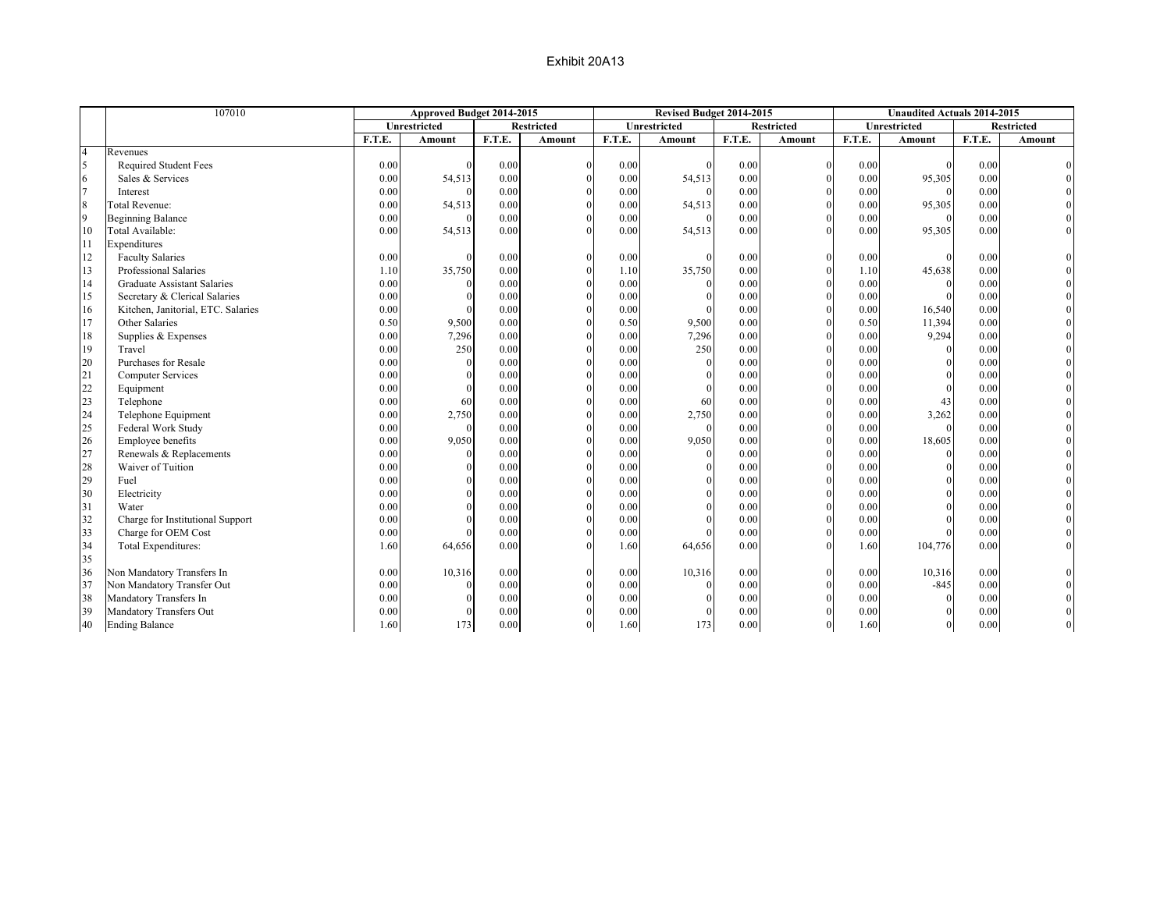|                | 107010                             |        | Approved Budget 2014-2015 |        |                   |        | Revised Budget 2014-2015 |        |                   |        | <b>Unaudited Actuals 2014-2015</b> |        |                   |
|----------------|------------------------------------|--------|---------------------------|--------|-------------------|--------|--------------------------|--------|-------------------|--------|------------------------------------|--------|-------------------|
|                |                                    |        | Unrestricted              |        | <b>Restricted</b> |        | Unrestricted             |        | <b>Restricted</b> |        | Unrestricted                       |        | <b>Restricted</b> |
|                |                                    | F.T.E. | Amount                    | F.T.E. | Amount            | F.T.E. | Amount                   | F.T.E. | Amount            | F.T.E. | Amount                             | F.T.E. | Amount            |
| $\overline{4}$ | Revenues                           |        |                           |        |                   |        |                          |        |                   |        |                                    |        |                   |
| $\overline{5}$ | Required Student Fees              | 0.00   |                           | 0.00   | $\Omega$          | 0.00   | $\Omega$                 | 0.00   | $\mathbf{0}$      | 0.00   |                                    | 0.00   |                   |
| 6              | Sales & Services                   | 0.00   | 54,513                    | 0.00   |                   | 0.00   | 54,513                   | 0.00   | $\theta$          | 0.00   | 95,305                             | 0.00   |                   |
| $\overline{7}$ | Interest                           | 0.00   | $\theta$                  | 0.00   | $\theta$          | 0.00   | $\Omega$                 | 0.00   | $\theta$          | 0.00   | $\Omega$                           | 0.00   |                   |
| 8              | Total Revenue:                     | 0.00   | 54,513                    | 0.00   | $\Omega$          | 0.00   | 54,513                   | 0.00   | $\theta$          | 0.00   | 95,305                             | 0.00   |                   |
| $\overline{9}$ | <b>Beginning Balance</b>           | 0.00   | $\Omega$                  | 0.00   | $\Omega$          | 0.00   | $\Omega$                 | 0.00   | $\Omega$          | 0.00   | $\Omega$                           | 0.00   |                   |
| 10             | Total Available:                   | 0.00   | 54,513                    | 0.00   | $\Omega$          | 0.00   | 54,513                   | 0.00   | $\Omega$          | 0.00   | 95,305                             | 0.00   |                   |
| 11             | Expenditures                       |        |                           |        |                   |        |                          |        |                   |        |                                    |        |                   |
| 12             | <b>Faculty Salaries</b>            | 0.00   | $\theta$                  | 0.00   |                   | 0.00   | $\Omega$                 | 0.00   | $\Omega$          | 0.00   | $\Omega$                           | 0.00   |                   |
| 13             | Professional Salaries              | 1.10   | 35,750                    | 0.00   | $\Omega$          | 1.10   | 35,750                   | 0.00   | $\theta$          | 1.10   | 45,638                             | 0.00   |                   |
| 14             | <b>Graduate Assistant Salaries</b> | 0.00   | $\Omega$                  | 0.00   | $\Omega$          | 0.00   | $\theta$                 | 0.00   | $\theta$          | 0.00   | $\Omega$                           | 0.00   |                   |
| 15             | Secretary & Clerical Salaries      | 0.00   | $\Omega$                  | 0.00   | $\Omega$          | 0.00   | $\Omega$                 | 0.00   | $\theta$          | 0.00   | $\Omega$                           | 0.00   |                   |
| 16             | Kitchen, Janitorial, ETC. Salaries | 0.00   | $\Omega$                  | 0.00   |                   | 0.00   |                          | 0.00   | $\theta$          | 0.00   | 16,540                             | 0.00   |                   |
| 17             | Other Salaries                     | 0.50   | 9,500                     | 0.00   | $\Omega$          | 0.50   | 9,500                    | 0.00   | $\theta$          | 0.50   | 11,394                             | 0.00   |                   |
| 18             | Supplies & Expenses                | 0.00   | 7,296                     | 0.00   | $\Omega$          | 0.00   | 7,296                    | 0.00   | $\theta$          | 0.00   | 9,294                              | 0.00   |                   |
| 19             | Travel                             | 0.00   | 250                       | 0.00   |                   | 0.00   | 250                      | 0.00   | $\Omega$          | 0.00   | $\Omega$                           | 0.00   |                   |
| 20             | Purchases for Resale               | 0.00   | $\theta$                  | 0.00   |                   | 0.00   | $\theta$                 | 0.00   | $\theta$          | 0.00   | $\Omega$                           | 0.00   |                   |
| 21             | <b>Computer Services</b>           | 0.00   | $\Omega$                  | 0.00   | $\Omega$          | 0.00   | $\Omega$                 | 0.00   | $\theta$          | 0.00   | $\Omega$                           | 0.00   |                   |
| 22             | Equipment                          | 0.00   | $\Omega$                  | 0.00   | $\Omega$          | 0.00   | $\Omega$                 | 0.00   | $\theta$          | 0.00   | $\Omega$                           | 0.00   |                   |
| 23             | Telephone                          | 0.00   | 60                        | 0.00   |                   | 0.00   | 60                       | 0.00   | $\Omega$          | 0.00   | 43                                 | 0.00   |                   |
| 24             | Telephone Equipment                | 0.00   | 2,750                     | 0.00   | $\Omega$          | 0.00   | 2,750                    | 0.00   | $\mathbf{0}$      | 0.00   | 3,262                              | 0.00   |                   |
| 25             | Federal Work Study                 | 0.00   | $\mathbf{0}$              | 0.00   |                   | 0.00   | $\Omega$                 | 0.00   | $\theta$          | 0.00   | $\Omega$                           | 0.00   |                   |
| 26             | Employee benefits                  | 0.00   | 9,050                     | 0.00   | $\Omega$          | 0.00   | 9,050                    | 0.00   | $\theta$          | 0.00   | 18,605                             | 0.00   |                   |
| 27             | Renewals & Replacements            | 0.00   | $\theta$                  | 0.00   | $\Omega$          | 0.00   | $\theta$                 | 0.00   | $\theta$          | 0.00   | $\theta$                           | 0.00   |                   |
| 28             | Waiver of Tuition                  | 0.00   | $\theta$                  | 0.00   | $\Omega$          | 0.00   | $\Omega$                 | 0.00   | $\theta$          | 0.00   | $\theta$                           | 0.00   |                   |
| 29             | Fuel                               | 0.00   | $\theta$                  | 0.00   | $\Omega$          | 0.00   | $\Omega$                 | 0.00   | $\theta$          | 0.00   | $\Omega$                           | 0.00   |                   |
| 30             | Electricity                        | 0.00   | $\theta$                  | 0.00   | $\Omega$          | 0.00   | $\Omega$                 | 0.00   | $\Omega$          | 0.00   | $\Omega$                           | 0.00   |                   |
| 31             | Water                              | 0.00   | $\Omega$                  | 0.00   | $\Omega$          | 0.00   | $\Omega$                 | 0.00   | $\Omega$          | 0.00   | $\Omega$                           | 0.00   |                   |
| 32             | Charge for Institutional Support   | 0.00   | $\Omega$                  | 0.00   | $\Omega$          | 0.00   | $\Omega$                 | 0.00   | $\theta$          | 0.00   | $\Omega$                           | 0.00   |                   |
| 33             | Charge for OEM Cost                | 0.00   | $\Omega$                  | 0.00   | $\theta$          | 0.00   | $\Omega$                 | 0.00   | $\mathbf{0}$      | 0.00   | $\Omega$                           | 0.00   |                   |
| 34             | Total Expenditures:                | 1.60   | 64,656                    | 0.00   | $\Omega$          | 1.60   | 64,656                   | 0.00   | $\Omega$          | 1.60   | 104,776                            | 0.00   |                   |
| 35             |                                    |        |                           |        |                   |        |                          |        |                   |        |                                    |        |                   |
| 36             | Non Mandatory Transfers In         | 0.00   | 10,316                    | 0.00   | $\theta$          | 0.00   | 10,316                   | 0.00   | $\mathbf{0}$      | 0.00   | 10,316                             | 0.00   |                   |
| 37             | Non Mandatory Transfer Out         | 0.00   | $\theta$                  | 0.00   | $\Omega$          | 0.00   | $\theta$                 | 0.00   | $\Omega$          | 0.00   | $-845$                             | 0.00   |                   |
| 38             | Mandatory Transfers In             | 0.00   | $\Omega$                  | 0.00   | $\Omega$          | 0.00   | $\Omega$                 | 0.00   | $\theta$          | 0.00   | $\Omega$                           | 0.00   |                   |
| 39             | Mandatory Transfers Out            | 0.00   | $\theta$                  | 0.00   |                   | 0.00   | $\Omega$                 | 0.00   |                   | 0.00   | $\Omega$                           | 0.00   |                   |
| 40             | <b>Ending Balance</b>              | 1.60   | 173                       | 0.00   | $\Omega$          | 1.60   | 173                      | 0.00   | $\overline{0}$    | 1.60   | $\overline{0}$                     | 0.00   |                   |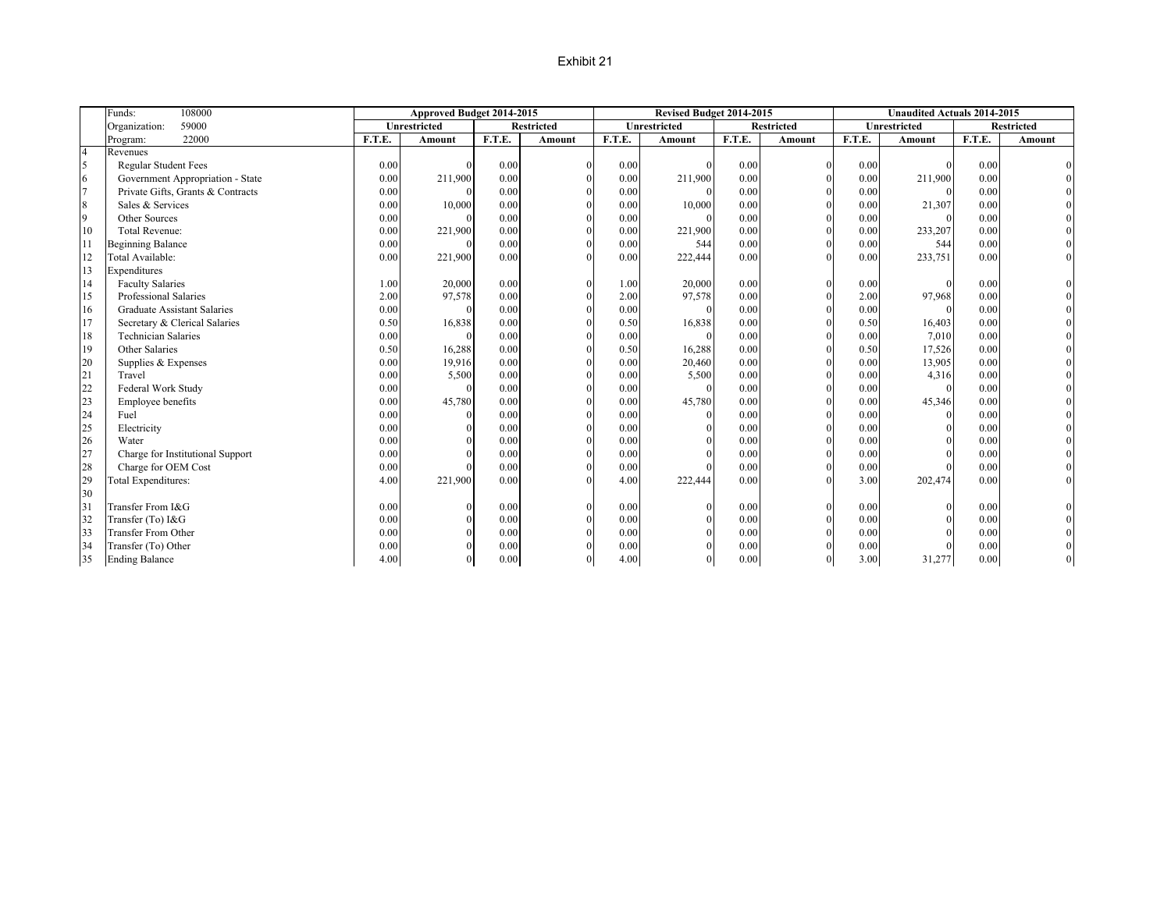#### Exhibit 21

|                | Funds:<br>108000                   |               | Approved Budget 2014-2015 |        |                   |        | Revised Budget 2014-2015 |        |                   |        | <b>Unaudited Actuals 2014-2015</b> |        |                   |
|----------------|------------------------------------|---------------|---------------------------|--------|-------------------|--------|--------------------------|--------|-------------------|--------|------------------------------------|--------|-------------------|
|                | 59000<br>Organization:             |               | Unrestricted              |        | <b>Restricted</b> |        | <b>Unrestricted</b>      |        | <b>Restricted</b> |        | <b>Unrestricted</b>                |        | <b>Restricted</b> |
|                | 22000<br>Program:                  | <b>F.T.E.</b> | Amount                    | F.T.E. | Amount            | F.T.E. | Amount                   | F.T.E. | Amount            | F.T.E. | Amount                             | F.T.E. | Amount            |
| $\overline{4}$ | Revenues                           |               |                           |        |                   |        |                          |        |                   |        |                                    |        |                   |
| 5              | <b>Regular Student Fees</b>        | 0.00          |                           | 0.00   | $\Omega$          | 0.00   |                          | 0.00   | $\theta$          | 0.00   | $\theta$                           | 0.00   |                   |
| 6              | Government Appropriation - State   | 0.00          | 211,900                   | 0.00   | $\Omega$          | 0.00   | 211,900                  | 0.00   | $\theta$          | 0.00   | 211,900                            | 0.00   |                   |
| $\overline{7}$ | Private Gifts, Grants & Contracts  | 0.00          |                           | 0.00   | $\Omega$          | 0.00   |                          | 0.00   | $\theta$          | 0.00   |                                    | 0.00   |                   |
| 8              | Sales & Services                   | 0.00          | 10,000                    | 0.00   |                   | 0.00   | 10,000                   | 0.00   |                   | 0.00   | 21,307                             | 0.00   |                   |
| 9              | Other Sources                      | 0.00          |                           | 0.00   | $\Omega$          | 0.00   |                          | 0.00   | $\Omega$          | 0.00   |                                    | 0.00   |                   |
| 10             | <b>Total Revenue:</b>              | 0.00          | 221,900                   | 0.00   | $\Omega$          | 0.00   | 221,900                  | 0.00   |                   | 0.00   | 233,207                            | 0.00   |                   |
| 11             | <b>Beginning Balance</b>           | 0.00          |                           | 0.00   |                   | 0.00   | 544                      | 0.00   | $\theta$          | 0.00   | 544                                | 0.00   |                   |
| 12             | Total Available:                   | 0.00          | 221,900                   | 0.00   | $\Omega$          | 0.00   | 222,444                  | 0.00   | $\Omega$          | 0.00   | 233,751                            | 0.00   |                   |
| 13             | Expenditures                       |               |                           |        |                   |        |                          |        |                   |        |                                    |        |                   |
| 14             | <b>Faculty Salaries</b>            | 1.00          | 20,000                    | 0.00   | $\Omega$          | 1.00   | 20,000                   | 0.00   | $\theta$          | 0.00   |                                    | 0.00   |                   |
| 15             | Professional Salaries              | 2.00          | 97,578                    | 0.00   | $\Omega$          | 2.00   | 97,578                   | 0.00   | $\Omega$          | 2.00   | 97,968                             | 0.00   |                   |
| 16             | <b>Graduate Assistant Salaries</b> | 0.00          |                           | 0.00   | $\Omega$          | 0.00   |                          | 0.00   | $\theta$          | 0.00   |                                    | 0.00   |                   |
| 17             | Secretary & Clerical Salaries      | 0.50          | 16,838                    | 0.00   | $\Omega$          | 0.50   | 16,838                   | 0.00   | $\theta$          | 0.50   | 16,403                             | 0.00   |                   |
| 18             | <b>Technician Salaries</b>         | 0.00          |                           | 0.00   | $\Omega$          | 0.00   |                          | 0.00   |                   | 0.00   | 7,010                              | 0.00   |                   |
| 19             | Other Salaries                     | 0.50          | 16,288                    | 0.00   |                   | 0.50   | 16,288                   | 0.00   |                   | 0.50   | 17,526                             | 0.00   |                   |
| 20             | Supplies & Expenses                | 0.00          | 19,916                    | 0.00   |                   | 0.00   | 20,460                   | 0.00   |                   | 0.00   | 13,905                             | 0.00   |                   |
| 21             | Travel                             | 0.00          | 5,500                     | 0.00   | $\Omega$          | 0.00   | 5,500                    | 0.00   | $\theta$          | 0.00   | 4,316                              | 0.00   |                   |
| 22             | Federal Work Study                 | 0.00          |                           | 0.00   | $\Omega$          | 0.00   |                          | 0.00   | $\theta$          | 0.00   | $\Omega$                           | 0.00   |                   |
| 23             | Employee benefits                  | 0.00          | 45,780                    | 0.00   |                   | 0.00   | 45,780                   | 0.00   | $\Omega$          | 0.00   | 45,346                             | 0.00   |                   |
| 24             | Fuel                               | 0.00          |                           | 0.00   |                   | 0.00   |                          | 0.00   |                   | 0.00   | $\Omega$                           | 0.00   |                   |
| 25             | Electricity                        | 0.00          |                           | 0.00   |                   | 0.00   |                          | 0.00   | $\Omega$          | 0.00   |                                    | 0.00   |                   |
| 26             | Water                              | 0.00          |                           | 0.00   |                   | 0.00   |                          | 0.00   |                   | 0.00   |                                    | 0.00   |                   |
| 27             | Charge for Institutional Support   | 0.00          |                           | 0.00   |                   | 0.00   |                          | 0.00   | $\theta$          | 0.00   |                                    | 0.00   |                   |
| 28             | Charge for OEM Cost                | 0.00          |                           | 0.00   | $\Omega$          | 0.00   |                          | 0.00   | $\theta$          | 0.00   |                                    | 0.00   |                   |
| 29             | <b>Total Expenditures:</b>         | 4.00          | 221,900                   | 0.00   | $\Omega$          | 4.00   | 222,444                  | 0.00   | $\Omega$          | 3.00   | 202,474                            | 0.00   |                   |
| 30             |                                    |               |                           |        |                   |        |                          |        |                   |        |                                    |        |                   |
| 31             | Transfer From I&G                  | 0.00          |                           | 0.00   | $\Omega$          | 0.00   |                          | 0.00   | $\Omega$          | 0.00   |                                    | 0.00   |                   |
| 32             | Transfer (To) I&G                  | 0.00          |                           | 0.00   |                   | 0.00   |                          | 0.00   | $\theta$          | 0.00   |                                    | 0.00   |                   |
| 33             | <b>Transfer From Other</b>         | 0.00          |                           | 0.00   |                   | 0.00   |                          | 0.00   |                   | 0.00   |                                    | 0.00   |                   |
| 34             | Transfer (To) Other                | 0.00          |                           | 0.00   |                   | 0.00   |                          | 0.00   |                   | 0.00   |                                    | 0.00   |                   |
| 35             | <b>Ending Balance</b>              | 4.00          |                           | 0.00   | $\Omega$          | 4.00   |                          | 0.00   |                   | 3.00   | 31,277                             | 0.00   |                   |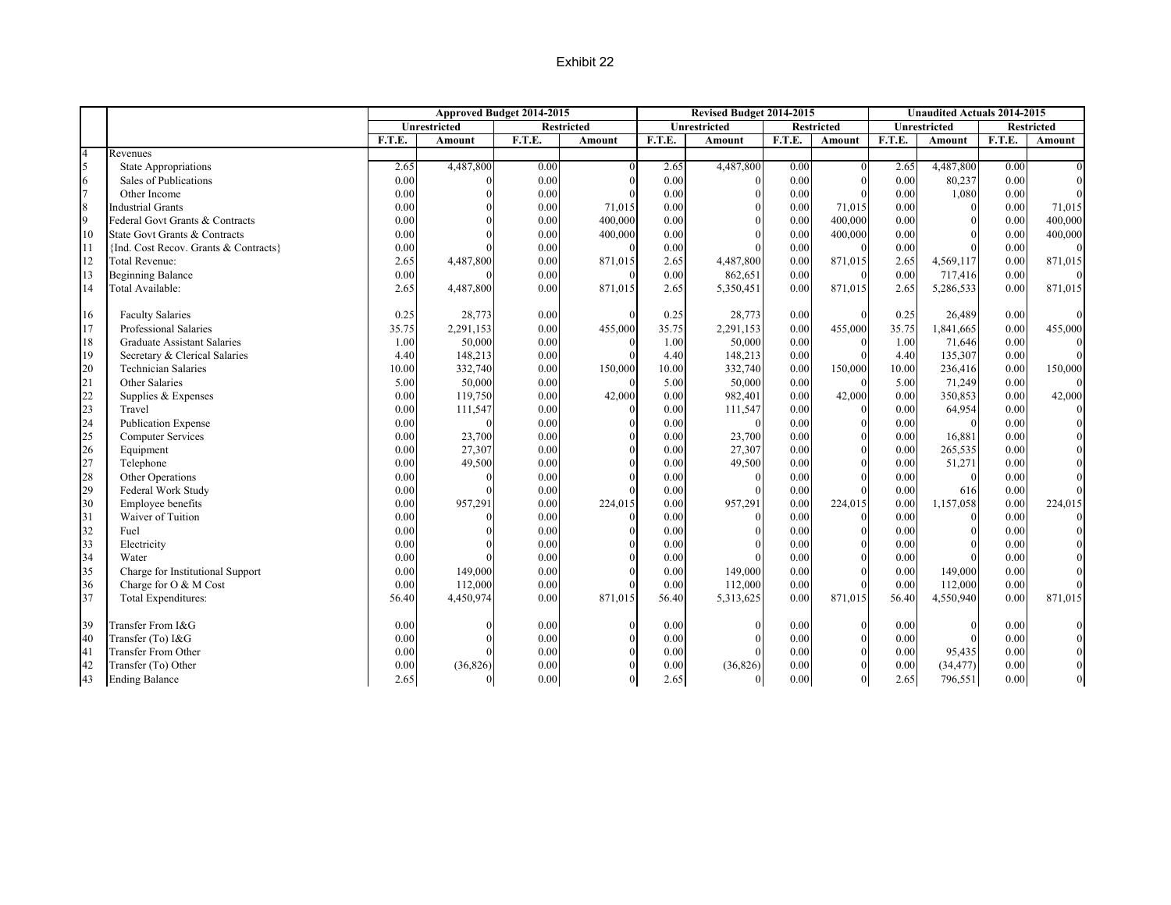### Exhibit 22

|                  |                                       |        |              | Approved Budget 2014-2015 |                   |        | Revised Budget 2014-2015 |        |                   |               | <b>Unaudited Actuals 2014-2015</b> |        |                   |
|------------------|---------------------------------------|--------|--------------|---------------------------|-------------------|--------|--------------------------|--------|-------------------|---------------|------------------------------------|--------|-------------------|
|                  |                                       |        | Unrestricted |                           | <b>Restricted</b> |        | <b>Unrestricted</b>      |        | <b>Restricted</b> |               | <b>Unrestricted</b>                |        | <b>Restricted</b> |
|                  |                                       | F.T.E. | Amount       | F.T.E.                    | Amount            | F.T.E. | Amount                   | F.T.E. | Amount            | <b>F.T.E.</b> | <b>Amount</b>                      | F.T.E. | Amount            |
| $\overline{4}$   | Revenues                              |        |              |                           |                   |        |                          |        |                   |               |                                    |        |                   |
| $\overline{5}$   | <b>State Appropriations</b>           | 2.65   | 4,487,800    | 0.00                      |                   | 2.65   | 4,487,800                | 0.00   | $\theta$          | 2.65          | 4,487,800                          | 0.00   |                   |
| 6                | Sales of Publications                 | 0.00   |              | 0.00                      |                   | 0.00   | $\Omega$                 | 0.00   | $\theta$          | 0.00          | 80,237                             | 0.00   |                   |
| $\overline{7}$   | Other Income                          | 0.00   |              | 0.00                      |                   | 0.00   |                          | 0.00   | $\Omega$          | 0.00          | 1,080                              | 0.00   |                   |
| $\boldsymbol{8}$ | <b>Industrial Grants</b>              | 0.00   |              | 0.00                      | 71,015            | 0.00   |                          | 0.00   | 71,015            | 0.00          |                                    | 0.00   | 71,015            |
| $\overline{9}$   | Federal Govt Grants & Contracts       | 0.00   |              | 0.00                      | 400,000           | 0.00   |                          | 0.00   | 400,000           | 0.00          |                                    | 0.00   | 400,000           |
| 10               | State Govt Grants & Contracts         | 0.00   |              | 0.00                      | 400,000           | 0.00   |                          | 0.00   | 400,000           | 0.00          |                                    | 0.00   | 400,000           |
| 11               | {Ind. Cost Recov. Grants & Contracts} | 0.00   |              | 0.00                      |                   | 0.00   |                          | 0.00   | $\Omega$          | 0.00          |                                    | 0.00   |                   |
| 12               | Total Revenue:                        | 2.65   | 4,487,800    | 0.00                      | 871,015           | 2.65   | 4,487,800                | 0.00   | 871,015           | 2.65          | 4,569,117                          | 0.00   | 871,015           |
| 13               | <b>Beginning Balance</b>              | 0.00   |              | 0.00                      |                   | 0.00   | 862,651                  | 0.00   | $\Omega$          | 0.00          | 717,416                            | 0.00   |                   |
| 14               | Total Available:                      | 2.65   | 4,487,800    | 0.00                      | 871,015           | 2.65   | 5,350,451                | 0.00   | 871,015           | 2.65          | 5,286,533                          | 0.00   | 871,015           |
| 16               | <b>Faculty Salaries</b>               | 0.25   | 28,773       | 0.00                      |                   | 0.25   | 28,773                   | 0.00   | $\theta$          | 0.25          | 26,489                             | 0.00   |                   |
| 17               | Professional Salaries                 | 35.75  | 2,291,153    | 0.00                      | 455,000           | 35.75  | 2,291,153                | 0.00   | 455,000           | 35.75         | 1,841,665                          | 0.00   | 455,000           |
| 18               | Graduate Assistant Salaries           | 1.00   | 50,000       | 0.00                      |                   | 1.00   | 50,000                   | 0.00   | $\theta$          | 1.00          | 71,646                             | 0.00   |                   |
| 19               | Secretary & Clerical Salaries         | 4.40   | 148,213      | 0.00                      |                   | 4.40   | 148,213                  | 0.00   |                   | 4.40          | 135,307                            | 0.00   |                   |
| 20               | Technician Salaries                   | 10.00  | 332,740      | 0.00                      | 150,000           | 10.00  | 332,740                  | 0.00   | 150,000           | 10.00         | 236,416                            | 0.00   | 150,000           |
| 21               | Other Salaries                        | 5.00   | 50,000       | 0.00                      | $\Omega$          | 5.00   | 50,000                   | 0.00   | $\theta$          | 5.00          | 71,249                             | 0.00   |                   |
| 22               | Supplies & Expenses                   | 0.00   | 119,750      | 0.00                      | 42,000            | 0.00   | 982,401                  | 0.00   | 42,000            | 0.00          | 350,853                            | 0.00   | 42,000            |
| 23               | Travel                                | 0.00   | 111,547      | 0.00                      |                   | 0.00   | 111,547                  | 0.00   | $\theta$          | 0.00          | 64,954                             | 0.00   |                   |
| 24               | <b>Publication Expense</b>            | 0.00   |              | 0.00                      |                   | 0.00   | $\Omega$                 | 0.00   | $\theta$          | 0.00          |                                    | 0.00   |                   |
| 25               | <b>Computer Services</b>              | 0.00   | 23,700       | 0.00                      |                   | 0.00   | 23,700                   | 0.00   | $\Omega$          | 0.00          | 16,881                             | 0.00   |                   |
| 26               | Equipment                             | 0.00   | 27,307       | 0.00                      |                   | 0.00   | 27,307                   | 0.00   | $\Omega$          | 0.00          | 265,535                            | 0.00   |                   |
| 27               | Telephone                             | 0.00   | 49,500       | 0.00                      |                   | 0.00   | 49,500                   | 0.00   | $\Omega$          | 0.00          | 51,271                             | 0.00   |                   |
| 28               | Other Operations                      | 0.00   |              | 0.00                      |                   | 0.00   | $\Omega$                 | 0.00   | $\mathbf{0}$      | 0.00          |                                    | 0.00   |                   |
| 29               | Federal Work Study                    | 0.00   |              | 0.00                      |                   | 0.00   |                          | 0.00   | $\Omega$          | 0.00          | 616                                | 0.00   |                   |
| 30               | Employee benefits                     | 0.00   | 957,291      | 0.00                      | 224,015           | 0.00   | 957,291                  | 0.00   | 224,015           | 0.00          | 1,157,058                          | 0.00   | 224,015           |
| 31               | Waiver of Tuition                     | 0.00   |              | 0.00                      |                   | 0.00   |                          | 0.00   | $\theta$          | 0.00          |                                    | 0.00   |                   |
| 32               | Fuel                                  | 0.00   |              | 0.00                      |                   | 0.00   |                          | 0.00   | $\theta$          | 0.00          |                                    | 0.00   |                   |
| 33               | Electricity                           | 0.00   |              | 0.00                      |                   | 0.00   |                          | 0.00   |                   | 0.00          |                                    | 0.00   |                   |
| 34               | Water                                 | 0.00   |              | 0.00                      |                   | 0.00   |                          | 0.00   | $\Omega$          | 0.00          |                                    | 0.00   |                   |
| 35               | Charge for Institutional Support      | 0.00   | 149,000      | 0.00                      |                   | 0.00   | 149,000                  | 0.00   | $\Omega$          | 0.00          | 149,000                            | 0.00   |                   |
| 36               | Charge for O & M Cost                 | 0.00   | 112,000      | 0.00                      |                   | 0.00   | 112,000                  | 0.00   | $\Omega$          | 0.00          | 112,000                            | 0.00   |                   |
| 37               | Total Expenditures:                   | 56.40  | 4,450,974    | 0.00                      | 871,015           | 56.40  | 5,313,625                | 0.00   | 871,015           | 56.40         | 4,550,940                          | 0.00   | 871,015           |
| 39               | Transfer From I&G                     | 0.00   |              | 0.00                      |                   | 0.00   |                          | 0.00   | $\mathbf{0}$      | 0.00          |                                    | 0.00   |                   |
| 40               | Transfer (To) I&G                     | 0.00   |              | 0.00                      |                   | 0.00   |                          | 0.00   | $\Omega$          | 0.00          |                                    | 0.00   |                   |
| 41               | <b>Transfer From Other</b>            | 0.00   |              | 0.00                      |                   | 0.00   |                          | 0.00   |                   | 0.00          | 95,435                             | 0.00   |                   |
| 42               | Transfer (To) Other                   | 0.00   | (36, 826)    | 0.00                      |                   | 0.00   | (36, 826)                | 0.00   |                   | 0.00          | (34, 477)                          | 0.00   |                   |
| 43               | <b>Ending Balance</b>                 | 2.65   |              | 0.00                      | $\Omega$          | 2.65   |                          | 0.00   | $\Omega$          | 2.65          | 796,551                            | 0.00   |                   |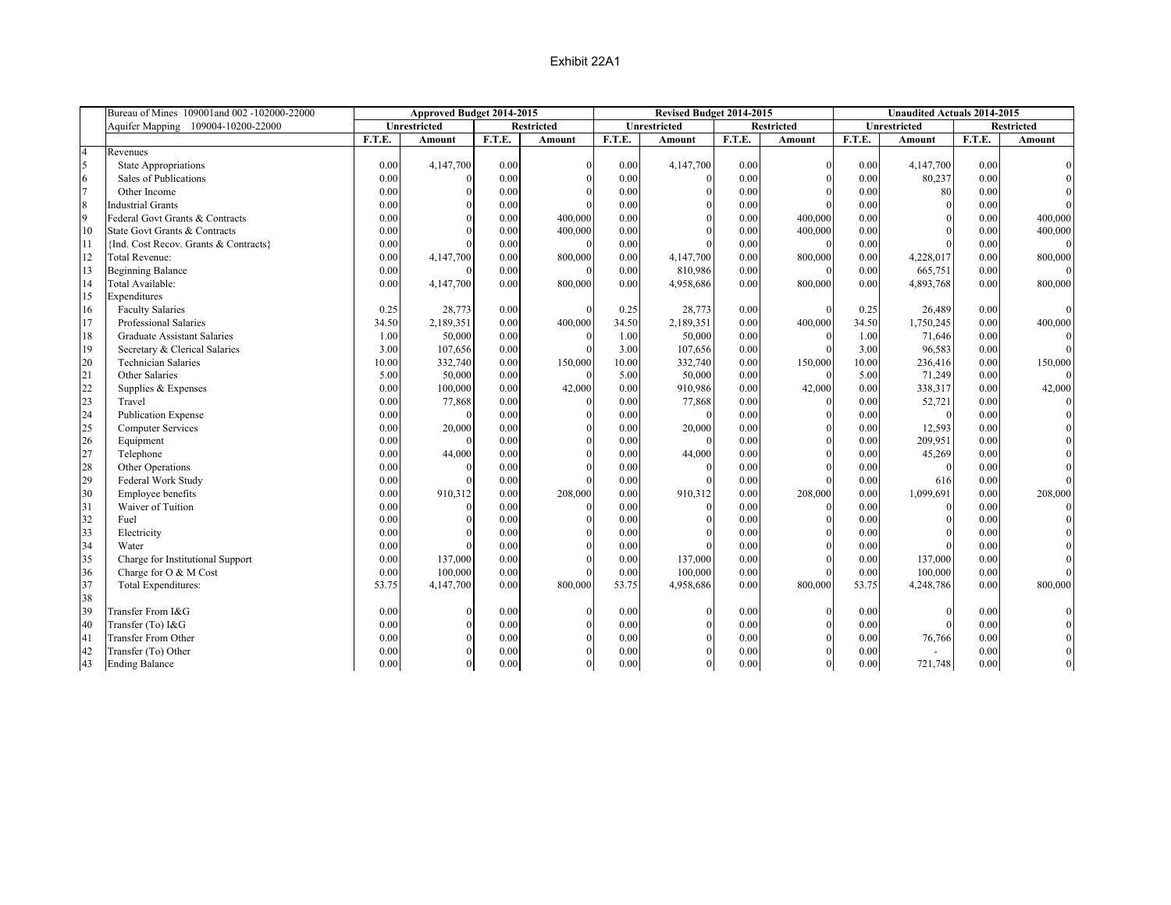|                | Bureau of Mines 109001and 002 -102000-22000 |        | Approved Budget 2014-2015 |        |                   |        | Revised Budget 2014-2015 |        |              |        | <b>Unaudited Actuals 2014-2015</b> |        |                   |
|----------------|---------------------------------------------|--------|---------------------------|--------|-------------------|--------|--------------------------|--------|--------------|--------|------------------------------------|--------|-------------------|
|                | Aquifer Mapping 109004-10200-22000          |        | Unrestricted              |        | <b>Restricted</b> |        | Unrestricted             |        | Restricted   |        | Unrestricted                       |        | <b>Restricted</b> |
|                |                                             | F.T.E. | Amount                    | F.T.E. | <b>Amount</b>     | F.T.E. | Amount                   | F.T.E. | Amount       | F.T.E. | Amount                             | F.T.E. | Amount            |
| $\overline{4}$ | Revenues                                    |        |                           |        |                   |        |                          |        |              |        |                                    |        |                   |
| $\sqrt{5}$     | <b>State Appropriations</b>                 | 0.00   | 4,147,700                 | 0.00   | $\Omega$          | 0.00   | 4,147,700                | 0.00   | $\theta$     | 0.00   | 4,147,700                          | 0.00   |                   |
| 6              | Sales of Publications                       | 0.00   | $\theta$                  | 0.00   |                   | 0.00   | $\Omega$                 | 0.00   | $\theta$     | 0.00   | 80,237                             | 0.00   |                   |
| $\overline{7}$ | Other Income                                | 0.00   | $\Omega$                  | 0.00   |                   | 0.00   | $\Omega$                 | 0.00   |              | 0.00   | 80                                 | 0.00   |                   |
| $\,8\,$        | <b>Industrial Grants</b>                    | 0.00   | $\Omega$                  | 0.00   |                   | 0.00   | $\Omega$                 | 0.00   |              | 0.00   | $\mathbf{0}$                       | 0.00   |                   |
| 9              | Federal Govt Grants & Contracts             | 0.00   |                           | 0.00   | 400,000           | 0.00   |                          | 0.00   | 400,000      | 0.00   |                                    | 0.00   | 400,000           |
| 10             | State Govt Grants & Contracts               | 0.00   |                           | 0.00   | 400,000           | 0.00   |                          | 0.00   | 400,000      | 0.00   |                                    | 0.00   | 400,000           |
| 11             | {Ind. Cost Recov. Grants & Contracts}       | 0.00   |                           | 0.00   | $\Omega$          | 0.00   |                          | 0.00   | $\Omega$     | 0.00   |                                    | 0.00   |                   |
| 12             | <b>Total Revenue:</b>                       | 0.00   | 4,147,700                 | 0.00   | 800,000           | 0.00   | 4,147,700                | 0.00   | 800,000      | 0.00   | 4,228,017                          | 0.00   | 800,000           |
| 13             | <b>Beginning Balance</b>                    | 0.00   |                           | 0.00   | $\Omega$          | 0.00   | 810,986                  | 0.00   | $\Omega$     | 0.00   | 665,751                            | 0.00   |                   |
| 14             | Total Available:                            | 0.00   | 4,147,700                 | 0.00   | 800,000           | 0.00   | 4,958,686                | 0.00   | 800,000      | 0.00   | 4,893,768                          | 0.00   | 800,000           |
| 15             | Expenditures                                |        |                           |        |                   |        |                          |        |              |        |                                    |        |                   |
| 16             | <b>Faculty Salaries</b>                     | 0.25   | 28,773                    | 0.00   |                   | 0.25   | 28,773                   | 0.00   |              | 0.25   | 26,489                             | 0.00   |                   |
| 17             | Professional Salaries                       | 34.50  | 2,189,351                 | 0.00   | 400,000           | 34.50  | 2,189,351                | 0.00   | 400,000      | 34.50  | 1,750,245                          | 0.00   | 400,000           |
| 18             | <b>Graduate Assistant Salaries</b>          | 1.00   | 50,000                    | 0.00   |                   | 1.00   | 50,000                   | 0.00   |              | 1.00   | 71,646                             | 0.00   |                   |
| 19             | Secretary & Clerical Salaries               | 3.00   | 107,656                   | 0.00   |                   | 3.00   | 107,656                  | 0.00   |              | 3.00   | 96,583                             | 0.00   |                   |
| 20             | <b>Technician Salaries</b>                  | 10.00  | 332,740                   | 0.00   | 150,000           | 10.00  | 332,740                  | 0.00   | 150,000      | 10.00  | 236,416                            | 0.00   | 150,000           |
| 21             | Other Salaries                              | 5.00   | 50,000                    | 0.00   |                   | 5.00   | 50,000                   | 0.00   |              | 5.00   | 71,249                             | 0.00   |                   |
| 22             | Supplies & Expenses                         | 0.00   | 100,000                   | 0.00   | 42,000            | 0.00   | 910,986                  | 0.00   | 42,000       | 0.00   | 338,317                            | 0.00   | 42,000            |
| 23             | Travel                                      | 0.00   | 77,868                    | 0.00   |                   | 0.00   | 77,868                   | 0.00   |              | 0.00   | 52,721                             | 0.00   |                   |
| 24             | <b>Publication Expense</b>                  | 0.00   | $\theta$                  | 0.00   |                   | 0.00   | $\Omega$                 | 0.00   |              | 0.00   | $\theta$                           | 0.00   |                   |
| 25             | <b>Computer Services</b>                    | 0.00   | 20,000                    | 0.00   |                   | 0.00   | 20,000                   | 0.00   |              | 0.00   | 12,593                             | 0.00   |                   |
| 26             | Equipment                                   | 0.00   | $\Omega$                  | 0.00   |                   | 0.00   | $\Omega$                 | 0.00   | $\theta$     | 0.00   | 209,951                            | 0.00   |                   |
| 27             | Telephone                                   | 0.00   | 44,000                    | 0.00   |                   | 0.00   | 44,000                   | 0.00   |              | 0.00   | 45,269                             | 0.00   |                   |
| 28             | Other Operations                            | 0.00   | $\Omega$                  | 0.00   |                   | 0.00   | $\Omega$                 | 0.00   |              | 0.00   | $\theta$                           | 0.00   |                   |
| 29             | Federal Work Study                          | 0.00   |                           | 0.00   |                   | 0.00   |                          | 0.00   |              | 0.00   | 616                                | 0.00   |                   |
| 30             | Employee benefits                           | 0.00   | 910,312                   | 0.00   | 208,000           | 0.00   | 910,312                  | 0.00   | 208,000      | 0.00   | 1,099,691                          | 0.00   | 208,000           |
| 31             | Waiver of Tuition                           | 0.00   | $\theta$                  | 0.00   |                   | 0.00   | $\Omega$                 | 0.00   | $\Omega$     | 0.00   | $\mathbf{0}$                       | 0.00   |                   |
| 32             | Fuel                                        | 0.00   |                           | 0.00   |                   | 0.00   |                          | 0.00   |              | 0.00   | $\Omega$                           | 0.00   |                   |
| 33             | Electricity                                 | 0.00   |                           | 0.00   |                   | 0.00   |                          | 0.00   |              | 0.00   | $\Omega$                           | 0.00   |                   |
| 34             | Water                                       | 0.00   | $\Omega$                  | 0.00   |                   | 0.00   |                          | 0.00   |              | 0.00   |                                    | 0.00   |                   |
| 35             | Charge for Institutional Support            | 0.00   | 137,000                   | 0.00   |                   | 0.00   | 137,000                  | 0.00   |              | 0.00   | 137,000                            | 0.00   |                   |
| 36             | Charge for O & M Cost                       | 0.00   | 100,000                   | 0.00   |                   | 0.00   | 100,000                  | 0.00   |              | 0.00   | 100,000                            | 0.00   |                   |
| 37             | Total Expenditures:                         | 53.75  | 4,147,700                 | 0.00   | 800,000           | 53.75  | 4,958,686                | 0.00   | 800,000      | 53.75  | 4,248,786                          | 0.00   | 800,000           |
| 38             |                                             |        |                           |        |                   |        |                          |        |              |        |                                    |        |                   |
| 39             | Transfer From I&G                           | 0.00   | $\theta$                  | 0.00   |                   | 0.00   | $\theta$                 | 0.00   |              | 0.00   | $\mathbf{0}$                       | 0.00   |                   |
| 40             | Transfer (To) I&G                           | 0.00   | $\Omega$                  | 0.00   |                   | 0.00   | $\Omega$                 | 0.00   |              | 0.00   | $\Omega$                           | 0.00   |                   |
| 41             | <b>Transfer From Other</b>                  | 0.00   | $\Omega$                  | 0.00   |                   | 0.00   | $\Omega$                 | 0.00   | $\Omega$     | 0.00   | 76,766                             | 0.00   |                   |
| 42             | Transfer (To) Other                         | 0.00   |                           | 0.00   |                   | 0.00   |                          | 0.00   | $\theta$     | 0.00   | $\sim$                             | 0.00   |                   |
| 43             | <b>Ending Balance</b>                       | 0.00   | $\theta$                  | 0.00   | $\theta$          | 0.00   | $\theta$                 | 0.00   | $\mathbf{0}$ | 0.00   | 721,748                            | 0.00   | $\theta$          |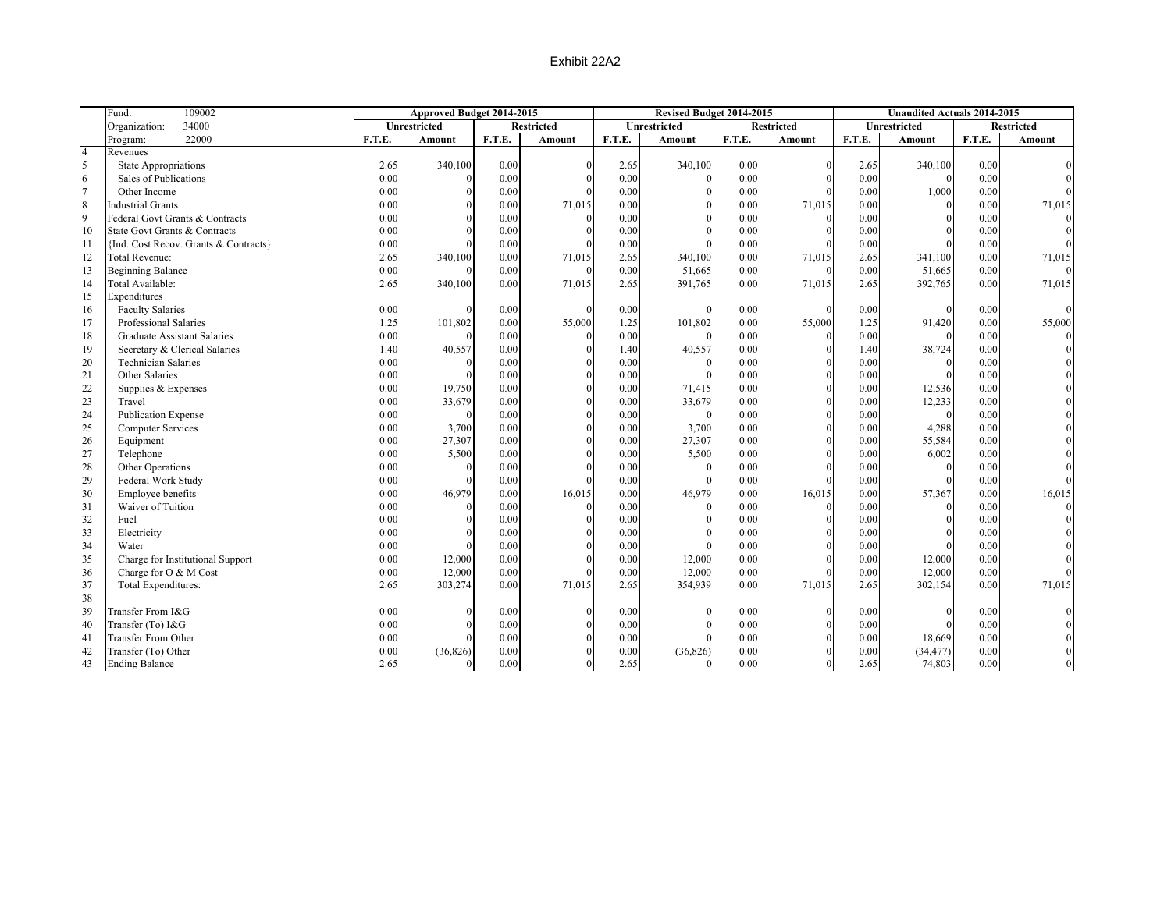|                  | Fund:<br>109002                       | Approved Budget 2014-2015 |              |        | Revised Budget 2014-2015 |        |              | <b>Unaudited Actuals 2014-2015</b> |                   |        |              |        |                   |
|------------------|---------------------------------------|---------------------------|--------------|--------|--------------------------|--------|--------------|------------------------------------|-------------------|--------|--------------|--------|-------------------|
|                  | 34000<br>Organization:                |                           | Unrestricted |        | <b>Restricted</b>        |        | Unrestricted |                                    | <b>Restricted</b> |        | Unrestricted |        | <b>Restricted</b> |
|                  | 22000<br>Program:                     | F.T.E.                    | Amount       | F.T.E. | Amount                   | F.T.E. | Amount       | F.T.E.                             | Amount            | F.T.E. | Amount       | F.T.E. | Amount            |
| $\overline{4}$   | Revenues                              |                           |              |        |                          |        |              |                                    |                   |        |              |        |                   |
| 5                | State Appropriations                  | 2.65                      | 340,100      | 0.00   |                          | 2.65   | 340,100      | 0.00                               |                   | 2.65   | 340,100      | 0.00   |                   |
| 6                | Sales of Publications                 | 0.00                      | $\Omega$     | 0.00   |                          | 0.00   | $\theta$     | 0.00                               |                   | 0.00   | $\Omega$     | 0.00   |                   |
| $\overline{7}$   | Other Income                          | 0.00                      | $\Omega$     | 0.00   |                          | 0.00   | $\Omega$     | 0.00                               |                   | 0.00   | 1,000        | 0.00   |                   |
| $\boldsymbol{8}$ | <b>Industrial Grants</b>              | 0.00                      | $\Omega$     | 0.00   | 71,015                   | 0.00   | $\Omega$     | 0.00                               | 71,015            | 0.00   | $\Omega$     | 0.00   | 71,015            |
| $\overline{9}$   | Federal Govt Grants & Contracts       | 0.00                      | $\Omega$     | 0.00   |                          | 0.00   |              | 0.00                               |                   | 0.00   | $\Omega$     | 0.00   |                   |
| 10               | State Govt Grants & Contracts         | 0.00                      |              | 0.00   |                          | 0.00   |              | 0.00                               |                   | 0.00   |              | 0.00   |                   |
| 11               | {Ind. Cost Recov. Grants & Contracts} | 0.00                      |              | 0.00   |                          | 0.00   |              | 0.00                               |                   | 0.00   |              | 0.00   |                   |
| 12               | <b>Total Revenue:</b>                 | 2.65                      | 340,100      | 0.00   | 71,015                   | 2.65   | 340,100      | 0.00                               | 71,015            | 2.65   | 341,100      | 0.00   | 71,015            |
| 13               | <b>Beginning Balance</b>              | 0.00                      | $\Omega$     | 0.00   | $\Omega$                 | 0.00   | 51,665       | 0.00                               | $\Omega$          | 0.00   | 51,665       | 0.00   |                   |
| 14               | Total Available:                      | 2.65                      | 340,100      | 0.00   | 71,015                   | 2.65   | 391,765      | 0.00                               | 71,015            | 2.65   | 392,765      | 0.00   | 71,015            |
| 15               | Expenditures                          |                           |              |        |                          |        |              |                                    |                   |        |              |        |                   |
| 16               | <b>Faculty Salaries</b>               | 0.00                      | $\Omega$     | 0.00   |                          | 0.00   | $\Omega$     | 0.00                               |                   | 0.00   | $\Omega$     | 0.00   |                   |
| 17               | Professional Salaries                 | 1.25                      | 101,802      | 0.00   | 55,000                   | 1.25   | 101,802      | 0.00                               | 55,000            | 1.25   | 91,420       | 0.00   | 55,000            |
| 18               | <b>Graduate Assistant Salaries</b>    | 0.00                      | $\Omega$     | 0.00   |                          | 0.00   |              | 0.00                               |                   | 0.00   |              | 0.00   |                   |
| 19               | Secretary & Clerical Salaries         | 1.40                      | 40,557       | 0.00   |                          | 1.40   | 40,557       | 0.00                               |                   | 1.40   | 38,724       | 0.00   |                   |
| 20               | <b>Technician Salaries</b>            | 0.00                      | $\Omega$     | 0.00   |                          | 0.00   | $\theta$     | 0.00                               |                   | 0.00   | $\theta$     | 0.00   |                   |
| 21               | Other Salaries                        | 0.00                      | $\Omega$     | 0.00   |                          | 0.00   |              | 0.00                               |                   | 0.00   |              | 0.00   |                   |
| 22               | Supplies & Expenses                   | 0.00                      | 19,750       | 0.00   |                          | 0.00   | 71,415       | 0.00                               |                   | 0.00   | 12,536       | 0.00   |                   |
| 23               | Travel                                | 0.00                      | 33,679       | 0.00   |                          | 0.00   | 33,679       | 0.00                               |                   | 0.00   | 12,233       | 0.00   |                   |
| 24               | <b>Publication Expense</b>            | 0.00                      | $\Omega$     | 0.00   |                          | 0.00   | $\Omega$     | 0.00                               | $\Omega$          | 0.00   | $\Omega$     | 0.00   |                   |
| 25               | <b>Computer Services</b>              | 0.00                      | 3,700        | 0.00   |                          | 0.00   | 3,700        | 0.00                               |                   | 0.00   | 4,288        | 0.00   |                   |
| 26               | Equipment                             | 0.00                      | 27,307       | 0.00   |                          | 0.00   | 27,307       | 0.00                               |                   | 0.00   | 55,584       | 0.00   |                   |
| 27               | Telephone                             | 0.00                      | 5,500        | 0.00   |                          | 0.00   | 5,500        | 0.00                               |                   | 0.00   | 6,002        | 0.00   |                   |
| 28               | Other Operations                      | 0.00                      | $\Omega$     | 0.00   |                          | 0.00   | $\Omega$     | 0.00                               |                   | 0.00   | $\theta$     | 0.00   |                   |
| 29               | Federal Work Study                    | 0.00                      | $\Omega$     | 0.00   |                          | 0.00   |              | 0.00                               |                   | 0.00   | $\theta$     | 0.00   |                   |
| 30               | Employee benefits                     | 0.00                      | 46,979       | 0.00   | 16,015                   | 0.00   | 46,979       | 0.00                               | 16,015            | 0.00   | 57,367       | 0.00   | 16,015            |
| 31               | Waiver of Tuition                     | 0.00                      | $\Omega$     | 0.00   |                          | 0.00   | $\theta$     | 0.00                               | $\theta$          | 0.00   | $\theta$     | 0.00   |                   |
| 32               | Fuel                                  | 0.00                      | $\Omega$     | 0.00   |                          | 0.00   |              | 0.00                               |                   | 0.00   | $\theta$     | 0.00   |                   |
| 33               | Electricity                           | 0.00                      |              | 0.00   |                          | 0.00   |              | 0.00                               |                   | 0.00   | $\Omega$     | 0.00   |                   |
| 34               | Water                                 | 0.00                      | $\Omega$     | 0.00   |                          | 0.00   |              | 0.00                               |                   | 0.00   | $\Omega$     | 0.00   |                   |
| 35               | Charge for Institutional Support      | 0.00                      | 12,000       | 0.00   |                          | 0.00   | 12,000       | 0.00                               |                   | 0.00   | 12,000       | 0.00   |                   |
| 36               | Charge for O & M Cost                 | 0.00                      | 12,000       | 0.00   |                          | 0.00   | 12,000       | 0.00                               |                   | 0.00   | 12,000       | 0.00   |                   |
| 37               | Total Expenditures:                   | 2.65                      | 303,274      | 0.00   | 71,015                   | 2.65   | 354,939      | 0.00                               | 71,015            | 2.65   | 302,154      | 0.00   | 71,015            |
| 38               |                                       |                           |              |        |                          |        |              |                                    |                   |        |              |        |                   |
| 39               | Transfer From I&G                     | 0.00                      | $\Omega$     | 0.00   |                          | 0.00   |              | 0.00                               |                   | 0.00   | $\Omega$     | 0.00   |                   |
| 40               | Transfer (To) I&G                     | 0.00                      |              | 0.00   |                          | 0.00   |              | 0.00                               |                   | 0.00   | $\Omega$     | 0.00   |                   |
| 41               | Transfer From Other                   | 0.00                      | $\Omega$     | 0.00   |                          | 0.00   |              | 0.00                               |                   | 0.00   | 18,669       | 0.00   |                   |
| 42               | Transfer (To) Other                   | 0.00                      | (36, 826)    | 0.00   |                          | 0.00   | (36, 826)    | 0.00                               |                   | 0.00   | (34, 477)    | 0.00   |                   |
| 43               | <b>Ending Balance</b>                 | 2.65                      | $\theta$     | 0.00   |                          | 2.65   | $\mathbf{0}$ | 0.00                               | $\mathbf{0}$      | 2.65   | 74,803       | 0.00   |                   |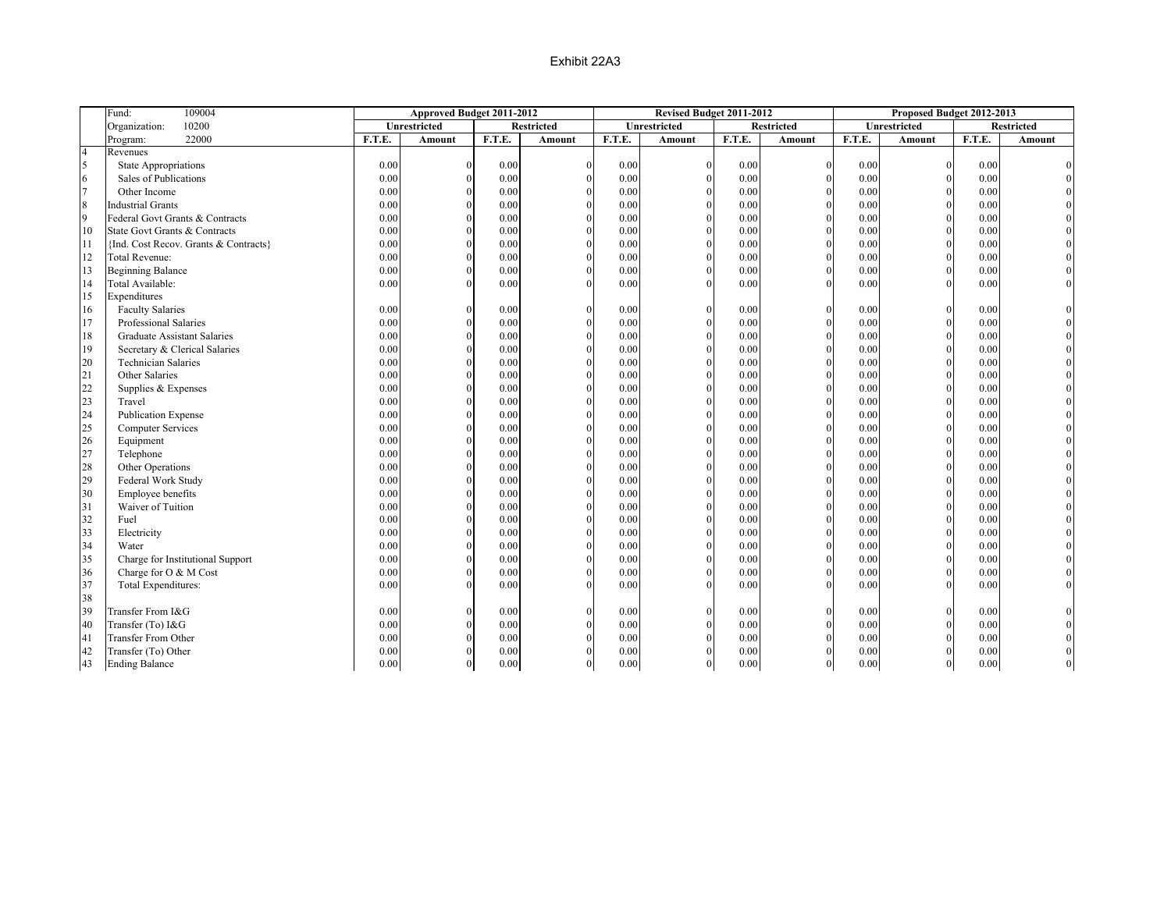|                         | Fund:<br>109004                       | Approved Budget 2011-2012 |              | Revised Budget 2011-2012 |                   |          | Proposed Budget 2012-2013 |        |                |        |                |          |                   |
|-------------------------|---------------------------------------|---------------------------|--------------|--------------------------|-------------------|----------|---------------------------|--------|----------------|--------|----------------|----------|-------------------|
|                         | 10200<br>Organization:                |                           | Unrestricted |                          | <b>Restricted</b> |          | Unrestricted              |        | Restricted     |        | Unrestricted   |          | <b>Restricted</b> |
|                         | 22000<br>Program:                     | F.T.E.                    | Amount       | F.T.E.                   | Amount            | F.T.E.   | Amount                    | F.T.E. | Amount         | F.T.E. | Amount         | F.T.E.   | Amount            |
| $\overline{4}$          | Revenues                              |                           |              |                          |                   |          |                           |        |                |        |                |          |                   |
| $\overline{\mathbf{5}}$ | <b>State Appropriations</b>           | 0.00                      | $\Omega$     | 0.00                     |                   | 0.00     | $\theta$                  | 0.00   |                | 0.00   | $\Omega$       | 0.00     |                   |
| 6                       | Sales of Publications                 | 0.00                      | $\Omega$     | 0.00                     |                   | 0.00     | $\Omega$                  | 0.00   |                | 0.00   | $\theta$       | 0.00     |                   |
| $\overline{7}$          | Other Income                          | 0.00                      | $\Omega$     | 0.00                     |                   | 0.00     | $\Omega$                  | 0.00   |                | 0.00   | $\theta$       | 0.00     |                   |
| $\boldsymbol{8}$        | <b>Industrial Grants</b>              | 0.00                      | $\Omega$     | 0.00                     |                   | 0.00     | $\theta$                  | 0.00   | $\theta$       | 0.00   | $\theta$       | 0.00     |                   |
| $\overline{9}$          | Federal Govt Grants & Contracts       | 0.00                      | $\Omega$     | 0.00                     |                   | 0.00     | $\theta$                  | 0.00   |                | 0.00   | $\theta$       | 0.00     |                   |
| 10                      | State Govt Grants & Contracts         | 0.00                      |              | 0.00                     |                   | 0.00     |                           | 0.00   |                | 0.00   | $\theta$       | 0.00     |                   |
| 11                      | {Ind. Cost Recov. Grants & Contracts} | 0.00                      | $\Omega$     | 0.00                     |                   | 0.00     | $\Omega$                  | 0.00   | $\Omega$       | 0.00   | $\theta$       | 0.00     |                   |
| 12                      | <b>Total Revenue:</b>                 | 0.00                      | $\Omega$     | 0.00                     |                   | 0.00     | $\Omega$                  | 0.00   | $\theta$       | 0.00   | $\theta$       | 0.00     |                   |
| 13                      | <b>Beginning Balance</b>              | 0.00                      | $\Omega$     | 0.00                     |                   | 0.00     | $\theta$                  | 0.00   | $\theta$       | 0.00   | $\theta$       | 0.00     |                   |
| 14                      | Total Available:                      | 0.00                      | $\Omega$     | 0.00                     |                   | 0.00     |                           | 0.00   |                | 0.00   | $\Omega$       | 0.00     |                   |
| 15                      | Expenditures                          |                           |              |                          |                   |          |                           |        |                |        |                |          |                   |
| 16                      | <b>Faculty Salaries</b>               | 0.00                      | $\Omega$     | 0.00                     | $\Omega$          | 0.00     | $\theta$                  | 0.00   | $\Omega$       | 0.00   | $\Omega$       | 0.00     |                   |
| 17                      | Professional Salaries                 | 0.00                      | $\Omega$     | 0.00                     |                   | 0.00     | $\theta$                  | 0.00   | $\Omega$       | 0.00   | $\theta$       | 0.00     |                   |
| 18                      | <b>Graduate Assistant Salaries</b>    | 0.00                      | $\Omega$     | 0.00                     |                   | 0.00     | $\Omega$                  | 0.00   | $\Omega$       | 0.00   | $\Omega$       | 0.00     |                   |
| 19                      | Secretary & Clerical Salaries         | 0.00                      | $\Omega$     | 0.00                     |                   | 0.00     | $\theta$                  | 0.00   | $\Omega$       | 0.00   | $\theta$       | 0.00     |                   |
| 20                      | <b>Technician Salaries</b>            | 0.00                      | $\Omega$     | 0.00                     |                   | 0.00     | $\Omega$                  | 0.00   | $\Omega$       | 0.00   | $\overline{0}$ | 0.00     |                   |
| 21                      | Other Salaries                        | 0.00                      | $\Omega$     | 0.00                     |                   | 0.00     |                           | 0.00   | $\theta$       | 0.00   | $\theta$       | 0.00     |                   |
| 22                      | Supplies & Expenses                   | 0.00                      | $\Omega$     | 0.00                     |                   | 0.00     |                           | 0.00   |                | 0.00   | $\Omega$       | 0.00     |                   |
| 23                      | Travel                                | 0.00                      | $\Omega$     | 0.00                     |                   | 0.00     | $\Omega$                  | 0.00   | $\Omega$       | 0.00   | $\theta$       | 0.00     |                   |
| 24                      | <b>Publication Expense</b>            | 0.00                      | $\Omega$     | 0.00                     |                   | 0.00     | $\theta$                  | 0.00   | $\theta$       | 0.00   | $\theta$       | 0.00     |                   |
| 25                      | <b>Computer Services</b>              | 0.00                      | $\Omega$     | 0.00                     |                   | 0.00     |                           | 0.00   |                | 0.00   | $\theta$       | 0.00     |                   |
| 26                      | Equipment                             | 0.00                      | $\Omega$     | 0.00                     |                   | 0.00     | $\Omega$                  | 0.00   | $\Omega$       | 0.00   | $\theta$       | 0.00     |                   |
| 27                      | Telephone                             | 0.00                      | $\Omega$     | 0.00                     |                   | 0.00     | $\Omega$                  | 0.00   | $\theta$       | 0.00   | $\Omega$       | 0.00     |                   |
| 28                      | Other Operations                      | 0.00                      | $\Omega$     | 0.00                     |                   | $0.00\,$ | $\Omega$                  | 0.00   | $\Omega$       | 0.00   | $\theta$       | 0.00     |                   |
| 29                      | Federal Work Study                    | 0.00                      | $\Omega$     | 0.00                     |                   | 0.00     |                           | 0.00   |                | 0.00   | $\Omega$       | 0.00     |                   |
| 30                      | Employee benefits                     | 0.00                      | $\Omega$     | 0.00                     |                   | 0.00     | $\Omega$                  | 0.00   | $\Omega$       | 0.00   | $\theta$       | 0.00     |                   |
| 31                      | Waiver of Tuition                     | 0.00                      | $\Omega$     | 0.00                     |                   | 0.00     | $\Omega$                  | 0.00   | $\Omega$       | 0.00   | $\theta$       | 0.00     |                   |
| 32                      | Fuel                                  | 0.00                      | $\Omega$     | 0.00                     |                   | $0.00\,$ | $\Omega$                  | 0.00   | $\Omega$       | 0.00   | $\theta$       | 0.00     |                   |
| 33                      | Electricity                           | 0.00                      |              | 0.00                     |                   | 0.00     |                           | 0.00   |                | 0.00   | $\Omega$       | 0.00     |                   |
| 34                      | Water                                 | 0.00                      | $\Omega$     | 0.00                     |                   | 0.00     | $\Omega$                  | 0.00   | $\Omega$       | 0.00   | $\theta$       | 0.00     |                   |
| 35                      | Charge for Institutional Support      | 0.00                      | $\Omega$     | 0.00                     |                   | 0.00     | $\Omega$                  | 0.00   | $\theta$       | 0.00   | $\theta$       | 0.00     |                   |
| 36                      | Charge for O & M Cost                 | 0.00                      | $\Omega$     | 0.00                     |                   | 0.00     |                           | 0.00   | $\Omega$       | 0.00   | $\theta$       | 0.00     |                   |
| 37                      | Total Expenditures:                   | 0.00                      |              | 0.00                     |                   | 0.00     |                           | 0.00   |                | 0.00   | $\Omega$       | 0.00     |                   |
| 38                      |                                       |                           |              |                          |                   |          |                           |        |                |        |                |          |                   |
| 39                      | Transfer From I&G                     | 0.00                      | $\Omega$     | 0.00                     |                   | 0.00     |                           | 0.00   | $\Omega$       | 0.00   | $\theta$       | 0.00     |                   |
| 40                      | Transfer (To) I&G                     | 0.00                      | $\Omega$     | 0.00                     |                   | 0.00     |                           | 0.00   | $\Omega$       | 0.00   | $\Omega$       | 0.00     |                   |
| 41                      | <b>Transfer From Other</b>            | 0.00                      | $\Omega$     | 0.00                     |                   | 0.00     |                           | 0.00   | $\Omega$       | 0.00   | $\theta$       | 0.00     |                   |
| 42                      | Transfer (To) Other                   | 0.00                      | $\Omega$     | 0.00                     |                   | 0.00     |                           | 0.00   | $\theta$       | 0.00   | $\overline{0}$ | 0.00     |                   |
| 43                      | <b>Ending Balance</b>                 | 0.00                      | $\Omega$     | 0.00                     | $\Omega$          | 0.00     | $\theta$                  | 0.00   | $\overline{0}$ | 0.00   | $\overline{0}$ | $0.00\,$ |                   |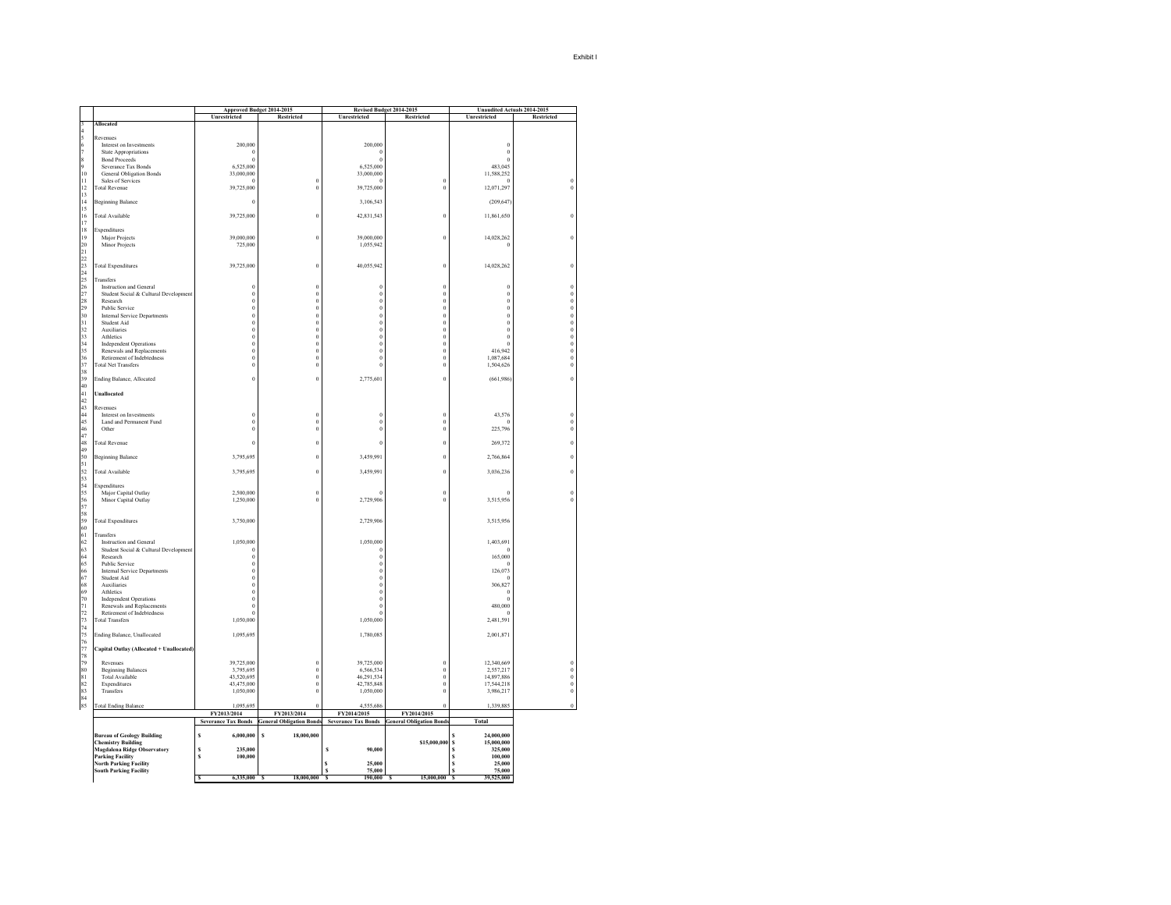|                    |                                                                 | Approved Budget 2014-2015<br>Unrestricted | Restricted                         | Unrestricted               | Revised Budget 2014-2015<br><b>Restricted</b> | Unrestricted                    | Unaudited Actuals 2014-2015<br>Restricted      |
|--------------------|-----------------------------------------------------------------|-------------------------------------------|------------------------------------|----------------------------|-----------------------------------------------|---------------------------------|------------------------------------------------|
| 3                  | Allocated                                                       |                                           |                                    |                            |                                               |                                 |                                                |
| $\overline{4}$     |                                                                 |                                           |                                    |                            |                                               |                                 |                                                |
| 5                  | Revenues<br>Interest on Investments                             | 200,000                                   |                                    | 200,000                    |                                               | $\bf{0}$                        |                                                |
| $\frac{6}{7}$      | <b>State Appropriations</b>                                     | $\Omega$                                  |                                    | $\Omega$                   |                                               | $\bf{0}$                        |                                                |
|                    | <b>Bond Proceeds</b>                                            | $\theta$                                  |                                    | $\theta$                   |                                               | $\bf{0}$                        |                                                |
| 8<br>9             | Severance Tax Bonds                                             | 6,525,000                                 |                                    | 6,525,000                  |                                               | 483,045                         |                                                |
| $10\,$             | <b>General Obligation Bonds</b>                                 | 33,000,000                                |                                    | 33,000,000                 |                                               | 11,588,252                      |                                                |
| $\mathbf{1}$<br>12 | Sales of Services<br><b>Total Revenue</b>                       | $\theta$<br>39,725,000                    | $\overline{0}$<br>$\theta$         | $\theta$<br>39,725,000     | $\overline{0}$<br>$\boldsymbol{0}$            | $\overline{0}$<br>12,071,297    | $\bf{0}$<br>$\boldsymbol{0}$                   |
| 13                 |                                                                 |                                           |                                    |                            |                                               |                                 |                                                |
| 14                 | <b>Beginning Balance</b>                                        | $\theta$                                  |                                    | 3,106,543                  |                                               | (209, 647)                      |                                                |
| 15                 |                                                                 |                                           |                                    |                            |                                               |                                 |                                                |
| 16                 | <b>Total Available</b>                                          | 39,725,000                                | $\theta$                           | 42,831,543                 | $\boldsymbol{0}$                              | 11,861,650                      | $\bf{0}$                                       |
| 17<br>18           | Expenditures                                                    |                                           |                                    |                            |                                               |                                 |                                                |
| 19                 | Major Projects                                                  | 39,000,000                                | $\boldsymbol{0}$                   | 39,000,000                 | $\boldsymbol{0}$                              | 14,028,262                      | $\boldsymbol{0}$                               |
| $\frac{20}{21}$    | Minor Projects                                                  | 725,000                                   |                                    | 1,055,942                  |                                               | $\theta$                        |                                                |
|                    |                                                                 |                                           |                                    |                            |                                               |                                 |                                                |
| $^{22}$            |                                                                 |                                           |                                    |                            |                                               |                                 |                                                |
| 23<br>24           | <b>Total Expenditures</b>                                       | 39,725,000                                | $\boldsymbol{0}$                   | 40,055,942                 | $\boldsymbol{0}$                              | 14,028,262                      | $\boldsymbol{0}$                               |
| 25                 | Transfers                                                       |                                           |                                    |                            |                                               |                                 |                                                |
| 26                 | Instruction and General                                         | $\bf{0}$                                  | $\bf{0}$                           | $\bf{0}$                   | $\boldsymbol{0}$                              | $\boldsymbol{0}$                | $\bf{0}$                                       |
| 27                 | Student Social & Cultural Development                           | $\theta$                                  | $\bf{0}$                           | $\bf{0}$                   | $\boldsymbol{0}$                              | $\bf{0}$                        |                                                |
| 28<br>29           | Research                                                        | $\Omega$                                  | $\Omega$<br>$\theta$               | $\bf{0}$<br>$\bf{0}$       | $\boldsymbol{0}$                              | $\bf{0}$                        |                                                |
| 30                 | <b>Public Service</b><br><b>Internal Service Departments</b>    | $\theta$<br>$\overline{0}$                | $\theta$                           | $\bf{0}$                   | $\,0\,$<br>$\boldsymbol{0}$                   | $\bf{0}$<br>$\bf{0}$            | $\begin{matrix} 0 \\ 0 \\ 0 \\ 0 \end{matrix}$ |
| 31                 | Student Aid                                                     | $\bf{0}$                                  | $\bf{0}$                           | $\boldsymbol{0}$           | $\boldsymbol{0}$                              | $\boldsymbol{0}$                | $\boldsymbol{0}$                               |
| 32                 | Auxiliaries                                                     | $\bf{0}$                                  | $\boldsymbol{0}$                   | $\boldsymbol{0}$           | $\boldsymbol{0}$                              | $\bf{0}$                        | $\boldsymbol{0}$                               |
| 33                 | Athletics                                                       | $\theta$                                  | $\theta$                           | $\bf{0}$                   | $\boldsymbol{0}$                              | $\bf{0}$                        | $\begin{smallmatrix}0\\0\\0\end{smallmatrix}$  |
| 34                 | <b>Independent Operations</b>                                   | $\boldsymbol{0}$                          | $\theta$                           | $\bf{0}$                   | $\boldsymbol{0}$                              | $\theta$<br>416,942             |                                                |
| 35                 | Renewals and Replacements<br>Retirement of Indebtedness         | $\theta$<br>$\boldsymbol{0}$              | $\theta$<br>$\bf{0}$               | $\bf{0}$<br>$\bf{0}$       | $\bf{0}$<br>$\boldsymbol{0}$                  | 1,087,684                       | $\overset{\cdot}{0}$<br>$\boldsymbol{0}$       |
| 36<br>37           | <b>Total Net Transfers</b>                                      | $\bf{0}$                                  | $\bf{0}$                           | $\bf{0}$                   | $\boldsymbol{0}$                              | 1,504,626                       | 0                                              |
| 38                 |                                                                 |                                           |                                    |                            |                                               |                                 |                                                |
| 39                 | Ending Balance, Allocated                                       | $\boldsymbol{0}$                          | $\bf{0}$                           | 2,775,601                  | $\boldsymbol{0}$                              | (661, 986)                      | $\bf{0}$                                       |
| 40                 |                                                                 |                                           |                                    |                            |                                               |                                 |                                                |
| 41<br>42           | <b>Unallocated</b>                                              |                                           |                                    |                            |                                               |                                 |                                                |
| 43                 | Revenues                                                        |                                           |                                    |                            |                                               |                                 |                                                |
| 44                 | Interest on Investments                                         | $\theta$                                  | $\theta$                           | $\bf{0}$                   | $\boldsymbol{0}$                              | 43,576                          | $\bf{0}$                                       |
| 45                 | Land and Permanent Fund                                         | $\boldsymbol{0}$                          | $\boldsymbol{0}$                   | $\boldsymbol{0}$           | $\boldsymbol{0}$                              | $\theta$                        | $\boldsymbol{0}$                               |
| 46<br>47           | Other                                                           | $\overline{0}$                            | $\overline{0}$                     | $\bf{0}$                   | $\boldsymbol{0}$                              | 225,796                         | $\bf{0}$                                       |
| 48                 | <b>Total Revenue</b>                                            | $\overline{0}$                            | $\theta$                           | $\bf{0}$                   | $\overline{0}$                                | 269,372                         | $\boldsymbol{0}$                               |
| 49                 |                                                                 |                                           |                                    |                            |                                               |                                 |                                                |
| 50                 | <b>Beginning Balance</b>                                        | 3,795,695                                 | $\theta$                           | 3,459,991                  | $\boldsymbol{0}$                              | 2,766,864                       | $\bf{0}$                                       |
| 51                 |                                                                 |                                           |                                    |                            |                                               |                                 |                                                |
| 52<br>53           | <b>Total Available</b>                                          | 3,795,695                                 | $\bf{0}$                           | 3,459,991                  | $\boldsymbol{0}$                              | 3,036,236                       | $\bf{0}$                                       |
| 54                 | Expenditures                                                    |                                           |                                    |                            |                                               |                                 |                                                |
| 55                 | Major Capital Outlay                                            | 2,500,000                                 | $\theta$                           | $\theta$                   | $\boldsymbol{0}$                              | $\Omega$                        | $\boldsymbol{0}$                               |
| 56                 | Minor Capital Outlay                                            | 1,250,000                                 | $\Omega$                           | 2,729,906                  | $\Omega$                                      | 3.515.956                       | $\boldsymbol{0}$                               |
| 57                 |                                                                 |                                           |                                    |                            |                                               |                                 |                                                |
| 58<br>59           | <b>Total Expenditures</b>                                       | 3,750,000                                 |                                    | 2,729,906                  |                                               | 3,515,956                       |                                                |
| 60                 |                                                                 |                                           |                                    |                            |                                               |                                 |                                                |
| 61                 | Transfers                                                       |                                           |                                    |                            |                                               |                                 |                                                |
| 62                 | Instruction and General                                         | 1,050,000                                 |                                    | 1,050,000                  |                                               | 1,403,691                       |                                                |
| 63<br>64           | Student Social & Cultural Development<br>Research               | $\Omega$<br>$\theta$                      |                                    | $\bf{0}$<br>$\bf{0}$       |                                               | $\Omega$<br>165,000             |                                                |
| 65                 | <b>Public Service</b>                                           | $\theta$                                  |                                    | $\bf{0}$                   |                                               | $\theta$                        |                                                |
| 66                 | Internal Service Departments                                    | $\bf{0}$                                  |                                    | $\boldsymbol{0}$           |                                               | 126,073                         |                                                |
| 67                 | Student Aid                                                     | $\overline{0}$                            |                                    | $\boldsymbol{0}$           |                                               | $\overline{0}$                  |                                                |
| 68                 | Auxiliaries                                                     | $\overline{0}$                            |                                    | $\bf{0}$                   |                                               | 306,827                         |                                                |
| 69<br>70           | Athletics<br><b>Independent Operations</b>                      | $\overline{0}$<br>$\theta$                |                                    | $\bf{0}$<br>$\bf{0}$       |                                               | $\theta$<br>$\bf{0}$            |                                                |
| 71                 | Renewals and Replacements                                       | $\theta$                                  |                                    | $\bf{0}$                   |                                               | 480,000                         |                                                |
| 72                 | Retirement of Indebtedness                                      | $\overline{0}$                            |                                    | $\overline{0}$             |                                               | $\theta$                        |                                                |
| 73                 | <b>Total Transfers</b>                                          | 1,050,000                                 |                                    | 1,050,000                  |                                               | 2,481,591                       |                                                |
| 74<br>75           |                                                                 |                                           |                                    |                            |                                               |                                 |                                                |
| 76                 | Ending Balance, Unallocated                                     | 1,095,695                                 |                                    | 1,780,085                  |                                               | 2,001,871                       |                                                |
| 77                 | Capital Outlay (Allocated + Unallocated)                        |                                           |                                    |                            |                                               |                                 |                                                |
| 78                 |                                                                 |                                           |                                    |                            |                                               |                                 |                                                |
| 79                 | Revenues                                                        | 39,725,000                                | $\bf{0}$                           | 39,725,000                 | $\boldsymbol{0}$                              | 12,340,669                      | 0                                              |
| 80<br>81           | <b>Beginning Balances</b><br><b>Total Available</b>             | 3,795,695<br>43,520,695                   | $\boldsymbol{0}$<br>$\overline{0}$ | 6,566,534<br>46,291,534    | $\boldsymbol{0}$<br>$\overline{0}$            | 2,557,217<br>14,897,886         | $\boldsymbol{0}$<br>$\boldsymbol{0}$           |
| 82                 | Expenditures                                                    | 43,475,000                                | $\Omega$                           | 42,785,848                 | $\theta$                                      | 17,544,218                      | $\boldsymbol{0}$                               |
| 83                 | Transfers                                                       | 1,050,000                                 | $\bf{0}$                           | 1,050,000                  | $\boldsymbol{0}$                              | 3,986,217                       | $\overset{\cdot}{0}$                           |
| 84                 |                                                                 |                                           | $\theta$                           |                            | $\theta$                                      |                                 | $\boldsymbol{0}$                               |
| 85                 | <b>Total Ending Balance</b>                                     | 1,095,695<br>FY2013/2014                  | FY2013/2014                        | 4,555,686<br>FY2014/2015   | FY2014/2015                                   | 1,339,885                       |                                                |
|                    |                                                                 | <b>Severance Tax Bonds</b>                | <b>General Obligation Bonds</b>    | <b>Severance Tax Bonds</b> | <b>General Obligation Bonds</b>               | <b>Total</b>                    |                                                |
|                    |                                                                 |                                           |                                    |                            |                                               |                                 |                                                |
|                    | <b>Bureau of Geology Building</b>                               | s<br>6,000,000                            | s<br>18,000,000                    |                            |                                               | 24,000,000                      |                                                |
|                    | <b>Chemistry Building</b><br><b>Magdalena Ridge Observatory</b> | 235,000<br>S                              |                                    | 90,000<br>s                | \$15,000,000                                  | 15,000,000<br>s<br>S<br>325,000 |                                                |
|                    | <b>Parking Facility</b>                                         | s<br>100,000                              |                                    |                            |                                               | s<br>100,000                    |                                                |
|                    | <b>North Parking Facility</b>                                   |                                           |                                    | 25,000                     |                                               | s<br>25,000                     |                                                |
|                    | <b>South Parking Facility</b>                                   | 6,335,000<br>्                            | 18,000,000<br>्                    | 75.000<br>190.000<br>र     | 15,000,000 S                                  | 75,000<br>s<br>39.525.000       |                                                |
|                    |                                                                 |                                           |                                    |                            |                                               |                                 |                                                |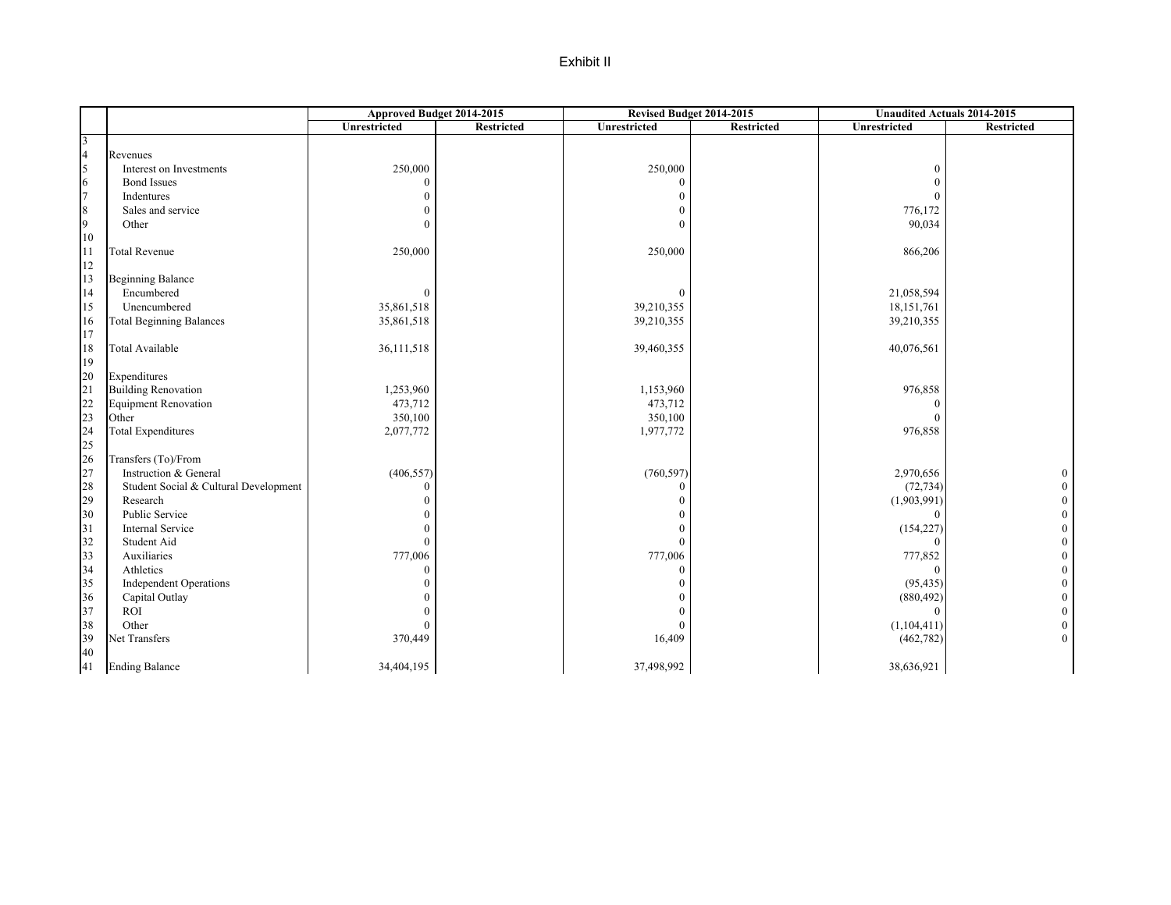### Exhibit II

|                                         |                                       | Approved Budget 2014-2015 |            | Revised Budget 2014-2015 |            | <b>Unaudited Actuals 2014-2015</b> |                  |
|-----------------------------------------|---------------------------------------|---------------------------|------------|--------------------------|------------|------------------------------------|------------------|
|                                         |                                       | Unrestricted              | Restricted | Unrestricted             | Restricted | Unrestricted                       | Restricted       |
| 3                                       |                                       |                           |            |                          |            |                                    |                  |
| $\overline{4}$                          | Revenues                              |                           |            |                          |            |                                    |                  |
| 5                                       | Interest on Investments               | 250,000                   |            | 250,000                  |            | $\bf{0}$                           |                  |
| 6                                       | <b>Bond Issues</b>                    | $\theta$                  |            | $\theta$                 |            | $\theta$                           |                  |
| 7                                       | Indentures                            | $\theta$                  |            |                          |            | $\mathbf{0}$                       |                  |
| $\,$ 8 $\,$                             | Sales and service                     | $\theta$                  |            |                          |            | 776,172                            |                  |
| 9                                       | Other                                 | $\theta$                  |            | $\Omega$                 |            | 90,034                             |                  |
| 10                                      |                                       |                           |            |                          |            |                                    |                  |
| 11                                      | <b>Total Revenue</b>                  | 250,000                   |            | 250,000                  |            | 866,206                            |                  |
| $12\,$                                  |                                       |                           |            |                          |            |                                    |                  |
| 13                                      | <b>Beginning Balance</b>              |                           |            |                          |            |                                    |                  |
| 14                                      | Encumbered                            | $\theta$                  |            | $\mathbf{0}$             |            | 21,058,594                         |                  |
| 15                                      | Unencumbered                          | 35,861,518                |            | 39,210,355               |            | 18, 151, 761                       |                  |
| 16                                      | <b>Total Beginning Balances</b>       | 35,861,518                |            | 39,210,355               |            | 39,210,355                         |                  |
| 17                                      |                                       |                           |            |                          |            |                                    |                  |
| $18\,$                                  | Total Available                       | 36,111,518                |            | 39,460,355               |            | 40,076,561                         |                  |
| 19                                      |                                       |                           |            |                          |            |                                    |                  |
| $20\,$                                  | Expenditures                          |                           |            |                          |            |                                    |                  |
| 21                                      | <b>Building Renovation</b>            | 1,253,960                 |            | 1,153,960                |            | 976,858                            |                  |
|                                         | <b>Equipment Renovation</b>           | 473,712                   |            | 473,712                  |            | $\Omega$                           |                  |
| $\begin{array}{c} 22 \\ 23 \end{array}$ | Other                                 | 350,100                   |            | 350,100                  |            | $\Omega$                           |                  |
| 24                                      | <b>Total Expenditures</b>             | 2,077,772                 |            | 1,977,772                |            | 976,858                            |                  |
| 25                                      |                                       |                           |            |                          |            |                                    |                  |
| 26                                      | Transfers (To)/From                   |                           |            |                          |            |                                    |                  |
| 27                                      | Instruction & General                 | (406, 557)                |            | (760, 597)               |            | 2,970,656                          | $\boldsymbol{0}$ |
| 28                                      | Student Social & Cultural Development | $\theta$                  |            | 0                        |            | (72, 734)                          | $\boldsymbol{0}$ |
| 29                                      | Research                              | $\theta$                  |            |                          |            | (1,903,991)                        | $\boldsymbol{0}$ |
| 30                                      | Public Service                        | $\Omega$                  |            |                          |            | $\Omega$                           | $\boldsymbol{0}$ |
| 31                                      | Internal Service                      | $\theta$                  |            | $\Omega$                 |            | (154, 227)                         | $\boldsymbol{0}$ |
| 32                                      | Student Aid                           | $\theta$                  |            | $\mathbf{0}$             |            | $\mathbf{0}$                       | $\boldsymbol{0}$ |
| 33                                      | Auxiliaries                           | 777,006                   |            | 777,006                  |            | 777,852                            | $\boldsymbol{0}$ |
| 34                                      | Athletics                             | $\mathbf{0}$              |            | $\mathbf{0}$             |            | $\Omega$                           | $\mathbf{0}$     |
| 35                                      | <b>Independent Operations</b>         | $\theta$                  |            |                          |            | (95, 435)                          | $\boldsymbol{0}$ |
| 36                                      | Capital Outlay                        | $\theta$                  |            |                          |            | (880, 492)                         | $\boldsymbol{0}$ |
| 37                                      | <b>ROI</b>                            | $\theta$                  |            | $\Omega$                 |            | $\Omega$                           | $\boldsymbol{0}$ |
| 38                                      | Other                                 | $\theta$                  |            | $\mathbf{0}$             |            | (1,104,411)                        | $\boldsymbol{0}$ |
| 39                                      | Net Transfers                         | 370,449                   |            | 16,409                   |            | (462, 782)                         | $\boldsymbol{0}$ |
| 40                                      |                                       |                           |            |                          |            |                                    |                  |
| 41                                      | <b>Ending Balance</b>                 | 34,404,195                |            | 37,498,992               |            | 38,636,921                         |                  |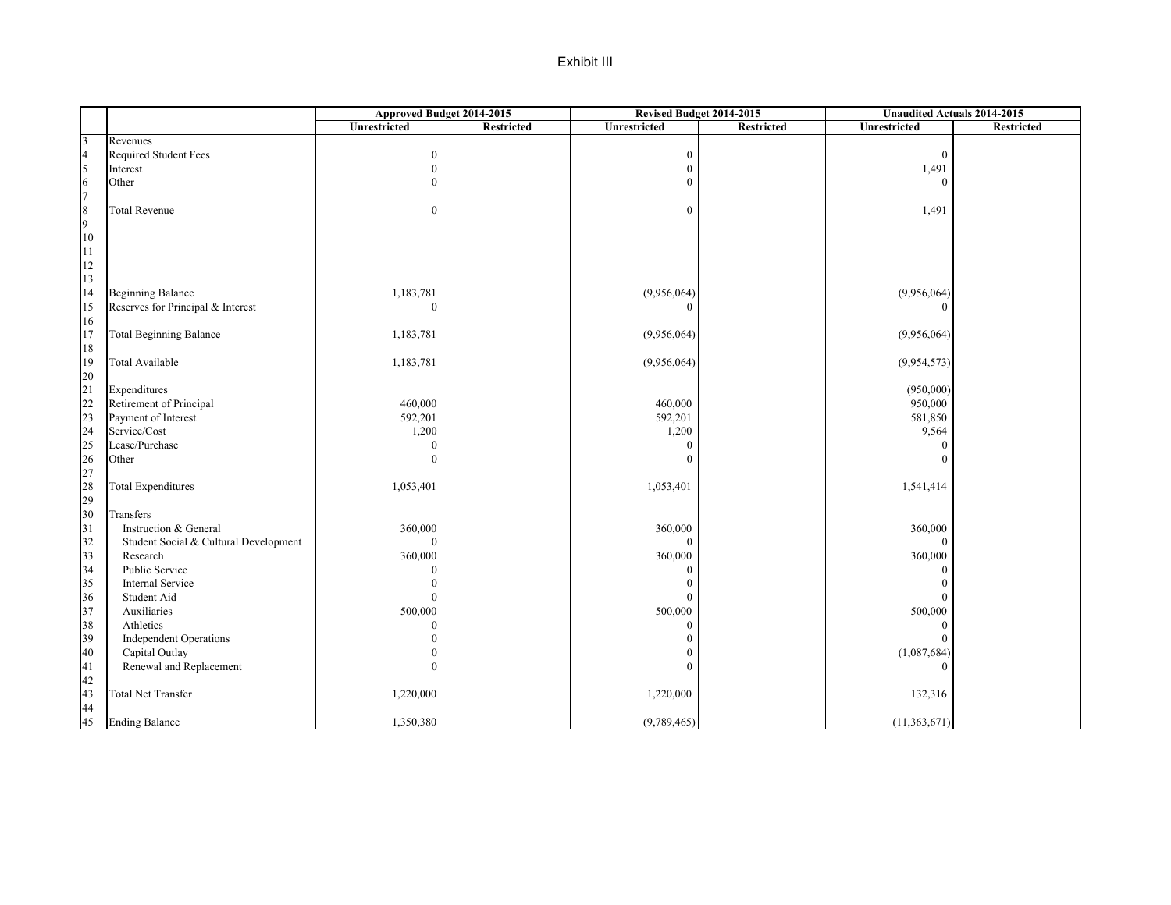### Exhibit III

|                                         |                                       | Approved Budget 2014-2015 |                   |                  | Revised Budget 2014-2015 | <b>Unaudited Actuals 2014-2015</b> |                   |  |
|-----------------------------------------|---------------------------------------|---------------------------|-------------------|------------------|--------------------------|------------------------------------|-------------------|--|
|                                         |                                       | Unrestricted              | <b>Restricted</b> | Unrestricted     | Restricted               | <b>Unrestricted</b>                | <b>Restricted</b> |  |
| $\overline{3}$                          | Revenues                              |                           |                   |                  |                          |                                    |                   |  |
| $\overline{4}$                          | Required Student Fees                 | $\boldsymbol{0}$          |                   | $\boldsymbol{0}$ |                          | $\boldsymbol{0}$                   |                   |  |
| $\vert$ <sub>5</sub>                    | Interest                              | $\mathbf{0}$              |                   | $\mathbf{0}$     |                          | 1,491                              |                   |  |
| $\sqrt{6}$                              | Other                                 | $\Omega$                  |                   | $\mathbf{0}$     |                          | $\Omega$                           |                   |  |
| $\tau$                                  |                                       |                           |                   |                  |                          |                                    |                   |  |
| $\,$ 8 $\,$                             | <b>Total Revenue</b>                  | $\overline{0}$            |                   | $\mathbf{0}$     |                          | 1,491                              |                   |  |
| 9                                       |                                       |                           |                   |                  |                          |                                    |                   |  |
| $10\,$                                  |                                       |                           |                   |                  |                          |                                    |                   |  |
| $\overline{11}$                         |                                       |                           |                   |                  |                          |                                    |                   |  |
| 12                                      |                                       |                           |                   |                  |                          |                                    |                   |  |
| 13                                      |                                       |                           |                   |                  |                          |                                    |                   |  |
| 14                                      | <b>Beginning Balance</b>              | 1,183,781                 |                   | (9,956,064)      |                          | (9,956,064)                        |                   |  |
| $15\,$                                  | Reserves for Principal & Interest     | $\Omega$                  |                   | $\mathbf{0}$     |                          | $\Omega$                           |                   |  |
| 16                                      |                                       |                           |                   |                  |                          |                                    |                   |  |
| 17                                      | <b>Total Beginning Balance</b>        | 1,183,781                 |                   | (9,956,064)      |                          | (9,956,064)                        |                   |  |
| $1\,8$                                  |                                       |                           |                   |                  |                          |                                    |                   |  |
| 19                                      | Total Available                       | 1,183,781                 |                   | (9,956,064)      |                          | (9,954,573)                        |                   |  |
| 20                                      |                                       |                           |                   |                  |                          |                                    |                   |  |
| 21                                      | Expenditures                          |                           |                   |                  |                          | (950,000)                          |                   |  |
| $\begin{array}{c} 22 \\ 23 \end{array}$ | Retirement of Principal               | 460,000                   |                   | 460,000          |                          | 950,000                            |                   |  |
|                                         | Payment of Interest                   | 592,201                   |                   | 592,201          |                          | 581,850                            |                   |  |
| $\frac{24}{25}$                         | Service/Cost                          | 1,200                     |                   | 1,200            |                          | 9,564                              |                   |  |
|                                         | Lease/Purchase                        | $\Omega$                  |                   | $\mathbf{0}$     |                          | $\theta$                           |                   |  |
| $\frac{26}{27}$                         | Other                                 | $\Omega$                  |                   | $\mathbf{0}$     |                          | $\theta$                           |                   |  |
|                                         |                                       |                           |                   |                  |                          |                                    |                   |  |
| 28                                      | <b>Total Expenditures</b>             | 1,053,401                 |                   | 1,053,401        |                          | 1,541,414                          |                   |  |
| 29                                      |                                       |                           |                   |                  |                          |                                    |                   |  |
| 30                                      | Transfers                             |                           |                   |                  |                          |                                    |                   |  |
| 31                                      | Instruction & General                 | 360,000                   |                   | 360,000          |                          | 360,000                            |                   |  |
| 32                                      | Student Social & Cultural Development | $\overline{0}$            |                   | $\mathbf{0}$     |                          | $\mathbf{0}$                       |                   |  |
| 33                                      | Research                              | 360,000                   |                   | 360,000          |                          | 360,000                            |                   |  |
| 34                                      | Public Service                        | $\theta$                  |                   | $\mathbf{0}$     |                          | $\theta$                           |                   |  |
| 35                                      | <b>Internal Service</b>               | $\theta$                  |                   | $\boldsymbol{0}$ |                          | $\mathbf{0}$                       |                   |  |
| 36                                      | Student Aid                           | $\theta$                  |                   | $\mathbf{0}$     |                          | $\theta$                           |                   |  |
| 37                                      | Auxiliaries                           | 500,000                   |                   | 500,000          |                          | 500,000                            |                   |  |
| 38                                      | Athletics                             | $\Omega$                  |                   | $\mathbf{0}$     |                          | $\theta$                           |                   |  |
| 39                                      | <b>Independent Operations</b>         | $\theta$                  |                   | $\mathbf{0}$     |                          | $\boldsymbol{0}$                   |                   |  |
| 40                                      | Capital Outlay                        | 0                         |                   | $\theta$         |                          | (1,087,684)                        |                   |  |
| 41                                      | Renewal and Replacement               | $\theta$                  |                   | $\mathbf{0}$     |                          | $\Omega$                           |                   |  |
| 42                                      |                                       |                           |                   |                  |                          |                                    |                   |  |
| 43                                      | <b>Total Net Transfer</b>             | 1,220,000                 |                   | 1,220,000        |                          | 132,316                            |                   |  |
| 44                                      |                                       |                           |                   |                  |                          |                                    |                   |  |
| 45                                      | <b>Ending Balance</b>                 | 1,350,380                 |                   | (9,789,465)      |                          | (11,363,671)                       |                   |  |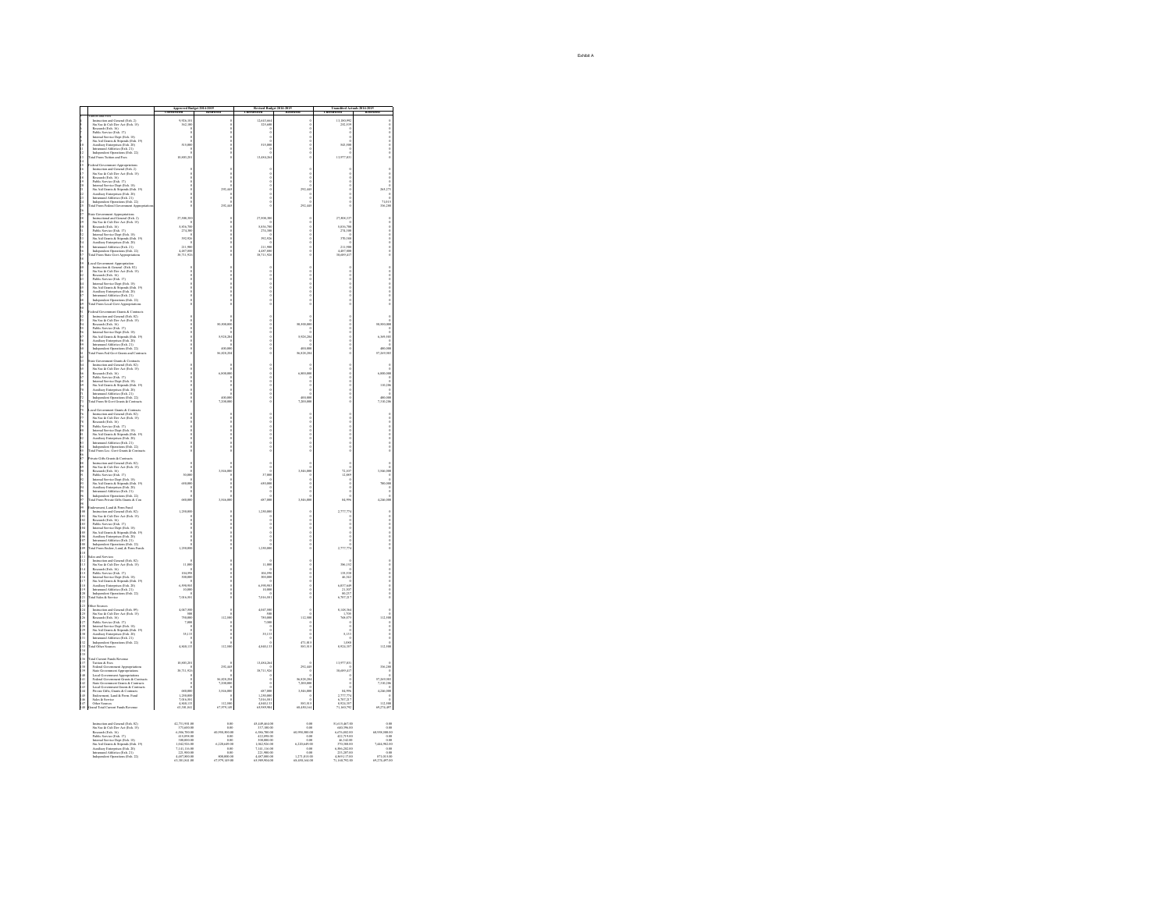|                                               |                                                                                                                                                                                                                                                                                                                                                                                                                                                                          |                                                                                                         | 2014-201                                                                                     |                                                                                                                                        |                                                                     |                                                                                        |                                  |
|-----------------------------------------------|--------------------------------------------------------------------------------------------------------------------------------------------------------------------------------------------------------------------------------------------------------------------------------------------------------------------------------------------------------------------------------------------------------------------------------------------------------------------------|---------------------------------------------------------------------------------------------------------|----------------------------------------------------------------------------------------------|----------------------------------------------------------------------------------------------------------------------------------------|---------------------------------------------------------------------|----------------------------------------------------------------------------------------|----------------------------------|
|                                               | ation and Fore<br>1 tents<br>tends and General (Exh. 2)<br>1 tents<br>tends and General (Exh. 15)<br>20 ations of the Dev Act (Exh. 15)<br>1<br>tensure for the Spys 17)<br>1 that the May 17 tends (Exh. 19)<br>20<br>                                                                                                                                                                                                                                                  | 926,10                                                                                                  |                                                                                              |                                                                                                                                        |                                                                     | 13,180,992                                                                             |                                  |
|                                               |                                                                                                                                                                                                                                                                                                                                                                                                                                                                          |                                                                                                         |                                                                                              |                                                                                                                                        |                                                                     |                                                                                        |                                  |
|                                               |                                                                                                                                                                                                                                                                                                                                                                                                                                                                          |                                                                                                         |                                                                                              |                                                                                                                                        |                                                                     |                                                                                        |                                  |
|                                               |                                                                                                                                                                                                                                                                                                                                                                                                                                                                          | 515,000                                                                                                 |                                                                                              | 515,0                                                                                                                                  |                                                                     | 543,500                                                                                |                                  |
|                                               |                                                                                                                                                                                                                                                                                                                                                                                                                                                                          | 10.803.201                                                                                              |                                                                                              | 13,484.26                                                                                                                              |                                                                     | 13,977.03                                                                              |                                  |
|                                               |                                                                                                                                                                                                                                                                                                                                                                                                                                                                          |                                                                                                         |                                                                                              |                                                                                                                                        |                                                                     |                                                                                        |                                  |
| 15 16 17 18 19 20 21 22                       | sferal Government Appropriations Infernation and Government (Exh. 2) Rossards (Eds. 2016)<br>Sin Sec. & Cult Dev. Act (Exh. 15) Rossards (Eds. 36)<br>Sin Sec. & Cult Dev. Act (Exh. 15) Rossards Service (Exh. 17)<br>1890s Servic                                                                                                                                                                                                                                      |                                                                                                         |                                                                                              |                                                                                                                                        |                                                                     |                                                                                        |                                  |
|                                               |                                                                                                                                                                                                                                                                                                                                                                                                                                                                          |                                                                                                         |                                                                                              |                                                                                                                                        |                                                                     |                                                                                        |                                  |
|                                               |                                                                                                                                                                                                                                                                                                                                                                                                                                                                          |                                                                                                         | 292.445                                                                                      | $\frac{0}{0}$                                                                                                                          | $rac{0}{292,445}$                                                   |                                                                                        | 265,273                          |
|                                               |                                                                                                                                                                                                                                                                                                                                                                                                                                                                          |                                                                                                         |                                                                                              |                                                                                                                                        |                                                                     |                                                                                        |                                  |
| 22<br>24<br>25                                |                                                                                                                                                                                                                                                                                                                                                                                                                                                                          |                                                                                                         | 292                                                                                          |                                                                                                                                        | 282                                                                 |                                                                                        | 71,015<br>336,288                |
| 26<br>27<br>28                                | <b>Government Appropriations</b><br>tructional and General (Exh. 2)                                                                                                                                                                                                                                                                                                                                                                                                      |                                                                                                         |                                                                                              |                                                                                                                                        |                                                                     |                                                                                        |                                  |
| 29<br>30                                      | t.                                                                                                                                                                                                                                                                                                                                                                                                                                                                       | 27,508,500                                                                                              |                                                                                              | 27,508,30<br>¢                                                                                                                         |                                                                     | 27,508,33<br>¢                                                                         |                                  |
|                                               | Instructional and General (Exh. 2)<br>Su Sec. & Cath Dev Act (Exh. 15)<br>Research (Exh. 16)<br>Research (Exh. 16)<br>Integrated (Exh. 16)<br>Integral Service Dept (Exh. 18)<br>Su Aid General Athletics (Exh. 19)<br>Autolinay Enterprises (Exh.                                                                                                                                                                                                                       | 5,836,700<br>274,500                                                                                    |                                                                                              | 5,836,70<br>274,900                                                                                                                    |                                                                     | 5,836,70<br>274,30                                                                     |                                  |
|                                               |                                                                                                                                                                                                                                                                                                                                                                                                                                                                          | 2229                                                                                                    |                                                                                              | 392.92                                                                                                                                 |                                                                     | 570.38                                                                                 |                                  |
|                                               |                                                                                                                                                                                                                                                                                                                                                                                                                                                                          | 211,900<br>4,487,800                                                                                    |                                                                                              | 211,900<br>4,487,900                                                                                                                   |                                                                     | 211,90<br>4,487,80                                                                     |                                  |
| 31 32 33 34 35 36 37 38 39                    |                                                                                                                                                                                                                                                                                                                                                                                                                                                                          | 38,711,926                                                                                              |                                                                                              | 38,711,926                                                                                                                             |                                                                     | 38,689,41                                                                              |                                  |
|                                               | $\begin{tabular}{p{0.85\textwidth}} \textbf{Local Concentration} A proportion \\ In the action $R$- General (Poh, 02) \\ In the action $R$-General (Poh, 15) \\ \textbf{R} . \textbf{S} . \textbf{S} . \textbf{C} . \textbf{C} . \textbf{R} . \textbf{C} . \textbf{R} . \textbf{D} . \textbf{P} . \textbf{P} . \textbf{P} . \textbf{P} . \textbf{P} . \textbf{P} . \textbf{P} . \textbf{P} . \textbf{P} . \textbf{P} . \textbf{P} . \textbf{P} . \textbf{P} . \textbf{P$ |                                                                                                         |                                                                                              |                                                                                                                                        |                                                                     |                                                                                        |                                  |
|                                               |                                                                                                                                                                                                                                                                                                                                                                                                                                                                          |                                                                                                         |                                                                                              |                                                                                                                                        |                                                                     |                                                                                        |                                  |
|                                               |                                                                                                                                                                                                                                                                                                                                                                                                                                                                          |                                                                                                         |                                                                                              |                                                                                                                                        |                                                                     |                                                                                        |                                  |
| 1.柏村 经移科 移植物 移植物                              |                                                                                                                                                                                                                                                                                                                                                                                                                                                                          |                                                                                                         |                                                                                              |                                                                                                                                        |                                                                     |                                                                                        |                                  |
|                                               |                                                                                                                                                                                                                                                                                                                                                                                                                                                                          |                                                                                                         |                                                                                              |                                                                                                                                        |                                                                     |                                                                                        |                                  |
|                                               |                                                                                                                                                                                                                                                                                                                                                                                                                                                                          |                                                                                                         |                                                                                              |                                                                                                                                        |                                                                     |                                                                                        |                                  |
|                                               | $\label{eq:1}$ identi Government Grants & Contracts<br>Instant Goute & Scherington and Grants (Exh. 02)<br>Sus Sec. & Cult Dev Act (Exh. 15)<br>Research (Eth. 16)<br>Research (Eth. 16)<br>Internal Service (Eth. 17)<br>Internal Service Dep                                                                                                                                                                                                                           |                                                                                                         |                                                                                              |                                                                                                                                        |                                                                     |                                                                                        |                                  |
| 计拉特转移                                         |                                                                                                                                                                                                                                                                                                                                                                                                                                                                          |                                                                                                         |                                                                                              |                                                                                                                                        |                                                                     |                                                                                        |                                  |
|                                               |                                                                                                                                                                                                                                                                                                                                                                                                                                                                          |                                                                                                         |                                                                                              |                                                                                                                                        |                                                                     |                                                                                        |                                  |
|                                               |                                                                                                                                                                                                                                                                                                                                                                                                                                                                          |                                                                                                         | 5,928.20                                                                                     |                                                                                                                                        | 5,928,204                                                           |                                                                                        | 0<br>102,935,0                   |
|                                               |                                                                                                                                                                                                                                                                                                                                                                                                                                                                          |                                                                                                         |                                                                                              |                                                                                                                                        |                                                                     |                                                                                        |                                  |
|                                               |                                                                                                                                                                                                                                                                                                                                                                                                                                                                          |                                                                                                         | 56,828.21                                                                                    |                                                                                                                                        | 400,000                                                             |                                                                                        | 17.769.50                        |
| 36.打球 50.50 62.62.62.62                       | inte Government Grants & Contracts<br>Instruction and Grancal (Exh. 62)<br>Star Sca & Cult (Exh. 15)<br>Star & Cult (Exh. 15)<br>Absolute Mecker (Exh. 15)<br>Public Survice Dept. (Ph. 18)<br>Marsonal (Exh. 16)<br>Star Add Grants & Supe                                                                                                                                                                                                                              |                                                                                                         |                                                                                              |                                                                                                                                        |                                                                     |                                                                                        |                                  |
|                                               |                                                                                                                                                                                                                                                                                                                                                                                                                                                                          |                                                                                                         | 6,800,0                                                                                      |                                                                                                                                        |                                                                     |                                                                                        |                                  |
| 经抽杆转移                                         |                                                                                                                                                                                                                                                                                                                                                                                                                                                                          |                                                                                                         |                                                                                              |                                                                                                                                        |                                                                     |                                                                                        | $6,800,000$<br>0<br>0<br>110,200 |
|                                               |                                                                                                                                                                                                                                                                                                                                                                                                                                                                          |                                                                                                         |                                                                                              |                                                                                                                                        |                                                                     |                                                                                        | $\ddot{\circ}$                   |
|                                               |                                                                                                                                                                                                                                                                                                                                                                                                                                                                          |                                                                                                         |                                                                                              |                                                                                                                                        | a<br>200,000                                                        |                                                                                        |                                  |
|                                               |                                                                                                                                                                                                                                                                                                                                                                                                                                                                          |                                                                                                         | 400,00<br>7,200,00                                                                           |                                                                                                                                        | 7,200,000                                                           |                                                                                        | 7,310,20                         |
| 707172777475767778                            | <b>Boot Crush &amp; Costro</b>                                                                                                                                                                                                                                                                                                                                                                                                                                           |                                                                                                         |                                                                                              |                                                                                                                                        |                                                                     |                                                                                        |                                  |
|                                               | cal Government Grants & Contracts<br>Instruction and Grantal (Exh. 62)<br>Instruction and Grantal (Exh. 62)<br>Rouss<br>ach Cub Dev Act (Exh. 15)<br>Roussach (Exh. 16)<br>Roussach (Exh. 17)<br>                                                                                                                                                                                                                                                                        |                                                                                                         |                                                                                              |                                                                                                                                        | <b>0000000000</b>                                                   |                                                                                        |                                  |
|                                               |                                                                                                                                                                                                                                                                                                                                                                                                                                                                          |                                                                                                         |                                                                                              |                                                                                                                                        |                                                                     |                                                                                        |                                  |
| 79 和 別 記 記 刻                                  |                                                                                                                                                                                                                                                                                                                                                                                                                                                                          |                                                                                                         |                                                                                              |                                                                                                                                        |                                                                     |                                                                                        |                                  |
|                                               |                                                                                                                                                                                                                                                                                                                                                                                                                                                                          |                                                                                                         |                                                                                              |                                                                                                                                        |                                                                     |                                                                                        |                                  |
|                                               | Independent Operations (Exh. 22)<br>tal From Loc. Govt Grants & Cont                                                                                                                                                                                                                                                                                                                                                                                                     |                                                                                                         |                                                                                              |                                                                                                                                        |                                                                     |                                                                                        |                                  |
| 科结核红结构的列                                      | ivate Gibs Grants & Contracts<br>Instruction and General (Exh. 62)<br>Sin Sec<br>& Cub Ibrs Act (Exh. 15)<br>Sin Sec& Cub Ibrs Act (Exh. 15)<br>Politic Savive<br>                                                                                                                                                                                                                                                                                                       |                                                                                                         |                                                                                              |                                                                                                                                        |                                                                     |                                                                                        |                                  |
|                                               |                                                                                                                                                                                                                                                                                                                                                                                                                                                                          |                                                                                                         |                                                                                              |                                                                                                                                        | 3,546,000                                                           | 72,107<br>12,889                                                                       | î                                |
|                                               |                                                                                                                                                                                                                                                                                                                                                                                                                                                                          | 50,000                                                                                                  | ĩ                                                                                            | 37,000<br>¢                                                                                                                            |                                                                     |                                                                                        |                                  |
|                                               |                                                                                                                                                                                                                                                                                                                                                                                                                                                                          | 650,000                                                                                                 |                                                                                              | 650,000                                                                                                                                |                                                                     |                                                                                        |                                  |
| 经财料 好扬时                                       |                                                                                                                                                                                                                                                                                                                                                                                                                                                                          |                                                                                                         |                                                                                              |                                                                                                                                        |                                                                     |                                                                                        |                                  |
| $-28$<br>$+29$<br>$+0$                        |                                                                                                                                                                                                                                                                                                                                                                                                                                                                          | 680.000                                                                                                 | 15460                                                                                        | 687.00                                                                                                                                 | 3.546.000                                                           | 84.99                                                                                  | 4.346.00                         |
|                                               | ndownward, Land & Perro Fund<br>10.<br><br>ndown and General (Fish. 02)<br>Sus Sec. & Cult Dre- Act (Chds. 15)<br>Rossmeds (Eth. 16)<br>                                                                                                                                                                                                                                                                                                                                 | 1,250,00                                                                                                |                                                                                              | 1,250,0                                                                                                                                |                                                                     | 2,777,77                                                                               |                                  |
|                                               |                                                                                                                                                                                                                                                                                                                                                                                                                                                                          |                                                                                                         |                                                                                              |                                                                                                                                        |                                                                     |                                                                                        |                                  |
| 101<br>102<br>103<br>104                      |                                                                                                                                                                                                                                                                                                                                                                                                                                                                          |                                                                                                         |                                                                                              |                                                                                                                                        |                                                                     |                                                                                        |                                  |
|                                               |                                                                                                                                                                                                                                                                                                                                                                                                                                                                          |                                                                                                         |                                                                                              |                                                                                                                                        |                                                                     |                                                                                        |                                  |
|                                               |                                                                                                                                                                                                                                                                                                                                                                                                                                                                          | 1,250,00                                                                                                |                                                                                              | 1,250,000                                                                                                                              |                                                                     | 2,777,77                                                                               |                                  |
| 106<br>107<br>108<br>109<br>110               | der and Services                                                                                                                                                                                                                                                                                                                                                                                                                                                         |                                                                                                         |                                                                                              |                                                                                                                                        |                                                                     |                                                                                        |                                  |
| ū.                                            | tles and Services<br>Instruction and General (Exh. 62)<br>Instruction and General (Exh. 15)<br>Rousearch (Exh. 16)<br>Rousearch (Exh. 17)<br>Public Service (Exh. 17)<br>Internal Service (Exh. 17)<br>Internal Service (Exh. 18)<br>Sta Aid G                                                                                                                                                                                                                           | 11,000                                                                                                  |                                                                                              | 11,000                                                                                                                                 |                                                                     | 386,157                                                                                |                                  |
|                                               |                                                                                                                                                                                                                                                                                                                                                                                                                                                                          | 104,591<br>300,000                                                                                      |                                                                                              | 104,998<br>300,000                                                                                                                     |                                                                     | 135,531<br>46,343                                                                      |                                  |
| 113 14 15 16 17 18<br>113 16 17 18<br>119 119 |                                                                                                                                                                                                                                                                                                                                                                                                                                                                          |                                                                                                         |                                                                                              |                                                                                                                                        |                                                                     |                                                                                        |                                  |
|                                               |                                                                                                                                                                                                                                                                                                                                                                                                                                                                          | 6 san on<br>10,000                                                                                      |                                                                                              | 10.000                                                                                                                                 |                                                                     | 6,037,64                                                                               |                                  |
|                                               | Independent Operations (Exh. 22)<br>tal Sales & Service                                                                                                                                                                                                                                                                                                                                                                                                                  | 7,016.581                                                                                               | $\frac{0}{0}$                                                                                | 7,016,581                                                                                                                              | $\frac{1}{2}$                                                       | 80,237<br>6,707,217                                                                    |                                  |
| 120<br>121<br>121<br>124                      |                                                                                                                                                                                                                                                                                                                                                                                                                                                                          |                                                                                                         |                                                                                              |                                                                                                                                        |                                                                     |                                                                                        |                                  |
|                                               | her Sources<br>Instruction and General (Exh. 09)<br>Stu Soc & Cult Dev Act (Exh. 15)                                                                                                                                                                                                                                                                                                                                                                                     | 4,047,500                                                                                               | 112.50                                                                                       | 4,047,500<br>750,000                                                                                                                   |                                                                     | 8,148,36<br>768, 073                                                                   |                                  |
|                                               |                                                                                                                                                                                                                                                                                                                                                                                                                                                                          | 750,000<br>7,000                                                                                        |                                                                                              | 7,000                                                                                                                                  | 112,500                                                             |                                                                                        | $112,500$<br>0<br>0              |
|                                               |                                                                                                                                                                                                                                                                                                                                                                                                                                                                          |                                                                                                         |                                                                                              |                                                                                                                                        |                                                                     |                                                                                        |                                  |
|                                               | Stu Soc & Cult Dev Act (Exh. 15)<br>Roscardi (Exh. 16)<br>Roscardi (Exh. 17)<br>Pablic Service (Exh. 17)<br>Internal Service (Exh. 18)<br>Internal Service Dept (Exh. 19)<br>Auxiliary Enterprises (Exh. 21)<br>Internantal Athletics (Exh. 21)<br>Int                                                                                                                                                                                                                   | 35,133                                                                                                  |                                                                                              | 35,133                                                                                                                                 |                                                                     | $^{5,13}$                                                                              |                                  |
|                                               |                                                                                                                                                                                                                                                                                                                                                                                                                                                                          | 4.840.133                                                                                               | 112.50                                                                                       | 4.840.133                                                                                                                              | 471,013<br>583,515                                                  | 8.924.357                                                                              | 112.500                          |
| 134 35 36 37 38 39 39                         |                                                                                                                                                                                                                                                                                                                                                                                                                                                                          |                                                                                                         |                                                                                              |                                                                                                                                        |                                                                     |                                                                                        |                                  |
|                                               | tal Current Punds Revenue<br>Turison & Pees<br>Pederal Government Appropriations<br>State Government Appropriations<br>Local Government Appropriations<br>Pederal Government Appropriations<br>Pederal Government Grants & Contracts                                                                                                                                                                                                                                     | 10,803,20                                                                                               | 292.44                                                                                       | 13,484,2                                                                                                                               | 212.4e                                                              | 13,977,03                                                                              | 336,288<br>0                     |
|                                               |                                                                                                                                                                                                                                                                                                                                                                                                                                                                          | 38.711.92<br>d                                                                                          |                                                                                              | 38.711.926                                                                                                                             |                                                                     | 38,699.41                                                                              |                                  |
|                                               |                                                                                                                                                                                                                                                                                                                                                                                                                                                                          |                                                                                                         | 56,828,28<br>7,200,000                                                                       |                                                                                                                                        | 56,828,20<br>7,200,000                                              |                                                                                        | 57,269,500<br>7,310,206          |
|                                               |                                                                                                                                                                                                                                                                                                                                                                                                                                                                          |                                                                                                         | 1546.0                                                                                       | 687.0                                                                                                                                  | ن<br>3,546,000                                                      |                                                                                        | 4.246.0                          |
| 14014141444447                                | Pontra Government Grants & Contracts<br>State Government Grants & Contracts<br>Local Government Grants & Contracts<br>Private Gifts, Grants & Contracts<br>Endowment, Land & Perm. Pund<br>Sales & Service<br>Other Sources                                                                                                                                                                                                                                              | 680,000<br>1,250,000<br>7,016,581                                                                       |                                                                                              | ca., 000<br>1,250,000<br>7,016,581<br>4,840,133                                                                                        |                                                                     | $\begin{array}{r} 0 \\ 0 \\ 0 \\ 2,777,774 \\ 6,707,217 \\ 8,924,357 \end{array}$      |                                  |
| $\frac{147}{148}$                             | rand Total Current Funds Revenue                                                                                                                                                                                                                                                                                                                                                                                                                                         | 4.840.133<br>188,100.00                                                                                 | 112.50<br>67,979,149                                                                         | 65,999,904                                                                                                                             | 583.515<br>68.450.164                                               | 71.160.792                                                                             | 112,500<br>69.274.497            |
|                                               |                                                                                                                                                                                                                                                                                                                                                                                                                                                                          |                                                                                                         |                                                                                              |                                                                                                                                        |                                                                     |                                                                                        |                                  |
|                                               | Instruction and General (Exh. 02)<br>Stu Soc & Cult Dev Act (Exh. 15)                                                                                                                                                                                                                                                                                                                                                                                                    | 42,731,901.00<br>373,600.00                                                                             | 0.00<br>0.00                                                                                 | 45,449,464.00<br>337,100.00                                                                                                            | 0.00                                                                | 51,615,467.00<br>03.096.00                                                             | 0.00                             |
|                                               | Stu Soc. & Calt Dev. Act (Exh. 15)<br>Research (Exh. 16)<br>Research (Exh. 17)<br>Pablic Service (Exh. 17)<br>Internal Service Dept (Exh. 18)<br>Stu Aid Grauns & Stepends (Exh. 19)<br>Austriary Enterprises (Exh. 21)<br>Internantal Addetics (Ex                                                                                                                                                                                                                      | 4,586,700.00<br>415,898.00                                                                              | 60,958,500.00                                                                                | 6,586,700.00<br>422,898.00                                                                                                             | 60.958.500.00<br>0.00                                               | 6,676,882.00<br>422,719.00                                                             | 60,958,500.00<br>0.00            |
|                                               |                                                                                                                                                                                                                                                                                                                                                                                                                                                                          | 415,898.00<br>360,000.00<br>1,042,926.00<br>7,141,116.00<br>221,900.00<br>4,487,860.00<br>63,301,841.00 |                                                                                              |                                                                                                                                        |                                                                     |                                                                                        |                                  |
|                                               |                                                                                                                                                                                                                                                                                                                                                                                                                                                                          |                                                                                                         | $\begin{array}{r} 0.00 \\ 0.008 \\ 0.220,693.00 \\ 0.00 \\ 0.00 \\ 0.0000.00 \\ \end{array}$ |                                                                                                                                        | $\begin{array}{r} 0.00 \\ 6,220,649.00 \\ 0.00 \\ 0.00 \end{array}$ |                                                                                        | $7,444,982.000.000.00871,015.00$ |
|                                               |                                                                                                                                                                                                                                                                                                                                                                                                                                                                          |                                                                                                         | 67,979,149.00                                                                                | $\begin{array}{r} 422,898.00 \\ 300,000.00 \\ 1,042,926.00 \\ 7,141,116.00 \\ 221,900.00 \\ 4,487,800.00 \\ 65,989,904.00 \end{array}$ | 1,271,015.00<br>68,450,164.00                                       | 422,779.00<br>46,342.00<br>370,380.00<br>6,586,282.00<br>4,369,117.00<br>71,160,792.00 | 69,274,497.00                    |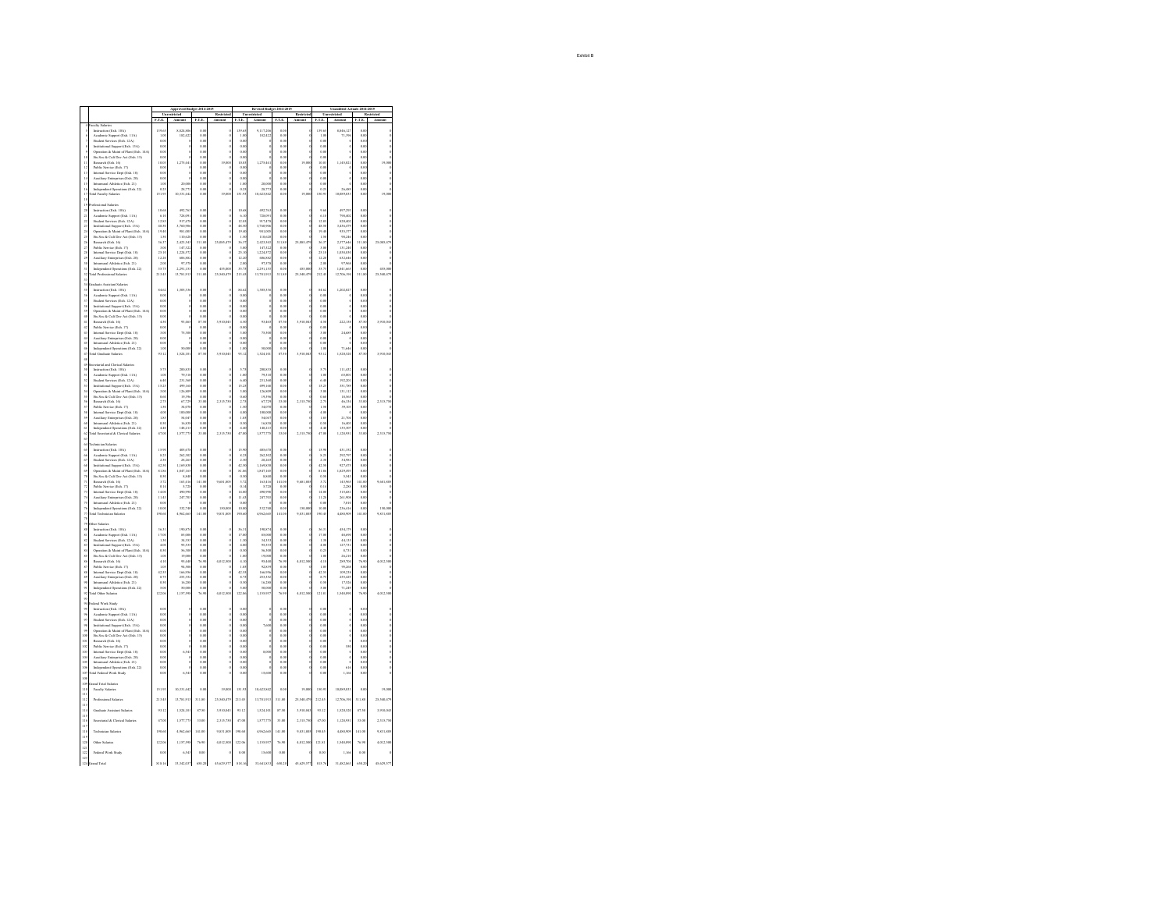|                                                    |                                                                                                      |                       | Anteroved Budret 2014-2015  |                            |            |                          | Revised Budret 2014-2015 |                       |            |                         | Unaudited Actuals 2014-2015 |                            |              |
|----------------------------------------------------|------------------------------------------------------------------------------------------------------|-----------------------|-----------------------------|----------------------------|------------|--------------------------|--------------------------|-----------------------|------------|-------------------------|-----------------------------|----------------------------|--------------|
|                                                    |                                                                                                      | ETE                   |                             | ET.E                       |            | ET.E                     |                          | F.T.E                 |            | F.T.E                   |                             | ETE                        |              |
|                                                    | onliv Salarie<br>.<br>truction (Exh. 10A)                                                            | 139.6                 | sha se                      | $\alpha$                   |            | i to r                   | .<br>9.117.2             |                       |            | 130.6                   | 8,846,12                    | ó ó                        |              |
|                                                    | Academic Support (Exh. 11A)                                                                          | 1.00                  | 182.42                      | 0.08                       |            | 1.0                      | 182.422                  | 0.00                  |            | 1.0                     | 71.39                       | 0.0                        |              |
|                                                    | <b>Student Servi</b><br>es (Esh. 12A)                                                                | $\alpha$              |                             | 0 <sup>2</sup>             |            | ۵ò                       |                          | ۵ù                    |            | o ce                    |                             | ۵ò                         |              |
|                                                    | Institutional Support (Exh. 13A)<br>Operation & Maint of Plant (Exh. 14A)                            | 0.00<br>0.00          |                             | 0.06<br>0.08               |            | 0.0<br>0.0               |                          | 0.00<br>0.00          |            | ûά<br>0.01              |                             | 0.00<br>0.0                |              |
| 50                                                 | Stu Soc & Cult Dev Act (Exh. 15)                                                                     | o.o                   |                             | $\alpha$                   |            | ů.o                      |                          | o.or                  |            | 6.0                     |                             | 0.0                        |              |
| $\overline{11}$<br>i2                              | Research (Exh. 16)                                                                                   | 10.00<br>0.00         | 1,275.44                    | 0.08                       | (9.00)     | 10.0<br>۵ö               | 1.275.44                 | 0.00<br>۵ù            | 19.00      | 10.00                   | 1.145.021                   | 0.00<br>0.0                | 19,000       |
|                                                    | Public Service (Exh. 17)<br>Internal Service Dept (Exh. 18)                                          | 0.00                  |                             | 0.01<br>0.00               |            | 0.00                     |                          | 0.00                  |            | 0.01<br>ûά              |                             | 0.00                       |              |
| $\begin{array}{c} 13 \\ 14 \end{array}$            | Auxiliary Enterprises (Exh. 20)<br>Intramaral Athletics (Exh. 21)                                    | 0.00                  |                             | 0.08                       |            | 0.0                      |                          | 0.00                  |            | 0.01                    |                             | 0.0                        | $\mathbf{o}$ |
| 15                                                 |                                                                                                      | 1.0                   | 20,000                      | 0.00                       |            | Lú                       | 20,00                    | o.or                  |            | $\alpha$                |                             | 0.OC                       |              |
| 16<br>ń                                            | Independent Operations (Exh. 22)<br>culty Sala<br>a p                                                | 0.25<br>151.93        | 28.77<br>10,331,442         | 0.00<br>0.01               | 19,00      | 0.2<br>151.9             | 28.773<br>10,623,843     | 0.00                  | 19,00      | 0.25<br>150.9           | 26.48<br>10,089,03          | 0.00<br>0.0                | 19,00        |
| 18                                                 |                                                                                                      |                       |                             |                            |            |                          |                          |                       |            |                         |                             |                            |              |
| $\overline{13}$                                    | desional Salaries                                                                                    |                       |                             |                            |            |                          |                          |                       |            |                         |                             |                            |              |
| $\overline{\mathbf{a}}$<br>$^{21}$                 | Instruction (Exh. 10A)                                                                               | 10.68<br>6.16         | 492,763<br>778.09           | oα<br>o or                 |            | 10.6<br>6.0              | 02,763<br>228.091        | o.or<br>0.00          |            | 9.6<br>631              | 497.29<br>798.400           | 0.00<br>o or               |              |
| Σ                                                  | Academic Support (Exh. 11A)<br>Student Services (Exh. 12A)                                           | $\frac{1}{12.85}$     | 917,47                      | $\frac{1}{\alpha}$         |            | 12.8                     | 917.47                   | 55                    |            | 12.8                    | (20, 40)                    | 0.0                        |              |
| $^{23}$<br>ń.                                      | Institutional Support (Exh. 13A)<br>Operation & Maint of Plant (Exh. 14A)                            | 48.50<br>io al        | 3.760.90<br>981.00          | 0.00<br>0 <sup>2</sup>     |            | 48.50<br>19.8            | 3.760.906<br>931.00      | 0.00<br>$\alpha$      |            | 48.51<br>10.4           | 3.436.47<br>016.37          | 0.00<br>o or               |              |
| $\frac{1}{25}$                                     | .<br>Stu Soc & Cult Dev Act (Exh. 15)                                                                | 1.9                   | 110,62                      | $\alpha$                   |            | $\overline{1.9}$         | 110,62                   | 0.00                  |            | 1.5                     | 98,24                       | 0.0                        |              |
| 26<br>27                                           | Research (Feb. 16)                                                                                   | u v                   | ran sa                      | 311.80                     | 25.085.42  | we                       | 2423.54                  | <b>STER</b>           | 25.085.479 | w.                      | 2322.64                     | ti si                      | 25.085.479   |
|                                                    | Public Service (Exh. 17)                                                                             | 3.0                   | 147,32                      | $\alpha$                   |            | 30                       | 147,32                   |                       |            | 3.0                     | 131,24                      | ů.                         |              |
| $\overline{28}$                                    | Internal Service Dept (Exh. 18)<br>Auxiliary Enterprises (Exh. 20)<br>Intramural Athletics (Exh. 21) | 25.10<br>òм           | 1,224.57<br><b>ADK RK</b>   | 0.08<br>0 <sup>2</sup>     |            | 25.10<br>12.2            | 1.224.572<br>606.88      | 0.00<br>۵ù            |            | 25.10<br>ii s           | 1,038.83<br>632.64          | 0.00<br>۵ò                 |              |
| 29<br>30                                           |                                                                                                      | 2.00                  | 97,57                       | 0.06                       |            | 2.0                      | 97,571                   | 0.00                  |            | 2.00                    | 97,96                       | 0.0                        |              |
| 'n                                                 | Independent Operations (Exh. 22)<br>tal Professional Salaries                                        | (1)                   | 220115                      | o or                       | 455.00     | (4.25)                   | 2.201.153                | $\alpha$              | 455.00     | $\mathbf{R}$            | 1841.66                     | o or                       | 455.006      |
| 52<br>$^{33}$                                      |                                                                                                      | 213.4                 | 3,781,91                    | 311.8                      | 25,540,47  | 213.4                    | 13,781,913               | 311.80                | 25,540.43  | 212.4                   | 12,706,19                   | 311.8                      | 25,540,47    |
| $\frac{1}{34}$                                     | dante Australia Salaria                                                                              |                       |                             |                            |            |                          |                          |                       |            |                         |                             |                            |              |
| 35                                                 | Instruction (Exh. 10A)                                                                               | 84.62                 | 1,305,336                   | 0.00                       |            | 84.62                    | 1,305,336                | 0.00                  |            | 84.6                    | 1,202,027                   | 0.00                       |              |
| 36<br>37                                           | Academic Support (Exh. 11A)                                                                          | 0.00<br>$\frac{1}{2}$ |                             | 0.00                       |            | 0.0<br>0.0               |                          | 0.00<br>$\frac{1}{2}$ |            | 0.01                    |                             | $\frac{0.05}{0.05}$        |              |
|                                                    | Student Services (Exh. 12A)                                                                          | 0.00                  |                             | 0.00                       |            | 0.0                      |                          | 0.00                  |            | 0.0<br>0.01             |                             | 0.00                       |              |
| 38<br>39                                           | Institutional Support (Exh. 13A)<br>Operation & Maint of Plant (Exh. 14A)                            | o.o                   |                             | 0.0                        |            | ů.                       |                          | o.or                  |            | 0.06                    |                             | 0.OC                       |              |
| $\frac{4}{3}$                                      | Sta Soc & Calt Dev Act (Exh. 15)                                                                     | 0.00                  |                             | 0.00<br>87.50              |            | 0.0<br>a k               |                          | 0.00<br>87.50         |            | ûά                      |                             | 0.0                        |              |
| $\frac{41}{42}$                                    | Research (Exh. 16)<br>Public Service (Exh. 17)                                                       | 4.50<br>0.00          | 93.                         | 0.01                       | 3,910,04   | 0.0                      | 93,465                   | 0.00                  | 3,910,04   | 4.5<br>ûά               | 222,15                      | 87.5<br>0.0                | 3,910,043    |
| $^{43}$                                            | Internal Service Dept (Exh. 18)<br>Auxiliary Enterprises (Exh. 20)                                   | 3 or                  | $^{16}$                     | o or                       |            | ۹ò                       | 15.300                   | $\alpha$              |            | $\alpha$                | 34.68                       | o or                       |              |
| $\frac{1}{44}$                                     |                                                                                                      | .<br>0.0              |                             | $\frac{1}{\alpha}$         |            | öö.                      |                          | o.or                  |            | öα                      |                             | $\frac{1}{\alpha}$         |              |
| 45                                                 | Intramaral Athletics (Exh. 21)                                                                       | 0.00<br>L0            | 50.00                       | 0.08<br>$\alpha$           |            | 0.0<br>Lú                |                          | 0.00<br>o.or          |            | 0.08<br>1.00            | 71,64                       | 0.0<br>0.00                |              |
| $\frac{46}{47}$                                    | Independent Operations (Exh. 22)<br>tal Graduate Salaries                                            | 93.12                 | 1,524,10                    | 87.50                      | 3,910.04   | 93.12                    | 1,524,100                | 87.50                 | 3,910.04   | 93.12                   | 1.520.52                    | 87.50                      | 3,910,043    |
| zi                                                 |                                                                                                      |                       |                             |                            |            |                          |                          |                       |            |                         |                             |                            |              |
| ä                                                  | ial and Clerical Sala                                                                                |                       |                             |                            |            |                          |                          |                       |            |                         |                             |                            |              |
| $\overline{50}$                                    | Instruction (Exh. 10A)<br>Academic Support (Exh. 11A)                                                | 5.75<br>1.00          | 200,835<br>79,310           | 0.08<br>0.00               |            | 5.7<br>Lú                | 200.83<br>29,314         | 0.00<br>0.00          |            | 5.2<br>1.00             | 111.432<br>65,00            | 0.00<br>0.OC               |              |
| 51<br>52                                           | Student Services (Exh. 12A)                                                                          | 6.4                   | 231,360                     | 0.00                       |            | 6.4                      | 231,360                  | 0.00                  |            | 6.4                     | 192,201                     | 0.00                       |              |
| 53<br>54                                           | Institutional Support (Exh. 13A)<br>Operation & Maint of Plant (Exh. 14A)                            | 15.24                 | 499,168<br>126,805          | $\alpha$                   |            | 15.24                    | 499,168<br>126,805       | $\alpha$              |            | is s                    | 351.28                      | 0.00                       |              |
| 55                                                 | Stu Soc & Cult Dev Act (Exh. 15)                                                                     | 3.0<br>0.60           | 19.39                       | $\frac{1}{\alpha}$<br>0.00 |            | 3.0<br>0.6               | 19.39                    | $\frac{1}{2}$<br>0.00 |            | 3.0<br>0.68             | 131,112<br>18.565           | $\frac{1}{\alpha}$<br>0.00 |              |
|                                                    | Research (Exh. 16)                                                                                   | 2.75                  | 67,72                       | 33.00                      | 2,315,75   | 2.75                     | 67,72                    | 33.00                 | 2,315,75   | 23                      | 6,33                        | 13.ac                      | 2,315,750    |
| 56<br>57                                           | Public Service (Exh. 17)                                                                             | 1.50                  | 34,070                      | 0.00                       |            | 1.50                     | 34,07                    | 0.00                  |            | 1.5 <sub>0</sub>        | 39,103                      | 0.00                       |              |
| 58<br>59                                           | Internal Service Dept (Exh. 18)<br>Auxiliary Enterprises (Exh. 20)                                   | $^{4.00}$             | $\frac{100,000}{54,04}$     | 0.0                        |            | 40                       | 100.00                   | 0.00                  |            | $4.06$<br>$1.85$        |                             | 0.00                       |              |
| $\omega$                                           | Intramaral Athletics (Exh. 21)                                                                       | LR.<br>0.50           | 16.83                       | 0.0<br>0.00                |            | $\frac{1}{1.85}$<br>0.50 | 54,04<br>16.831          | 0.00                  |            | 0.5                     | 21,70<br>(6.40)             | 0.0                        |              |
| 61                                                 | Independent Operations (Exh. 22)                                                                     | 4.40                  | 48,21                       | oα                         |            |                          | (48,21)                  | o.or                  |            |                         | 135,30                      | 0.00                       |              |
| 62                                                 | stal Secretarial & Clerical Salaries                                                                 | 47.00                 | 1,577,77:                   | 33.00                      | 2,315,75   | 47.0                     | 1,577,775                | 33.00                 | 2,315,750  | 47.00                   | 1,128,951                   | 33.00                      | 2,315,750    |
| 63<br>64                                           |                                                                                                      |                       |                             |                            |            |                          |                          |                       |            |                         |                             |                            |              |
| ks.                                                | Instruction (Exh. 10A).                                                                              | is or                 | 405.670                     | 0 <sup>2</sup>             |            | 15.90                    | ans am                   | $\alpha$              |            | 15.9                    | 431.357                     | ó ó                        |              |
| 66                                                 | Academic Support (Exh. 11A)                                                                          | 8.25                  | 262,30                      | 0.06                       |            | 8.24                     | 262,302                  | 0.00                  |            | k2                      | 292,797                     | 0.00                       |              |
| 63                                                 | Student Services (Exh. 12A)                                                                          | 2.30                  | 28.26                       | 0.00                       |            | 2.30                     | 28.265                   | 0.00                  |            | 2.30                    | 34,981                      | 0.00                       |              |
| 68<br>68                                           | Institutional Support (Exh. 13A)<br>Operation & Maint of Plant (Exh. 14A)                            | 42.50<br>\$1.86       | 1,169,831<br>1,847,160      | 0.00<br>0.06               |            | o s<br>81.8              | 1,169,831<br>1,847,165   | 0.00<br>0.00          |            | a si<br>\$1.8           | $927,47$<br>1,829,493       | 0.OC<br>0.0                |              |
| $\overline{\mathbf{z}}$                            | Sta Soc & Cult Dev Act (Exh. 15)                                                                     | o si                  | s su                        | o or                       |            | 0.9                      | 8.84                     | $\alpha$              |            | 6.9                     | 6.68                        | o or                       |              |
| $\frac{n}{n}$                                      | Research (Exh. 16)                                                                                   | 3.72                  | 163,416                     | 141.00                     | 9,681,805  | 3.72                     | 163,414                  | 141.00                | 9,681,805  | 3.72                    | 143,965                     | 141.00                     | 9.681.805    |
|                                                    | Public Service (Exh. 17)                                                                             | 6.14                  | 5.72                        | 0.00                       |            | 0.1                      | 5.721                    | 0.00                  |            | 0.1                     | 2.288                       | 0.00                       |              |
| 73<br>74                                           | al Service Dept (Exh. 18)<br>Auxiliary Enterprises (Exh. 20)                                         | 14.0<br>11.43         | 490,991<br>247,700          | 0.00<br>0.06               |            | 14.0<br>11.4             | 247,70                   | 0.00<br>0.00          |            | 14.0<br>11.21           | 315,68<br>261,90            | 0.0<br>0.0                 |              |
| 75                                                 | Intramural Athletics (Exh. 21)                                                                       | 0.00                  |                             | 0.0                        |            | $\overline{a}$           |                          | $\alpha$              |            | 0.0                     | 7,010                       | 0.00                       |              |
| 76                                                 | Independent Operations (Exh. 22)                                                                     | 10.00                 | 332.740                     | 0.00                       | 150,00     | 10.00                    | 332,740                  | 0.OK                  | 150,000    | 10.00                   | 236,41                      | 0.00                       | 150,000      |
| 75                                                 | tal Technician Salaries                                                                              | 190.60                | 4,962,66                    | 141.00                     | 9.831.80   | 190.6                    | 4,962,663                | 141.00                | 9.831.80   | 190.45                  | 4,488.90                    | 141.00                     | 9.831.805    |
| $\gamma$                                           | ther Salaries                                                                                        |                       |                             |                            |            |                          |                          |                       |            |                         |                             |                            |              |
| ù                                                  | Instruction (Exh. 10A)                                                                               | 36.31                 | 190.8%                      | 0.0                        |            | $\overline{\text{M}}$    | 190.87                   | o o                   |            | 36.3                    | 454.17                      | 0.0                        |              |
| $\overline{\mathbf{3}}$<br>$\overline{\mathbf{z}}$ | Academic Support (Exh. 11A)<br>Student Services (Exh. 12A)                                           | 17.00<br>1.30         | 85,000<br>34.35             | 0.00<br>0.00               |            | 17.00<br>$\overline{13}$ | 85,000<br>34,353         | 0.00<br>0.00          |            | 17.0<br>1.36            | 48,690<br>44.133            | 0.00<br>0.00               |              |
| 83                                                 | Institutional Support (Exh. 13A)                                                                     | 4.0                   | 95,535                      | 0.06                       |            | 40                       | 95,53:                   | 0.00                  |            | 4.0                     | 127,73                      | 0.00                       |              |
| s,                                                 | Operation & Maint of Plant (Exh. 14A)                                                                | 0.50                  | 56,300                      | 0.00                       |            | 0.9                      | 56,300                   | 0.00                  |            | 0.25                    | 8.731                       | 0.00                       |              |
| 85                                                 | Stu Soc & Cult Dev Act (Exh. 15)                                                                     | i o                   | 19,00                       | 0.0                        |            | Lú                       | 19,00                    | 0.00                  |            | 1.00                    | 26.21                       | 0.0                        |              |
| s.                                                 | Research (Exh. 16)<br>Public Service (Exh. 17)                                                       | 4.00<br>i e           | 95.440<br>$\overline{u}$ in | 76.90<br>0 <sup>2</sup>    | 4.012.500  | 4.1<br>$\overline{10}$   | 95.44<br>or su           | 56.90<br>$\alpha$     | 4.012.500  | 4.11<br>$\overline{10}$ | 289.704<br>95.26            | 76.90<br>òœ                | 4.012.500    |
| ss.                                                | Internal Service Dept (Exh. 18)                                                                      | 42.55                 | 166,954                     | 0.0                        |            | o.                       | 166,95                   | 0.00                  |            | 42.5                    | 109,23                      | 0.0                        |              |
| 'n,                                                | Auxiliary Enterprises (Exh. 20)<br>Intramaral Athletics (Exh. 21)                                    | 8.75                  | 253.352                     | 0.00                       |            | 8.7                      | 253,352                  | 0.00                  |            | k2                      | 255.42                      | 0.00                       |              |
| $\frac{1}{2}$                                      | Independent Operations (Exh. 22)                                                                     | ò.<br>5.00            | 16,28<br>50,000             | $\alpha$<br>0.00           |            | 0.9<br>$\frac{1}{2}$     | 16,28<br>50,000          | o.or<br>0.00          |            | άś<br>5.00              | 17.52<br>71.241             | 0.0<br>0.00                |              |
| 92                                                 | of Other Salaries                                                                                    | <b>DOM</b>            | 1157.50                     | is o                       | 4012.50    | 122.0                    | 1155.031                 | ts or                 | 4.012.500  | iti k                   | 1,548.09                    | 76.91                      | 4.012.500    |
| 93                                                 |                                                                                                      |                       |                             |                            |            |                          |                          |                       |            |                         |                             |                            |              |
| 94<br>95                                           | deral Work Study<br>Instruction (Exh. 10A)                                                           | ò.o                   |                             | $\alpha$                   |            | 0.0                      |                          | o.or                  |            | 6.0                     |                             | 0.0                        |              |
|                                                    |                                                                                                      | 0.00                  | $\frac{1}{2}$               | 0.08                       |            | 0.0                      |                          | 0.00                  |            | 0.01                    |                             | 0.00                       |              |
| 96<br>97                                           | Academic Support (Exh. 11A)<br>Student Services (Exh. 12A)                                           | o.or                  |                             | $\alpha$                   |            | ů.                       |                          | o.or                  |            | $\alpha$                |                             | ů.                         |              |
| $^{98}$<br>$^{96}$                                 | Institutional Support (Exh. 13A)<br>Operation & Maint of Plant (Exh. 14A)                            | 0.00<br>0.00          |                             | 0.06<br>0.00               |            | 0.0<br>0.0               | 7,600                    | 0.00<br>0.00          |            | ûά<br>0.01              |                             | 0.0<br>0.00                |              |
| 100                                                | Stu Soc & Cult Dev Act (Exh. 15)                                                                     | ō.o                   |                             | 0.00                       |            | 0.0                      |                          | o.or                  |            | 0.06                    |                             | 0.0                        |              |
| 100                                                | Research (Exh. 16)                                                                                   | 0.00                  |                             | 0.00                       |            | 0.0                      |                          | 0.00                  |            | 0.01                    |                             | 0.00                       |              |
| té2                                                | Public Service (Exh. 17)                                                                             | o.o                   |                             | 0.0                        |            | ů.                       |                          | o.or                  |            | 0.01                    | w                           | ů.                         |              |
| 103<br>tod                                         | Internal Service Dept (Exh. 18)<br>$n$ (Exh. 20)                                                     | 0.00<br>0.00          | 6,543<br>ł                  | 0.06<br>o or               |            | 0.0<br>ó ó               | 8,000                    | 0.00<br>0.00          |            | ûά<br>o or              |                             | 0.00<br>o or               |              |
| ter                                                | Auxiliary Enterprises (Exh. 20)<br>Intramural Athletics (Exh. 21)                                    | 0.0                   |                             | $\alpha$                   |            | 0.0                      |                          | 0.00                  |            | $\alpha$                |                             | 0.00                       |              |
| tor.                                               | <b>Independent Operations (Exh. 22)</b><br>ttal Federal Work Study                                   | $\alpha$              |                             | o or                       |            | ó ó                      |                          | $\alpha$              |            | o ce                    | ku.                         | o or                       |              |
| $\frac{1}{100}$<br>108                             |                                                                                                      |                       | 6.543                       | $\alpha$                   |            | öö.                      | 15.60                    |                       |            | $\alpha$                | 1.16                        | ů.                         |              |
| too                                                | of Total Salaries                                                                                    |                       |                             |                            |            |                          |                          |                       |            |                         |                             |                            |              |
| 110                                                | Faculty Salaries                                                                                     | 151.93                | 10.331.442                  | $\alpha$                   | 19.00      | 151.93                   | 10.623.842               | 0.00                  | 19,000     | 150.9                   | 10,089.033                  | 0.00                       | 19.00        |
| m.                                                 |                                                                                                      |                       |                             |                            |            |                          |                          |                       |            |                         |                             |                            |              |
| ïΰ,                                                | Professional Salarie                                                                                 | 213.45                | 13,781,915                  | 311.80                     | 25,540,476 | 213.45                   | 13,781,913               | 311.80                | 25,540,479 | 212.45                  | 12,706,194                  | 311.80                     | 25.540.47    |
| 113<br>τú.                                         | Grahate Automotivation                                                                               | 93.15                 | 1.534.10                    | \$7.50                     | 3.910.043  | 03.12                    | 1.534.101                | 87.50                 | 3,910,043  | 93.17                   | 1.520.526                   | 87.50                      | 3,910.04     |
| D.                                                 |                                                                                                      |                       |                             |                            |            |                          |                          |                       |            |                         |                             |                            |              |
| 116<br>117                                         | Secretarial & Clerical Salarie                                                                       | as or                 | 1.577.77                    | 33 de                      | 2315.266   | 47.00                    | 1.577.779                | 33.00                 | 2.315.250  | 47.00                   | 1.128.951                   | n <sub>0</sub>             | 2315.250     |
|                                                    |                                                                                                      |                       |                             |                            |            |                          |                          |                       |            |                         |                             |                            |              |
| 118                                                | <b>Technician Salaries</b>                                                                           | 190.60                | 4.962.665                   | 141.00                     | 9.831.805  | 190.60                   | 4,962,665                | 141.00                | 9.831.805  | 190.45                  | 4,488.90                    | 141.00                     | 9.831.805    |
| 120                                                | Other Salaries                                                                                       | 122.06                | 1.157.59                    | 76.90                      | 4,012,50   | 122.06                   | 1,155,937                | 76.90                 | 4,012,50   | 121.81                  | 1,548,09                    | 76.90                      | 4,012,50     |
| 121                                                |                                                                                                      |                       |                             |                            |            |                          |                          |                       |            |                         |                             |                            |              |
| $12^{1}$<br>123                                    | Federal Work Study                                                                                   | 0.00                  | 6,543                       | 0.06                       |            | 0.00                     | 15,600                   | 0.00                  |            | ůΜ                      | 1,166                       | 0.00                       |              |
| 124                                                | d Total                                                                                              | \$18.14               | 33,342,037                  | 650.20                     | 45,629.577 | 818.16                   | 33,641,833               | 650.20                | 45,629,577 | 815.76                  | 31,482,863                  | 650.20                     | 45,629,577   |
|                                                    |                                                                                                      |                       |                             |                            |            |                          |                          |                       |            |                         |                             |                            |              |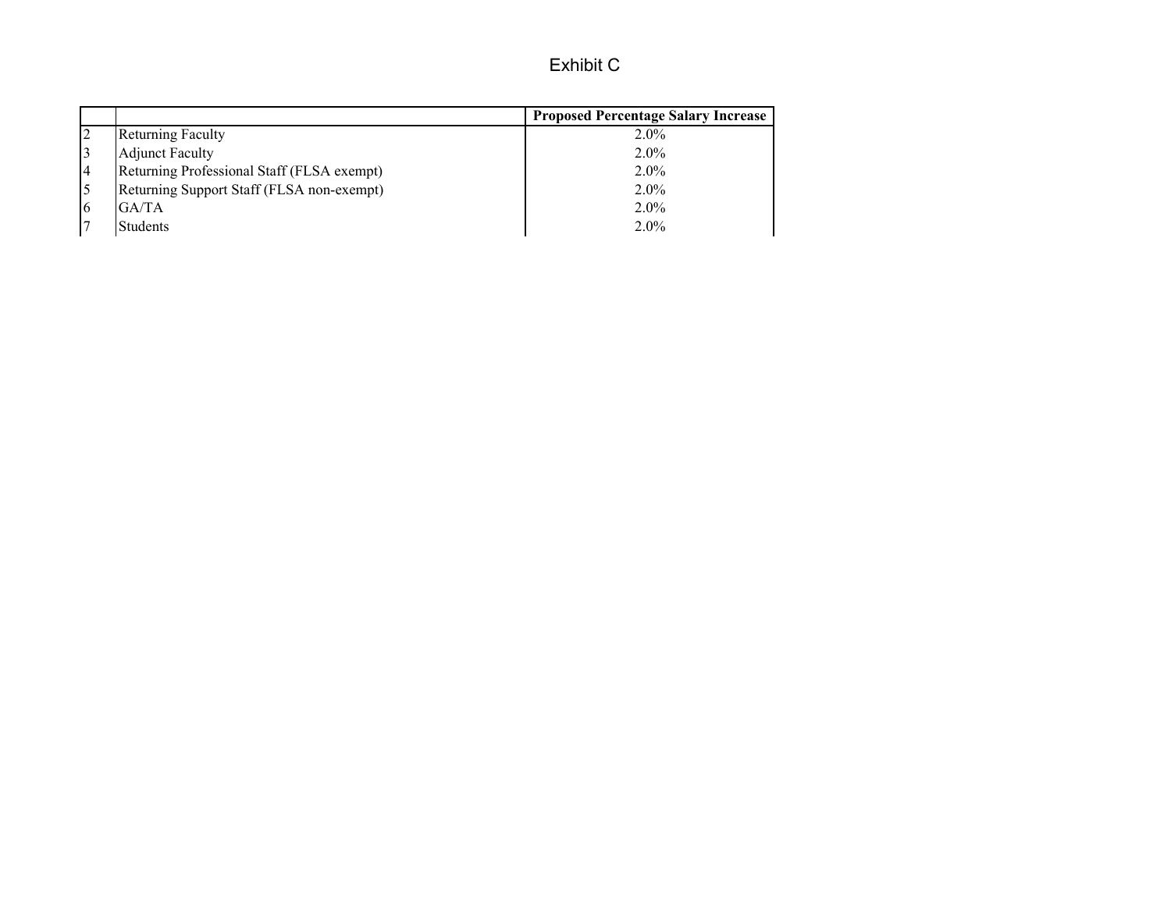# Exhibit C

|                                            | <b>Proposed Percentage Salary Increase</b> |
|--------------------------------------------|--------------------------------------------|
| <b>Returning Faculty</b>                   | $2.0\%$                                    |
| <b>Adjunct Faculty</b>                     | $2.0\%$                                    |
| Returning Professional Staff (FLSA exempt) | $2.0\%$                                    |
| Returning Support Staff (FLSA non-exempt)  | $2.0\%$                                    |
| GA/TA<br>16                                | $2.0\%$                                    |
| <b>Students</b>                            | $2.0\%$                                    |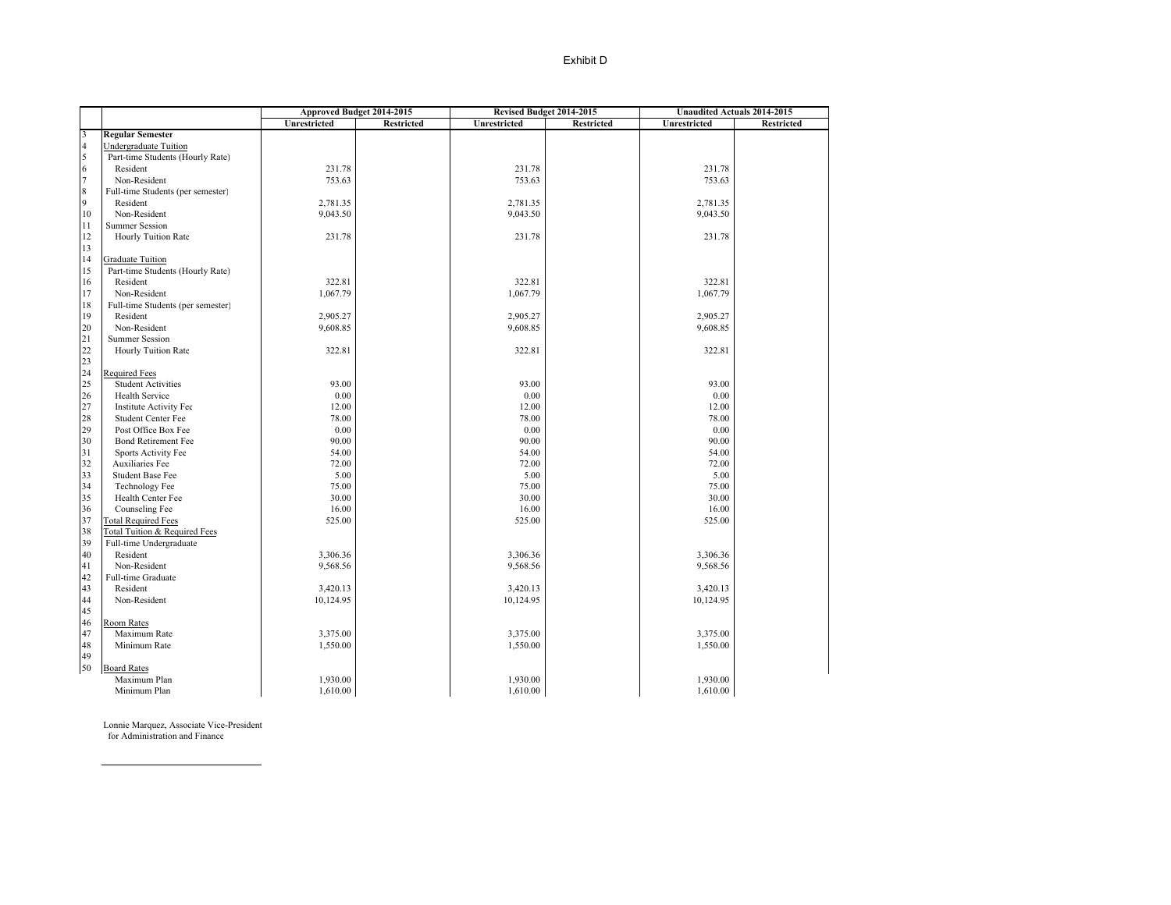|                                                 |                                   |              | Approved Budget 2014-2015 |              | Revised Budget 2014-2015 | <b>Unaudited Actuals 2014-2015</b> |                   |  |
|-------------------------------------------------|-----------------------------------|--------------|---------------------------|--------------|--------------------------|------------------------------------|-------------------|--|
|                                                 |                                   | Unrestricted | <b>Restricted</b>         | Unrestricted | <b>Restricted</b>        | Unrestricted                       | <b>Restricted</b> |  |
|                                                 | <b>Regular Semester</b>           |              |                           |              |                          |                                    |                   |  |
| $\begin{array}{c} 3 \\ 4 \\ 5 \\ 6 \end{array}$ | Undergraduate Tuition             |              |                           |              |                          |                                    |                   |  |
|                                                 | Part-time Students (Hourly Rate)  |              |                           |              |                          |                                    |                   |  |
|                                                 | Resident                          | 231.78       |                           | 231.78       |                          | 231.78                             |                   |  |
| 7                                               | Non-Resident                      | 753.63       |                           | 753.63       |                          | 753.63                             |                   |  |
| $\,$ 8 $\,$                                     | Full-time Students (per semester) |              |                           |              |                          |                                    |                   |  |
| 9                                               | Resident                          | 2,781.35     |                           | 2,781.35     |                          | 2,781.35                           |                   |  |
| 10                                              | Non-Resident                      | 9,043.50     |                           | 9,043.50     |                          | 9,043.50                           |                   |  |
| 11                                              | <b>Summer Session</b>             |              |                           |              |                          |                                    |                   |  |
| 12                                              | Hourly Tuition Rate               | 231.78       |                           | 231.78       |                          | 231.78                             |                   |  |
| 13                                              |                                   |              |                           |              |                          |                                    |                   |  |
| 14                                              | <b>Graduate Tuition</b>           |              |                           |              |                          |                                    |                   |  |
| 15                                              | Part-time Students (Hourly Rate)  |              |                           |              |                          |                                    |                   |  |
| 16                                              | Resident                          | 322.81       |                           | 322.81       |                          | 322.81                             |                   |  |
| 17                                              | Non-Resident                      | 1,067.79     |                           | 1,067.79     |                          | 1,067.79                           |                   |  |
| 18                                              | Full-time Students (per semester) |              |                           |              |                          |                                    |                   |  |
| 19                                              | Resident                          | 2,905.27     |                           | 2,905.27     |                          | 2,905.27                           |                   |  |
| 20                                              | Non-Resident                      | 9,608.85     |                           | 9,608.85     |                          | 9,608.85                           |                   |  |
| 21                                              | <b>Summer Session</b>             |              |                           |              |                          |                                    |                   |  |
| 22                                              | Hourly Tuition Rate               | 322.81       |                           | 322.81       |                          | 322.81                             |                   |  |
| 23                                              |                                   |              |                           |              |                          |                                    |                   |  |
| 24                                              | Required Fees                     |              |                           |              |                          |                                    |                   |  |
| 25                                              | <b>Student Activities</b>         | 93.00        |                           | 93.00        |                          | 93.00                              |                   |  |
| 26                                              | Health Service                    | 0.00         |                           | 0.00         |                          | 0.00                               |                   |  |
| 27                                              | <b>Institute Activity Fee</b>     | 12.00        |                           | 12.00        |                          | 12.00                              |                   |  |
| 28                                              | <b>Student Center Fee</b>         | 78.00        |                           | 78.00        |                          | 78.00                              |                   |  |
| 29                                              | Post Office Box Fee               | 0.00         |                           | 0.00         |                          | 0.00                               |                   |  |
| 30                                              | <b>Bond Retirement Fee</b>        | 90.00        |                           | 90.00        |                          | 90.00                              |                   |  |
| 31                                              | Sports Activity Fee               | 54.00        |                           | 54.00        |                          | 54.00                              |                   |  |
| 32                                              | Auxiliaries Fee                   | 72.00        |                           | 72.00        |                          | 72.00                              |                   |  |
| 33                                              | <b>Student Base Fee</b>           | 5.00         |                           | 5.00         |                          | 5.00                               |                   |  |
| 34                                              | <b>Technology Fee</b>             | 75.00        |                           | 75.00        |                          | 75.00                              |                   |  |
| 35                                              | Health Center Fee                 | 30.00        |                           | 30.00        |                          | 30.00                              |                   |  |
| 36                                              | Counseling Fee                    | 16.00        |                           | 16.00        |                          | 16.00                              |                   |  |
| 37                                              | <b>Total Required Fees</b>        | 525.00       |                           | 525.00       |                          | 525.00                             |                   |  |
| 38                                              | Total Tuition & Required Fees     |              |                           |              |                          |                                    |                   |  |
| 39                                              | Full-time Undergraduate           |              |                           |              |                          |                                    |                   |  |
| 40                                              | Resident                          | 3,306.36     |                           | 3,306.36     |                          | 3,306.36                           |                   |  |
| 41                                              | Non-Resident                      | 9,568.56     |                           | 9,568.56     |                          | 9,568.56                           |                   |  |
| 42                                              | Full-time Graduate                |              |                           |              |                          |                                    |                   |  |
| 43                                              | Resident                          | 3,420.13     |                           | 3,420.13     |                          | 3,420.13                           |                   |  |
| 44                                              | Non-Resident                      | 10,124.95    |                           | 10,124.95    |                          | 10,124.95                          |                   |  |
| 45                                              |                                   |              |                           |              |                          |                                    |                   |  |
| 46                                              | Room Rates                        |              |                           |              |                          |                                    |                   |  |
| 47                                              | Maximum Rate                      | 3,375.00     |                           | 3,375.00     |                          | 3,375.00                           |                   |  |
| 48                                              | Minimum Rate                      | 1,550.00     |                           | 1,550.00     |                          | 1,550.00                           |                   |  |
| 49                                              |                                   |              |                           |              |                          |                                    |                   |  |
| 50                                              | <b>Board Rates</b>                |              |                           |              |                          |                                    |                   |  |
|                                                 | Maximum Plan                      | 1,930.00     |                           | 1,930.00     |                          | 1,930.00                           |                   |  |
|                                                 | Minimum Plan                      | 1,610.00     |                           | 1,610.00     |                          | 1,610.00                           |                   |  |

Lonnie Marquez, Associate Vice-President for Administration and Finance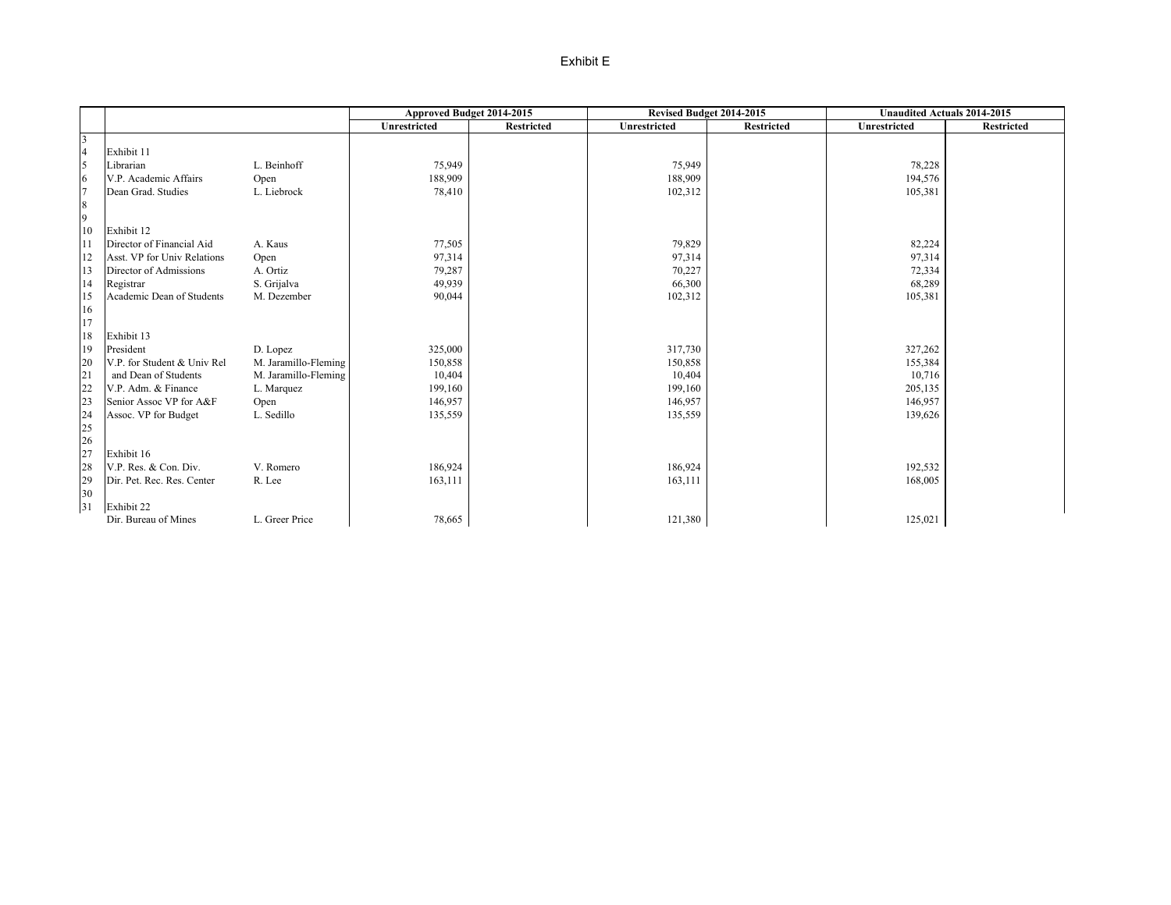### Exhibit E

|                         |                             |                      | Approved Budget 2014-2015 |            | Revised Budget 2014-2015 |                   | <b>Unaudited Actuals 2014-2015</b> |            |
|-------------------------|-----------------------------|----------------------|---------------------------|------------|--------------------------|-------------------|------------------------------------|------------|
|                         |                             |                      | Unrestricted              | Restricted | Unrestricted             | <b>Restricted</b> | Unrestricted                       | Restricted |
| $\overline{\mathbf{3}}$ |                             |                      |                           |            |                          |                   |                                    |            |
| $\frac{4}{5}$           | Exhibit 11                  |                      |                           |            |                          |                   |                                    |            |
|                         | Librarian                   | L. Beinhoff          | 75,949                    |            | 75,949                   |                   | 78,228                             |            |
| $\sqrt{6}$              | V.P. Academic Affairs       | Open                 | 188,909                   |            | 188,909                  |                   | 194,576                            |            |
| $\overline{7}$          | Dean Grad. Studies          | L. Liebrock          | 78,410                    |            | 102,312                  |                   | 105,381                            |            |
| $\,8\,$                 |                             |                      |                           |            |                          |                   |                                    |            |
| $\overline{9}$          |                             |                      |                           |            |                          |                   |                                    |            |
| 10                      | Exhibit 12                  |                      |                           |            |                          |                   |                                    |            |
| 11                      | Director of Financial Aid   | A. Kaus              | 77,505                    |            | 79,829                   |                   | 82,224                             |            |
| 12                      | Asst. VP for Univ Relations | Open                 | 97,314                    |            | 97,314                   |                   | 97,314                             |            |
| 13                      | Director of Admissions      | A. Ortiz             | 79,287                    |            | 70,227                   |                   | 72,334                             |            |
| 14                      | Registrar                   | S. Grijalva          | 49,939                    |            | 66,300                   |                   | 68,289                             |            |
| 15                      | Academic Dean of Students   | M. Dezember          | 90,044                    |            | 102,312                  |                   | 105,381                            |            |
| 16                      |                             |                      |                           |            |                          |                   |                                    |            |
| 17                      |                             |                      |                           |            |                          |                   |                                    |            |
| 18                      | Exhibit 13                  |                      |                           |            |                          |                   |                                    |            |
| 19                      | President                   | D. Lopez             | 325,000                   |            | 317,730                  |                   | 327,262                            |            |
| 20                      | V.P. for Student & Univ Rel | M. Jaramillo-Fleming | 150,858                   |            | 150,858                  |                   | 155,384                            |            |
| 21                      | and Dean of Students        | M. Jaramillo-Fleming | 10,404                    |            | 10,404                   |                   | 10,716                             |            |
| 22                      | V.P. Adm. & Finance         | L. Marquez           | 199,160                   |            | 199,160                  |                   | 205,135                            |            |
| 23                      | Senior Assoc VP for A&F     | Open                 | 146,957                   |            | 146,957                  |                   | 146,957                            |            |
| 24                      | Assoc. VP for Budget        | L. Sedillo           | 135,559                   |            | 135,559                  |                   | 139,626                            |            |
| 25                      |                             |                      |                           |            |                          |                   |                                    |            |
| 26                      |                             |                      |                           |            |                          |                   |                                    |            |
| 27                      | Exhibit 16                  |                      |                           |            |                          |                   |                                    |            |
| 28                      | V.P. Res. & Con. Div.       | V. Romero            | 186,924                   |            | 186,924                  |                   | 192,532                            |            |
| 29<br>30                | Dir. Pet. Rec. Res. Center  | R. Lee               | 163,111                   |            | 163,111                  |                   | 168,005                            |            |
| 31                      | Exhibit 22                  |                      |                           |            |                          |                   |                                    |            |
|                         | Dir. Bureau of Mines        | L. Greer Price       | 78,665                    |            | 121,380                  |                   | 125,021                            |            |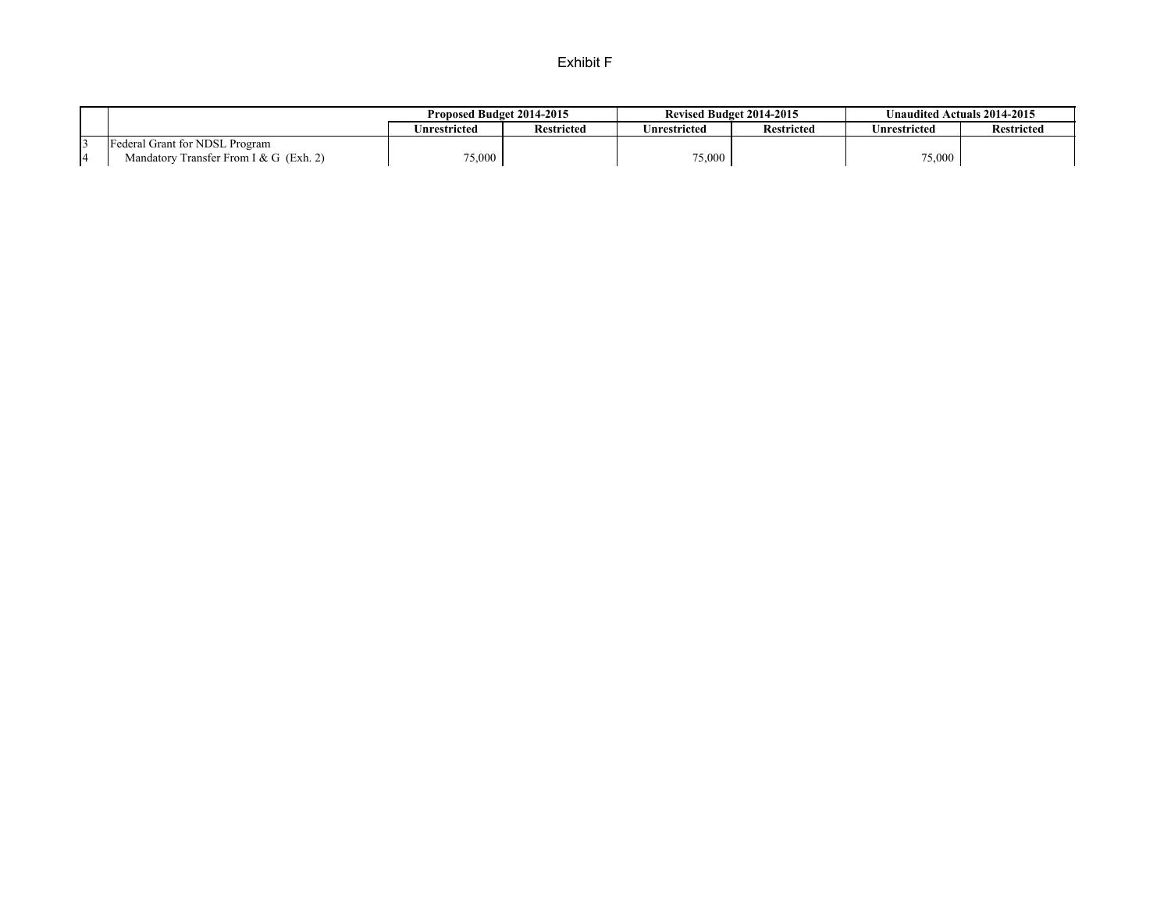### Exhibit F

|                                        | Proposed Budget 2014-2015 |                   | <b>Revised Budget 2014-2015</b> |                   | Unaudited Actuals 2014-2015 |                   |
|----------------------------------------|---------------------------|-------------------|---------------------------------|-------------------|-----------------------------|-------------------|
|                                        | Unrestricted              | <b>Restricted</b> | Jnrestricted                    | <b>Restricted</b> | Jnrestricted                | <b>Restricted</b> |
| <b>Federal Grant for NDSL Program</b>  |                           |                   |                                 |                   |                             |                   |
| Mandatory Transfer From I & G (Exh. 2) | 75,000                    |                   | 75,000                          |                   | 75,000                      |                   |